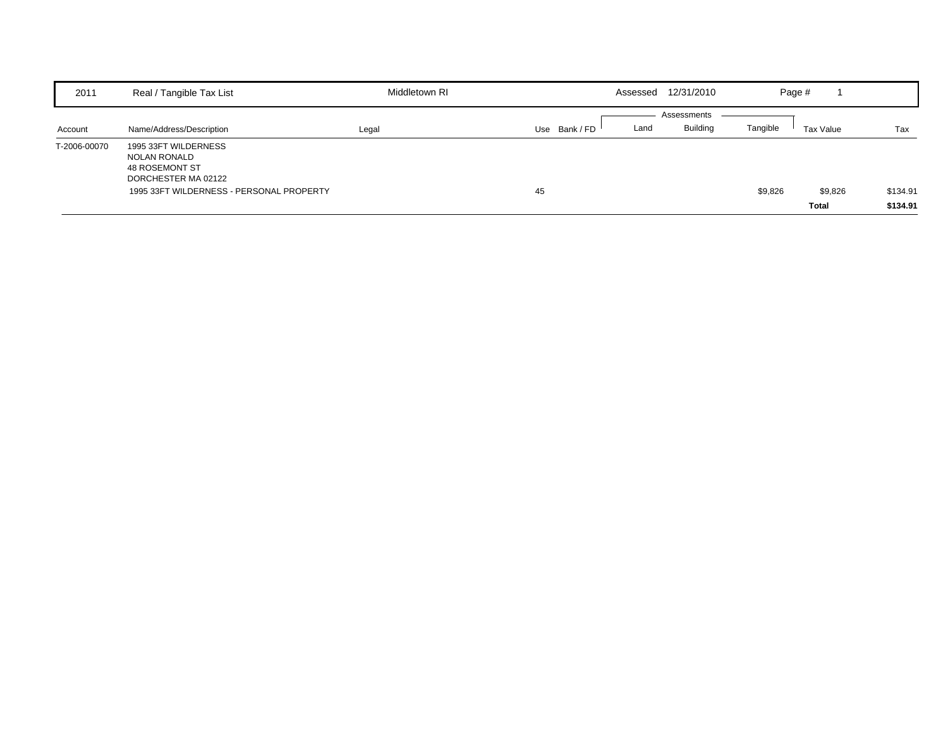| 2011         | Real / Tangible Tax List                                                                    | Middletown RI | Assessed              | 12/31/2010      | Page #   |              |          |
|--------------|---------------------------------------------------------------------------------------------|---------------|-----------------------|-----------------|----------|--------------|----------|
|              |                                                                                             |               |                       | Assessments     |          |              |          |
| Account      | Name/Address/Description                                                                    | Legal         | Use Bank / FD<br>Land | <b>Building</b> | Tangible | Tax Value    | Tax      |
| T-2006-00070 | 1995 33FT WILDERNESS<br><b>NOLAN RONALD</b><br><b>48 ROSEMONT ST</b><br>DORCHESTER MA 02122 |               |                       |                 |          |              |          |
|              | 1995 33FT WILDERNESS - PERSONAL PROPERTY                                                    |               | 45                    |                 | \$9,826  | \$9,826      | \$134.91 |
|              |                                                                                             |               |                       |                 |          | <b>Total</b> | \$134.91 |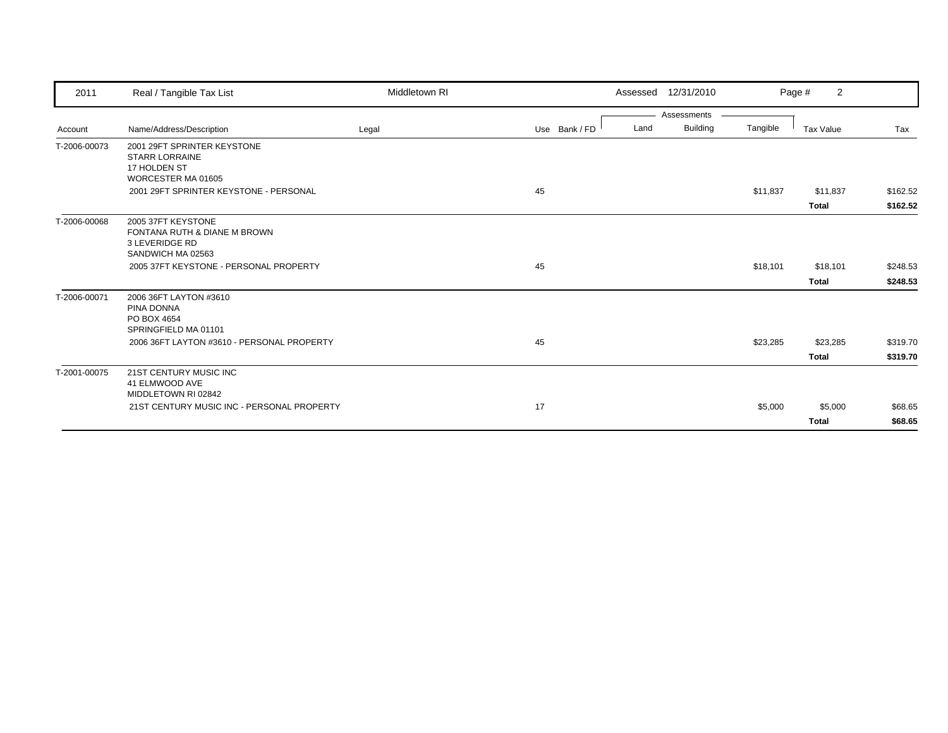| 2011         | Real / Tangible Tax List                              | Middletown RI |               |      | Assessed 12/31/2010 |          | $\overline{2}$<br>Page # |          |
|--------------|-------------------------------------------------------|---------------|---------------|------|---------------------|----------|--------------------------|----------|
|              |                                                       |               |               |      | Assessments         |          |                          |          |
| Account      | Name/Address/Description                              | Legal         | Use Bank / FD | Land | <b>Building</b>     | Tangible | <b>Tax Value</b>         | Tax      |
| T-2006-00073 | 2001 29FT SPRINTER KEYSTONE                           |               |               |      |                     |          |                          |          |
|              | <b>STARR LORRAINE</b>                                 |               |               |      |                     |          |                          |          |
|              | 17 HOLDEN ST<br>WORCESTER MA 01605                    |               |               |      |                     |          |                          |          |
|              | 2001 29FT SPRINTER KEYSTONE - PERSONAL                |               | 45            |      |                     | \$11,837 | \$11,837                 | \$162.52 |
|              |                                                       |               |               |      |                     |          |                          |          |
|              |                                                       |               |               |      |                     |          | <b>Total</b>             | \$162.52 |
| T-2006-00068 | 2005 37FT KEYSTONE                                    |               |               |      |                     |          |                          |          |
|              | FONTANA RUTH & DIANE M BROWN<br><b>3 LEVERIDGE RD</b> |               |               |      |                     |          |                          |          |
|              | SANDWICH MA 02563                                     |               |               |      |                     |          |                          |          |
|              | 2005 37FT KEYSTONE - PERSONAL PROPERTY                |               | 45            |      |                     | \$18,101 | \$18,101                 | \$248.53 |
|              |                                                       |               |               |      |                     |          | <b>Total</b>             | \$248.53 |
|              | 2006 36FT LAYTON #3610                                |               |               |      |                     |          |                          |          |
| T-2006-00071 | PINA DONNA                                            |               |               |      |                     |          |                          |          |
|              | PO BOX 4654                                           |               |               |      |                     |          |                          |          |
|              | SPRINGFIELD MA 01101                                  |               |               |      |                     |          |                          |          |
|              | 2006 36FT LAYTON #3610 - PERSONAL PROPERTY            |               | 45            |      |                     | \$23,285 | \$23,285                 | \$319.70 |
|              |                                                       |               |               |      |                     |          | <b>Total</b>             | \$319.70 |
| T-2001-00075 | 21ST CENTURY MUSIC INC                                |               |               |      |                     |          |                          |          |
|              | 41 ELMWOOD AVE                                        |               |               |      |                     |          |                          |          |
|              | MIDDLETOWN RI 02842                                   |               |               |      |                     |          |                          |          |
|              | 21ST CENTURY MUSIC INC - PERSONAL PROPERTY            |               | 17            |      |                     | \$5,000  | \$5,000                  | \$68.65  |
|              |                                                       |               |               |      |                     |          | <b>Total</b>             | \$68.65  |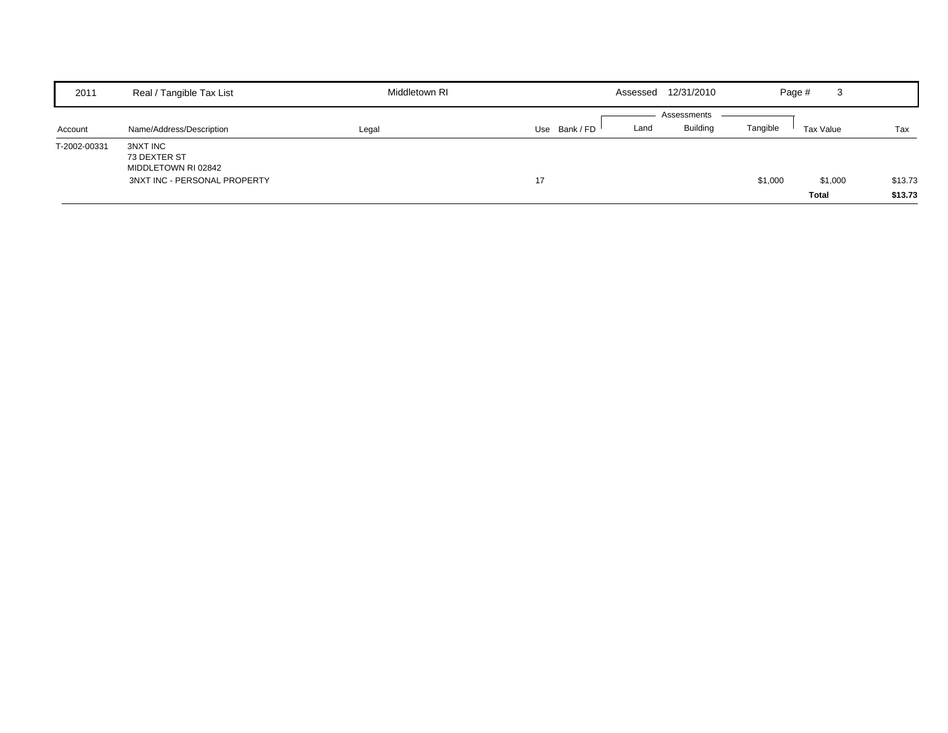| 2011         | Real / Tangible Tax List                                                        | Middletown RI | Assessed    | 12/31/2010                             | Page #   | 3                       |                    |
|--------------|---------------------------------------------------------------------------------|---------------|-------------|----------------------------------------|----------|-------------------------|--------------------|
| Account      | Name/Address/Description                                                        | Legal         | Use Bank/FD | Assessments<br><b>Building</b><br>Land | Tangible | Tax Value               | Tax                |
| T-2002-00331 | 3NXT INC<br>73 DEXTER ST<br>MIDDLETOWN RI 02842<br>3NXT INC - PERSONAL PROPERTY |               | 17          |                                        | \$1,000  | \$1,000<br><b>Total</b> | \$13.73<br>\$13.73 |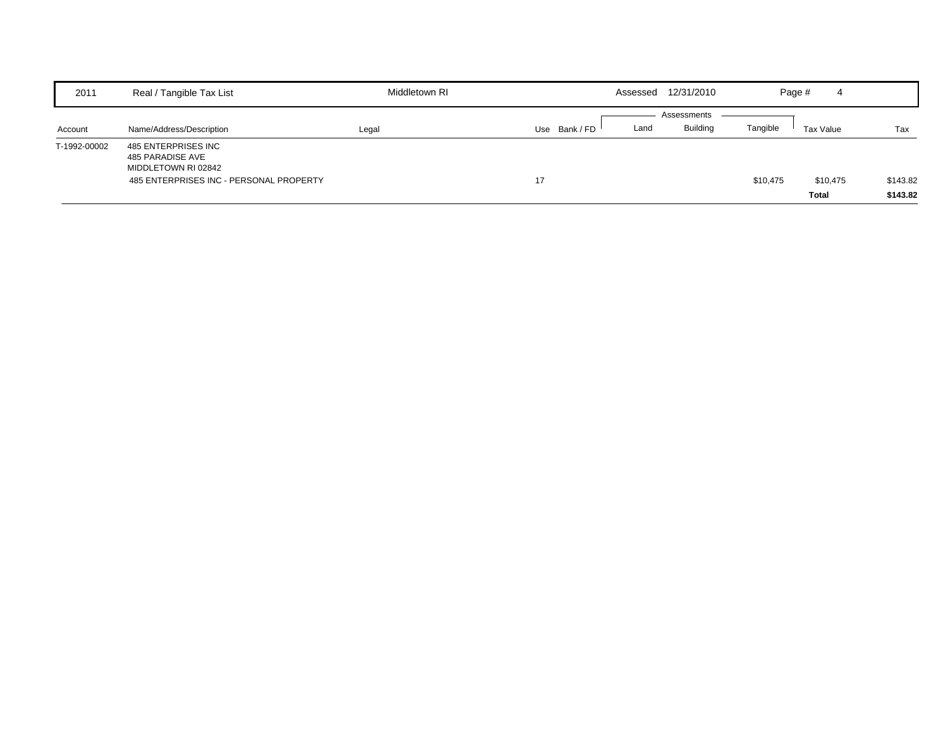| 2011         | Real / Tangible Tax List                                                                                  | Middletown RI |             | 12/31/2010<br>Assessed                 | Page #   | 4                        |                      |
|--------------|-----------------------------------------------------------------------------------------------------------|---------------|-------------|----------------------------------------|----------|--------------------------|----------------------|
| Account      | Name/Address/Description                                                                                  | Legal         | Use Bank/FD | Assessments<br><b>Building</b><br>Land | Tangible | Tax Value                | Tax                  |
| T-1992-00002 | 485 ENTERPRISES INC<br>485 PARADISE AVE<br>MIDDLETOWN RI 02842<br>485 ENTERPRISES INC - PERSONAL PROPERTY |               | 17          |                                        | \$10,475 | \$10,475<br><b>Total</b> | \$143.82<br>\$143.82 |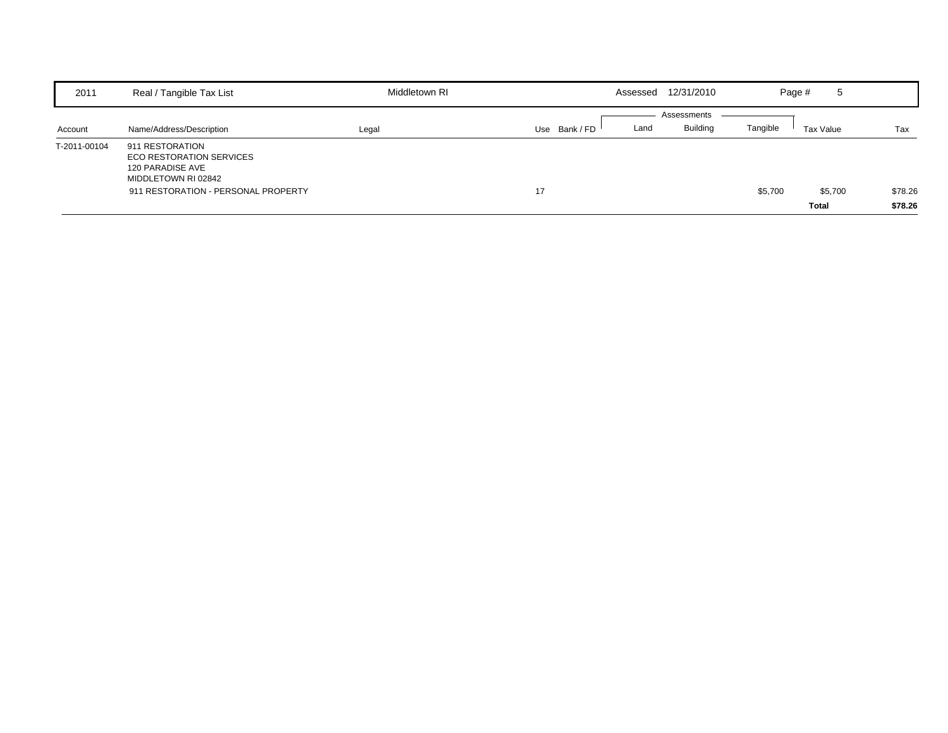| 2011         | Real / Tangible Tax List                                                               | Middletown RI | Assessed              | 12/31/2010           | Page #<br>5  |         |
|--------------|----------------------------------------------------------------------------------------|---------------|-----------------------|----------------------|--------------|---------|
|              |                                                                                        |               |                       | Assessments          |              |         |
| Account      | Name/Address/Description                                                               | Legal         | Use Bank / FD<br>Land | Tangible<br>Building | Tax Value    | Tax     |
| T-2011-00104 | 911 RESTORATION<br>ECO RESTORATION SERVICES<br>120 PARADISE AVE<br>MIDDLETOWN RI 02842 |               |                       |                      |              |         |
|              | 911 RESTORATION - PERSONAL PROPERTY                                                    |               | 17                    | \$5,700              | \$5,700      | \$78.26 |
|              |                                                                                        |               |                       |                      | <b>Total</b> | \$78.26 |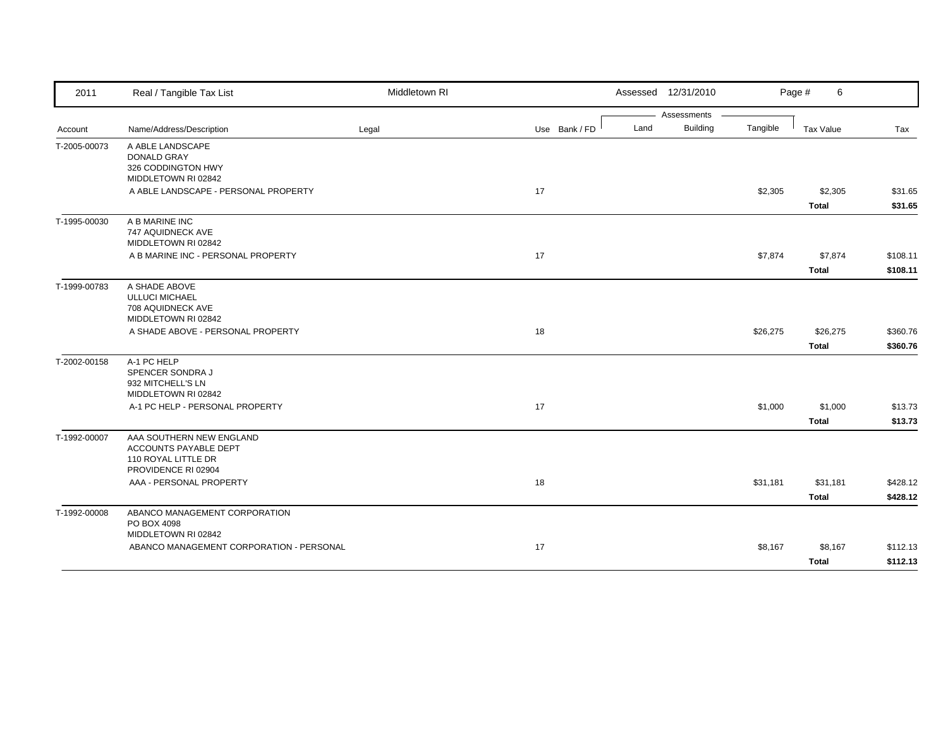| 2011         | Real / Tangible Tax List                                                                        | Middletown RI |               | Assessed 12/31/2010     |          | Page #<br>6             |                      |
|--------------|-------------------------------------------------------------------------------------------------|---------------|---------------|-------------------------|----------|-------------------------|----------------------|
|              |                                                                                                 |               |               | Assessments             |          |                         |                      |
| Account      | Name/Address/Description                                                                        | Legal         | Use Bank / FD | <b>Building</b><br>Land | Tangible | Tax Value               | Tax                  |
| T-2005-00073 | A ABLE LANDSCAPE<br><b>DONALD GRAY</b><br>326 CODDINGTON HWY<br>MIDDLETOWN RI 02842             |               |               |                         |          |                         |                      |
|              | A ABLE LANDSCAPE - PERSONAL PROPERTY                                                            |               | 17            |                         | \$2,305  | \$2,305                 | \$31.65              |
|              |                                                                                                 |               |               |                         |          | <b>Total</b>            | \$31.65              |
| T-1995-00030 | A B MARINE INC<br>747 AQUIDNECK AVE<br>MIDDLETOWN RI 02842                                      |               |               |                         |          |                         |                      |
|              | A B MARINE INC - PERSONAL PROPERTY                                                              |               | 17            |                         | \$7,874  | \$7,874<br><b>Total</b> | \$108.11<br>\$108.11 |
| T-1999-00783 | A SHADE ABOVE<br><b>ULLUCI MICHAEL</b><br>708 AQUIDNECK AVE<br>MIDDLETOWN RI 02842              |               |               |                         |          |                         |                      |
|              | A SHADE ABOVE - PERSONAL PROPERTY                                                               |               | 18            |                         | \$26,275 | \$26,275                | \$360.76             |
|              |                                                                                                 |               |               |                         |          | <b>Total</b>            | \$360.76             |
| T-2002-00158 | A-1 PC HELP<br>SPENCER SONDRA J<br>932 MITCHELL'S LN<br>MIDDLETOWN RI 02842                     |               |               |                         |          |                         |                      |
|              | A-1 PC HELP - PERSONAL PROPERTY                                                                 |               | 17            |                         | \$1,000  | \$1,000                 | \$13.73              |
|              |                                                                                                 |               |               |                         |          | <b>Total</b>            | \$13.73              |
| T-1992-00007 | AAA SOUTHERN NEW ENGLAND<br>ACCOUNTS PAYABLE DEPT<br>110 ROYAL LITTLE DR<br>PROVIDENCE RI 02904 |               |               |                         |          |                         |                      |
|              | AAA - PERSONAL PROPERTY                                                                         |               | 18            |                         | \$31,181 | \$31,181                | \$428.12             |
|              |                                                                                                 |               |               |                         |          | <b>Total</b>            | \$428.12             |
| T-1992-00008 | ABANCO MANAGEMENT CORPORATION<br>PO BOX 4098<br>MIDDLETOWN RI 02842                             |               |               |                         |          |                         |                      |
|              | ABANCO MANAGEMENT CORPORATION - PERSONAL                                                        |               | 17            |                         | \$8,167  | \$8,167<br><b>Total</b> | \$112.13<br>\$112.13 |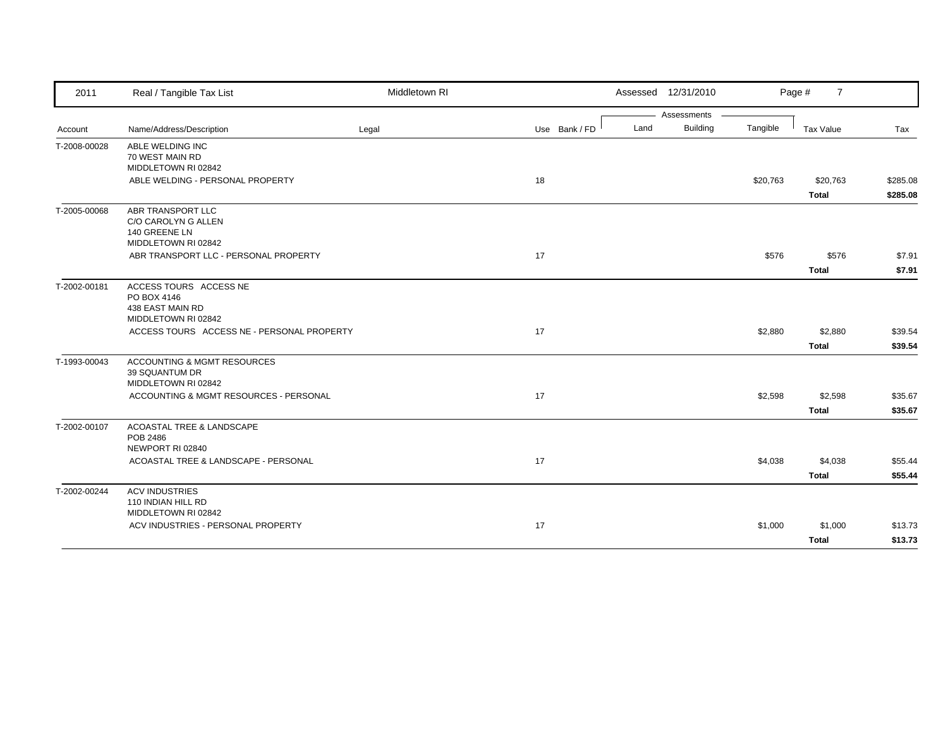| 2011         | Real / Tangible Tax List                                                         | Middletown RI |               |      | Assessed 12/31/2010 |          | Page #<br>$\overline{7}$ |                      |
|--------------|----------------------------------------------------------------------------------|---------------|---------------|------|---------------------|----------|--------------------------|----------------------|
|              |                                                                                  |               |               |      | Assessments         |          |                          |                      |
| Account      | Name/Address/Description                                                         | Legal         | Use Bank / FD | Land | <b>Building</b>     | Tangible | <b>Tax Value</b>         | Tax                  |
| T-2008-00028 | ABLE WELDING INC<br>70 WEST MAIN RD<br>MIDDLETOWN RI 02842                       |               |               |      |                     |          |                          |                      |
|              | ABLE WELDING - PERSONAL PROPERTY                                                 |               | 18            |      |                     | \$20,763 | \$20,763<br><b>Total</b> | \$285.08<br>\$285.08 |
| T-2005-00068 | ABR TRANSPORT LLC<br>C/O CAROLYN G ALLEN<br>140 GREENE LN<br>MIDDLETOWN RI 02842 |               |               |      |                     |          |                          |                      |
|              | ABR TRANSPORT LLC - PERSONAL PROPERTY                                            |               | 17            |      |                     | \$576    | \$576                    | \$7.91               |
|              |                                                                                  |               |               |      |                     |          | <b>Total</b>             | \$7.91               |
| T-2002-00181 | ACCESS TOURS ACCESS NE<br>PO BOX 4146<br>438 EAST MAIN RD<br>MIDDLETOWN RI 02842 |               |               |      |                     |          |                          |                      |
|              | ACCESS TOURS ACCESS NE - PERSONAL PROPERTY                                       |               | 17            |      |                     | \$2,880  | \$2,880                  | \$39.54              |
|              |                                                                                  |               |               |      |                     |          | Total                    | \$39.54              |
| T-1993-00043 | <b>ACCOUNTING &amp; MGMT RESOURCES</b><br>39 SQUANTUM DR<br>MIDDLETOWN RI 02842  |               |               |      |                     |          |                          |                      |
|              | ACCOUNTING & MGMT RESOURCES - PERSONAL                                           |               | 17            |      |                     | \$2,598  | \$2,598                  | \$35.67              |
|              |                                                                                  |               |               |      |                     |          | <b>Total</b>             | \$35.67              |
| T-2002-00107 | ACOASTAL TREE & LANDSCAPE<br>POB 2486<br>NEWPORT RI 02840                        |               |               |      |                     |          |                          |                      |
|              | ACOASTAL TREE & LANDSCAPE - PERSONAL                                             |               | 17            |      |                     | \$4,038  | \$4,038                  | \$55.44              |
|              |                                                                                  |               |               |      |                     |          | <b>Total</b>             | \$55.44              |
| T-2002-00244 | <b>ACV INDUSTRIES</b><br>110 INDIAN HILL RD<br>MIDDLETOWN RI 02842               |               |               |      |                     |          |                          |                      |
|              | ACV INDUSTRIES - PERSONAL PROPERTY                                               |               | 17            |      |                     | \$1,000  | \$1,000                  | \$13.73              |
|              |                                                                                  |               |               |      |                     |          | <b>Total</b>             | \$13.73              |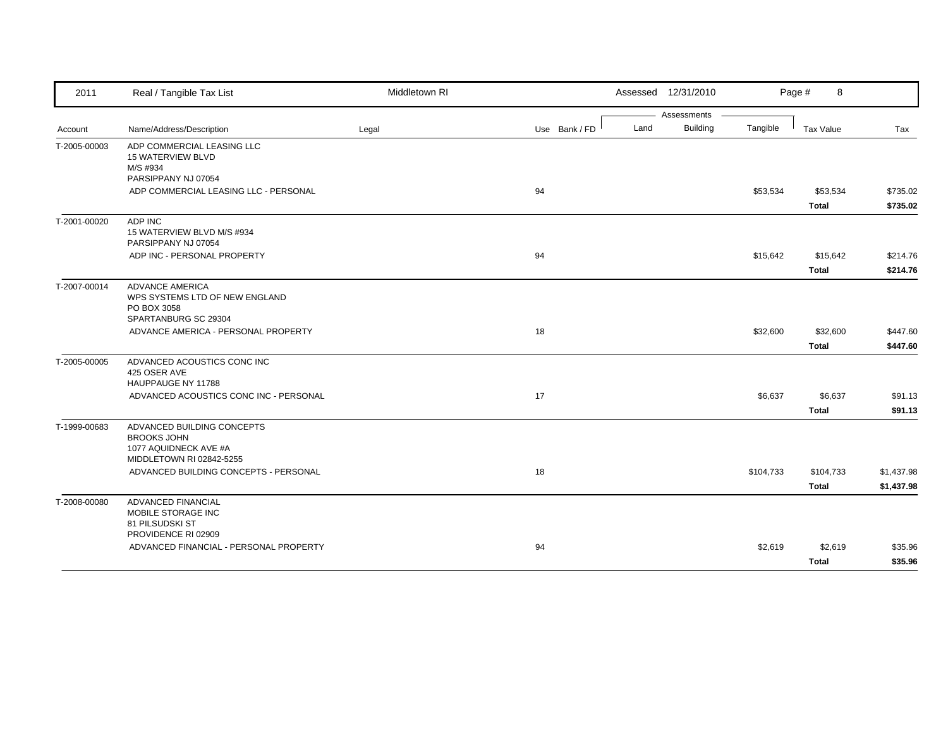| Assessments<br><b>Building</b><br>Land<br>Tangible<br>Name/Address/Description<br>Legal<br>Use Bank / FD<br><b>Tax Value</b><br>Tax<br>Account<br>ADP COMMERCIAL LEASING LLC<br><b>15 WATERVIEW BLVD</b><br>M/S #934<br>PARSIPPANY NJ 07054<br>94<br>ADP COMMERCIAL LEASING LLC - PERSONAL<br>\$53,534<br>\$53,534<br>\$735.02<br><b>Total</b><br>\$735.02<br>ADP INC<br>15 WATERVIEW BLVD M/S #934<br>PARSIPPANY NJ 07054<br>ADP INC - PERSONAL PROPERTY<br>94<br>\$15,642<br>\$15,642<br>\$214.76<br><b>Total</b><br><b>ADVANCE AMERICA</b><br>WPS SYSTEMS LTD OF NEW ENGLAND<br>PO BOX 3058<br>SPARTANBURG SC 29304<br>ADVANCE AMERICA - PERSONAL PROPERTY<br>18<br>\$32,600<br>\$32,600<br><b>Total</b><br>ADVANCED ACOUSTICS CONC INC<br>425 OSER AVE<br>HAUPPAUGE NY 11788<br>ADVANCED ACOUSTICS CONC INC - PERSONAL<br>17<br>\$6,637<br>\$6,637<br><b>Total</b><br>ADVANCED BUILDING CONCEPTS<br><b>BROOKS JOHN</b><br>1077 AQUIDNECK AVE #A<br>MIDDLETOWN RI 02842-5255<br>ADVANCED BUILDING CONCEPTS - PERSONAL<br>18<br>\$104,733<br>\$104,733<br><b>Total</b><br>T-2008-00080<br><b>ADVANCED FINANCIAL</b><br>MOBILE STORAGE INC<br>81 PILSUDSKI ST<br>PROVIDENCE RI 02909<br>ADVANCED FINANCIAL - PERSONAL PROPERTY<br>94<br>\$2,619<br>\$2,619 | 2011         | Real / Tangible Tax List | Middletown RI | Assessed 12/31/2010 | Page #<br>8  |         |
|-------------------------------------------------------------------------------------------------------------------------------------------------------------------------------------------------------------------------------------------------------------------------------------------------------------------------------------------------------------------------------------------------------------------------------------------------------------------------------------------------------------------------------------------------------------------------------------------------------------------------------------------------------------------------------------------------------------------------------------------------------------------------------------------------------------------------------------------------------------------------------------------------------------------------------------------------------------------------------------------------------------------------------------------------------------------------------------------------------------------------------------------------------------------------------------------------------------------------------------------------------------|--------------|--------------------------|---------------|---------------------|--------------|---------|
|                                                                                                                                                                                                                                                                                                                                                                                                                                                                                                                                                                                                                                                                                                                                                                                                                                                                                                                                                                                                                                                                                                                                                                                                                                                             |              |                          |               |                     |              |         |
|                                                                                                                                                                                                                                                                                                                                                                                                                                                                                                                                                                                                                                                                                                                                                                                                                                                                                                                                                                                                                                                                                                                                                                                                                                                             |              |                          |               |                     |              |         |
|                                                                                                                                                                                                                                                                                                                                                                                                                                                                                                                                                                                                                                                                                                                                                                                                                                                                                                                                                                                                                                                                                                                                                                                                                                                             | T-2005-00003 |                          |               |                     |              |         |
|                                                                                                                                                                                                                                                                                                                                                                                                                                                                                                                                                                                                                                                                                                                                                                                                                                                                                                                                                                                                                                                                                                                                                                                                                                                             |              |                          |               |                     |              |         |
|                                                                                                                                                                                                                                                                                                                                                                                                                                                                                                                                                                                                                                                                                                                                                                                                                                                                                                                                                                                                                                                                                                                                                                                                                                                             |              |                          |               |                     |              |         |
|                                                                                                                                                                                                                                                                                                                                                                                                                                                                                                                                                                                                                                                                                                                                                                                                                                                                                                                                                                                                                                                                                                                                                                                                                                                             | T-2001-00020 |                          |               |                     |              |         |
| \$214.76<br>\$447.60<br>\$447.60<br>\$91.13<br>\$91.13<br>\$1,437.98<br>\$1,437.98<br>\$35.96                                                                                                                                                                                                                                                                                                                                                                                                                                                                                                                                                                                                                                                                                                                                                                                                                                                                                                                                                                                                                                                                                                                                                               |              |                          |               |                     |              |         |
|                                                                                                                                                                                                                                                                                                                                                                                                                                                                                                                                                                                                                                                                                                                                                                                                                                                                                                                                                                                                                                                                                                                                                                                                                                                             |              |                          |               |                     |              |         |
|                                                                                                                                                                                                                                                                                                                                                                                                                                                                                                                                                                                                                                                                                                                                                                                                                                                                                                                                                                                                                                                                                                                                                                                                                                                             | T-2007-00014 |                          |               |                     |              |         |
|                                                                                                                                                                                                                                                                                                                                                                                                                                                                                                                                                                                                                                                                                                                                                                                                                                                                                                                                                                                                                                                                                                                                                                                                                                                             |              |                          |               |                     |              |         |
|                                                                                                                                                                                                                                                                                                                                                                                                                                                                                                                                                                                                                                                                                                                                                                                                                                                                                                                                                                                                                                                                                                                                                                                                                                                             |              |                          |               |                     |              |         |
|                                                                                                                                                                                                                                                                                                                                                                                                                                                                                                                                                                                                                                                                                                                                                                                                                                                                                                                                                                                                                                                                                                                                                                                                                                                             | T-2005-00005 |                          |               |                     |              |         |
|                                                                                                                                                                                                                                                                                                                                                                                                                                                                                                                                                                                                                                                                                                                                                                                                                                                                                                                                                                                                                                                                                                                                                                                                                                                             |              |                          |               |                     |              |         |
|                                                                                                                                                                                                                                                                                                                                                                                                                                                                                                                                                                                                                                                                                                                                                                                                                                                                                                                                                                                                                                                                                                                                                                                                                                                             |              |                          |               |                     |              |         |
|                                                                                                                                                                                                                                                                                                                                                                                                                                                                                                                                                                                                                                                                                                                                                                                                                                                                                                                                                                                                                                                                                                                                                                                                                                                             | T-1999-00683 |                          |               |                     |              |         |
|                                                                                                                                                                                                                                                                                                                                                                                                                                                                                                                                                                                                                                                                                                                                                                                                                                                                                                                                                                                                                                                                                                                                                                                                                                                             |              |                          |               |                     |              |         |
|                                                                                                                                                                                                                                                                                                                                                                                                                                                                                                                                                                                                                                                                                                                                                                                                                                                                                                                                                                                                                                                                                                                                                                                                                                                             |              |                          |               |                     |              |         |
|                                                                                                                                                                                                                                                                                                                                                                                                                                                                                                                                                                                                                                                                                                                                                                                                                                                                                                                                                                                                                                                                                                                                                                                                                                                             |              |                          |               |                     |              |         |
|                                                                                                                                                                                                                                                                                                                                                                                                                                                                                                                                                                                                                                                                                                                                                                                                                                                                                                                                                                                                                                                                                                                                                                                                                                                             |              |                          |               |                     |              |         |
|                                                                                                                                                                                                                                                                                                                                                                                                                                                                                                                                                                                                                                                                                                                                                                                                                                                                                                                                                                                                                                                                                                                                                                                                                                                             |              |                          |               |                     | <b>Total</b> | \$35.96 |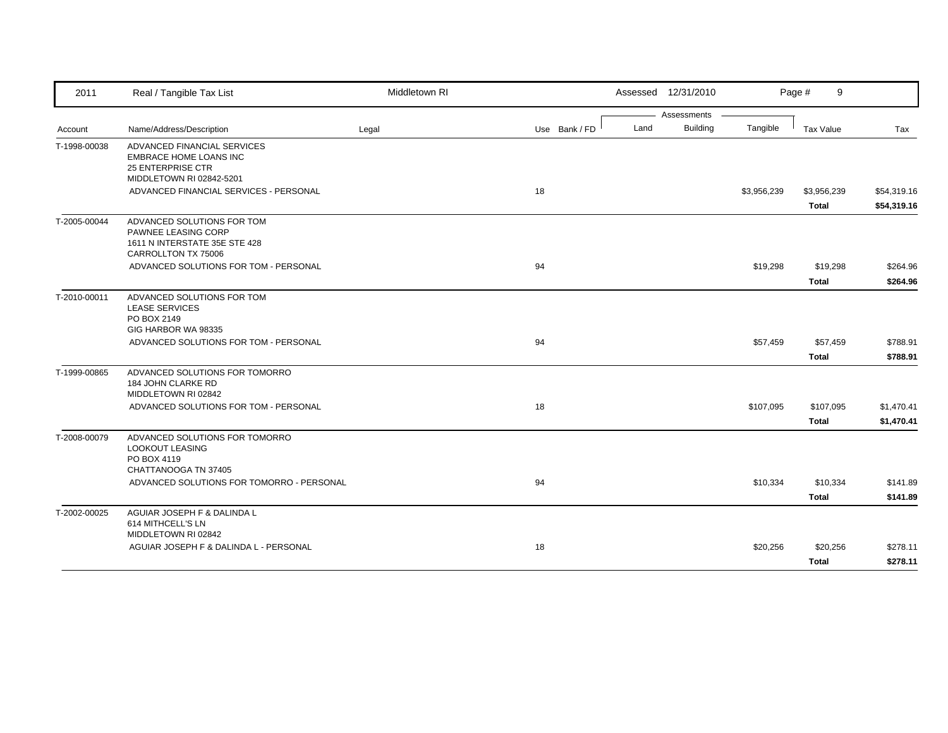| 2011         | Real / Tangible Tax List                                                                                      | Middletown RI |               | Assessed 12/31/2010                    |             | Page #<br>9                 |                            |
|--------------|---------------------------------------------------------------------------------------------------------------|---------------|---------------|----------------------------------------|-------------|-----------------------------|----------------------------|
| Account      | Name/Address/Description                                                                                      | Legal         | Use Bank / FD | Assessments<br><b>Building</b><br>Land | Tangible    | <b>Tax Value</b>            | Tax                        |
| T-1998-00038 | ADVANCED FINANCIAL SERVICES<br><b>EMBRACE HOME LOANS INC</b><br>25 ENTERPRISE CTR<br>MIDDLETOWN RI 02842-5201 |               |               |                                        |             |                             |                            |
|              | ADVANCED FINANCIAL SERVICES - PERSONAL                                                                        |               | 18            |                                        | \$3,956,239 | \$3,956,239<br><b>Total</b> | \$54,319.16<br>\$54,319.16 |
| T-2005-00044 | ADVANCED SOLUTIONS FOR TOM<br>PAWNEE LEASING CORP<br>1611 N INTERSTATE 35E STE 428<br>CARROLLTON TX 75006     |               |               |                                        |             |                             |                            |
|              | ADVANCED SOLUTIONS FOR TOM - PERSONAL                                                                         |               | 94            |                                        | \$19,298    | \$19,298<br><b>Total</b>    | \$264.96<br>\$264.96       |
| T-2010-00011 | ADVANCED SOLUTIONS FOR TOM<br><b>LEASE SERVICES</b><br>PO BOX 2149<br>GIG HARBOR WA 98335                     |               |               |                                        |             |                             |                            |
|              | ADVANCED SOLUTIONS FOR TOM - PERSONAL                                                                         |               | 94            |                                        | \$57,459    | \$57,459<br><b>Total</b>    | \$788.91<br>\$788.91       |
| T-1999-00865 | ADVANCED SOLUTIONS FOR TOMORRO<br>184 JOHN CLARKE RD<br>MIDDLETOWN RI 02842                                   |               |               |                                        |             |                             |                            |
|              | ADVANCED SOLUTIONS FOR TOM - PERSONAL                                                                         |               | 18            |                                        | \$107,095   | \$107,095<br><b>Total</b>   | \$1,470.41<br>\$1,470.41   |
| T-2008-00079 | ADVANCED SOLUTIONS FOR TOMORRO<br><b>LOOKOUT LEASING</b><br>PO BOX 4119<br>CHATTANOOGA TN 37405               |               |               |                                        |             |                             |                            |
|              | ADVANCED SOLUTIONS FOR TOMORRO - PERSONAL                                                                     |               | 94            |                                        | \$10,334    | \$10,334<br><b>Total</b>    | \$141.89<br>\$141.89       |
| T-2002-00025 | AGUIAR JOSEPH F & DALINDA L<br>614 MITHCELL'S LN<br>MIDDLETOWN RI 02842                                       |               |               |                                        |             |                             |                            |
|              | AGUIAR JOSEPH F & DALINDA L - PERSONAL                                                                        |               | 18            |                                        | \$20,256    | \$20,256<br><b>Total</b>    | \$278.11<br>\$278.11       |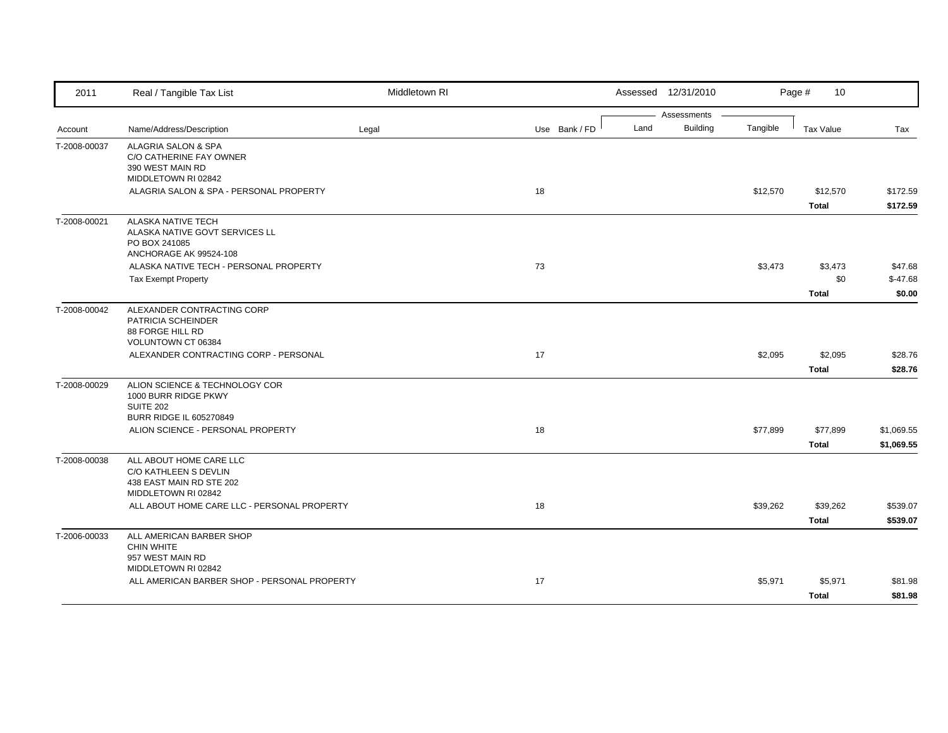| Assessments<br>Land<br><b>Building</b><br>Tangible<br>Use Bank / FD<br>Name/Address/Description<br><b>Tax Value</b><br>Tax<br>Legal<br>Account<br>ALAGRIA SALON & SPA<br>C/O CATHERINE FAY OWNER<br>390 WEST MAIN RD<br>MIDDLETOWN RI 02842<br>ALAGRIA SALON & SPA - PERSONAL PROPERTY<br>18<br>\$12,570<br>\$12,570<br><b>Total</b><br><b>ALASKA NATIVE TECH</b><br>ALASKA NATIVE GOVT SERVICES LL<br>PO BOX 241085<br>ANCHORAGE AK 99524-108<br>ALASKA NATIVE TECH - PERSONAL PROPERTY<br>73<br>\$3,473<br>\$3,473<br><b>Tax Exempt Property</b><br>\$0<br><b>Total</b><br>ALEXANDER CONTRACTING CORP<br>PATRICIA SCHEINDER<br>88 FORGE HILL RD<br>VOLUNTOWN CT 06384<br>ALEXANDER CONTRACTING CORP - PERSONAL<br>17<br>\$2,095<br>\$2,095<br><b>Total</b><br>ALION SCIENCE & TECHNOLOGY COR<br>1000 BURR RIDGE PKWY<br><b>SUITE 202</b><br><b>BURR RIDGE IL 605270849</b><br>ALION SCIENCE - PERSONAL PROPERTY<br>18<br>\$77,899<br>\$77,899<br><b>Total</b><br>ALL ABOUT HOME CARE LLC<br>C/O KATHLEEN S DEVLIN<br>438 EAST MAIN RD STE 202<br>MIDDLETOWN RI 02842<br>ALL ABOUT HOME CARE LLC - PERSONAL PROPERTY<br>18<br>\$39,262<br>\$39,262<br><b>Total</b><br>ALL AMERICAN BARBER SHOP<br>CHIN WHITE<br>957 WEST MAIN RD<br>MIDDLETOWN RI 02842<br>ALL AMERICAN BARBER SHOP - PERSONAL PROPERTY<br>17<br>\$5,971<br>\$5,971 | 2011         | Real / Tangible Tax List | Middletown RI | Assessed 12/31/2010 |  | Page #<br>10 |         |
|--------------------------------------------------------------------------------------------------------------------------------------------------------------------------------------------------------------------------------------------------------------------------------------------------------------------------------------------------------------------------------------------------------------------------------------------------------------------------------------------------------------------------------------------------------------------------------------------------------------------------------------------------------------------------------------------------------------------------------------------------------------------------------------------------------------------------------------------------------------------------------------------------------------------------------------------------------------------------------------------------------------------------------------------------------------------------------------------------------------------------------------------------------------------------------------------------------------------------------------------------------------------------------------------------------------------------------------|--------------|--------------------------|---------------|---------------------|--|--------------|---------|
| \$172.59                                                                                                                                                                                                                                                                                                                                                                                                                                                                                                                                                                                                                                                                                                                                                                                                                                                                                                                                                                                                                                                                                                                                                                                                                                                                                                                             |              |                          |               |                     |  |              |         |
|                                                                                                                                                                                                                                                                                                                                                                                                                                                                                                                                                                                                                                                                                                                                                                                                                                                                                                                                                                                                                                                                                                                                                                                                                                                                                                                                      |              |                          |               |                     |  |              |         |
|                                                                                                                                                                                                                                                                                                                                                                                                                                                                                                                                                                                                                                                                                                                                                                                                                                                                                                                                                                                                                                                                                                                                                                                                                                                                                                                                      | T-2008-00037 |                          |               |                     |  |              |         |
| \$172.59                                                                                                                                                                                                                                                                                                                                                                                                                                                                                                                                                                                                                                                                                                                                                                                                                                                                                                                                                                                                                                                                                                                                                                                                                                                                                                                             |              |                          |               |                     |  |              |         |
|                                                                                                                                                                                                                                                                                                                                                                                                                                                                                                                                                                                                                                                                                                                                                                                                                                                                                                                                                                                                                                                                                                                                                                                                                                                                                                                                      |              |                          |               |                     |  |              |         |
| \$47.68                                                                                                                                                                                                                                                                                                                                                                                                                                                                                                                                                                                                                                                                                                                                                                                                                                                                                                                                                                                                                                                                                                                                                                                                                                                                                                                              | T-2008-00021 |                          |               |                     |  |              |         |
| $$-47.68$<br>\$0.00<br>\$28.76<br>\$28.76<br>\$1,069.55<br>\$1,069.55<br>\$539.07<br>\$539.07<br>\$81.98                                                                                                                                                                                                                                                                                                                                                                                                                                                                                                                                                                                                                                                                                                                                                                                                                                                                                                                                                                                                                                                                                                                                                                                                                             |              |                          |               |                     |  |              |         |
|                                                                                                                                                                                                                                                                                                                                                                                                                                                                                                                                                                                                                                                                                                                                                                                                                                                                                                                                                                                                                                                                                                                                                                                                                                                                                                                                      |              |                          |               |                     |  |              |         |
|                                                                                                                                                                                                                                                                                                                                                                                                                                                                                                                                                                                                                                                                                                                                                                                                                                                                                                                                                                                                                                                                                                                                                                                                                                                                                                                                      |              |                          |               |                     |  |              |         |
|                                                                                                                                                                                                                                                                                                                                                                                                                                                                                                                                                                                                                                                                                                                                                                                                                                                                                                                                                                                                                                                                                                                                                                                                                                                                                                                                      | T-2008-00042 |                          |               |                     |  |              |         |
|                                                                                                                                                                                                                                                                                                                                                                                                                                                                                                                                                                                                                                                                                                                                                                                                                                                                                                                                                                                                                                                                                                                                                                                                                                                                                                                                      |              |                          |               |                     |  |              |         |
|                                                                                                                                                                                                                                                                                                                                                                                                                                                                                                                                                                                                                                                                                                                                                                                                                                                                                                                                                                                                                                                                                                                                                                                                                                                                                                                                      |              |                          |               |                     |  |              |         |
|                                                                                                                                                                                                                                                                                                                                                                                                                                                                                                                                                                                                                                                                                                                                                                                                                                                                                                                                                                                                                                                                                                                                                                                                                                                                                                                                      | T-2008-00029 |                          |               |                     |  |              |         |
|                                                                                                                                                                                                                                                                                                                                                                                                                                                                                                                                                                                                                                                                                                                                                                                                                                                                                                                                                                                                                                                                                                                                                                                                                                                                                                                                      |              |                          |               |                     |  |              |         |
|                                                                                                                                                                                                                                                                                                                                                                                                                                                                                                                                                                                                                                                                                                                                                                                                                                                                                                                                                                                                                                                                                                                                                                                                                                                                                                                                      |              |                          |               |                     |  |              |         |
|                                                                                                                                                                                                                                                                                                                                                                                                                                                                                                                                                                                                                                                                                                                                                                                                                                                                                                                                                                                                                                                                                                                                                                                                                                                                                                                                      | T-2008-00038 |                          |               |                     |  |              |         |
|                                                                                                                                                                                                                                                                                                                                                                                                                                                                                                                                                                                                                                                                                                                                                                                                                                                                                                                                                                                                                                                                                                                                                                                                                                                                                                                                      |              |                          |               |                     |  |              |         |
|                                                                                                                                                                                                                                                                                                                                                                                                                                                                                                                                                                                                                                                                                                                                                                                                                                                                                                                                                                                                                                                                                                                                                                                                                                                                                                                                      |              |                          |               |                     |  |              |         |
|                                                                                                                                                                                                                                                                                                                                                                                                                                                                                                                                                                                                                                                                                                                                                                                                                                                                                                                                                                                                                                                                                                                                                                                                                                                                                                                                      | T-2006-00033 |                          |               |                     |  |              |         |
|                                                                                                                                                                                                                                                                                                                                                                                                                                                                                                                                                                                                                                                                                                                                                                                                                                                                                                                                                                                                                                                                                                                                                                                                                                                                                                                                      |              |                          |               |                     |  |              |         |
|                                                                                                                                                                                                                                                                                                                                                                                                                                                                                                                                                                                                                                                                                                                                                                                                                                                                                                                                                                                                                                                                                                                                                                                                                                                                                                                                      |              |                          |               |                     |  | <b>Total</b> | \$81.98 |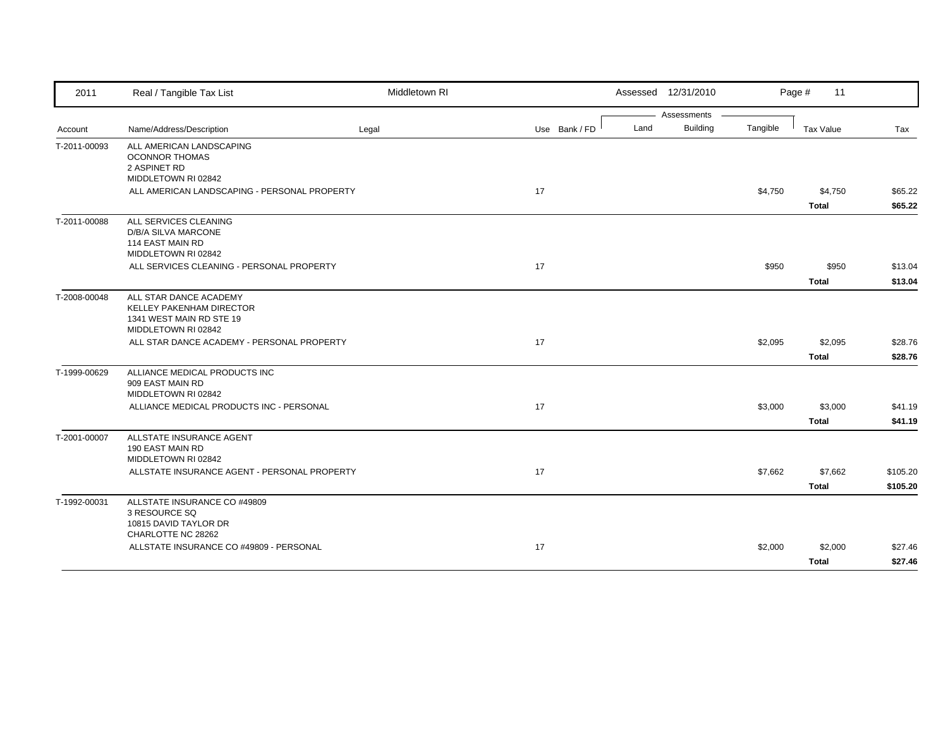| 2011         | Real / Tangible Tax List                                                                              | Middletown RI |               | Assessed 12/31/2010     |          | Page #<br>11 |          |
|--------------|-------------------------------------------------------------------------------------------------------|---------------|---------------|-------------------------|----------|--------------|----------|
|              |                                                                                                       |               |               | Assessments             |          |              |          |
| Account      | Name/Address/Description                                                                              | Legal         | Use Bank / FD | <b>Building</b><br>Land | Tangible | Tax Value    | Tax      |
| T-2011-00093 | ALL AMERICAN LANDSCAPING<br><b>OCONNOR THOMAS</b><br>2 ASPINET RD<br>MIDDLETOWN RI 02842              |               |               |                         |          |              |          |
|              | ALL AMERICAN LANDSCAPING - PERSONAL PROPERTY                                                          |               | 17            |                         | \$4,750  | \$4,750      | \$65.22  |
|              |                                                                                                       |               |               |                         |          | <b>Total</b> | \$65.22  |
| T-2011-00088 | ALL SERVICES CLEANING<br>D/B/A SILVA MARCONE<br>114 EAST MAIN RD<br>MIDDLETOWN RI 02842               |               |               |                         |          |              |          |
|              | ALL SERVICES CLEANING - PERSONAL PROPERTY                                                             |               | 17            |                         | \$950    | \$950        | \$13.04  |
|              |                                                                                                       |               |               |                         |          | <b>Total</b> | \$13.04  |
| T-2008-00048 | ALL STAR DANCE ACADEMY<br>KELLEY PAKENHAM DIRECTOR<br>1341 WEST MAIN RD STE 19<br>MIDDLETOWN RI 02842 |               |               |                         |          |              |          |
|              | ALL STAR DANCE ACADEMY - PERSONAL PROPERTY                                                            |               | 17            |                         | \$2,095  | \$2,095      | \$28.76  |
|              |                                                                                                       |               |               |                         |          | <b>Total</b> | \$28.76  |
| T-1999-00629 | ALLIANCE MEDICAL PRODUCTS INC<br>909 EAST MAIN RD<br>MIDDLETOWN RI 02842                              |               |               |                         |          |              |          |
|              | ALLIANCE MEDICAL PRODUCTS INC - PERSONAL                                                              |               | 17            |                         | \$3,000  | \$3,000      | \$41.19  |
|              |                                                                                                       |               |               |                         |          | <b>Total</b> | \$41.19  |
| T-2001-00007 | ALLSTATE INSURANCE AGENT<br>190 EAST MAIN RD<br>MIDDLETOWN RI 02842                                   |               |               |                         |          |              |          |
|              | ALLSTATE INSURANCE AGENT - PERSONAL PROPERTY                                                          |               | 17            |                         | \$7,662  | \$7,662      | \$105.20 |
|              |                                                                                                       |               |               |                         |          | <b>Total</b> | \$105.20 |
| T-1992-00031 | ALLSTATE INSURANCE CO #49809<br>3 RESOURCE SQ<br>10815 DAVID TAYLOR DR                                |               |               |                         |          |              |          |
|              | CHARLOTTE NC 28262<br>ALLSTATE INSURANCE CO #49809 - PERSONAL                                         |               | 17            |                         | \$2,000  | \$2,000      | \$27.46  |
|              |                                                                                                       |               |               |                         |          | <b>Total</b> | \$27.46  |
|              |                                                                                                       |               |               |                         |          |              |          |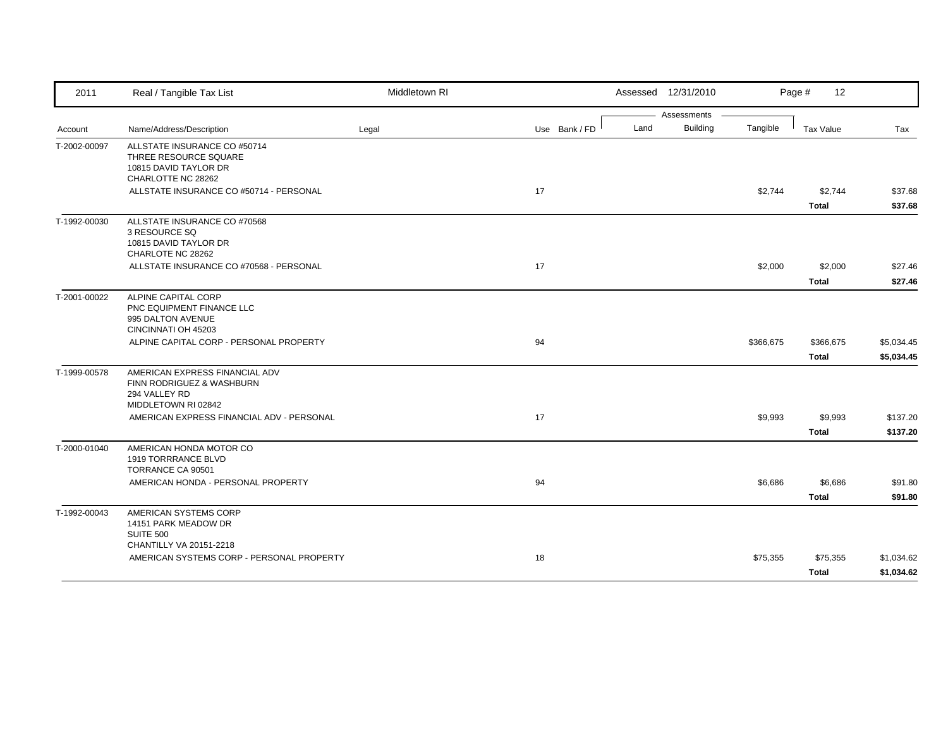| 2011         | Real / Tangible Tax List                                                                             | Middletown RI |               |      | Assessed 12/31/2010 |           | Page #<br>12            |                          |
|--------------|------------------------------------------------------------------------------------------------------|---------------|---------------|------|---------------------|-----------|-------------------------|--------------------------|
|              |                                                                                                      |               |               |      | Assessments         |           |                         |                          |
| Account      | Name/Address/Description                                                                             | Legal         | Use Bank / FD | Land | <b>Building</b>     | Tangible  | <b>Tax Value</b>        | Tax                      |
| T-2002-00097 | ALLSTATE INSURANCE CO #50714<br>THREE RESOURCE SQUARE<br>10815 DAVID TAYLOR DR<br>CHARLOTTE NC 28262 |               |               |      |                     |           |                         |                          |
|              | ALLSTATE INSURANCE CO #50714 - PERSONAL                                                              |               | 17            |      |                     | \$2,744   | \$2,744<br><b>Total</b> | \$37.68<br>\$37.68       |
| T-1992-00030 | ALLSTATE INSURANCE CO #70568<br>3 RESOURCE SQ<br>10815 DAVID TAYLOR DR<br>CHARLOTE NC 28262          |               |               |      |                     |           |                         |                          |
|              | ALLSTATE INSURANCE CO #70568 - PERSONAL                                                              |               | 17            |      |                     | \$2,000   | \$2,000<br><b>Total</b> | \$27.46<br>\$27.46       |
| T-2001-00022 | ALPINE CAPITAL CORP<br>PNC EQUIPMENT FINANCE LLC<br>995 DALTON AVENUE<br>CINCINNATI OH 45203         |               |               |      |                     |           |                         |                          |
|              | ALPINE CAPITAL CORP - PERSONAL PROPERTY                                                              |               | 94            |      |                     | \$366,675 | \$366,675<br>Total      | \$5,034.45<br>\$5,034.45 |
| T-1999-00578 | AMERICAN EXPRESS FINANCIAL ADV<br>FINN RODRIGUEZ & WASHBURN<br>294 VALLEY RD<br>MIDDLETOWN RI 02842  |               |               |      |                     |           |                         |                          |
|              | AMERICAN EXPRESS FINANCIAL ADV - PERSONAL                                                            |               | 17            |      |                     | \$9,993   | \$9,993<br><b>Total</b> | \$137.20<br>\$137.20     |
| T-2000-01040 | AMERICAN HONDA MOTOR CO<br>1919 TORRRANCE BLVD<br>TORRANCE CA 90501                                  |               |               |      |                     |           |                         |                          |
|              | AMERICAN HONDA - PERSONAL PROPERTY                                                                   |               | 94            |      |                     | \$6,686   | \$6,686<br><b>Total</b> | \$91.80<br>\$91.80       |
| T-1992-00043 | AMERICAN SYSTEMS CORP<br>14151 PARK MEADOW DR<br><b>SUITE 500</b>                                    |               |               |      |                     |           |                         |                          |
|              | CHANTILLY VA 20151-2218<br>AMERICAN SYSTEMS CORP - PERSONAL PROPERTY                                 |               | 18            |      |                     | \$75,355  | \$75,355<br>Total       | \$1,034.62<br>\$1,034.62 |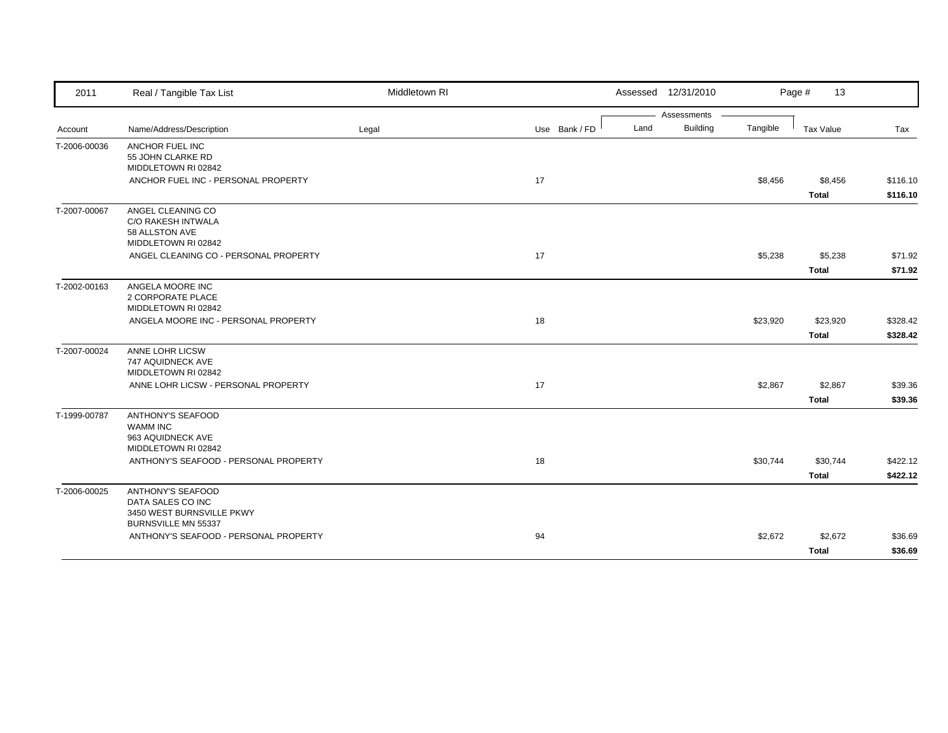| 2011         | Real / Tangible Tax List                       | Middletown RI |               | Assessed 12/31/2010     |          | Page #<br>13     |          |
|--------------|------------------------------------------------|---------------|---------------|-------------------------|----------|------------------|----------|
|              |                                                |               |               | Assessments             |          |                  |          |
| Account      | Name/Address/Description                       | Legal         | Use Bank / FD | <b>Building</b><br>Land | Tangible | <b>Tax Value</b> | Tax      |
| T-2006-00036 | ANCHOR FUEL INC                                |               |               |                         |          |                  |          |
|              | 55 JOHN CLARKE RD                              |               |               |                         |          |                  |          |
|              | MIDDLETOWN RI 02842                            |               |               |                         |          |                  |          |
|              | ANCHOR FUEL INC - PERSONAL PROPERTY            |               | 17            |                         | \$8,456  | \$8,456          | \$116.10 |
|              |                                                |               |               |                         |          | <b>Total</b>     | \$116.10 |
| T-2007-00067 | ANGEL CLEANING CO                              |               |               |                         |          |                  |          |
|              | C/O RAKESH INTWALA                             |               |               |                         |          |                  |          |
|              | 58 ALLSTON AVE<br>MIDDLETOWN RI 02842          |               |               |                         |          |                  |          |
|              | ANGEL CLEANING CO - PERSONAL PROPERTY          |               | 17            |                         | \$5,238  | \$5,238          | \$71.92  |
|              |                                                |               |               |                         |          | <b>Total</b>     | \$71.92  |
| T-2002-00163 | ANGELA MOORE INC                               |               |               |                         |          |                  |          |
|              | 2 CORPORATE PLACE                              |               |               |                         |          |                  |          |
|              | MIDDLETOWN RI 02842                            |               |               |                         |          |                  |          |
|              | ANGELA MOORE INC - PERSONAL PROPERTY           |               | 18            |                         | \$23,920 | \$23,920         | \$328.42 |
|              |                                                |               |               |                         |          | Total            | \$328.42 |
| T-2007-00024 | ANNE LOHR LICSW                                |               |               |                         |          |                  |          |
|              | 747 AQUIDNECK AVE                              |               |               |                         |          |                  |          |
|              | MIDDLETOWN RI 02842                            |               |               |                         |          |                  |          |
|              | ANNE LOHR LICSW - PERSONAL PROPERTY            |               | 17            |                         | \$2,867  | \$2,867          | \$39.36  |
|              |                                                |               |               |                         |          | <b>Total</b>     | \$39.36  |
| T-1999-00787 | <b>ANTHONY'S SEAFOOD</b>                       |               |               |                         |          |                  |          |
|              | <b>WAMM INC</b>                                |               |               |                         |          |                  |          |
|              | 963 AQUIDNECK AVE<br>MIDDLETOWN RI 02842       |               |               |                         |          |                  |          |
|              | ANTHONY'S SEAFOOD - PERSONAL PROPERTY          |               | 18            |                         | \$30,744 | \$30,744         | \$422.12 |
|              |                                                |               |               |                         |          |                  |          |
|              |                                                |               |               |                         |          | <b>Total</b>     | \$422.12 |
| T-2006-00025 | <b>ANTHONY'S SEAFOOD</b>                       |               |               |                         |          |                  |          |
|              | DATA SALES CO INC<br>3450 WEST BURNSVILLE PKWY |               |               |                         |          |                  |          |
|              | BURNSVILLE MN 55337                            |               |               |                         |          |                  |          |
|              | ANTHONY'S SEAFOOD - PERSONAL PROPERTY          |               | 94            |                         | \$2,672  | \$2,672          | \$36.69  |
|              |                                                |               |               |                         |          | <b>Total</b>     | \$36.69  |
|              |                                                |               |               |                         |          |                  |          |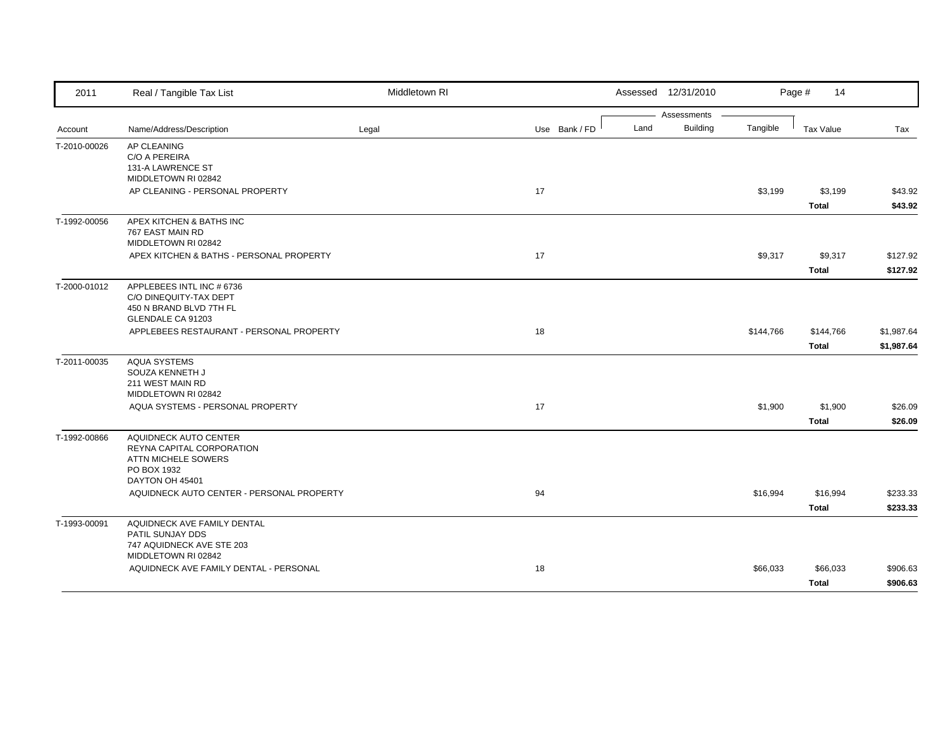| 2011         | Real / Tangible Tax List                                                                            | Middletown RI |               |      | Assessed 12/31/2010            |           | Page #<br>14              |                          |
|--------------|-----------------------------------------------------------------------------------------------------|---------------|---------------|------|--------------------------------|-----------|---------------------------|--------------------------|
| Account      | Name/Address/Description                                                                            | Legal         | Use Bank / FD | Land | Assessments<br><b>Building</b> | Tangible  | <b>Tax Value</b>          | Tax                      |
| T-2010-00026 | AP CLEANING<br>C/O A PEREIRA<br>131-A LAWRENCE ST<br>MIDDLETOWN RI 02842                            |               |               |      |                                |           |                           |                          |
|              | AP CLEANING - PERSONAL PROPERTY                                                                     |               | 17            |      |                                | \$3,199   | \$3,199<br><b>Total</b>   | \$43.92<br>\$43.92       |
| T-1992-00056 | APEX KITCHEN & BATHS INC<br>767 EAST MAIN RD<br>MIDDLETOWN RI 02842                                 |               |               |      |                                |           |                           |                          |
|              | APEX KITCHEN & BATHS - PERSONAL PROPERTY                                                            |               | 17            |      |                                | \$9,317   | \$9,317<br><b>Total</b>   | \$127.92<br>\$127.92     |
| T-2000-01012 | APPLEBEES INTL INC # 6736<br>C/O DINEQUITY-TAX DEPT<br>450 N BRAND BLVD 7TH FL<br>GLENDALE CA 91203 |               |               |      |                                |           |                           |                          |
|              | APPLEBEES RESTAURANT - PERSONAL PROPERTY                                                            |               | 18            |      |                                | \$144,766 | \$144,766<br><b>Total</b> | \$1,987.64<br>\$1,987.64 |
| T-2011-00035 | <b>AQUA SYSTEMS</b><br>SOUZA KENNETH J<br>211 WEST MAIN RD<br>MIDDLETOWN RI 02842                   |               |               |      |                                |           |                           |                          |
|              | AQUA SYSTEMS - PERSONAL PROPERTY                                                                    |               | 17            |      |                                | \$1,900   | \$1,900<br><b>Total</b>   | \$26.09<br>\$26.09       |
| T-1992-00866 | AQUIDNECK AUTO CENTER<br>REYNA CAPITAL CORPORATION<br>ATTN MICHELE SOWERS<br>PO BOX 1932            |               |               |      |                                |           |                           |                          |
|              | DAYTON OH 45401<br>AQUIDNECK AUTO CENTER - PERSONAL PROPERTY                                        |               | 94            |      |                                | \$16,994  | \$16,994<br><b>Total</b>  | \$233.33<br>\$233.33     |
| T-1993-00091 | AQUIDNECK AVE FAMILY DENTAL<br>PATIL SUNJAY DDS<br>747 AQUIDNECK AVE STE 203                        |               |               |      |                                |           |                           |                          |
|              | MIDDLETOWN RI 02842<br>AQUIDNECK AVE FAMILY DENTAL - PERSONAL                                       |               | 18            |      |                                | \$66,033  | \$66,033<br><b>Total</b>  | \$906.63<br>\$906.63     |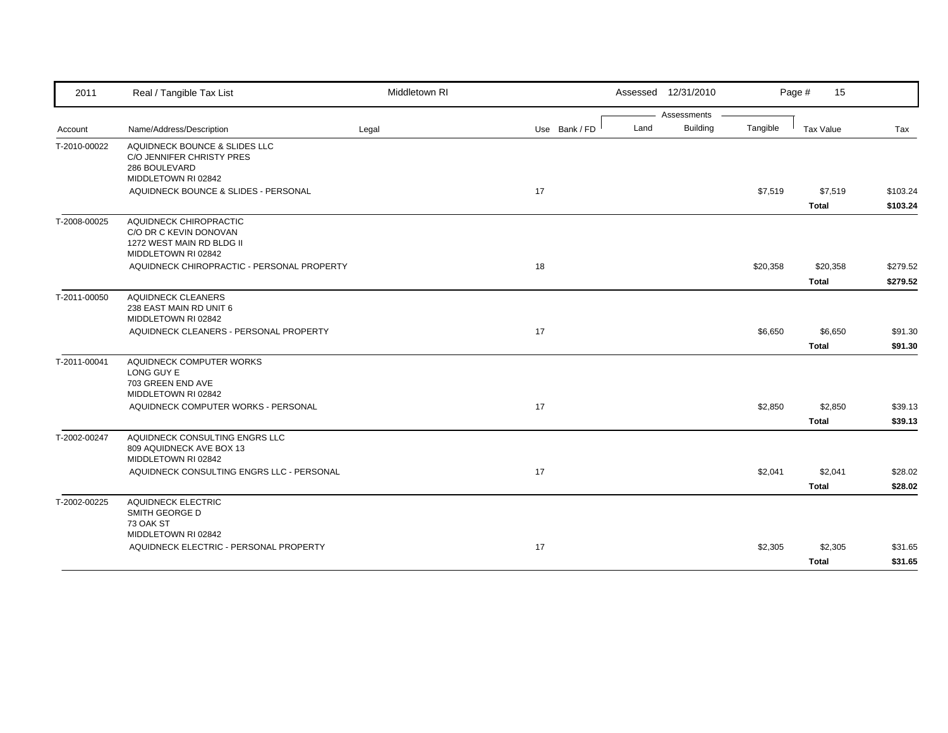| 2011         | Real / Tangible Tax List                                                                             | Middletown RI |               | Assessed 12/31/2010     |          | Page #<br>15     |          |
|--------------|------------------------------------------------------------------------------------------------------|---------------|---------------|-------------------------|----------|------------------|----------|
|              |                                                                                                      |               |               | Assessments             |          |                  |          |
| Account      | Name/Address/Description                                                                             | Legal         | Use Bank / FD | <b>Building</b><br>Land | Tangible | <b>Tax Value</b> | Tax      |
| T-2010-00022 | AQUIDNECK BOUNCE & SLIDES LLC<br>C/O JENNIFER CHRISTY PRES<br>286 BOULEVARD<br>MIDDLETOWN RI 02842   |               |               |                         |          |                  |          |
|              | AQUIDNECK BOUNCE & SLIDES - PERSONAL                                                                 |               | 17            |                         | \$7,519  | \$7,519          | \$103.24 |
|              |                                                                                                      |               |               |                         |          | <b>Total</b>     | \$103.24 |
| T-2008-00025 | AQUIDNECK CHIROPRACTIC<br>C/O DR C KEVIN DONOVAN<br>1272 WEST MAIN RD BLDG II<br>MIDDLETOWN RI 02842 |               |               |                         |          |                  |          |
|              | AQUIDNECK CHIROPRACTIC - PERSONAL PROPERTY                                                           |               | 18            |                         | \$20,358 | \$20,358         | \$279.52 |
|              |                                                                                                      |               |               |                         |          | <b>Total</b>     | \$279.52 |
| T-2011-00050 | <b>AQUIDNECK CLEANERS</b><br>238 EAST MAIN RD UNIT 6<br>MIDDLETOWN RI 02842                          |               |               |                         |          |                  |          |
|              | AQUIDNECK CLEANERS - PERSONAL PROPERTY                                                               |               | 17            |                         | \$6,650  | \$6,650          | \$91.30  |
|              |                                                                                                      |               |               |                         |          | <b>Total</b>     | \$91.30  |
| T-2011-00041 | AQUIDNECK COMPUTER WORKS<br>LONG GUY E<br>703 GREEN END AVE<br>MIDDLETOWN RI 02842                   |               |               |                         |          |                  |          |
|              | AQUIDNECK COMPUTER WORKS - PERSONAL                                                                  |               | 17            |                         | \$2,850  | \$2,850          | \$39.13  |
|              |                                                                                                      |               |               |                         |          | <b>Total</b>     | \$39.13  |
| T-2002-00247 | AQUIDNECK CONSULTING ENGRS LLC<br>809 AQUIDNECK AVE BOX 13<br>MIDDLETOWN RI 02842                    |               |               |                         |          |                  |          |
|              | AQUIDNECK CONSULTING ENGRS LLC - PERSONAL                                                            |               | 17            |                         | \$2,041  | \$2,041          | \$28.02  |
|              |                                                                                                      |               |               |                         |          | <b>Total</b>     | \$28.02  |
| T-2002-00225 | <b>AQUIDNECK ELECTRIC</b><br>SMITH GEORGE D<br>73 OAK ST                                             |               |               |                         |          |                  |          |
|              | MIDDLETOWN RI 02842<br>AQUIDNECK ELECTRIC - PERSONAL PROPERTY                                        |               | 17            |                         | \$2,305  | \$2,305          | \$31.65  |
|              |                                                                                                      |               |               |                         |          | <b>Total</b>     | \$31.65  |
|              |                                                                                                      |               |               |                         |          |                  |          |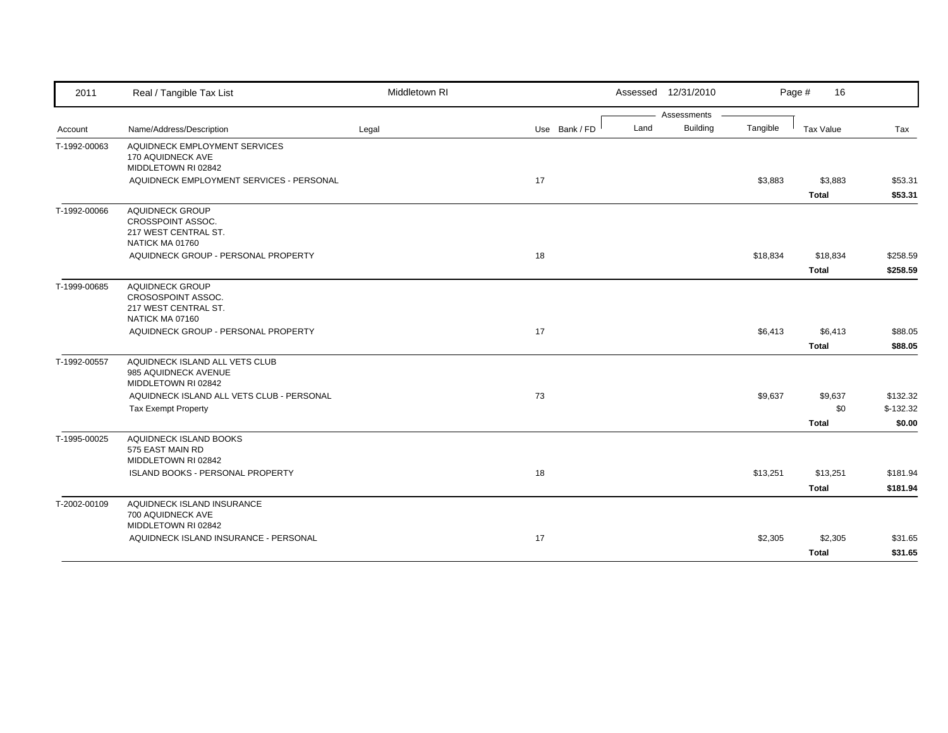| 2011         | Real / Tangible Tax List                                                                | Middletown RI |               |      | Assessed 12/31/2010 |          | Page #<br>16     |            |
|--------------|-----------------------------------------------------------------------------------------|---------------|---------------|------|---------------------|----------|------------------|------------|
|              |                                                                                         |               |               |      | Assessments         |          |                  |            |
| Account      | Name/Address/Description                                                                | Legal         | Use Bank / FD | Land | <b>Building</b>     | Tangible | <b>Tax Value</b> | Tax        |
| T-1992-00063 | AQUIDNECK EMPLOYMENT SERVICES<br>170 AQUIDNECK AVE<br>MIDDLETOWN RI 02842               |               |               |      |                     |          |                  |            |
|              | AQUIDNECK EMPLOYMENT SERVICES - PERSONAL                                                |               | 17            |      |                     | \$3,883  | \$3,883          | \$53.31    |
|              |                                                                                         |               |               |      |                     |          | <b>Total</b>     | \$53.31    |
| T-1992-00066 | AQUIDNECK GROUP<br>CROSSPOINT ASSOC.<br>217 WEST CENTRAL ST.<br>NATICK MA 01760         |               |               |      |                     |          |                  |            |
|              | AQUIDNECK GROUP - PERSONAL PROPERTY                                                     |               | 18            |      |                     | \$18,834 | \$18,834         | \$258.59   |
|              |                                                                                         |               |               |      |                     |          | <b>Total</b>     | \$258.59   |
| T-1999-00685 | <b>AQUIDNECK GROUP</b><br>CROSOSPOINT ASSOC.<br>217 WEST CENTRAL ST.<br>NATICK MA 07160 |               |               |      |                     |          |                  |            |
|              | AQUIDNECK GROUP - PERSONAL PROPERTY                                                     |               | 17            |      |                     | \$6,413  | \$6,413          | \$88.05    |
|              |                                                                                         |               |               |      |                     |          | <b>Total</b>     | \$88.05    |
| T-1992-00557 | AQUIDNECK ISLAND ALL VETS CLUB<br>985 AQUIDNECK AVENUE<br>MIDDLETOWN RI 02842           |               |               |      |                     |          |                  |            |
|              | AQUIDNECK ISLAND ALL VETS CLUB - PERSONAL                                               |               | 73            |      |                     | \$9,637  | \$9,637          | \$132.32   |
|              | <b>Tax Exempt Property</b>                                                              |               |               |      |                     |          | \$0              | $$-132.32$ |
|              |                                                                                         |               |               |      |                     |          | <b>Total</b>     | \$0.00     |
| T-1995-00025 | AQUIDNECK ISLAND BOOKS<br>575 EAST MAIN RD<br>MIDDLETOWN RI 02842                       |               |               |      |                     |          |                  |            |
|              | ISLAND BOOKS - PERSONAL PROPERTY                                                        |               | 18            |      |                     | \$13,251 | \$13,251         | \$181.94   |
|              |                                                                                         |               |               |      |                     |          | <b>Total</b>     | \$181.94   |
| T-2002-00109 | AQUIDNECK ISLAND INSURANCE<br>700 AQUIDNECK AVE<br>MIDDLETOWN RI 02842                  |               |               |      |                     |          |                  |            |
|              | AQUIDNECK ISLAND INSURANCE - PERSONAL                                                   |               | 17            |      |                     | \$2,305  | \$2,305          | \$31.65    |
|              |                                                                                         |               |               |      |                     |          | <b>Total</b>     | \$31.65    |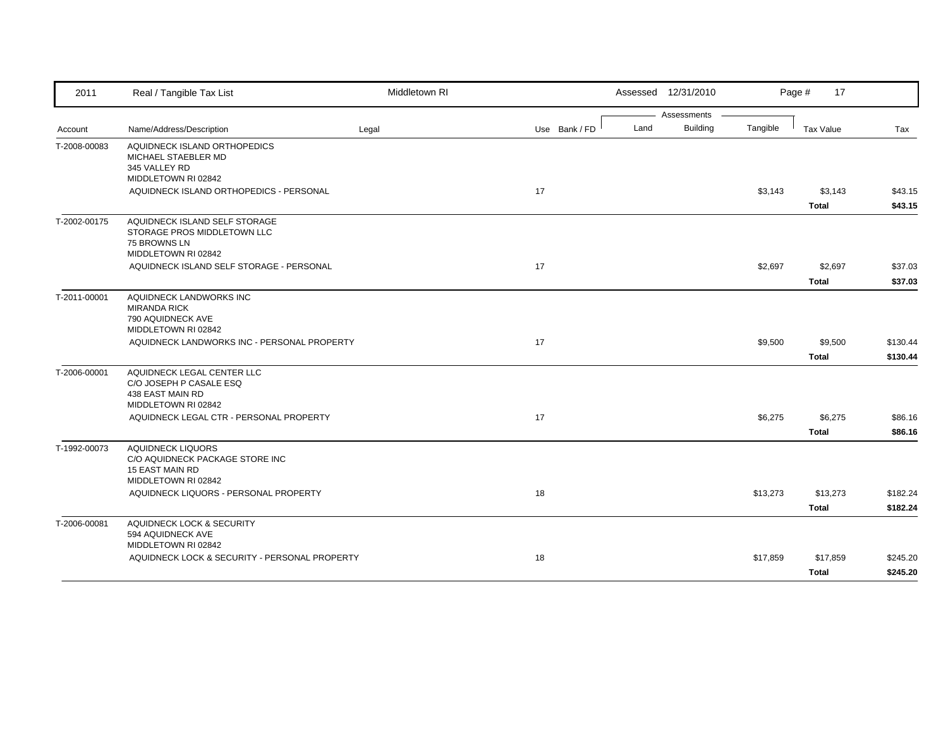| 2011         | Real / Tangible Tax List                                           | Middletown RI |               | Assessed 12/31/2010 |                 |          | Page #<br>17 |          |
|--------------|--------------------------------------------------------------------|---------------|---------------|---------------------|-----------------|----------|--------------|----------|
|              |                                                                    |               |               |                     | Assessments     |          |              |          |
| Account      | Name/Address/Description                                           | Legal         | Use Bank / FD | Land                | <b>Building</b> | Tangible | Tax Value    | Tax      |
| T-2008-00083 | AQUIDNECK ISLAND ORTHOPEDICS                                       |               |               |                     |                 |          |              |          |
|              | MICHAEL STAEBLER MD<br>345 VALLEY RD                               |               |               |                     |                 |          |              |          |
|              | MIDDLETOWN RI 02842                                                |               |               |                     |                 |          |              |          |
|              | AQUIDNECK ISLAND ORTHOPEDICS - PERSONAL                            |               | 17            |                     |                 | \$3,143  | \$3,143      | \$43.15  |
|              |                                                                    |               |               |                     |                 |          | <b>Total</b> | \$43.15  |
| T-2002-00175 | AQUIDNECK ISLAND SELF STORAGE                                      |               |               |                     |                 |          |              |          |
|              | STORAGE PROS MIDDLETOWN LLC<br>75 BROWNS LN                        |               |               |                     |                 |          |              |          |
|              | MIDDLETOWN RI 02842                                                |               |               |                     |                 |          |              |          |
|              | AQUIDNECK ISLAND SELF STORAGE - PERSONAL                           |               | 17            |                     |                 | \$2,697  | \$2,697      | \$37.03  |
|              |                                                                    |               |               |                     |                 |          | <b>Total</b> | \$37.03  |
| T-2011-00001 | AQUIDNECK LANDWORKS INC                                            |               |               |                     |                 |          |              |          |
|              | <b>MIRANDA RICK</b>                                                |               |               |                     |                 |          |              |          |
|              | 790 AQUIDNECK AVE                                                  |               |               |                     |                 |          |              |          |
|              | MIDDLETOWN RI 02842<br>AQUIDNECK LANDWORKS INC - PERSONAL PROPERTY |               | 17            |                     |                 | \$9,500  | \$9,500      | \$130.44 |
|              |                                                                    |               |               |                     |                 |          | <b>Total</b> | \$130.44 |
|              |                                                                    |               |               |                     |                 |          |              |          |
| T-2006-00001 | AQUIDNECK LEGAL CENTER LLC<br>C/O JOSEPH P CASALE ESQ              |               |               |                     |                 |          |              |          |
|              | 438 EAST MAIN RD                                                   |               |               |                     |                 |          |              |          |
|              | MIDDLETOWN RI 02842                                                |               |               |                     |                 |          |              |          |
|              | AQUIDNECK LEGAL CTR - PERSONAL PROPERTY                            |               | 17            |                     |                 | \$6,275  | \$6,275      | \$86.16  |
|              |                                                                    |               |               |                     |                 |          | <b>Total</b> | \$86.16  |
| T-1992-00073 | <b>AQUIDNECK LIQUORS</b>                                           |               |               |                     |                 |          |              |          |
|              | C/O AQUIDNECK PACKAGE STORE INC<br>15 EAST MAIN RD                 |               |               |                     |                 |          |              |          |
|              | MIDDLETOWN RI 02842                                                |               |               |                     |                 |          |              |          |
|              | AQUIDNECK LIQUORS - PERSONAL PROPERTY                              |               | 18            |                     |                 | \$13,273 | \$13,273     | \$182.24 |
|              |                                                                    |               |               |                     |                 |          | <b>Total</b> | \$182.24 |
| T-2006-00081 | AQUIDNECK LOCK & SECURITY                                          |               |               |                     |                 |          |              |          |
|              | 594 AQUIDNECK AVE<br>MIDDLETOWN RI 02842                           |               |               |                     |                 |          |              |          |
|              | AQUIDNECK LOCK & SECURITY - PERSONAL PROPERTY                      |               | 18            |                     |                 | \$17,859 | \$17,859     | \$245.20 |
|              |                                                                    |               |               |                     |                 |          | <b>Total</b> | \$245.20 |
|              |                                                                    |               |               |                     |                 |          |              |          |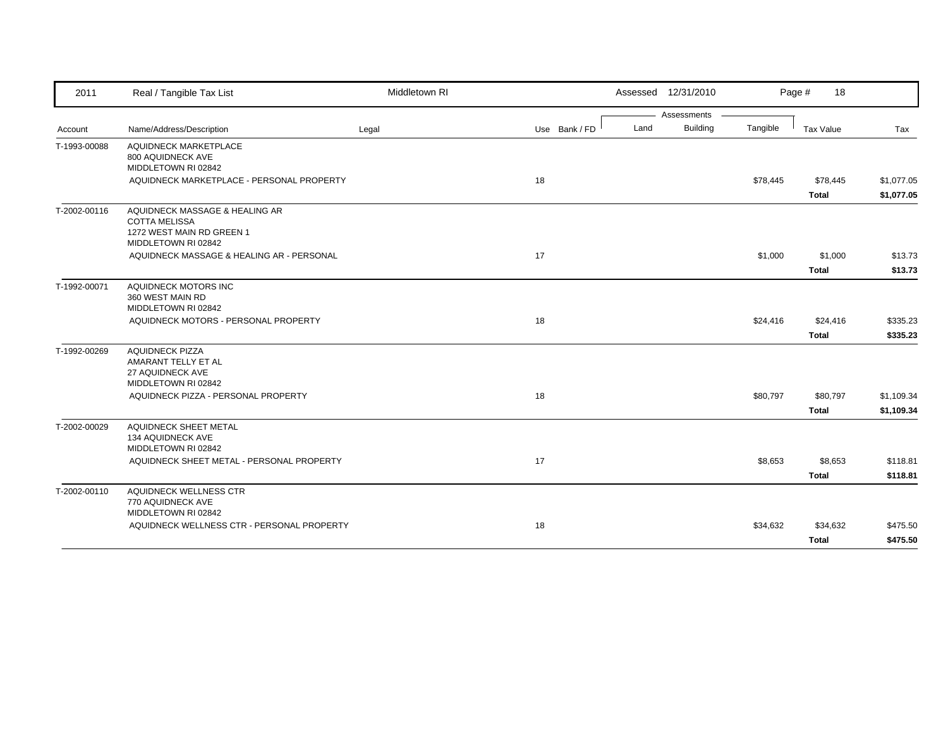| 2011         | Real / Tangible Tax List                                         | Middletown RI |               |      | Assessed 12/31/2010            |          | Page #<br>18 |            |
|--------------|------------------------------------------------------------------|---------------|---------------|------|--------------------------------|----------|--------------|------------|
|              | Name/Address/Description                                         |               |               | Land | Assessments<br><b>Building</b> | Tangible | Tax Value    | Tax        |
| Account      |                                                                  | Legal         | Use Bank / FD |      |                                |          |              |            |
| T-1993-00088 | <b>AQUIDNECK MARKETPLACE</b><br>800 AQUIDNECK AVE                |               |               |      |                                |          |              |            |
|              | MIDDLETOWN RI 02842                                              |               |               |      |                                |          |              |            |
|              | AQUIDNECK MARKETPLACE - PERSONAL PROPERTY                        |               | 18            |      |                                | \$78,445 | \$78,445     | \$1,077.05 |
|              |                                                                  |               |               |      |                                |          | <b>Total</b> | \$1,077.05 |
| T-2002-00116 | AQUIDNECK MASSAGE & HEALING AR                                   |               |               |      |                                |          |              |            |
|              | <b>COTTA MELISSA</b><br>1272 WEST MAIN RD GREEN 1                |               |               |      |                                |          |              |            |
|              | MIDDLETOWN RI 02842                                              |               |               |      |                                |          |              |            |
|              | AQUIDNECK MASSAGE & HEALING AR - PERSONAL                        |               | 17            |      |                                | \$1,000  | \$1,000      | \$13.73    |
|              |                                                                  |               |               |      |                                |          | <b>Total</b> | \$13.73    |
| T-1992-00071 | AQUIDNECK MOTORS INC                                             |               |               |      |                                |          |              |            |
|              | 360 WEST MAIN RD                                                 |               |               |      |                                |          |              |            |
|              | MIDDLETOWN RI 02842                                              |               |               |      |                                |          |              |            |
|              | AQUIDNECK MOTORS - PERSONAL PROPERTY                             |               | 18            |      |                                | \$24,416 | \$24,416     | \$335.23   |
|              |                                                                  |               |               |      |                                |          | <b>Total</b> | \$335.23   |
| T-1992-00269 | <b>AQUIDNECK PIZZA</b><br>AMARANT TELLY ET AL                    |               |               |      |                                |          |              |            |
|              | 27 AQUIDNECK AVE                                                 |               |               |      |                                |          |              |            |
|              | MIDDLETOWN RI 02842                                              |               |               |      |                                |          |              |            |
|              | AQUIDNECK PIZZA - PERSONAL PROPERTY                              |               | 18            |      |                                | \$80,797 | \$80,797     | \$1,109.34 |
|              |                                                                  |               |               |      |                                |          | <b>Total</b> | \$1,109.34 |
| T-2002-00029 | AQUIDNECK SHEET METAL                                            |               |               |      |                                |          |              |            |
|              | 134 AQUIDNECK AVE                                                |               |               |      |                                |          |              |            |
|              | MIDDLETOWN RI 02842<br>AQUIDNECK SHEET METAL - PERSONAL PROPERTY |               | 17            |      |                                | \$8,653  | \$8,653      | \$118.81   |
|              |                                                                  |               |               |      |                                |          |              |            |
|              |                                                                  |               |               |      |                                |          | Total        | \$118.81   |
| T-2002-00110 | AQUIDNECK WELLNESS CTR<br>770 AQUIDNECK AVE                      |               |               |      |                                |          |              |            |
|              | MIDDLETOWN RI 02842                                              |               |               |      |                                |          |              |            |
|              | AQUIDNECK WELLNESS CTR - PERSONAL PROPERTY                       |               | 18            |      |                                | \$34,632 | \$34,632     | \$475.50   |
|              |                                                                  |               |               |      |                                |          | <b>Total</b> | \$475.50   |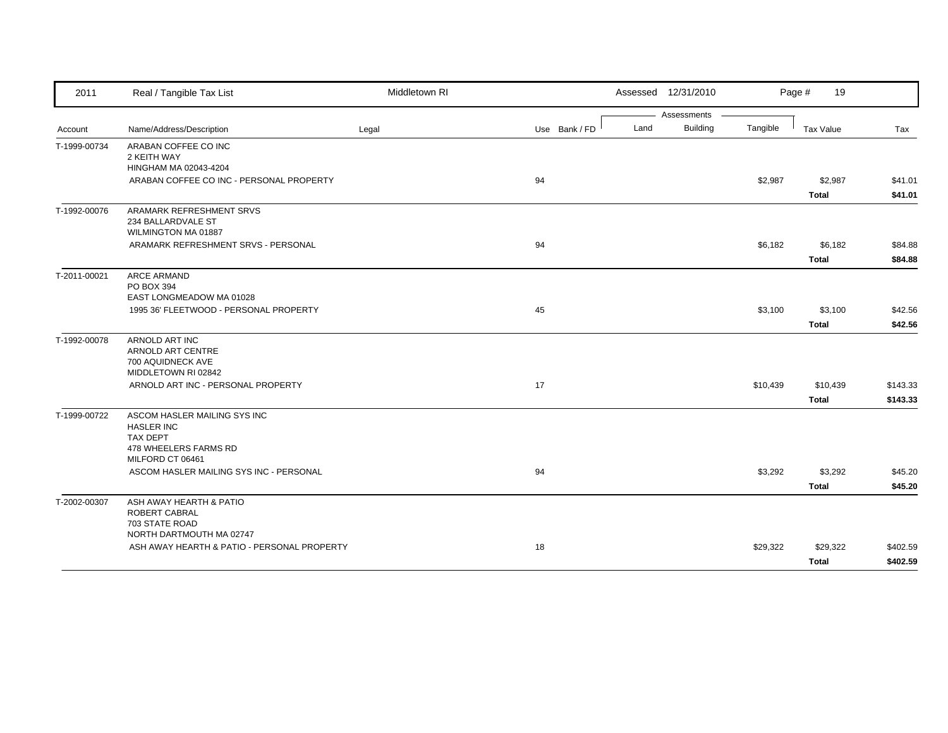| 2011         | Real / Tangible Tax List                                                | Middletown RI |               | Assessed 12/31/2010     |          | Page #<br>19     |          |
|--------------|-------------------------------------------------------------------------|---------------|---------------|-------------------------|----------|------------------|----------|
|              |                                                                         |               |               | Assessments             |          |                  |          |
| Account      | Name/Address/Description                                                | Legal         | Use Bank / FD | <b>Building</b><br>Land | Tangible | <b>Tax Value</b> | Tax      |
| T-1999-00734 | ARABAN COFFEE CO INC                                                    |               |               |                         |          |                  |          |
|              | 2 KEITH WAY                                                             |               |               |                         |          |                  |          |
|              | HINGHAM MA 02043-4204<br>ARABAN COFFEE CO INC - PERSONAL PROPERTY       |               | 94            |                         | \$2,987  | \$2,987          | \$41.01  |
|              |                                                                         |               |               |                         |          | <b>Total</b>     | \$41.01  |
|              |                                                                         |               |               |                         |          |                  |          |
| T-1992-00076 | ARAMARK REFRESHMENT SRVS<br>234 BALLARDVALE ST                          |               |               |                         |          |                  |          |
|              | WILMINGTON MA 01887                                                     |               |               |                         |          |                  |          |
|              | ARAMARK REFRESHMENT SRVS - PERSONAL                                     |               | 94            |                         | \$6,182  | \$6,182          | \$84.88  |
|              |                                                                         |               |               |                         |          | <b>Total</b>     | \$84.88  |
| T-2011-00021 | ARCE ARMAND                                                             |               |               |                         |          |                  |          |
|              | PO BOX 394                                                              |               |               |                         |          |                  |          |
|              | EAST LONGMEADOW MA 01028                                                |               |               |                         |          |                  |          |
|              | 1995 36' FLEETWOOD - PERSONAL PROPERTY                                  |               | 45            |                         | \$3,100  | \$3,100          | \$42.56  |
|              |                                                                         |               |               |                         |          | <b>Total</b>     | \$42.56  |
| T-1992-00078 | ARNOLD ART INC                                                          |               |               |                         |          |                  |          |
|              | ARNOLD ART CENTRE                                                       |               |               |                         |          |                  |          |
|              | 700 AQUIDNECK AVE                                                       |               |               |                         |          |                  |          |
|              | MIDDLETOWN RI 02842<br>ARNOLD ART INC - PERSONAL PROPERTY               |               | 17            |                         | \$10,439 | \$10,439         | \$143.33 |
|              |                                                                         |               |               |                         |          |                  |          |
|              |                                                                         |               |               |                         |          | <b>Total</b>     | \$143.33 |
| T-1999-00722 | ASCOM HASLER MAILING SYS INC<br><b>HASLER INC</b>                       |               |               |                         |          |                  |          |
|              | <b>TAX DEPT</b>                                                         |               |               |                         |          |                  |          |
|              | 478 WHEELERS FARMS RD                                                   |               |               |                         |          |                  |          |
|              | MILFORD CT 06461                                                        |               |               |                         |          |                  |          |
|              | ASCOM HASLER MAILING SYS INC - PERSONAL                                 |               | 94            |                         | \$3,292  | \$3,292          | \$45.20  |
|              |                                                                         |               |               |                         |          | <b>Total</b>     | \$45.20  |
| T-2002-00307 | ASH AWAY HEARTH & PATIO                                                 |               |               |                         |          |                  |          |
|              | ROBERT CABRAL                                                           |               |               |                         |          |                  |          |
|              | 703 STATE ROAD                                                          |               |               |                         |          |                  |          |
|              | NORTH DARTMOUTH MA 02747<br>ASH AWAY HEARTH & PATIO - PERSONAL PROPERTY |               | 18            |                         |          |                  |          |
|              |                                                                         |               |               |                         | \$29,322 | \$29,322         | \$402.59 |
|              |                                                                         |               |               |                         |          | <b>Total</b>     | \$402.59 |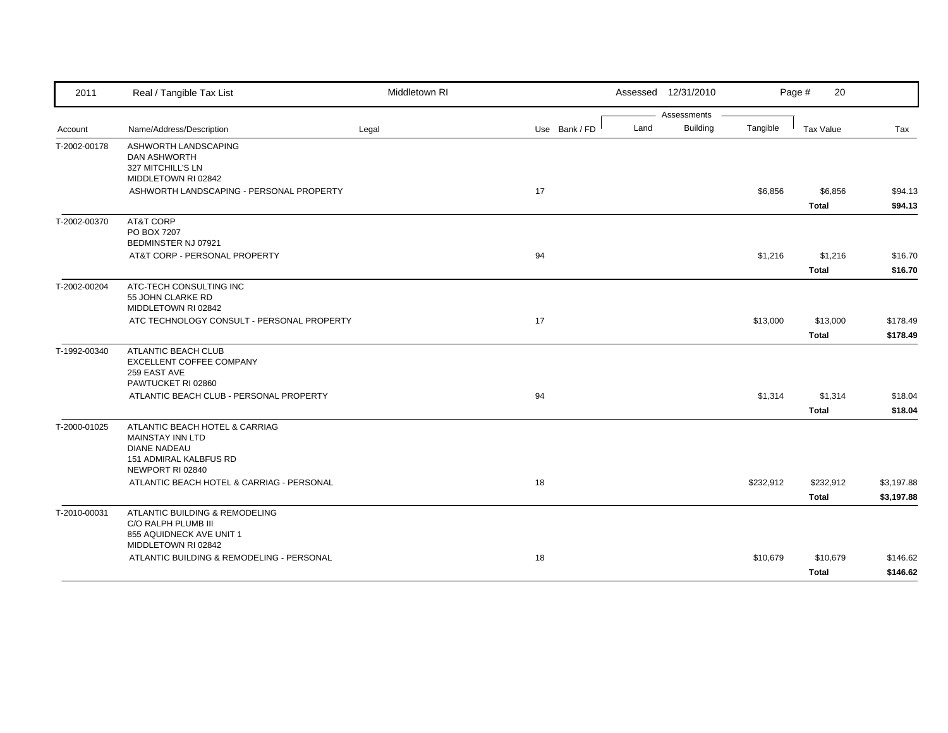| 2011         | Real / Tangible Tax List                                                                                   | Middletown RI |               |      | Assessed 12/31/2010 |           | Page #<br>20              |                          |
|--------------|------------------------------------------------------------------------------------------------------------|---------------|---------------|------|---------------------|-----------|---------------------------|--------------------------|
|              |                                                                                                            |               |               |      | Assessments         |           |                           |                          |
| Account      | Name/Address/Description                                                                                   | Legal         | Use Bank / FD | Land | Building            | Tangible  | <b>Tax Value</b>          | Tax                      |
| T-2002-00178 | ASHWORTH LANDSCAPING<br><b>DAN ASHWORTH</b><br>327 MITCHILL'S LN<br>MIDDLETOWN RI 02842                    |               |               |      |                     |           |                           |                          |
|              | ASHWORTH LANDSCAPING - PERSONAL PROPERTY                                                                   |               | 17            |      |                     | \$6,856   | \$6,856<br><b>Total</b>   | \$94.13<br>\$94.13       |
| T-2002-00370 | AT&T CORP<br>PO BOX 7207<br>BEDMINSTER NJ 07921                                                            |               |               |      |                     |           |                           |                          |
|              | AT&T CORP - PERSONAL PROPERTY                                                                              |               | 94            |      |                     | \$1,216   | \$1,216<br><b>Total</b>   | \$16.70<br>\$16.70       |
| T-2002-00204 | ATC-TECH CONSULTING INC<br>55 JOHN CLARKE RD<br>MIDDLETOWN RI 02842                                        |               |               |      |                     |           |                           |                          |
|              | ATC TECHNOLOGY CONSULT - PERSONAL PROPERTY                                                                 |               | 17            |      |                     | \$13,000  | \$13,000<br><b>Total</b>  | \$178.49<br>\$178.49     |
| T-1992-00340 | ATLANTIC BEACH CLUB<br>EXCELLENT COFFEE COMPANY<br>259 EAST AVE<br>PAWTUCKET RI 02860                      |               |               |      |                     |           |                           |                          |
|              | ATLANTIC BEACH CLUB - PERSONAL PROPERTY                                                                    |               | 94            |      |                     | \$1,314   | \$1,314<br><b>Total</b>   | \$18.04<br>\$18.04       |
| T-2000-01025 | ATLANTIC BEACH HOTEL & CARRIAG<br><b>MAINSTAY INN LTD</b><br><b>DIANE NADEAU</b><br>151 ADMIRAL KALBFUS RD |               |               |      |                     |           |                           |                          |
|              | NEWPORT RI 02840<br>ATLANTIC BEACH HOTEL & CARRIAG - PERSONAL                                              |               | 18            |      |                     | \$232,912 | \$232,912<br><b>Total</b> | \$3,197.88<br>\$3,197.88 |
| T-2010-00031 | ATLANTIC BUILDING & REMODELING<br>C/O RALPH PLUMB III<br>855 AQUIDNECK AVE UNIT 1                          |               |               |      |                     |           |                           |                          |
|              | MIDDLETOWN RI 02842<br>ATLANTIC BUILDING & REMODELING - PERSONAL                                           |               | 18            |      |                     | \$10,679  | \$10,679<br>Total         | \$146.62<br>\$146.62     |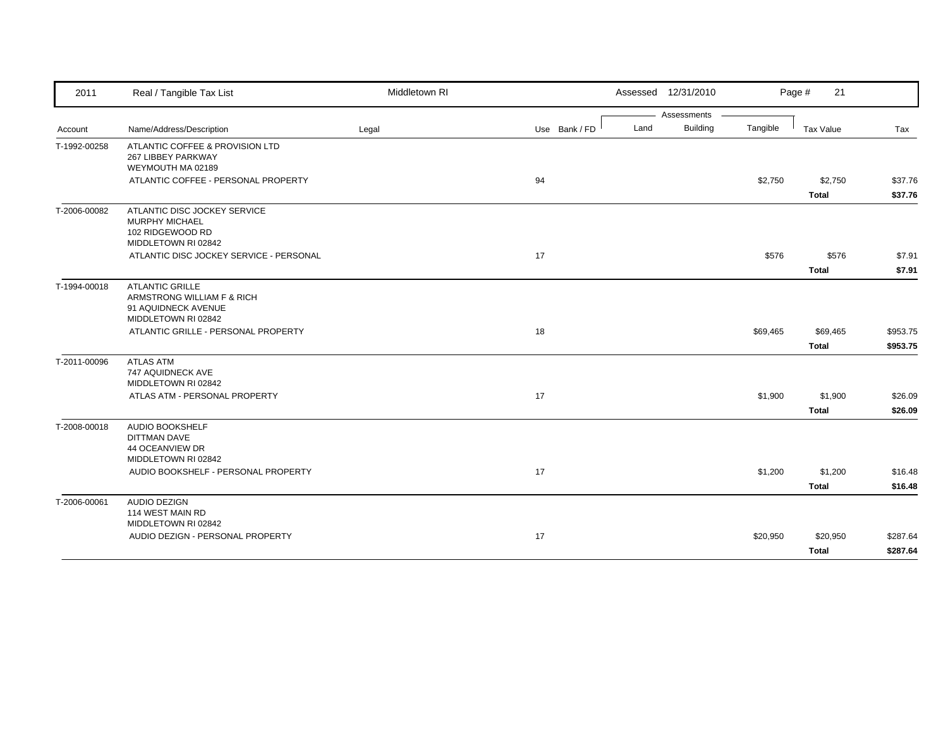| 2011         | Real / Tangible Tax List                                 | Middletown RI |               | Assessed 12/31/2010 |          | Page #<br>21 |          |
|--------------|----------------------------------------------------------|---------------|---------------|---------------------|----------|--------------|----------|
|              |                                                          |               |               | Assessments         |          |              |          |
| Account      | Name/Address/Description                                 | Legal         | Use Bank / FD | Building<br>Land    | Tangible | Tax Value    | Tax      |
| T-1992-00258 | ATLANTIC COFFEE & PROVISION LTD                          |               |               |                     |          |              |          |
|              | 267 LIBBEY PARKWAY                                       |               |               |                     |          |              |          |
|              | WEYMOUTH MA 02189<br>ATLANTIC COFFEE - PERSONAL PROPERTY |               | 94            |                     | \$2,750  | \$2,750      | \$37.76  |
|              |                                                          |               |               |                     |          | <b>Total</b> | \$37.76  |
|              |                                                          |               |               |                     |          |              |          |
| T-2006-00082 | ATLANTIC DISC JOCKEY SERVICE<br><b>MURPHY MICHAEL</b>    |               |               |                     |          |              |          |
|              | 102 RIDGEWOOD RD                                         |               |               |                     |          |              |          |
|              | MIDDLETOWN RI 02842                                      |               |               |                     |          |              |          |
|              | ATLANTIC DISC JOCKEY SERVICE - PERSONAL                  |               | 17            |                     | \$576    | \$576        | \$7.91   |
|              |                                                          |               |               |                     |          | <b>Total</b> | \$7.91   |
| T-1994-00018 | <b>ATLANTIC GRILLE</b>                                   |               |               |                     |          |              |          |
|              | ARMSTRONG WILLIAM F & RICH                               |               |               |                     |          |              |          |
|              | 91 AQUIDNECK AVENUE<br>MIDDLETOWN RI 02842               |               |               |                     |          |              |          |
|              | ATLANTIC GRILLE - PERSONAL PROPERTY                      |               | 18            |                     | \$69,465 | \$69,465     | \$953.75 |
|              |                                                          |               |               |                     |          | <b>Total</b> | \$953.75 |
| T-2011-00096 | <b>ATLAS ATM</b>                                         |               |               |                     |          |              |          |
|              | 747 AQUIDNECK AVE                                        |               |               |                     |          |              |          |
|              | MIDDLETOWN RI 02842                                      |               |               |                     |          |              |          |
|              | ATLAS ATM - PERSONAL PROPERTY                            |               | 17            |                     | \$1,900  | \$1,900      | \$26.09  |
|              |                                                          |               |               |                     |          | <b>Total</b> | \$26.09  |
| T-2008-00018 | AUDIO BOOKSHELF                                          |               |               |                     |          |              |          |
|              | <b>DITTMAN DAVE</b>                                      |               |               |                     |          |              |          |
|              | <b>44 OCEANVIEW DR</b><br>MIDDLETOWN RI 02842            |               |               |                     |          |              |          |
|              | AUDIO BOOKSHELF - PERSONAL PROPERTY                      |               | 17            |                     | \$1,200  | \$1,200      | \$16.48  |
|              |                                                          |               |               |                     |          | <b>Total</b> | \$16.48  |
| T-2006-00061 | <b>AUDIO DEZIGN</b>                                      |               |               |                     |          |              |          |
|              | 114 WEST MAIN RD                                         |               |               |                     |          |              |          |
|              | MIDDLETOWN RI 02842                                      |               |               |                     |          |              |          |
|              | AUDIO DEZIGN - PERSONAL PROPERTY                         |               | 17            |                     | \$20,950 | \$20,950     | \$287.64 |
|              |                                                          |               |               |                     |          | <b>Total</b> | \$287.64 |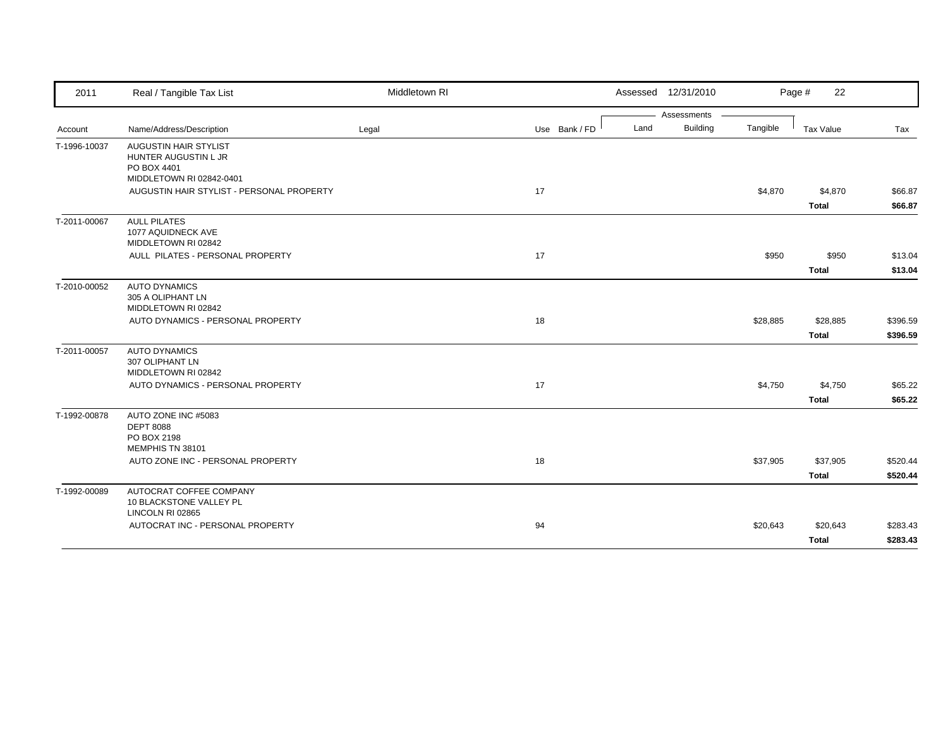| 2011         | Real / Tangible Tax List                                                   | Middletown RI |               |      | Assessed 12/31/2010 |          | Page #<br>22 |          |
|--------------|----------------------------------------------------------------------------|---------------|---------------|------|---------------------|----------|--------------|----------|
|              |                                                                            |               |               |      | Assessments         |          |              |          |
| Account      | Name/Address/Description                                                   | Legal         | Use Bank / FD | Land | <b>Building</b>     | Tangible | Tax Value    | Tax      |
| T-1996-10037 | AUGUSTIN HAIR STYLIST<br>HUNTER AUGUSTIN L JR<br>PO BOX 4401               |               |               |      |                     |          |              |          |
|              | MIDDLETOWN RI 02842-0401<br>AUGUSTIN HAIR STYLIST - PERSONAL PROPERTY      |               | 17            |      |                     | \$4,870  | \$4,870      | \$66.87  |
|              |                                                                            |               |               |      |                     |          | <b>Total</b> | \$66.87  |
| T-2011-00067 | <b>AULL PILATES</b><br>1077 AQUIDNECK AVE<br>MIDDLETOWN RI 02842           |               |               |      |                     |          |              |          |
|              | AULL PILATES - PERSONAL PROPERTY                                           |               | 17            |      |                     | \$950    | \$950        | \$13.04  |
|              |                                                                            |               |               |      |                     |          | <b>Total</b> | \$13.04  |
| T-2010-00052 | <b>AUTO DYNAMICS</b><br>305 A OLIPHANT LN<br>MIDDLETOWN RI 02842           |               |               |      |                     |          |              |          |
|              | AUTO DYNAMICS - PERSONAL PROPERTY                                          |               | 18            |      |                     | \$28,885 | \$28,885     | \$396.59 |
|              |                                                                            |               |               |      |                     |          | <b>Total</b> | \$396.59 |
| T-2011-00057 | AUTO DYNAMICS<br>307 OLIPHANT LN<br>MIDDLETOWN RI 02842                    |               |               |      |                     |          |              |          |
|              | AUTO DYNAMICS - PERSONAL PROPERTY                                          |               | 17            |      |                     | \$4,750  | \$4,750      | \$65.22  |
|              |                                                                            |               |               |      |                     |          | <b>Total</b> | \$65.22  |
| T-1992-00878 | AUTO ZONE INC #5083<br><b>DEPT 8088</b><br>PO BOX 2198<br>MEMPHIS TN 38101 |               |               |      |                     |          |              |          |
|              | AUTO ZONE INC - PERSONAL PROPERTY                                          |               | 18            |      |                     | \$37,905 | \$37,905     | \$520.44 |
|              |                                                                            |               |               |      |                     |          | <b>Total</b> | \$520.44 |
| T-1992-00089 | AUTOCRAT COFFEE COMPANY<br>10 BLACKSTONE VALLEY PL<br>LINCOLN RI 02865     |               |               |      |                     |          |              |          |
|              | AUTOCRAT INC - PERSONAL PROPERTY                                           |               | 94            |      |                     | \$20,643 | \$20,643     | \$283.43 |
|              |                                                                            |               |               |      |                     |          | <b>Total</b> | \$283.43 |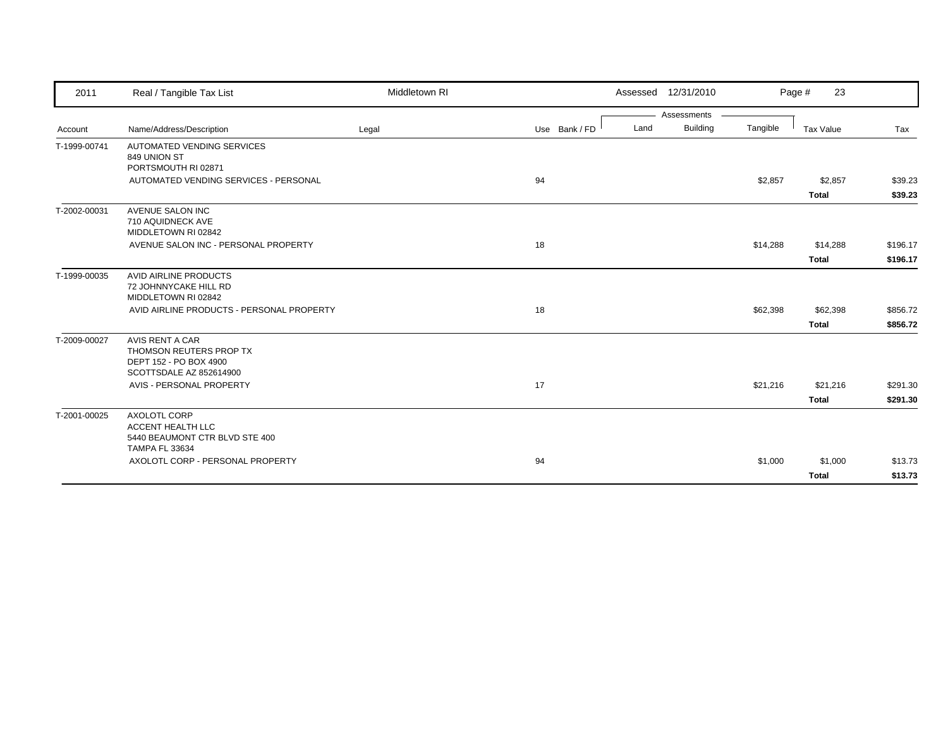| 2011         | Real / Tangible Tax List                                                                            | Middletown RI |               |      | Assessed 12/31/2010 |          | 23<br>Page #            |                    |
|--------------|-----------------------------------------------------------------------------------------------------|---------------|---------------|------|---------------------|----------|-------------------------|--------------------|
|              |                                                                                                     |               |               |      | Assessments         |          |                         |                    |
| Account      | Name/Address/Description                                                                            | Legal         | Use Bank / FD | Land | Building            | Tangible | <b>Tax Value</b>        | Tax                |
| T-1999-00741 | <b>AUTOMATED VENDING SERVICES</b><br>849 UNION ST<br>PORTSMOUTH RI 02871                            |               |               |      |                     |          |                         |                    |
|              | AUTOMATED VENDING SERVICES - PERSONAL                                                               |               | 94            |      |                     | \$2,857  | \$2,857<br><b>Total</b> | \$39.23<br>\$39.23 |
| T-2002-00031 | AVENUE SALON INC<br>710 AQUIDNECK AVE<br>MIDDLETOWN RI 02842                                        |               |               |      |                     |          |                         |                    |
|              | AVENUE SALON INC - PERSONAL PROPERTY                                                                |               | 18            |      |                     | \$14,288 | \$14,288                | \$196.17           |
|              |                                                                                                     |               |               |      |                     |          | <b>Total</b>            | \$196.17           |
| T-1999-00035 | <b>AVID AIRLINE PRODUCTS</b><br>72 JOHNNYCAKE HILL RD<br>MIDDLETOWN RI 02842                        |               |               |      |                     |          |                         |                    |
|              | AVID AIRLINE PRODUCTS - PERSONAL PROPERTY                                                           |               | 18            |      |                     | \$62,398 | \$62,398                | \$856.72           |
|              |                                                                                                     |               |               |      |                     |          | <b>Total</b>            | \$856.72           |
| T-2009-00027 | AVIS RENT A CAR<br>THOMSON REUTERS PROP TX<br>DEPT 152 - PO BOX 4900<br>SCOTTSDALE AZ 852614900     |               |               |      |                     |          |                         |                    |
|              | AVIS - PERSONAL PROPERTY                                                                            |               | 17            |      |                     | \$21,216 | \$21,216                | \$291.30           |
|              |                                                                                                     |               |               |      |                     |          | <b>Total</b>            | \$291.30           |
| T-2001-00025 | <b>AXOLOTL CORP</b><br>ACCENT HEALTH LLC<br>5440 BEAUMONT CTR BLVD STE 400<br><b>TAMPA FL 33634</b> |               |               |      |                     |          |                         |                    |
|              | AXOLOTL CORP - PERSONAL PROPERTY                                                                    |               | 94            |      |                     | \$1,000  | \$1,000<br><b>Total</b> | \$13.73<br>\$13.73 |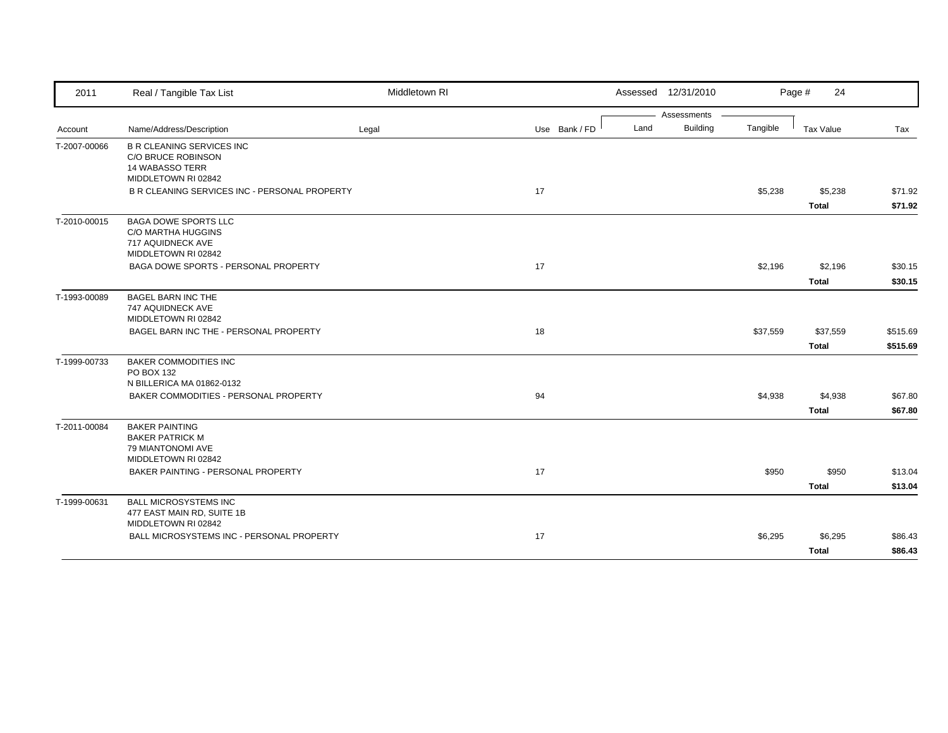| 2011         | Real / Tangible Tax List                                                                                | Middletown RI |               |      | Assessed 12/31/2010 |          | Page #<br>24 |          |
|--------------|---------------------------------------------------------------------------------------------------------|---------------|---------------|------|---------------------|----------|--------------|----------|
|              |                                                                                                         |               |               |      | Assessments         |          |              |          |
| Account      | Name/Address/Description                                                                                | Legal         | Use Bank / FD | Land | <b>Building</b>     | Tangible | Tax Value    | Tax      |
| T-2007-00066 | <b>B R CLEANING SERVICES INC</b><br>C/O BRUCE ROBINSON<br><b>14 WABASSO TERR</b><br>MIDDLETOWN RI 02842 |               |               |      |                     |          |              |          |
|              | B R CLEANING SERVICES INC - PERSONAL PROPERTY                                                           |               | 17            |      |                     | \$5,238  | \$5,238      | \$71.92  |
|              |                                                                                                         |               |               |      |                     |          | <b>Total</b> | \$71.92  |
| T-2010-00015 | <b>BAGA DOWE SPORTS LLC</b><br><b>C/O MARTHA HUGGINS</b><br>717 AQUIDNECK AVE<br>MIDDLETOWN RI 02842    |               |               |      |                     |          |              |          |
|              | BAGA DOWE SPORTS - PERSONAL PROPERTY                                                                    |               | 17            |      |                     | \$2,196  | \$2,196      | \$30.15  |
|              |                                                                                                         |               |               |      |                     |          | <b>Total</b> | \$30.15  |
| T-1993-00089 | <b>BAGEL BARN INC THE</b><br>747 AQUIDNECK AVE<br>MIDDLETOWN RI 02842                                   |               |               |      |                     |          |              |          |
|              | BAGEL BARN INC THE - PERSONAL PROPERTY                                                                  |               | 18            |      |                     | \$37,559 | \$37,559     | \$515.69 |
|              |                                                                                                         |               |               |      |                     |          | <b>Total</b> | \$515.69 |
| T-1999-00733 | <b>BAKER COMMODITIES INC</b><br>PO BOX 132<br>N BILLERICA MA 01862-0132                                 |               |               |      |                     |          |              |          |
|              | BAKER COMMODITIES - PERSONAL PROPERTY                                                                   |               | 94            |      |                     | \$4,938  | \$4,938      | \$67.80  |
|              |                                                                                                         |               |               |      |                     |          | <b>Total</b> | \$67.80  |
| T-2011-00084 | <b>BAKER PAINTING</b><br><b>BAKER PATRICK M</b><br>79 MIANTONOMI AVE<br>MIDDLETOWN RI 02842             |               |               |      |                     |          |              |          |
|              | BAKER PAINTING - PERSONAL PROPERTY                                                                      |               | 17            |      |                     | \$950    | \$950        | \$13.04  |
|              |                                                                                                         |               |               |      |                     |          | <b>Total</b> | \$13.04  |
| T-1999-00631 | <b>BALL MICROSYSTEMS INC</b><br>477 EAST MAIN RD, SUITE 1B<br>MIDDLETOWN RI 02842                       |               |               |      |                     |          |              |          |
|              | BALL MICROSYSTEMS INC - PERSONAL PROPERTY                                                               |               | 17            |      |                     | \$6,295  | \$6,295      | \$86.43  |
|              |                                                                                                         |               |               |      |                     |          | <b>Total</b> | \$86.43  |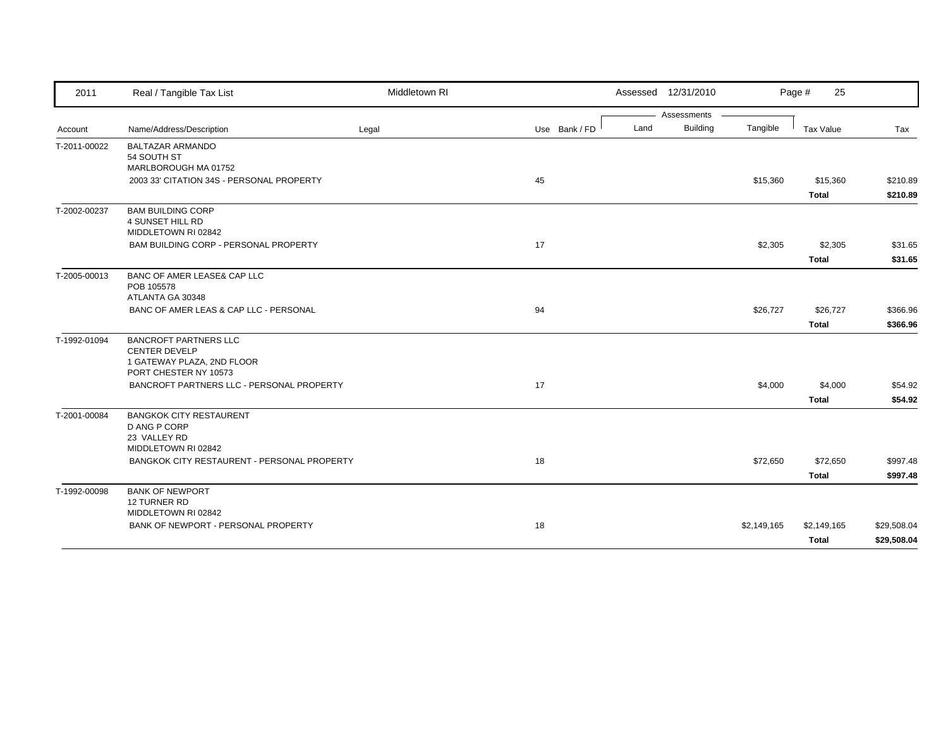| 2011         | Real / Tangible Tax List                             | Middletown RI |               |      | Assessed 12/31/2010            |             | Page #<br>25 |             |
|--------------|------------------------------------------------------|---------------|---------------|------|--------------------------------|-------------|--------------|-------------|
|              |                                                      |               |               |      | Assessments<br><b>Building</b> |             |              |             |
| Account      | Name/Address/Description                             | Legal         | Use Bank / FD | Land |                                | Tangible    | Tax Value    | Tax         |
| T-2011-00022 | <b>BALTAZAR ARMANDO</b>                              |               |               |      |                                |             |              |             |
|              | 54 SOUTH ST<br>MARLBOROUGH MA 01752                  |               |               |      |                                |             |              |             |
|              | 2003 33' CITATION 34S - PERSONAL PROPERTY            |               | 45            |      |                                | \$15,360    | \$15,360     | \$210.89    |
|              |                                                      |               |               |      |                                |             | <b>Total</b> | \$210.89    |
| T-2002-00237 | <b>BAM BUILDING CORP</b>                             |               |               |      |                                |             |              |             |
|              | <b>4 SUNSET HILL RD</b>                              |               |               |      |                                |             |              |             |
|              | MIDDLETOWN RI 02842                                  |               |               |      |                                |             |              |             |
|              | BAM BUILDING CORP - PERSONAL PROPERTY                |               | 17            |      |                                | \$2,305     | \$2,305      | \$31.65     |
|              |                                                      |               |               |      |                                |             | <b>Total</b> | \$31.65     |
| T-2005-00013 | BANC OF AMER LEASE& CAP LLC                          |               |               |      |                                |             |              |             |
|              | POB 105578<br>ATLANTA GA 30348                       |               |               |      |                                |             |              |             |
|              | BANC OF AMER LEAS & CAP LLC - PERSONAL               |               | 94            |      |                                | \$26,727    | \$26,727     | \$366.96    |
|              |                                                      |               |               |      |                                |             | <b>Total</b> | \$366.96    |
|              |                                                      |               |               |      |                                |             |              |             |
| T-1992-01094 | <b>BANCROFT PARTNERS LLC</b><br><b>CENTER DEVELP</b> |               |               |      |                                |             |              |             |
|              | 1 GATEWAY PLAZA, 2ND FLOOR                           |               |               |      |                                |             |              |             |
|              | PORT CHESTER NY 10573                                |               |               |      |                                |             |              |             |
|              | BANCROFT PARTNERS LLC - PERSONAL PROPERTY            |               | 17            |      |                                | \$4,000     | \$4,000      | \$54.92     |
|              |                                                      |               |               |      |                                |             | Total        | \$54.92     |
| T-2001-00084 | <b>BANGKOK CITY RESTAURENT</b>                       |               |               |      |                                |             |              |             |
|              | D ANG P CORP                                         |               |               |      |                                |             |              |             |
|              | 23 VALLEY RD<br>MIDDLETOWN RI 02842                  |               |               |      |                                |             |              |             |
|              | BANGKOK CITY RESTAURENT - PERSONAL PROPERTY          |               | 18            |      |                                | \$72,650    | \$72,650     | \$997.48    |
|              |                                                      |               |               |      |                                |             | <b>Total</b> | \$997.48    |
|              |                                                      |               |               |      |                                |             |              |             |
| T-1992-00098 | <b>BANK OF NEWPORT</b><br>12 TURNER RD               |               |               |      |                                |             |              |             |
|              | MIDDLETOWN RI 02842                                  |               |               |      |                                |             |              |             |
|              | BANK OF NEWPORT - PERSONAL PROPERTY                  |               | 18            |      |                                | \$2,149,165 | \$2,149,165  | \$29,508.04 |
|              |                                                      |               |               |      |                                |             | <b>Total</b> | \$29,508.04 |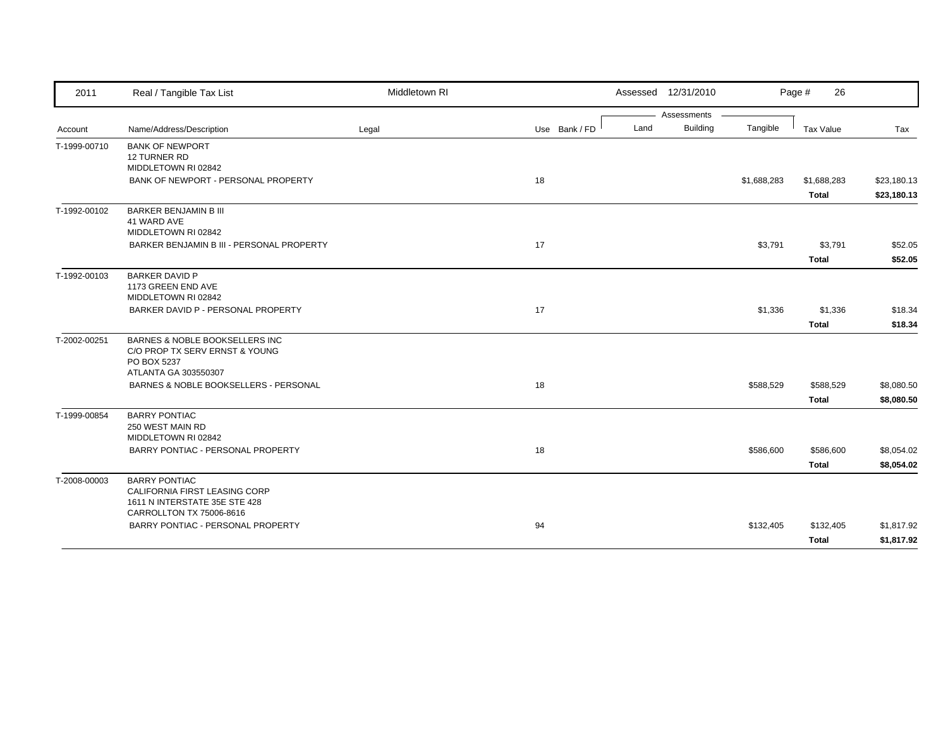| 2011         | Real / Tangible Tax List                                 | Middletown RI |               |      | Assessed 12/31/2010            |             | Page #<br>26     |             |
|--------------|----------------------------------------------------------|---------------|---------------|------|--------------------------------|-------------|------------------|-------------|
|              |                                                          |               |               | Land | Assessments<br><b>Building</b> | Tangible    |                  |             |
| Account      | Name/Address/Description                                 | Legal         | Use Bank / FD |      |                                |             | <b>Tax Value</b> | Tax         |
| T-1999-00710 | <b>BANK OF NEWPORT</b><br>12 TURNER RD                   |               |               |      |                                |             |                  |             |
|              | MIDDLETOWN RI 02842                                      |               |               |      |                                |             |                  |             |
|              | BANK OF NEWPORT - PERSONAL PROPERTY                      |               | 18            |      |                                | \$1,688,283 | \$1,688,283      | \$23,180.13 |
|              |                                                          |               |               |      |                                |             | <b>Total</b>     | \$23,180.13 |
| T-1992-00102 | <b>BARKER BENJAMIN B III</b>                             |               |               |      |                                |             |                  |             |
|              | 41 WARD AVE<br>MIDDLETOWN RI 02842                       |               |               |      |                                |             |                  |             |
|              | BARKER BENJAMIN B III - PERSONAL PROPERTY                |               | 17            |      |                                | \$3,791     | \$3,791          | \$52.05     |
|              |                                                          |               |               |      |                                |             | <b>Total</b>     | \$52.05     |
|              | <b>BARKER DAVID P</b>                                    |               |               |      |                                |             |                  |             |
| T-1992-00103 | 1173 GREEN END AVE                                       |               |               |      |                                |             |                  |             |
|              | MIDDLETOWN RI 02842                                      |               |               |      |                                |             |                  |             |
|              | BARKER DAVID P - PERSONAL PROPERTY                       |               | 17            |      |                                | \$1,336     | \$1,336          | \$18.34     |
|              |                                                          |               |               |      |                                |             | <b>Total</b>     | \$18.34     |
| T-2002-00251 | BARNES & NOBLE BOOKSELLERS INC                           |               |               |      |                                |             |                  |             |
|              | C/O PROP TX SERV ERNST & YOUNG                           |               |               |      |                                |             |                  |             |
|              | PO BOX 5237<br>ATLANTA GA 303550307                      |               |               |      |                                |             |                  |             |
|              | BARNES & NOBLE BOOKSELLERS - PERSONAL                    |               | 18            |      |                                | \$588,529   | \$588,529        | \$8,080.50  |
|              |                                                          |               |               |      |                                |             | <b>Total</b>     | \$8,080.50  |
| T-1999-00854 | <b>BARRY PONTIAC</b>                                     |               |               |      |                                |             |                  |             |
|              | 250 WEST MAIN RD                                         |               |               |      |                                |             |                  |             |
|              | MIDDLETOWN RI 02842<br>BARRY PONTIAC - PERSONAL PROPERTY |               | 18            |      |                                |             |                  |             |
|              |                                                          |               |               |      |                                | \$586,600   | \$586,600        | \$8,054.02  |
|              |                                                          |               |               |      |                                |             | <b>Total</b>     | \$8,054.02  |
| T-2008-00003 | <b>BARRY PONTIAC</b><br>CALIFORNIA FIRST LEASING CORP    |               |               |      |                                |             |                  |             |
|              | 1611 N INTERSTATE 35E STE 428                            |               |               |      |                                |             |                  |             |
|              | CARROLLTON TX 75006-8616                                 |               |               |      |                                |             |                  |             |
|              | BARRY PONTIAC - PERSONAL PROPERTY                        |               | 94            |      |                                | \$132,405   | \$132,405        | \$1,817.92  |
|              |                                                          |               |               |      |                                |             | <b>Total</b>     | \$1,817.92  |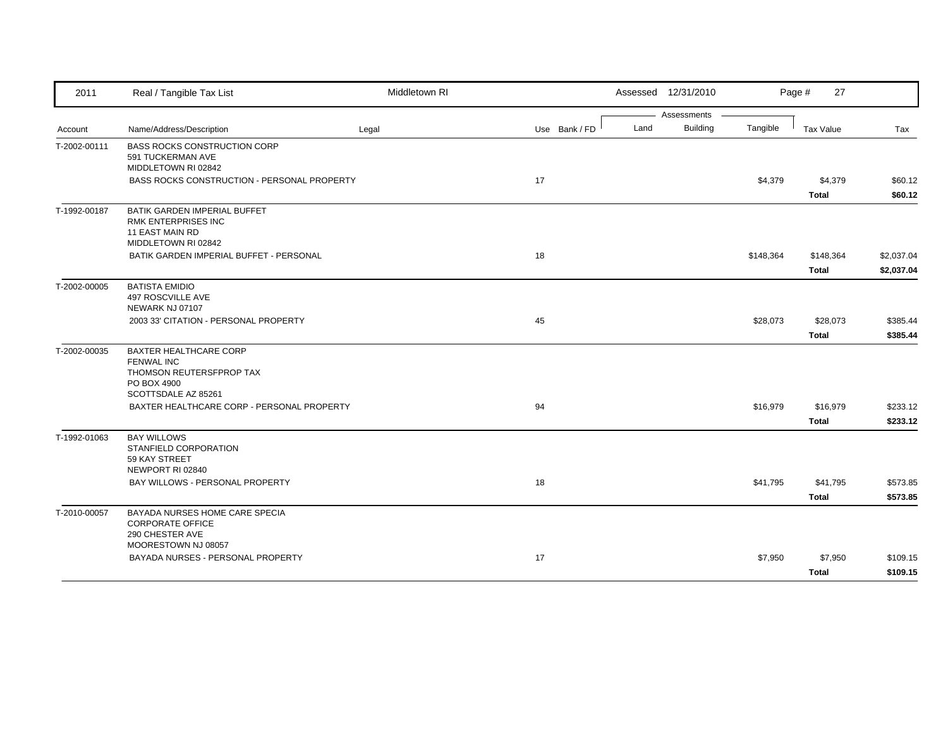| 2011         | Real / Tangible Tax List                                 | Middletown RI |               | Assessed 12/31/2010 |                      | Page #<br>27     |            |
|--------------|----------------------------------------------------------|---------------|---------------|---------------------|----------------------|------------------|------------|
|              |                                                          |               |               | Assessments         |                      |                  |            |
| Account      | Name/Address/Description                                 | Legal         | Use Bank / FD | Land                | Building<br>Tangible | <b>Tax Value</b> | Tax        |
| T-2002-00111 | <b>BASS ROCKS CONSTRUCTION CORP</b><br>591 TUCKERMAN AVE |               |               |                     |                      |                  |            |
|              | MIDDLETOWN RI 02842                                      |               |               |                     |                      |                  |            |
|              | BASS ROCKS CONSTRUCTION - PERSONAL PROPERTY              |               | 17            |                     | \$4,379              | \$4,379          | \$60.12    |
|              |                                                          |               |               |                     |                      | <b>Total</b>     | \$60.12    |
| T-1992-00187 | <b>BATIK GARDEN IMPERIAL BUFFET</b>                      |               |               |                     |                      |                  |            |
|              | RMK ENTERPRISES INC                                      |               |               |                     |                      |                  |            |
|              | 11 EAST MAIN RD<br>MIDDLETOWN RI 02842                   |               |               |                     |                      |                  |            |
|              | BATIK GARDEN IMPERIAL BUFFET - PERSONAL                  |               | 18            |                     | \$148,364            | \$148,364        | \$2,037.04 |
|              |                                                          |               |               |                     |                      | <b>Total</b>     | \$2,037.04 |
| T-2002-00005 | <b>BATISTA EMIDIO</b>                                    |               |               |                     |                      |                  |            |
|              | 497 ROSCVILLE AVE                                        |               |               |                     |                      |                  |            |
|              | NEWARK NJ 07107                                          |               |               |                     |                      |                  |            |
|              | 2003 33' CITATION - PERSONAL PROPERTY                    |               | 45            |                     | \$28,073             | \$28,073         | \$385.44   |
|              |                                                          |               |               |                     |                      | <b>Total</b>     | \$385.44   |
| T-2002-00035 | BAXTER HEALTHCARE CORP                                   |               |               |                     |                      |                  |            |
|              | <b>FENWAL INC</b><br>THOMSON REUTERSFPROP TAX            |               |               |                     |                      |                  |            |
|              | PO BOX 4900                                              |               |               |                     |                      |                  |            |
|              | SCOTTSDALE AZ 85261                                      |               |               |                     |                      |                  |            |
|              | BAXTER HEALTHCARE CORP - PERSONAL PROPERTY               |               | 94            |                     | \$16,979             | \$16,979         | \$233.12   |
|              |                                                          |               |               |                     |                      | <b>Total</b>     | \$233.12   |
| T-1992-01063 | <b>BAY WILLOWS</b>                                       |               |               |                     |                      |                  |            |
|              | STANFIELD CORPORATION<br>59 KAY STREET                   |               |               |                     |                      |                  |            |
|              | NEWPORT RI 02840                                         |               |               |                     |                      |                  |            |
|              | BAY WILLOWS - PERSONAL PROPERTY                          |               | 18            |                     | \$41,795             | \$41,795         | \$573.85   |
|              |                                                          |               |               |                     |                      | <b>Total</b>     | \$573.85   |
| T-2010-00057 | BAYADA NURSES HOME CARE SPECIA                           |               |               |                     |                      |                  |            |
|              | <b>CORPORATE OFFICE</b>                                  |               |               |                     |                      |                  |            |
|              | 290 CHESTER AVE<br>MOORESTOWN NJ 08057                   |               |               |                     |                      |                  |            |
|              | BAYADA NURSES - PERSONAL PROPERTY                        |               | 17            |                     | \$7,950              | \$7,950          | \$109.15   |
|              |                                                          |               |               |                     |                      | Total            | \$109.15   |
|              |                                                          |               |               |                     |                      |                  |            |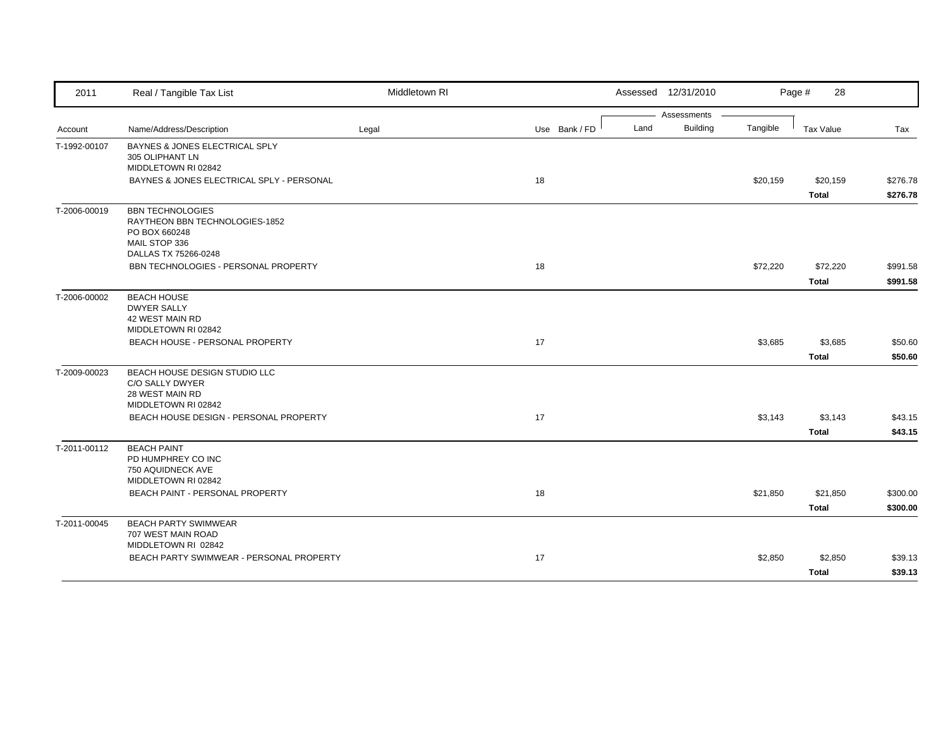| 2011         | Real / Tangible Tax List                                        | Middletown RI |               | Assessed 12/31/2010 |                             | Page #<br>28 |          |
|--------------|-----------------------------------------------------------------|---------------|---------------|---------------------|-----------------------------|--------------|----------|
|              |                                                                 |               |               | Assessments         |                             |              |          |
| Account      | Name/Address/Description                                        | Legal         | Use Bank / FD | Land                | <b>Building</b><br>Tangible | Tax Value    | Tax      |
| T-1992-00107 | BAYNES & JONES ELECTRICAL SPLY                                  |               |               |                     |                             |              |          |
|              | 305 OLIPHANT LN<br>MIDDLETOWN RI 02842                          |               |               |                     |                             |              |          |
|              | BAYNES & JONES ELECTRICAL SPLY - PERSONAL                       |               | 18            |                     | \$20,159                    | \$20,159     | \$276.78 |
|              |                                                                 |               |               |                     |                             | <b>Total</b> | \$276.78 |
| T-2006-00019 | <b>BBN TECHNOLOGIES</b>                                         |               |               |                     |                             |              |          |
|              | RAYTHEON BBN TECHNOLOGIES-1852                                  |               |               |                     |                             |              |          |
|              | PO BOX 660248<br>MAIL STOP 336                                  |               |               |                     |                             |              |          |
|              | DALLAS TX 75266-0248                                            |               |               |                     |                             |              |          |
|              | BBN TECHNOLOGIES - PERSONAL PROPERTY                            |               | 18            |                     | \$72,220                    | \$72,220     | \$991.58 |
|              |                                                                 |               |               |                     |                             | <b>Total</b> | \$991.58 |
| T-2006-00002 | <b>BEACH HOUSE</b>                                              |               |               |                     |                             |              |          |
|              | <b>DWYER SALLY</b>                                              |               |               |                     |                             |              |          |
|              | 42 WEST MAIN RD<br>MIDDLETOWN RI 02842                          |               |               |                     |                             |              |          |
|              | BEACH HOUSE - PERSONAL PROPERTY                                 |               | 17            |                     | \$3,685                     | \$3,685      | \$50.60  |
|              |                                                                 |               |               |                     |                             | <b>Total</b> | \$50.60  |
| T-2009-00023 | BEACH HOUSE DESIGN STUDIO LLC                                   |               |               |                     |                             |              |          |
|              | C/O SALLY DWYER                                                 |               |               |                     |                             |              |          |
|              | 28 WEST MAIN RD                                                 |               |               |                     |                             |              |          |
|              | MIDDLETOWN RI 02842                                             |               |               |                     |                             |              |          |
|              | BEACH HOUSE DESIGN - PERSONAL PROPERTY                          |               | 17            |                     | \$3,143                     | \$3,143      | \$43.15  |
|              |                                                                 |               |               |                     |                             | <b>Total</b> | \$43.15  |
| T-2011-00112 | <b>BEACH PAINT</b>                                              |               |               |                     |                             |              |          |
|              | PD HUMPHREY CO INC<br>750 AQUIDNECK AVE                         |               |               |                     |                             |              |          |
|              | MIDDLETOWN RI 02842                                             |               |               |                     |                             |              |          |
|              | BEACH PAINT - PERSONAL PROPERTY                                 |               | 18            |                     | \$21,850                    | \$21,850     | \$300.00 |
|              |                                                                 |               |               |                     |                             | <b>Total</b> | \$300.00 |
| T-2011-00045 | <b>BEACH PARTY SWIMWEAR</b>                                     |               |               |                     |                             |              |          |
|              | 707 WEST MAIN ROAD                                              |               |               |                     |                             |              |          |
|              | MIDDLETOWN RI 02842<br>BEACH PARTY SWIMWEAR - PERSONAL PROPERTY |               | 17            |                     |                             |              |          |
|              |                                                                 |               |               |                     | \$2,850                     | \$2,850      | \$39.13  |
|              |                                                                 |               |               |                     |                             | <b>Total</b> | \$39.13  |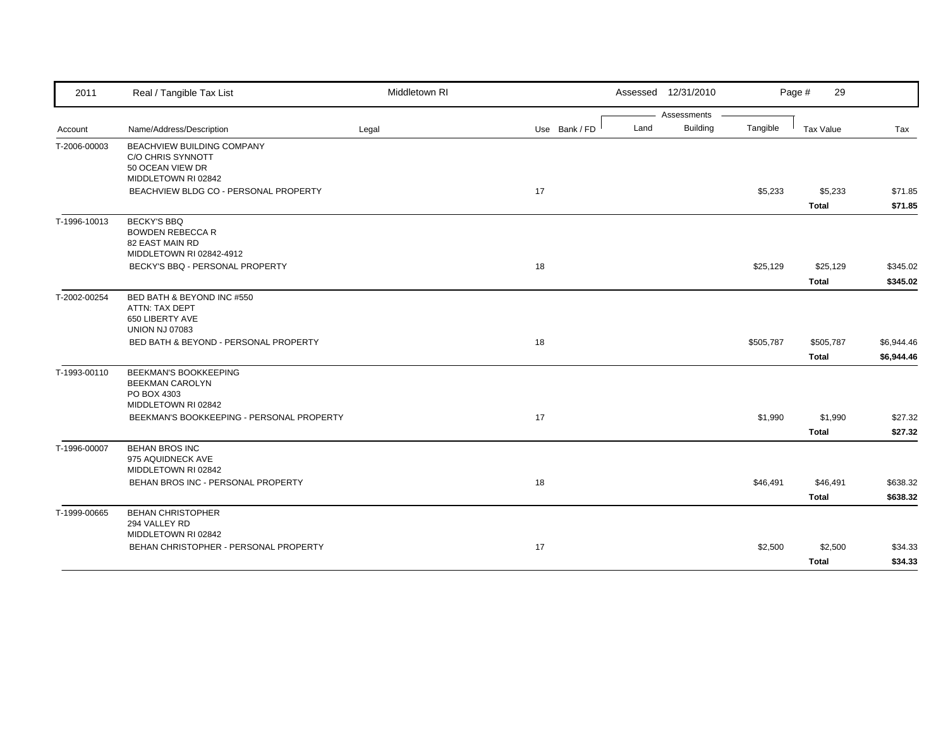| 2011                    | Real / Tangible Tax List                                                                        | Middletown RI |               | Assessed 12/31/2010                    |           | Page #<br>29              |                          |
|-------------------------|-------------------------------------------------------------------------------------------------|---------------|---------------|----------------------------------------|-----------|---------------------------|--------------------------|
|                         |                                                                                                 |               |               | Assessments<br><b>Building</b><br>Land | Tangible  |                           |                          |
| Account<br>T-2006-00003 | Name/Address/Description<br>BEACHVIEW BUILDING COMPANY<br>C/O CHRIS SYNNOTT<br>50 OCEAN VIEW DR | Legal         | Use Bank / FD |                                        |           | <b>Tax Value</b>          | Tax                      |
|                         | MIDDLETOWN RI 02842<br>BEACHVIEW BLDG CO - PERSONAL PROPERTY                                    |               | 17            |                                        | \$5,233   | \$5,233<br><b>Total</b>   | \$71.85<br>\$71.85       |
| T-1996-10013            | <b>BECKY'S BBQ</b><br><b>BOWDEN REBECCA R</b><br>82 EAST MAIN RD<br>MIDDLETOWN RI 02842-4912    |               |               |                                        |           |                           |                          |
|                         | BECKY'S BBQ - PERSONAL PROPERTY                                                                 |               | 18            |                                        | \$25,129  | \$25,129<br><b>Total</b>  | \$345.02<br>\$345.02     |
| T-2002-00254            | BED BATH & BEYOND INC #550<br>ATTN: TAX DEPT<br>650 LIBERTY AVE<br><b>UNION NJ 07083</b>        |               |               |                                        |           |                           |                          |
|                         | <b>BED BATH &amp; BEYOND - PERSONAL PROPERTY</b>                                                |               | 18            |                                        | \$505,787 | \$505,787<br><b>Total</b> | \$6,944.46<br>\$6,944.46 |
| T-1993-00110            | <b>BEEKMAN'S BOOKKEEPING</b><br><b>BEEKMAN CAROLYN</b><br>PO BOX 4303<br>MIDDLETOWN RI 02842    |               |               |                                        |           |                           |                          |
|                         | BEEKMAN'S BOOKKEEPING - PERSONAL PROPERTY                                                       |               | 17            |                                        | \$1,990   | \$1,990<br><b>Total</b>   | \$27.32<br>\$27.32       |
| T-1996-00007            | <b>BEHAN BROS INC</b><br>975 AQUIDNECK AVE<br>MIDDLETOWN RI 02842                               |               |               |                                        |           |                           |                          |
|                         | BEHAN BROS INC - PERSONAL PROPERTY                                                              |               | 18            |                                        | \$46,491  | \$46,491<br><b>Total</b>  | \$638.32<br>\$638.32     |
| T-1999-00665            | <b>BEHAN CHRISTOPHER</b><br>294 VALLEY RD<br>MIDDLETOWN RI 02842                                |               |               |                                        |           |                           |                          |
|                         | BEHAN CHRISTOPHER - PERSONAL PROPERTY                                                           |               | 17            |                                        | \$2,500   | \$2,500<br><b>Total</b>   | \$34.33<br>\$34.33       |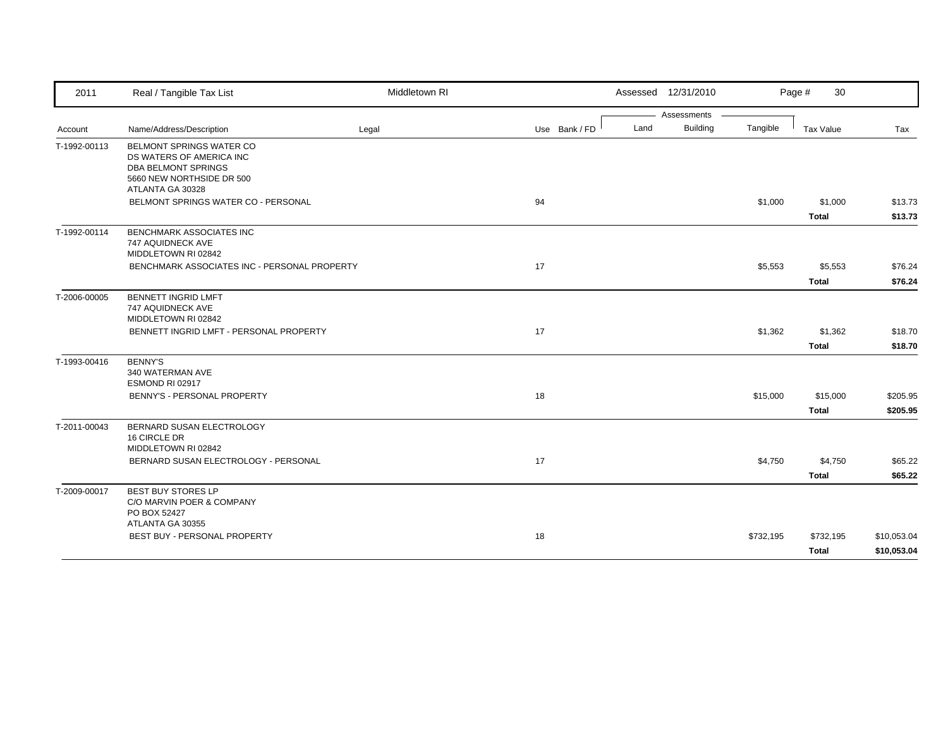| 2011         | Real / Tangible Tax List                                                                                        | Middletown RI |               | Assessed 12/31/2010     |           | 30<br>Page #       |                            |
|--------------|-----------------------------------------------------------------------------------------------------------------|---------------|---------------|-------------------------|-----------|--------------------|----------------------------|
|              |                                                                                                                 |               |               | Assessments             |           |                    |                            |
| Account      | Name/Address/Description                                                                                        | Legal         | Use Bank / FD | <b>Building</b><br>Land | Tangible  | <b>Tax Value</b>   | Tax                        |
| T-1992-00113 | BELMONT SPRINGS WATER CO<br>DS WATERS OF AMERICA INC<br><b>DBA BELMONT SPRINGS</b><br>5660 NEW NORTHSIDE DR 500 |               |               |                         |           |                    |                            |
|              | ATLANTA GA 30328<br>BELMONT SPRINGS WATER CO - PERSONAL                                                         |               | 94            |                         | \$1,000   | \$1,000            | \$13.73                    |
|              |                                                                                                                 |               |               |                         |           | <b>Total</b>       | \$13.73                    |
| T-1992-00114 | BENCHMARK ASSOCIATES INC<br>747 AQUIDNECK AVE<br>MIDDLETOWN RI 02842                                            |               |               |                         |           |                    |                            |
|              | BENCHMARK ASSOCIATES INC - PERSONAL PROPERTY                                                                    |               | 17            |                         | \$5,553   | \$5,553            | \$76.24                    |
|              |                                                                                                                 |               |               |                         |           | <b>Total</b>       | \$76.24                    |
| T-2006-00005 | <b>BENNETT INGRID LMFT</b><br>747 AQUIDNECK AVE<br>MIDDLETOWN RI 02842                                          |               |               |                         |           |                    |                            |
|              | BENNETT INGRID LMFT - PERSONAL PROPERTY                                                                         |               | 17            |                         | \$1,362   | \$1,362            | \$18.70                    |
|              |                                                                                                                 |               |               |                         |           | <b>Total</b>       | \$18.70                    |
| T-1993-00416 | <b>BENNY'S</b><br>340 WATERMAN AVE<br>ESMOND RI 02917                                                           |               |               |                         |           |                    |                            |
|              | BENNY'S - PERSONAL PROPERTY                                                                                     |               | 18            |                         | \$15,000  | \$15,000           | \$205.95                   |
|              |                                                                                                                 |               |               |                         |           | <b>Total</b>       | \$205.95                   |
| T-2011-00043 | BERNARD SUSAN ELECTROLOGY<br>16 CIRCLE DR<br>MIDDLETOWN RI 02842                                                |               |               |                         |           |                    |                            |
|              | BERNARD SUSAN ELECTROLOGY - PERSONAL                                                                            |               | 17            |                         | \$4,750   | \$4,750            | \$65.22                    |
|              |                                                                                                                 |               |               |                         |           | <b>Total</b>       | \$65.22                    |
| T-2009-00017 | <b>BEST BUY STORES LP</b><br>C/O MARVIN POER & COMPANY<br>PO BOX 52427                                          |               |               |                         |           |                    |                            |
|              | ATLANTA GA 30355                                                                                                |               |               |                         |           |                    |                            |
|              | BEST BUY - PERSONAL PROPERTY                                                                                    |               | 18            |                         | \$732,195 | \$732,195<br>Total | \$10,053.04<br>\$10,053.04 |
|              |                                                                                                                 |               |               |                         |           |                    |                            |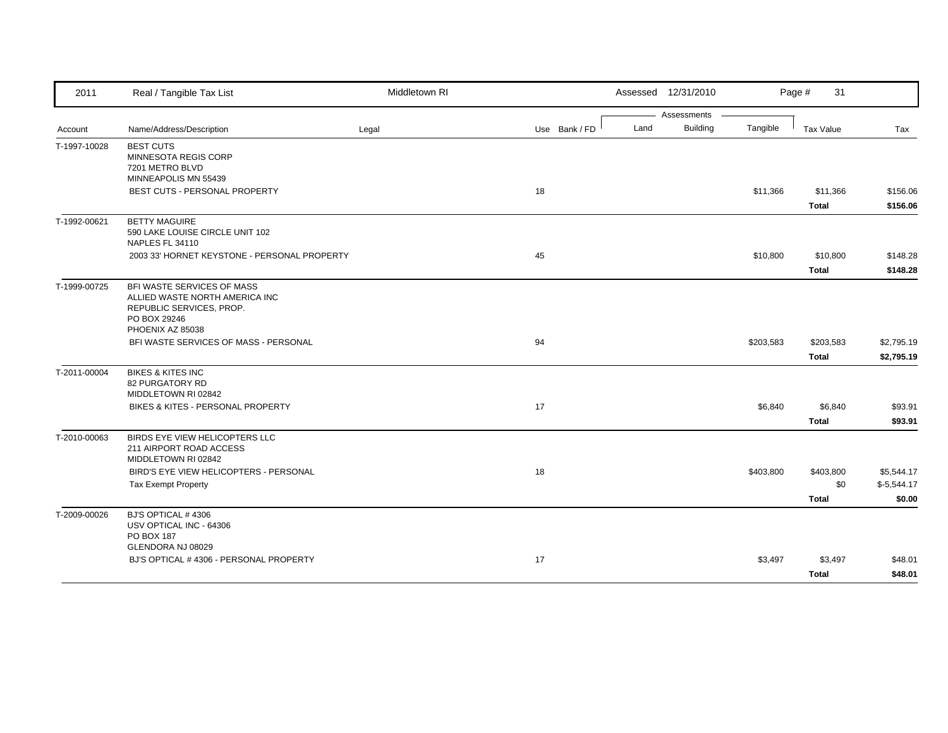| 2011         | Real / Tangible Tax List                                                                                                     | Middletown RI |               | Assessed 12/31/2010     |           | Page #<br>31              |                                      |
|--------------|------------------------------------------------------------------------------------------------------------------------------|---------------|---------------|-------------------------|-----------|---------------------------|--------------------------------------|
|              |                                                                                                                              |               |               | Assessments             |           |                           |                                      |
| Account      | Name/Address/Description                                                                                                     | Legal         | Use Bank / FD | <b>Building</b><br>Land | Tangible  | Tax Value                 | Tax                                  |
| T-1997-10028 | <b>BEST CUTS</b><br>MINNESOTA REGIS CORP<br>7201 METRO BLVD<br>MINNEAPOLIS MN 55439<br>BEST CUTS - PERSONAL PROPERTY         |               | 18            |                         | \$11,366  | \$11,366                  | \$156.06                             |
|              |                                                                                                                              |               |               |                         |           | <b>Total</b>              | \$156.06                             |
| T-1992-00621 | <b>BETTY MAGUIRE</b><br>590 LAKE LOUISE CIRCLE UNIT 102<br>NAPLES FL 34110                                                   |               |               |                         |           |                           |                                      |
|              | 2003 33' HORNET KEYSTONE - PERSONAL PROPERTY                                                                                 |               | 45            |                         | \$10,800  | \$10,800<br><b>Total</b>  | \$148.28<br>\$148.28                 |
| T-1999-00725 | BFI WASTE SERVICES OF MASS<br>ALLIED WASTE NORTH AMERICA INC<br>REPUBLIC SERVICES, PROP.<br>PO BOX 29246<br>PHOENIX AZ 85038 |               |               |                         |           |                           |                                      |
|              | BFI WASTE SERVICES OF MASS - PERSONAL                                                                                        |               | 94            |                         | \$203,583 | \$203,583<br><b>Total</b> | \$2,795.19<br>\$2,795.19             |
| T-2011-00004 | <b>BIKES &amp; KITES INC</b><br><b>82 PURGATORY RD</b><br>MIDDLETOWN RI 02842                                                |               |               |                         |           |                           |                                      |
|              | BIKES & KITES - PERSONAL PROPERTY                                                                                            |               | 17            |                         | \$6,840   | \$6,840<br><b>Total</b>   | \$93.91<br>\$93.91                   |
| T-2010-00063 | BIRDS EYE VIEW HELICOPTERS LLC<br>211 AIRPORT ROAD ACCESS<br>MIDDLETOWN RI 02842                                             |               |               |                         |           |                           |                                      |
|              | BIRD'S EYE VIEW HELICOPTERS - PERSONAL<br><b>Tax Exempt Property</b>                                                         |               | 18            |                         | \$403,800 | \$403,800<br>\$0          | \$5,544.17<br>$$-5,544.17$<br>\$0.00 |
| T-2009-00026 | BJ'S OPTICAL #4306<br>USV OPTICAL INC - 64306<br>PO BOX 187                                                                  |               |               |                         |           | <b>Total</b>              |                                      |
|              | GLENDORA NJ 08029<br>BJ'S OPTICAL #4306 - PERSONAL PROPERTY                                                                  |               | 17            |                         | \$3,497   | \$3,497<br><b>Total</b>   | \$48.01<br>\$48.01                   |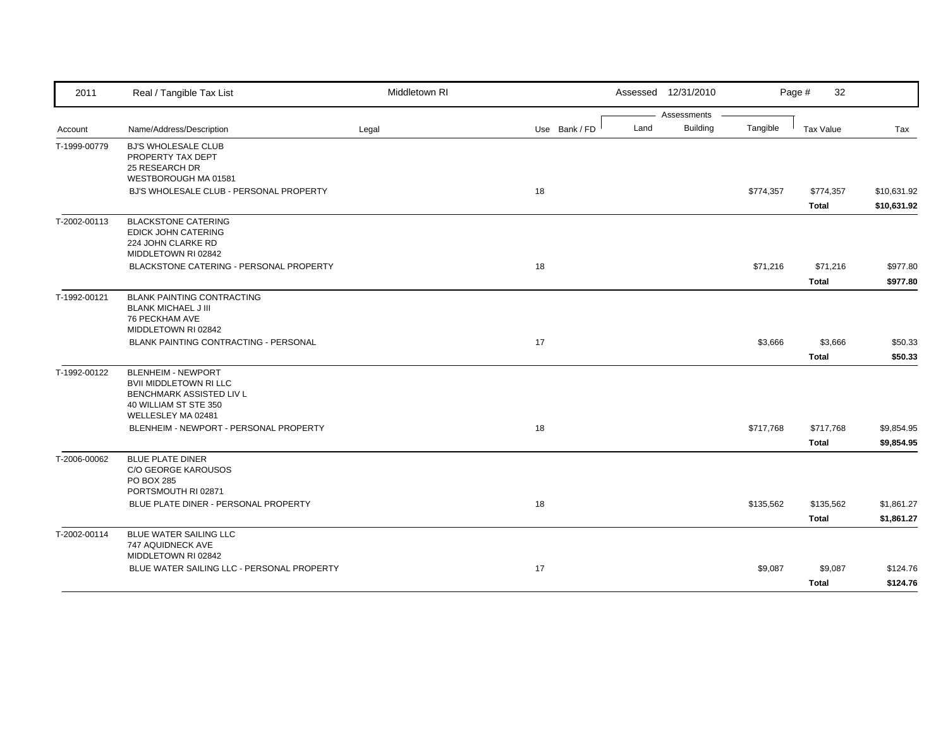| 2011         | Real / Tangible Tax List                                                                                        | Middletown RI |               |      | Assessed 12/31/2010            |           | Page #<br>32              |                            |
|--------------|-----------------------------------------------------------------------------------------------------------------|---------------|---------------|------|--------------------------------|-----------|---------------------------|----------------------------|
| Account      | Name/Address/Description                                                                                        | Legal         | Use Bank / FD | Land | Assessments<br><b>Building</b> | Tangible  | <b>Tax Value</b>          | Tax                        |
| T-1999-00779 | <b>BJ'S WHOLESALE CLUB</b><br>PROPERTY TAX DEPT<br>25 RESEARCH DR<br>WESTBOROUGH MA 01581                       |               |               |      |                                |           |                           |                            |
|              | BJ'S WHOLESALE CLUB - PERSONAL PROPERTY                                                                         |               | 18            |      |                                | \$774,357 | \$774,357<br><b>Total</b> | \$10,631.92<br>\$10,631.92 |
| T-2002-00113 | <b>BLACKSTONE CATERING</b><br>EDICK JOHN CATERING<br>224 JOHN CLARKE RD<br>MIDDLETOWN RI 02842                  |               |               |      |                                |           |                           |                            |
|              | BLACKSTONE CATERING - PERSONAL PROPERTY                                                                         |               | 18            |      |                                | \$71,216  | \$71,216<br><b>Total</b>  | \$977.80<br>\$977.80       |
| T-1992-00121 | <b>BLANK PAINTING CONTRACTING</b><br><b>BLANK MICHAEL J III</b><br>76 PECKHAM AVE                               |               |               |      |                                |           |                           |                            |
|              | MIDDLETOWN RI 02842<br>BLANK PAINTING CONTRACTING - PERSONAL                                                    |               | 17            |      |                                | \$3,666   | \$3,666<br><b>Total</b>   | \$50.33<br>\$50.33         |
| T-1992-00122 | <b>BLENHEIM - NEWPORT</b><br><b>BVII MIDDLETOWN RI LLC</b><br>BENCHMARK ASSISTED LIV L<br>40 WILLIAM ST STE 350 |               |               |      |                                |           |                           |                            |
|              | WELLESLEY MA 02481<br>BLENHEIM - NEWPORT - PERSONAL PROPERTY                                                    |               | 18            |      |                                | \$717,768 | \$717,768<br><b>Total</b> | \$9,854.95<br>\$9,854.95   |
| T-2006-00062 | <b>BLUE PLATE DINER</b><br>C/O GEORGE KAROUSOS<br>PO BOX 285<br>PORTSMOUTH RI 02871                             |               |               |      |                                |           |                           |                            |
|              | BLUE PLATE DINER - PERSONAL PROPERTY                                                                            |               | 18            |      |                                | \$135,562 | \$135,562<br><b>Total</b> | \$1,861.27<br>\$1,861.27   |
| T-2002-00114 | BLUE WATER SAILING LLC<br>747 AQUIDNECK AVE<br>MIDDLETOWN RI 02842                                              |               |               |      |                                |           |                           |                            |
|              | BLUE WATER SAILING LLC - PERSONAL PROPERTY                                                                      |               | 17            |      |                                | \$9,087   | \$9,087<br><b>Total</b>   | \$124.76<br>\$124.76       |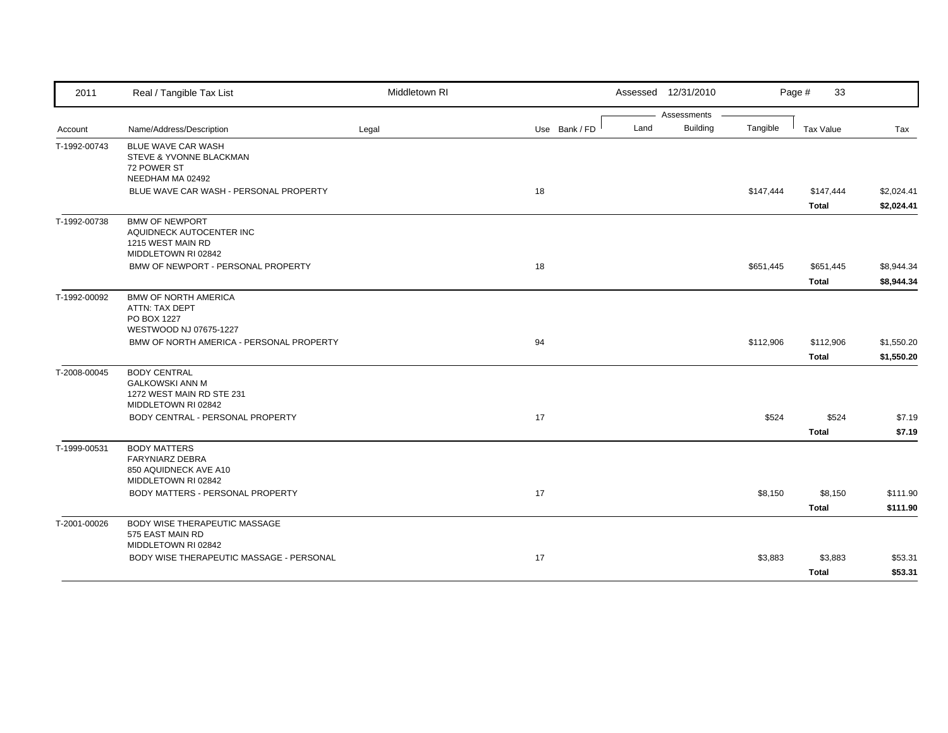| 2011         | Real / Tangible Tax List                                                                          | Middletown RI |               | Assessed 12/31/2010 |                 |           | Page #<br>33     |            |
|--------------|---------------------------------------------------------------------------------------------------|---------------|---------------|---------------------|-----------------|-----------|------------------|------------|
|              |                                                                                                   |               |               |                     | Assessments     |           |                  |            |
| Account      | Name/Address/Description                                                                          | Legal         | Use Bank / FD | Land                | <b>Building</b> | Tangible  | <b>Tax Value</b> | Tax        |
| T-1992-00743 | BLUE WAVE CAR WASH<br>STEVE & YVONNE BLACKMAN<br>72 POWER ST                                      |               |               |                     |                 |           |                  |            |
|              | NEEDHAM MA 02492                                                                                  |               |               |                     |                 |           |                  |            |
|              | BLUE WAVE CAR WASH - PERSONAL PROPERTY                                                            |               | 18            |                     |                 | \$147,444 | \$147,444        | \$2,024.41 |
|              |                                                                                                   |               |               |                     |                 |           | <b>Total</b>     | \$2,024.41 |
| T-1992-00738 | <b>BMW OF NEWPORT</b><br>AQUIDNECK AUTOCENTER INC<br>1215 WEST MAIN RD<br>MIDDLETOWN RI 02842     |               |               |                     |                 |           |                  |            |
|              | BMW OF NEWPORT - PERSONAL PROPERTY                                                                |               | 18            |                     |                 | \$651,445 | \$651,445        | \$8,944.34 |
|              |                                                                                                   |               |               |                     |                 |           | <b>Total</b>     | \$8,944.34 |
| T-1992-00092 | <b>BMW OF NORTH AMERICA</b><br>ATTN: TAX DEPT<br>PO BOX 1227                                      |               |               |                     |                 |           |                  |            |
|              | WESTWOOD NJ 07675-1227                                                                            |               |               |                     |                 |           |                  |            |
|              | BMW OF NORTH AMERICA - PERSONAL PROPERTY                                                          |               | 94            |                     |                 | \$112,906 | \$112,906        | \$1,550.20 |
|              |                                                                                                   |               |               |                     |                 |           | <b>Total</b>     | \$1,550.20 |
| T-2008-00045 | <b>BODY CENTRAL</b><br><b>GALKOWSKI ANN M</b><br>1272 WEST MAIN RD STE 231<br>MIDDLETOWN RI 02842 |               |               |                     |                 |           |                  |            |
|              | BODY CENTRAL - PERSONAL PROPERTY                                                                  |               | 17            |                     |                 | \$524     | \$524            | \$7.19     |
|              |                                                                                                   |               |               |                     |                 |           | <b>Total</b>     | \$7.19     |
| T-1999-00531 | <b>BODY MATTERS</b><br><b>FARYNIARZ DEBRA</b><br>850 AQUIDNECK AVE A10<br>MIDDLETOWN RI 02842     |               |               |                     |                 |           |                  |            |
|              | <b>BODY MATTERS - PERSONAL PROPERTY</b>                                                           |               | 17            |                     |                 | \$8,150   | \$8,150          | \$111.90   |
|              |                                                                                                   |               |               |                     |                 |           | <b>Total</b>     | \$111.90   |
| T-2001-00026 | BODY WISE THERAPEUTIC MASSAGE<br>575 EAST MAIN RD<br>MIDDLETOWN RI 02842                          |               |               |                     |                 |           |                  |            |
|              | BODY WISE THERAPEUTIC MASSAGE - PERSONAL                                                          |               | 17            |                     |                 | \$3,883   | \$3,883          | \$53.31    |
|              |                                                                                                   |               |               |                     |                 |           |                  |            |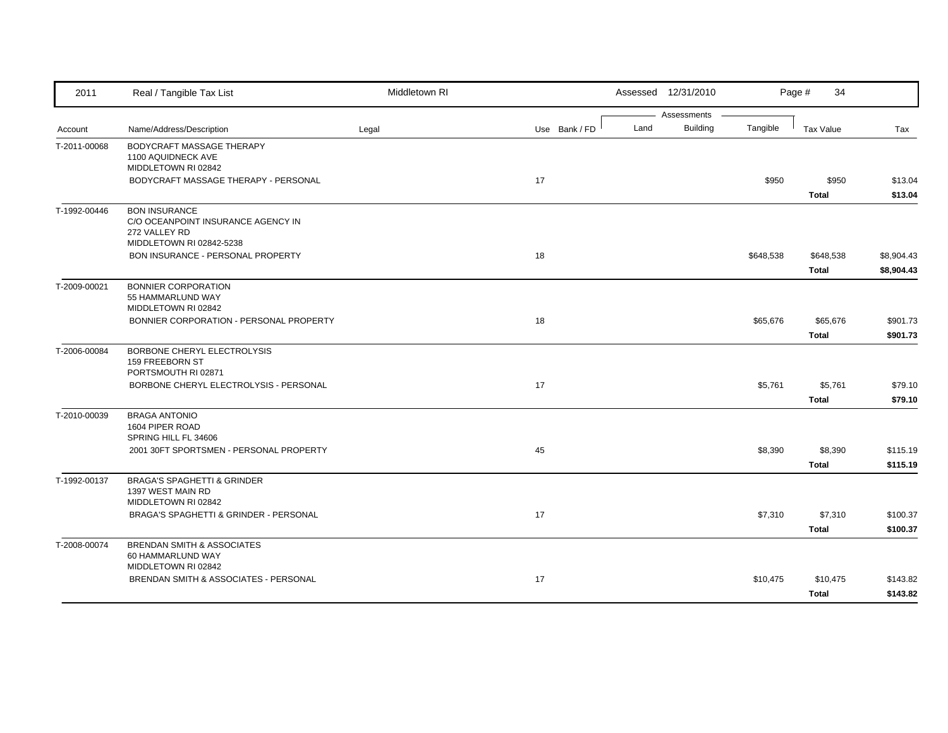| 2011         | Real / Tangible Tax List                                                                                       | Middletown RI |               |      | Assessed 12/31/2010            |           | 34<br>Page #              |                          |
|--------------|----------------------------------------------------------------------------------------------------------------|---------------|---------------|------|--------------------------------|-----------|---------------------------|--------------------------|
| Account      | Name/Address/Description                                                                                       | Legal         | Use Bank / FD | Land | Assessments<br><b>Building</b> | Tangible  | <b>Tax Value</b>          | Tax                      |
| T-2011-00068 | BODYCRAFT MASSAGE THERAPY<br>1100 AQUIDNECK AVE<br>MIDDLETOWN RI 02842<br>BODYCRAFT MASSAGE THERAPY - PERSONAL |               | 17            |      |                                | \$950     | \$950                     | \$13.04                  |
|              |                                                                                                                |               |               |      |                                |           | <b>Total</b>              | \$13.04                  |
| T-1992-00446 | <b>BON INSURANCE</b><br>C/O OCEANPOINT INSURANCE AGENCY IN<br>272 VALLEY RD<br>MIDDLETOWN RI 02842-5238        |               |               |      |                                |           |                           |                          |
|              | <b>BON INSURANCE - PERSONAL PROPERTY</b>                                                                       |               | 18            |      |                                | \$648,538 | \$648,538<br><b>Total</b> | \$8,904.43<br>\$8,904.43 |
| T-2009-00021 | <b>BONNIER CORPORATION</b><br>55 HAMMARLUND WAY<br>MIDDLETOWN RI 02842                                         |               |               |      |                                |           |                           |                          |
|              | BONNIER CORPORATION - PERSONAL PROPERTY                                                                        |               | 18            |      |                                | \$65,676  | \$65,676<br><b>Total</b>  | \$901.73<br>\$901.73     |
| T-2006-00084 | BORBONE CHERYL ELECTROLYSIS<br>159 FREEBORN ST<br>PORTSMOUTH RI 02871                                          |               |               |      |                                |           |                           |                          |
|              | BORBONE CHERYL ELECTROLYSIS - PERSONAL                                                                         |               | 17            |      |                                | \$5,761   | \$5,761<br><b>Total</b>   | \$79.10<br>\$79.10       |
| T-2010-00039 | <b>BRAGA ANTONIO</b><br>1604 PIPER ROAD<br>SPRING HILL FL 34606                                                |               |               |      |                                |           |                           |                          |
|              | 2001 30FT SPORTSMEN - PERSONAL PROPERTY                                                                        |               | 45            |      |                                | \$8,390   | \$8,390<br><b>Total</b>   | \$115.19<br>\$115.19     |
| T-1992-00137 | <b>BRAGA'S SPAGHETTI &amp; GRINDER</b><br>1397 WEST MAIN RD<br>MIDDLETOWN RI 02842                             |               |               |      |                                |           |                           |                          |
|              | BRAGA'S SPAGHETTI & GRINDER - PERSONAL                                                                         |               | 17            |      |                                | \$7,310   | \$7,310<br><b>Total</b>   | \$100.37<br>\$100.37     |
| T-2008-00074 | <b>BRENDAN SMITH &amp; ASSOCIATES</b><br>60 HAMMARLUND WAY<br>MIDDLETOWN RI 02842                              |               |               |      |                                |           |                           |                          |
|              | BRENDAN SMITH & ASSOCIATES - PERSONAL                                                                          |               | 17            |      |                                | \$10,475  | \$10,475<br><b>Total</b>  | \$143.82<br>\$143.82     |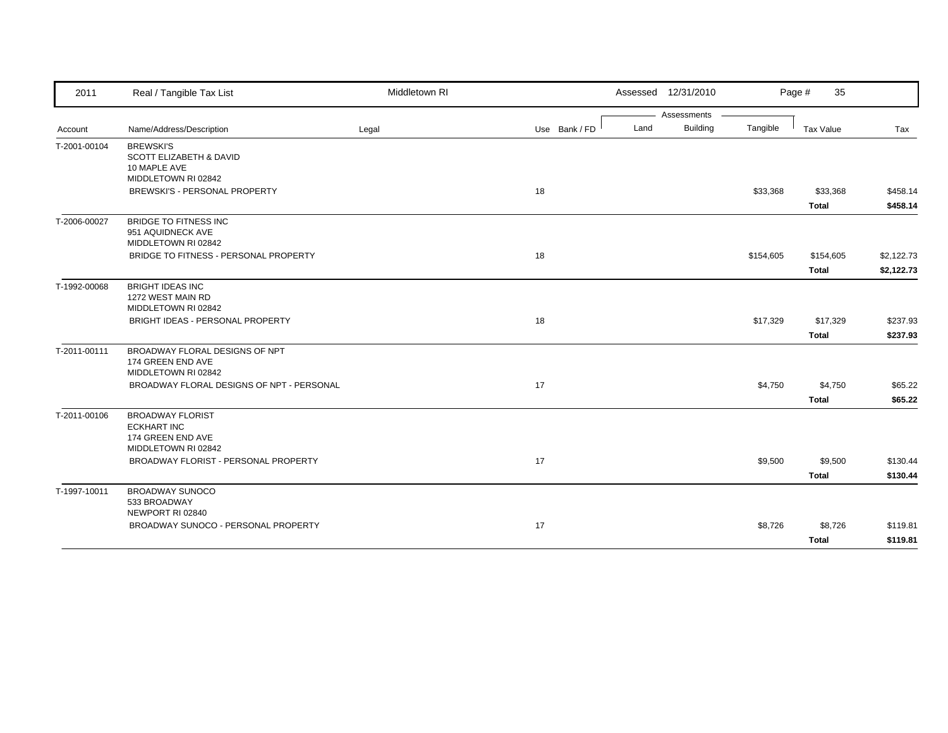| 2011         | Real / Tangible Tax List                                                                      | Middletown RI |               |      | Assessed 12/31/2010 |           | Page #<br>35              |                          |
|--------------|-----------------------------------------------------------------------------------------------|---------------|---------------|------|---------------------|-----------|---------------------------|--------------------------|
|              |                                                                                               |               |               |      | Assessments         |           |                           |                          |
| Account      | Name/Address/Description                                                                      | Legal         | Use Bank / FD | Land | <b>Building</b>     | Tangible  | Tax Value                 | Tax                      |
| T-2001-00104 | <b>BREWSKI'S</b><br><b>SCOTT ELIZABETH &amp; DAVID</b><br>10 MAPLE AVE<br>MIDDLETOWN RI 02842 |               |               |      |                     |           |                           |                          |
|              | BREWSKI'S - PERSONAL PROPERTY                                                                 |               | 18            |      |                     | \$33,368  | \$33,368<br><b>Total</b>  | \$458.14<br>\$458.14     |
| T-2006-00027 | BRIDGE TO FITNESS INC<br>951 AQUIDNECK AVE<br>MIDDLETOWN RI 02842                             |               |               |      |                     |           |                           |                          |
|              | BRIDGE TO FITNESS - PERSONAL PROPERTY                                                         |               | 18            |      |                     | \$154,605 | \$154,605<br><b>Total</b> | \$2,122.73<br>\$2,122.73 |
| T-1992-00068 | <b>BRIGHT IDEAS INC</b><br>1272 WEST MAIN RD<br>MIDDLETOWN RI 02842                           |               |               |      |                     |           |                           |                          |
|              | BRIGHT IDEAS - PERSONAL PROPERTY                                                              |               | 18            |      |                     | \$17,329  | \$17,329<br><b>Total</b>  | \$237.93<br>\$237.93     |
| T-2011-00111 | BROADWAY FLORAL DESIGNS OF NPT<br>174 GREEN END AVE<br>MIDDLETOWN RI 02842                    |               |               |      |                     |           |                           |                          |
|              | BROADWAY FLORAL DESIGNS OF NPT - PERSONAL                                                     |               | 17            |      |                     | \$4,750   | \$4,750<br><b>Total</b>   | \$65.22<br>\$65.22       |
| T-2011-00106 | <b>BROADWAY FLORIST</b><br><b>ECKHART INC</b><br>174 GREEN END AVE<br>MIDDLETOWN RI 02842     |               |               |      |                     |           |                           |                          |
|              | BROADWAY FLORIST - PERSONAL PROPERTY                                                          |               | 17            |      |                     | \$9,500   | \$9,500<br><b>Total</b>   | \$130.44<br>\$130.44     |
| T-1997-10011 | BROADWAY SUNOCO<br>533 BROADWAY<br>NEWPORT RI 02840                                           |               |               |      |                     |           |                           |                          |
|              | BROADWAY SUNOCO - PERSONAL PROPERTY                                                           |               | 17            |      |                     | \$8,726   | \$8,726<br><b>Total</b>   | \$119.81<br>\$119.81     |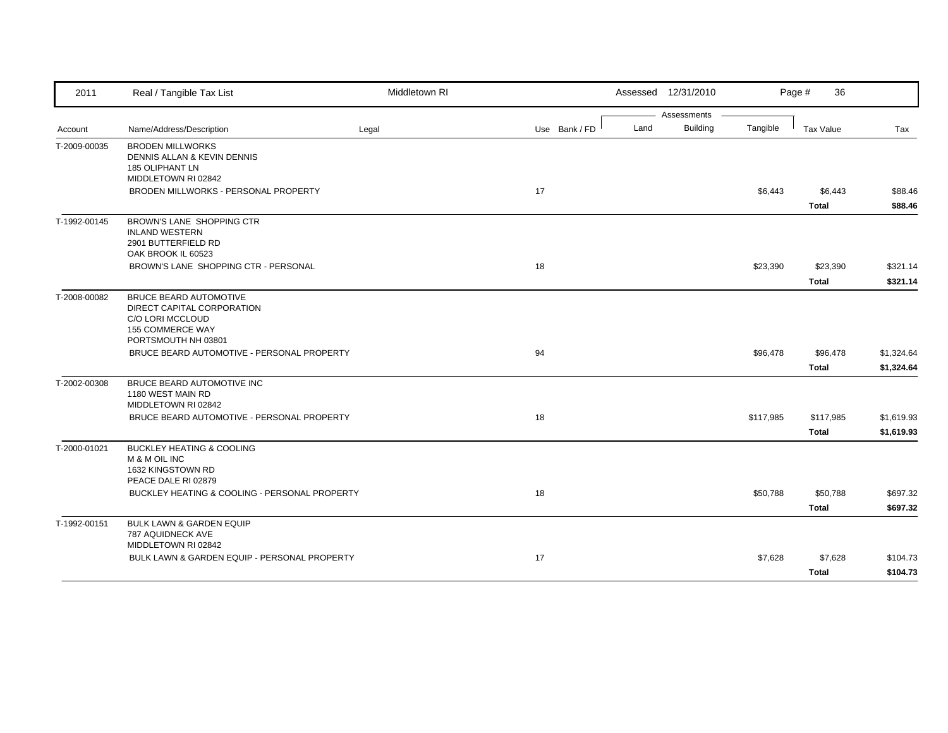| 2011         | Real / Tangible Tax List                                                                                                          | Middletown RI |               | Assessed 12/31/2010                    |           | Page #<br>36              |                          |
|--------------|-----------------------------------------------------------------------------------------------------------------------------------|---------------|---------------|----------------------------------------|-----------|---------------------------|--------------------------|
| Account      | Name/Address/Description                                                                                                          | Legal         | Use Bank / FD | Assessments<br><b>Building</b><br>Land | Tangible  | Tax Value                 | Tax                      |
| T-2009-00035 | <b>BRODEN MILLWORKS</b><br>DENNIS ALLAN & KEVIN DENNIS<br><b>185 OLIPHANT LN</b><br>MIDDLETOWN RI 02842                           |               |               |                                        |           |                           |                          |
|              | BRODEN MILLWORKS - PERSONAL PROPERTY                                                                                              |               | 17            |                                        | \$6,443   | \$6,443<br><b>Total</b>   | \$88.46<br>\$88.46       |
| T-1992-00145 | BROWN'S LANE SHOPPING CTR<br><b>INLAND WESTERN</b><br>2901 BUTTERFIELD RD<br>OAK BROOK IL 60523                                   |               |               |                                        |           |                           |                          |
|              | BROWN'S LANE SHOPPING CTR - PERSONAL                                                                                              |               | 18            |                                        | \$23,390  | \$23,390<br><b>Total</b>  | \$321.14<br>\$321.14     |
| T-2008-00082 | <b>BRUCE BEARD AUTOMOTIVE</b><br>DIRECT CAPITAL CORPORATION<br>C/O LORI MCCLOUD<br><b>155 COMMERCE WAY</b><br>PORTSMOUTH NH 03801 |               |               |                                        |           |                           |                          |
|              | BRUCE BEARD AUTOMOTIVE - PERSONAL PROPERTY                                                                                        |               | 94            |                                        | \$96,478  | \$96,478<br><b>Total</b>  | \$1,324.64<br>\$1,324.64 |
| T-2002-00308 | BRUCE BEARD AUTOMOTIVE INC<br>1180 WEST MAIN RD<br>MIDDLETOWN RI 02842                                                            |               |               |                                        |           |                           |                          |
|              | BRUCE BEARD AUTOMOTIVE - PERSONAL PROPERTY                                                                                        |               | 18            |                                        | \$117,985 | \$117,985<br><b>Total</b> | \$1,619.93<br>\$1,619.93 |
| T-2000-01021 | <b>BUCKLEY HEATING &amp; COOLING</b><br>M & M OIL INC<br>1632 KINGSTOWN RD<br>PEACE DALE RI 02879                                 |               |               |                                        |           |                           |                          |
|              | BUCKLEY HEATING & COOLING - PERSONAL PROPERTY                                                                                     |               | 18            |                                        | \$50,788  | \$50,788<br><b>Total</b>  | \$697.32<br>\$697.32     |
| T-1992-00151 | <b>BULK LAWN &amp; GARDEN EQUIP</b><br>787 AQUIDNECK AVE<br>MIDDLETOWN RI 02842                                                   |               |               |                                        |           |                           |                          |
|              | BULK LAWN & GARDEN EQUIP - PERSONAL PROPERTY                                                                                      |               | 17            |                                        | \$7,628   | \$7,628<br><b>Total</b>   | \$104.73<br>\$104.73     |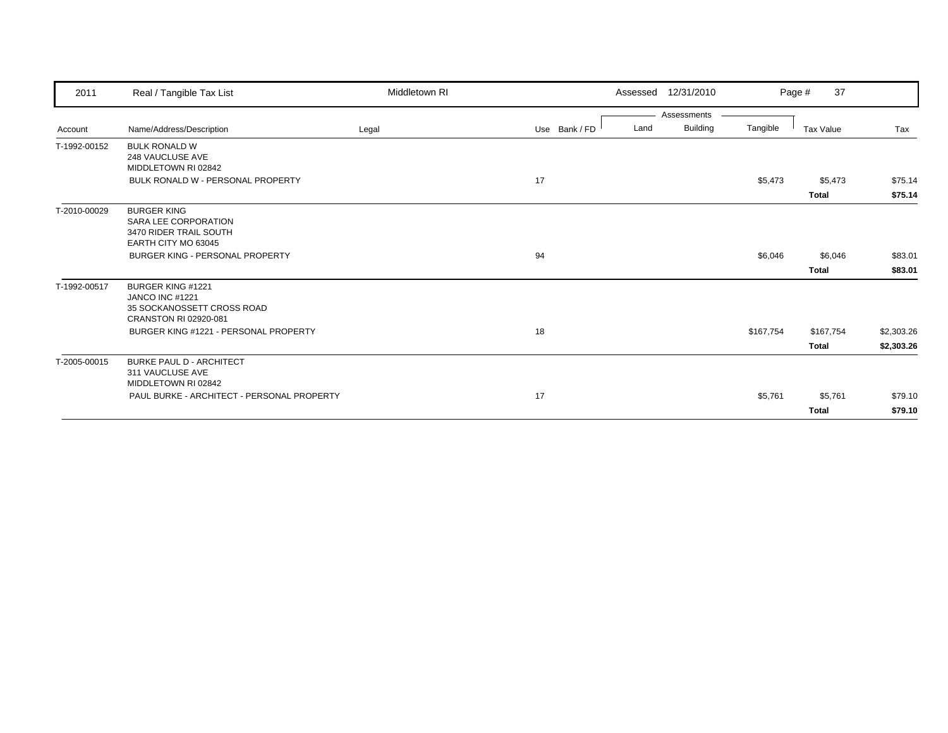| 2011         | Real / Tangible Tax List                            | Middletown RI |               |      | Assessed 12/31/2010 |           | 37<br>Page # |            |
|--------------|-----------------------------------------------------|---------------|---------------|------|---------------------|-----------|--------------|------------|
|              |                                                     |               |               |      | Assessments         |           |              |            |
| Account      | Name/Address/Description                            | Legal         | Use Bank / FD | Land | <b>Building</b>     | Tangible  | Tax Value    | Tax        |
| T-1992-00152 | <b>BULK RONALD W</b><br>248 VAUCLUSE AVE            |               |               |      |                     |           |              |            |
|              | MIDDLETOWN RI 02842                                 |               |               |      |                     |           |              |            |
|              | BULK RONALD W - PERSONAL PROPERTY                   |               | 17            |      |                     | \$5,473   | \$5,473      | \$75.14    |
|              |                                                     |               |               |      |                     |           | Total        | \$75.14    |
| T-2010-00029 | <b>BURGER KING</b>                                  |               |               |      |                     |           |              |            |
|              | SARA LEE CORPORATION                                |               |               |      |                     |           |              |            |
|              | 3470 RIDER TRAIL SOUTH<br>EARTH CITY MO 63045       |               |               |      |                     |           |              |            |
|              | <b>BURGER KING - PERSONAL PROPERTY</b>              |               | 94            |      |                     | \$6,046   | \$6,046      | \$83.01    |
|              |                                                     |               |               |      |                     |           |              |            |
|              |                                                     |               |               |      |                     |           | <b>Total</b> | \$83.01    |
| T-1992-00517 | <b>BURGER KING #1221</b>                            |               |               |      |                     |           |              |            |
|              | <b>JANCO INC #1221</b>                              |               |               |      |                     |           |              |            |
|              | 35 SOCKANOSSETT CROSS ROAD<br>CRANSTON RI 02920-081 |               |               |      |                     |           |              |            |
|              | BURGER KING #1221 - PERSONAL PROPERTY               |               | 18            |      |                     | \$167,754 | \$167,754    | \$2,303.26 |
|              |                                                     |               |               |      |                     |           | <b>Total</b> | \$2,303.26 |
| T-2005-00015 | <b>BURKE PAUL D - ARCHITECT</b>                     |               |               |      |                     |           |              |            |
|              | 311 VAUCLUSE AVE<br>MIDDLETOWN RI 02842             |               |               |      |                     |           |              |            |
|              | PAUL BURKE - ARCHITECT - PERSONAL PROPERTY          |               | 17            |      |                     | \$5,761   | \$5,761      | \$79.10    |
|              |                                                     |               |               |      |                     |           | <b>Total</b> | \$79.10    |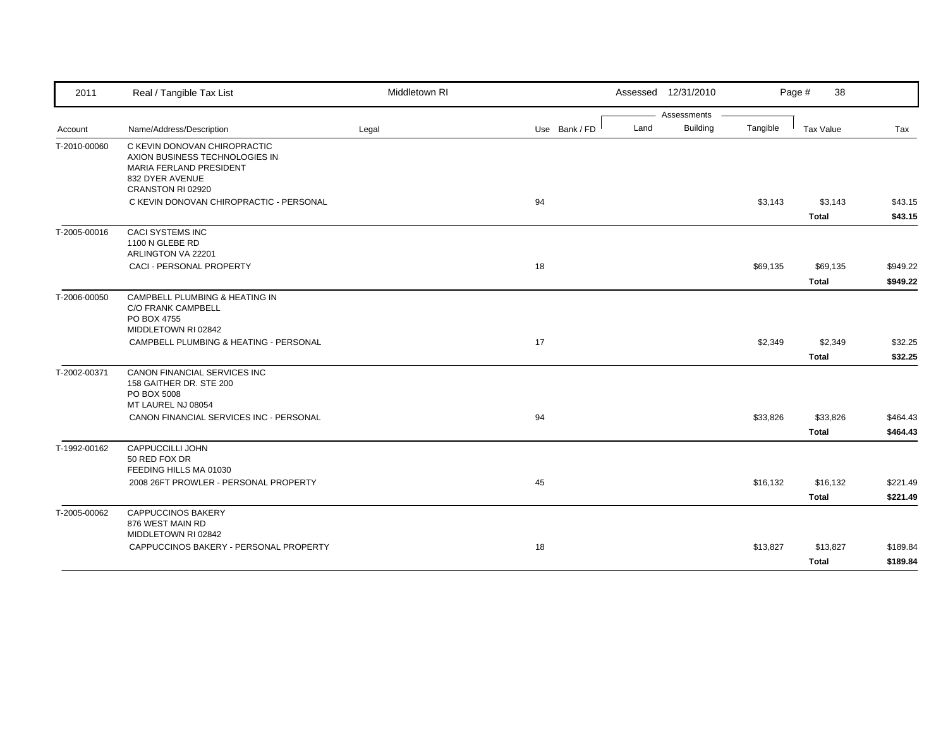| Assessments<br><b>Building</b><br>Land<br>Tangible<br>Name/Address/Description<br>Use Bank / FD<br><b>Tax Value</b><br>Legal<br>Tax<br>Account<br>C KEVIN DONOVAN CHIROPRACTIC<br>AXION BUSINESS TECHNOLOGIES IN<br>MARIA FERLAND PRESIDENT<br>832 DYER AVENUE<br>CRANSTON RI 02920<br>94<br>\$3,143<br>\$3,143<br>C KEVIN DONOVAN CHIROPRACTIC - PERSONAL<br><b>Total</b><br><b>CACI SYSTEMS INC</b><br>1100 N GLEBE RD<br>ARLINGTON VA 22201<br>CACI - PERSONAL PROPERTY<br>18<br>\$69,135<br>\$69,135<br><b>Total</b><br>CAMPBELL PLUMBING & HEATING IN<br><b>C/O FRANK CAMPBELL</b><br>PO BOX 4755<br>MIDDLETOWN RI 02842<br>CAMPBELL PLUMBING & HEATING - PERSONAL<br>17<br>\$2,349<br>\$2,349<br><b>Total</b><br><b>CANON FINANCIAL SERVICES INC</b><br>158 GAITHER DR. STE 200<br>PO BOX 5008<br>MT LAUREL NJ 08054<br>CANON FINANCIAL SERVICES INC - PERSONAL<br>94<br>\$33,826<br>\$33,826<br><b>Total</b><br><b>CAPPUCCILLI JOHN</b><br>50 RED FOX DR<br>FEEDING HILLS MA 01030<br>2008 26FT PROWLER - PERSONAL PROPERTY<br>45<br>\$16,132<br>\$16,132<br><b>Total</b><br><b>CAPPUCCINOS BAKERY</b><br>876 WEST MAIN RD<br>MIDDLETOWN RI 02842<br>CAPPUCCINOS BAKERY - PERSONAL PROPERTY<br>18<br>\$13,827<br>\$13,827 | 2011         | Real / Tangible Tax List | Middletown RI | Assessed 12/31/2010 | 38<br>Page # |          |
|----------------------------------------------------------------------------------------------------------------------------------------------------------------------------------------------------------------------------------------------------------------------------------------------------------------------------------------------------------------------------------------------------------------------------------------------------------------------------------------------------------------------------------------------------------------------------------------------------------------------------------------------------------------------------------------------------------------------------------------------------------------------------------------------------------------------------------------------------------------------------------------------------------------------------------------------------------------------------------------------------------------------------------------------------------------------------------------------------------------------------------------------------------------------------------------------------------------------------------|--------------|--------------------------|---------------|---------------------|--------------|----------|
|                                                                                                                                                                                                                                                                                                                                                                                                                                                                                                                                                                                                                                                                                                                                                                                                                                                                                                                                                                                                                                                                                                                                                                                                                                  |              |                          |               |                     |              |          |
| \$43.15<br>\$43.15                                                                                                                                                                                                                                                                                                                                                                                                                                                                                                                                                                                                                                                                                                                                                                                                                                                                                                                                                                                                                                                                                                                                                                                                               |              |                          |               |                     |              |          |
|                                                                                                                                                                                                                                                                                                                                                                                                                                                                                                                                                                                                                                                                                                                                                                                                                                                                                                                                                                                                                                                                                                                                                                                                                                  | T-2010-00060 |                          |               |                     |              |          |
|                                                                                                                                                                                                                                                                                                                                                                                                                                                                                                                                                                                                                                                                                                                                                                                                                                                                                                                                                                                                                                                                                                                                                                                                                                  |              |                          |               |                     |              |          |
|                                                                                                                                                                                                                                                                                                                                                                                                                                                                                                                                                                                                                                                                                                                                                                                                                                                                                                                                                                                                                                                                                                                                                                                                                                  |              |                          |               |                     |              |          |
| \$949.22<br>\$949.22<br>\$32.25<br>\$32.25<br>\$464.43<br>\$464.43<br>\$221.49<br>\$221.49<br>\$189.84                                                                                                                                                                                                                                                                                                                                                                                                                                                                                                                                                                                                                                                                                                                                                                                                                                                                                                                                                                                                                                                                                                                           | T-2005-00016 |                          |               |                     |              |          |
|                                                                                                                                                                                                                                                                                                                                                                                                                                                                                                                                                                                                                                                                                                                                                                                                                                                                                                                                                                                                                                                                                                                                                                                                                                  |              |                          |               |                     |              |          |
|                                                                                                                                                                                                                                                                                                                                                                                                                                                                                                                                                                                                                                                                                                                                                                                                                                                                                                                                                                                                                                                                                                                                                                                                                                  |              |                          |               |                     |              |          |
|                                                                                                                                                                                                                                                                                                                                                                                                                                                                                                                                                                                                                                                                                                                                                                                                                                                                                                                                                                                                                                                                                                                                                                                                                                  | T-2006-00050 |                          |               |                     |              |          |
|                                                                                                                                                                                                                                                                                                                                                                                                                                                                                                                                                                                                                                                                                                                                                                                                                                                                                                                                                                                                                                                                                                                                                                                                                                  |              |                          |               |                     |              |          |
|                                                                                                                                                                                                                                                                                                                                                                                                                                                                                                                                                                                                                                                                                                                                                                                                                                                                                                                                                                                                                                                                                                                                                                                                                                  |              |                          |               |                     |              |          |
|                                                                                                                                                                                                                                                                                                                                                                                                                                                                                                                                                                                                                                                                                                                                                                                                                                                                                                                                                                                                                                                                                                                                                                                                                                  | T-2002-00371 |                          |               |                     |              |          |
|                                                                                                                                                                                                                                                                                                                                                                                                                                                                                                                                                                                                                                                                                                                                                                                                                                                                                                                                                                                                                                                                                                                                                                                                                                  |              |                          |               |                     |              |          |
|                                                                                                                                                                                                                                                                                                                                                                                                                                                                                                                                                                                                                                                                                                                                                                                                                                                                                                                                                                                                                                                                                                                                                                                                                                  |              |                          |               |                     |              |          |
|                                                                                                                                                                                                                                                                                                                                                                                                                                                                                                                                                                                                                                                                                                                                                                                                                                                                                                                                                                                                                                                                                                                                                                                                                                  | T-1992-00162 |                          |               |                     |              |          |
|                                                                                                                                                                                                                                                                                                                                                                                                                                                                                                                                                                                                                                                                                                                                                                                                                                                                                                                                                                                                                                                                                                                                                                                                                                  |              |                          |               |                     |              |          |
|                                                                                                                                                                                                                                                                                                                                                                                                                                                                                                                                                                                                                                                                                                                                                                                                                                                                                                                                                                                                                                                                                                                                                                                                                                  |              |                          |               |                     |              |          |
|                                                                                                                                                                                                                                                                                                                                                                                                                                                                                                                                                                                                                                                                                                                                                                                                                                                                                                                                                                                                                                                                                                                                                                                                                                  | T-2005-00062 |                          |               |                     |              |          |
|                                                                                                                                                                                                                                                                                                                                                                                                                                                                                                                                                                                                                                                                                                                                                                                                                                                                                                                                                                                                                                                                                                                                                                                                                                  |              |                          |               |                     |              |          |
|                                                                                                                                                                                                                                                                                                                                                                                                                                                                                                                                                                                                                                                                                                                                                                                                                                                                                                                                                                                                                                                                                                                                                                                                                                  |              |                          |               |                     | <b>Total</b> | \$189.84 |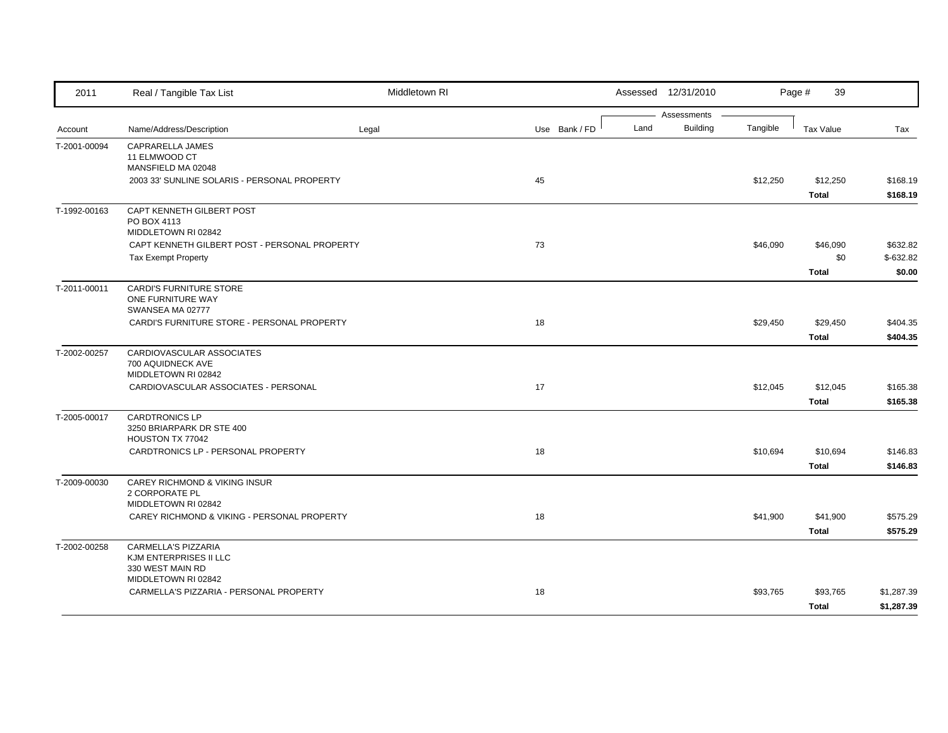| 2011         | Real / Tangible Tax List                                                    | Middletown RI |               |      | Assessed 12/31/2010            |          | 39<br>Page #                    |                                  |
|--------------|-----------------------------------------------------------------------------|---------------|---------------|------|--------------------------------|----------|---------------------------------|----------------------------------|
| Account      | Name/Address/Description                                                    | Legal         | Use Bank / FD | Land | Assessments<br><b>Building</b> | Tangible | <b>Tax Value</b>                | Tax                              |
| T-2001-00094 | CAPRARELLA JAMES<br>11 ELMWOOD CT<br>MANSFIELD MA 02048                     |               |               |      |                                |          |                                 |                                  |
|              | 2003 33' SUNLINE SOLARIS - PERSONAL PROPERTY                                |               | 45            |      |                                | \$12,250 | \$12,250<br><b>Total</b>        | \$168.19<br>\$168.19             |
| T-1992-00163 | CAPT KENNETH GILBERT POST<br>PO BOX 4113<br>MIDDLETOWN RI 02842             |               |               |      |                                |          |                                 |                                  |
|              | CAPT KENNETH GILBERT POST - PERSONAL PROPERTY<br><b>Tax Exempt Property</b> |               | 73            |      |                                | \$46,090 | \$46,090<br>\$0<br><b>Total</b> | \$632.82<br>$$-632.82$<br>\$0.00 |
| T-2011-00011 | <b>CARDI'S FURNITURE STORE</b><br>ONE FURNITURE WAY<br>SWANSEA MA 02777     |               |               |      |                                |          |                                 |                                  |
|              | CARDI'S FURNITURE STORE - PERSONAL PROPERTY                                 |               | 18            |      |                                | \$29,450 | \$29,450<br><b>Total</b>        | \$404.35<br>\$404.35             |
| T-2002-00257 | CARDIOVASCULAR ASSOCIATES<br>700 AQUIDNECK AVE<br>MIDDLETOWN RI 02842       |               |               |      |                                |          |                                 |                                  |
|              | CARDIOVASCULAR ASSOCIATES - PERSONAL                                        |               | 17            |      |                                | \$12,045 | \$12,045<br><b>Total</b>        | \$165.38<br>\$165.38             |
| T-2005-00017 | <b>CARDTRONICS LP</b><br>3250 BRIARPARK DR STE 400<br>HOUSTON TX 77042      |               |               |      |                                |          |                                 |                                  |
|              | CARDTRONICS LP - PERSONAL PROPERTY                                          |               | 18            |      |                                | \$10,694 | \$10,694<br><b>Total</b>        | \$146.83<br>\$146.83             |
| T-2009-00030 | CAREY RICHMOND & VIKING INSUR<br>2 CORPORATE PL<br>MIDDLETOWN RI 02842      |               |               |      |                                |          |                                 |                                  |
|              | CAREY RICHMOND & VIKING - PERSONAL PROPERTY                                 |               | 18            |      |                                | \$41,900 | \$41,900<br><b>Total</b>        | \$575.29<br>\$575.29             |
| T-2002-00258 | CARMELLA'S PIZZARIA<br>KJM ENTERPRISES II LLC<br>330 WEST MAIN RD           |               |               |      |                                |          |                                 |                                  |
|              | MIDDLETOWN RI 02842<br>CARMELLA'S PIZZARIA - PERSONAL PROPERTY              |               | 18            |      |                                | \$93,765 | \$93,765<br><b>Total</b>        | \$1,287.39<br>\$1,287.39         |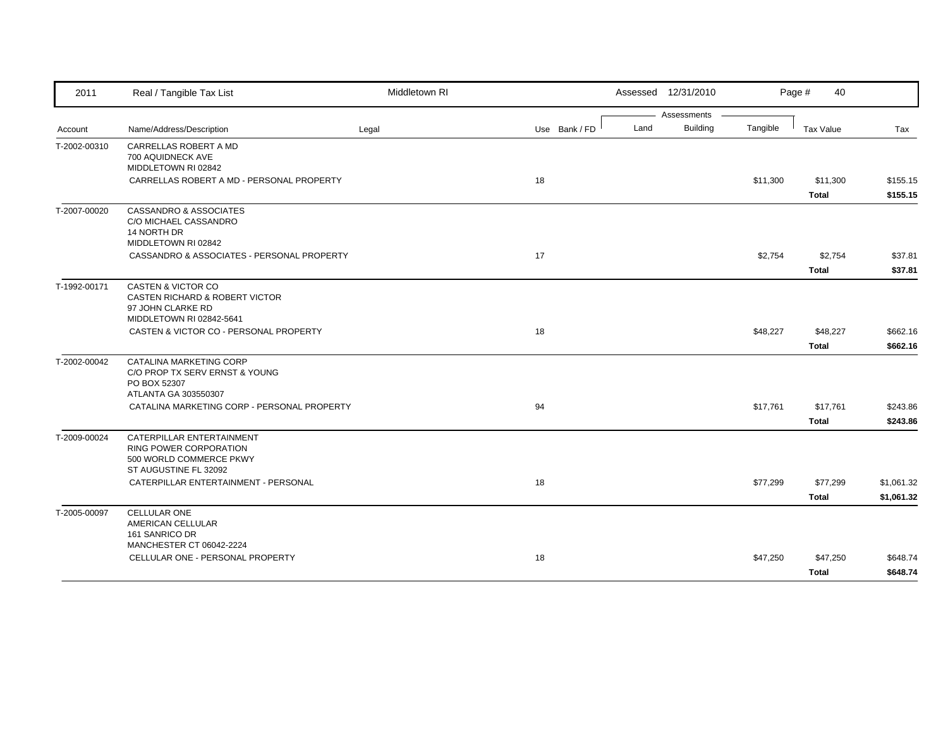| 2011                                                                                    | Real / Tangible Tax List                            | Middletown RI |               | Assessed 12/31/2010 |                 |          | Page #<br>40     |            |
|-----------------------------------------------------------------------------------------|-----------------------------------------------------|---------------|---------------|---------------------|-----------------|----------|------------------|------------|
|                                                                                         |                                                     |               |               |                     | Assessments     |          |                  |            |
|                                                                                         | Name/Address/Description                            | Legal         | Use Bank / FD | Land                | <b>Building</b> | Tangible | <b>Tax Value</b> | Tax        |
| T-2002-00310                                                                            | CARRELLAS ROBERT A MD                               |               |               |                     |                 |          |                  |            |
|                                                                                         | 700 AQUIDNECK AVE<br>MIDDLETOWN RI 02842            |               |               |                     |                 |          |                  |            |
|                                                                                         | CARRELLAS ROBERT A MD - PERSONAL PROPERTY           |               | 18            |                     |                 | \$11,300 | \$11,300         | \$155.15   |
|                                                                                         |                                                     |               |               |                     |                 |          | <b>Total</b>     | \$155.15   |
|                                                                                         | <b>CASSANDRO &amp; ASSOCIATES</b>                   |               |               |                     |                 |          |                  |            |
|                                                                                         | C/O MICHAEL CASSANDRO                               |               |               |                     |                 |          |                  |            |
|                                                                                         | 14 NORTH DR                                         |               |               |                     |                 |          |                  |            |
|                                                                                         | MIDDLETOWN RI 02842                                 |               |               |                     |                 |          |                  |            |
|                                                                                         | CASSANDRO & ASSOCIATES - PERSONAL PROPERTY          |               | 17            |                     |                 | \$2,754  | \$2,754          | \$37.81    |
|                                                                                         |                                                     |               |               |                     |                 |          | <b>Total</b>     | \$37.81    |
|                                                                                         | <b>CASTEN &amp; VICTOR CO</b>                       |               |               |                     |                 |          |                  |            |
|                                                                                         | CASTEN RICHARD & ROBERT VICTOR                      |               |               |                     |                 |          |                  |            |
|                                                                                         | 97 JOHN CLARKE RD                                   |               |               |                     |                 |          |                  |            |
|                                                                                         | MIDDLETOWN RI 02842-5641                            |               |               |                     |                 |          |                  |            |
|                                                                                         | CASTEN & VICTOR CO - PERSONAL PROPERTY              |               | 18            |                     |                 | \$48,227 | \$48,227         | \$662.16   |
|                                                                                         |                                                     |               |               |                     |                 |          | <b>Total</b>     | \$662.16   |
| Account<br>T-2007-00020<br>T-1992-00171<br>T-2002-00042<br>T-2009-00024<br>T-2005-00097 | CATALINA MARKETING CORP                             |               |               |                     |                 |          |                  |            |
|                                                                                         | C/O PROP TX SERV ERNST & YOUNG                      |               |               |                     |                 |          |                  |            |
|                                                                                         | PO BOX 52307<br>ATLANTA GA 303550307                |               |               |                     |                 |          |                  |            |
|                                                                                         | CATALINA MARKETING CORP - PERSONAL PROPERTY         |               | 94            |                     |                 | \$17,761 | \$17,761         | \$243.86   |
|                                                                                         |                                                     |               |               |                     |                 |          | <b>Total</b>     | \$243.86   |
|                                                                                         |                                                     |               |               |                     |                 |          |                  |            |
|                                                                                         | CATERPILLAR ENTERTAINMENT<br>RING POWER CORPORATION |               |               |                     |                 |          |                  |            |
|                                                                                         | 500 WORLD COMMERCE PKWY                             |               |               |                     |                 |          |                  |            |
|                                                                                         | ST AUGUSTINE FL 32092                               |               |               |                     |                 |          |                  |            |
|                                                                                         | CATERPILLAR ENTERTAINMENT - PERSONAL                |               | 18            |                     |                 | \$77,299 | \$77,299         | \$1,061.32 |
|                                                                                         |                                                     |               |               |                     |                 |          | <b>Total</b>     | \$1,061.32 |
|                                                                                         | <b>CELLULAR ONE</b>                                 |               |               |                     |                 |          |                  |            |
|                                                                                         | AMERICAN CELLULAR                                   |               |               |                     |                 |          |                  |            |
|                                                                                         | 161 SANRICO DR                                      |               |               |                     |                 |          |                  |            |
|                                                                                         | MANCHESTER CT 06042-2224                            |               |               |                     |                 |          |                  |            |
|                                                                                         | CELLULAR ONE - PERSONAL PROPERTY                    |               | 18            |                     |                 | \$47,250 | \$47,250         | \$648.74   |
|                                                                                         |                                                     |               |               |                     |                 |          | <b>Total</b>     | \$648.74   |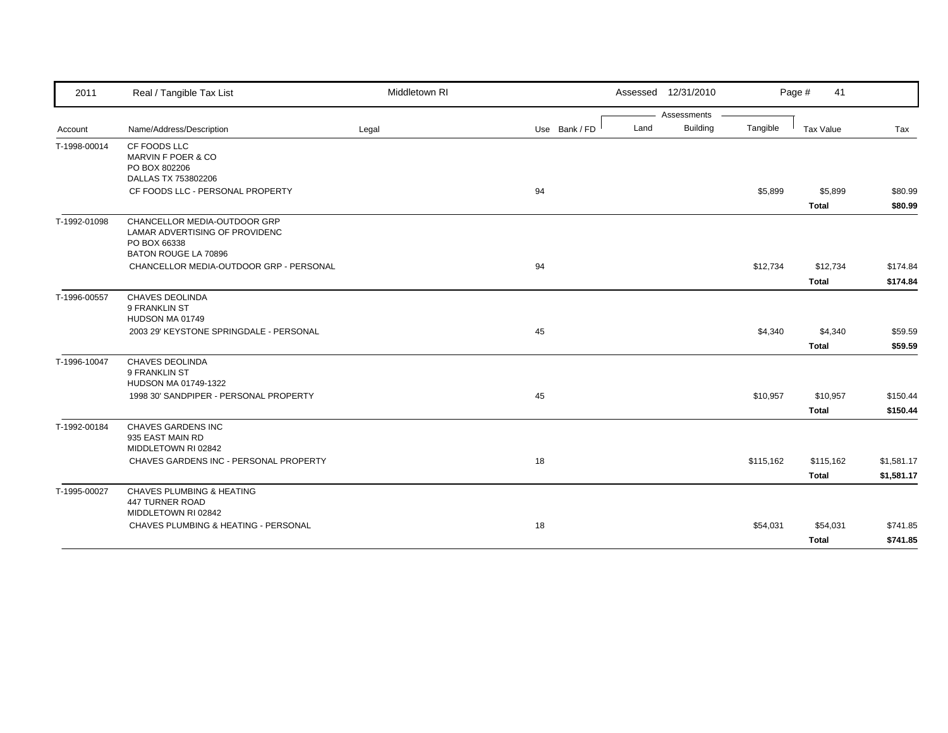| 2011         | Real / Tangible Tax List                                        | Middletown RI |               |      | Assessed 12/31/2010 |           | Page #<br>41 |            |
|--------------|-----------------------------------------------------------------|---------------|---------------|------|---------------------|-----------|--------------|------------|
|              |                                                                 |               |               |      | Assessments         |           |              |            |
| Account      | Name/Address/Description                                        | Legal         | Use Bank / FD | Land | <b>Building</b>     | Tangible  | Tax Value    | Tax        |
| T-1998-00014 | CF FOODS LLC                                                    |               |               |      |                     |           |              |            |
|              | MARVIN F POER & CO<br>PO BOX 802206                             |               |               |      |                     |           |              |            |
|              | DALLAS TX 753802206                                             |               |               |      |                     |           |              |            |
|              | CF FOODS LLC - PERSONAL PROPERTY                                |               | 94            |      |                     | \$5,899   | \$5,899      | \$80.99    |
|              |                                                                 |               |               |      |                     |           | <b>Total</b> | \$80.99    |
| T-1992-01098 | CHANCELLOR MEDIA-OUTDOOR GRP                                    |               |               |      |                     |           |              |            |
|              | LAMAR ADVERTISING OF PROVIDENC                                  |               |               |      |                     |           |              |            |
|              | PO BOX 66338                                                    |               |               |      |                     |           |              |            |
|              | BATON ROUGE LA 70896<br>CHANCELLOR MEDIA-OUTDOOR GRP - PERSONAL |               | 94            |      |                     | \$12,734  | \$12,734     | \$174.84   |
|              |                                                                 |               |               |      |                     |           |              |            |
|              |                                                                 |               |               |      |                     |           | <b>Total</b> | \$174.84   |
| T-1996-00557 | <b>CHAVES DEOLINDA</b>                                          |               |               |      |                     |           |              |            |
|              | 9 FRANKLIN ST                                                   |               |               |      |                     |           |              |            |
|              | HUDSON MA 01749<br>2003 29' KEYSTONE SPRINGDALE - PERSONAL      |               | 45            |      |                     | \$4,340   |              | \$59.59    |
|              |                                                                 |               |               |      |                     |           | \$4,340      |            |
|              |                                                                 |               |               |      |                     |           | <b>Total</b> | \$59.59    |
| T-1996-10047 | <b>CHAVES DEOLINDA</b>                                          |               |               |      |                     |           |              |            |
|              | 9 FRANKLIN ST<br>HUDSON MA 01749-1322                           |               |               |      |                     |           |              |            |
|              | 1998 30' SANDPIPER - PERSONAL PROPERTY                          |               | 45            |      |                     | \$10,957  | \$10,957     | \$150.44   |
|              |                                                                 |               |               |      |                     |           |              |            |
|              |                                                                 |               |               |      |                     |           | <b>Total</b> | \$150.44   |
| T-1992-00184 | CHAVES GARDENS INC                                              |               |               |      |                     |           |              |            |
|              | 935 EAST MAIN RD<br>MIDDLETOWN RI 02842                         |               |               |      |                     |           |              |            |
|              | CHAVES GARDENS INC - PERSONAL PROPERTY                          |               | 18            |      |                     | \$115,162 | \$115,162    | \$1,581.17 |
|              |                                                                 |               |               |      |                     |           |              |            |
|              |                                                                 |               |               |      |                     |           | <b>Total</b> | \$1,581.17 |
| T-1995-00027 | <b>CHAVES PLUMBING &amp; HEATING</b>                            |               |               |      |                     |           |              |            |
|              | 447 TURNER ROAD<br>MIDDLETOWN RI 02842                          |               |               |      |                     |           |              |            |
|              | CHAVES PLUMBING & HEATING - PERSONAL                            |               | 18            |      |                     | \$54,031  | \$54,031     | \$741.85   |
|              |                                                                 |               |               |      |                     |           |              |            |
|              |                                                                 |               |               |      |                     |           | <b>Total</b> | \$741.85   |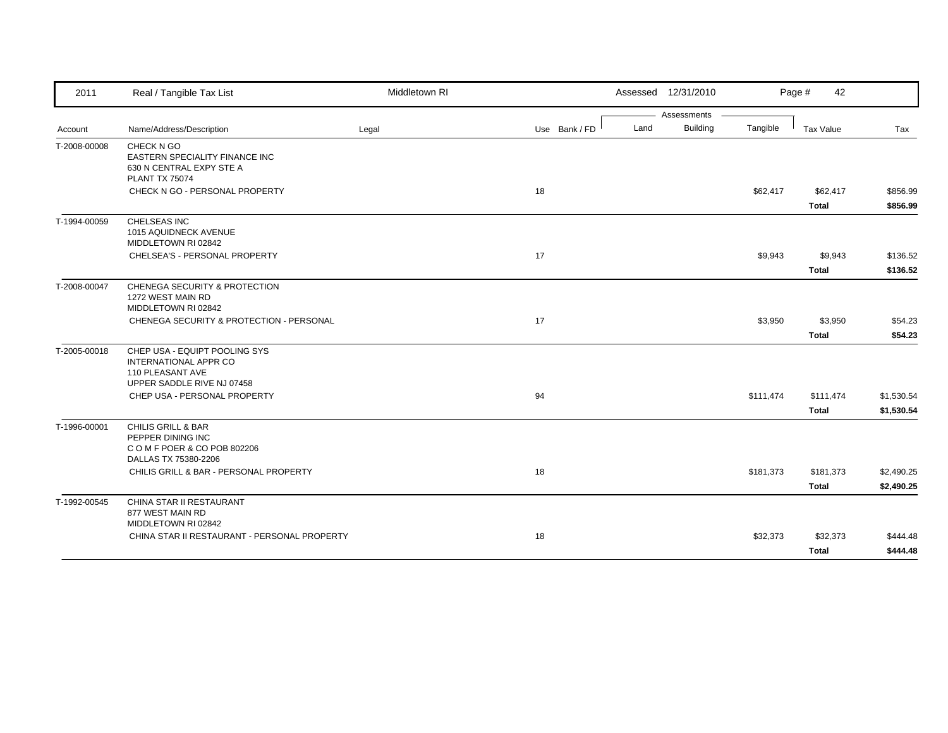| 2011         | Real / Tangible Tax List                                                                                 | Middletown RI |               |      | Assessed 12/31/2010 |           | Page #<br>42              |                          |
|--------------|----------------------------------------------------------------------------------------------------------|---------------|---------------|------|---------------------|-----------|---------------------------|--------------------------|
|              |                                                                                                          |               |               |      | Assessments         |           |                           |                          |
| Account      | Name/Address/Description                                                                                 | Legal         | Use Bank / FD | Land | <b>Building</b>     | Tangible  | <b>Tax Value</b>          | Tax                      |
| T-2008-00008 | CHECK N GO<br>EASTERN SPECIALITY FINANCE INC<br>630 N CENTRAL EXPY STE A<br><b>PLANT TX 75074</b>        |               |               |      |                     |           |                           |                          |
|              | CHECK N GO - PERSONAL PROPERTY                                                                           |               | 18            |      |                     | \$62,417  | \$62,417<br><b>Total</b>  | \$856.99<br>\$856.99     |
| T-1994-00059 | CHELSEAS INC<br>1015 AQUIDNECK AVENUE<br>MIDDLETOWN RI 02842                                             |               |               |      |                     |           |                           |                          |
|              | CHELSEA'S - PERSONAL PROPERTY                                                                            |               | 17            |      |                     | \$9,943   | \$9,943<br><b>Total</b>   | \$136.52<br>\$136.52     |
| T-2008-00047 | <b>CHENEGA SECURITY &amp; PROTECTION</b><br>1272 WEST MAIN RD<br>MIDDLETOWN RI 02842                     |               |               |      |                     |           |                           |                          |
|              | CHENEGA SECURITY & PROTECTION - PERSONAL                                                                 |               | 17            |      |                     | \$3,950   | \$3,950<br><b>Total</b>   | \$54.23<br>\$54.23       |
| T-2005-00018 | CHEP USA - EQUIPT POOLING SYS<br>INTERNATIONAL APPR CO<br>110 PLEASANT AVE<br>UPPER SADDLE RIVE NJ 07458 |               |               |      |                     |           |                           |                          |
|              | CHEP USA - PERSONAL PROPERTY                                                                             |               | 94            |      |                     | \$111,474 | \$111,474<br><b>Total</b> | \$1,530.54<br>\$1,530.54 |
| T-1996-00001 | CHILIS GRILL & BAR<br>PEPPER DINING INC<br>COMFPOER & COPOB 802206<br>DALLAS TX 75380-2206               |               |               |      |                     |           |                           |                          |
|              | CHILIS GRILL & BAR - PERSONAL PROPERTY                                                                   |               | 18            |      |                     | \$181,373 | \$181,373<br><b>Total</b> | \$2,490.25<br>\$2,490.25 |
| T-1992-00545 | CHINA STAR II RESTAURANT<br>877 WEST MAIN RD<br>MIDDLETOWN RI 02842                                      |               |               |      |                     |           |                           |                          |
|              | CHINA STAR II RESTAURANT - PERSONAL PROPERTY                                                             |               | 18            |      |                     | \$32,373  | \$32,373<br><b>Total</b>  | \$444.48<br>\$444.48     |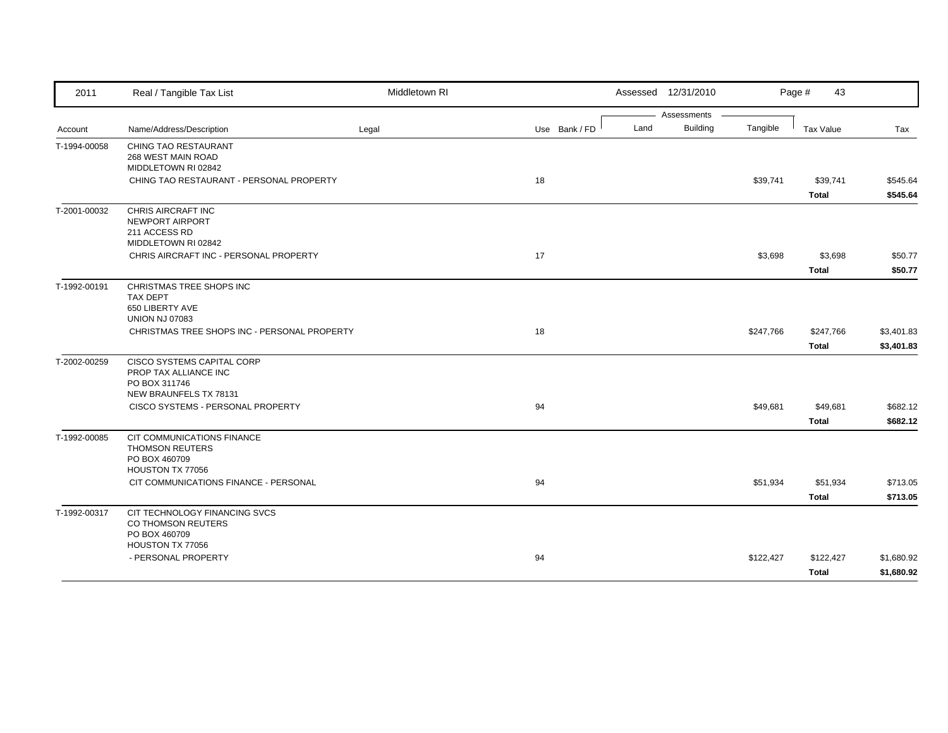| 2011                         | Real / Tangible Tax List                     | Middletown RI |               |      | Assessed 12/31/2010 |           | Page #<br>43     |            |
|------------------------------|----------------------------------------------|---------------|---------------|------|---------------------|-----------|------------------|------------|
|                              |                                              |               |               |      | Assessments         |           |                  |            |
| Account                      | Name/Address/Description                     | Legal         | Use Bank / FD | Land | Building            | Tangible  | <b>Tax Value</b> | Tax        |
| T-1994-00058                 | <b>CHING TAO RESTAURANT</b>                  |               |               |      |                     |           |                  |            |
|                              | 268 WEST MAIN ROAD<br>MIDDLETOWN RI 02842    |               |               |      |                     |           |                  |            |
|                              | CHING TAO RESTAURANT - PERSONAL PROPERTY     |               | 18            |      |                     | \$39,741  | \$39,741         | \$545.64   |
|                              |                                              |               |               |      |                     |           | <b>Total</b>     | \$545.64   |
| T-2001-00032                 | CHRIS AIRCRAFT INC                           |               |               |      |                     |           |                  |            |
|                              | NEWPORT AIRPORT<br>211 ACCESS RD             |               |               |      |                     |           |                  |            |
|                              | MIDDLETOWN RI 02842                          |               |               |      |                     |           |                  |            |
|                              | CHRIS AIRCRAFT INC - PERSONAL PROPERTY       |               | 17            |      |                     | \$3,698   | \$3,698          | \$50.77    |
|                              |                                              |               |               |      |                     |           | <b>Total</b>     | \$50.77    |
|                              | CHRISTMAS TREE SHOPS INC                     |               |               |      |                     |           |                  |            |
|                              | <b>TAX DEPT</b>                              |               |               |      |                     |           |                  |            |
|                              | 650 LIBERTY AVE<br><b>UNION NJ 07083</b>     |               |               |      |                     |           |                  |            |
|                              | CHRISTMAS TREE SHOPS INC - PERSONAL PROPERTY |               | 18            |      |                     | \$247,766 | \$247,766        | \$3,401.83 |
|                              |                                              |               |               |      |                     |           | <b>Total</b>     | \$3,401.83 |
|                              | <b>CISCO SYSTEMS CAPITAL CORP</b>            |               |               |      |                     |           |                  |            |
| T-1992-00191<br>T-2002-00259 | PROP TAX ALLIANCE INC                        |               |               |      |                     |           |                  |            |
|                              | PO BOX 311746                                |               |               |      |                     |           |                  |            |
|                              | NEW BRAUNFELS TX 78131                       |               |               |      |                     |           |                  |            |
|                              | CISCO SYSTEMS - PERSONAL PROPERTY            |               | 94            |      |                     | \$49,681  | \$49,681         | \$682.12   |
|                              |                                              |               |               |      |                     |           | <b>Total</b>     | \$682.12   |
| T-1992-00085                 | CIT COMMUNICATIONS FINANCE                   |               |               |      |                     |           |                  |            |
|                              | <b>THOMSON REUTERS</b><br>PO BOX 460709      |               |               |      |                     |           |                  |            |
|                              | HOUSTON TX 77056                             |               |               |      |                     |           |                  |            |
|                              | CIT COMMUNICATIONS FINANCE - PERSONAL        |               | 94            |      |                     | \$51,934  | \$51,934         | \$713.05   |
|                              |                                              |               |               |      |                     |           | <b>Total</b>     | \$713.05   |
| T-1992-00317                 | CIT TECHNOLOGY FINANCING SVCS                |               |               |      |                     |           |                  |            |
|                              | CO THOMSON REUTERS                           |               |               |      |                     |           |                  |            |
|                              | PO BOX 460709<br>HOUSTON TX 77056            |               |               |      |                     |           |                  |            |
|                              | - PERSONAL PROPERTY                          |               | 94            |      |                     | \$122,427 | \$122,427        | \$1,680.92 |
|                              |                                              |               |               |      |                     |           | <b>Total</b>     | \$1,680.92 |
|                              |                                              |               |               |      |                     |           |                  |            |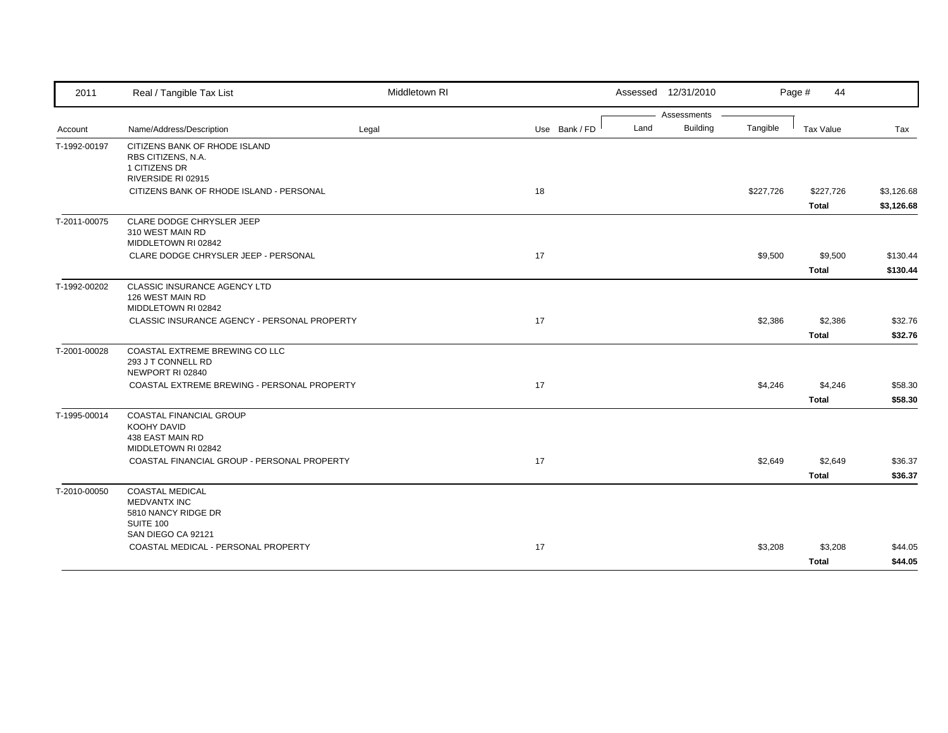| 2011         | Real / Tangible Tax List                                                                   | Middletown RI |               | Assessed 12/31/2010     |           | Page #<br>44     |            |
|--------------|--------------------------------------------------------------------------------------------|---------------|---------------|-------------------------|-----------|------------------|------------|
|              |                                                                                            |               |               | Assessments             |           |                  |            |
| Account      | Name/Address/Description                                                                   | Legal         | Use Bank / FD | <b>Building</b><br>Land | Tangible  | <b>Tax Value</b> | Tax        |
| T-1992-00197 | CITIZENS BANK OF RHODE ISLAND<br>RBS CITIZENS, N.A.<br>1 CITIZENS DR<br>RIVERSIDE RI 02915 |               |               |                         |           |                  |            |
|              | CITIZENS BANK OF RHODE ISLAND - PERSONAL                                                   |               | 18            |                         | \$227,726 | \$227,726        | \$3,126.68 |
|              |                                                                                            |               |               |                         |           | <b>Total</b>     | \$3,126.68 |
| T-2011-00075 | CLARE DODGE CHRYSLER JEEP<br>310 WEST MAIN RD<br>MIDDLETOWN RI 02842                       |               |               |                         |           |                  |            |
|              | CLARE DODGE CHRYSLER JEEP - PERSONAL                                                       |               | 17            |                         | \$9,500   | \$9,500          | \$130.44   |
|              |                                                                                            |               |               |                         |           | <b>Total</b>     | \$130.44   |
| T-1992-00202 | CLASSIC INSURANCE AGENCY LTD<br>126 WEST MAIN RD<br>MIDDLETOWN RI 02842                    |               |               |                         |           |                  |            |
|              | CLASSIC INSURANCE AGENCY - PERSONAL PROPERTY                                               |               | 17            |                         | \$2,386   | \$2,386          | \$32.76    |
|              |                                                                                            |               |               |                         |           | <b>Total</b>     | \$32.76    |
| T-2001-00028 | COASTAL EXTREME BREWING CO LLC<br>293 J T CONNELL RD<br>NEWPORT RI 02840                   |               |               |                         |           |                  |            |
|              | COASTAL EXTREME BREWING - PERSONAL PROPERTY                                                |               | 17            |                         | \$4,246   | \$4,246          | \$58.30    |
|              |                                                                                            |               |               |                         |           | <b>Total</b>     | \$58.30    |
| T-1995-00014 | COASTAL FINANCIAL GROUP<br>KOOHY DAVID<br>438 EAST MAIN RD<br>MIDDLETOWN RI 02842          |               |               |                         |           |                  |            |
|              | COASTAL FINANCIAL GROUP - PERSONAL PROPERTY                                                |               | 17            |                         | \$2,649   | \$2,649          | \$36.37    |
|              |                                                                                            |               |               |                         |           | <b>Total</b>     | \$36.37    |
| T-2010-00050 | COASTAL MEDICAL<br><b>MEDVANTX INC</b><br>5810 NANCY RIDGE DR<br>SUITE 100                 |               |               |                         |           |                  |            |
|              | SAN DIEGO CA 92121                                                                         |               |               |                         |           |                  |            |
|              | COASTAL MEDICAL - PERSONAL PROPERTY                                                        |               | 17            |                         | \$3,208   | \$3,208          | \$44.05    |
|              |                                                                                            |               |               |                         |           | <b>Total</b>     | \$44.05    |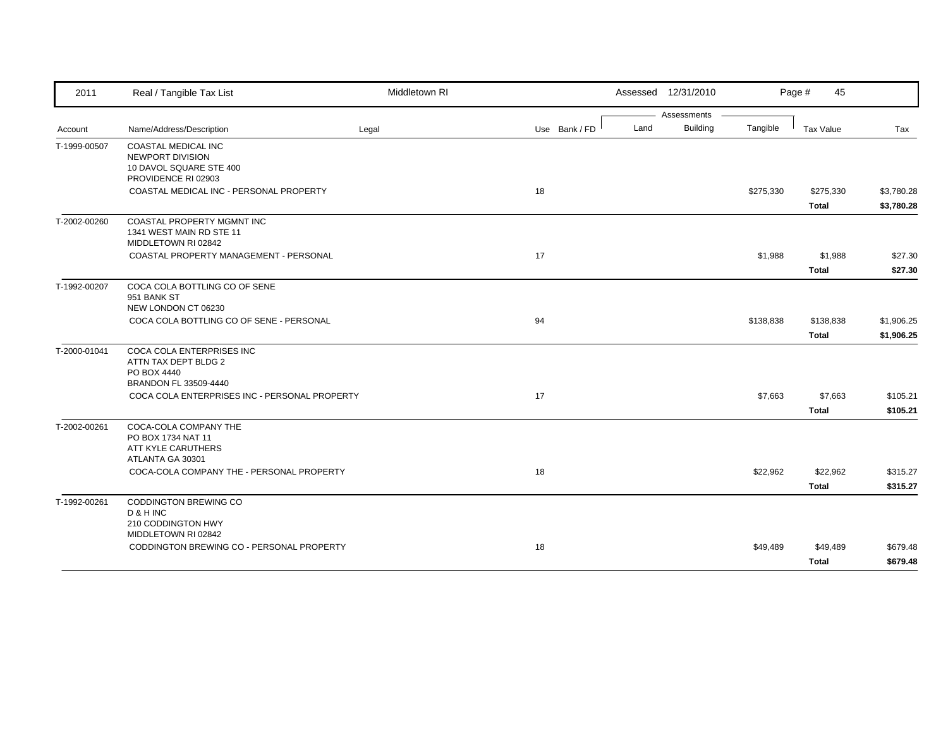| 2011         | Real / Tangible Tax List                                                                                                                   | Middletown RI |               |      | Assessed 12/31/2010 |           | Page #<br>45            |                      |
|--------------|--------------------------------------------------------------------------------------------------------------------------------------------|---------------|---------------|------|---------------------|-----------|-------------------------|----------------------|
|              |                                                                                                                                            |               |               |      | Assessments         |           |                         |                      |
| Account      | Name/Address/Description                                                                                                                   | Legal         | Use Bank / FD | Land | <b>Building</b>     | Tangible  | Tax Value               | Tax                  |
| T-1999-00507 | <b>COASTAL MEDICAL INC</b><br>NEWPORT DIVISION<br>10 DAVOL SQUARE STE 400<br>PROVIDENCE RI 02903                                           |               |               |      |                     |           |                         |                      |
|              | COASTAL MEDICAL INC - PERSONAL PROPERTY                                                                                                    |               | 18            |      |                     | \$275,330 | \$275,330               | \$3,780.28           |
|              |                                                                                                                                            |               |               |      |                     |           | <b>Total</b>            | \$3,780.28           |
| T-2002-00260 | <b>COASTAL PROPERTY MGMNT INC</b><br>1341 WEST MAIN RD STE 11<br>MIDDLETOWN RI 02842                                                       |               |               |      |                     |           |                         |                      |
|              | COASTAL PROPERTY MANAGEMENT - PERSONAL                                                                                                     |               | 17            |      |                     | \$1,988   | \$1,988                 | \$27.30              |
|              |                                                                                                                                            |               |               |      |                     |           | <b>Total</b>            | \$27.30              |
| T-1992-00207 | COCA COLA BOTTLING CO OF SENE<br>951 BANK ST<br>NEW LONDON CT 06230                                                                        |               |               |      |                     |           |                         |                      |
|              | COCA COLA BOTTLING CO OF SENE - PERSONAL                                                                                                   |               | 94            |      |                     | \$138,838 | \$138,838               | \$1,906.25           |
|              |                                                                                                                                            |               |               |      |                     |           | <b>Total</b>            | \$1,906.25           |
| T-2000-01041 | COCA COLA ENTERPRISES INC<br>ATTN TAX DEPT BLDG 2<br>PO BOX 4440<br>BRANDON FL 33509-4440<br>COCA COLA ENTERPRISES INC - PERSONAL PROPERTY |               | 17            |      |                     | \$7,663   | \$7,663<br><b>Total</b> | \$105.21<br>\$105.21 |
| T-2002-00261 | COCA-COLA COMPANY THE<br>PO BOX 1734 NAT 11<br>ATT KYLE CARUTHERS<br>ATLANTA GA 30301                                                      |               |               |      |                     |           |                         |                      |
|              | COCA-COLA COMPANY THE - PERSONAL PROPERTY                                                                                                  |               | 18            |      |                     | \$22,962  | \$22,962                | \$315.27             |
|              |                                                                                                                                            |               |               |      |                     |           | <b>Total</b>            | \$315.27             |
| T-1992-00261 | CODDINGTON BREWING CO<br>D & H INC<br>210 CODDINGTON HWY<br>MIDDLETOWN RI 02842                                                            |               |               |      |                     |           |                         |                      |
|              | CODDINGTON BREWING CO - PERSONAL PROPERTY                                                                                                  |               | 18            |      |                     | \$49,489  | \$49,489                | \$679.48             |
|              |                                                                                                                                            |               |               |      |                     |           | <b>Total</b>            | \$679.48             |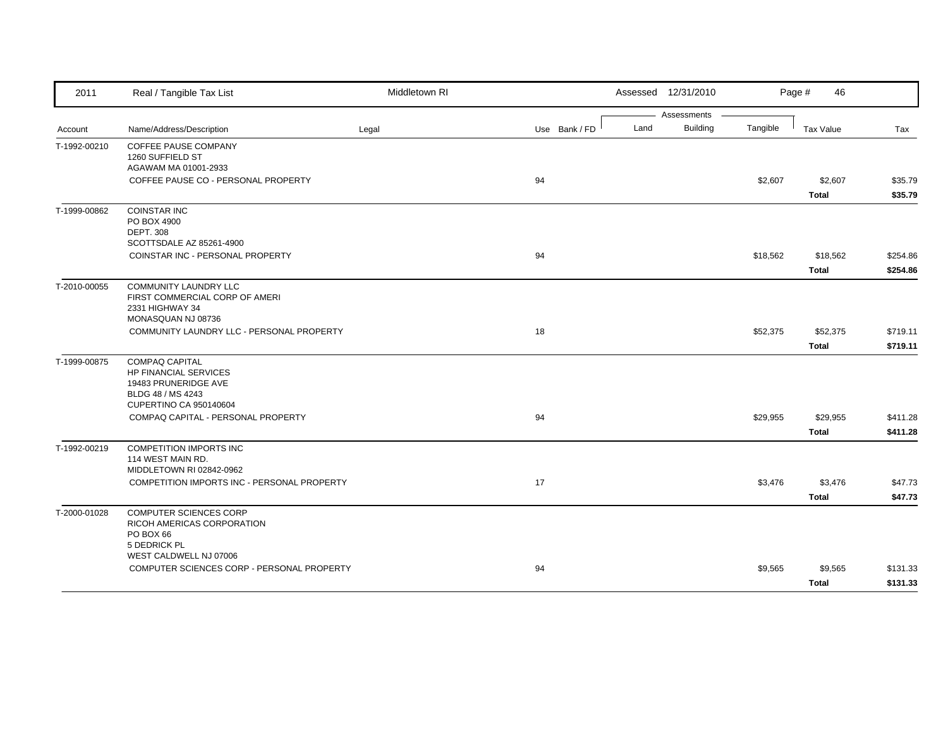| 2011         | Real / Tangible Tax List                                                                                                            | Middletown RI |               |      | Assessed 12/31/2010            |          | Page #<br>46             |                      |
|--------------|-------------------------------------------------------------------------------------------------------------------------------------|---------------|---------------|------|--------------------------------|----------|--------------------------|----------------------|
| Account      | Name/Address/Description                                                                                                            | Legal         | Use Bank / FD | Land | Assessments<br><b>Building</b> | Tangible | <b>Tax Value</b>         | Tax                  |
| T-1992-00210 | <b>COFFEE PAUSE COMPANY</b><br>1260 SUFFIELD ST<br>AGAWAM MA 01001-2933                                                             |               |               |      |                                |          |                          |                      |
|              | COFFEE PAUSE CO - PERSONAL PROPERTY                                                                                                 |               | 94            |      |                                | \$2,607  | \$2,607<br><b>Total</b>  | \$35.79<br>\$35.79   |
| T-1999-00862 | <b>COINSTAR INC</b><br>PO BOX 4900<br><b>DEPT. 308</b><br>SCOTTSDALE AZ 85261-4900                                                  |               |               |      |                                |          |                          |                      |
|              | COINSTAR INC - PERSONAL PROPERTY                                                                                                    |               | 94            |      |                                | \$18,562 | \$18,562<br><b>Total</b> | \$254.86<br>\$254.86 |
| T-2010-00055 | <b>COMMUNITY LAUNDRY LLC</b><br>FIRST COMMERCIAL CORP OF AMERI<br>2331 HIGHWAY 34<br>MONASQUAN NJ 08736                             |               |               |      |                                |          |                          |                      |
|              | COMMUNITY LAUNDRY LLC - PERSONAL PROPERTY                                                                                           |               | 18            |      |                                | \$52,375 | \$52,375<br><b>Total</b> | \$719.11<br>\$719.11 |
| T-1999-00875 | <b>COMPAQ CAPITAL</b><br><b>HP FINANCIAL SERVICES</b><br>19483 PRUNERIDGE AVE<br>BLDG 48 / MS 4243<br><b>CUPERTINO CA 950140604</b> |               |               |      |                                |          |                          |                      |
|              | COMPAQ CAPITAL - PERSONAL PROPERTY                                                                                                  |               | 94            |      |                                | \$29,955 | \$29,955<br><b>Total</b> | \$411.28<br>\$411.28 |
| T-1992-00219 | <b>COMPETITION IMPORTS INC</b><br>114 WEST MAIN RD.<br>MIDDLETOWN RI 02842-0962                                                     |               |               |      |                                |          |                          |                      |
|              | COMPETITION IMPORTS INC - PERSONAL PROPERTY                                                                                         |               | 17            |      |                                | \$3,476  | \$3,476<br><b>Total</b>  | \$47.73<br>\$47.73   |
| T-2000-01028 | <b>COMPUTER SCIENCES CORP</b><br>RICOH AMERICAS CORPORATION<br>PO BOX 66<br>5 DEDRICK PL                                            |               |               |      |                                |          |                          |                      |
|              | WEST CALDWELL NJ 07006<br>COMPUTER SCIENCES CORP - PERSONAL PROPERTY                                                                |               | 94            |      |                                | \$9,565  | \$9,565<br><b>Total</b>  | \$131.33<br>\$131.33 |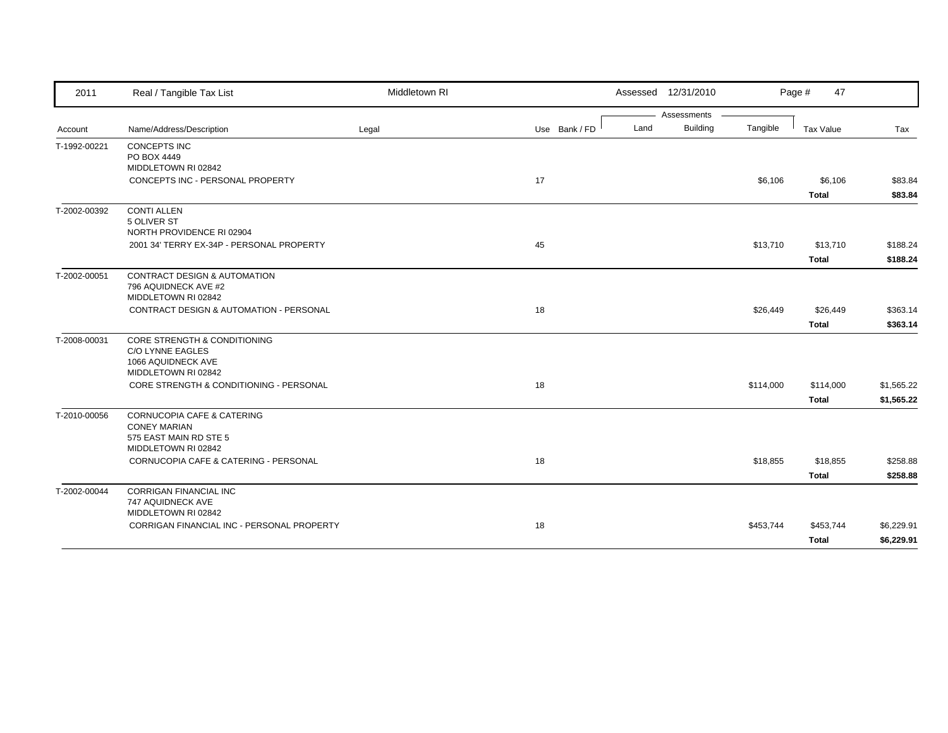| 2011         | Real / Tangible Tax List                                          | Middletown RI |               |      | Assessed 12/31/2010 |           | Page #<br>47 |            |
|--------------|-------------------------------------------------------------------|---------------|---------------|------|---------------------|-----------|--------------|------------|
|              |                                                                   |               |               |      | Assessments         |           |              |            |
| Account      | Name/Address/Description                                          | Legal         | Use Bank / FD | Land | <b>Building</b>     | Tangible  | Tax Value    | Tax        |
| T-1992-00221 | <b>CONCEPTS INC</b><br>PO BOX 4449                                |               |               |      |                     |           |              |            |
|              | MIDDLETOWN RI 02842                                               |               |               |      |                     |           |              |            |
|              | CONCEPTS INC - PERSONAL PROPERTY                                  |               | 17            |      |                     | \$6,106   | \$6,106      | \$83.84    |
|              |                                                                   |               |               |      |                     |           | <b>Total</b> | \$83.84    |
| T-2002-00392 | <b>CONTI ALLEN</b>                                                |               |               |      |                     |           |              |            |
|              | 5 OLIVER ST<br>NORTH PROVIDENCE RI 02904                          |               |               |      |                     |           |              |            |
|              | 2001 34' TERRY EX-34P - PERSONAL PROPERTY                         |               | 45            |      |                     | \$13,710  | \$13,710     | \$188.24   |
|              |                                                                   |               |               |      |                     |           | <b>Total</b> | \$188.24   |
| T-2002-00051 | <b>CONTRACT DESIGN &amp; AUTOMATION</b>                           |               |               |      |                     |           |              |            |
|              | 796 AQUIDNECK AVE #2                                              |               |               |      |                     |           |              |            |
|              | MIDDLETOWN RI 02842                                               |               |               |      |                     |           |              |            |
|              | <b>CONTRACT DESIGN &amp; AUTOMATION - PERSONAL</b>                |               | 18            |      |                     | \$26,449  | \$26,449     | \$363.14   |
|              |                                                                   |               |               |      |                     |           | <b>Total</b> | \$363.14   |
| T-2008-00031 | CORE STRENGTH & CONDITIONING                                      |               |               |      |                     |           |              |            |
|              | <b>C/O LYNNE EAGLES</b><br>1066 AQUIDNECK AVE                     |               |               |      |                     |           |              |            |
|              | MIDDLETOWN RI 02842                                               |               |               |      |                     |           |              |            |
|              | CORE STRENGTH & CONDITIONING - PERSONAL                           |               | 18            |      |                     | \$114,000 | \$114,000    | \$1,565.22 |
|              |                                                                   |               |               |      |                     |           | <b>Total</b> | \$1,565.22 |
| T-2010-00056 | CORNUCOPIA CAFE & CATERING                                        |               |               |      |                     |           |              |            |
|              | <b>CONEY MARIAN</b>                                               |               |               |      |                     |           |              |            |
|              | 575 EAST MAIN RD STE 5<br>MIDDLETOWN RI 02842                     |               |               |      |                     |           |              |            |
|              | CORNUCOPIA CAFE & CATERING - PERSONAL                             |               | 18            |      |                     | \$18,855  | \$18,855     | \$258.88   |
|              |                                                                   |               |               |      |                     |           | <b>Total</b> | \$258.88   |
| T-2002-00044 | <b>CORRIGAN FINANCIAL INC</b>                                     |               |               |      |                     |           |              |            |
|              | 747 AQUIDNECK AVE                                                 |               |               |      |                     |           |              |            |
|              | MIDDLETOWN RI 02842<br>CORRIGAN FINANCIAL INC - PERSONAL PROPERTY |               | 18            |      |                     |           |              |            |
|              |                                                                   |               |               |      |                     | \$453,744 | \$453,744    | \$6,229.91 |
|              |                                                                   |               |               |      |                     |           | <b>Total</b> | \$6,229.91 |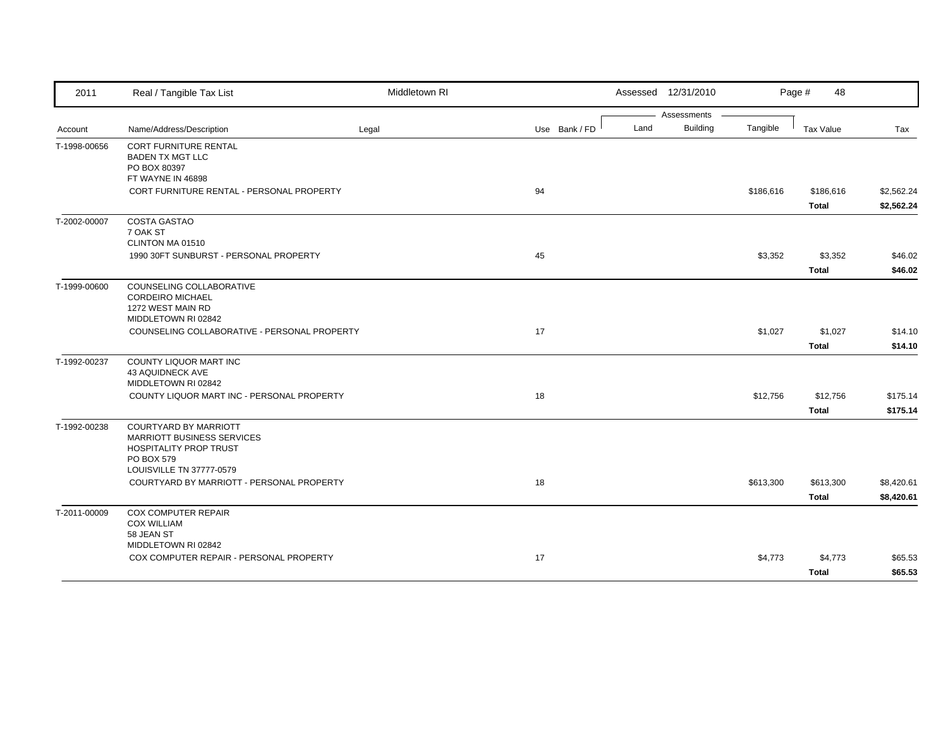| 2011         | Real / Tangible Tax List                                          | Middletown RI |               |      | Assessed 12/31/2010 |           | Page #<br>48     |            |
|--------------|-------------------------------------------------------------------|---------------|---------------|------|---------------------|-----------|------------------|------------|
|              |                                                                   |               |               |      | Assessments         |           |                  |            |
| Account      | Name/Address/Description                                          | Legal         | Use Bank / FD | Land | <b>Building</b>     | Tangible  | <b>Tax Value</b> | Tax        |
| T-1998-00656 | <b>CORT FURNITURE RENTAL</b><br><b>BADEN TX MGT LLC</b>           |               |               |      |                     |           |                  |            |
|              | PO BOX 80397                                                      |               |               |      |                     |           |                  |            |
|              | FT WAYNE IN 46898                                                 |               |               |      |                     |           |                  |            |
|              | CORT FURNITURE RENTAL - PERSONAL PROPERTY                         |               | 94            |      |                     | \$186,616 | \$186,616        | \$2,562.24 |
|              |                                                                   |               |               |      |                     |           | Total            | \$2,562.24 |
| T-2002-00007 | <b>COSTA GASTAO</b>                                               |               |               |      |                     |           |                  |            |
|              | 7 OAK ST                                                          |               |               |      |                     |           |                  |            |
|              | CLINTON MA 01510                                                  |               | 45            |      |                     |           |                  |            |
|              | 1990 30FT SUNBURST - PERSONAL PROPERTY                            |               |               |      |                     | \$3,352   | \$3,352          | \$46.02    |
|              |                                                                   |               |               |      |                     |           | <b>Total</b>     | \$46.02    |
| T-1999-00600 | COUNSELING COLLABORATIVE<br><b>CORDEIRO MICHAEL</b>               |               |               |      |                     |           |                  |            |
|              | 1272 WEST MAIN RD                                                 |               |               |      |                     |           |                  |            |
|              | MIDDLETOWN RI 02842                                               |               |               |      |                     |           |                  |            |
|              | COUNSELING COLLABORATIVE - PERSONAL PROPERTY                      |               | 17            |      |                     | \$1,027   | \$1,027          | \$14.10    |
|              |                                                                   |               |               |      |                     |           | <b>Total</b>     | \$14.10    |
| T-1992-00237 | COUNTY LIQUOR MART INC                                            |               |               |      |                     |           |                  |            |
|              | 43 AQUIDNECK AVE                                                  |               |               |      |                     |           |                  |            |
|              | MIDDLETOWN RI 02842<br>COUNTY LIQUOR MART INC - PERSONAL PROPERTY |               |               |      |                     |           |                  |            |
|              |                                                                   |               | 18            |      |                     | \$12,756  | \$12,756         | \$175.14   |
|              |                                                                   |               |               |      |                     |           | Total            | \$175.14   |
| T-1992-00238 | <b>COURTYARD BY MARRIOTT</b><br>MARRIOTT BUSINESS SERVICES        |               |               |      |                     |           |                  |            |
|              | HOSPITALITY PROP TRUST                                            |               |               |      |                     |           |                  |            |
|              | PO BOX 579                                                        |               |               |      |                     |           |                  |            |
|              | LOUISVILLE TN 37777-0579                                          |               |               |      |                     |           |                  |            |
|              | COURTYARD BY MARRIOTT - PERSONAL PROPERTY                         |               | 18            |      |                     | \$613,300 | \$613,300        | \$8,420.61 |
|              |                                                                   |               |               |      |                     |           | <b>Total</b>     | \$8,420.61 |
| T-2011-00009 | COX COMPUTER REPAIR                                               |               |               |      |                     |           |                  |            |
|              | <b>COX WILLIAM</b><br>58 JEAN ST                                  |               |               |      |                     |           |                  |            |
|              | MIDDLETOWN RI 02842                                               |               |               |      |                     |           |                  |            |
|              | COX COMPUTER REPAIR - PERSONAL PROPERTY                           |               | 17            |      |                     | \$4,773   | \$4,773          | \$65.53    |
|              |                                                                   |               |               |      |                     |           | Total            | \$65.53    |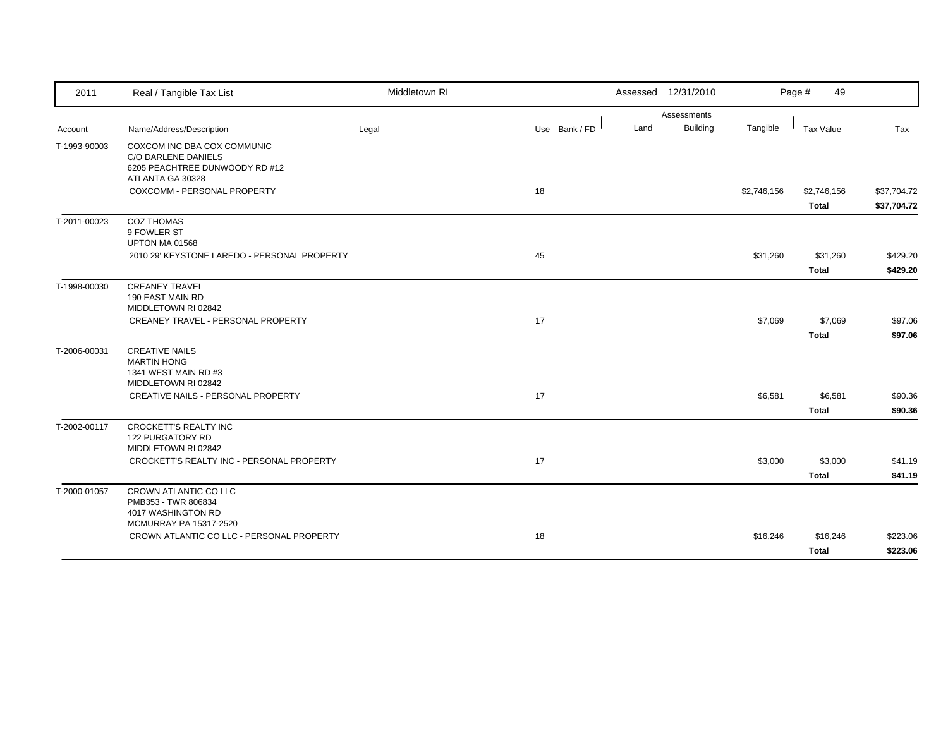| Assessments<br><b>Building</b><br>Land<br>Name/Address/Description<br>Use Bank / FD<br>Legal<br>Account<br>COXCOM INC DBA COX COMMUNIC<br>T-1993-90003<br>C/O DARLENE DANIELS<br>6205 PEACHTREE DUNWOODY RD #12 | Tangible<br>\$2,746,156 | Tax Value<br>\$2,746,156 | Tax         |
|-----------------------------------------------------------------------------------------------------------------------------------------------------------------------------------------------------------------|-------------------------|--------------------------|-------------|
|                                                                                                                                                                                                                 |                         |                          |             |
|                                                                                                                                                                                                                 |                         |                          |             |
|                                                                                                                                                                                                                 |                         |                          |             |
|                                                                                                                                                                                                                 |                         |                          |             |
| ATLANTA GA 30328                                                                                                                                                                                                |                         |                          |             |
| COXCOMM - PERSONAL PROPERTY<br>18                                                                                                                                                                               |                         |                          | \$37,704.72 |
|                                                                                                                                                                                                                 |                         | <b>Total</b>             | \$37,704.72 |
| <b>COZ THOMAS</b><br>T-2011-00023                                                                                                                                                                               |                         |                          |             |
| 9 FOWLER ST                                                                                                                                                                                                     |                         |                          |             |
| UPTON MA 01568                                                                                                                                                                                                  |                         |                          |             |
| 2010 29' KEYSTONE LAREDO - PERSONAL PROPERTY<br>45                                                                                                                                                              | \$31,260                | \$31,260                 | \$429.20    |
|                                                                                                                                                                                                                 |                         | <b>Total</b>             | \$429.20    |
| <b>CREANEY TRAVEL</b><br>T-1998-00030                                                                                                                                                                           |                         |                          |             |
| 190 EAST MAIN RD<br>MIDDLETOWN RI 02842                                                                                                                                                                         |                         |                          |             |
| 17<br>CREANEY TRAVEL - PERSONAL PROPERTY                                                                                                                                                                        | \$7,069                 | \$7,069                  | \$97.06     |
|                                                                                                                                                                                                                 |                         | <b>Total</b>             | \$97.06     |
| T-2006-00031<br><b>CREATIVE NAILS</b>                                                                                                                                                                           |                         |                          |             |
| <b>MARTIN HONG</b>                                                                                                                                                                                              |                         |                          |             |
| 1341 WEST MAIN RD #3                                                                                                                                                                                            |                         |                          |             |
| MIDDLETOWN RI 02842                                                                                                                                                                                             |                         |                          |             |
| CREATIVE NAILS - PERSONAL PROPERTY<br>17                                                                                                                                                                        | \$6,581                 | \$6,581                  | \$90.36     |
|                                                                                                                                                                                                                 |                         | <b>Total</b>             | \$90.36     |
| T-2002-00117<br>CROCKETT'S REALTY INC                                                                                                                                                                           |                         |                          |             |
| 122 PURGATORY RD                                                                                                                                                                                                |                         |                          |             |
| MIDDLETOWN RI 02842                                                                                                                                                                                             |                         |                          |             |
| CROCKETT'S REALTY INC - PERSONAL PROPERTY<br>17                                                                                                                                                                 | \$3,000                 | \$3,000                  | \$41.19     |
|                                                                                                                                                                                                                 |                         | <b>Total</b>             | \$41.19     |
| CROWN ATLANTIC CO LLC<br>T-2000-01057                                                                                                                                                                           |                         |                          |             |
| PMB353 - TWR 806834<br>4017 WASHINGTON RD                                                                                                                                                                       |                         |                          |             |
| <b>MCMURRAY PA 15317-2520</b>                                                                                                                                                                                   |                         |                          |             |
| CROWN ATLANTIC CO LLC - PERSONAL PROPERTY<br>18                                                                                                                                                                 | \$16,246                | \$16,246                 | \$223.06    |
|                                                                                                                                                                                                                 |                         | <b>Total</b>             | \$223.06    |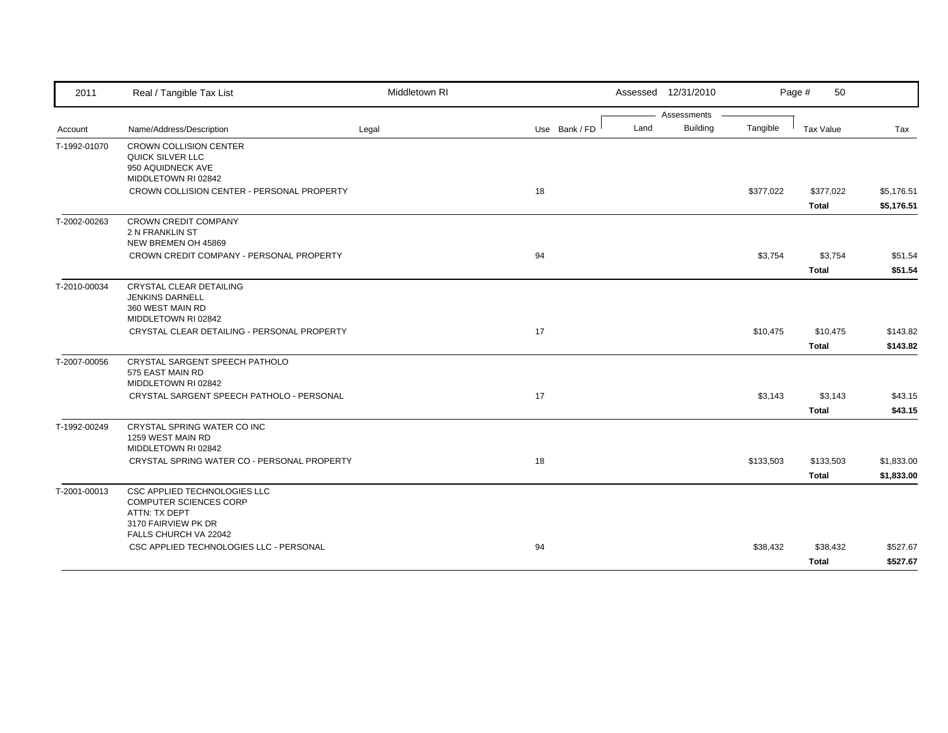| 2011         | Real / Tangible Tax List                                                                                                | Middletown RI |               | Assessed 12/31/2010                    |           | Page #<br>50              |                          |
|--------------|-------------------------------------------------------------------------------------------------------------------------|---------------|---------------|----------------------------------------|-----------|---------------------------|--------------------------|
|              |                                                                                                                         |               |               | Assessments<br><b>Building</b><br>Land | Tangible  |                           |                          |
| Account      | Name/Address/Description                                                                                                | Legal         | Use Bank / FD |                                        |           | <b>Tax Value</b>          | Tax                      |
| T-1992-01070 | <b>CROWN COLLISION CENTER</b><br>QUICK SILVER LLC<br>950 AQUIDNECK AVE<br>MIDDLETOWN RI 02842                           |               |               |                                        |           |                           |                          |
|              | CROWN COLLISION CENTER - PERSONAL PROPERTY                                                                              |               | 18            |                                        | \$377,022 | \$377,022                 | \$5,176.51               |
|              |                                                                                                                         |               |               |                                        |           | <b>Total</b>              | \$5,176.51               |
| T-2002-00263 | <b>CROWN CREDIT COMPANY</b><br><b>2 N FRANKLIN ST</b><br>NEW BREMEN OH 45869                                            |               |               |                                        |           |                           |                          |
|              | CROWN CREDIT COMPANY - PERSONAL PROPERTY                                                                                |               | 94            |                                        | \$3,754   | \$3,754                   | \$51.54                  |
|              |                                                                                                                         |               |               |                                        |           | <b>Total</b>              | \$51.54                  |
| T-2010-00034 | <b>CRYSTAL CLEAR DETAILING</b><br><b>JENKINS DARNELL</b><br>360 WEST MAIN RD<br>MIDDLETOWN RI 02842                     |               |               |                                        |           |                           |                          |
|              | CRYSTAL CLEAR DETAILING - PERSONAL PROPERTY                                                                             |               | 17            |                                        | \$10,475  | \$10,475                  | \$143.82                 |
|              |                                                                                                                         |               |               |                                        |           | <b>Total</b>              | \$143.82                 |
| T-2007-00056 | CRYSTAL SARGENT SPEECH PATHOLO<br>575 EAST MAIN RD<br>MIDDLETOWN RI 02842                                               |               |               |                                        |           |                           |                          |
|              | CRYSTAL SARGENT SPEECH PATHOLO - PERSONAL                                                                               |               | 17            |                                        | \$3,143   | \$3,143                   | \$43.15                  |
|              |                                                                                                                         |               |               |                                        |           | <b>Total</b>              | \$43.15                  |
| T-1992-00249 | CRYSTAL SPRING WATER CO INC<br>1259 WEST MAIN RD<br>MIDDLETOWN RI 02842                                                 |               |               |                                        |           |                           |                          |
|              | CRYSTAL SPRING WATER CO - PERSONAL PROPERTY                                                                             |               | 18            |                                        | \$133,503 | \$133,503<br><b>Total</b> | \$1,833.00<br>\$1,833.00 |
| T-2001-00013 | CSC APPLIED TECHNOLOGIES LLC<br>COMPUTER SCIENCES CORP<br>ATTN: TX DEPT<br>3170 FAIRVIEW PK DR<br>FALLS CHURCH VA 22042 |               |               |                                        |           |                           |                          |
|              | CSC APPLIED TECHNOLOGIES LLC - PERSONAL                                                                                 |               | 94            |                                        | \$38,432  | \$38,432                  | \$527.67                 |
|              |                                                                                                                         |               |               |                                        |           | <b>Total</b>              | \$527.67                 |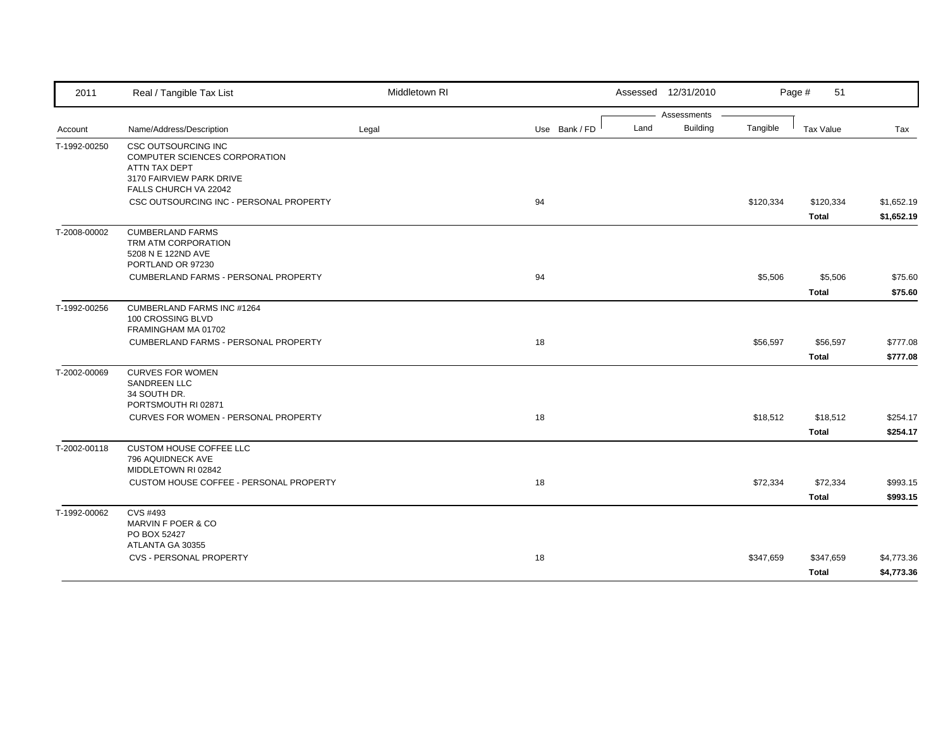| 2011         | Real / Tangible Tax List                                                                                                          | Middletown RI |               | Assessed 12/31/2010     |           | Page #<br>51     |            |
|--------------|-----------------------------------------------------------------------------------------------------------------------------------|---------------|---------------|-------------------------|-----------|------------------|------------|
|              |                                                                                                                                   |               |               | Assessments             |           |                  |            |
| Account      | Name/Address/Description                                                                                                          | Legal         | Use Bank / FD | Land<br><b>Building</b> | Tangible  | <b>Tax Value</b> | Tax        |
| T-1992-00250 | <b>CSC OUTSOURCING INC</b><br>COMPUTER SCIENCES CORPORATION<br>ATTN TAX DEPT<br>3170 FAIRVIEW PARK DRIVE<br>FALLS CHURCH VA 22042 |               |               |                         |           |                  |            |
|              | CSC OUTSOURCING INC - PERSONAL PROPERTY                                                                                           |               | 94            |                         | \$120,334 | \$120,334        | \$1,652.19 |
|              |                                                                                                                                   |               |               |                         |           | <b>Total</b>     | \$1,652.19 |
| T-2008-00002 | <b>CUMBERLAND FARMS</b><br>TRM ATM CORPORATION<br>5208 N E 122ND AVE<br>PORTLAND OR 97230                                         |               |               |                         |           |                  |            |
|              | CUMBERLAND FARMS - PERSONAL PROPERTY                                                                                              |               | 94            |                         | \$5,506   | \$5,506          | \$75.60    |
|              |                                                                                                                                   |               |               |                         |           | <b>Total</b>     | \$75.60    |
| T-1992-00256 | <b>CUMBERLAND FARMS INC #1264</b><br>100 CROSSING BLVD<br>FRAMINGHAM MA 01702                                                     |               |               |                         |           |                  |            |
|              | CUMBERLAND FARMS - PERSONAL PROPERTY                                                                                              |               | 18            |                         | \$56,597  | \$56,597         | \$777.08   |
|              |                                                                                                                                   |               |               |                         |           | <b>Total</b>     | \$777.08   |
| T-2002-00069 | <b>CURVES FOR WOMEN</b><br>SANDREEN LLC<br>34 SOUTH DR.<br>PORTSMOUTH RI 02871                                                    |               |               |                         |           |                  |            |
|              | CURVES FOR WOMEN - PERSONAL PROPERTY                                                                                              |               | 18            |                         | \$18,512  | \$18,512         | \$254.17   |
|              |                                                                                                                                   |               |               |                         |           | <b>Total</b>     | \$254.17   |
| T-2002-00118 | CUSTOM HOUSE COFFEE LLC<br>796 AQUIDNECK AVE<br>MIDDLETOWN RI 02842                                                               |               |               |                         |           |                  |            |
|              | CUSTOM HOUSE COFFEE - PERSONAL PROPERTY                                                                                           |               | 18            |                         | \$72,334  | \$72,334         | \$993.15   |
|              |                                                                                                                                   |               |               |                         |           | <b>Total</b>     | \$993.15   |
| T-1992-00062 | CVS #493<br>MARVIN F POER & CO<br>PO BOX 52427                                                                                    |               |               |                         |           |                  |            |
|              | ATLANTA GA 30355<br><b>CVS - PERSONAL PROPERTY</b>                                                                                |               | 18            |                         | \$347,659 | \$347,659        | \$4,773.36 |
|              |                                                                                                                                   |               |               |                         |           | <b>Total</b>     | \$4,773.36 |
|              |                                                                                                                                   |               |               |                         |           |                  |            |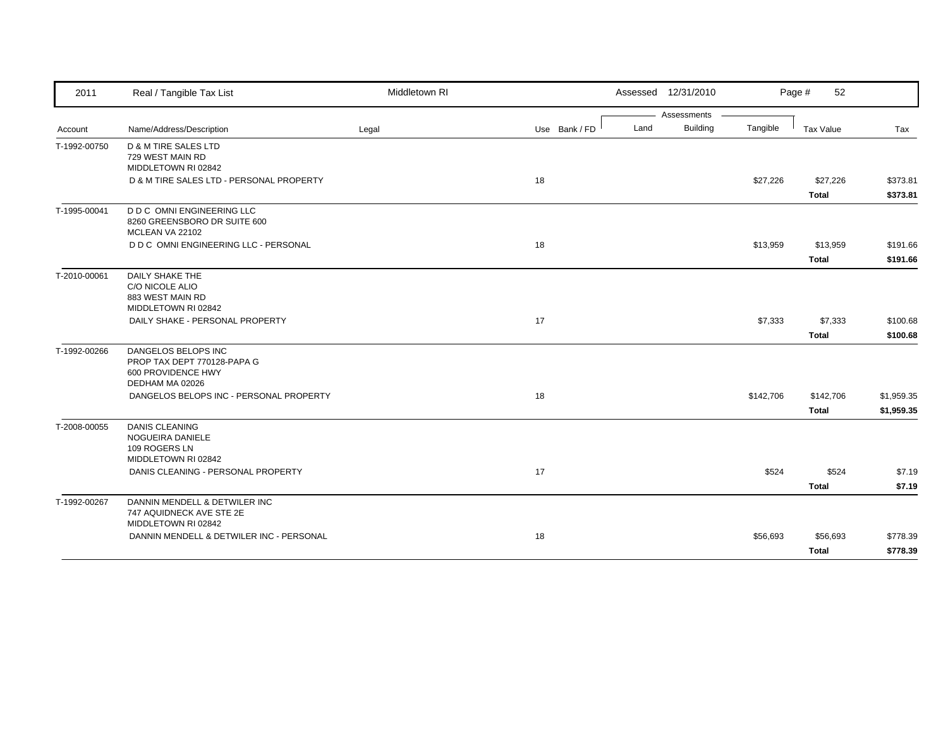| 2011         | Real / Tangible Tax List                                                                    | Middletown RI |               | Assessed 12/31/2010     |           | 52<br>Page #     |            |
|--------------|---------------------------------------------------------------------------------------------|---------------|---------------|-------------------------|-----------|------------------|------------|
|              |                                                                                             |               |               | Assessments             |           |                  |            |
| Account      | Name/Address/Description                                                                    | Legal         | Use Bank / FD | <b>Building</b><br>Land | Tangible  | <b>Tax Value</b> | Tax        |
| T-1992-00750 | D & M TIRE SALES LTD<br>729 WEST MAIN RD<br>MIDDLETOWN RI 02842                             |               |               |                         |           |                  |            |
|              | D & M TIRE SALES LTD - PERSONAL PROPERTY                                                    |               | 18            |                         | \$27,226  | \$27,226         | \$373.81   |
|              |                                                                                             |               |               |                         |           | <b>Total</b>     | \$373.81   |
| T-1995-00041 | <b>D D C OMNI ENGINEERING LLC</b><br>8260 GREENSBORO DR SUITE 600<br>MCLEAN VA 22102        |               |               |                         |           |                  |            |
|              | D D C OMNI ENGINEERING LLC - PERSONAL                                                       |               | 18            |                         | \$13,959  | \$13,959         | \$191.66   |
|              |                                                                                             |               |               |                         |           | <b>Total</b>     | \$191.66   |
| T-2010-00061 | <b>DAILY SHAKE THE</b><br>C/O NICOLE ALIO<br>883 WEST MAIN RD                               |               |               |                         |           |                  |            |
|              | MIDDLETOWN RI 02842<br>DAILY SHAKE - PERSONAL PROPERTY                                      |               | 17            |                         | \$7,333   | \$7,333          | \$100.68   |
|              |                                                                                             |               |               |                         |           | <b>Total</b>     | \$100.68   |
| T-1992-00266 | DANGELOS BELOPS INC<br>PROP TAX DEPT 770128-PAPA G<br>600 PROVIDENCE HWY<br>DEDHAM MA 02026 |               |               |                         |           |                  |            |
|              | DANGELOS BELOPS INC - PERSONAL PROPERTY                                                     |               | 18            |                         | \$142,706 | \$142,706        | \$1,959.35 |
|              |                                                                                             |               |               |                         |           | <b>Total</b>     | \$1,959.35 |
| T-2008-00055 | <b>DANIS CLEANING</b><br>NOGUEIRA DANIELE<br>109 ROGERS LN<br>MIDDLETOWN RI 02842           |               |               |                         |           |                  |            |
|              | DANIS CLEANING - PERSONAL PROPERTY                                                          |               | 17            |                         | \$524     | \$524            | \$7.19     |
|              |                                                                                             |               |               |                         |           | <b>Total</b>     | \$7.19     |
| T-1992-00267 | DANNIN MENDELL & DETWILER INC<br>747 AQUIDNECK AVE STE 2E<br>MIDDLETOWN RI 02842            |               |               |                         |           |                  |            |
|              | DANNIN MENDELL & DETWILER INC - PERSONAL                                                    |               | 18            |                         | \$56,693  | \$56,693         | \$778.39   |
|              |                                                                                             |               |               |                         |           | <b>Total</b>     | \$778.39   |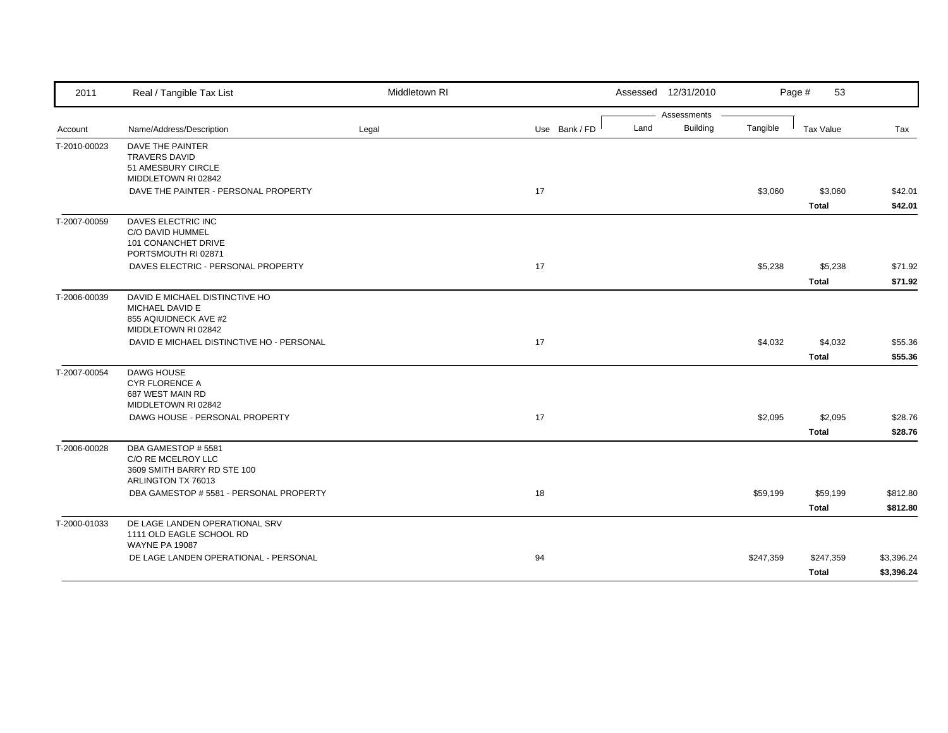| 2011         | Real / Tangible Tax List                          | Middletown RI |               | Assessed 12/31/2010 |                 |           | Page #<br>53     |            |
|--------------|---------------------------------------------------|---------------|---------------|---------------------|-----------------|-----------|------------------|------------|
|              |                                                   |               |               |                     | Assessments     |           |                  |            |
| Account      | Name/Address/Description                          | Legal         | Use Bank / FD | Land                | <b>Building</b> | Tangible  | <b>Tax Value</b> | Tax        |
| T-2010-00023 | DAVE THE PAINTER<br><b>TRAVERS DAVID</b>          |               |               |                     |                 |           |                  |            |
|              | 51 AMESBURY CIRCLE                                |               |               |                     |                 |           |                  |            |
|              | MIDDLETOWN RI 02842                               |               |               |                     |                 |           |                  |            |
|              | DAVE THE PAINTER - PERSONAL PROPERTY              |               | 17            |                     |                 | \$3,060   | \$3,060          | \$42.01    |
|              |                                                   |               |               |                     |                 |           | <b>Total</b>     | \$42.01    |
| T-2007-00059 | DAVES ELECTRIC INC                                |               |               |                     |                 |           |                  |            |
|              | C/O DAVID HUMMEL<br>101 CONANCHET DRIVE           |               |               |                     |                 |           |                  |            |
|              | PORTSMOUTH RI 02871                               |               |               |                     |                 |           |                  |            |
|              | DAVES ELECTRIC - PERSONAL PROPERTY                |               | 17            |                     |                 | \$5,238   | \$5,238          | \$71.92    |
|              |                                                   |               |               |                     |                 |           | <b>Total</b>     | \$71.92    |
| T-2006-00039 | DAVID E MICHAEL DISTINCTIVE HO                    |               |               |                     |                 |           |                  |            |
|              | MICHAEL DAVID E                                   |               |               |                     |                 |           |                  |            |
|              | 855 AQIUIDNECK AVE #2<br>MIDDLETOWN RI 02842      |               |               |                     |                 |           |                  |            |
|              | DAVID E MICHAEL DISTINCTIVE HO - PERSONAL         |               | 17            |                     |                 | \$4,032   | \$4,032          | \$55.36    |
|              |                                                   |               |               |                     |                 |           | <b>Total</b>     | \$55.36    |
| T-2007-00054 | <b>DAWG HOUSE</b>                                 |               |               |                     |                 |           |                  |            |
|              | <b>CYR FLORENCE A</b>                             |               |               |                     |                 |           |                  |            |
|              | 687 WEST MAIN RD<br>MIDDLETOWN RI 02842           |               |               |                     |                 |           |                  |            |
|              | DAWG HOUSE - PERSONAL PROPERTY                    |               | 17            |                     |                 | \$2,095   | \$2,095          | \$28.76    |
|              |                                                   |               |               |                     |                 |           | <b>Total</b>     | \$28.76    |
| T-2006-00028 | DBA GAMESTOP #5581                                |               |               |                     |                 |           |                  |            |
|              | C/O RE MCELROY LLC                                |               |               |                     |                 |           |                  |            |
|              | 3609 SMITH BARRY RD STE 100<br>ARLINGTON TX 76013 |               |               |                     |                 |           |                  |            |
|              | DBA GAMESTOP # 5581 - PERSONAL PROPERTY           |               | 18            |                     |                 | \$59,199  | \$59,199         | \$812.80   |
|              |                                                   |               |               |                     |                 |           | <b>Total</b>     | \$812.80   |
| T-2000-01033 | DE LAGE LANDEN OPERATIONAL SRV                    |               |               |                     |                 |           |                  |            |
|              | 1111 OLD EAGLE SCHOOL RD                          |               |               |                     |                 |           |                  |            |
|              | <b>WAYNE PA 19087</b>                             |               |               |                     |                 |           |                  |            |
|              | DE LAGE LANDEN OPERATIONAL - PERSONAL             |               | 94            |                     |                 | \$247,359 | \$247,359        | \$3,396.24 |
|              |                                                   |               |               |                     |                 |           | <b>Total</b>     | \$3,396.24 |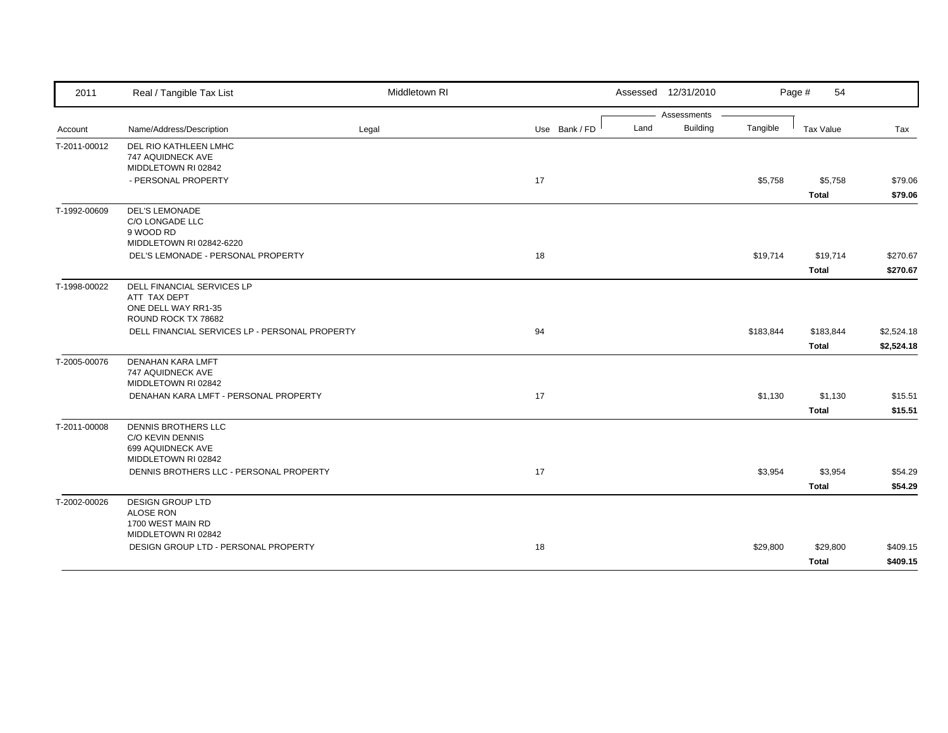| 2011         | Real / Tangible Tax List                                                            | Middletown RI |               |      | Assessed 12/31/2010 |           | Page #<br>54 |            |
|--------------|-------------------------------------------------------------------------------------|---------------|---------------|------|---------------------|-----------|--------------|------------|
|              |                                                                                     |               |               |      | Assessments         |           |              |            |
| Account      | Name/Address/Description                                                            | Legal         | Use Bank / FD | Land | <b>Building</b>     | Tangible  | Tax Value    | Tax        |
| T-2011-00012 | DEL RIO KATHLEEN LMHC<br>747 AQUIDNECK AVE                                          |               |               |      |                     |           |              |            |
|              | MIDDLETOWN RI 02842<br>- PERSONAL PROPERTY                                          |               | 17            |      |                     | \$5,758   | \$5,758      | \$79.06    |
|              |                                                                                     |               |               |      |                     |           | <b>Total</b> | \$79.06    |
| T-1992-00609 | <b>DEL'S LEMONADE</b><br>C/O LONGADE LLC<br>9 WOOD RD                               |               |               |      |                     |           |              |            |
|              | MIDDLETOWN RI 02842-6220                                                            |               |               |      |                     |           |              |            |
|              | DEL'S LEMONADE - PERSONAL PROPERTY                                                  |               | 18            |      |                     | \$19,714  | \$19,714     | \$270.67   |
|              |                                                                                     |               |               |      |                     |           | <b>Total</b> | \$270.67   |
| T-1998-00022 | DELL FINANCIAL SERVICES LP<br>ATT TAX DEPT<br>ONE DELL WAY RR1-35                   |               |               |      |                     |           |              |            |
|              | ROUND ROCK TX 78682                                                                 |               |               |      |                     |           |              |            |
|              | DELL FINANCIAL SERVICES LP - PERSONAL PROPERTY                                      |               | 94            |      |                     | \$183,844 | \$183,844    | \$2,524.18 |
|              |                                                                                     |               |               |      |                     |           | <b>Total</b> | \$2,524.18 |
| T-2005-00076 | <b>DENAHAN KARA LMFT</b><br>747 AQUIDNECK AVE<br>MIDDLETOWN RI 02842                |               |               |      |                     |           |              |            |
|              | DENAHAN KARA LMFT - PERSONAL PROPERTY                                               |               | 17            |      |                     | \$1,130   | \$1,130      | \$15.51    |
|              |                                                                                     |               |               |      |                     |           | <b>Total</b> | \$15.51    |
| T-2011-00008 | DENNIS BROTHERS LLC<br>C/O KEVIN DENNIS<br>699 AQUIDNECK AVE<br>MIDDLETOWN RI 02842 |               |               |      |                     |           |              |            |
|              | DENNIS BROTHERS LLC - PERSONAL PROPERTY                                             |               | 17            |      |                     | \$3,954   | \$3,954      | \$54.29    |
|              |                                                                                     |               |               |      |                     |           | <b>Total</b> | \$54.29    |
| T-2002-00026 | <b>DESIGN GROUP LTD</b><br><b>ALOSE RON</b><br>1700 WEST MAIN RD                    |               |               |      |                     |           |              |            |
|              | MIDDLETOWN RI 02842<br>DESIGN GROUP LTD - PERSONAL PROPERTY                         |               | 18            |      |                     |           |              |            |
|              |                                                                                     |               |               |      |                     | \$29,800  | \$29,800     | \$409.15   |
|              |                                                                                     |               |               |      |                     |           | <b>Total</b> | \$409.15   |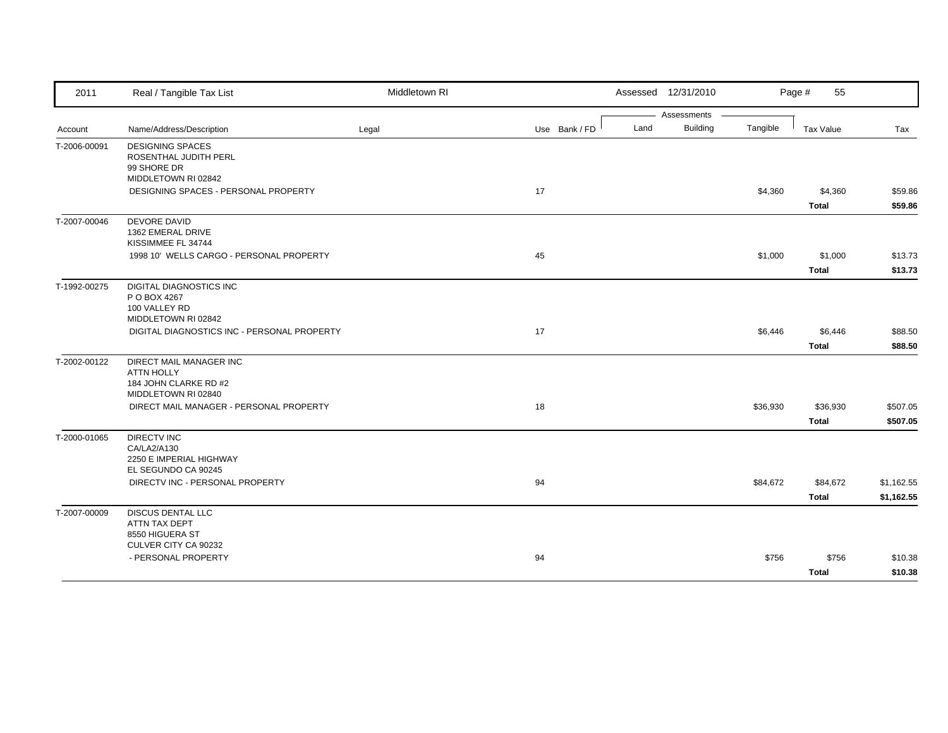|                                                                                                              | Assessments                 |                          |                          |
|--------------------------------------------------------------------------------------------------------------|-----------------------------|--------------------------|--------------------------|
|                                                                                                              |                             |                          |                          |
| Land<br>Name/Address/Description<br>Use Bank / FD<br>Account<br>Legal                                        | <b>Building</b><br>Tangible | <b>Tax Value</b>         | Tax                      |
| T-2006-00091<br><b>DESIGNING SPACES</b><br>ROSENTHAL JUDITH PERL<br>99 SHORE DR                              |                             |                          |                          |
| MIDDLETOWN RI 02842<br>DESIGNING SPACES - PERSONAL PROPERTY<br>17                                            | \$4,360                     | \$4,360                  | \$59.86                  |
|                                                                                                              |                             | <b>Total</b>             | \$59.86                  |
| <b>DEVORE DAVID</b><br>T-2007-00046<br>1362 EMERAL DRIVE<br>KISSIMMEE FL 34744                               |                             |                          |                          |
| 1998 10' WELLS CARGO - PERSONAL PROPERTY<br>45                                                               | \$1,000                     | \$1,000                  | \$13.73                  |
|                                                                                                              |                             | <b>Total</b>             | \$13.73                  |
| <b>DIGITAL DIAGNOSTICS INC</b><br>T-1992-00275<br>P O BOX 4267<br>100 VALLEY RD<br>MIDDLETOWN RI 02842       |                             |                          |                          |
| DIGITAL DIAGNOSTICS INC - PERSONAL PROPERTY<br>17                                                            | \$6,446                     | \$6,446                  | \$88.50                  |
|                                                                                                              |                             | <b>Total</b>             | \$88.50                  |
| T-2002-00122<br>DIRECT MAIL MANAGER INC<br><b>ATTN HOLLY</b><br>184 JOHN CLARKE RD #2<br>MIDDLETOWN RI 02840 |                             |                          |                          |
| 18<br>DIRECT MAIL MANAGER - PERSONAL PROPERTY                                                                | \$36,930                    | \$36,930<br><b>Total</b> | \$507.05<br>\$507.05     |
| <b>DIRECTV INC</b><br>T-2000-01065<br>CA/LA2/A130<br>2250 E IMPERIAL HIGHWAY                                 |                             |                          |                          |
| EL SEGUNDO CA 90245<br>DIRECTV INC - PERSONAL PROPERTY<br>94                                                 | \$84,672                    | \$84,672<br><b>Total</b> | \$1,162.55<br>\$1,162.55 |
| <b>DISCUS DENTAL LLC</b><br>T-2007-00009<br>ATTN TAX DEPT<br>8550 HIGUERA ST<br>CULVER CITY CA 90232         |                             |                          |                          |
| - PERSONAL PROPERTY<br>94                                                                                    | \$756                       | \$756                    | \$10.38                  |
|                                                                                                              |                             | <b>Total</b>             | \$10.38                  |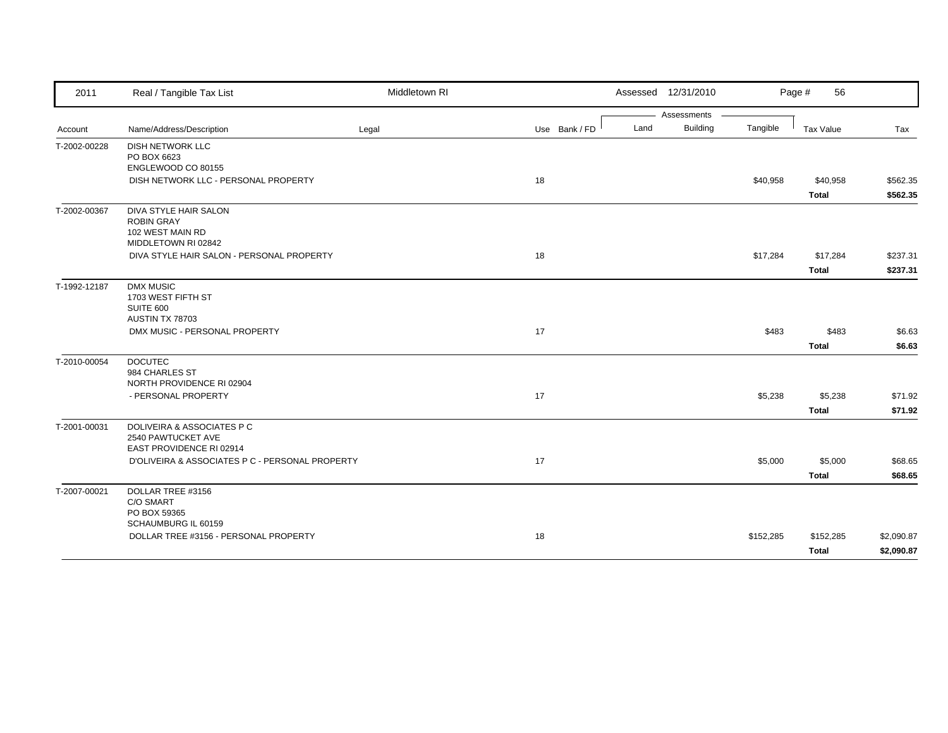| 2011         | Real / Tangible Tax List                                    | Middletown RI |               |      | Assessed 12/31/2010            |           | Page #<br>56 |            |
|--------------|-------------------------------------------------------------|---------------|---------------|------|--------------------------------|-----------|--------------|------------|
|              | Name/Address/Description                                    |               |               | Land | Assessments<br><b>Building</b> | Tangible  | Tax Value    |            |
| Account      |                                                             | Legal         | Use Bank / FD |      |                                |           |              | Tax        |
| T-2002-00228 | <b>DISH NETWORK LLC</b><br>PO BOX 6623                      |               |               |      |                                |           |              |            |
|              | ENGLEWOOD CO 80155                                          |               |               |      |                                |           |              |            |
|              | DISH NETWORK LLC - PERSONAL PROPERTY                        |               | 18            |      |                                | \$40,958  | \$40,958     | \$562.35   |
|              |                                                             |               |               |      |                                |           | Total        | \$562.35   |
| T-2002-00367 | DIVA STYLE HAIR SALON                                       |               |               |      |                                |           |              |            |
|              | <b>ROBIN GRAY</b>                                           |               |               |      |                                |           |              |            |
|              | 102 WEST MAIN RD<br>MIDDLETOWN RI 02842                     |               |               |      |                                |           |              |            |
|              | DIVA STYLE HAIR SALON - PERSONAL PROPERTY                   |               | 18            |      |                                | \$17,284  | \$17,284     | \$237.31   |
|              |                                                             |               |               |      |                                |           | <b>Total</b> | \$237.31   |
| T-1992-12187 | <b>DMX MUSIC</b>                                            |               |               |      |                                |           |              |            |
|              | 1703 WEST FIFTH ST                                          |               |               |      |                                |           |              |            |
|              | SUITE 600                                                   |               |               |      |                                |           |              |            |
|              | AUSTIN TX 78703                                             |               |               |      |                                |           |              |            |
|              | DMX MUSIC - PERSONAL PROPERTY                               |               | 17            |      |                                | \$483     | \$483        | \$6.63     |
|              |                                                             |               |               |      |                                |           | <b>Total</b> | \$6.63     |
| T-2010-00054 | <b>DOCUTEC</b>                                              |               |               |      |                                |           |              |            |
|              | 984 CHARLES ST                                              |               |               |      |                                |           |              |            |
|              | NORTH PROVIDENCE RI 02904<br>- PERSONAL PROPERTY            |               | 17            |      |                                | \$5,238   | \$5,238      | \$71.92    |
|              |                                                             |               |               |      |                                |           |              |            |
|              |                                                             |               |               |      |                                |           | Total        | \$71.92    |
| T-2001-00031 | <b>DOLIVEIRA &amp; ASSOCIATES P C</b><br>2540 PAWTUCKET AVE |               |               |      |                                |           |              |            |
|              | EAST PROVIDENCE RI 02914                                    |               |               |      |                                |           |              |            |
|              | D'OLIVEIRA & ASSOCIATES P C - PERSONAL PROPERTY             |               | 17            |      |                                | \$5,000   | \$5,000      | \$68.65    |
|              |                                                             |               |               |      |                                |           | <b>Total</b> | \$68.65    |
| T-2007-00021 | DOLLAR TREE #3156                                           |               |               |      |                                |           |              |            |
|              | C/O SMART                                                   |               |               |      |                                |           |              |            |
|              | PO BOX 59365                                                |               |               |      |                                |           |              |            |
|              | SCHAUMBURG IL 60159                                         |               |               |      |                                |           |              |            |
|              | DOLLAR TREE #3156 - PERSONAL PROPERTY                       |               | 18            |      |                                | \$152,285 | \$152,285    | \$2,090.87 |
|              |                                                             |               |               |      |                                |           | <b>Total</b> | \$2,090.87 |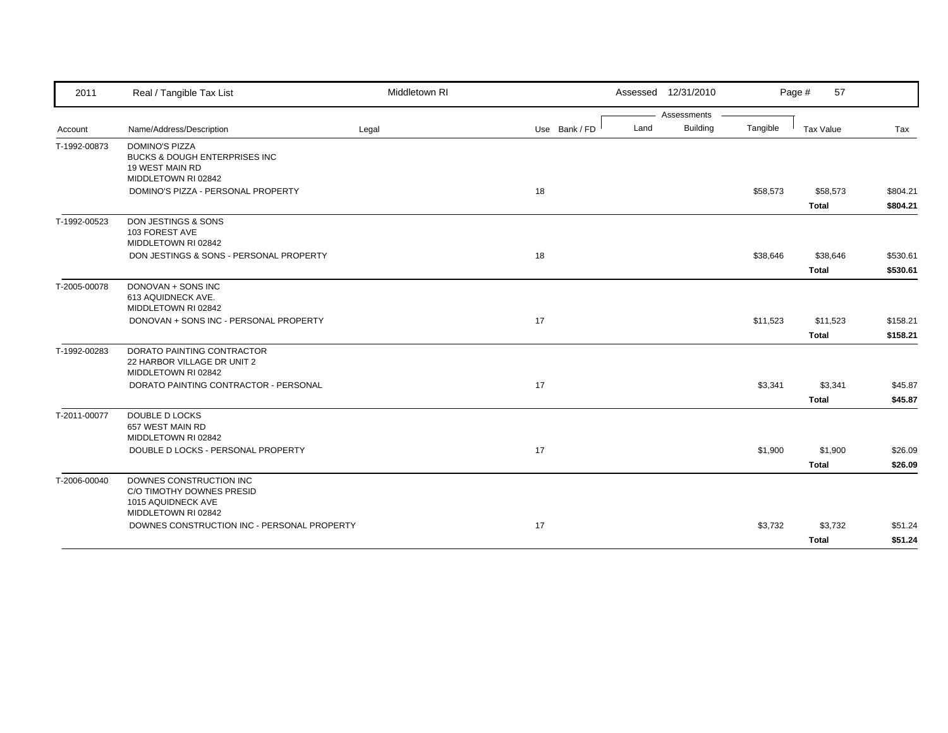| 2011         | Real / Tangible Tax List                                                                                | Middletown RI |               |      | Assessed 12/31/2010 |          | 57<br>Page #             |                      |
|--------------|---------------------------------------------------------------------------------------------------------|---------------|---------------|------|---------------------|----------|--------------------------|----------------------|
|              |                                                                                                         |               |               |      | Assessments         |          |                          |                      |
| Account      | Name/Address/Description                                                                                | Legal         | Use Bank / FD | Land | <b>Building</b>     | Tangible | Tax Value                | Tax                  |
| T-1992-00873 | <b>DOMINO'S PIZZA</b><br>BUCKS & DOUGH ENTERPRISES INC<br><b>19 WEST MAIN RD</b><br>MIDDLETOWN RI 02842 |               |               |      |                     |          |                          |                      |
|              | DOMINO'S PIZZA - PERSONAL PROPERTY                                                                      |               | 18            |      |                     | \$58,573 | \$58,573<br>Total        | \$804.21<br>\$804.21 |
| T-1992-00523 | DON JESTINGS & SONS<br>103 FOREST AVE<br>MIDDLETOWN RI 02842                                            |               |               |      |                     |          |                          |                      |
|              | DON JESTINGS & SONS - PERSONAL PROPERTY                                                                 |               | 18            |      |                     | \$38,646 | \$38,646<br><b>Total</b> | \$530.61<br>\$530.61 |
| T-2005-00078 | DONOVAN + SONS INC<br>613 AQUIDNECK AVE.<br>MIDDLETOWN RI 02842                                         |               |               |      |                     |          |                          |                      |
|              | DONOVAN + SONS INC - PERSONAL PROPERTY                                                                  |               | 17            |      |                     | \$11,523 | \$11,523<br><b>Total</b> | \$158.21<br>\$158.21 |
| T-1992-00283 | DORATO PAINTING CONTRACTOR<br>22 HARBOR VILLAGE DR UNIT 2<br>MIDDLETOWN RI 02842                        |               |               |      |                     |          |                          |                      |
|              | DORATO PAINTING CONTRACTOR - PERSONAL                                                                   |               | 17            |      |                     | \$3,341  | \$3,341<br><b>Total</b>  | \$45.87<br>\$45.87   |
| T-2011-00077 | <b>DOUBLE D LOCKS</b><br>657 WEST MAIN RD<br>MIDDLETOWN RI 02842                                        |               |               |      |                     |          |                          |                      |
|              | DOUBLE D LOCKS - PERSONAL PROPERTY                                                                      |               | 17            |      |                     | \$1,900  | \$1,900<br>Total         | \$26.09<br>\$26.09   |
| T-2006-00040 | DOWNES CONSTRUCTION INC<br>C/O TIMOTHY DOWNES PRESID<br>1015 AQUIDNECK AVE<br>MIDDLETOWN RI 02842       |               |               |      |                     |          |                          |                      |
|              | DOWNES CONSTRUCTION INC - PERSONAL PROPERTY                                                             |               | 17            |      |                     | \$3,732  | \$3,732<br><b>Total</b>  | \$51.24<br>\$51.24   |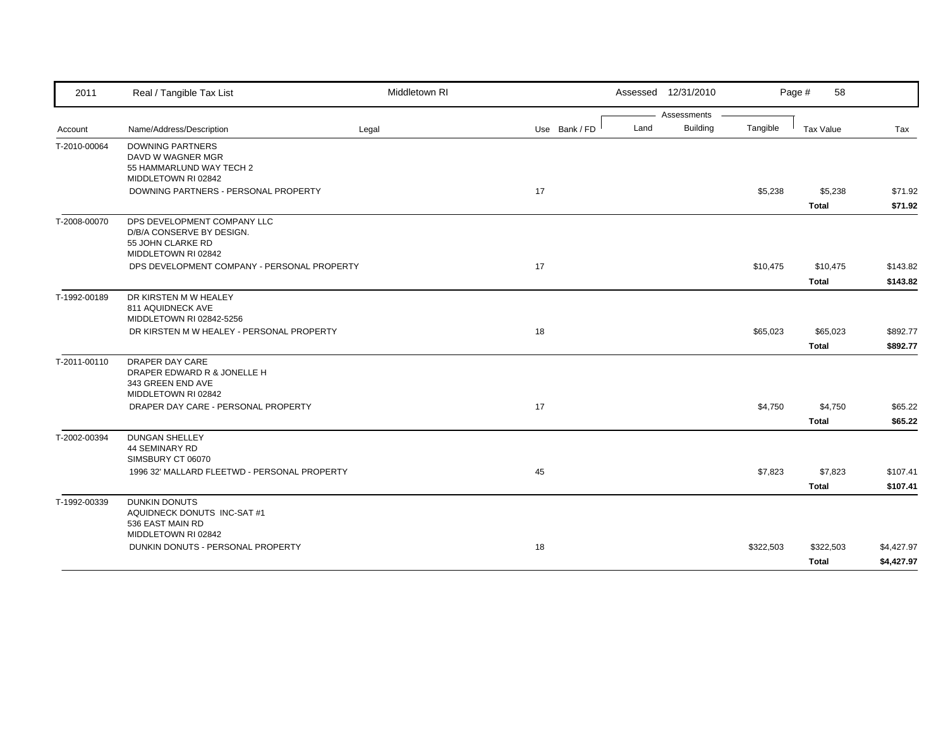| 2011         | Real / Tangible Tax List                                                                             | Middletown RI |               |      | Assessed 12/31/2010 |           | Page #<br>58              |                          |
|--------------|------------------------------------------------------------------------------------------------------|---------------|---------------|------|---------------------|-----------|---------------------------|--------------------------|
|              |                                                                                                      |               |               |      | Assessments         |           |                           |                          |
| Account      | Name/Address/Description                                                                             | Legal         | Use Bank / FD | Land | <b>Building</b>     | Tangible  | <b>Tax Value</b>          | Tax                      |
| T-2010-00064 | <b>DOWNING PARTNERS</b><br>DAVD W WAGNER MGR<br>55 HAMMARLUND WAY TECH 2<br>MIDDLETOWN RI 02842      |               |               |      |                     |           |                           |                          |
|              | DOWNING PARTNERS - PERSONAL PROPERTY                                                                 |               | 17            |      |                     | \$5,238   | \$5,238<br><b>Total</b>   | \$71.92<br>\$71.92       |
| T-2008-00070 | DPS DEVELOPMENT COMPANY LLC<br>D/B/A CONSERVE BY DESIGN.<br>55 JOHN CLARKE RD<br>MIDDLETOWN RI 02842 |               |               |      |                     |           |                           |                          |
|              | DPS DEVELOPMENT COMPANY - PERSONAL PROPERTY                                                          |               | 17            |      |                     | \$10,475  | \$10,475<br><b>Total</b>  | \$143.82<br>\$143.82     |
| T-1992-00189 | DR KIRSTEN M W HEALEY<br>811 AQUIDNECK AVE<br>MIDDLETOWN RI 02842-5256                               |               |               |      |                     |           |                           |                          |
|              | DR KIRSTEN M W HEALEY - PERSONAL PROPERTY                                                            |               | 18            |      |                     | \$65,023  | \$65,023<br><b>Total</b>  | \$892.77<br>\$892.77     |
| T-2011-00110 | DRAPER DAY CARE<br>DRAPER EDWARD R & JONELLE H<br>343 GREEN END AVE<br>MIDDLETOWN RI 02842           |               |               |      |                     |           |                           |                          |
|              | DRAPER DAY CARE - PERSONAL PROPERTY                                                                  |               | 17            |      |                     | \$4,750   | \$4,750<br><b>Total</b>   | \$65.22<br>\$65.22       |
| T-2002-00394 | <b>DUNGAN SHELLEY</b><br>44 SEMINARY RD<br>SIMSBURY CT 06070                                         |               |               |      |                     |           |                           |                          |
|              | 1996 32' MALLARD FLEETWD - PERSONAL PROPERTY                                                         |               | 45            |      |                     | \$7,823   | \$7,823<br><b>Total</b>   | \$107.41<br>\$107.41     |
| T-1992-00339 | <b>DUNKIN DONUTS</b><br>AQUIDNECK DONUTS INC-SAT #1<br>536 EAST MAIN RD<br>MIDDLETOWN RI 02842       |               |               |      |                     |           |                           |                          |
|              | DUNKIN DONUTS - PERSONAL PROPERTY                                                                    |               | 18            |      |                     | \$322,503 | \$322,503<br><b>Total</b> | \$4,427.97<br>\$4,427.97 |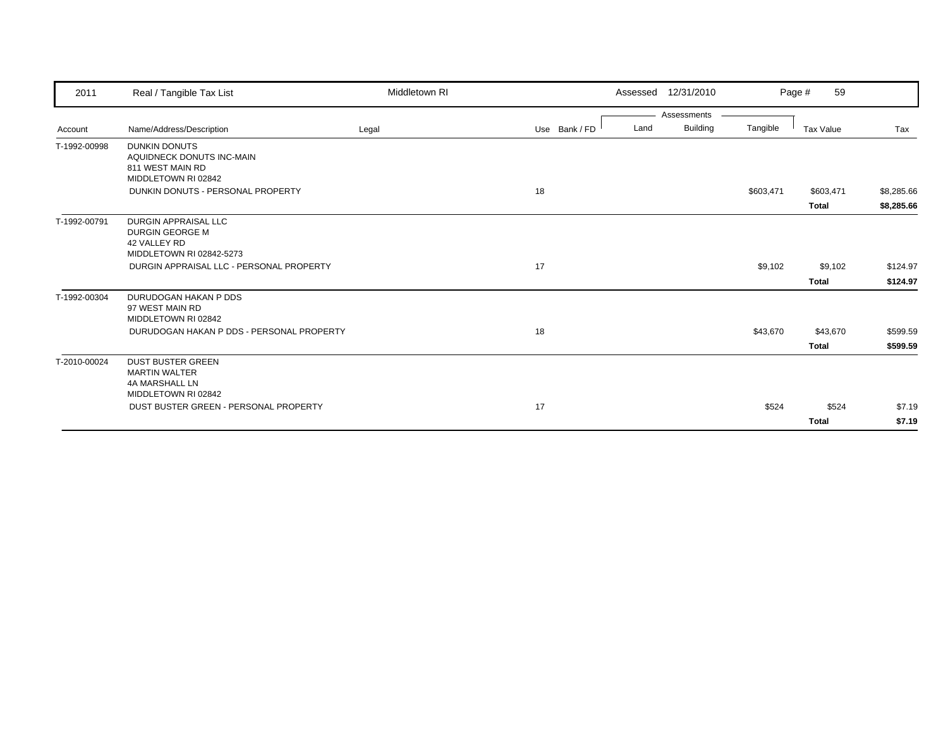| 2011         | Real / Tangible Tax List                                         | Middletown RI |               |      | Assessed 12/31/2010 |           | 59<br>Page # |            |
|--------------|------------------------------------------------------------------|---------------|---------------|------|---------------------|-----------|--------------|------------|
|              |                                                                  |               |               |      | Assessments         |           |              |            |
| Account      | Name/Address/Description                                         | Legal         | Use Bank / FD | Land | <b>Building</b>     | Tangible  | Tax Value    | Tax        |
| T-1992-00998 | <b>DUNKIN DONUTS</b><br>AQUIDNECK DONUTS INC-MAIN                |               |               |      |                     |           |              |            |
|              | 811 WEST MAIN RD                                                 |               |               |      |                     |           |              |            |
|              | MIDDLETOWN RI 02842                                              |               |               |      |                     |           |              |            |
|              | DUNKIN DONUTS - PERSONAL PROPERTY                                |               | 18            |      |                     | \$603,471 | \$603,471    | \$8,285.66 |
|              |                                                                  |               |               |      |                     |           | <b>Total</b> | \$8,285.66 |
| T-1992-00791 | <b>DURGIN APPRAISAL LLC</b>                                      |               |               |      |                     |           |              |            |
|              | DURGIN GEORGE M<br>42 VALLEY RD                                  |               |               |      |                     |           |              |            |
|              | MIDDLETOWN RI 02842-5273                                         |               |               |      |                     |           |              |            |
|              | DURGIN APPRAISAL LLC - PERSONAL PROPERTY                         |               | 17            |      |                     | \$9,102   | \$9,102      | \$124.97   |
|              |                                                                  |               |               |      |                     |           | <b>Total</b> | \$124.97   |
| T-1992-00304 | DURUDOGAN HAKAN P DDS                                            |               |               |      |                     |           |              |            |
|              | 97 WEST MAIN RD                                                  |               |               |      |                     |           |              |            |
|              | MIDDLETOWN RI 02842<br>DURUDOGAN HAKAN P DDS - PERSONAL PROPERTY |               |               |      |                     |           |              |            |
|              |                                                                  |               | 18            |      |                     | \$43,670  | \$43,670     | \$599.59   |
|              |                                                                  |               |               |      |                     |           | <b>Total</b> | \$599.59   |
| T-2010-00024 | <b>DUST BUSTER GREEN</b>                                         |               |               |      |                     |           |              |            |
|              | <b>MARTIN WALTER</b><br>4A MARSHALL LN                           |               |               |      |                     |           |              |            |
|              | MIDDLETOWN RI 02842                                              |               |               |      |                     |           |              |            |
|              | DUST BUSTER GREEN - PERSONAL PROPERTY                            |               | 17            |      |                     | \$524     | \$524        | \$7.19     |
|              |                                                                  |               |               |      |                     |           | <b>Total</b> | \$7.19     |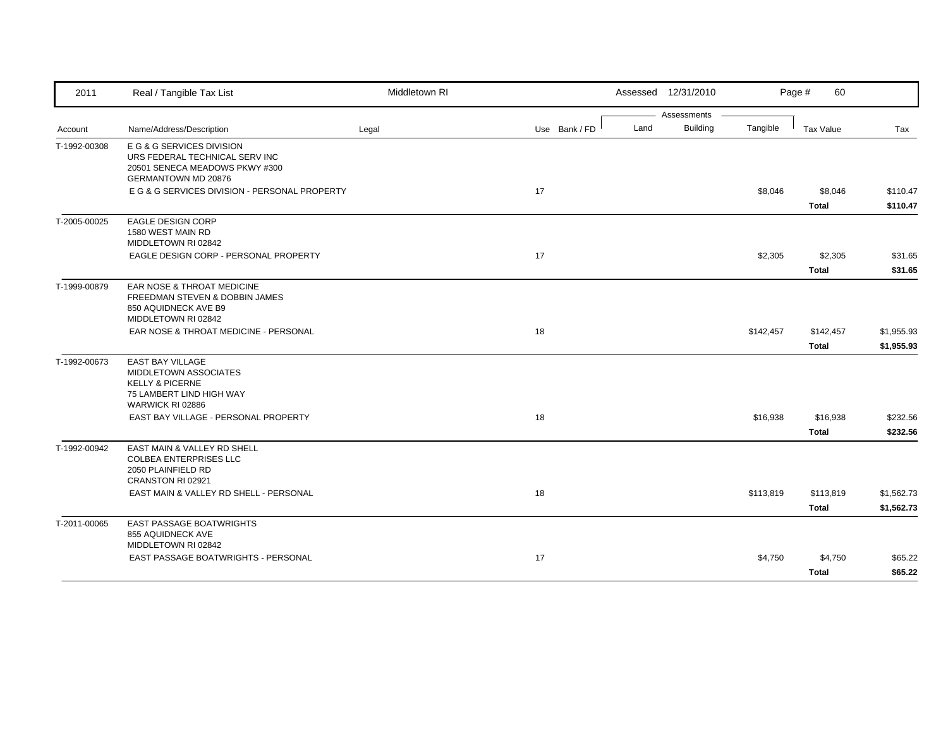| 2011         | Real / Tangible Tax List                                                                                                       | Middletown RI |               |      | Assessed 12/31/2010            |           | Page #<br>60              |                          |
|--------------|--------------------------------------------------------------------------------------------------------------------------------|---------------|---------------|------|--------------------------------|-----------|---------------------------|--------------------------|
| Account      | Name/Address/Description                                                                                                       | Legal         | Use Bank / FD | Land | Assessments<br><b>Building</b> | Tangible  | <b>Tax Value</b>          | Tax                      |
| T-1992-00308 | E G & G SERVICES DIVISION<br>URS FEDERAL TECHNICAL SERV INC<br>20501 SENECA MEADOWS PKWY #300<br><b>GERMANTOWN MD 20876</b>    |               |               |      |                                |           |                           |                          |
|              | E G & G SERVICES DIVISION - PERSONAL PROPERTY                                                                                  |               | 17            |      |                                | \$8,046   | \$8,046<br><b>Total</b>   | \$110.47<br>\$110.47     |
| T-2005-00025 | <b>EAGLE DESIGN CORP</b><br>1580 WEST MAIN RD<br>MIDDLETOWN RI 02842                                                           |               |               |      |                                |           |                           |                          |
|              | EAGLE DESIGN CORP - PERSONAL PROPERTY                                                                                          |               | 17            |      |                                | \$2,305   | \$2,305<br><b>Total</b>   | \$31.65<br>\$31.65       |
| T-1999-00879 | EAR NOSE & THROAT MEDICINE<br>FREEDMAN STEVEN & DOBBIN JAMES<br>850 AQUIDNECK AVE B9<br>MIDDLETOWN RI 02842                    |               |               |      |                                |           |                           |                          |
|              | EAR NOSE & THROAT MEDICINE - PERSONAL                                                                                          |               | 18            |      |                                | \$142,457 | \$142,457<br><b>Total</b> | \$1,955.93<br>\$1,955.93 |
| T-1992-00673 | <b>EAST BAY VILLAGE</b><br>MIDDLETOWN ASSOCIATES<br><b>KELLY &amp; PICERNE</b><br>75 LAMBERT LIND HIGH WAY<br>WARWICK RI 02886 |               |               |      |                                |           |                           |                          |
|              | EAST BAY VILLAGE - PERSONAL PROPERTY                                                                                           |               | 18            |      |                                | \$16,938  | \$16,938<br><b>Total</b>  | \$232.56<br>\$232.56     |
| T-1992-00942 | EAST MAIN & VALLEY RD SHELL<br><b>COLBEA ENTERPRISES LLC</b><br>2050 PLAINFIELD RD<br>CRANSTON RI 02921                        |               |               |      |                                |           |                           |                          |
|              | EAST MAIN & VALLEY RD SHELL - PERSONAL                                                                                         |               | 18            |      |                                | \$113,819 | \$113,819<br>Total        | \$1,562.73<br>\$1,562.73 |
| T-2011-00065 | <b>EAST PASSAGE BOATWRIGHTS</b><br>855 AQUIDNECK AVE<br>MIDDLETOWN RI 02842                                                    |               |               |      |                                |           |                           |                          |
|              | <b>EAST PASSAGE BOATWRIGHTS - PERSONAL</b>                                                                                     |               | 17            |      |                                | \$4,750   | \$4,750<br><b>Total</b>   | \$65.22<br>\$65.22       |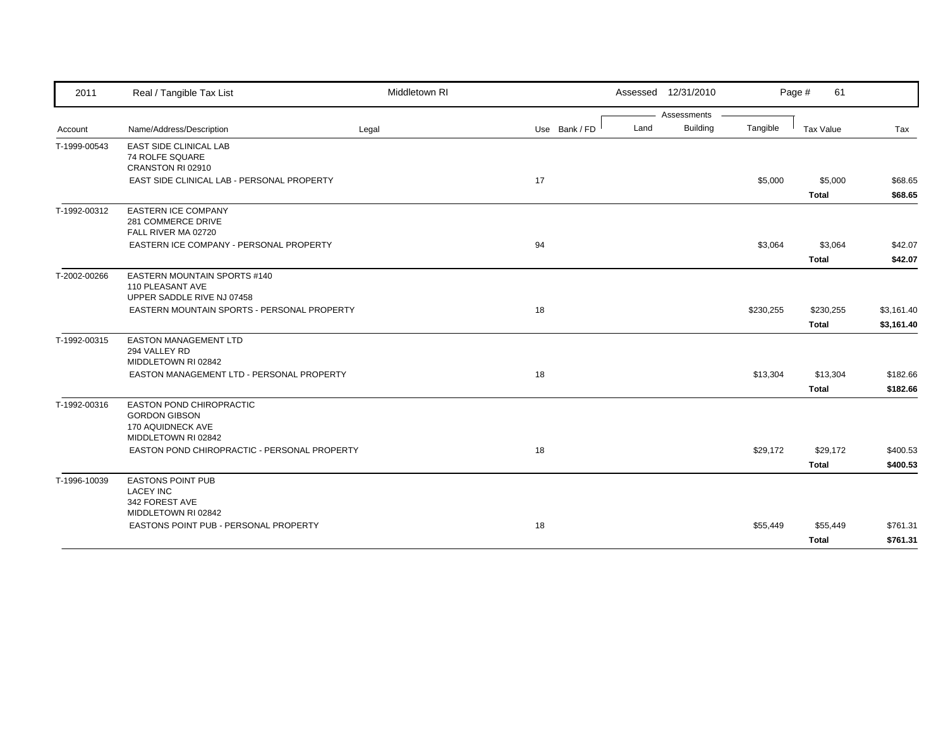| 2011         | Real / Tangible Tax List                                                                            | Middletown RI |               |      | Assessed 12/31/2010 |           | Page #<br>61              |                          |
|--------------|-----------------------------------------------------------------------------------------------------|---------------|---------------|------|---------------------|-----------|---------------------------|--------------------------|
|              |                                                                                                     |               |               |      | Assessments         |           |                           |                          |
| Account      | Name/Address/Description                                                                            | Legal         | Use Bank / FD | Land | <b>Building</b>     | Tangible  | Tax Value                 | Tax                      |
| T-1999-00543 | EAST SIDE CLINICAL LAB<br>74 ROLFE SQUARE<br>CRANSTON RI 02910                                      |               |               |      |                     |           |                           |                          |
|              | EAST SIDE CLINICAL LAB - PERSONAL PROPERTY                                                          |               | 17            |      |                     | \$5,000   | \$5,000<br><b>Total</b>   | \$68.65<br>\$68.65       |
| T-1992-00312 | <b>EASTERN ICE COMPANY</b><br>281 COMMERCE DRIVE<br>FALL RIVER MA 02720                             |               |               |      |                     |           |                           |                          |
| T-2002-00266 | EASTERN ICE COMPANY - PERSONAL PROPERTY                                                             |               | 94            |      |                     | \$3,064   | \$3,064<br><b>Total</b>   | \$42.07<br>\$42.07       |
|              | EASTERN MOUNTAIN SPORTS #140<br>110 PLEASANT AVE<br>UPPER SADDLE RIVE NJ 07458                      |               |               |      |                     |           |                           |                          |
|              | EASTERN MOUNTAIN SPORTS - PERSONAL PROPERTY                                                         |               | 18            |      |                     | \$230,255 | \$230,255<br><b>Total</b> | \$3,161.40<br>\$3,161.40 |
| T-1992-00315 | <b>EASTON MANAGEMENT LTD</b><br>294 VALLEY RD<br>MIDDLETOWN RI 02842                                |               |               |      |                     |           |                           |                          |
|              | EASTON MANAGEMENT LTD - PERSONAL PROPERTY                                                           |               | 18            |      |                     | \$13,304  | \$13,304<br><b>Total</b>  | \$182.66<br>\$182.66     |
| T-1992-00316 | <b>EASTON POND CHIROPRACTIC</b><br><b>GORDON GIBSON</b><br>170 AQUIDNECK AVE<br>MIDDLETOWN RI 02842 |               |               |      |                     |           |                           |                          |
|              | EASTON POND CHIROPRACTIC - PERSONAL PROPERTY                                                        |               | 18            |      |                     | \$29,172  | \$29,172<br>Total         | \$400.53<br>\$400.53     |
| T-1996-10039 | <b>EASTONS POINT PUB</b><br><b>LACEY INC</b><br>342 FOREST AVE<br>MIDDLETOWN RI 02842               |               |               |      |                     |           |                           |                          |
|              | EASTONS POINT PUB - PERSONAL PROPERTY                                                               |               | 18            |      |                     | \$55,449  | \$55,449<br><b>Total</b>  | \$761.31<br>\$761.31     |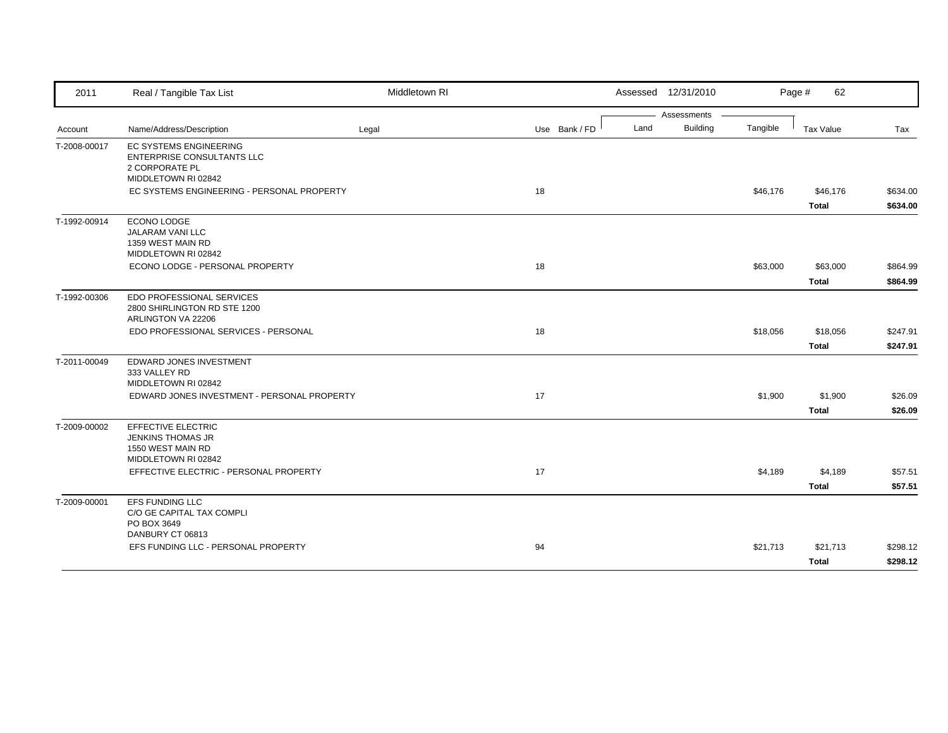| 2011         | Real / Tangible Tax List                                                                                    | Middletown RI |               | Assessed 12/31/2010     |          | Page #<br>62     |          |
|--------------|-------------------------------------------------------------------------------------------------------------|---------------|---------------|-------------------------|----------|------------------|----------|
|              |                                                                                                             |               |               | Assessments             |          |                  |          |
| Account      | Name/Address/Description                                                                                    | Legal         | Use Bank / FD | <b>Building</b><br>Land | Tangible | <b>Tax Value</b> | Tax      |
| T-2008-00017 | <b>EC SYSTEMS ENGINEERING</b><br><b>ENTERPRISE CONSULTANTS LLC</b><br>2 CORPORATE PL<br>MIDDLETOWN RI 02842 |               |               |                         |          |                  |          |
|              | EC SYSTEMS ENGINEERING - PERSONAL PROPERTY                                                                  |               | 18            |                         | \$46,176 | \$46,176         | \$634.00 |
|              |                                                                                                             |               |               |                         |          | <b>Total</b>     | \$634.00 |
| T-1992-00914 | ECONO LODGE<br>JALARAM VANI LLC<br>1359 WEST MAIN RD<br>MIDDLETOWN RI 02842                                 |               |               |                         |          |                  |          |
|              | ECONO LODGE - PERSONAL PROPERTY                                                                             |               | 18            |                         | \$63,000 | \$63,000         | \$864.99 |
|              |                                                                                                             |               |               |                         |          | <b>Total</b>     | \$864.99 |
| T-1992-00306 | EDO PROFESSIONAL SERVICES<br>2800 SHIRLINGTON RD STE 1200<br>ARLINGTON VA 22206                             |               |               |                         |          |                  |          |
|              | EDO PROFESSIONAL SERVICES - PERSONAL                                                                        |               | 18            |                         | \$18,056 | \$18,056         | \$247.91 |
|              |                                                                                                             |               |               |                         |          | <b>Total</b>     | \$247.91 |
| T-2011-00049 | EDWARD JONES INVESTMENT<br>333 VALLEY RD<br>MIDDLETOWN RI 02842                                             |               |               |                         |          |                  |          |
|              | EDWARD JONES INVESTMENT - PERSONAL PROPERTY                                                                 |               | 17            |                         | \$1,900  | \$1,900          | \$26.09  |
|              |                                                                                                             |               |               |                         |          | <b>Total</b>     | \$26.09  |
| T-2009-00002 | EFFECTIVE ELECTRIC<br><b>JENKINS THOMAS JR</b><br>1550 WEST MAIN RD<br>MIDDLETOWN RI 02842                  |               |               |                         |          |                  |          |
|              | EFFECTIVE ELECTRIC - PERSONAL PROPERTY                                                                      |               | 17            |                         | \$4,189  | \$4,189          | \$57.51  |
|              |                                                                                                             |               |               |                         |          | <b>Total</b>     | \$57.51  |
| T-2009-00001 | <b>EFS FUNDING LLC</b><br>C/O GE CAPITAL TAX COMPLI<br>PO BOX 3649                                          |               |               |                         |          |                  |          |
|              | DANBURY CT 06813<br>EFS FUNDING LLC - PERSONAL PROPERTY                                                     |               | 94            |                         | \$21,713 | \$21,713         | \$298.12 |
|              |                                                                                                             |               |               |                         |          | <b>Total</b>     | \$298.12 |
|              |                                                                                                             |               |               |                         |          |                  |          |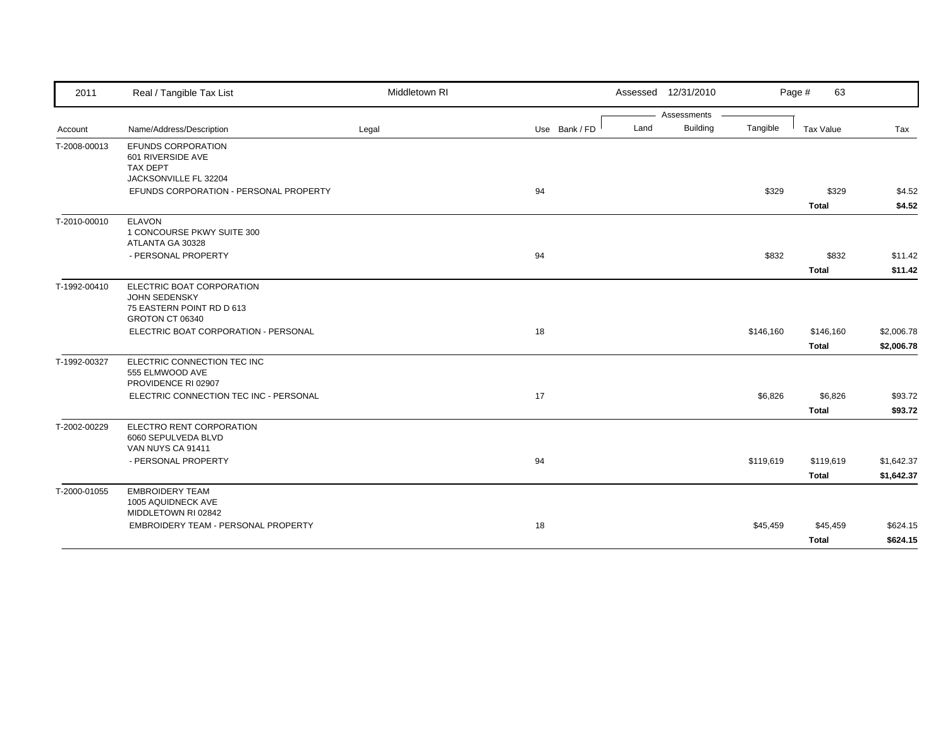| 2011         | Real / Tangible Tax List                                                                          | Middletown RI |               |      | Assessed 12/31/2010 |           | Page #<br>63              |                          |
|--------------|---------------------------------------------------------------------------------------------------|---------------|---------------|------|---------------------|-----------|---------------------------|--------------------------|
|              |                                                                                                   |               |               |      | Assessments         |           |                           |                          |
| Account      | Name/Address/Description                                                                          | Legal         | Use Bank / FD | Land | <b>Building</b>     | Tangible  | Tax Value                 | Tax                      |
| T-2008-00013 | EFUNDS CORPORATION<br>601 RIVERSIDE AVE<br><b>TAX DEPT</b><br>JACKSONVILLE FL 32204               |               |               |      |                     |           |                           |                          |
|              | EFUNDS CORPORATION - PERSONAL PROPERTY                                                            |               | 94            |      |                     | \$329     | \$329                     | \$4.52                   |
|              |                                                                                                   |               |               |      |                     |           | <b>Total</b>              | \$4.52                   |
| T-2010-00010 | <b>ELAVON</b><br>1 CONCOURSE PKWY SUITE 300<br>ATLANTA GA 30328                                   |               |               |      |                     |           |                           |                          |
|              | - PERSONAL PROPERTY                                                                               |               | 94            |      |                     | \$832     | \$832                     | \$11.42                  |
|              |                                                                                                   |               |               |      |                     |           | <b>Total</b>              | \$11.42                  |
| T-1992-00410 | ELECTRIC BOAT CORPORATION<br><b>JOHN SEDENSKY</b><br>75 EASTERN POINT RD D 613<br>GROTON CT 06340 |               |               |      |                     |           |                           |                          |
|              | ELECTRIC BOAT CORPORATION - PERSONAL                                                              |               | 18            |      |                     | \$146,160 | \$146,160<br><b>Total</b> | \$2,006.78<br>\$2,006.78 |
| T-1992-00327 | ELECTRIC CONNECTION TEC INC<br>555 ELMWOOD AVE<br>PROVIDENCE RI 02907                             |               |               |      |                     |           |                           |                          |
|              | ELECTRIC CONNECTION TEC INC - PERSONAL                                                            |               | 17            |      |                     | \$6,826   | \$6,826<br>Total          | \$93.72<br>\$93.72       |
| T-2002-00229 | ELECTRO RENT CORPORATION<br>6060 SEPULVEDA BLVD<br>VAN NUYS CA 91411                              |               |               |      |                     |           |                           |                          |
|              | - PERSONAL PROPERTY                                                                               |               | 94            |      |                     | \$119,619 | \$119,619                 | \$1,642.37               |
|              |                                                                                                   |               |               |      |                     |           | <b>Total</b>              | \$1,642.37               |
| T-2000-01055 | <b>EMBROIDERY TEAM</b><br>1005 AQUIDNECK AVE<br>MIDDLETOWN RI 02842                               |               |               |      |                     |           |                           |                          |
|              | EMBROIDERY TEAM - PERSONAL PROPERTY                                                               |               | 18            |      |                     | \$45,459  | \$45,459                  | \$624.15                 |
|              |                                                                                                   |               |               |      |                     |           | <b>Total</b>              | \$624.15                 |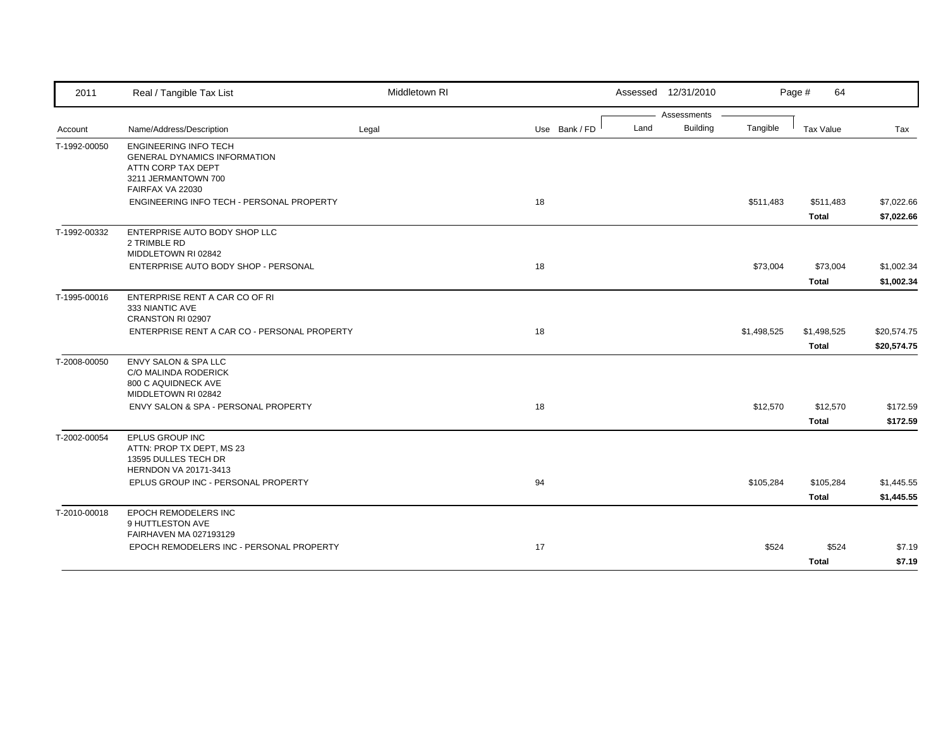| 2011         | Real / Tangible Tax List                                                                                                             | Middletown RI |               | Assessed 12/31/2010 |                 |             | Page #<br>64              |                            |
|--------------|--------------------------------------------------------------------------------------------------------------------------------------|---------------|---------------|---------------------|-----------------|-------------|---------------------------|----------------------------|
|              |                                                                                                                                      |               |               |                     | Assessments     |             |                           |                            |
| Account      | Name/Address/Description                                                                                                             | Legal         | Use Bank / FD | Land                | <b>Building</b> | Tangible    | <b>Tax Value</b>          | Tax                        |
| T-1992-00050 | <b>ENGINEERING INFO TECH</b><br><b>GENERAL DYNAMICS INFORMATION</b><br>ATTN CORP TAX DEPT<br>3211 JERMANTOWN 700<br>FAIRFAX VA 22030 |               |               |                     |                 |             |                           |                            |
|              | ENGINEERING INFO TECH - PERSONAL PROPERTY                                                                                            |               | 18            |                     |                 | \$511,483   | \$511,483<br><b>Total</b> | \$7,022.66<br>\$7,022.66   |
| T-1992-00332 | ENTERPRISE AUTO BODY SHOP LLC<br>2 TRIMBLE RD<br>MIDDLETOWN RI 02842                                                                 |               |               |                     |                 |             |                           |                            |
|              | ENTERPRISE AUTO BODY SHOP - PERSONAL                                                                                                 |               | 18            |                     |                 | \$73,004    | \$73,004<br><b>Total</b>  | \$1,002.34<br>\$1,002.34   |
| T-1995-00016 | ENTERPRISE RENT A CAR CO OF RI<br>333 NIANTIC AVE<br>CRANSTON RI 02907                                                               |               |               |                     |                 |             |                           |                            |
|              | ENTERPRISE RENT A CAR CO - PERSONAL PROPERTY                                                                                         |               | 18            |                     |                 | \$1,498,525 | \$1,498,525<br>Total      | \$20,574.75<br>\$20,574.75 |
| T-2008-00050 | <b>ENVY SALON &amp; SPA LLC</b><br><b>C/O MALINDA RODERICK</b><br>800 C AQUIDNECK AVE<br>MIDDLETOWN RI 02842                         |               |               |                     |                 |             |                           |                            |
|              | ENVY SALON & SPA - PERSONAL PROPERTY                                                                                                 |               | 18            |                     |                 | \$12,570    | \$12,570<br><b>Total</b>  | \$172.59<br>\$172.59       |
| T-2002-00054 | EPLUS GROUP INC<br>ATTN: PROP TX DEPT, MS 23<br>13595 DULLES TECH DR<br>HERNDON VA 20171-3413                                        |               |               |                     |                 |             |                           |                            |
|              | EPLUS GROUP INC - PERSONAL PROPERTY                                                                                                  |               | 94            |                     |                 | \$105,284   | \$105,284<br><b>Total</b> | \$1,445.55<br>\$1,445.55   |
| T-2010-00018 | <b>EPOCH REMODELERS INC</b><br>9 HUTTLESTON AVE<br>FAIRHAVEN MA 027193129                                                            |               |               |                     |                 |             |                           |                            |
|              | EPOCH REMODELERS INC - PERSONAL PROPERTY                                                                                             |               | 17            |                     |                 | \$524       | \$524<br><b>Total</b>     | \$7.19<br>\$7.19           |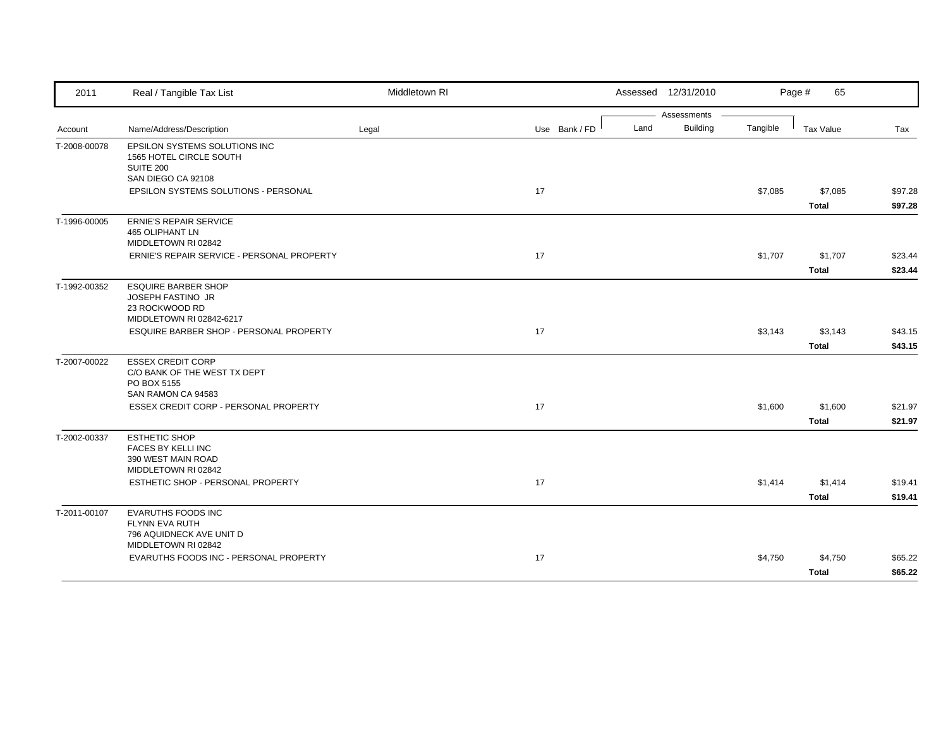| 2011         | Real / Tangible Tax List                                 | Middletown RI |               | Assessed 12/31/2010 |                 |          | Page #<br>65     |         |
|--------------|----------------------------------------------------------|---------------|---------------|---------------------|-----------------|----------|------------------|---------|
|              |                                                          |               |               |                     | Assessments     |          |                  |         |
| Account      | Name/Address/Description                                 | Legal         | Use Bank / FD | Land                | <b>Building</b> | Tangible | <b>Tax Value</b> | Tax     |
| T-2008-00078 | EPSILON SYSTEMS SOLUTIONS INC<br>1565 HOTEL CIRCLE SOUTH |               |               |                     |                 |          |                  |         |
|              | <b>SUITE 200</b>                                         |               |               |                     |                 |          |                  |         |
|              | SAN DIEGO CA 92108                                       |               |               |                     |                 |          |                  |         |
|              | EPSILON SYSTEMS SOLUTIONS - PERSONAL                     |               | 17            |                     |                 | \$7,085  | \$7,085          | \$97.28 |
|              |                                                          |               |               |                     |                 |          | <b>Total</b>     | \$97.28 |
| T-1996-00005 | <b>ERNIE'S REPAIR SERVICE</b><br>465 OLIPHANT LN         |               |               |                     |                 |          |                  |         |
|              | MIDDLETOWN RI 02842                                      |               |               |                     |                 |          |                  |         |
|              | ERNIE'S REPAIR SERVICE - PERSONAL PROPERTY               |               | 17            |                     |                 | \$1,707  | \$1,707          | \$23.44 |
|              |                                                          |               |               |                     |                 |          | <b>Total</b>     | \$23.44 |
| T-1992-00352 | <b>ESQUIRE BARBER SHOP</b>                               |               |               |                     |                 |          |                  |         |
|              | JOSEPH FASTINO JR                                        |               |               |                     |                 |          |                  |         |
|              | 23 ROCKWOOD RD<br>MIDDLETOWN RI 02842-6217               |               |               |                     |                 |          |                  |         |
|              | ESQUIRE BARBER SHOP - PERSONAL PROPERTY                  |               | 17            |                     |                 | \$3,143  | \$3,143          | \$43.15 |
|              |                                                          |               |               |                     |                 |          | <b>Total</b>     | \$43.15 |
| T-2007-00022 | <b>ESSEX CREDIT CORP</b>                                 |               |               |                     |                 |          |                  |         |
|              | C/O BANK OF THE WEST TX DEPT<br>PO BOX 5155              |               |               |                     |                 |          |                  |         |
|              | SAN RAMON CA 94583                                       |               |               |                     |                 |          |                  |         |
|              | ESSEX CREDIT CORP - PERSONAL PROPERTY                    |               | 17            |                     |                 | \$1,600  | \$1,600          | \$21.97 |
|              |                                                          |               |               |                     |                 |          | <b>Total</b>     | \$21.97 |
| T-2002-00337 | <b>ESTHETIC SHOP</b>                                     |               |               |                     |                 |          |                  |         |
|              | FACES BY KELLI INC<br>390 WEST MAIN ROAD                 |               |               |                     |                 |          |                  |         |
|              | MIDDLETOWN RI 02842                                      |               |               |                     |                 |          |                  |         |
|              | ESTHETIC SHOP - PERSONAL PROPERTY                        |               | 17            |                     |                 | \$1,414  | \$1,414          | \$19.41 |
|              |                                                          |               |               |                     |                 |          | <b>Total</b>     | \$19.41 |
| T-2011-00107 | <b>EVARUTHS FOODS INC</b>                                |               |               |                     |                 |          |                  |         |
|              | FLYNN EVA RUTH<br>796 AQUIDNECK AVE UNIT D               |               |               |                     |                 |          |                  |         |
|              | MIDDLETOWN RI 02842                                      |               |               |                     |                 |          |                  |         |
|              | EVARUTHS FOODS INC - PERSONAL PROPERTY                   |               | 17            |                     |                 | \$4,750  | \$4,750          | \$65.22 |
|              |                                                          |               |               |                     |                 |          | <b>Total</b>     | \$65.22 |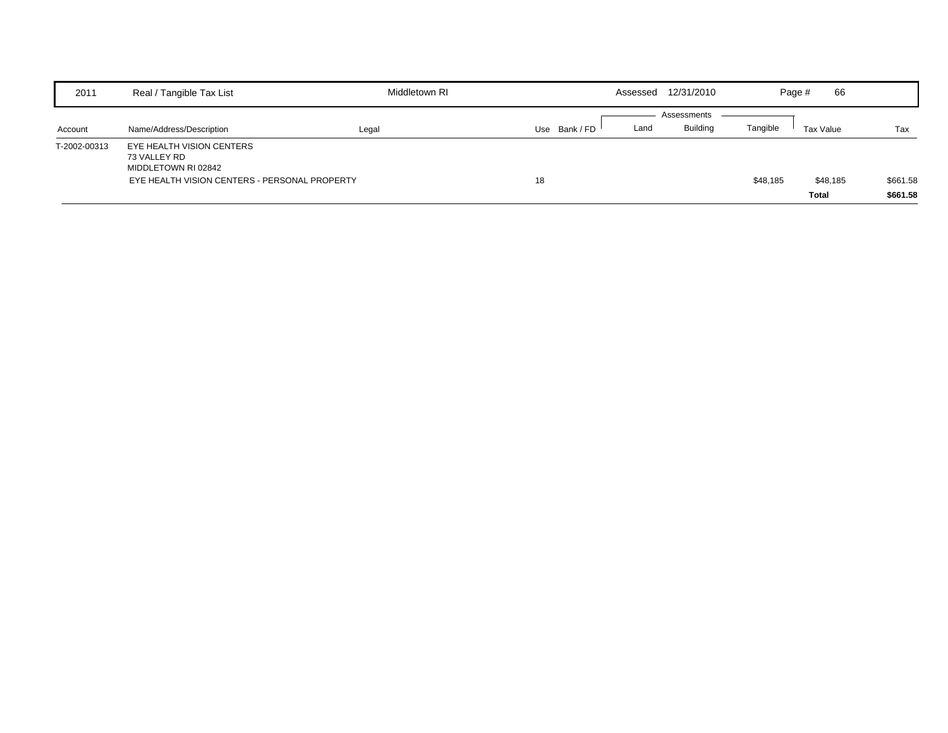| 2011         | Real / Tangible Tax List                                                                                          | Middletown RI |             | Assessed 12/31/2010 |                 |          | 66<br>Page #      |                      |
|--------------|-------------------------------------------------------------------------------------------------------------------|---------------|-------------|---------------------|-----------------|----------|-------------------|----------------------|
|              |                                                                                                                   |               |             |                     | Assessments     |          |                   |                      |
| Account      | Name/Address/Description                                                                                          | Legal         | Use Bank/FD | Land                | <b>Building</b> | Tangible | Tax Value         | Tax                  |
| T-2002-00313 | EYE HEALTH VISION CENTERS<br>73 VALLEY RD<br>MIDDLETOWN RI 02842<br>EYE HEALTH VISION CENTERS - PERSONAL PROPERTY |               | 18          |                     |                 | \$48,185 | \$48,185<br>Total | \$661.58<br>\$661.58 |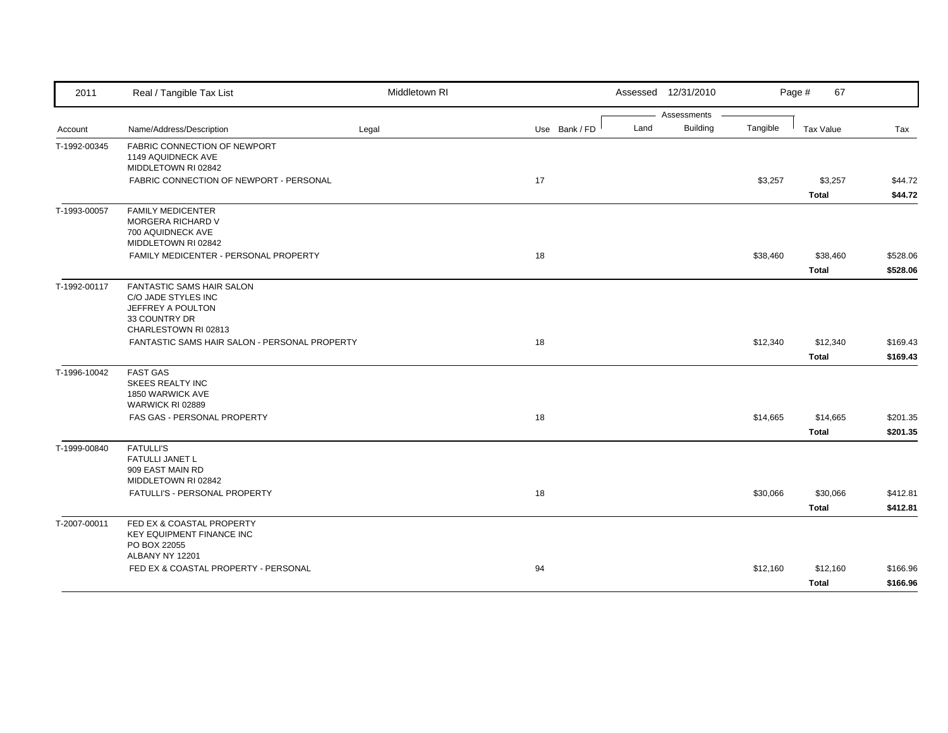| 2011         | Real / Tangible Tax List                                                                                                                                               | Middletown RI |               |      | Assessed 12/31/2010            |          | Page #<br>67             |                      |
|--------------|------------------------------------------------------------------------------------------------------------------------------------------------------------------------|---------------|---------------|------|--------------------------------|----------|--------------------------|----------------------|
| Account      | Name/Address/Description                                                                                                                                               | Legal         | Use Bank / FD | Land | Assessments<br><b>Building</b> | Tangible | Tax Value                | Tax                  |
| T-1992-00345 | <b>FABRIC CONNECTION OF NEWPORT</b><br>1149 AQUIDNECK AVE<br>MIDDLETOWN RI 02842<br>FABRIC CONNECTION OF NEWPORT - PERSONAL                                            |               | 17            |      |                                | \$3,257  | \$3,257<br><b>Total</b>  | \$44.72<br>\$44.72   |
| T-1993-00057 | <b>FAMILY MEDICENTER</b><br><b>MORGERA RICHARD V</b><br>700 AQUIDNECK AVE<br>MIDDLETOWN RI 02842<br>FAMILY MEDICENTER - PERSONAL PROPERTY                              |               | 18            |      |                                | \$38,460 | \$38,460<br><b>Total</b> | \$528.06<br>\$528.06 |
| T-1992-00117 | <b>FANTASTIC SAMS HAIR SALON</b><br>C/O JADE STYLES INC<br>JEFFREY A POULTON<br>33 COUNTRY DR<br>CHARLESTOWN RI 02813<br>FANTASTIC SAMS HAIR SALON - PERSONAL PROPERTY |               | 18            |      |                                | \$12,340 | \$12,340<br><b>Total</b> | \$169.43<br>\$169.43 |
| T-1996-10042 | <b>FAST GAS</b><br>SKEES REALTY INC<br>1850 WARWICK AVE<br>WARWICK RI 02889<br>FAS GAS - PERSONAL PROPERTY                                                             |               | 18            |      |                                | \$14,665 | \$14,665<br><b>Total</b> | \$201.35<br>\$201.35 |
| T-1999-00840 | <b>FATULLI'S</b><br>FATULLI JANET L<br>909 EAST MAIN RD<br>MIDDLETOWN RI 02842<br>FATULLI'S - PERSONAL PROPERTY                                                        |               | 18            |      |                                | \$30,066 | \$30,066<br><b>Total</b> | \$412.81<br>\$412.81 |
| T-2007-00011 | FED EX & COASTAL PROPERTY<br><b>KEY EQUIPMENT FINANCE INC</b><br>PO BOX 22055<br>ALBANY NY 12201<br>FED EX & COASTAL PROPERTY - PERSONAL                               |               | 94            |      |                                | \$12,160 | \$12,160<br><b>Total</b> | \$166.96<br>\$166.96 |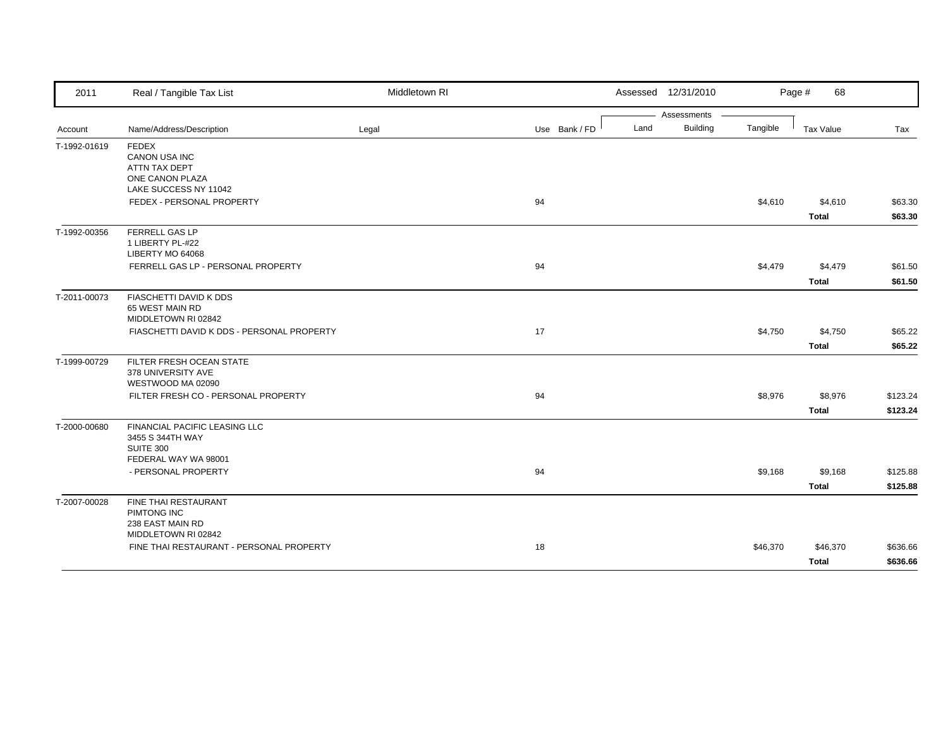| 2011         | Real / Tangible Tax List                                                                          | Middletown RI |               | Assessed 12/31/2010     |          | Page #<br>68 |          |
|--------------|---------------------------------------------------------------------------------------------------|---------------|---------------|-------------------------|----------|--------------|----------|
|              |                                                                                                   |               |               | Assessments             |          |              |          |
| Account      | Name/Address/Description                                                                          | Legal         | Use Bank / FD | <b>Building</b><br>Land | Tangible | Tax Value    | Tax      |
| T-1992-01619 | <b>FEDEX</b><br><b>CANON USA INC</b><br>ATTN TAX DEPT<br>ONE CANON PLAZA<br>LAKE SUCCESS NY 11042 |               |               |                         |          |              |          |
|              | FEDEX - PERSONAL PROPERTY                                                                         |               | 94            |                         | \$4,610  | \$4,610      | \$63.30  |
|              |                                                                                                   |               |               |                         |          | <b>Total</b> | \$63.30  |
| T-1992-00356 | FERRELL GAS LP<br>1 LIBERTY PL-#22<br>LIBERTY MO 64068                                            |               |               |                         |          |              |          |
|              | FERRELL GAS LP - PERSONAL PROPERTY                                                                |               | 94            |                         | \$4,479  | \$4,479      | \$61.50  |
|              |                                                                                                   |               |               |                         |          | <b>Total</b> | \$61.50  |
| T-2011-00073 | FIASCHETTI DAVID K DDS<br>65 WEST MAIN RD<br>MIDDLETOWN RI 02842                                  |               |               |                         |          |              |          |
|              | FIASCHETTI DAVID K DDS - PERSONAL PROPERTY                                                        |               | 17            |                         | \$4,750  | \$4,750      | \$65.22  |
|              |                                                                                                   |               |               |                         |          | <b>Total</b> | \$65.22  |
| T-1999-00729 | FILTER FRESH OCEAN STATE<br>378 UNIVERSITY AVE<br>WESTWOOD MA 02090                               |               |               |                         |          |              |          |
|              | FILTER FRESH CO - PERSONAL PROPERTY                                                               |               | 94            |                         | \$8,976  | \$8,976      | \$123.24 |
|              |                                                                                                   |               |               |                         |          | <b>Total</b> | \$123.24 |
| T-2000-00680 | FINANCIAL PACIFIC LEASING LLC<br>3455 S 344TH WAY<br><b>SUITE 300</b><br>FEDERAL WAY WA 98001     |               |               |                         |          |              |          |
|              | - PERSONAL PROPERTY                                                                               |               | 94            |                         | \$9,168  | \$9,168      | \$125.88 |
|              |                                                                                                   |               |               |                         |          | <b>Total</b> | \$125.88 |
| T-2007-00028 | FINE THAI RESTAURANT<br>PIMTONG INC<br>238 EAST MAIN RD                                           |               |               |                         |          |              |          |
|              | MIDDLETOWN RI 02842<br>FINE THAI RESTAURANT - PERSONAL PROPERTY                                   |               | 18            |                         | \$46,370 | \$46,370     | \$636.66 |
|              |                                                                                                   |               |               |                         |          | <b>Total</b> | \$636.66 |
|              |                                                                                                   |               |               |                         |          |              |          |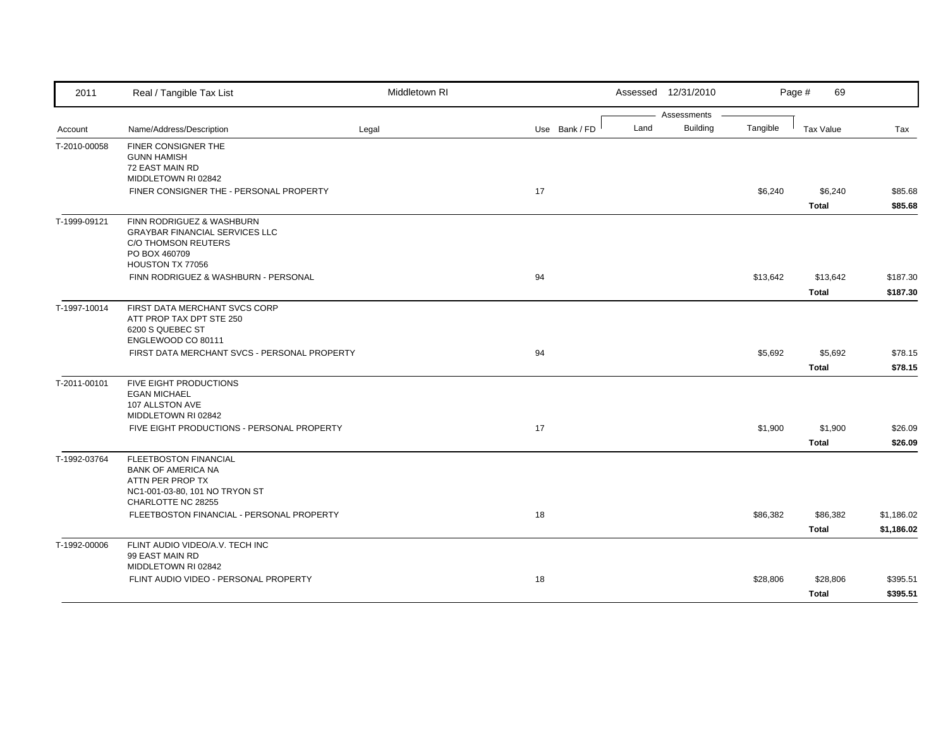| 2011         | Real / Tangible Tax List                                                                                                       | Middletown RI |               |      | Assessed 12/31/2010            |          | Page #<br>69             |                          |
|--------------|--------------------------------------------------------------------------------------------------------------------------------|---------------|---------------|------|--------------------------------|----------|--------------------------|--------------------------|
| Account      | Name/Address/Description                                                                                                       | Legal         | Use Bank / FD | Land | Assessments<br><b>Building</b> | Tangible | Tax Value                | Tax                      |
| T-2010-00058 | <b>FINER CONSIGNER THE</b><br><b>GUNN HAMISH</b><br>72 EAST MAIN RD<br>MIDDLETOWN RI 02842                                     |               |               |      |                                |          |                          |                          |
|              | FINER CONSIGNER THE - PERSONAL PROPERTY                                                                                        |               | 17            |      |                                | \$6,240  | \$6,240<br><b>Total</b>  | \$85.68<br>\$85.68       |
| T-1999-09121 | FINN RODRIGUEZ & WASHBURN<br><b>GRAYBAR FINANCIAL SERVICES LLC</b><br>C/O THOMSON REUTERS<br>PO BOX 460709<br>HOUSTON TX 77056 |               |               |      |                                |          |                          |                          |
|              | FINN RODRIGUEZ & WASHBURN - PERSONAL                                                                                           |               | 94            |      |                                | \$13,642 | \$13,642<br><b>Total</b> | \$187.30<br>\$187.30     |
| T-1997-10014 | FIRST DATA MERCHANT SVCS CORP<br>ATT PROP TAX DPT STE 250<br>6200 S QUEBEC ST<br>ENGLEWOOD CO 80111                            |               |               |      |                                |          |                          |                          |
|              | FIRST DATA MERCHANT SVCS - PERSONAL PROPERTY                                                                                   |               | 94            |      |                                | \$5,692  | \$5,692<br><b>Total</b>  | \$78.15<br>\$78.15       |
| T-2011-00101 | FIVE EIGHT PRODUCTIONS<br><b>EGAN MICHAEL</b><br>107 ALLSTON AVE<br>MIDDLETOWN RI 02842                                        |               |               |      |                                |          |                          |                          |
|              | FIVE EIGHT PRODUCTIONS - PERSONAL PROPERTY                                                                                     |               | 17            |      |                                | \$1,900  | \$1,900<br><b>Total</b>  | \$26.09<br>\$26.09       |
| T-1992-03764 | FLEETBOSTON FINANCIAL<br><b>BANK OF AMERICA NA</b><br>ATTN PER PROP TX<br>NC1-001-03-80, 101 NO TRYON ST<br>CHARLOTTE NC 28255 |               |               |      |                                |          |                          |                          |
|              | FLEETBOSTON FINANCIAL - PERSONAL PROPERTY                                                                                      |               | 18            |      |                                | \$86,382 | \$86,382<br><b>Total</b> | \$1,186.02<br>\$1,186.02 |
| T-1992-00006 | FLINT AUDIO VIDEO/A.V. TECH INC<br>99 EAST MAIN RD<br>MIDDLETOWN RI 02842                                                      |               |               |      |                                |          |                          |                          |
|              | FLINT AUDIO VIDEO - PERSONAL PROPERTY                                                                                          |               | 18            |      |                                | \$28,806 | \$28,806<br><b>Total</b> | \$395.51<br>\$395.51     |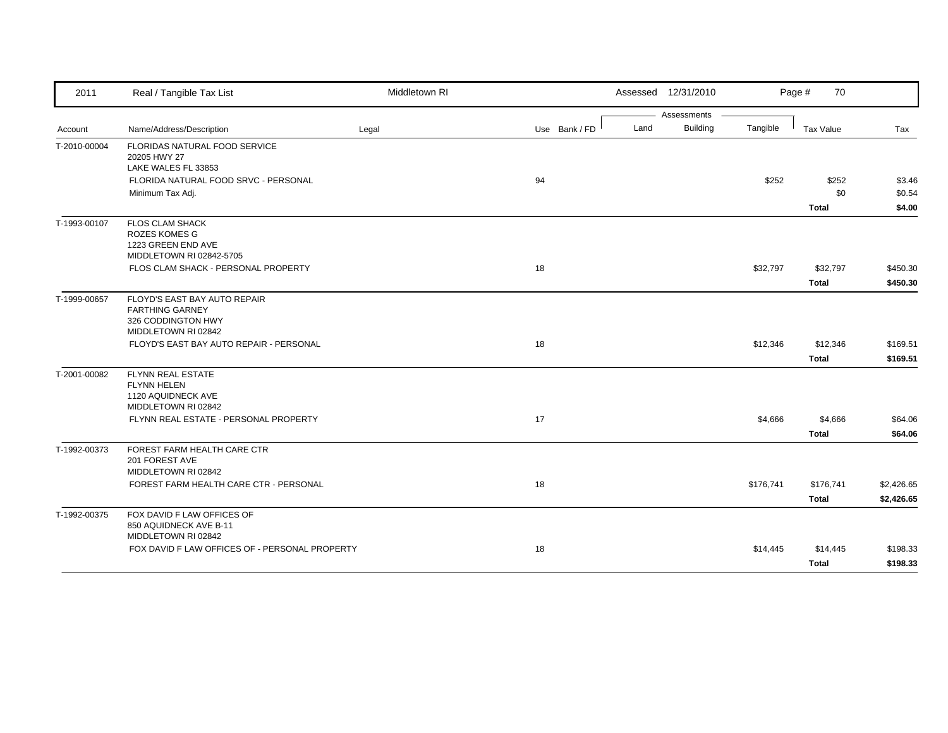| 2011         | Real / Tangible Tax List                       | Middletown RI |               | Assessed 12/31/2010 |                 |           | 70<br>Page # |            |
|--------------|------------------------------------------------|---------------|---------------|---------------------|-----------------|-----------|--------------|------------|
|              |                                                |               |               |                     | Assessments     |           |              |            |
| Account      | Name/Address/Description                       | Legal         | Use Bank / FD | Land                | <b>Building</b> | Tangible  | Tax Value    | Tax        |
| T-2010-00004 | FLORIDAS NATURAL FOOD SERVICE                  |               |               |                     |                 |           |              |            |
|              | 20205 HWY 27<br>LAKE WALES FL 33853            |               |               |                     |                 |           |              |            |
|              | FLORIDA NATURAL FOOD SRVC - PERSONAL           |               | 94            |                     |                 | \$252     | \$252        | \$3.46     |
|              | Minimum Tax Adj.                               |               |               |                     |                 |           | \$0          | \$0.54     |
|              |                                                |               |               |                     |                 |           | <b>Total</b> | \$4.00     |
| T-1993-00107 | <b>FLOS CLAM SHACK</b>                         |               |               |                     |                 |           |              |            |
|              | <b>ROZES KOMES G</b><br>1223 GREEN END AVE     |               |               |                     |                 |           |              |            |
|              | MIDDLETOWN RI 02842-5705                       |               |               |                     |                 |           |              |            |
|              | FLOS CLAM SHACK - PERSONAL PROPERTY            |               | 18            |                     |                 | \$32,797  | \$32,797     | \$450.30   |
|              |                                                |               |               |                     |                 |           | <b>Total</b> | \$450.30   |
| T-1999-00657 | FLOYD'S EAST BAY AUTO REPAIR                   |               |               |                     |                 |           |              |            |
|              | <b>FARTHING GARNEY</b>                         |               |               |                     |                 |           |              |            |
|              | 326 CODDINGTON HWY<br>MIDDLETOWN RI 02842      |               |               |                     |                 |           |              |            |
|              | FLOYD'S EAST BAY AUTO REPAIR - PERSONAL        |               | 18            |                     |                 | \$12,346  | \$12,346     | \$169.51   |
|              |                                                |               |               |                     |                 |           | <b>Total</b> | \$169.51   |
| T-2001-00082 | <b>FLYNN REAL ESTATE</b>                       |               |               |                     |                 |           |              |            |
|              | <b>FLYNN HELEN</b><br>1120 AQUIDNECK AVE       |               |               |                     |                 |           |              |            |
|              | MIDDLETOWN RI 02842                            |               |               |                     |                 |           |              |            |
|              | FLYNN REAL ESTATE - PERSONAL PROPERTY          |               | 17            |                     |                 | \$4,666   | \$4,666      | \$64.06    |
|              |                                                |               |               |                     |                 |           | <b>Total</b> | \$64.06    |
| T-1992-00373 | FOREST FARM HEALTH CARE CTR                    |               |               |                     |                 |           |              |            |
|              | 201 FOREST AVE<br>MIDDLETOWN RI 02842          |               |               |                     |                 |           |              |            |
|              | FOREST FARM HEALTH CARE CTR - PERSONAL         |               | 18            |                     |                 | \$176,741 | \$176,741    | \$2,426.65 |
|              |                                                |               |               |                     |                 |           | <b>Total</b> | \$2,426.65 |
| T-1992-00375 | FOX DAVID F LAW OFFICES OF                     |               |               |                     |                 |           |              |            |
|              | 850 AQUIDNECK AVE B-11<br>MIDDLETOWN RI 02842  |               |               |                     |                 |           |              |            |
|              | FOX DAVID F LAW OFFICES OF - PERSONAL PROPERTY |               | 18            |                     |                 | \$14,445  | \$14,445     | \$198.33   |
|              |                                                |               |               |                     |                 |           | <b>Total</b> | \$198.33   |
|              |                                                |               |               |                     |                 |           |              |            |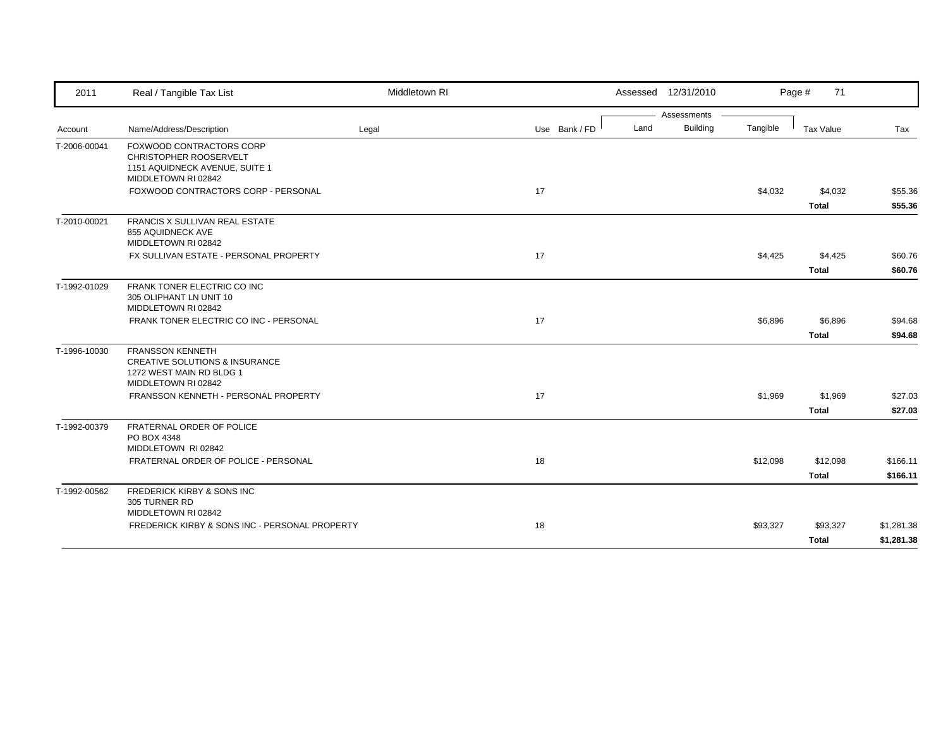| 2011         | Real / Tangible Tax List                                                                                                | Middletown RI |               |      | Assessed 12/31/2010 |          | Page #<br>71     |            |
|--------------|-------------------------------------------------------------------------------------------------------------------------|---------------|---------------|------|---------------------|----------|------------------|------------|
|              |                                                                                                                         |               |               |      | Assessments         |          |                  |            |
| Account      | Name/Address/Description                                                                                                | Legal         | Use Bank / FD | Land | <b>Building</b>     | Tangible | <b>Tax Value</b> | Tax        |
| T-2006-00041 | <b>FOXWOOD CONTRACTORS CORP</b><br>CHRISTOPHER ROOSERVELT<br>1151 AQUIDNECK AVENUE, SUITE 1<br>MIDDLETOWN RI 02842      |               |               |      |                     |          |                  |            |
|              | FOXWOOD CONTRACTORS CORP - PERSONAL                                                                                     |               | 17            |      |                     | \$4,032  | \$4,032          | \$55.36    |
|              |                                                                                                                         |               |               |      |                     |          | <b>Total</b>     | \$55.36    |
| T-2010-00021 | <b>FRANCIS X SULLIVAN REAL ESTATE</b><br>855 AQUIDNECK AVE<br>MIDDLETOWN RI 02842                                       |               |               |      |                     |          |                  |            |
|              | FX SULLIVAN ESTATE - PERSONAL PROPERTY                                                                                  |               | 17            |      |                     | \$4,425  | \$4,425          | \$60.76    |
|              |                                                                                                                         |               |               |      |                     |          | Total            | \$60.76    |
| T-1992-01029 | FRANK TONER ELECTRIC CO INC<br>305 OLIPHANT LN UNIT 10<br>MIDDLETOWN RI 02842                                           |               |               |      |                     |          |                  |            |
|              | FRANK TONER ELECTRIC CO INC - PERSONAL                                                                                  |               | 17            |      |                     | \$6,896  | \$6,896          | \$94.68    |
|              |                                                                                                                         |               |               |      |                     |          | <b>Total</b>     | \$94.68    |
| T-1996-10030 | <b>FRANSSON KENNETH</b><br><b>CREATIVE SOLUTIONS &amp; INSURANCE</b><br>1272 WEST MAIN RD BLDG 1<br>MIDDLETOWN RI 02842 |               |               |      |                     |          |                  |            |
|              | FRANSSON KENNETH - PERSONAL PROPERTY                                                                                    |               | 17            |      |                     | \$1,969  | \$1,969          | \$27.03    |
|              |                                                                                                                         |               |               |      |                     |          | Total            | \$27.03    |
| T-1992-00379 | FRATERNAL ORDER OF POLICE<br>PO BOX 4348<br>MIDDLETOWN RI 02842                                                         |               |               |      |                     |          |                  |            |
|              | FRATERNAL ORDER OF POLICE - PERSONAL                                                                                    |               | 18            |      |                     | \$12,098 | \$12,098         | \$166.11   |
|              |                                                                                                                         |               |               |      |                     |          | <b>Total</b>     | \$166.11   |
| T-1992-00562 | FREDERICK KIRBY & SONS INC<br>305 TURNER RD<br>MIDDLETOWN RI 02842                                                      |               |               |      |                     |          |                  |            |
|              | FREDERICK KIRBY & SONS INC - PERSONAL PROPERTY                                                                          |               | 18            |      |                     | \$93,327 | \$93,327         | \$1,281.38 |
|              |                                                                                                                         |               |               |      |                     |          | <b>Total</b>     | \$1,281.38 |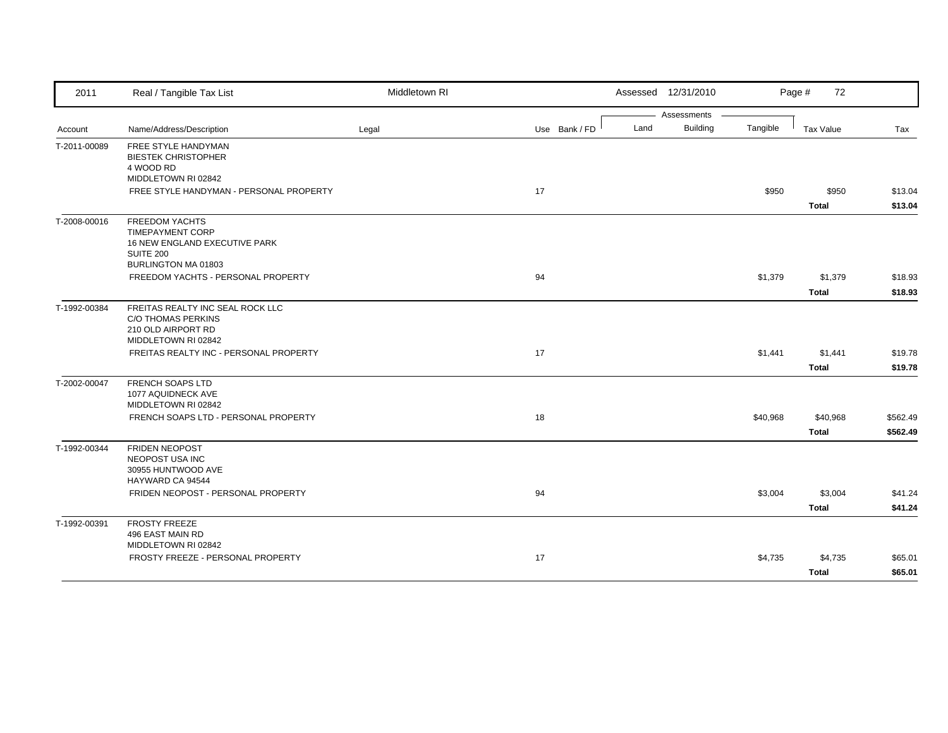| 2011         | Real / Tangible Tax List                                 | Middletown RI |               | Assessed 12/31/2010 |          | Page #<br>72     |          |
|--------------|----------------------------------------------------------|---------------|---------------|---------------------|----------|------------------|----------|
|              |                                                          |               |               | Assessments         |          |                  |          |
| Account      | Name/Address/Description                                 | Legal         | Use Bank / FD | Building<br>Land    | Tangible | <b>Tax Value</b> | Tax      |
| T-2011-00089 | FREE STYLE HANDYMAN<br><b>BIESTEK CHRISTOPHER</b>        |               |               |                     |          |                  |          |
|              | 4 WOOD RD                                                |               |               |                     |          |                  |          |
|              | MIDDLETOWN RI 02842                                      |               |               |                     |          |                  |          |
|              | FREE STYLE HANDYMAN - PERSONAL PROPERTY                  |               | 17            |                     | \$950    | \$950            | \$13.04  |
|              |                                                          |               |               |                     |          | <b>Total</b>     | \$13.04  |
| T-2008-00016 | <b>FREEDOM YACHTS</b>                                    |               |               |                     |          |                  |          |
|              | <b>TIMEPAYMENT CORP</b><br>16 NEW ENGLAND EXECUTIVE PARK |               |               |                     |          |                  |          |
|              | <b>SUITE 200</b>                                         |               |               |                     |          |                  |          |
|              | <b>BURLINGTON MA 01803</b>                               |               |               |                     |          |                  |          |
|              | FREEDOM YACHTS - PERSONAL PROPERTY                       |               | 94            |                     | \$1,379  | \$1,379          | \$18.93  |
|              |                                                          |               |               |                     |          | <b>Total</b>     | \$18.93  |
| T-1992-00384 | FREITAS REALTY INC SEAL ROCK LLC                         |               |               |                     |          |                  |          |
|              | <b>C/O THOMAS PERKINS</b><br>210 OLD AIRPORT RD          |               |               |                     |          |                  |          |
|              | MIDDLETOWN RI 02842                                      |               |               |                     |          |                  |          |
|              | FREITAS REALTY INC - PERSONAL PROPERTY                   |               | 17            |                     | \$1,441  | \$1,441          | \$19.78  |
|              |                                                          |               |               |                     |          | <b>Total</b>     | \$19.78  |
| T-2002-00047 | FRENCH SOAPS LTD                                         |               |               |                     |          |                  |          |
|              | 1077 AQUIDNECK AVE<br>MIDDLETOWN RI 02842                |               |               |                     |          |                  |          |
|              | FRENCH SOAPS LTD - PERSONAL PROPERTY                     |               | 18            |                     | \$40,968 | \$40,968         | \$562.49 |
|              |                                                          |               |               |                     |          | <b>Total</b>     | \$562.49 |
| T-1992-00344 | <b>FRIDEN NEOPOST</b>                                    |               |               |                     |          |                  |          |
|              | NEOPOST USA INC                                          |               |               |                     |          |                  |          |
|              | 30955 HUNTWOOD AVE                                       |               |               |                     |          |                  |          |
|              | HAYWARD CA 94544<br>FRIDEN NEOPOST - PERSONAL PROPERTY   |               | 94            |                     | \$3,004  | \$3,004          | \$41.24  |
|              |                                                          |               |               |                     |          | <b>Total</b>     | \$41.24  |
| T-1992-00391 | <b>FROSTY FREEZE</b>                                     |               |               |                     |          |                  |          |
|              | 496 EAST MAIN RD                                         |               |               |                     |          |                  |          |
|              | MIDDLETOWN RI 02842                                      |               |               |                     |          |                  |          |
|              | FROSTY FREEZE - PERSONAL PROPERTY                        |               | 17            |                     | \$4,735  | \$4,735          | \$65.01  |
|              |                                                          |               |               |                     |          | <b>Total</b>     | \$65.01  |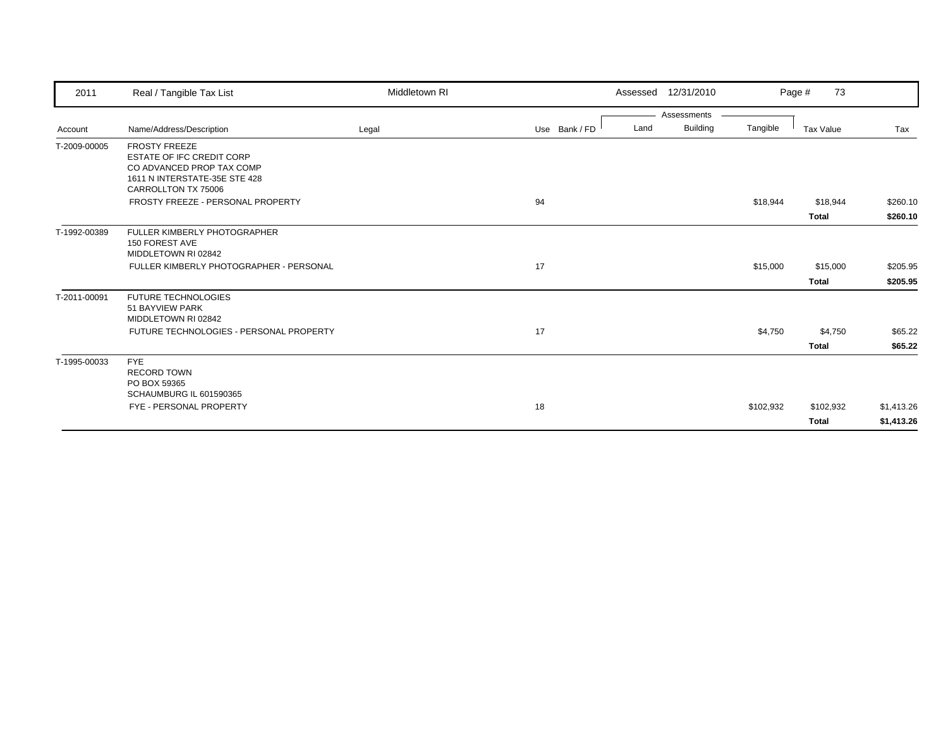| 2011         | Real / Tangible Tax List                                       | Middletown RI |               |      | Assessed 12/31/2010 |           | 73<br>Page #     |            |
|--------------|----------------------------------------------------------------|---------------|---------------|------|---------------------|-----------|------------------|------------|
|              |                                                                |               |               |      | Assessments         |           |                  |            |
| Account      | Name/Address/Description                                       | Legal         | Use Bank / FD | Land | <b>Building</b>     | Tangible  | <b>Tax Value</b> | Tax        |
| T-2009-00005 | <b>FROSTY FREEZE</b>                                           |               |               |      |                     |           |                  |            |
|              | <b>ESTATE OF IFC CREDIT CORP</b>                               |               |               |      |                     |           |                  |            |
|              | CO ADVANCED PROP TAX COMP<br>1611 N INTERSTATE-35E STE 428     |               |               |      |                     |           |                  |            |
|              | CARROLLTON TX 75006                                            |               |               |      |                     |           |                  |            |
|              | FROSTY FREEZE - PERSONAL PROPERTY                              |               | 94            |      |                     | \$18,944  | \$18,944         | \$260.10   |
|              |                                                                |               |               |      |                     |           | <b>Total</b>     | \$260.10   |
| T-1992-00389 | FULLER KIMBERLY PHOTOGRAPHER                                   |               |               |      |                     |           |                  |            |
|              | 150 FOREST AVE                                                 |               |               |      |                     |           |                  |            |
|              | MIDDLETOWN RI 02842                                            |               |               |      |                     |           |                  |            |
|              | FULLER KIMBERLY PHOTOGRAPHER - PERSONAL                        |               | 17            |      |                     | \$15,000  | \$15,000         | \$205.95   |
|              |                                                                |               |               |      |                     |           | <b>Total</b>     | \$205.95   |
| T-2011-00091 | <b>FUTURE TECHNOLOGIES</b>                                     |               |               |      |                     |           |                  |            |
|              | 51 BAYVIEW PARK                                                |               |               |      |                     |           |                  |            |
|              | MIDDLETOWN RI 02842<br>FUTURE TECHNOLOGIES - PERSONAL PROPERTY |               | 17            |      |                     | \$4,750   | \$4,750          | \$65.22    |
|              |                                                                |               |               |      |                     |           |                  |            |
|              |                                                                |               |               |      |                     |           | <b>Total</b>     | \$65.22    |
| T-1995-00033 | <b>FYE</b><br><b>RECORD TOWN</b>                               |               |               |      |                     |           |                  |            |
|              | PO BOX 59365                                                   |               |               |      |                     |           |                  |            |
|              | SCHAUMBURG IL 601590365                                        |               |               |      |                     |           |                  |            |
|              | FYE - PERSONAL PROPERTY                                        |               | 18            |      |                     | \$102,932 | \$102,932        | \$1,413.26 |
|              |                                                                |               |               |      |                     |           | <b>Total</b>     | \$1,413.26 |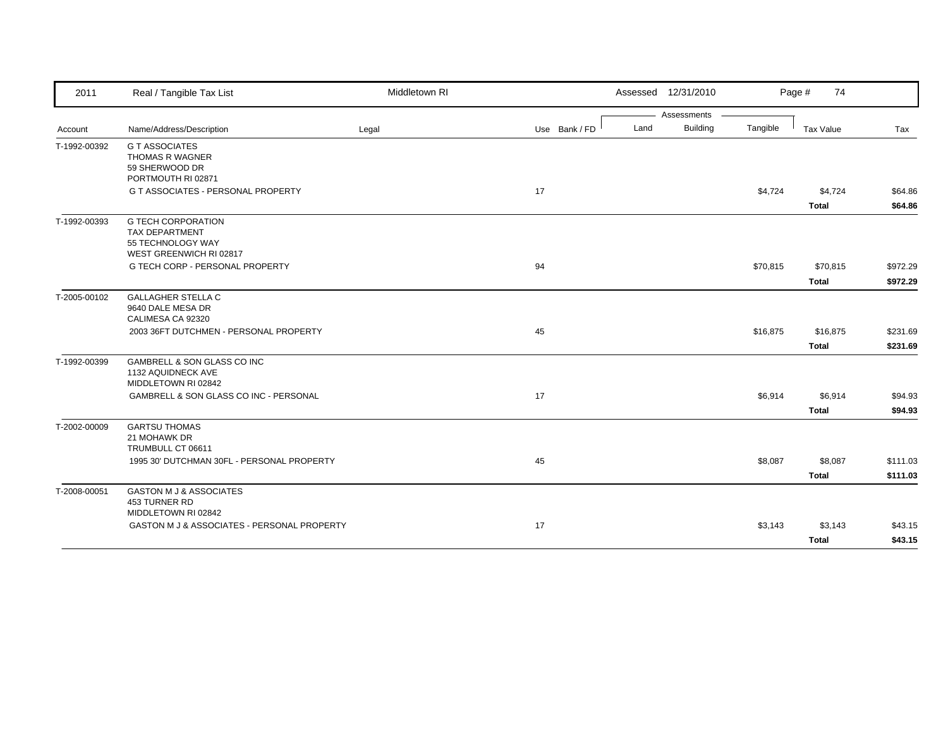| 2011                         | Real / Tangible Tax List                                                                    | Middletown RI |               |      | Assessed 12/31/2010 |          | Page #<br>74             |                      |
|------------------------------|---------------------------------------------------------------------------------------------|---------------|---------------|------|---------------------|----------|--------------------------|----------------------|
|                              |                                                                                             |               |               |      | Assessments         |          |                          |                      |
| Account                      | Name/Address/Description                                                                    | Legal         | Use Bank / FD | Land | Building            | Tangible | Tax Value                | Tax                  |
| T-1992-00392                 | <b>G T ASSOCIATES</b><br><b>THOMAS R WAGNER</b><br>59 SHERWOOD DR<br>PORTMOUTH RI 02871     |               |               |      |                     |          |                          |                      |
|                              | G T ASSOCIATES - PERSONAL PROPERTY                                                          |               | 17            |      |                     | \$4,724  | \$4,724<br>Total         | \$64.86<br>\$64.86   |
| T-1992-00393<br>T-2005-00102 | <b>G TECH CORPORATION</b><br>TAX DEPARTMENT<br>55 TECHNOLOGY WAY<br>WEST GREENWICH RI 02817 |               |               |      |                     |          |                          |                      |
|                              | G TECH CORP - PERSONAL PROPERTY                                                             |               | 94            |      |                     | \$70,815 | \$70,815<br><b>Total</b> | \$972.29<br>\$972.29 |
|                              | <b>GALLAGHER STELLA C</b><br>9640 DALE MESA DR<br>CALIMESA CA 92320                         |               |               |      |                     |          |                          |                      |
|                              | 2003 36FT DUTCHMEN - PERSONAL PROPERTY                                                      |               | 45            |      |                     | \$16,875 | \$16,875<br>Total        | \$231.69<br>\$231.69 |
| T-1992-00399                 | GAMBRELL & SON GLASS CO INC<br>1132 AQUIDNECK AVE<br>MIDDLETOWN RI 02842                    |               |               |      |                     |          |                          |                      |
|                              | GAMBRELL & SON GLASS CO INC - PERSONAL                                                      |               | 17            |      |                     | \$6,914  | \$6,914<br>Total         | \$94.93<br>\$94.93   |
| T-2002-00009                 | <b>GARTSU THOMAS</b><br>21 MOHAWK DR<br>TRUMBULL CT 06611                                   |               |               |      |                     |          |                          |                      |
|                              | 1995 30' DUTCHMAN 30FL - PERSONAL PROPERTY                                                  |               | 45            |      |                     | \$8,087  | \$8,087<br><b>Total</b>  | \$111.03<br>\$111.03 |
| T-2008-00051                 | <b>GASTON M J &amp; ASSOCIATES</b><br>453 TURNER RD<br>MIDDLETOWN RI 02842                  |               |               |      |                     |          |                          |                      |
|                              | GASTON M J & ASSOCIATES - PERSONAL PROPERTY                                                 |               | 17            |      |                     | \$3,143  | \$3,143<br><b>Total</b>  | \$43.15<br>\$43.15   |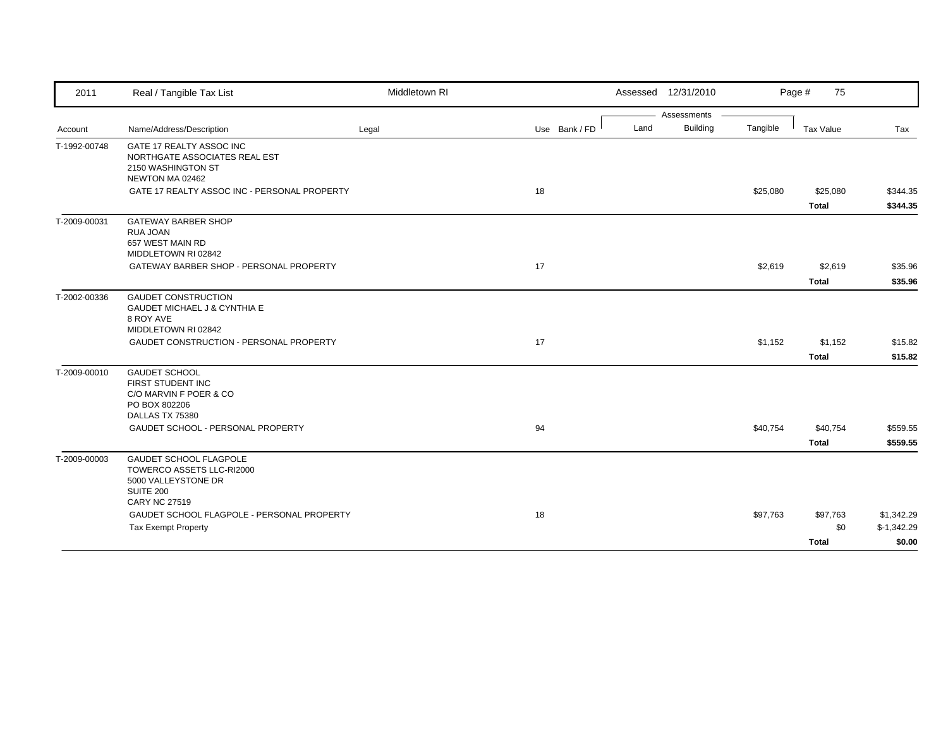| 2011         | Real / Tangible Tax List                                                                                                      | Middletown RI |               |      | Assessed 12/31/2010 |          | Page #<br>75                    |                                      |
|--------------|-------------------------------------------------------------------------------------------------------------------------------|---------------|---------------|------|---------------------|----------|---------------------------------|--------------------------------------|
|              |                                                                                                                               |               |               |      | Assessments         |          |                                 |                                      |
| Account      | Name/Address/Description                                                                                                      | Legal         | Use Bank / FD | Land | <b>Building</b>     | Tangible | <b>Tax Value</b>                | Tax                                  |
| T-1992-00748 | GATE 17 REALTY ASSOC INC<br>NORTHGATE ASSOCIATES REAL EST<br>2150 WASHINGTON ST<br>NEWTON MA 02462                            |               |               |      |                     |          |                                 |                                      |
|              | GATE 17 REALTY ASSOC INC - PERSONAL PROPERTY                                                                                  |               | 18            |      |                     | \$25,080 | \$25,080<br><b>Total</b>        | \$344.35<br>\$344.35                 |
| T-2009-00031 | <b>GATEWAY BARBER SHOP</b><br><b>RUA JOAN</b><br>657 WEST MAIN RD<br>MIDDLETOWN RI 02842                                      |               |               |      |                     |          |                                 |                                      |
|              | GATEWAY BARBER SHOP - PERSONAL PROPERTY                                                                                       |               | 17            |      |                     | \$2,619  | \$2,619                         | \$35.96                              |
|              |                                                                                                                               |               |               |      |                     |          | <b>Total</b>                    | \$35.96                              |
| T-2002-00336 | <b>GAUDET CONSTRUCTION</b><br><b>GAUDET MICHAEL J &amp; CYNTHIA E</b><br>8 ROY AVE<br>MIDDLETOWN RI 02842                     |               |               |      |                     |          |                                 |                                      |
|              | GAUDET CONSTRUCTION - PERSONAL PROPERTY                                                                                       |               | 17            |      |                     | \$1,152  | \$1,152                         | \$15.82                              |
|              |                                                                                                                               |               |               |      |                     |          | <b>Total</b>                    | \$15.82                              |
| T-2009-00010 | <b>GAUDET SCHOOL</b><br>FIRST STUDENT INC<br>C/O MARVIN F POER & CO<br>PO BOX 802206<br>DALLAS TX 75380                       |               |               |      |                     |          |                                 |                                      |
|              | GAUDET SCHOOL - PERSONAL PROPERTY                                                                                             |               | 94            |      |                     | \$40,754 | \$40,754<br><b>Total</b>        | \$559.55<br>\$559.55                 |
| T-2009-00003 | <b>GAUDET SCHOOL FLAGPOLE</b><br>TOWERCO ASSETS LLC-RI2000<br>5000 VALLEYSTONE DR<br><b>SUITE 200</b><br><b>CARY NC 27519</b> |               |               |      |                     |          |                                 |                                      |
|              | GAUDET SCHOOL FLAGPOLE - PERSONAL PROPERTY<br><b>Tax Exempt Property</b>                                                      |               | 18            |      |                     | \$97,763 | \$97,763<br>\$0<br><b>Total</b> | \$1,342.29<br>$$-1,342.29$<br>\$0.00 |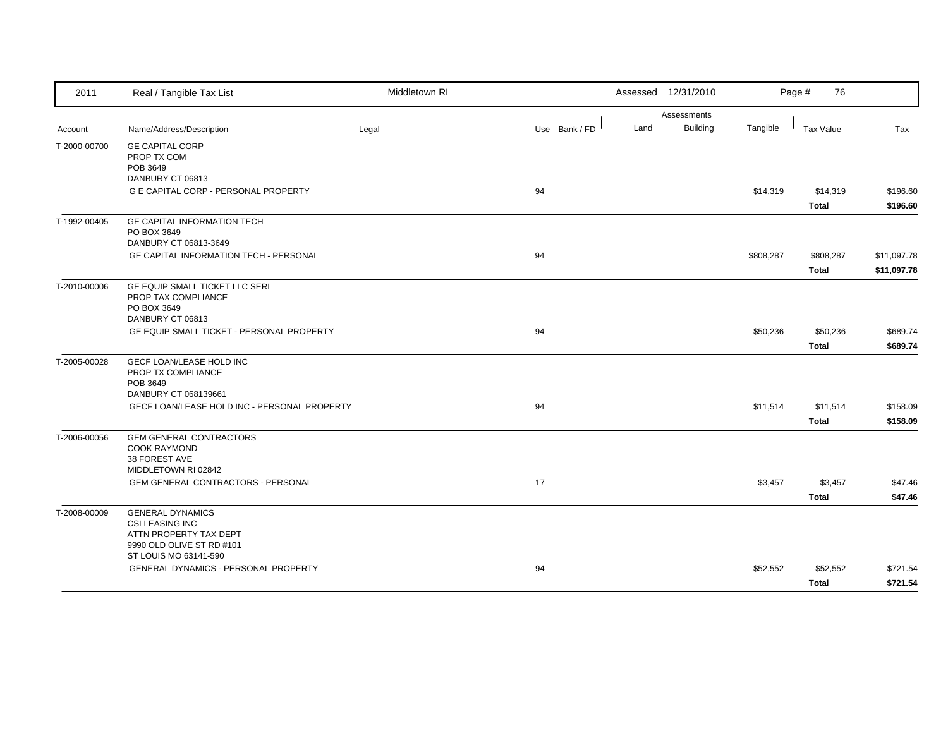| 2011         | Real / Tangible Tax List                                                                                 | Middletown RI |               | Assessed 12/31/2010                    |           | Page #<br>76              |                            |
|--------------|----------------------------------------------------------------------------------------------------------|---------------|---------------|----------------------------------------|-----------|---------------------------|----------------------------|
| Account      | Name/Address/Description                                                                                 | Legal         | Use Bank / FD | Assessments<br><b>Building</b><br>Land | Tangible  | <b>Tax Value</b>          | Tax                        |
| T-2000-00700 | <b>GE CAPITAL CORP</b><br>PROP TX COM<br>POB 3649<br>DANBURY CT 06813                                    |               |               |                                        |           |                           |                            |
|              | G E CAPITAL CORP - PERSONAL PROPERTY                                                                     |               | 94            |                                        | \$14,319  | \$14,319<br><b>Total</b>  | \$196.60<br>\$196.60       |
| T-1992-00405 | <b>GE CAPITAL INFORMATION TECH</b><br>PO BOX 3649<br>DANBURY CT 06813-3649                               |               |               |                                        |           |                           |                            |
|              | <b>GE CAPITAL INFORMATION TECH - PERSONAL</b>                                                            |               | 94            |                                        | \$808,287 | \$808,287<br><b>Total</b> | \$11,097.78<br>\$11,097.78 |
| T-2010-00006 | GE EQUIP SMALL TICKET LLC SERI<br>PROP TAX COMPLIANCE<br>PO BOX 3649<br>DANBURY CT 06813                 |               |               |                                        |           |                           |                            |
|              | GE EQUIP SMALL TICKET - PERSONAL PROPERTY                                                                |               | 94            |                                        | \$50,236  | \$50,236<br><b>Total</b>  | \$689.74<br>\$689.74       |
| T-2005-00028 | <b>GECF LOAN/LEASE HOLD INC</b><br>PROP TX COMPLIANCE<br>POB 3649                                        |               |               |                                        |           |                           |                            |
|              | DANBURY CT 068139661<br>GECF LOAN/LEASE HOLD INC - PERSONAL PROPERTY                                     |               | 94            |                                        | \$11,514  | \$11,514<br><b>Total</b>  | \$158.09<br>\$158.09       |
| T-2006-00056 | <b>GEM GENERAL CONTRACTORS</b><br><b>COOK RAYMOND</b><br>38 FOREST AVE<br>MIDDLETOWN RI 02842            |               |               |                                        |           |                           |                            |
|              | <b>GEM GENERAL CONTRACTORS - PERSONAL</b>                                                                |               | 17            |                                        | \$3,457   | \$3,457<br><b>Total</b>   | \$47.46<br>\$47.46         |
| T-2008-00009 | <b>GENERAL DYNAMICS</b><br><b>CSI LEASING INC</b><br>ATTN PROPERTY TAX DEPT<br>9990 OLD OLIVE ST RD #101 |               |               |                                        |           |                           |                            |
|              | ST LOUIS MO 63141-590<br>GENERAL DYNAMICS - PERSONAL PROPERTY                                            |               | 94            |                                        | \$52,552  | \$52,552<br><b>Total</b>  | \$721.54<br>\$721.54       |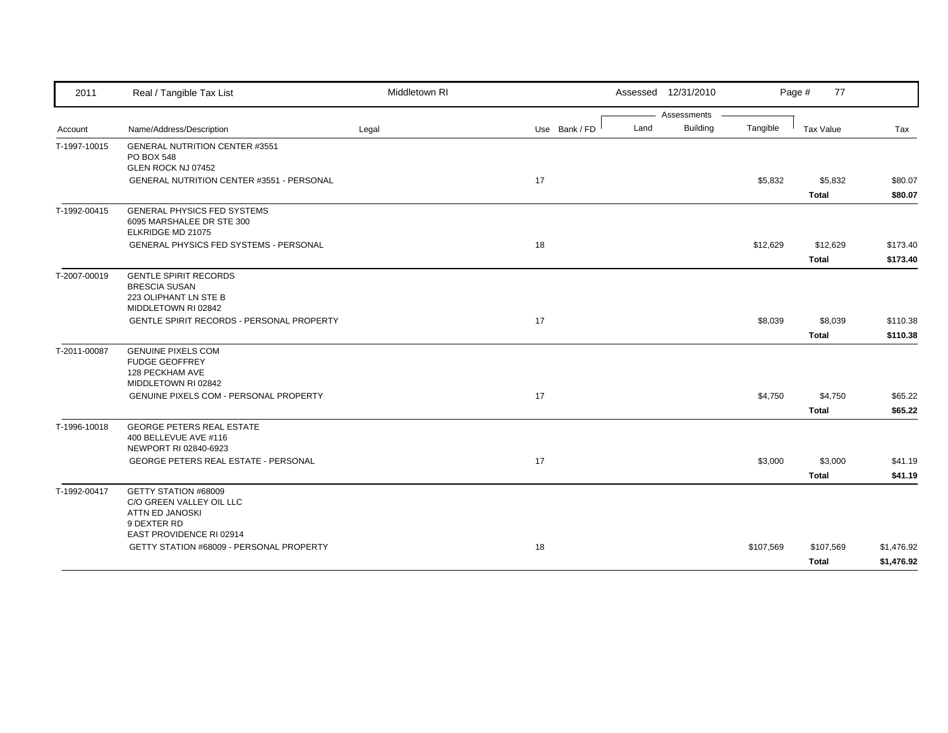| 2011         | Real / Tangible Tax List                                                                                                      | Middletown RI |               | Assessed 12/31/2010                    |           | Page #<br>77            |                          |
|--------------|-------------------------------------------------------------------------------------------------------------------------------|---------------|---------------|----------------------------------------|-----------|-------------------------|--------------------------|
| Account      | Name/Address/Description                                                                                                      | Legal         | Use Bank / FD | Assessments<br><b>Building</b><br>Land | Tangible  | Tax Value               | Tax                      |
| T-1997-10015 | <b>GENERAL NUTRITION CENTER #3551</b><br><b>PO BOX 548</b><br>GLEN ROCK NJ 07452<br>GENERAL NUTRITION CENTER #3551 - PERSONAL |               | 17            |                                        | \$5,832   | \$5,832                 | \$80.07                  |
|              |                                                                                                                               |               |               |                                        |           | Total                   | \$80.07                  |
| T-1992-00415 | <b>GENERAL PHYSICS FED SYSTEMS</b><br>6095 MARSHALEE DR STE 300<br>ELKRIDGE MD 21075                                          |               |               |                                        |           |                         |                          |
|              | GENERAL PHYSICS FED SYSTEMS - PERSONAL                                                                                        |               | 18            |                                        | \$12,629  | \$12,629<br>Total       | \$173.40<br>\$173.40     |
| T-2007-00019 | <b>GENTLE SPIRIT RECORDS</b><br><b>BRESCIA SUSAN</b><br>223 OLIPHANT LN STE B<br>MIDDLETOWN RI 02842                          |               |               |                                        |           |                         |                          |
|              | <b>GENTLE SPIRIT RECORDS - PERSONAL PROPERTY</b>                                                                              |               | 17            |                                        | \$8,039   | \$8,039<br><b>Total</b> | \$110.38<br>\$110.38     |
| T-2011-00087 | <b>GENUINE PIXELS COM</b><br><b>FUDGE GEOFFREY</b><br>128 PECKHAM AVE<br>MIDDLETOWN RI 02842                                  |               |               |                                        |           |                         |                          |
|              | GENUINE PIXELS COM - PERSONAL PROPERTY                                                                                        |               | 17            |                                        | \$4,750   | \$4,750<br>Total        | \$65.22<br>\$65.22       |
| T-1996-10018 | <b>GEORGE PETERS REAL ESTATE</b><br>400 BELLEVUE AVE #116<br>NEWPORT RI 02840-6923                                            |               |               |                                        |           |                         |                          |
|              | <b>GEORGE PETERS REAL ESTATE - PERSONAL</b>                                                                                   |               | 17            |                                        | \$3,000   | \$3,000<br>Total        | \$41.19<br>\$41.19       |
| T-1992-00417 | GETTY STATION #68009<br>C/O GREEN VALLEY OIL LLC<br><b>ATTN ED JANOSKI</b><br>9 DEXTER RD<br>EAST PROVIDENCE RI 02914         |               |               |                                        |           |                         |                          |
|              | GETTY STATION #68009 - PERSONAL PROPERTY                                                                                      |               | 18            |                                        | \$107,569 | \$107,569<br>Total      | \$1,476.92<br>\$1,476.92 |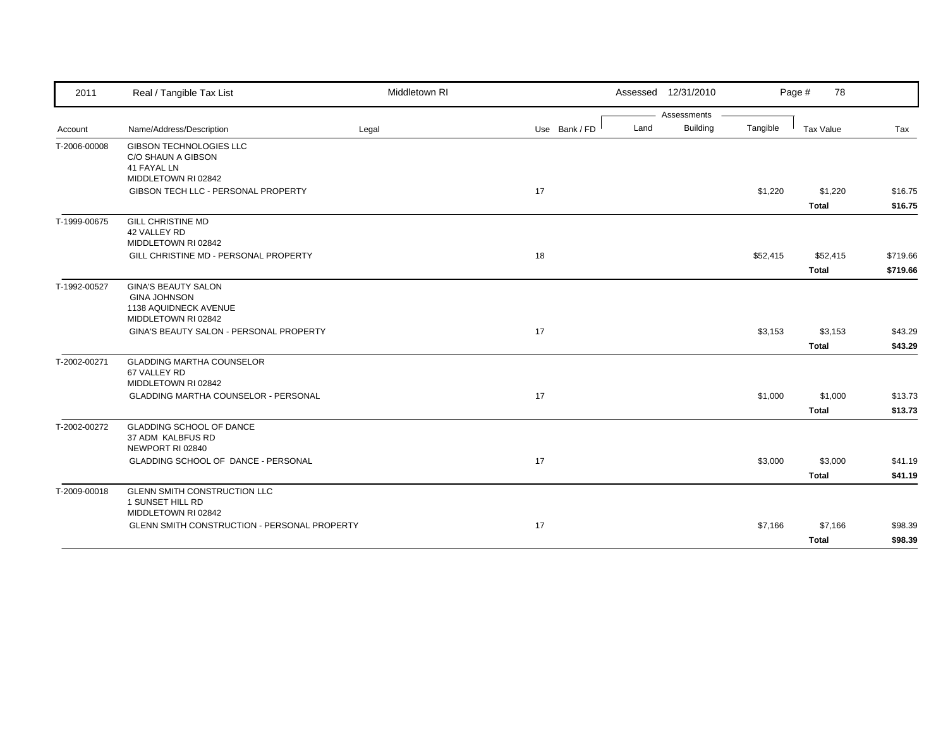| 2011         | Real / Tangible Tax List                                                                                               | Middletown RI |               |      | Assessed 12/31/2010 |          | Page #<br>78             |                      |
|--------------|------------------------------------------------------------------------------------------------------------------------|---------------|---------------|------|---------------------|----------|--------------------------|----------------------|
|              |                                                                                                                        |               |               |      | Assessments         |          |                          |                      |
| Account      | Name/Address/Description                                                                                               | Legal         | Use Bank / FD | Land | Building            | Tangible | Tax Value                | Tax                  |
| T-2006-00008 | <b>GIBSON TECHNOLOGIES LLC</b><br>C/O SHAUN A GIBSON<br>41 FAYAL LN                                                    |               |               |      |                     |          |                          |                      |
|              | MIDDLETOWN RI 02842                                                                                                    |               |               |      |                     |          |                          |                      |
|              | GIBSON TECH LLC - PERSONAL PROPERTY                                                                                    |               | 17            |      |                     | \$1,220  | \$1,220<br><b>Total</b>  | \$16.75<br>\$16.75   |
| T-1999-00675 | <b>GILL CHRISTINE MD</b><br>42 VALLEY RD<br>MIDDLETOWN RI 02842                                                        |               |               |      |                     |          |                          |                      |
|              | GILL CHRISTINE MD - PERSONAL PROPERTY                                                                                  |               | 18            |      |                     | \$52,415 | \$52,415<br><b>Total</b> | \$719.66<br>\$719.66 |
| T-1992-00527 | <b>GINA'S BEAUTY SALON</b><br><b>GINA JOHNSON</b><br>1138 AQUIDNECK AVENUE<br>MIDDLETOWN RI 02842                      |               |               |      |                     |          |                          |                      |
|              | GINA'S BEAUTY SALON - PERSONAL PROPERTY                                                                                |               | 17            |      |                     | \$3,153  | \$3,153<br><b>Total</b>  | \$43.29<br>\$43.29   |
| T-2002-00271 | <b>GLADDING MARTHA COUNSELOR</b><br>67 VALLEY RD<br>MIDDLETOWN RI 02842<br><b>GLADDING MARTHA COUNSELOR - PERSONAL</b> |               | 17            |      |                     | \$1,000  | \$1,000                  | \$13.73              |
|              |                                                                                                                        |               |               |      |                     |          | <b>Total</b>             | \$13.73              |
| T-2002-00272 | <b>GLADDING SCHOOL OF DANCE</b><br>37 ADM KALBFUS RD<br>NEWPORT RI 02840                                               |               |               |      |                     |          |                          |                      |
|              | GLADDING SCHOOL OF DANCE - PERSONAL                                                                                    |               | 17            |      |                     | \$3,000  | \$3,000<br><b>Total</b>  | \$41.19<br>\$41.19   |
| T-2009-00018 | GLENN SMITH CONSTRUCTION LLC<br>1 SUNSET HILL RD<br>MIDDLETOWN RI 02842                                                |               |               |      |                     |          |                          |                      |
|              | GLENN SMITH CONSTRUCTION - PERSONAL PROPERTY                                                                           |               | 17            |      |                     | \$7,166  | \$7,166<br><b>Total</b>  | \$98.39<br>\$98.39   |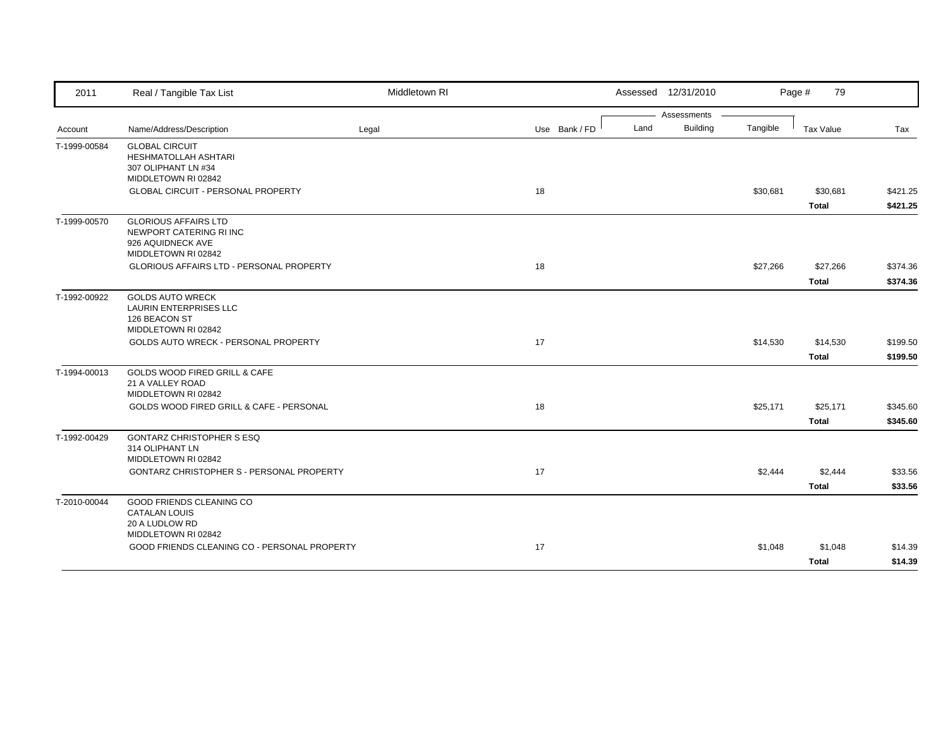| 2011         | Real / Tangible Tax List                                                                           | Middletown RI |               | Assessed 12/31/2010     |          | Page #<br>79             |                      |
|--------------|----------------------------------------------------------------------------------------------------|---------------|---------------|-------------------------|----------|--------------------------|----------------------|
|              |                                                                                                    |               |               | Assessments             |          |                          |                      |
| Account      | Name/Address/Description                                                                           | Legal         | Use Bank / FD | <b>Building</b><br>Land | Tangible | Tax Value                | Tax                  |
| T-1999-00584 | <b>GLOBAL CIRCUIT</b><br><b>HESHMATOLLAH ASHTARI</b><br>307 OLIPHANT LN #34<br>MIDDLETOWN RI 02842 |               |               |                         |          |                          |                      |
|              | <b>GLOBAL CIRCUIT - PERSONAL PROPERTY</b>                                                          |               | 18            |                         | \$30,681 | \$30,681<br><b>Total</b> | \$421.25<br>\$421.25 |
| T-1999-00570 | <b>GLORIOUS AFFAIRS LTD</b><br>NEWPORT CATERING RI INC<br>926 AQUIDNECK AVE<br>MIDDLETOWN RI 02842 |               |               |                         |          |                          |                      |
|              | GLORIOUS AFFAIRS LTD - PERSONAL PROPERTY                                                           |               | 18            |                         | \$27,266 | \$27,266<br><b>Total</b> | \$374.36<br>\$374.36 |
| T-1992-00922 | <b>GOLDS AUTO WRECK</b><br><b>LAURIN ENTERPRISES LLC</b><br>126 BEACON ST<br>MIDDLETOWN RI 02842   |               |               |                         |          |                          |                      |
|              | GOLDS AUTO WRECK - PERSONAL PROPERTY                                                               |               | 17            |                         | \$14,530 | \$14,530<br><b>Total</b> | \$199.50<br>\$199.50 |
| T-1994-00013 | <b>GOLDS WOOD FIRED GRILL &amp; CAFE</b><br>21 A VALLEY ROAD<br>MIDDLETOWN RI 02842                |               |               |                         |          |                          |                      |
|              | GOLDS WOOD FIRED GRILL & CAFE - PERSONAL                                                           |               | 18            |                         | \$25,171 | \$25,171<br><b>Total</b> | \$345.60<br>\$345.60 |
| T-1992-00429 | <b>GONTARZ CHRISTOPHER S ESQ</b><br>314 OLIPHANT LN<br>MIDDLETOWN RI 02842                         |               |               |                         |          |                          |                      |
|              | <b>GONTARZ CHRISTOPHER S - PERSONAL PROPERTY</b>                                                   |               | 17            |                         | \$2,444  | \$2,444<br><b>Total</b>  | \$33.56<br>\$33.56   |
| T-2010-00044 | GOOD FRIENDS CLEANING CO<br><b>CATALAN LOUIS</b><br>20 A LUDLOW RD<br>MIDDLETOWN RI 02842          |               |               |                         |          |                          |                      |
|              | GOOD FRIENDS CLEANING CO - PERSONAL PROPERTY                                                       |               | 17            |                         | \$1,048  | \$1,048<br><b>Total</b>  | \$14.39<br>\$14.39   |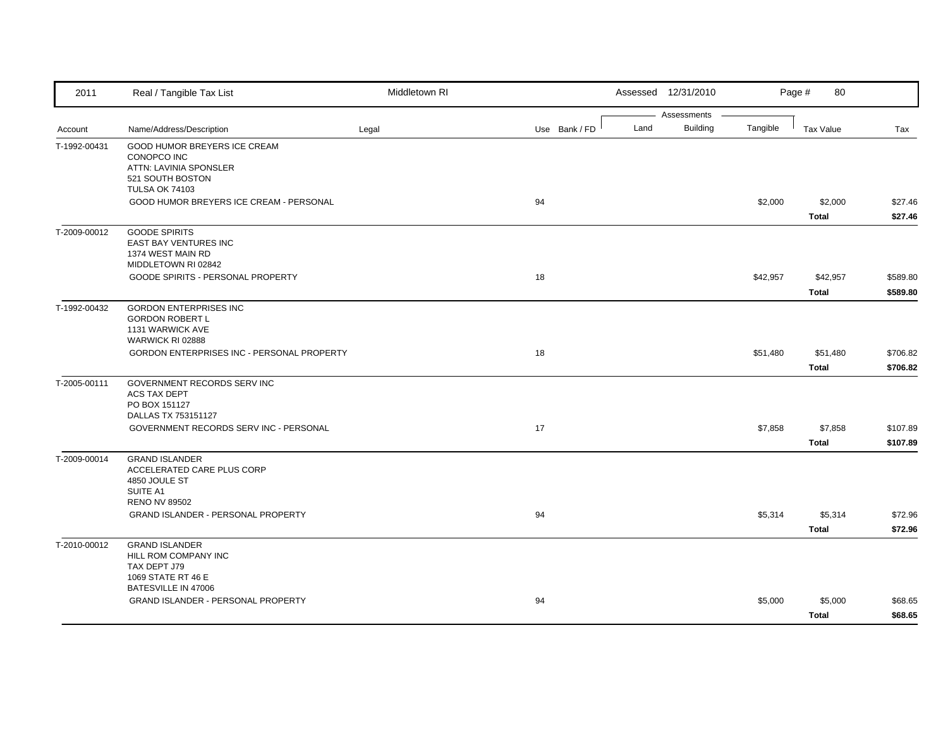| 2011         | Real / Tangible Tax List                                                                                           | Middletown RI |               |      | Assessed 12/31/2010            |          | 80<br>Page #             |                      |
|--------------|--------------------------------------------------------------------------------------------------------------------|---------------|---------------|------|--------------------------------|----------|--------------------------|----------------------|
| Account      | Name/Address/Description                                                                                           | Legal         | Use Bank / FD | Land | Assessments<br><b>Building</b> | Tangible | Tax Value                | Tax                  |
| T-1992-00431 | GOOD HUMOR BREYERS ICE CREAM<br>CONOPCO INC<br>ATTN: LAVINIA SPONSLER<br>521 SOUTH BOSTON<br><b>TULSA OK 74103</b> |               |               |      |                                |          |                          |                      |
|              | GOOD HUMOR BREYERS ICE CREAM - PERSONAL                                                                            |               | 94            |      |                                | \$2,000  | \$2,000<br><b>Total</b>  | \$27.46<br>\$27.46   |
| T-2009-00012 | <b>GOODE SPIRITS</b><br>EAST BAY VENTURES INC<br>1374 WEST MAIN RD<br>MIDDLETOWN RI 02842                          |               |               |      |                                |          |                          |                      |
|              | GOODE SPIRITS - PERSONAL PROPERTY                                                                                  |               | 18            |      |                                | \$42,957 | \$42,957<br><b>Total</b> | \$589.80<br>\$589.80 |
| T-1992-00432 | <b>GORDON ENTERPRISES INC</b><br><b>GORDON ROBERT L</b><br>1131 WARWICK AVE<br>WARWICK RI 02888                    |               |               |      |                                |          |                          |                      |
|              | GORDON ENTERPRISES INC - PERSONAL PROPERTY                                                                         |               | 18            |      |                                | \$51,480 | \$51,480<br><b>Total</b> | \$706.82<br>\$706.82 |
| T-2005-00111 | GOVERNMENT RECORDS SERV INC<br><b>ACS TAX DEPT</b><br>PO BOX 151127<br>DALLAS TX 753151127                         |               |               |      |                                |          |                          |                      |
|              | GOVERNMENT RECORDS SERV INC - PERSONAL                                                                             |               | 17            |      |                                | \$7,858  | \$7,858<br><b>Total</b>  | \$107.89<br>\$107.89 |
| T-2009-00014 | <b>GRAND ISLANDER</b><br>ACCELERATED CARE PLUS CORP<br>4850 JOULE ST<br>SUITE A1<br><b>RENO NV 89502</b>           |               |               |      |                                |          |                          |                      |
|              | GRAND ISLANDER - PERSONAL PROPERTY                                                                                 |               | 94            |      |                                | \$5,314  | \$5,314<br>Total         | \$72.96<br>\$72.96   |
| T-2010-00012 | <b>GRAND ISLANDER</b><br>HILL ROM COMPANY INC<br>TAX DEPT J79<br>1069 STATE RT 46 E                                |               |               |      |                                |          |                          |                      |
|              | BATESVILLE IN 47006<br><b>GRAND ISLANDER - PERSONAL PROPERTY</b>                                                   |               | 94            |      |                                | \$5,000  | \$5,000<br><b>Total</b>  | \$68.65<br>\$68.65   |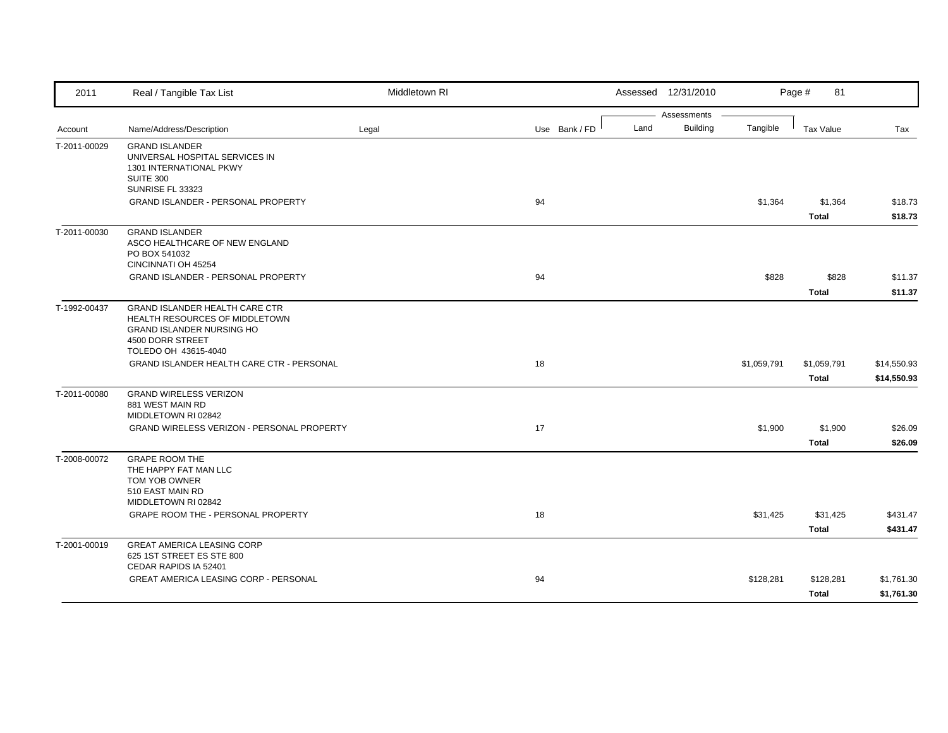| 2011                         | Real / Tangible Tax List                                                                                                                         | Middletown RI |               |      | Assessed 12/31/2010            |             | 81<br>Page #                |                            |
|------------------------------|--------------------------------------------------------------------------------------------------------------------------------------------------|---------------|---------------|------|--------------------------------|-------------|-----------------------------|----------------------------|
| Account                      | Name/Address/Description                                                                                                                         | Legal         | Use Bank / FD | Land | Assessments<br><b>Building</b> | Tangible    | <b>Tax Value</b>            | Tax                        |
| T-2011-00029                 | <b>GRAND ISLANDER</b><br>UNIVERSAL HOSPITAL SERVICES IN<br>1301 INTERNATIONAL PKWY<br><b>SUITE 300</b><br>SUNRISE FL 33323                       |               |               |      |                                |             |                             |                            |
|                              | <b>GRAND ISLANDER - PERSONAL PROPERTY</b>                                                                                                        |               | 94            |      |                                | \$1,364     | \$1,364<br><b>Total</b>     | \$18.73<br>\$18.73         |
| T-2011-00030<br>T-1992-00437 | <b>GRAND ISLANDER</b><br>ASCO HEALTHCARE OF NEW ENGLAND<br>PO BOX 541032<br>CINCINNATI OH 45254                                                  |               |               |      |                                |             |                             |                            |
|                              | GRAND ISLANDER - PERSONAL PROPERTY                                                                                                               |               | 94            |      |                                | \$828       | \$828<br><b>Total</b>       | \$11.37<br>\$11.37         |
|                              | GRAND ISLANDER HEALTH CARE CTR<br>HEALTH RESOURCES OF MIDDLETOWN<br><b>GRAND ISLANDER NURSING HO</b><br>4500 DORR STREET<br>TOLEDO OH 43615-4040 |               |               |      |                                |             |                             |                            |
|                              | GRAND ISLANDER HEALTH CARE CTR - PERSONAL                                                                                                        |               | 18            |      |                                | \$1,059,791 | \$1,059,791<br><b>Total</b> | \$14,550.93<br>\$14,550.93 |
| T-2011-00080                 | <b>GRAND WIRELESS VERIZON</b><br>881 WEST MAIN RD<br>MIDDLETOWN RI 02842<br><b>GRAND WIRELESS VERIZON - PERSONAL PROPERTY</b>                    |               | 17            |      |                                | \$1,900     | \$1,900                     | \$26.09                    |
| T-2008-00072                 | <b>GRAPE ROOM THE</b><br>THE HAPPY FAT MAN LLC<br>TOM YOB OWNER<br>510 EAST MAIN RD                                                              |               |               |      |                                |             | <b>Total</b>                | \$26.09                    |
|                              | MIDDLETOWN RI 02842<br>GRAPE ROOM THE - PERSONAL PROPERTY                                                                                        |               | 18            |      |                                | \$31,425    | \$31,425<br><b>Total</b>    | \$431.47<br>\$431.47       |
| T-2001-00019                 | <b>GREAT AMERICA LEASING CORP</b><br>625 1ST STREET ES STE 800<br>CEDAR RAPIDS IA 52401                                                          |               |               |      |                                |             |                             |                            |
|                              | <b>GREAT AMERICA LEASING CORP - PERSONAL</b>                                                                                                     |               | 94            |      |                                | \$128,281   | \$128,281<br><b>Total</b>   | \$1,761.30<br>\$1,761.30   |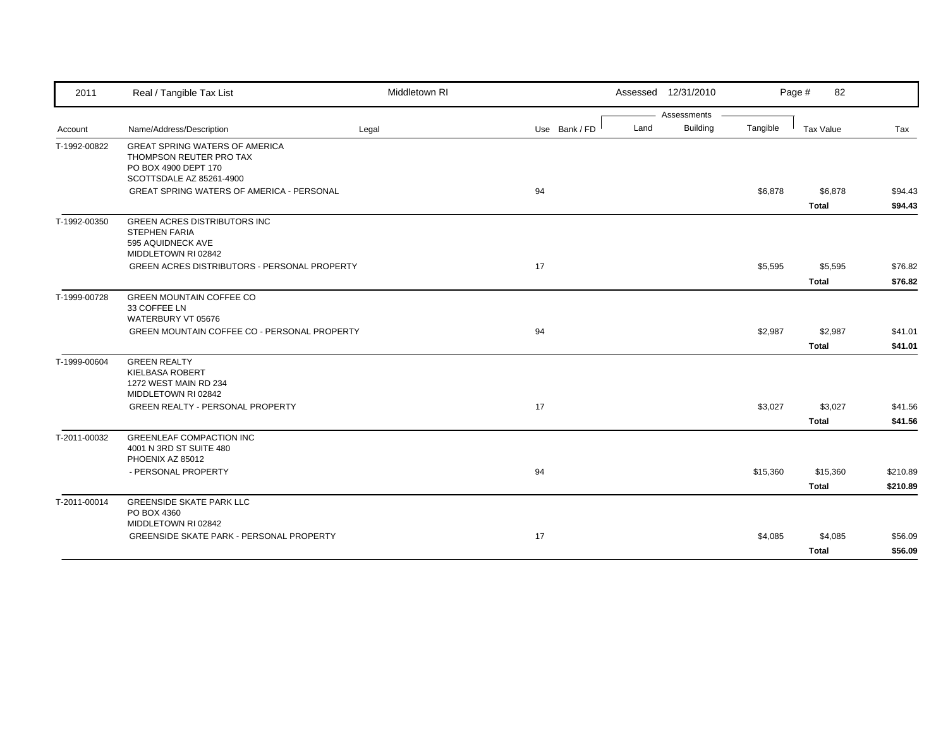| 2011         | Real / Tangible Tax List                                                                                                                                | Middletown RI |               |      | Assessed 12/31/2010 |          | Page #<br>82             |                      |
|--------------|---------------------------------------------------------------------------------------------------------------------------------------------------------|---------------|---------------|------|---------------------|----------|--------------------------|----------------------|
|              |                                                                                                                                                         |               |               |      | Assessments         |          |                          |                      |
| Account      | Name/Address/Description                                                                                                                                | Legal         | Use Bank / FD | Land | <b>Building</b>     | Tangible | Tax Value                | Tax                  |
| T-1992-00822 | <b>GREAT SPRING WATERS OF AMERICA</b><br>THOMPSON REUTER PRO TAX<br>PO BOX 4900 DEPT 170<br>SCOTTSDALE AZ 85261-4900                                    |               |               |      |                     |          |                          |                      |
|              | GREAT SPRING WATERS OF AMERICA - PERSONAL                                                                                                               |               | 94            |      |                     | \$6,878  | \$6,878                  | \$94.43              |
|              |                                                                                                                                                         |               |               |      |                     |          | <b>Total</b>             | \$94.43              |
| T-1992-00350 | <b>GREEN ACRES DISTRIBUTORS INC</b><br><b>STEPHEN FARIA</b><br>595 AQUIDNECK AVE<br>MIDDLETOWN RI 02842<br>GREEN ACRES DISTRIBUTORS - PERSONAL PROPERTY |               | 17            |      |                     | \$5,595  | \$5,595                  | \$76.82              |
|              |                                                                                                                                                         |               |               |      |                     |          | <b>Total</b>             | \$76.82              |
| T-1999-00728 | <b>GREEN MOUNTAIN COFFEE CO</b><br>33 COFFEE LN<br>WATERBURY VT 05676<br>GREEN MOUNTAIN COFFEE CO - PERSONAL PROPERTY                                   |               | 94            |      |                     | \$2,987  | \$2,987<br><b>Total</b>  | \$41.01<br>\$41.01   |
| T-1999-00604 | <b>GREEN REALTY</b><br><b>KIELBASA ROBERT</b><br>1272 WEST MAIN RD 234<br>MIDDLETOWN RI 02842<br><b>GREEN REALTY - PERSONAL PROPERTY</b>                |               | 17            |      |                     | \$3,027  | \$3,027<br><b>Total</b>  | \$41.56<br>\$41.56   |
| T-2011-00032 | <b>GREENLEAF COMPACTION INC</b><br>4001 N 3RD ST SUITE 480<br>PHOENIX AZ 85012<br>- PERSONAL PROPERTY                                                   |               | 94            |      |                     | \$15,360 | \$15,360<br><b>Total</b> | \$210.89<br>\$210.89 |
| T-2011-00014 | <b>GREENSIDE SKATE PARK LLC</b>                                                                                                                         |               |               |      |                     |          |                          |                      |
|              | PO BOX 4360<br>MIDDLETOWN RI 02842<br><b>GREENSIDE SKATE PARK - PERSONAL PROPERTY</b>                                                                   |               | 17            |      |                     | \$4,085  | \$4,085                  | \$56.09              |
|              |                                                                                                                                                         |               |               |      |                     |          | <b>Total</b>             | \$56.09              |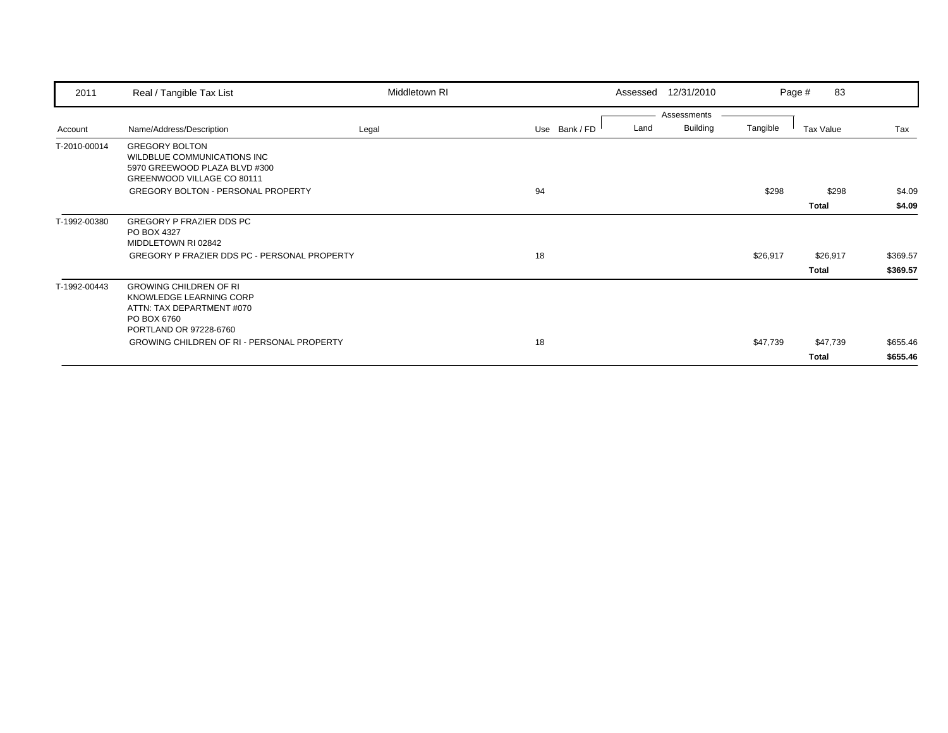| 2011         | Real / Tangible Tax List                                                                                                       | Middletown RI |    |               |      | Assessed 12/31/2010 |          | 83<br>Page # |          |
|--------------|--------------------------------------------------------------------------------------------------------------------------------|---------------|----|---------------|------|---------------------|----------|--------------|----------|
|              |                                                                                                                                |               |    |               |      | Assessments         |          |              |          |
| Account      | Name/Address/Description                                                                                                       | Legal         |    | Use Bank / FD | Land | <b>Building</b>     | Tangible | Tax Value    | Tax      |
| T-2010-00014 | <b>GREGORY BOLTON</b><br>WILDBLUE COMMUNICATIONS INC<br>5970 GREEWOOD PLAZA BLVD #300<br>GREENWOOD VILLAGE CO 80111            |               |    |               |      |                     |          |              |          |
|              | <b>GREGORY BOLTON - PERSONAL PROPERTY</b>                                                                                      |               | 94 |               |      |                     | \$298    | \$298        | \$4.09   |
|              |                                                                                                                                |               |    |               |      |                     |          | Total        | \$4.09   |
| T-1992-00380 | GREGORY P FRAZIER DDS PC<br>PO BOX 4327<br>MIDDLETOWN RI 02842                                                                 |               |    |               |      |                     |          |              |          |
|              | GREGORY P FRAZIER DDS PC - PERSONAL PROPERTY                                                                                   |               | 18 |               |      |                     | \$26,917 | \$26,917     | \$369.57 |
|              |                                                                                                                                |               |    |               |      |                     |          | Total        | \$369.57 |
| T-1992-00443 | <b>GROWING CHILDREN OF RI</b><br>KNOWLEDGE LEARNING CORP<br>ATTN: TAX DEPARTMENT #070<br>PO BOX 6760<br>PORTLAND OR 97228-6760 |               |    |               |      |                     |          |              |          |
|              | <b>GROWING CHILDREN OF RI - PERSONAL PROPERTY</b>                                                                              |               | 18 |               |      |                     | \$47,739 | \$47,739     | \$655.46 |
|              |                                                                                                                                |               |    |               |      |                     |          | Total        | \$655.46 |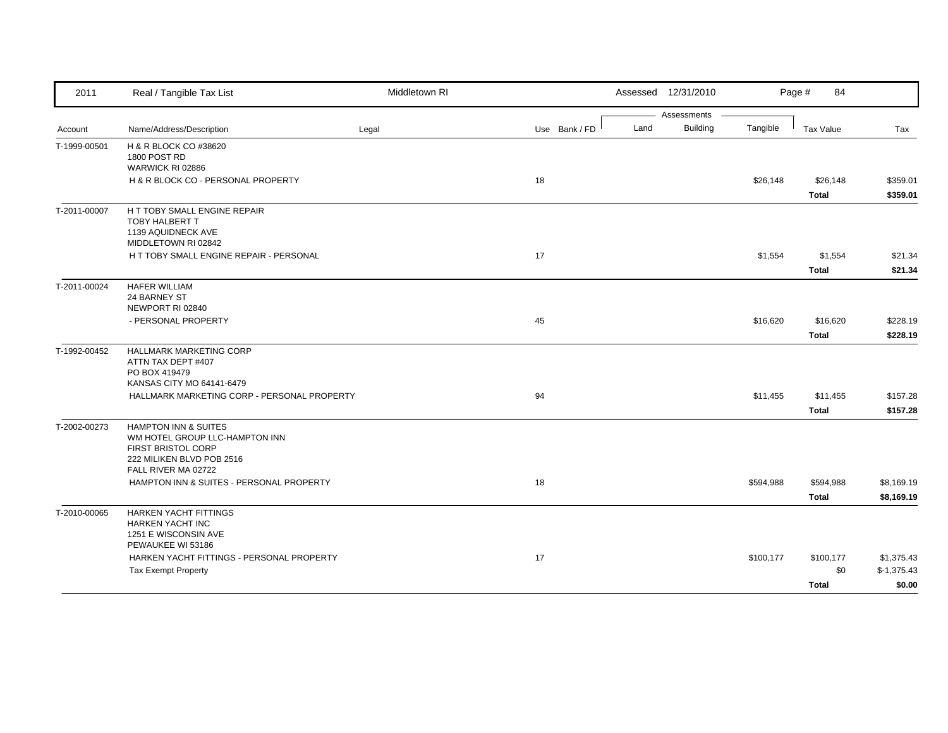| 2011         | Real / Tangible Tax List                                          | Middletown RI |               | Assessed 12/31/2010 |                             | Page #<br>84     |              |
|--------------|-------------------------------------------------------------------|---------------|---------------|---------------------|-----------------------------|------------------|--------------|
|              |                                                                   |               |               |                     | Assessments                 |                  |              |
| Account      | Name/Address/Description                                          | Legal         | Use Bank / FD | Land                | <b>Building</b><br>Tangible | <b>Tax Value</b> | Tax          |
| T-1999-00501 | H & R BLOCK CO #38620                                             |               |               |                     |                             |                  |              |
|              | 1800 POST RD                                                      |               |               |                     |                             |                  |              |
|              | WARWICK RI 02886<br>H & R BLOCK CO - PERSONAL PROPERTY            |               | 18            |                     | \$26,148                    | \$26,148         | \$359.01     |
|              |                                                                   |               |               |                     |                             |                  |              |
|              |                                                                   |               |               |                     |                             | <b>Total</b>     | \$359.01     |
| T-2011-00007 | H T TOBY SMALL ENGINE REPAIR<br><b>TOBY HALBERT T</b>             |               |               |                     |                             |                  |              |
|              | 1139 AQUIDNECK AVE                                                |               |               |                     |                             |                  |              |
|              | MIDDLETOWN RI 02842                                               |               |               |                     |                             |                  |              |
|              | H T TOBY SMALL ENGINE REPAIR - PERSONAL                           |               | 17            |                     | \$1,554                     | \$1,554          | \$21.34      |
|              |                                                                   |               |               |                     |                             | <b>Total</b>     | \$21.34      |
| T-2011-00024 | <b>HAFER WILLIAM</b>                                              |               |               |                     |                             |                  |              |
|              | 24 BARNEY ST                                                      |               |               |                     |                             |                  |              |
|              | NEWPORT RI 02840                                                  |               |               |                     |                             |                  |              |
|              | - PERSONAL PROPERTY                                               |               | 45            |                     | \$16,620                    | \$16,620         | \$228.19     |
|              |                                                                   |               |               |                     |                             | <b>Total</b>     | \$228.19     |
| T-1992-00452 | <b>HALLMARK MARKETING CORP</b>                                    |               |               |                     |                             |                  |              |
|              | ATTN TAX DEPT #407                                                |               |               |                     |                             |                  |              |
|              | PO BOX 419479                                                     |               |               |                     |                             |                  |              |
|              | KANSAS CITY MO 64141-6479                                         |               |               |                     |                             |                  |              |
|              | HALLMARK MARKETING CORP - PERSONAL PROPERTY                       |               | 94            |                     | \$11,455                    | \$11,455         | \$157.28     |
|              |                                                                   |               |               |                     |                             | <b>Total</b>     | \$157.28     |
| T-2002-00273 | <b>HAMPTON INN &amp; SUITES</b><br>WM HOTEL GROUP LLC-HAMPTON INN |               |               |                     |                             |                  |              |
|              | FIRST BRISTOL CORP                                                |               |               |                     |                             |                  |              |
|              | 222 MILIKEN BLVD POB 2516                                         |               |               |                     |                             |                  |              |
|              | FALL RIVER MA 02722                                               |               |               |                     |                             |                  |              |
|              | HAMPTON INN & SUITES - PERSONAL PROPERTY                          |               | 18            |                     | \$594,988                   | \$594,988        | \$8,169.19   |
|              |                                                                   |               |               |                     |                             | <b>Total</b>     | \$8,169.19   |
| T-2010-00065 | HARKEN YACHT FITTINGS                                             |               |               |                     |                             |                  |              |
|              | <b>HARKEN YACHT INC</b>                                           |               |               |                     |                             |                  |              |
|              | 1251 E WISCONSIN AVE                                              |               |               |                     |                             |                  |              |
|              | PEWAUKEE WI 53186<br>HARKEN YACHT FITTINGS - PERSONAL PROPERTY    |               | 17            |                     | \$100,177                   | \$100,177        | \$1,375.43   |
|              | <b>Tax Exempt Property</b>                                        |               |               |                     |                             | \$0              | $$-1,375.43$ |
|              |                                                                   |               |               |                     |                             |                  |              |
|              |                                                                   |               |               |                     |                             | <b>Total</b>     | \$0.00       |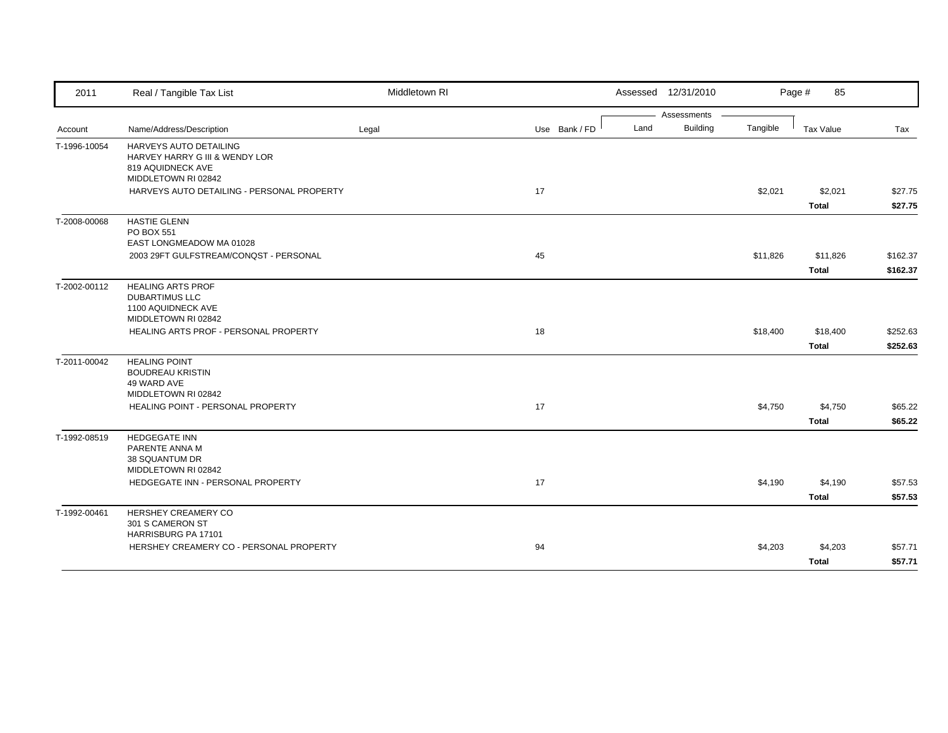| 2011         | Real / Tangible Tax List                                                                                        | Middletown RI |               | Assessed 12/31/2010 |                 |          | Page #<br>85     |          |
|--------------|-----------------------------------------------------------------------------------------------------------------|---------------|---------------|---------------------|-----------------|----------|------------------|----------|
|              |                                                                                                                 |               |               |                     | Assessments     |          |                  |          |
| Account      | Name/Address/Description                                                                                        | Legal         | Use Bank / FD | Land                | <b>Building</b> | Tangible | <b>Tax Value</b> | Tax      |
| T-1996-10054 | HARVEYS AUTO DETAILING<br><b>HARVEY HARRY G III &amp; WENDY LOR</b><br>819 AQUIDNECK AVE<br>MIDDLETOWN RI 02842 |               |               |                     |                 |          |                  |          |
|              | HARVEYS AUTO DETAILING - PERSONAL PROPERTY                                                                      |               | 17            |                     |                 | \$2,021  | \$2,021          | \$27.75  |
|              |                                                                                                                 |               |               |                     |                 |          | <b>Total</b>     | \$27.75  |
| T-2008-00068 | <b>HASTIE GLENN</b><br>PO BOX 551<br>EAST LONGMEADOW MA 01028                                                   |               |               |                     |                 |          |                  |          |
|              | 2003 29FT GULFSTREAM/CONQST - PERSONAL                                                                          |               | 45            |                     |                 | \$11,826 | \$11,826         | \$162.37 |
|              |                                                                                                                 |               |               |                     |                 |          | <b>Total</b>     | \$162.37 |
| T-2002-00112 | <b>HEALING ARTS PROF</b><br><b>DUBARTIMUS LLC</b><br>1100 AQUIDNECK AVE<br>MIDDLETOWN RI 02842                  |               |               |                     |                 |          |                  |          |
|              | HEALING ARTS PROF - PERSONAL PROPERTY                                                                           |               | 18            |                     |                 | \$18,400 | \$18,400         | \$252.63 |
|              |                                                                                                                 |               |               |                     |                 |          | <b>Total</b>     | \$252.63 |
| T-2011-00042 | <b>HEALING POINT</b><br><b>BOUDREAU KRISTIN</b><br>49 WARD AVE<br>MIDDLETOWN RI 02842                           |               |               |                     |                 |          |                  |          |
|              | <b>HEALING POINT - PERSONAL PROPERTY</b>                                                                        |               | 17            |                     |                 | \$4,750  | \$4,750          | \$65.22  |
|              |                                                                                                                 |               |               |                     |                 |          | <b>Total</b>     | \$65.22  |
| T-1992-08519 | <b>HEDGEGATE INN</b><br>PARENTE ANNA M<br>38 SQUANTUM DR<br>MIDDLETOWN RI 02842                                 |               |               |                     |                 |          |                  |          |
|              | HEDGEGATE INN - PERSONAL PROPERTY                                                                               |               | 17            |                     |                 | \$4,190  | \$4,190          | \$57.53  |
|              |                                                                                                                 |               |               |                     |                 |          | <b>Total</b>     | \$57.53  |
| T-1992-00461 | HERSHEY CREAMERY CO<br>301 S CAMERON ST<br>HARRISBURG PA 17101                                                  |               |               |                     |                 |          |                  |          |
|              | HERSHEY CREAMERY CO - PERSONAL PROPERTY                                                                         |               | 94            |                     |                 | \$4,203  | \$4,203          | \$57.71  |
|              |                                                                                                                 |               |               |                     |                 |          | <b>Total</b>     | \$57.71  |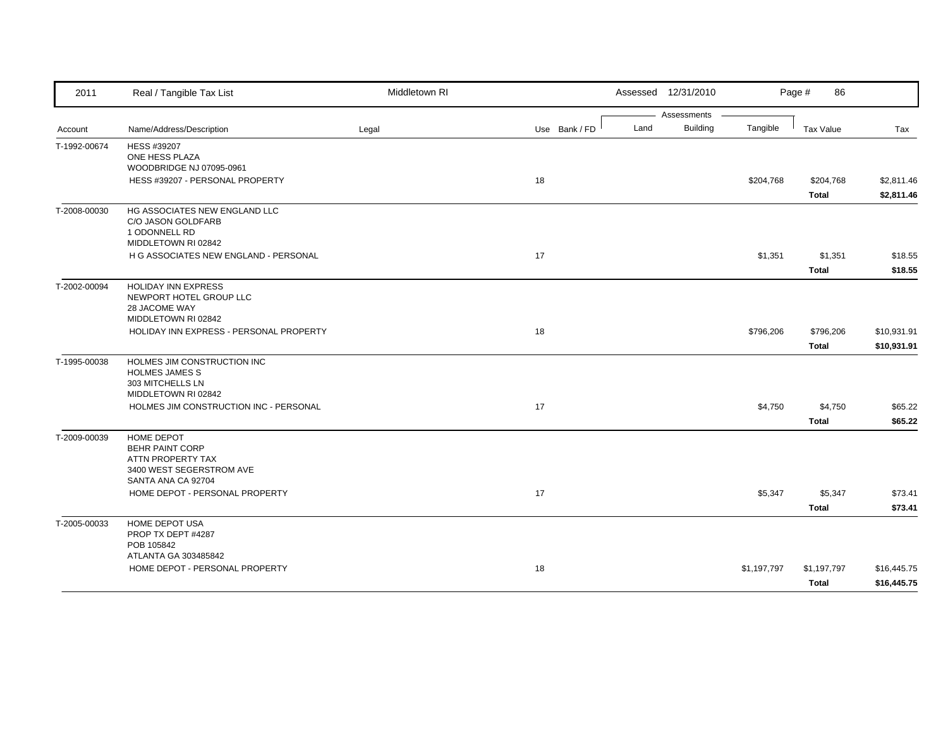| 2011         | Real / Tangible Tax List                                                                                                                             | Middletown RI |               |      | Assessed 12/31/2010            |             | Page #<br>86              |                            |
|--------------|------------------------------------------------------------------------------------------------------------------------------------------------------|---------------|---------------|------|--------------------------------|-------------|---------------------------|----------------------------|
| Account      | Name/Address/Description                                                                                                                             | Legal         | Use Bank / FD | Land | Assessments<br><b>Building</b> | Tangible    | <b>Tax Value</b>          | Tax                        |
| T-1992-00674 | HESS #39207<br>ONE HESS PLAZA<br>WOODBRIDGE NJ 07095-0961<br>HESS #39207 - PERSONAL PROPERTY                                                         |               | 18            |      |                                | \$204,768   | \$204,768<br>Total        | \$2,811.46<br>\$2,811.46   |
| T-2008-00030 | HG ASSOCIATES NEW ENGLAND LLC<br>C/O JASON GOLDFARB<br>1 ODONNELL RD<br>MIDDLETOWN RI 02842<br>H G ASSOCIATES NEW ENGLAND - PERSONAL                 |               | 17            |      |                                | \$1,351     | \$1,351<br><b>Total</b>   | \$18.55<br>\$18.55         |
| T-2002-00094 | <b>HOLIDAY INN EXPRESS</b><br>NEWPORT HOTEL GROUP LLC<br>28 JACOME WAY<br>MIDDLETOWN RI 02842<br>HOLIDAY INN EXPRESS - PERSONAL PROPERTY             |               | 18            |      |                                | \$796,206   | \$796,206<br><b>Total</b> | \$10,931.91<br>\$10,931.91 |
| T-1995-00038 | HOLMES JIM CONSTRUCTION INC<br><b>HOLMES JAMES S</b><br>303 MITCHELLS LN<br>MIDDLETOWN RI 02842<br>HOLMES JIM CONSTRUCTION INC - PERSONAL            |               | 17            |      |                                | \$4,750     | \$4,750<br><b>Total</b>   | \$65.22<br>\$65.22         |
| T-2009-00039 | <b>HOME DEPOT</b><br><b>BEHR PAINT CORP</b><br>ATTN PROPERTY TAX<br>3400 WEST SEGERSTROM AVE<br>SANTA ANA CA 92704<br>HOME DEPOT - PERSONAL PROPERTY |               | 17            |      |                                | \$5,347     | \$5,347<br><b>Total</b>   | \$73.41<br>\$73.41         |
| T-2005-00033 | HOME DEPOT USA<br>PROP TX DEPT #4287<br>POB 105842<br>ATLANTA GA 303485842<br>HOME DEPOT - PERSONAL PROPERTY                                         |               | 18            |      |                                | \$1,197,797 | \$1,197,797<br>Total      | \$16,445.75<br>\$16,445.75 |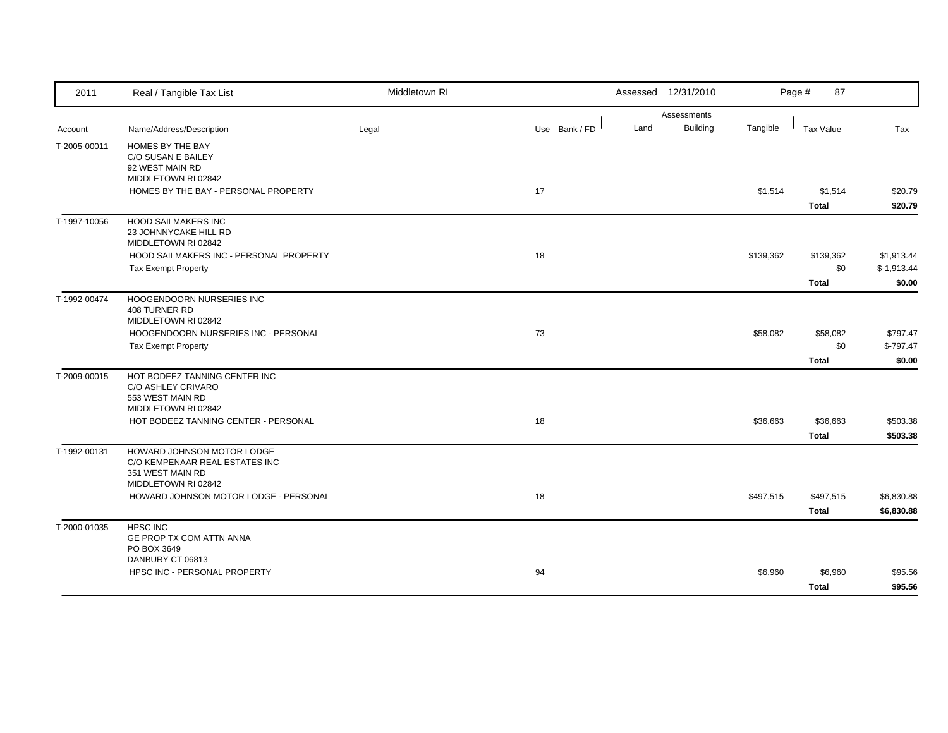| 2011         | Real / Tangible Tax List                                                                                | Middletown RI |               |      | Assessed 12/31/2010            |           | 87<br>Page #                     |                                      |
|--------------|---------------------------------------------------------------------------------------------------------|---------------|---------------|------|--------------------------------|-----------|----------------------------------|--------------------------------------|
| Account      | Name/Address/Description                                                                                | Legal         | Use Bank / FD | Land | Assessments<br><b>Building</b> | Tangible  | <b>Tax Value</b>                 | Tax                                  |
| T-2005-00011 | HOMES BY THE BAY<br>C/O SUSAN E BAILEY<br>92 WEST MAIN RD<br>MIDDLETOWN RI 02842                        |               |               |      |                                |           |                                  |                                      |
|              | HOMES BY THE BAY - PERSONAL PROPERTY                                                                    |               | 17            |      |                                | \$1,514   | \$1,514<br><b>Total</b>          | \$20.79<br>\$20.79                   |
| T-1997-10056 | <b>HOOD SAILMAKERS INC</b><br>23 JOHNNYCAKE HILL RD<br>MIDDLETOWN RI 02842                              |               |               |      |                                |           |                                  |                                      |
|              | HOOD SAILMAKERS INC - PERSONAL PROPERTY<br>Tax Exempt Property                                          |               | 18            |      |                                | \$139,362 | \$139,362<br>\$0<br><b>Total</b> | \$1,913.44<br>$$-1,913.44$<br>\$0.00 |
| T-1992-00474 | HOOGENDOORN NURSERIES INC<br><b>408 TURNER RD</b><br>MIDDLETOWN RI 02842                                |               |               |      |                                |           |                                  |                                      |
|              | HOOGENDOORN NURSERIES INC - PERSONAL<br><b>Tax Exempt Property</b>                                      |               | 73            |      |                                | \$58,082  | \$58,082<br>\$0                  | \$797.47<br>$$-797.47$               |
| T-2009-00015 | HOT BODEEZ TANNING CENTER INC<br>C/O ASHLEY CRIVARO<br>553 WEST MAIN RD<br>MIDDLETOWN RI 02842          |               |               |      |                                |           | <b>Total</b>                     | \$0.00                               |
|              | HOT BODEEZ TANNING CENTER - PERSONAL                                                                    |               | 18            |      |                                | \$36,663  | \$36,663<br><b>Total</b>         | \$503.38<br>\$503.38                 |
| T-1992-00131 | HOWARD JOHNSON MOTOR LODGE<br>C/O KEMPENAAR REAL ESTATES INC<br>351 WEST MAIN RD<br>MIDDLETOWN RI 02842 |               |               |      |                                |           |                                  |                                      |
|              | HOWARD JOHNSON MOTOR LODGE - PERSONAL                                                                   |               | 18            |      |                                | \$497,515 | \$497,515<br><b>Total</b>        | \$6,830.88<br>\$6,830.88             |
| T-2000-01035 | <b>HPSC INC</b><br>GE PROP TX COM ATTN ANNA<br>PO BOX 3649                                              |               |               |      |                                |           |                                  |                                      |
|              | DANBURY CT 06813<br>HPSC INC - PERSONAL PROPERTY                                                        |               | 94            |      |                                | \$6,960   | \$6,960<br><b>Total</b>          | \$95.56<br>\$95.56                   |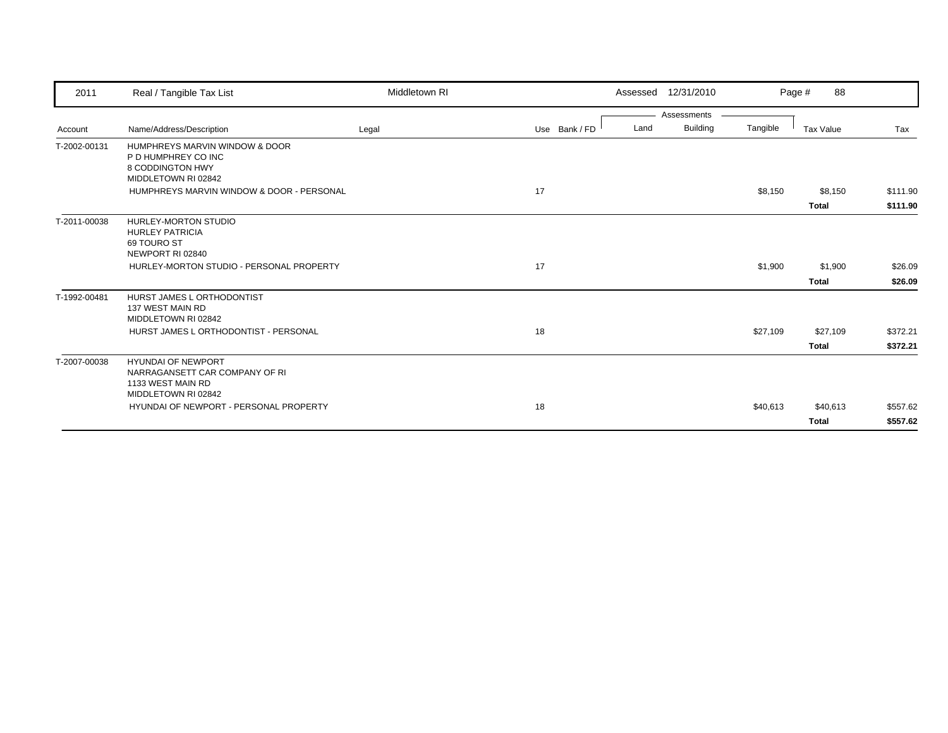| 2011         | Real / Tangible Tax List                            | Middletown RI |               |      | Assessed 12/31/2010 |          | 88<br>Page # |          |
|--------------|-----------------------------------------------------|---------------|---------------|------|---------------------|----------|--------------|----------|
|              |                                                     |               |               |      | Assessments         |          |              |          |
| Account      | Name/Address/Description                            | Legal         | Use Bank / FD | Land | <b>Building</b>     | Tangible | Tax Value    | Tax      |
| T-2002-00131 | HUMPHREYS MARVIN WINDOW & DOOR                      |               |               |      |                     |          |              |          |
|              | P D HUMPHREY CO INC                                 |               |               |      |                     |          |              |          |
|              | 8 CODDINGTON HWY<br>MIDDLETOWN RI 02842             |               |               |      |                     |          |              |          |
|              | HUMPHREYS MARVIN WINDOW & DOOR - PERSONAL           |               | 17            |      |                     | \$8,150  | \$8,150      | \$111.90 |
|              |                                                     |               |               |      |                     |          | <b>Total</b> | \$111.90 |
| T-2011-00038 | <b>HURLEY-MORTON STUDIO</b>                         |               |               |      |                     |          |              |          |
|              | <b>HURLEY PATRICIA</b>                              |               |               |      |                     |          |              |          |
|              | 69 TOURO ST<br>NEWPORT RI 02840                     |               |               |      |                     |          |              |          |
|              | HURLEY-MORTON STUDIO - PERSONAL PROPERTY            |               | 17            |      |                     | \$1,900  | \$1,900      | \$26.09  |
|              |                                                     |               |               |      |                     |          | <b>Total</b> | \$26.09  |
| T-1992-00481 | HURST JAMES L ORTHODONTIST                          |               |               |      |                     |          |              |          |
|              | 137 WEST MAIN RD                                    |               |               |      |                     |          |              |          |
|              | MIDDLETOWN RI 02842                                 |               |               |      |                     |          |              |          |
|              | HURST JAMES L ORTHODONTIST - PERSONAL               |               | 18            |      |                     | \$27,109 | \$27,109     | \$372.21 |
|              |                                                     |               |               |      |                     |          | <b>Total</b> | \$372.21 |
| T-2007-00038 | <b>HYUNDAI OF NEWPORT</b>                           |               |               |      |                     |          |              |          |
|              | NARRAGANSETT CAR COMPANY OF RI<br>1133 WEST MAIN RD |               |               |      |                     |          |              |          |
|              | MIDDLETOWN RI 02842                                 |               |               |      |                     |          |              |          |
|              | HYUNDAI OF NEWPORT - PERSONAL PROPERTY              |               | 18            |      |                     | \$40,613 | \$40,613     | \$557.62 |
|              |                                                     |               |               |      |                     |          | <b>Total</b> | \$557.62 |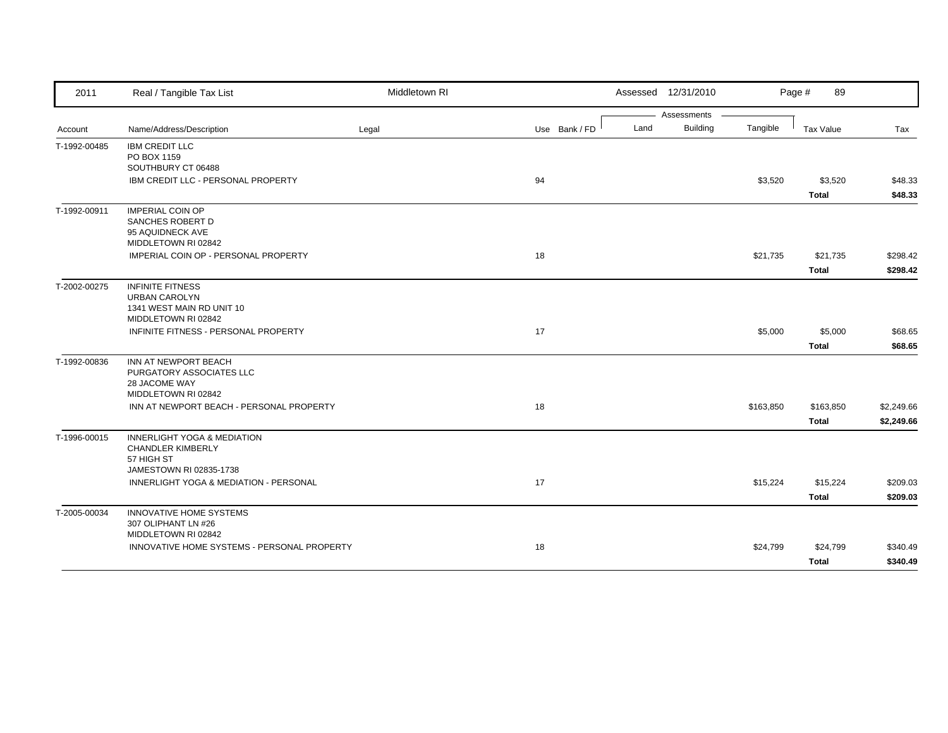| 2011                                         | Real / Tangible Tax List                                           | Middletown RI |               | Assessed 12/31/2010 |                 |           | Page #<br>89     |            |
|----------------------------------------------|--------------------------------------------------------------------|---------------|---------------|---------------------|-----------------|-----------|------------------|------------|
|                                              |                                                                    |               |               |                     | Assessments     |           |                  |            |
| Account                                      | Name/Address/Description                                           | Legal         | Use Bank / FD | Land                | <b>Building</b> | Tangible  | <b>Tax Value</b> | Tax        |
| T-1992-00485                                 | <b>IBM CREDIT LLC</b>                                              |               |               |                     |                 |           |                  |            |
| T-1992-00836<br>T-1996-00015<br>T-2005-00034 | PO BOX 1159                                                        |               |               |                     |                 |           |                  |            |
|                                              | SOUTHBURY CT 06488                                                 |               |               |                     |                 |           |                  |            |
|                                              | IBM CREDIT LLC - PERSONAL PROPERTY                                 |               | 94            |                     |                 | \$3,520   | \$3,520          | \$48.33    |
|                                              |                                                                    |               |               |                     |                 |           | <b>Total</b>     | \$48.33    |
| T-1992-00911                                 | <b>IMPERIAL COIN OP</b>                                            |               |               |                     |                 |           |                  |            |
|                                              | SANCHES ROBERT D                                                   |               |               |                     |                 |           |                  |            |
|                                              | 95 AQUIDNECK AVE<br>MIDDLETOWN RI 02842                            |               |               |                     |                 |           |                  |            |
|                                              | IMPERIAL COIN OP - PERSONAL PROPERTY                               |               | 18            |                     |                 | \$21,735  | \$21,735         | \$298.42   |
|                                              |                                                                    |               |               |                     |                 |           | <b>Total</b>     | \$298.42   |
|                                              |                                                                    |               |               |                     |                 |           |                  |            |
| T-2002-00275                                 | <b>INFINITE FITNESS</b>                                            |               |               |                     |                 |           |                  |            |
|                                              | <b>URBAN CAROLYN</b><br>1341 WEST MAIN RD UNIT 10                  |               |               |                     |                 |           |                  |            |
|                                              | MIDDLETOWN RI 02842                                                |               |               |                     |                 |           |                  |            |
|                                              | INFINITE FITNESS - PERSONAL PROPERTY                               |               | 17            |                     |                 | \$5,000   | \$5,000          | \$68.65    |
|                                              |                                                                    |               |               |                     |                 |           | <b>Total</b>     | \$68.65    |
|                                              |                                                                    |               |               |                     |                 |           |                  |            |
|                                              | INN AT NEWPORT BEACH<br>PURGATORY ASSOCIATES LLC                   |               |               |                     |                 |           |                  |            |
|                                              | 28 JACOME WAY                                                      |               |               |                     |                 |           |                  |            |
|                                              | MIDDLETOWN RI 02842                                                |               |               |                     |                 |           |                  |            |
|                                              | INN AT NEWPORT BEACH - PERSONAL PROPERTY                           |               | 18            |                     |                 | \$163,850 | \$163,850        | \$2,249.66 |
|                                              |                                                                    |               |               |                     |                 |           | <b>Total</b>     | \$2,249.66 |
|                                              |                                                                    |               |               |                     |                 |           |                  |            |
|                                              | <b>INNERLIGHT YOGA &amp; MEDIATION</b><br><b>CHANDLER KIMBERLY</b> |               |               |                     |                 |           |                  |            |
|                                              | 57 HIGH ST                                                         |               |               |                     |                 |           |                  |            |
|                                              | JAMESTOWN RI 02835-1738                                            |               |               |                     |                 |           |                  |            |
|                                              | INNERLIGHT YOGA & MEDIATION - PERSONAL                             |               | 17            |                     |                 | \$15,224  | \$15,224         | \$209.03   |
|                                              |                                                                    |               |               |                     |                 |           | <b>Total</b>     | \$209.03   |
|                                              | <b>INNOVATIVE HOME SYSTEMS</b>                                     |               |               |                     |                 |           |                  |            |
|                                              | 307 OLIPHANT LN #26                                                |               |               |                     |                 |           |                  |            |
|                                              | MIDDLETOWN RI 02842                                                |               |               |                     |                 |           |                  |            |
|                                              | INNOVATIVE HOME SYSTEMS - PERSONAL PROPERTY                        |               | 18            |                     |                 | \$24,799  | \$24,799         | \$340.49   |
|                                              |                                                                    |               |               |                     |                 |           | <b>Total</b>     | \$340.49   |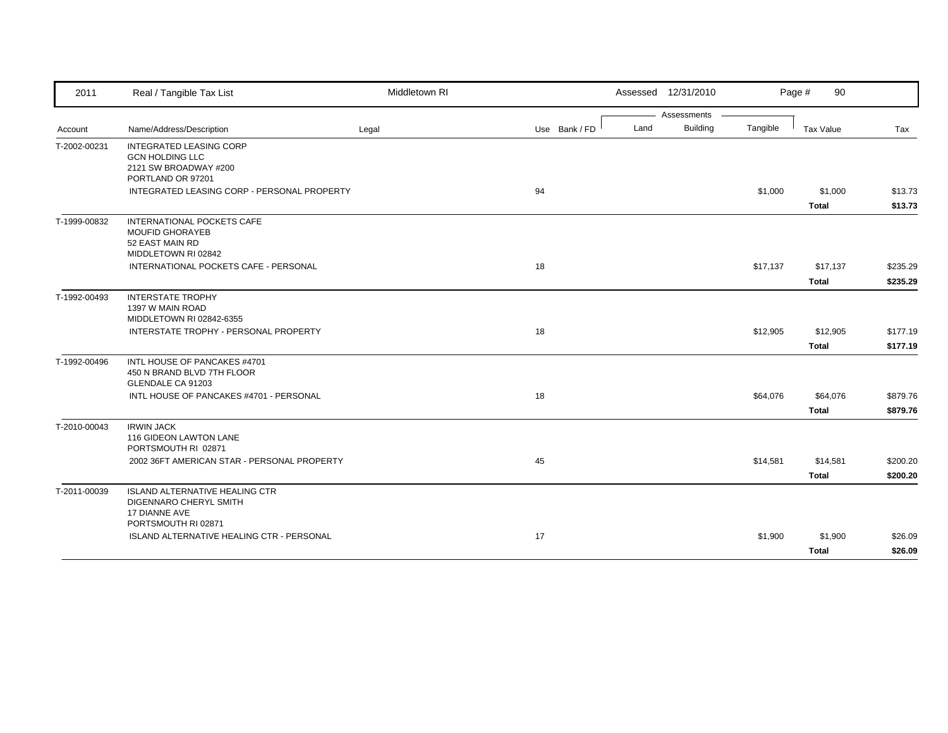| 2011         | Real / Tangible Tax List                                                                               | Middletown RI |               | Assessed 12/31/2010     |          | 90<br>Page #             |                      |
|--------------|--------------------------------------------------------------------------------------------------------|---------------|---------------|-------------------------|----------|--------------------------|----------------------|
|              |                                                                                                        |               |               | Assessments             |          |                          |                      |
| Account      | Name/Address/Description                                                                               | Legal         | Use Bank / FD | <b>Building</b><br>Land | Tangible | Tax Value                | Tax                  |
| T-2002-00231 | <b>INTEGRATED LEASING CORP</b><br><b>GCN HOLDING LLC</b><br>2121 SW BROADWAY #200<br>PORTLAND OR 97201 |               |               |                         |          |                          |                      |
|              | INTEGRATED LEASING CORP - PERSONAL PROPERTY                                                            |               | 94            |                         | \$1,000  | \$1,000<br><b>Total</b>  | \$13.73<br>\$13.73   |
| T-1999-00832 | INTERNATIONAL POCKETS CAFE<br><b>MOUFID GHORAYEB</b><br>52 EAST MAIN RD<br>MIDDLETOWN RI 02842         |               |               |                         |          |                          |                      |
|              | INTERNATIONAL POCKETS CAFE - PERSONAL                                                                  |               | 18            |                         | \$17,137 | \$17,137<br><b>Total</b> | \$235.29<br>\$235.29 |
| T-1992-00493 | <b>INTERSTATE TROPHY</b><br>1397 W MAIN ROAD<br>MIDDLETOWN RI 02842-6355                               |               |               |                         |          |                          |                      |
|              | INTERSTATE TROPHY - PERSONAL PROPERTY                                                                  |               | 18            |                         | \$12,905 | \$12,905<br><b>Total</b> | \$177.19<br>\$177.19 |
| T-1992-00496 | INTL HOUSE OF PANCAKES #4701<br>450 N BRAND BLVD 7TH FLOOR<br>GLENDALE CA 91203                        |               |               |                         |          |                          |                      |
|              | INTL HOUSE OF PANCAKES #4701 - PERSONAL                                                                |               | 18            |                         | \$64,076 | \$64,076<br><b>Total</b> | \$879.76<br>\$879.76 |
| T-2010-00043 | <b>IRWIN JACK</b><br>116 GIDEON LAWTON LANE<br>PORTSMOUTH RI 02871                                     |               |               |                         |          |                          |                      |
|              | 2002 36FT AMERICAN STAR - PERSONAL PROPERTY                                                            |               | 45            |                         | \$14,581 | \$14,581<br><b>Total</b> | \$200.20<br>\$200.20 |
| T-2011-00039 | <b>ISLAND ALTERNATIVE HEALING CTR</b><br>DIGENNARO CHERYL SMITH<br>17 DIANNE AVE                       |               |               |                         |          |                          |                      |
|              | ISLAND ALTERNATIVE HEALING CTR - PERSONAL                                                              |               | 17            |                         | \$1,900  | \$1,900                  | \$26.09<br>\$26.09   |
|              | PORTSMOUTH RI 02871                                                                                    |               |               |                         |          | <b>Total</b>             |                      |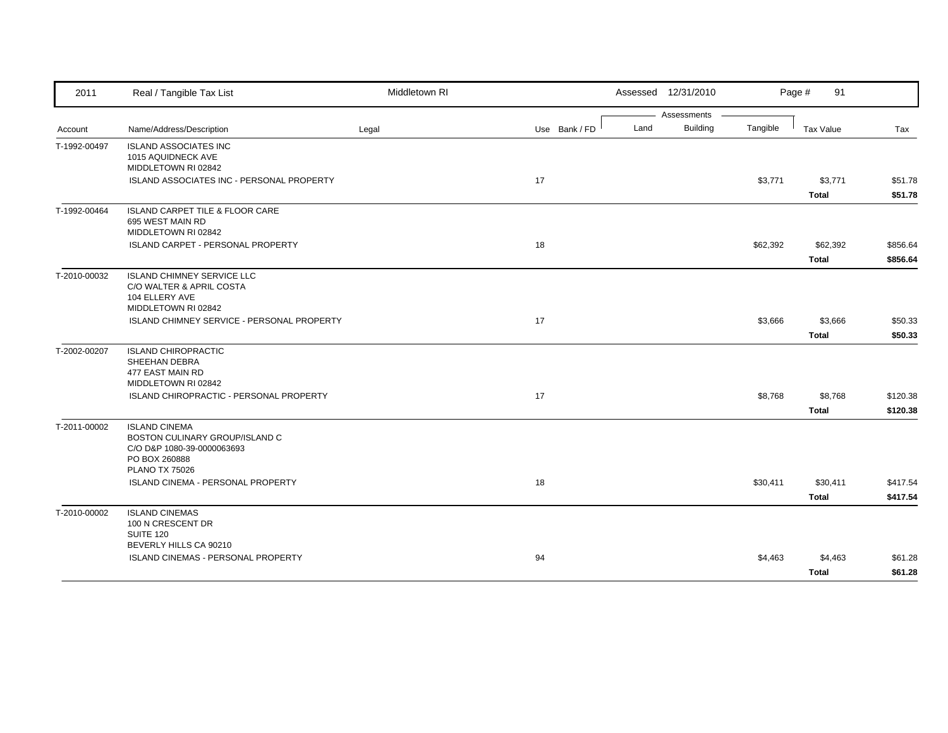| 2011         | Real / Tangible Tax List                           | Middletown RI |               |      | Assessed 12/31/2010 |          | Page #<br>91 |          |
|--------------|----------------------------------------------------|---------------|---------------|------|---------------------|----------|--------------|----------|
|              |                                                    |               |               |      | Assessments         |          |              |          |
| Account      | Name/Address/Description                           | Legal         | Use Bank / FD | Land | <b>Building</b>     | Tangible | Tax Value    | Tax      |
| T-1992-00497 | <b>ISLAND ASSOCIATES INC</b><br>1015 AQUIDNECK AVE |               |               |      |                     |          |              |          |
|              | MIDDLETOWN RI 02842                                |               |               |      |                     |          |              |          |
|              | ISLAND ASSOCIATES INC - PERSONAL PROPERTY          |               | 17            |      |                     | \$3,771  | \$3,771      | \$51.78  |
|              |                                                    |               |               |      |                     |          | <b>Total</b> | \$51.78  |
| T-1992-00464 | <b>ISLAND CARPET TILE &amp; FLOOR CARE</b>         |               |               |      |                     |          |              |          |
|              | 695 WEST MAIN RD<br>MIDDLETOWN RI 02842            |               |               |      |                     |          |              |          |
|              | ISLAND CARPET - PERSONAL PROPERTY                  |               | 18            |      |                     | \$62,392 | \$62,392     | \$856.64 |
|              |                                                    |               |               |      |                     |          | <b>Total</b> | \$856.64 |
|              | <b>ISLAND CHIMNEY SERVICE LLC</b>                  |               |               |      |                     |          |              |          |
| T-2010-00032 | C/O WALTER & APRIL COSTA                           |               |               |      |                     |          |              |          |
|              | 104 ELLERY AVE                                     |               |               |      |                     |          |              |          |
|              | MIDDLETOWN RI 02842                                |               |               |      |                     |          |              |          |
|              | ISLAND CHIMNEY SERVICE - PERSONAL PROPERTY         |               | 17            |      |                     | \$3,666  | \$3,666      | \$50.33  |
|              |                                                    |               |               |      |                     |          | <b>Total</b> | \$50.33  |
| T-2002-00207 | <b>ISLAND CHIROPRACTIC</b>                         |               |               |      |                     |          |              |          |
|              | SHEEHAN DEBRA<br>477 EAST MAIN RD                  |               |               |      |                     |          |              |          |
|              | MIDDLETOWN RI 02842                                |               |               |      |                     |          |              |          |
|              | ISLAND CHIROPRACTIC - PERSONAL PROPERTY            |               | 17            |      |                     | \$8,768  | \$8,768      | \$120.38 |
|              |                                                    |               |               |      |                     |          | <b>Total</b> | \$120.38 |
| T-2011-00002 | <b>ISLAND CINEMA</b>                               |               |               |      |                     |          |              |          |
|              | BOSTON CULINARY GROUP/ISLAND C                     |               |               |      |                     |          |              |          |
|              | C/O D&P 1080-39-0000063693<br>PO BOX 260888        |               |               |      |                     |          |              |          |
|              | <b>PLANO TX 75026</b>                              |               |               |      |                     |          |              |          |
|              | ISLAND CINEMA - PERSONAL PROPERTY                  |               | 18            |      |                     | \$30,411 | \$30,411     | \$417.54 |
|              |                                                    |               |               |      |                     |          | <b>Total</b> | \$417.54 |
| T-2010-00002 | <b>ISLAND CINEMAS</b>                              |               |               |      |                     |          |              |          |
|              | 100 N CRESCENT DR                                  |               |               |      |                     |          |              |          |
|              | SUITE 120<br>BEVERLY HILLS CA 90210                |               |               |      |                     |          |              |          |
|              | ISLAND CINEMAS - PERSONAL PROPERTY                 |               | 94            |      |                     | \$4,463  | \$4,463      | \$61.28  |
|              |                                                    |               |               |      |                     |          | <b>Total</b> | \$61.28  |
|              |                                                    |               |               |      |                     |          |              |          |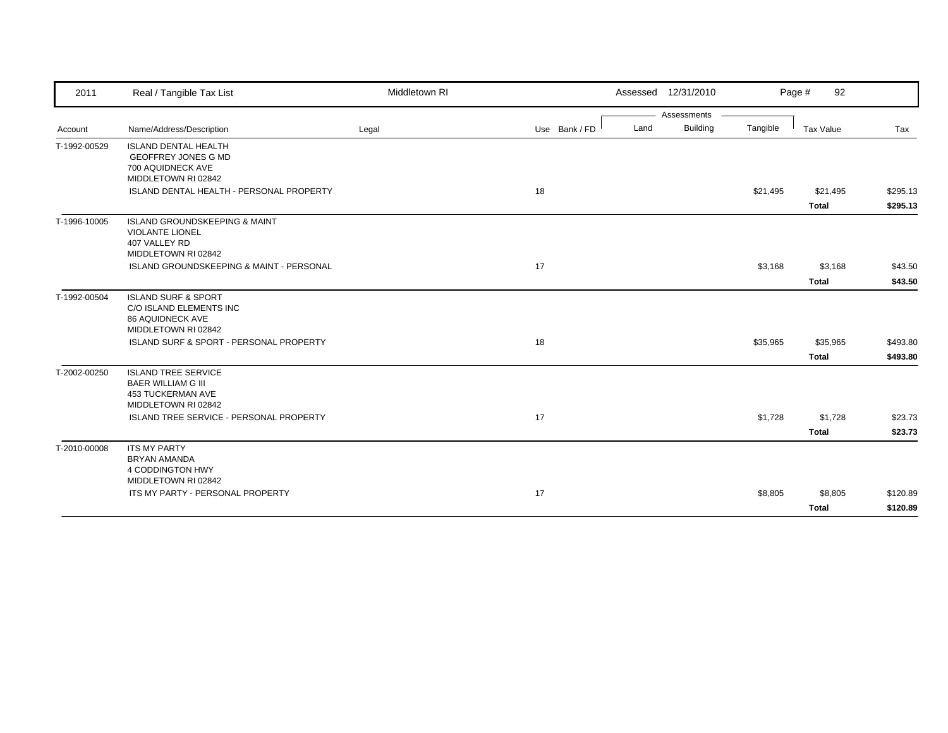| 2011         | Real / Tangible Tax List                                                                                    | Middletown RI |               |      | Assessed 12/31/2010 |          | Page #<br>92     |          |
|--------------|-------------------------------------------------------------------------------------------------------------|---------------|---------------|------|---------------------|----------|------------------|----------|
|              |                                                                                                             |               |               |      | Assessments         |          |                  |          |
| Account      | Name/Address/Description                                                                                    | Legal         | Use Bank / FD | Land | Building            | Tangible | <b>Tax Value</b> | Tax      |
| T-1992-00529 | <b>ISLAND DENTAL HEALTH</b><br><b>GEOFFREY JONES G MD</b><br>700 AQUIDNECK AVE<br>MIDDLETOWN RI 02842       |               |               |      |                     |          |                  |          |
|              | ISLAND DENTAL HEALTH - PERSONAL PROPERTY                                                                    |               | 18            |      |                     | \$21,495 | \$21,495         | \$295.13 |
|              |                                                                                                             |               |               |      |                     |          | <b>Total</b>     | \$295.13 |
| T-1996-10005 | <b>ISLAND GROUNDSKEEPING &amp; MAINT</b><br><b>VIOLANTE LIONEL</b><br>407 VALLEY RD<br>MIDDLETOWN RI 02842  |               |               |      |                     |          |                  |          |
|              | ISLAND GROUNDSKEEPING & MAINT - PERSONAL                                                                    |               | 17            |      |                     | \$3,168  | \$3,168          | \$43.50  |
|              |                                                                                                             |               |               |      |                     |          | Total            | \$43.50  |
| T-1992-00504 | <b>ISLAND SURF &amp; SPORT</b><br>C/O ISLAND ELEMENTS INC<br><b>86 AQUIDNECK AVE</b><br>MIDDLETOWN RI 02842 |               |               |      |                     |          |                  |          |
|              | <b>ISLAND SURF &amp; SPORT - PERSONAL PROPERTY</b>                                                          |               | 18            |      |                     | \$35,965 | \$35,965         | \$493.80 |
|              |                                                                                                             |               |               |      |                     |          | <b>Total</b>     | \$493.80 |
| T-2002-00250 | <b>ISLAND TREE SERVICE</b><br><b>BAER WILLIAM G III</b><br><b>453 TUCKERMAN AVE</b><br>MIDDLETOWN RI 02842  |               |               |      |                     |          |                  |          |
|              | <b>ISLAND TREE SERVICE - PERSONAL PROPERTY</b>                                                              |               | 17            |      |                     | \$1,728  | \$1,728          | \$23.73  |
|              |                                                                                                             |               |               |      |                     |          | <b>Total</b>     | \$23.73  |
| T-2010-00008 | <b>ITS MY PARTY</b><br><b>BRYAN AMANDA</b><br><b>4 CODDINGTON HWY</b><br>MIDDLETOWN RI 02842                |               |               |      |                     |          |                  |          |
|              | ITS MY PARTY - PERSONAL PROPERTY                                                                            |               | 17            |      |                     | \$8,805  | \$8,805          | \$120.89 |
|              |                                                                                                             |               |               |      |                     |          | <b>Total</b>     | \$120.89 |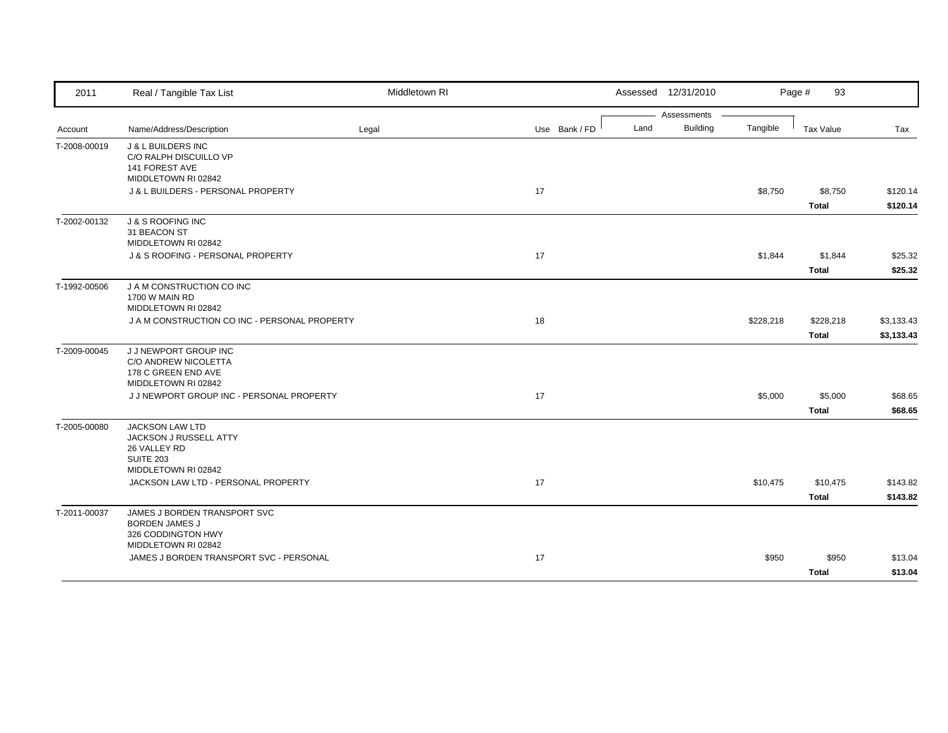| 2011                                    | Real / Tangible Tax List                                             | Middletown RI |               |                                                                                                                                                                                                              | Assessed 12/31/2010 |         | Page #<br>93 |                    |
|-----------------------------------------|----------------------------------------------------------------------|---------------|---------------|--------------------------------------------------------------------------------------------------------------------------------------------------------------------------------------------------------------|---------------------|---------|--------------|--------------------|
|                                         |                                                                      |               |               |                                                                                                                                                                                                              |                     |         |              |                    |
|                                         | Name/Address/Description                                             | Legal         | Use Bank / FD |                                                                                                                                                                                                              |                     |         |              | Tax                |
| Account<br>T-2008-00019<br>T-2002-00132 | <b>J &amp; L BUILDERS INC</b><br>C/O RALPH DISCUILLO VP              |               |               |                                                                                                                                                                                                              |                     |         |              |                    |
|                                         | 141 FOREST AVE<br>MIDDLETOWN RI 02842                                |               |               |                                                                                                                                                                                                              |                     |         |              |                    |
|                                         | J & L BUILDERS - PERSONAL PROPERTY                                   |               | 17            |                                                                                                                                                                                                              |                     | \$8,750 | \$8,750      | \$120.14           |
|                                         |                                                                      |               |               |                                                                                                                                                                                                              |                     |         | <b>Total</b> | \$120.14           |
|                                         | <b>J &amp; S ROOFING INC</b><br>31 BEACON ST                         |               |               |                                                                                                                                                                                                              |                     |         |              |                    |
|                                         | MIDDLETOWN RI 02842<br>J & S ROOFING - PERSONAL PROPERTY             |               | 17            |                                                                                                                                                                                                              |                     |         |              |                    |
|                                         |                                                                      |               |               |                                                                                                                                                                                                              |                     |         | <b>Total</b> | \$25.32<br>\$25.32 |
| T-1992-00506                            | J A M CONSTRUCTION CO INC                                            |               |               |                                                                                                                                                                                                              |                     |         |              |                    |
|                                         | 1700 W MAIN RD                                                       |               |               |                                                                                                                                                                                                              |                     |         |              |                    |
|                                         | MIDDLETOWN RI 02842<br>J A M CONSTRUCTION CO INC - PERSONAL PROPERTY |               | 18            |                                                                                                                                                                                                              |                     |         |              | \$3,133.43         |
|                                         |                                                                      |               |               |                                                                                                                                                                                                              |                     |         |              | \$3,133.43         |
| T-2009-00045                            | J J NEWPORT GROUP INC                                                |               |               |                                                                                                                                                                                                              |                     |         |              |                    |
|                                         | C/O ANDREW NICOLETTA                                                 |               |               |                                                                                                                                                                                                              |                     |         |              |                    |
|                                         | 178 C GREEN END AVE<br>MIDDLETOWN RI 02842                           |               |               |                                                                                                                                                                                                              |                     |         |              |                    |
|                                         | J J NEWPORT GROUP INC - PERSONAL PROPERTY                            |               | 17            | Assessments<br>Building<br>Land<br>Tangible<br>Tax Value<br>\$1,844<br>\$1,844<br>\$228,218<br>\$228,218<br><b>Total</b><br>\$5,000<br>\$5,000<br><b>Total</b><br>\$10,475<br><b>Total</b><br>\$950<br>Total |                     | \$68.65 |              |                    |
|                                         |                                                                      |               |               |                                                                                                                                                                                                              |                     |         |              | \$68.65            |
| T-2005-00080                            | <b>JACKSON LAW LTD</b>                                               |               |               |                                                                                                                                                                                                              |                     |         |              |                    |
|                                         | JACKSON J RUSSELL ATTY                                               |               |               |                                                                                                                                                                                                              |                     |         |              |                    |
|                                         | 26 VALLEY RD<br><b>SUITE 203</b>                                     |               |               |                                                                                                                                                                                                              |                     |         |              |                    |
|                                         | MIDDLETOWN RI 02842                                                  |               |               |                                                                                                                                                                                                              |                     |         |              |                    |
|                                         | JACKSON LAW LTD - PERSONAL PROPERTY                                  |               | 17            |                                                                                                                                                                                                              |                     |         | \$10,475     | \$143.82           |
|                                         |                                                                      |               |               |                                                                                                                                                                                                              |                     |         |              | \$143.82           |
| T-2011-00037                            | JAMES J BORDEN TRANSPORT SVC                                         |               |               |                                                                                                                                                                                                              |                     |         |              |                    |
|                                         | <b>BORDEN JAMES J</b><br>326 CODDINGTON HWY                          |               |               |                                                                                                                                                                                                              |                     |         |              |                    |
|                                         | MIDDLETOWN RI 02842                                                  |               |               |                                                                                                                                                                                                              |                     |         |              |                    |
|                                         | JAMES J BORDEN TRANSPORT SVC - PERSONAL                              |               | 17            |                                                                                                                                                                                                              |                     |         | \$950        | \$13.04            |
|                                         |                                                                      |               |               |                                                                                                                                                                                                              |                     |         |              | \$13.04            |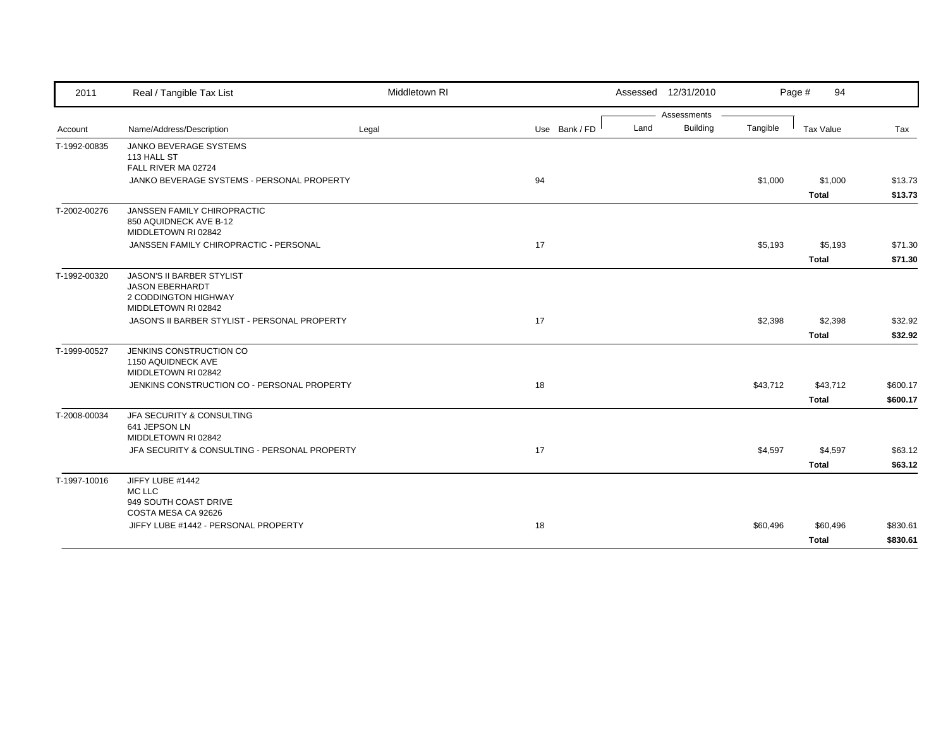| 2011                         | Real / Tangible Tax List                                                                           | Middletown RI |               |      | Assessed 12/31/2010 |          | Page #<br>94             |                      |
|------------------------------|----------------------------------------------------------------------------------------------------|---------------|---------------|------|---------------------|----------|--------------------------|----------------------|
|                              |                                                                                                    |               |               |      | Assessments         |          |                          |                      |
|                              | Name/Address/Description                                                                           | Legal         | Use Bank / FD | Land | <b>Building</b>     | Tangible | Tax Value                | Tax                  |
| Account<br>T-1992-00835      | <b>JANKO BEVERAGE SYSTEMS</b><br>113 HALL ST<br>FALL RIVER MA 02724                                |               |               |      |                     |          |                          |                      |
|                              | JANKO BEVERAGE SYSTEMS - PERSONAL PROPERTY                                                         |               | 94            |      |                     | \$1,000  | \$1,000<br><b>Total</b>  | \$13.73<br>\$13.73   |
| T-2002-00276<br>T-1992-00320 | JANSSEN FAMILY CHIROPRACTIC<br>850 AQUIDNECK AVE B-12<br>MIDDLETOWN RI 02842                       |               |               |      |                     |          |                          |                      |
|                              | JANSSEN FAMILY CHIROPRACTIC - PERSONAL                                                             |               | 17            |      |                     | \$5,193  | \$5,193<br>Total         | \$71.30<br>\$71.30   |
|                              | JASON'S II BARBER STYLIST<br><b>JASON EBERHARDT</b><br>2 CODDINGTON HIGHWAY<br>MIDDLETOWN RI 02842 |               |               |      |                     |          |                          |                      |
|                              | JASON'S II BARBER STYLIST - PERSONAL PROPERTY                                                      |               | 17            |      |                     | \$2,398  | \$2,398<br><b>Total</b>  | \$32.92<br>\$32.92   |
| T-1999-00527                 | JENKINS CONSTRUCTION CO<br>1150 AQUIDNECK AVE<br>MIDDLETOWN RI 02842                               |               |               |      |                     |          |                          |                      |
|                              | JENKINS CONSTRUCTION CO - PERSONAL PROPERTY                                                        |               | 18            |      |                     | \$43,712 | \$43,712<br><b>Total</b> | \$600.17<br>\$600.17 |
| T-2008-00034                 | JFA SECURITY & CONSULTING<br>641 JEPSON LN<br>MIDDLETOWN RI 02842                                  |               |               |      |                     |          |                          |                      |
|                              | JFA SECURITY & CONSULTING - PERSONAL PROPERTY                                                      |               | 17            |      |                     | \$4,597  | \$4,597<br><b>Total</b>  | \$63.12<br>\$63.12   |
| T-1997-10016                 | JIFFY LUBE #1442<br>MC LLC<br>949 SOUTH COAST DRIVE<br>COSTA MESA CA 92626                         |               |               |      |                     |          |                          |                      |
|                              | JIFFY LUBE #1442 - PERSONAL PROPERTY                                                               |               | 18            |      |                     | \$60,496 | \$60,496<br><b>Total</b> | \$830.61<br>\$830.61 |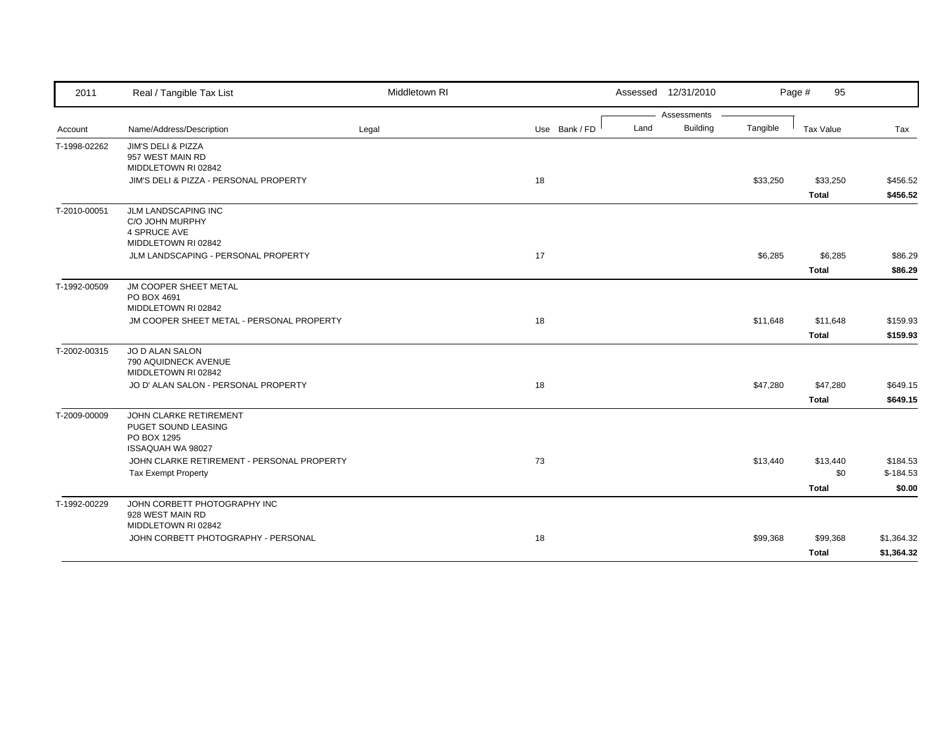| 2011         | Real / Tangible Tax List                                                                 | Middletown RI |               |      | Assessed 12/31/2010 |          | Page #<br>95     |            |
|--------------|------------------------------------------------------------------------------------------|---------------|---------------|------|---------------------|----------|------------------|------------|
|              |                                                                                          |               |               |      | Assessments         |          |                  |            |
| Account      | Name/Address/Description                                                                 | Legal         | Use Bank / FD | Land | <b>Building</b>     | Tangible | <b>Tax Value</b> | Tax        |
| T-1998-02262 | JIM'S DELI & PIZZA<br>957 WEST MAIN RD<br>MIDDLETOWN RI 02842                            |               |               |      |                     |          |                  |            |
|              | JIM'S DELI & PIZZA - PERSONAL PROPERTY                                                   |               | 18            |      |                     | \$33,250 | \$33,250         | \$456.52   |
|              |                                                                                          |               |               |      |                     |          | <b>Total</b>     | \$456.52   |
| T-2010-00051 | JLM LANDSCAPING INC<br>C/O JOHN MURPHY<br><b>4 SPRUCE AVE</b><br>MIDDLETOWN RI 02842     |               |               |      |                     |          |                  |            |
|              | JLM LANDSCAPING - PERSONAL PROPERTY                                                      |               | 17            |      |                     | \$6,285  | \$6,285          | \$86.29    |
|              |                                                                                          |               |               |      |                     |          | <b>Total</b>     | \$86.29    |
| T-1992-00509 | JM COOPER SHEET METAL<br>PO BOX 4691<br>MIDDLETOWN RI 02842                              |               |               |      |                     |          |                  |            |
|              | JM COOPER SHEET METAL - PERSONAL PROPERTY                                                |               | 18            |      |                     | \$11,648 | \$11,648         | \$159.93   |
|              |                                                                                          |               |               |      |                     |          | <b>Total</b>     | \$159.93   |
| T-2002-00315 | JO D ALAN SALON<br>790 AQUIDNECK AVENUE<br>MIDDLETOWN RI 02842                           |               |               |      |                     |          |                  |            |
|              | JO D' ALAN SALON - PERSONAL PROPERTY                                                     |               | 18            |      |                     | \$47,280 | \$47,280         | \$649.15   |
|              |                                                                                          |               |               |      |                     |          | <b>Total</b>     | \$649.15   |
| T-2009-00009 | JOHN CLARKE RETIREMENT<br>PUGET SOUND LEASING<br>PO BOX 1295<br><b>ISSAQUAH WA 98027</b> |               |               |      |                     |          |                  |            |
|              | JOHN CLARKE RETIREMENT - PERSONAL PROPERTY                                               |               | 73            |      |                     | \$13,440 | \$13,440         | \$184.53   |
|              | <b>Tax Exempt Property</b>                                                               |               |               |      |                     |          | \$0              | $$-184.53$ |
|              |                                                                                          |               |               |      |                     |          | <b>Total</b>     | \$0.00     |
| T-1992-00229 | JOHN CORBETT PHOTOGRAPHY INC<br>928 WEST MAIN RD<br>MIDDLETOWN RI 02842                  |               |               |      |                     |          |                  |            |
|              | JOHN CORBETT PHOTOGRAPHY - PERSONAL                                                      |               | 18            |      |                     | \$99,368 | \$99,368         | \$1,364.32 |
|              |                                                                                          |               |               |      |                     |          | <b>Total</b>     | \$1,364.32 |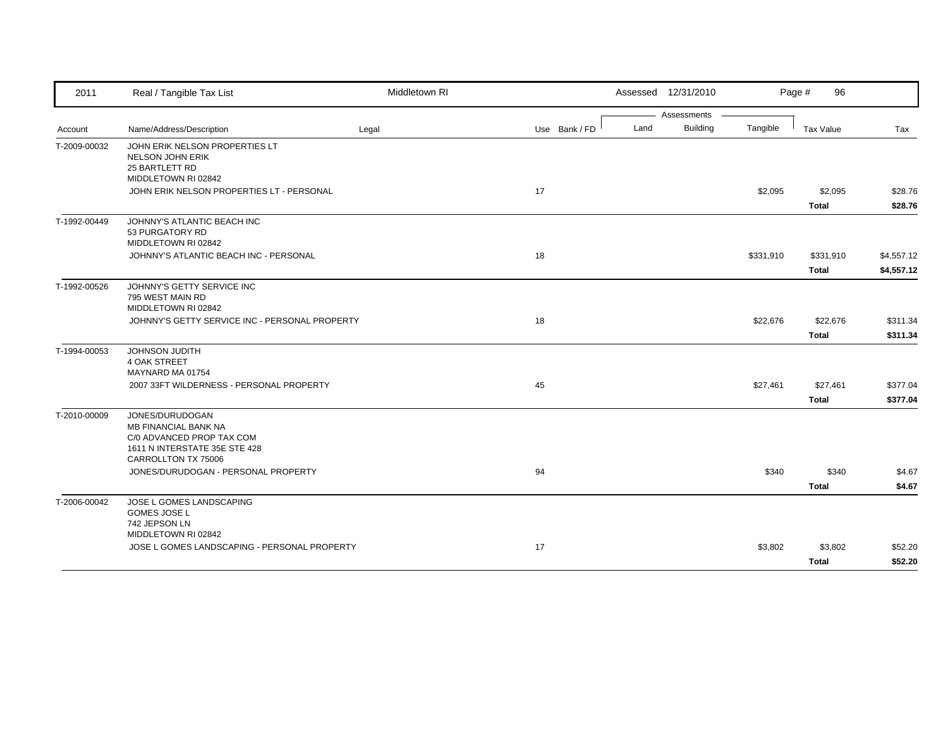| 2011                         | Real / Tangible Tax List                                                                                                            | Middletown RI |               | Assessed 12/31/2010 |                 |           | Page #<br>96            |                    |
|------------------------------|-------------------------------------------------------------------------------------------------------------------------------------|---------------|---------------|---------------------|-----------------|-----------|-------------------------|--------------------|
|                              |                                                                                                                                     |               |               |                     | Assessments     |           |                         |                    |
| Account                      | Name/Address/Description                                                                                                            | Legal         | Use Bank / FD | Land                | <b>Building</b> | Tangible  | <b>Tax Value</b>        | Tax                |
| T-2009-00032                 | JOHN ERIK NELSON PROPERTIES LT<br><b>NELSON JOHN ERIK</b><br>25 BARTLETT RD<br>MIDDLETOWN RI 02842                                  |               |               |                     |                 |           |                         |                    |
|                              | JOHN ERIK NELSON PROPERTIES LT - PERSONAL                                                                                           |               | 17            |                     |                 | \$2,095   | \$2,095                 | \$28.76            |
|                              |                                                                                                                                     |               |               |                     |                 |           | <b>Total</b>            | \$28.76            |
| T-1992-00449<br>T-1992-00526 | JOHNNY'S ATLANTIC BEACH INC<br>53 PURGATORY RD<br>MIDDLETOWN RI 02842                                                               |               |               |                     |                 |           |                         |                    |
|                              | JOHNNY'S ATLANTIC BEACH INC - PERSONAL                                                                                              |               | 18            |                     |                 | \$331,910 | \$331,910               | \$4,557.12         |
|                              |                                                                                                                                     |               |               |                     |                 |           | <b>Total</b>            | \$4,557.12         |
|                              | JOHNNY'S GETTY SERVICE INC<br>795 WEST MAIN RD<br>MIDDLETOWN RI 02842                                                               |               |               |                     |                 |           |                         |                    |
|                              | JOHNNY'S GETTY SERVICE INC - PERSONAL PROPERTY                                                                                      |               | 18            |                     |                 | \$22,676  | \$22,676                | \$311.34           |
|                              |                                                                                                                                     |               |               |                     |                 |           | <b>Total</b>            | \$311.34           |
| T-1994-00053                 | JOHNSON JUDITH<br><b>4 OAK STREET</b><br>MAYNARD MA 01754                                                                           |               |               |                     |                 |           |                         |                    |
|                              | 2007 33FT WILDERNESS - PERSONAL PROPERTY                                                                                            |               | 45            |                     |                 | \$27,461  | \$27,461                | \$377.04           |
|                              |                                                                                                                                     |               |               |                     |                 |           | <b>Total</b>            | \$377.04           |
| T-2010-00009                 | JONES/DURUDOGAN<br><b>MB FINANCIAL BANK NA</b><br>C/0 ADVANCED PROP TAX COM<br>1611 N INTERSTATE 35E STE 428<br>CARROLLTON TX 75006 |               |               |                     |                 |           |                         |                    |
|                              | JONES/DURUDOGAN - PERSONAL PROPERTY                                                                                                 |               | 94            |                     |                 | \$340     | \$340                   | \$4.67             |
|                              |                                                                                                                                     |               |               |                     |                 |           | <b>Total</b>            | \$4.67             |
| T-2006-00042                 | JOSE L GOMES LANDSCAPING<br><b>GOMES JOSE L</b><br>742 JEPSON LN<br>MIDDLETOWN RI 02842                                             |               |               |                     |                 |           |                         |                    |
|                              | JOSE L GOMES LANDSCAPING - PERSONAL PROPERTY                                                                                        |               | 17            |                     |                 | \$3,802   | \$3,802<br><b>Total</b> | \$52.20<br>\$52.20 |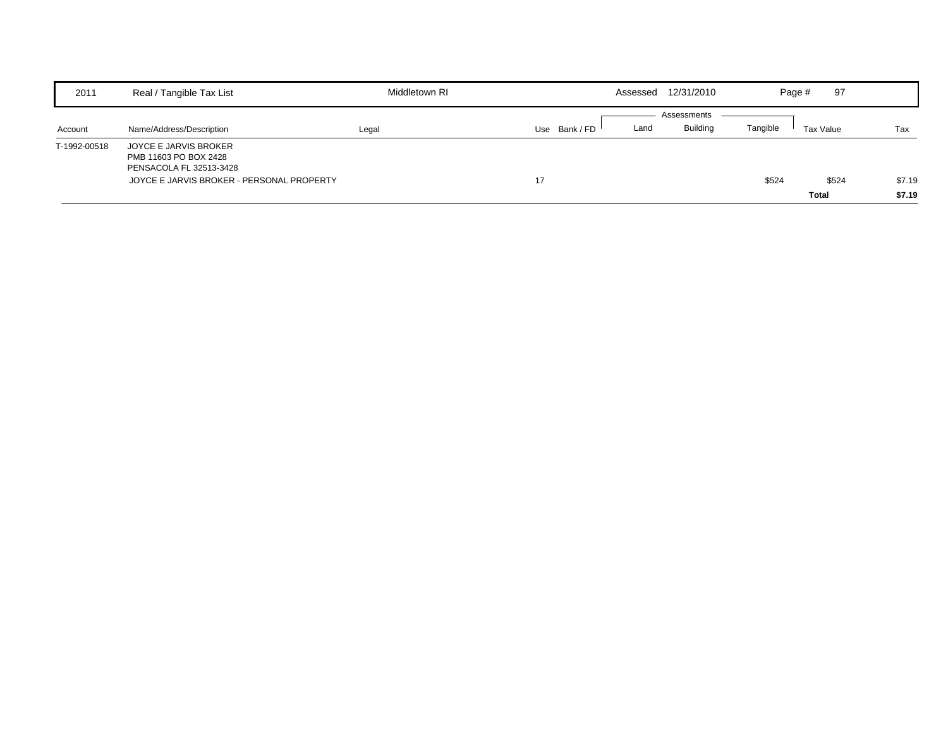| 2011         | Real / Tangible Tax List                  | Middletown RI |               |      | Assessed 12/31/2010 |          | 97<br>Page # |        |
|--------------|-------------------------------------------|---------------|---------------|------|---------------------|----------|--------------|--------|
|              |                                           |               |               |      | Assessments         |          |              |        |
| Account      | Name/Address/Description                  | Legal         | Use Bank / FD | Land | <b>Building</b>     | Tangible | Tax Value    | Tax    |
| T-1992-00518 | JOYCE E JARVIS BROKER                     |               |               |      |                     |          |              |        |
|              | PMB 11603 PO BOX 2428                     |               |               |      |                     |          |              |        |
|              | PENSACOLA FL 32513-3428                   |               |               |      |                     |          |              |        |
|              | JOYCE E JARVIS BROKER - PERSONAL PROPERTY |               | 17            |      |                     | \$524    | \$524        | \$7.19 |
|              |                                           |               |               |      |                     |          | <b>Total</b> | \$7.19 |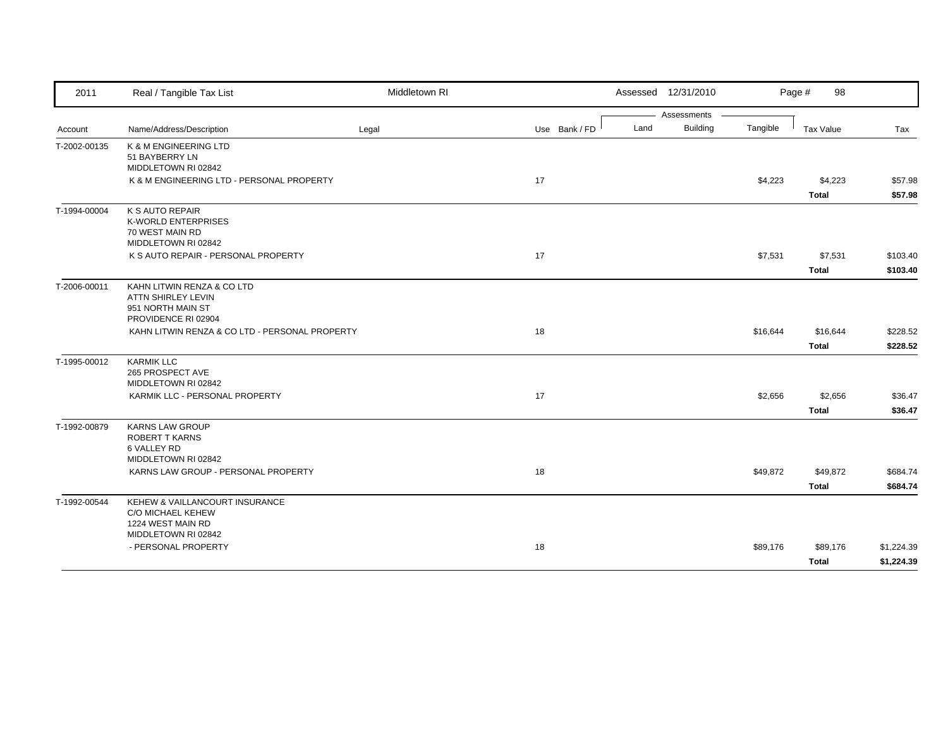| 2011         | Real / Tangible Tax List                                                                            | Middletown RI |               | Assessed 12/31/2010     |          | Page #<br>98             |                          |
|--------------|-----------------------------------------------------------------------------------------------------|---------------|---------------|-------------------------|----------|--------------------------|--------------------------|
|              |                                                                                                     |               |               | Assessments             |          |                          |                          |
| Account      | Name/Address/Description                                                                            | Legal         | Use Bank / FD | <b>Building</b><br>Land | Tangible | <b>Tax Value</b>         | Tax                      |
| T-2002-00135 | K & M ENGINEERING LTD<br>51 BAYBERRY LN<br>MIDDLETOWN RI 02842                                      |               |               |                         |          |                          |                          |
|              | K & M ENGINEERING LTD - PERSONAL PROPERTY                                                           |               | 17            |                         | \$4,223  | \$4,223<br><b>Total</b>  | \$57.98<br>\$57.98       |
| T-1994-00004 | K S AUTO REPAIR<br><b>K-WORLD ENTERPRISES</b><br>70 WEST MAIN RD<br>MIDDLETOWN RI 02842             |               |               |                         |          |                          |                          |
|              | K S AUTO REPAIR - PERSONAL PROPERTY                                                                 |               | 17            |                         | \$7,531  | \$7,531<br>Total         | \$103.40<br>\$103.40     |
| T-2006-00011 | KAHN LITWIN RENZA & CO LTD<br><b>ATTN SHIRLEY LEVIN</b><br>951 NORTH MAIN ST<br>PROVIDENCE RI 02904 |               |               |                         |          |                          |                          |
|              | KAHN LITWIN RENZA & CO LTD - PERSONAL PROPERTY                                                      |               | 18            |                         | \$16,644 | \$16,644<br><b>Total</b> | \$228.52<br>\$228.52     |
| T-1995-00012 | <b>KARMIK LLC</b><br>265 PROSPECT AVE<br>MIDDLETOWN RI 02842                                        |               |               |                         |          |                          |                          |
|              | KARMIK LLC - PERSONAL PROPERTY                                                                      |               | 17            |                         | \$2,656  | \$2,656<br><b>Total</b>  | \$36.47<br>\$36.47       |
| T-1992-00879 | <b>KARNS LAW GROUP</b><br><b>ROBERT T KARNS</b><br>6 VALLEY RD<br>MIDDLETOWN RI 02842               |               |               |                         |          |                          |                          |
|              | KARNS LAW GROUP - PERSONAL PROPERTY                                                                 |               | 18            |                         | \$49,872 | \$49,872<br><b>Total</b> | \$684.74<br>\$684.74     |
| T-1992-00544 | KEHEW & VAILLANCOURT INSURANCE<br>C/O MICHAEL KEHEW<br>1224 WEST MAIN RD<br>MIDDLETOWN RI 02842     |               |               |                         |          |                          |                          |
|              | - PERSONAL PROPERTY                                                                                 |               | 18            |                         | \$89,176 | \$89,176<br>Total        | \$1,224.39<br>\$1,224.39 |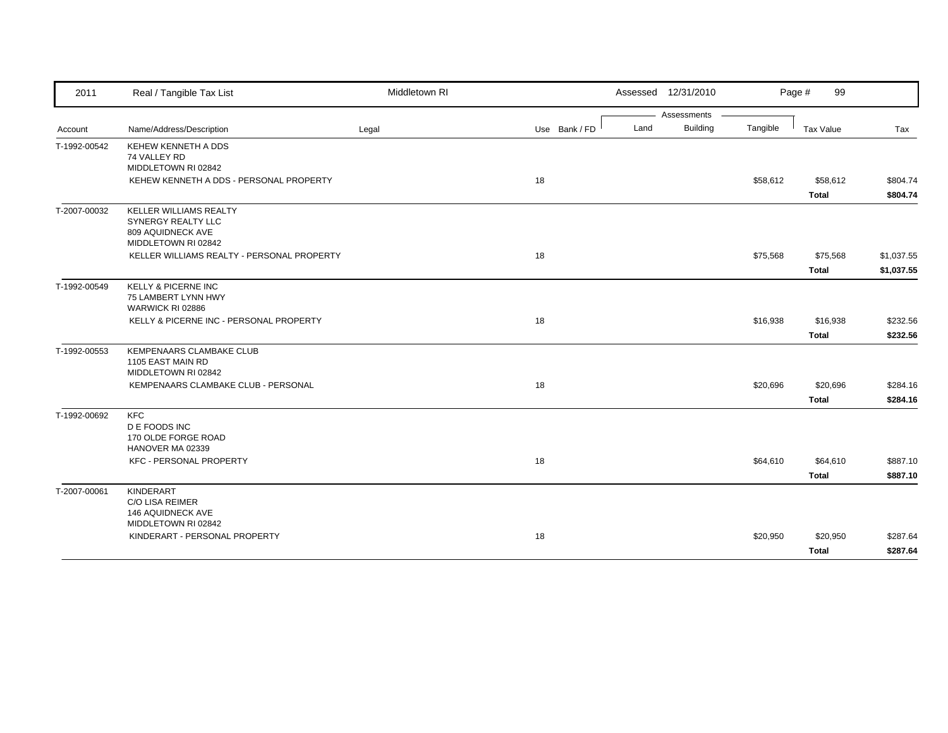| 2011                         | Real / Tangible Tax List                              | Middletown RI |               |      | Assessed 12/31/2010 |          | Page #<br>99 |            |
|------------------------------|-------------------------------------------------------|---------------|---------------|------|---------------------|----------|--------------|------------|
|                              |                                                       |               |               |      | Assessments         |          |              |            |
| Account                      | Name/Address/Description                              | Legal         | Use Bank / FD | Land | <b>Building</b>     | Tangible | Tax Value    | Tax        |
| T-1992-00542                 | KEHEW KENNETH A DDS                                   |               |               |      |                     |          |              |            |
| T-1992-00549<br>T-1992-00553 | 74 VALLEY RD                                          |               |               |      |                     |          |              |            |
|                              | MIDDLETOWN RI 02842                                   |               |               |      |                     |          |              |            |
|                              | KEHEW KENNETH A DDS - PERSONAL PROPERTY               |               | 18            |      |                     | \$58,612 | \$58,612     | \$804.74   |
|                              |                                                       |               |               |      |                     |          | <b>Total</b> | \$804.74   |
| T-2007-00032                 | <b>KELLER WILLIAMS REALTY</b>                         |               |               |      |                     |          |              |            |
|                              | SYNERGY REALTY LLC                                    |               |               |      |                     |          |              |            |
|                              | 809 AQUIDNECK AVE<br>MIDDLETOWN RI 02842              |               |               |      |                     |          |              |            |
|                              | KELLER WILLIAMS REALTY - PERSONAL PROPERTY            |               | 18            |      |                     | \$75,568 | \$75,568     | \$1,037.55 |
|                              |                                                       |               |               |      |                     |          | <b>Total</b> | \$1,037.55 |
|                              |                                                       |               |               |      |                     |          |              |            |
|                              | <b>KELLY &amp; PICERNE INC</b><br>75 LAMBERT LYNN HWY |               |               |      |                     |          |              |            |
|                              | WARWICK RI 02886                                      |               |               |      |                     |          |              |            |
|                              | KELLY & PICERNE INC - PERSONAL PROPERTY               |               | 18            |      |                     | \$16,938 | \$16,938     | \$232.56   |
|                              |                                                       |               |               |      |                     |          | <b>Total</b> | \$232.56   |
|                              | KEMPENAARS CLAMBAKE CLUB                              |               |               |      |                     |          |              |            |
|                              | 1105 EAST MAIN RD                                     |               |               |      |                     |          |              |            |
|                              | MIDDLETOWN RI 02842                                   |               |               |      |                     |          |              |            |
|                              | KEMPENAARS CLAMBAKE CLUB - PERSONAL                   |               | 18            |      |                     | \$20,696 | \$20,696     | \$284.16   |
|                              |                                                       |               |               |      |                     |          | <b>Total</b> | \$284.16   |
| T-1992-00692                 | <b>KFC</b>                                            |               |               |      |                     |          |              |            |
|                              | <b>DE FOODS INC</b>                                   |               |               |      |                     |          |              |            |
|                              | 170 OLDE FORGE ROAD                                   |               |               |      |                     |          |              |            |
|                              | HANOVER MA 02339                                      |               |               |      |                     |          |              |            |
|                              | <b>KFC - PERSONAL PROPERTY</b>                        |               | 18            |      |                     | \$64,610 | \$64,610     | \$887.10   |
|                              |                                                       |               |               |      |                     |          | <b>Total</b> | \$887.10   |
| T-2007-00061                 | KINDERART                                             |               |               |      |                     |          |              |            |
|                              | <b>C/O LISA REIMER</b>                                |               |               |      |                     |          |              |            |
|                              | 146 AQUIDNECK AVE<br>MIDDLETOWN RI 02842              |               |               |      |                     |          |              |            |
|                              | KINDERART - PERSONAL PROPERTY                         |               | 18            |      |                     | \$20,950 | \$20,950     | \$287.64   |
|                              |                                                       |               |               |      |                     |          | <b>Total</b> | \$287.64   |
|                              |                                                       |               |               |      |                     |          |              |            |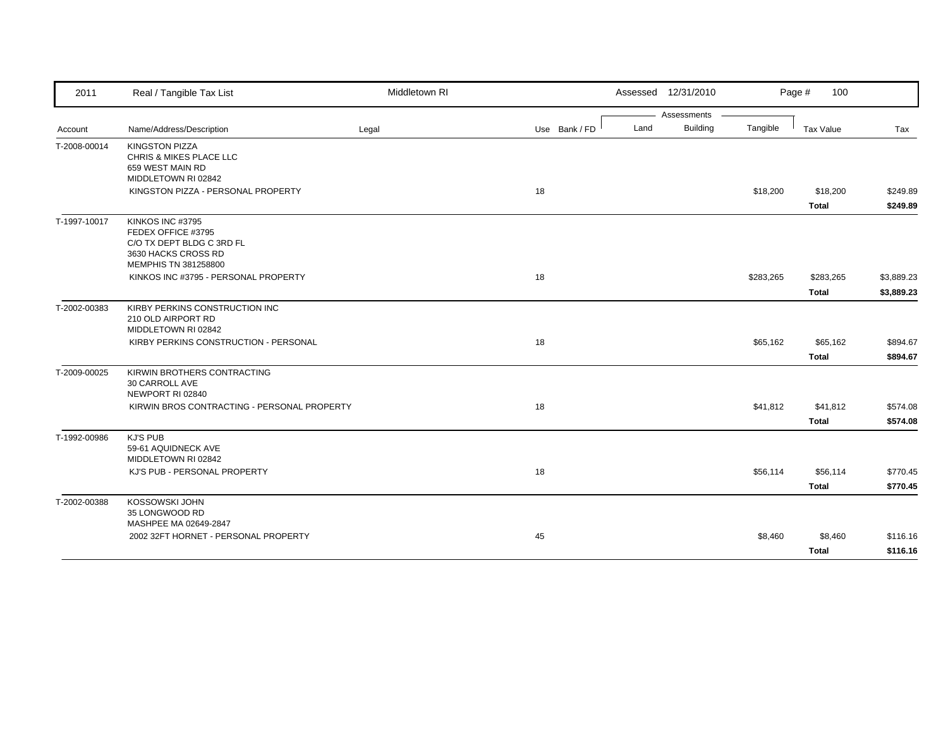| 2011         | Real / Tangible Tax List                                                                                           | Middletown RI |               | Assessed 12/31/2010     |           | Page #<br>100            |                          |
|--------------|--------------------------------------------------------------------------------------------------------------------|---------------|---------------|-------------------------|-----------|--------------------------|--------------------------|
|              |                                                                                                                    |               |               | Assessments             |           |                          |                          |
| Account      | Name/Address/Description                                                                                           | Legal         | Use Bank / FD | <b>Building</b><br>Land | Tangible  | Tax Value                | Tax                      |
| T-2008-00014 | <b>KINGSTON PIZZA</b><br>CHRIS & MIKES PLACE LLC<br>659 WEST MAIN RD<br>MIDDLETOWN RI 02842                        |               |               |                         |           |                          |                          |
|              | KINGSTON PIZZA - PERSONAL PROPERTY                                                                                 |               | 18            |                         | \$18,200  | \$18,200<br><b>Total</b> | \$249.89<br>\$249.89     |
| T-1997-10017 | KINKOS INC #3795<br>FEDEX OFFICE #3795<br>C/O TX DEPT BLDG C 3RD FL<br>3630 HACKS CROSS RD<br>MEMPHIS TN 381258800 |               |               |                         |           |                          |                          |
|              | KINKOS INC #3795 - PERSONAL PROPERTY                                                                               |               | 18            |                         | \$283,265 | \$283,265<br>Total       | \$3,889.23<br>\$3,889.23 |
| T-2002-00383 | KIRBY PERKINS CONSTRUCTION INC<br>210 OLD AIRPORT RD<br>MIDDLETOWN RI 02842                                        |               |               |                         |           |                          |                          |
|              | KIRBY PERKINS CONSTRUCTION - PERSONAL                                                                              |               | 18            |                         | \$65,162  | \$65,162<br>Total        | \$894.67<br>\$894.67     |
| T-2009-00025 | KIRWIN BROTHERS CONTRACTING<br>30 CARROLL AVE<br>NEWPORT RI 02840<br>KIRWIN BROS CONTRACTING - PERSONAL PROPERTY   |               | 18            |                         | \$41,812  | \$41,812                 | \$574.08                 |
|              |                                                                                                                    |               |               |                         |           | <b>Total</b>             | \$574.08                 |
| T-1992-00986 | <b>KJ'S PUB</b><br>59-61 AQUIDNECK AVE<br>MIDDLETOWN RI 02842                                                      |               |               |                         |           |                          |                          |
|              | KJ'S PUB - PERSONAL PROPERTY                                                                                       |               | 18            |                         | \$56,114  | \$56,114<br><b>Total</b> | \$770.45<br>\$770.45     |
| T-2002-00388 | KOSSOWSKI JOHN<br>35 LONGWOOD RD<br>MASHPEE MA 02649-2847                                                          |               |               |                         |           |                          |                          |
|              | 2002 32FT HORNET - PERSONAL PROPERTY                                                                               |               | 45            |                         | \$8,460   | \$8,460                  | \$116.16                 |
|              |                                                                                                                    |               |               |                         |           | <b>Total</b>             | \$116.16                 |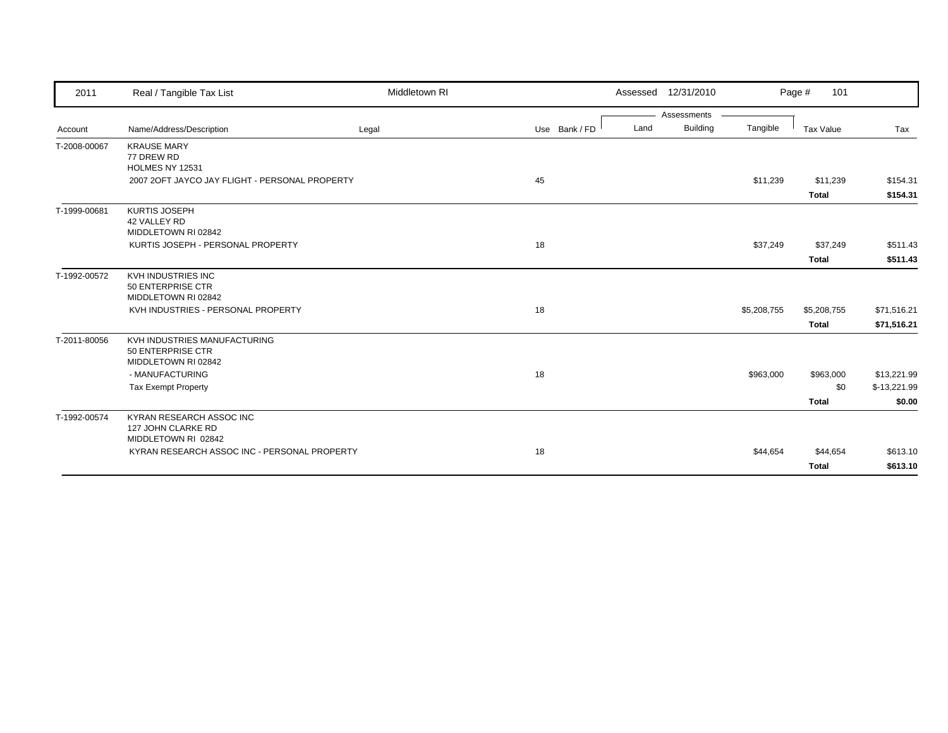| 2011         | Real / Tangible Tax List                                                 | Middletown RI |               |      | Assessed 12/31/2010 |             | 101<br>Page #            |                      |
|--------------|--------------------------------------------------------------------------|---------------|---------------|------|---------------------|-------------|--------------------------|----------------------|
|              |                                                                          |               |               |      | Assessments         |             |                          |                      |
| Account      | Name/Address/Description                                                 | Legal         | Use Bank / FD | Land | <b>Building</b>     | Tangible    | <b>Tax Value</b>         | Tax                  |
| T-2008-00067 | <b>KRAUSE MARY</b><br>77 DREW RD<br><b>HOLMES NY 12531</b>               |               |               |      |                     |             |                          |                      |
|              | 2007 2OFT JAYCO JAY FLIGHT - PERSONAL PROPERTY                           |               | 45            |      |                     | \$11,239    | \$11,239                 | \$154.31             |
|              |                                                                          |               |               |      |                     |             | <b>Total</b>             | \$154.31             |
| T-1999-00681 | <b>KURTIS JOSEPH</b><br>42 VALLEY RD<br>MIDDLETOWN RI 02842              |               |               |      |                     |             |                          |                      |
|              | KURTIS JOSEPH - PERSONAL PROPERTY                                        |               | 18            |      |                     | \$37,249    | \$37,249                 | \$511.43             |
|              |                                                                          |               |               |      |                     |             | <b>Total</b>             | \$511.43             |
| T-1992-00572 | KVH INDUSTRIES INC<br>50 ENTERPRISE CTR<br>MIDDLETOWN RI 02842           |               |               |      |                     |             |                          |                      |
|              | KVH INDUSTRIES - PERSONAL PROPERTY                                       |               | 18            |      |                     | \$5,208,755 | \$5,208,755              | \$71,516.21          |
|              |                                                                          |               |               |      |                     |             | <b>Total</b>             | \$71,516.21          |
| T-2011-80056 | KVH INDUSTRIES MANUFACTURING<br>50 ENTERPRISE CTR<br>MIDDLETOWN RI 02842 |               |               |      |                     |             |                          |                      |
|              | - MANUFACTURING                                                          |               | 18            |      |                     | \$963,000   | \$963,000                | \$13,221.99          |
|              | <b>Tax Exempt Property</b>                                               |               |               |      |                     |             | \$0                      | $$-13,221.99$        |
|              |                                                                          |               |               |      |                     |             | <b>Total</b>             | \$0.00               |
| T-1992-00574 | KYRAN RESEARCH ASSOC INC<br>127 JOHN CLARKE RD<br>MIDDLETOWN RI 02842    |               |               |      |                     |             |                          |                      |
|              | KYRAN RESEARCH ASSOC INC - PERSONAL PROPERTY                             |               | 18            |      |                     | \$44,654    | \$44,654<br><b>Total</b> | \$613.10<br>\$613.10 |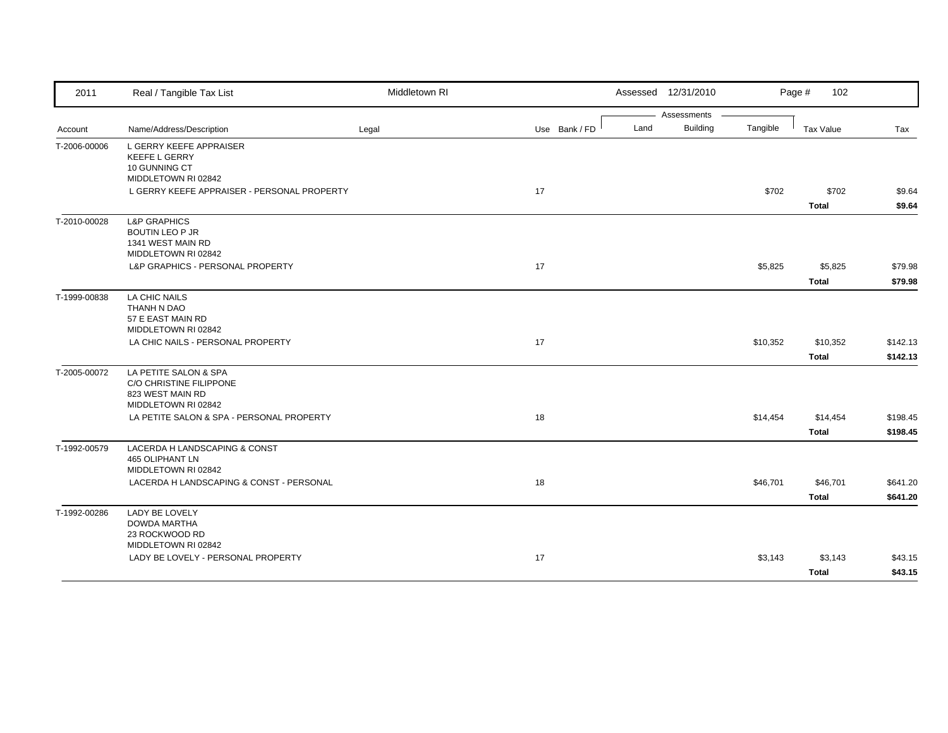| 2011         | Real / Tangible Tax List                                                                      | Middletown RI |               |      | Assessed 12/31/2010 |          | Page #<br>102            |                      |
|--------------|-----------------------------------------------------------------------------------------------|---------------|---------------|------|---------------------|----------|--------------------------|----------------------|
|              |                                                                                               |               |               |      | Assessments         |          |                          |                      |
| Account      | Name/Address/Description                                                                      | Legal         | Use Bank / FD | Land | <b>Building</b>     | Tangible | <b>Tax Value</b>         | Tax                  |
| T-2006-00006 | L GERRY KEEFE APPRAISER<br><b>KEEFE L GERRY</b><br>10 GUNNING CT<br>MIDDLETOWN RI 02842       |               |               |      |                     |          |                          |                      |
|              | L GERRY KEEFE APPRAISER - PERSONAL PROPERTY                                                   |               | 17            |      |                     | \$702    | \$702<br><b>Total</b>    | \$9.64<br>\$9.64     |
| T-2010-00028 | <b>L&amp;P GRAPHICS</b><br><b>BOUTIN LEO P JR</b><br>1341 WEST MAIN RD<br>MIDDLETOWN RI 02842 |               |               |      |                     |          |                          |                      |
|              | L&P GRAPHICS - PERSONAL PROPERTY                                                              |               | 17            |      |                     | \$5,825  | \$5,825<br><b>Total</b>  | \$79.98<br>\$79.98   |
| T-1999-00838 | LA CHIC NAILS<br>THANH N DAO<br>57 E EAST MAIN RD<br>MIDDLETOWN RI 02842                      |               |               |      |                     |          |                          |                      |
|              | LA CHIC NAILS - PERSONAL PROPERTY                                                             |               | 17            |      |                     | \$10,352 | \$10,352<br><b>Total</b> | \$142.13<br>\$142.13 |
| T-2005-00072 | LA PETITE SALON & SPA<br>C/O CHRISTINE FILIPPONE<br>823 WEST MAIN RD<br>MIDDLETOWN RI 02842   |               |               |      |                     |          |                          |                      |
|              | LA PETITE SALON & SPA - PERSONAL PROPERTY                                                     |               | 18            |      |                     | \$14,454 | \$14,454<br><b>Total</b> | \$198.45<br>\$198.45 |
| T-1992-00579 | LACERDA H LANDSCAPING & CONST<br>465 OLIPHANT LN<br>MIDDLETOWN RI 02842                       |               |               |      |                     |          |                          |                      |
|              | LACERDA H LANDSCAPING & CONST - PERSONAL                                                      |               | 18            |      |                     | \$46,701 | \$46,701<br><b>Total</b> | \$641.20<br>\$641.20 |
| T-1992-00286 | LADY BE LOVELY<br>DOWDA MARTHA<br>23 ROCKWOOD RD<br>MIDDLETOWN RI 02842                       |               |               |      |                     |          |                          |                      |
|              | LADY BE LOVELY - PERSONAL PROPERTY                                                            |               | 17            |      |                     | \$3,143  | \$3,143<br><b>Total</b>  | \$43.15<br>\$43.15   |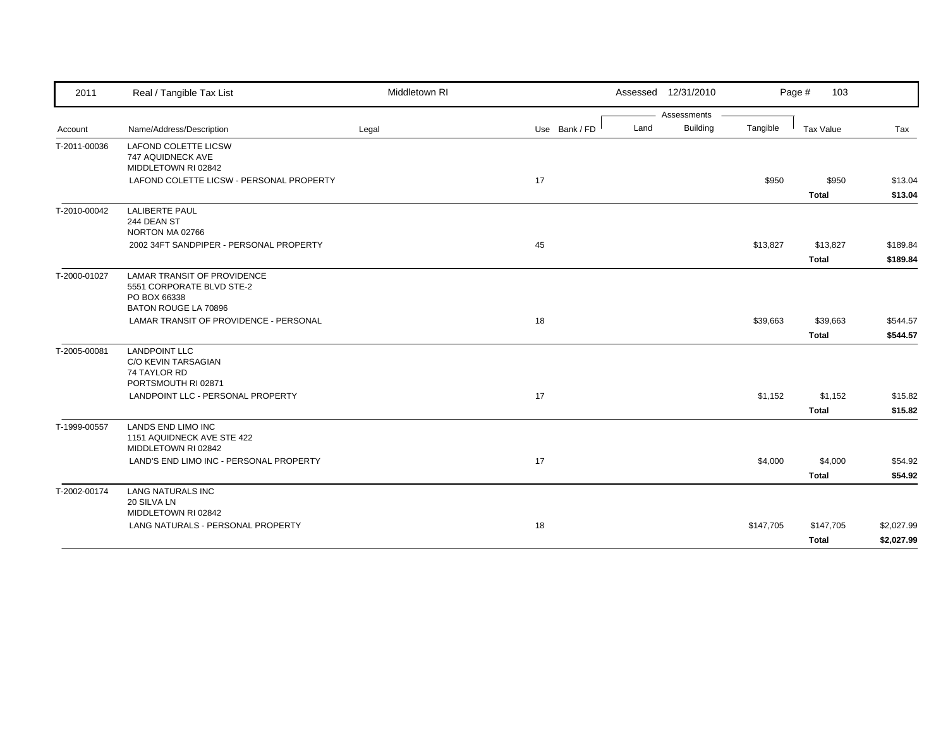| 2011         | Real / Tangible Tax List                                                        | Middletown RI |               |      | Assessed 12/31/2010 |           | Page #<br>103           |                    |
|--------------|---------------------------------------------------------------------------------|---------------|---------------|------|---------------------|-----------|-------------------------|--------------------|
|              |                                                                                 |               |               |      | Assessments         |           |                         |                    |
| Account      | Name/Address/Description                                                        | Legal         | Use Bank / FD | Land | <b>Building</b>     | Tangible  | Tax Value               | Tax                |
| T-2011-00036 | <b>LAFOND COLETTE LICSW</b><br>747 AQUIDNECK AVE<br>MIDDLETOWN RI 02842         |               |               |      |                     |           |                         |                    |
|              | LAFOND COLETTE LICSW - PERSONAL PROPERTY                                        |               | 17            |      |                     | \$950     | \$950<br>Total          | \$13.04<br>\$13.04 |
| T-2010-00042 | <b>LALIBERTE PAUL</b><br>244 DEAN ST<br>NORTON MA 02766                         |               |               |      |                     |           |                         |                    |
|              | 2002 34FT SANDPIPER - PERSONAL PROPERTY                                         |               | 45            |      |                     | \$13,827  | \$13,827                | \$189.84           |
|              |                                                                                 |               |               |      |                     |           | <b>Total</b>            | \$189.84           |
| T-2000-01027 | <b>LAMAR TRANSIT OF PROVIDENCE</b><br>5551 CORPORATE BLVD STE-2<br>PO BOX 66338 |               |               |      |                     |           |                         |                    |
|              | BATON ROUGE LA 70896                                                            |               |               |      |                     |           |                         |                    |
|              | LAMAR TRANSIT OF PROVIDENCE - PERSONAL                                          |               | 18            |      |                     | \$39,663  | \$39,663                | \$544.57           |
|              |                                                                                 |               |               |      |                     |           | <b>Total</b>            | \$544.57           |
| T-2005-00081 | <b>LANDPOINT LLC</b><br>C/O KEVIN TARSAGIAN<br>74 TAYLOR RD                     |               |               |      |                     |           |                         |                    |
|              | PORTSMOUTH RI 02871<br>LANDPOINT LLC - PERSONAL PROPERTY                        |               | 17            |      |                     |           |                         |                    |
|              |                                                                                 |               |               |      |                     | \$1,152   | \$1,152<br><b>Total</b> | \$15.82<br>\$15.82 |
| T-1999-00557 | <b>LANDS END LIMO INC</b><br>1151 AQUIDNECK AVE STE 422                         |               |               |      |                     |           |                         |                    |
|              | MIDDLETOWN RI 02842<br>LAND'S END LIMO INC - PERSONAL PROPERTY                  |               | 17            |      |                     | \$4,000   | \$4,000                 | \$54.92            |
|              |                                                                                 |               |               |      |                     |           | <b>Total</b>            | \$54.92            |
| T-2002-00174 | <b>LANG NATURALS INC</b><br>20 SILVA LN                                         |               |               |      |                     |           |                         |                    |
|              | MIDDLETOWN RI 02842                                                             |               |               |      |                     |           |                         |                    |
|              | LANG NATURALS - PERSONAL PROPERTY                                               |               | 18            |      |                     | \$147,705 | \$147,705               | \$2,027.99         |
|              |                                                                                 |               |               |      |                     |           | <b>Total</b>            | \$2,027.99         |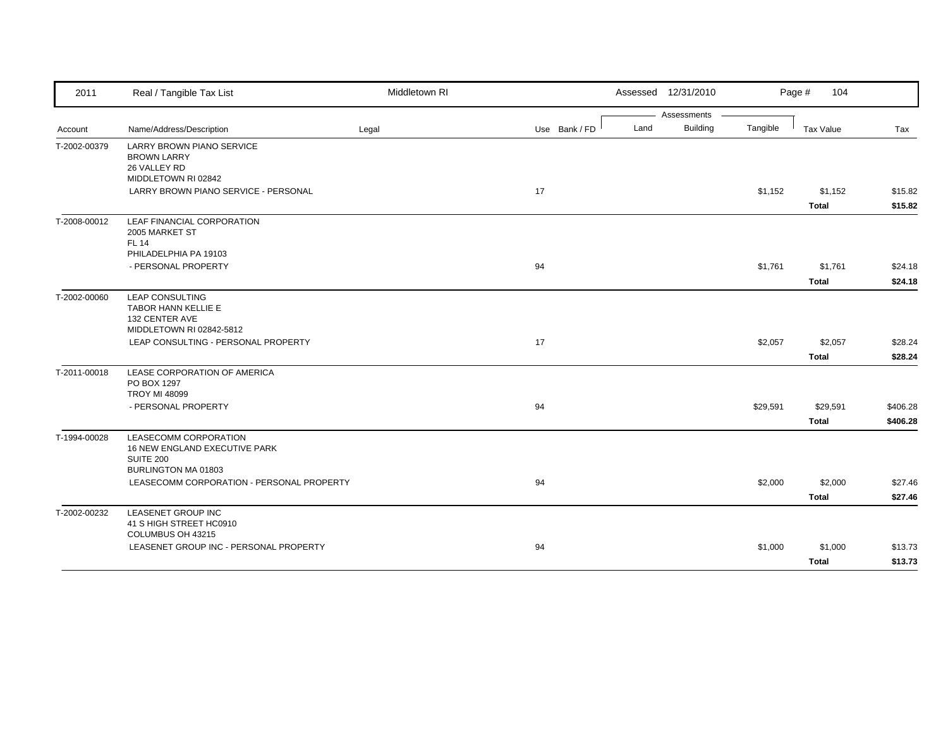| 2011         | Real / Tangible Tax List                                            | Middletown RI |               | Assessed 12/31/2010     |          | Page #<br>104    |          |
|--------------|---------------------------------------------------------------------|---------------|---------------|-------------------------|----------|------------------|----------|
|              |                                                                     |               |               | Assessments             |          |                  |          |
| Account      | Name/Address/Description                                            | Legal         | Use Bank / FD | <b>Building</b><br>Land | Tangible | <b>Tax Value</b> | Tax      |
| T-2002-00379 | <b>LARRY BROWN PIANO SERVICE</b><br><b>BROWN LARRY</b>              |               |               |                         |          |                  |          |
|              | 26 VALLEY RD<br>MIDDLETOWN RI 02842                                 |               |               |                         |          |                  |          |
|              | LARRY BROWN PIANO SERVICE - PERSONAL                                |               | 17            |                         | \$1,152  | \$1,152          | \$15.82  |
|              |                                                                     |               |               |                         |          | <b>Total</b>     | \$15.82  |
| T-2008-00012 | LEAF FINANCIAL CORPORATION<br>2005 MARKET ST<br><b>FL 14</b>        |               |               |                         |          |                  |          |
|              | PHILADELPHIA PA 19103                                               |               |               |                         |          |                  |          |
|              | - PERSONAL PROPERTY                                                 |               | 94            |                         | \$1,761  | \$1,761          | \$24.18  |
|              |                                                                     |               |               |                         |          | <b>Total</b>     | \$24.18  |
| T-2002-00060 | <b>LEAP CONSULTING</b>                                              |               |               |                         |          |                  |          |
|              | <b>TABOR HANN KELLIE E</b><br>132 CENTER AVE                        |               |               |                         |          |                  |          |
|              | MIDDLETOWN RI 02842-5812                                            |               |               |                         |          |                  |          |
|              | LEAP CONSULTING - PERSONAL PROPERTY                                 |               | 17            |                         | \$2,057  | \$2,057          | \$28.24  |
|              |                                                                     |               |               |                         |          | <b>Total</b>     | \$28.24  |
| T-2011-00018 | LEASE CORPORATION OF AMERICA<br>PO BOX 1297                         |               |               |                         |          |                  |          |
|              | <b>TROY MI 48099</b>                                                |               |               |                         |          |                  |          |
|              | - PERSONAL PROPERTY                                                 |               | 94            |                         | \$29,591 | \$29,591         | \$406.28 |
|              |                                                                     |               |               |                         |          | <b>Total</b>     | \$406.28 |
| T-1994-00028 | LEASECOMM CORPORATION<br>16 NEW ENGLAND EXECUTIVE PARK<br>SUITE 200 |               |               |                         |          |                  |          |
|              | BURLINGTON MA 01803                                                 |               |               |                         |          |                  |          |
|              | LEASECOMM CORPORATION - PERSONAL PROPERTY                           |               | 94            |                         | \$2,000  | \$2,000          | \$27.46  |
|              |                                                                     |               |               |                         |          | <b>Total</b>     | \$27.46  |
| T-2002-00232 | <b>LEASENET GROUP INC</b><br>41 S HIGH STREET HC0910                |               |               |                         |          |                  |          |
|              | COLUMBUS OH 43215                                                   |               |               |                         |          |                  |          |
|              | LEASENET GROUP INC - PERSONAL PROPERTY                              |               | 94            |                         | \$1,000  | \$1,000          | \$13.73  |
|              |                                                                     |               |               |                         |          | <b>Total</b>     | \$13.73  |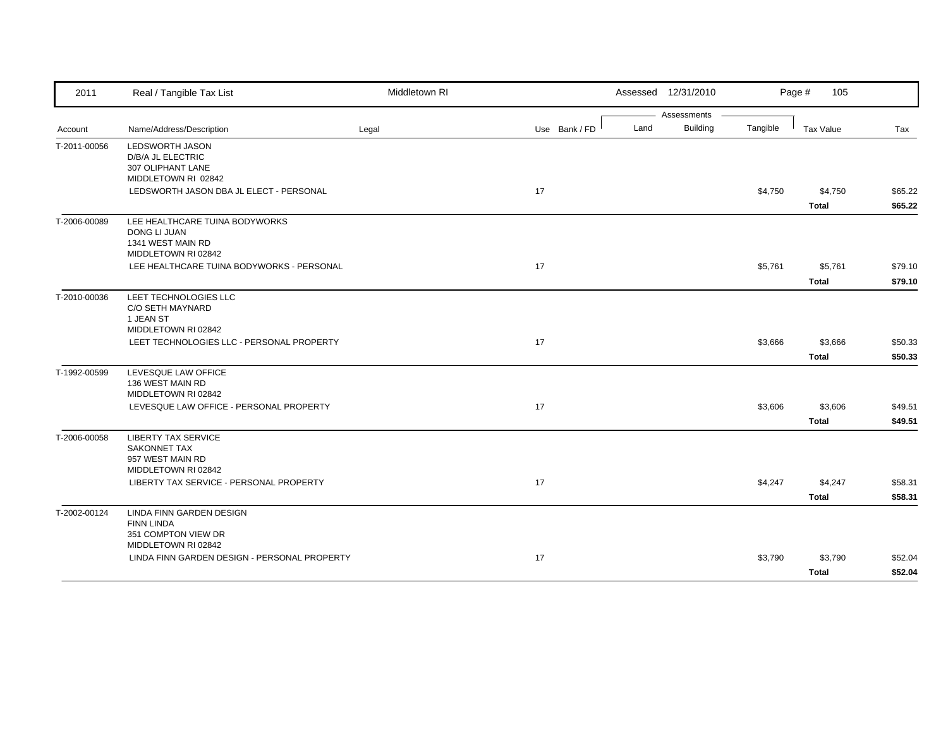| 2011         | Real / Tangible Tax List                                                                          | Middletown RI |               | Assessed 12/31/2010 |                 |          | Page #<br>105           |                    |
|--------------|---------------------------------------------------------------------------------------------------|---------------|---------------|---------------------|-----------------|----------|-------------------------|--------------------|
|              |                                                                                                   |               |               |                     | Assessments     |          |                         |                    |
| Account      | Name/Address/Description                                                                          | Legal         | Use Bank / FD | Land                | <b>Building</b> | Tangible | <b>Tax Value</b>        | Tax                |
| T-2011-00056 | <b>LEDSWORTH JASON</b><br>D/B/A JL ELECTRIC<br>307 OLIPHANT LANE<br>MIDDLETOWN RI 02842           |               |               |                     |                 |          |                         |                    |
|              | LEDSWORTH JASON DBA JL ELECT - PERSONAL                                                           |               | 17            |                     |                 | \$4,750  | \$4,750<br><b>Total</b> | \$65.22<br>\$65.22 |
| T-2006-00089 | LEE HEALTHCARE TUINA BODYWORKS<br><b>DONG LI JUAN</b><br>1341 WEST MAIN RD<br>MIDDLETOWN RI 02842 |               |               |                     |                 |          |                         |                    |
|              | LEE HEALTHCARE TUINA BODYWORKS - PERSONAL                                                         |               | 17            |                     |                 | \$5,761  | \$5,761<br><b>Total</b> | \$79.10<br>\$79.10 |
| T-2010-00036 | LEET TECHNOLOGIES LLC<br>C/O SETH MAYNARD<br>1 JEAN ST<br>MIDDLETOWN RI 02842                     |               |               |                     |                 |          |                         |                    |
|              | LEET TECHNOLOGIES LLC - PERSONAL PROPERTY                                                         |               | 17            |                     |                 | \$3,666  | \$3,666<br><b>Total</b> | \$50.33<br>\$50.33 |
| T-1992-00599 | LEVESQUE LAW OFFICE<br>136 WEST MAIN RD<br>MIDDLETOWN RI 02842                                    |               |               |                     |                 |          |                         |                    |
|              | LEVESQUE LAW OFFICE - PERSONAL PROPERTY                                                           |               | 17            |                     |                 | \$3,606  | \$3,606<br><b>Total</b> | \$49.51<br>\$49.51 |
| T-2006-00058 | <b>LIBERTY TAX SERVICE</b><br><b>SAKONNET TAX</b><br>957 WEST MAIN RD<br>MIDDLETOWN RI 02842      |               |               |                     |                 |          |                         |                    |
|              | LIBERTY TAX SERVICE - PERSONAL PROPERTY                                                           |               | 17            |                     |                 | \$4,247  | \$4,247<br><b>Total</b> | \$58.31<br>\$58.31 |
| T-2002-00124 | LINDA FINN GARDEN DESIGN<br><b>FINN LINDA</b><br>351 COMPTON VIEW DR                              |               |               |                     |                 |          |                         |                    |
|              | MIDDLETOWN RI 02842<br>LINDA FINN GARDEN DESIGN - PERSONAL PROPERTY                               |               | 17            |                     |                 | \$3,790  | \$3,790<br>Total        | \$52.04<br>\$52.04 |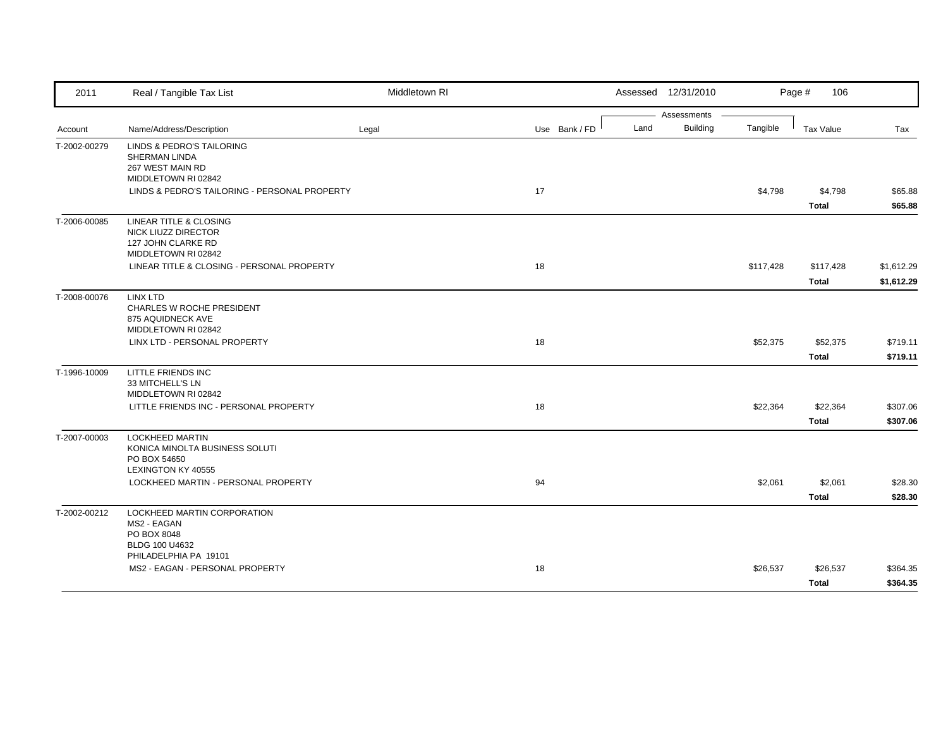| 2011         | Real / Tangible Tax List                                      | Middletown RI |               |      | Assessed 12/31/2010 |           | Page #<br>106    |            |
|--------------|---------------------------------------------------------------|---------------|---------------|------|---------------------|-----------|------------------|------------|
|              |                                                               |               |               |      | Assessments         |           |                  |            |
| Account      | Name/Address/Description                                      | Legal         | Use Bank / FD | Land | <b>Building</b>     | Tangible  | <b>Tax Value</b> | Tax        |
| T-2002-00279 | LINDS & PEDRO'S TAILORING                                     |               |               |      |                     |           |                  |            |
|              | SHERMAN LINDA<br>267 WEST MAIN RD                             |               |               |      |                     |           |                  |            |
|              | MIDDLETOWN RI 02842                                           |               |               |      |                     |           |                  |            |
|              | LINDS & PEDRO'S TAILORING - PERSONAL PROPERTY                 |               | 17            |      |                     | \$4,798   | \$4,798          | \$65.88    |
|              |                                                               |               |               |      |                     |           | <b>Total</b>     | \$65.88    |
| T-2006-00085 | LINEAR TITLE & CLOSING                                        |               |               |      |                     |           |                  |            |
|              | NICK LIUZZ DIRECTOR<br>127 JOHN CLARKE RD                     |               |               |      |                     |           |                  |            |
|              | MIDDLETOWN RI 02842                                           |               |               |      |                     |           |                  |            |
|              | LINEAR TITLE & CLOSING - PERSONAL PROPERTY                    |               | 18            |      |                     | \$117,428 | \$117,428        | \$1,612.29 |
|              |                                                               |               |               |      |                     |           | <b>Total</b>     | \$1,612.29 |
| T-2008-00076 | <b>LINX LTD</b>                                               |               |               |      |                     |           |                  |            |
|              | CHARLES W ROCHE PRESIDENT                                     |               |               |      |                     |           |                  |            |
|              | 875 AQUIDNECK AVE<br>MIDDLETOWN RI 02842                      |               |               |      |                     |           |                  |            |
|              | LINX LTD - PERSONAL PROPERTY                                  |               | 18            |      |                     | \$52,375  | \$52,375         | \$719.11   |
|              |                                                               |               |               |      |                     |           | <b>Total</b>     | \$719.11   |
| T-1996-10009 | LITTLE FRIENDS INC                                            |               |               |      |                     |           |                  |            |
|              | 33 MITCHELL'S LN                                              |               |               |      |                     |           |                  |            |
|              | MIDDLETOWN RI 02842<br>LITTLE FRIENDS INC - PERSONAL PROPERTY |               | 18            |      |                     | \$22,364  | \$22,364         | \$307.06   |
|              |                                                               |               |               |      |                     |           | <b>Total</b>     | \$307.06   |
| T-2007-00003 | <b>LOCKHEED MARTIN</b>                                        |               |               |      |                     |           |                  |            |
|              | KONICA MINOLTA BUSINESS SOLUTI                                |               |               |      |                     |           |                  |            |
|              | PO BOX 54650                                                  |               |               |      |                     |           |                  |            |
|              | LEXINGTON KY 40555                                            |               |               |      |                     |           |                  |            |
|              | LOCKHEED MARTIN - PERSONAL PROPERTY                           |               | 94            |      |                     | \$2,061   | \$2,061          | \$28.30    |
|              |                                                               |               |               |      |                     |           | <b>Total</b>     | \$28.30    |
| T-2002-00212 | LOCKHEED MARTIN CORPORATION<br>MS2 - EAGAN                    |               |               |      |                     |           |                  |            |
|              | PO BOX 8048                                                   |               |               |      |                     |           |                  |            |
|              | BLDG 100 U4632                                                |               |               |      |                     |           |                  |            |
|              | PHILADELPHIA PA 19101                                         |               |               |      |                     |           |                  |            |
|              | MS2 - EAGAN - PERSONAL PROPERTY                               |               | 18            |      |                     | \$26,537  | \$26,537         | \$364.35   |
|              |                                                               |               |               |      |                     |           | <b>Total</b>     | \$364.35   |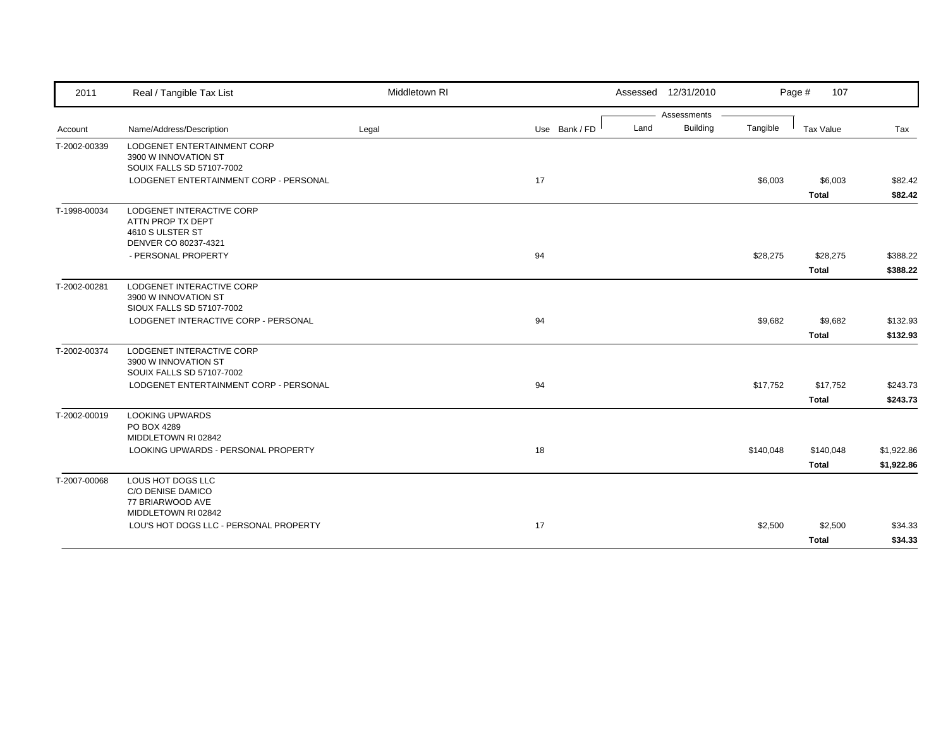| 2011         | Real / Tangible Tax List                                                                   | Middletown RI |               |      | Assessed 12/31/2010 |           | Page #<br>107           |                    |
|--------------|--------------------------------------------------------------------------------------------|---------------|---------------|------|---------------------|-----------|-------------------------|--------------------|
|              |                                                                                            |               |               |      | Assessments         |           |                         |                    |
| Account      | Name/Address/Description                                                                   | Legal         | Use Bank / FD | Land | <b>Building</b>     | Tangible  | Tax Value               | Tax                |
| T-2002-00339 | LODGENET ENTERTAINMENT CORP<br>3900 W INNOVATION ST<br>SOUIX FALLS SD 57107-7002           |               |               |      |                     |           |                         |                    |
|              | LODGENET ENTERTAINMENT CORP - PERSONAL                                                     |               | 17            |      |                     | \$6,003   | \$6,003<br><b>Total</b> | \$82.42<br>\$82.42 |
| T-1998-00034 | LODGENET INTERACTIVE CORP<br>ATTN PROP TX DEPT<br>4610 S ULSTER ST<br>DENVER CO 80237-4321 |               |               |      |                     |           |                         |                    |
|              | - PERSONAL PROPERTY                                                                        |               | 94            |      |                     | \$28,275  | \$28,275                | \$388.22           |
|              |                                                                                            |               |               |      |                     |           | Total                   | \$388.22           |
| T-2002-00281 | LODGENET INTERACTIVE CORP<br>3900 W INNOVATION ST<br>SIOUX FALLS SD 57107-7002             |               |               |      |                     |           |                         |                    |
|              | LODGENET INTERACTIVE CORP - PERSONAL                                                       |               | 94            |      |                     | \$9,682   | \$9,682                 | \$132.93           |
|              |                                                                                            |               |               |      |                     |           | <b>Total</b>            | \$132.93           |
| T-2002-00374 | LODGENET INTERACTIVE CORP<br>3900 W INNOVATION ST<br>SOUIX FALLS SD 57107-7002             |               |               |      |                     |           |                         |                    |
|              | LODGENET ENTERTAINMENT CORP - PERSONAL                                                     |               | 94            |      |                     | \$17,752  | \$17,752                | \$243.73           |
|              |                                                                                            |               |               |      |                     |           | <b>Total</b>            | \$243.73           |
| T-2002-00019 | <b>LOOKING UPWARDS</b><br>PO BOX 4289<br>MIDDLETOWN RI 02842                               |               |               |      |                     |           |                         |                    |
|              | LOOKING UPWARDS - PERSONAL PROPERTY                                                        |               | 18            |      |                     | \$140,048 | \$140,048               | \$1,922.86         |
|              |                                                                                            |               |               |      |                     |           | <b>Total</b>            | \$1,922.86         |
| T-2007-00068 | LOUS HOT DOGS LLC<br>C/O DENISE DAMICO<br>77 BRIARWOOD AVE                                 |               |               |      |                     |           |                         |                    |
|              | MIDDLETOWN RI 02842<br>LOU'S HOT DOGS LLC - PERSONAL PROPERTY                              |               | 17            |      |                     | \$2,500   | \$2,500                 | \$34.33            |
|              |                                                                                            |               |               |      |                     |           | <b>Total</b>            | \$34.33            |
|              |                                                                                            |               |               |      |                     |           |                         |                    |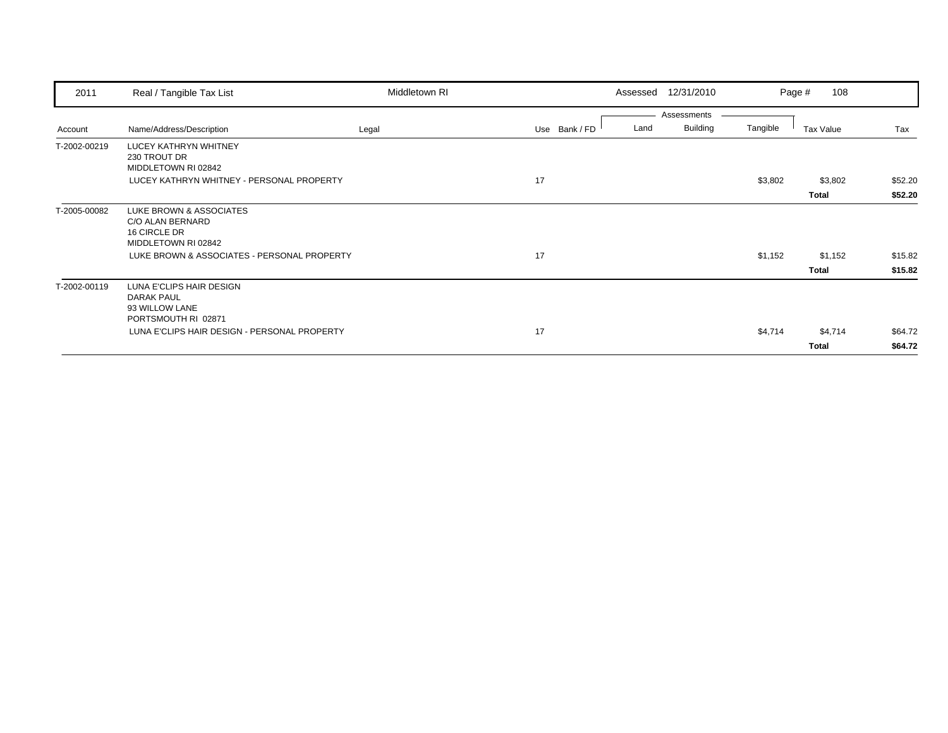| 2011         | Real / Tangible Tax List                                                               | Middletown RI |               | Assessed | 12/31/2010      |          | 108<br>Page # |         |
|--------------|----------------------------------------------------------------------------------------|---------------|---------------|----------|-----------------|----------|---------------|---------|
|              |                                                                                        |               |               |          | Assessments     |          |               |         |
| Account      | Name/Address/Description                                                               | Legal         | Use Bank / FD | Land     | <b>Building</b> | Tangible | Tax Value     | Tax     |
| T-2002-00219 | LUCEY KATHRYN WHITNEY<br>230 TROUT DR<br>MIDDLETOWN RI 02842                           |               |               |          |                 |          |               |         |
|              | LUCEY KATHRYN WHITNEY - PERSONAL PROPERTY                                              |               | 17            |          |                 | \$3,802  | \$3,802       | \$52.20 |
|              |                                                                                        |               |               |          |                 |          | <b>Total</b>  | \$52.20 |
| T-2005-00082 | LUKE BROWN & ASSOCIATES<br>C/O ALAN BERNARD<br>16 CIRCLE DR<br>MIDDLETOWN RI 02842     |               |               |          |                 |          |               |         |
|              | LUKE BROWN & ASSOCIATES - PERSONAL PROPERTY                                            |               | 17            |          |                 | \$1,152  | \$1,152       | \$15.82 |
|              |                                                                                        |               |               |          |                 |          | Total         | \$15.82 |
| T-2002-00119 | LUNA E'CLIPS HAIR DESIGN<br><b>DARAK PAUL</b><br>93 WILLOW LANE<br>PORTSMOUTH RI 02871 |               |               |          |                 |          |               |         |
|              | LUNA E'CLIPS HAIR DESIGN - PERSONAL PROPERTY                                           |               | 17            |          |                 | \$4,714  | \$4,714       | \$64.72 |
|              |                                                                                        |               |               |          |                 |          | Total         | \$64.72 |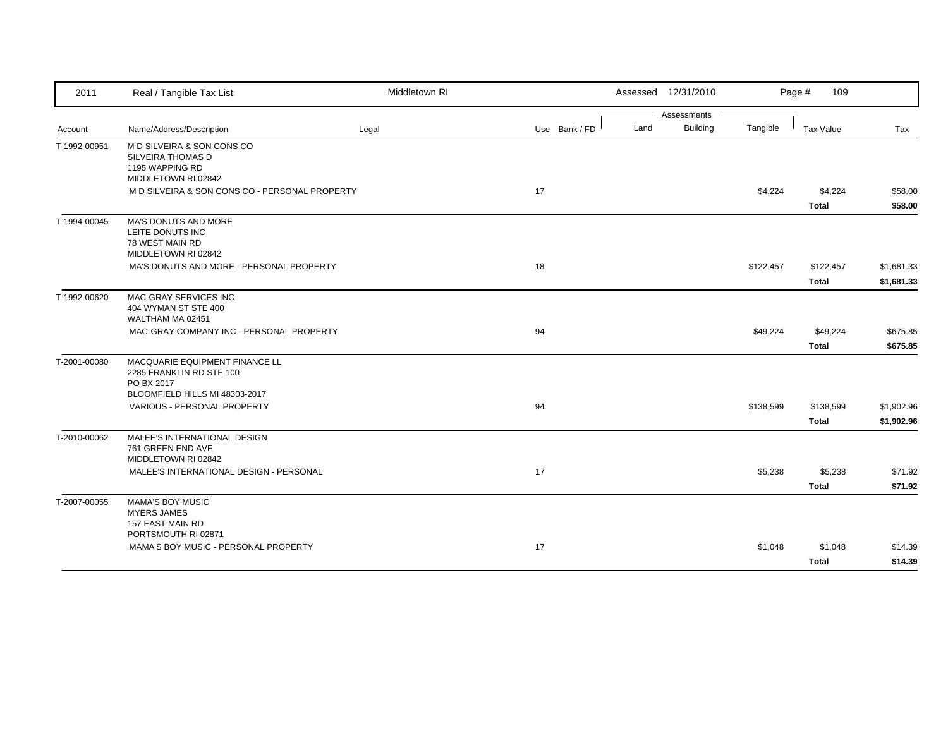| 2011         | Real / Tangible Tax List                                                                                   | Middletown RI |               | Assessed 12/31/2010     |           | Page #<br>109             |                          |
|--------------|------------------------------------------------------------------------------------------------------------|---------------|---------------|-------------------------|-----------|---------------------------|--------------------------|
|              |                                                                                                            |               |               | Assessments             |           |                           |                          |
| Account      | Name/Address/Description                                                                                   | Legal         | Use Bank / FD | <b>Building</b><br>Land | Tangible  | <b>Tax Value</b>          | Tax                      |
| T-1992-00951 | M D SILVEIRA & SON CONS CO<br>SILVEIRA THOMAS D<br>1195 WAPPING RD<br>MIDDLETOWN RI 02842                  |               |               |                         |           |                           |                          |
|              | M D SILVEIRA & SON CONS CO - PERSONAL PROPERTY                                                             |               | 17            |                         | \$4,224   | \$4,224<br><b>Total</b>   | \$58.00<br>\$58.00       |
| T-1994-00045 | MA'S DONUTS AND MORE<br>LEITE DONUTS INC<br>78 WEST MAIN RD<br>MIDDLETOWN RI 02842                         |               |               |                         |           |                           |                          |
|              | MA'S DONUTS AND MORE - PERSONAL PROPERTY                                                                   |               | 18            |                         | \$122,457 | \$122,457<br><b>Total</b> | \$1,681.33<br>\$1,681.33 |
| T-1992-00620 | MAC-GRAY SERVICES INC<br>404 WYMAN ST STE 400<br>WALTHAM MA 02451                                          |               |               |                         |           |                           |                          |
|              | MAC-GRAY COMPANY INC - PERSONAL PROPERTY                                                                   |               | 94            |                         | \$49,224  | \$49,224<br><b>Total</b>  | \$675.85<br>\$675.85     |
| T-2001-00080 | MACQUARIE EQUIPMENT FINANCE LL<br>2285 FRANKLIN RD STE 100<br>PO BX 2017<br>BLOOMFIELD HILLS MI 48303-2017 |               |               |                         |           |                           |                          |
|              | VARIOUS - PERSONAL PROPERTY                                                                                |               | 94            |                         | \$138,599 | \$138,599<br><b>Total</b> | \$1,902.96<br>\$1,902.96 |
| T-2010-00062 | MALEE'S INTERNATIONAL DESIGN<br>761 GREEN END AVE<br>MIDDLETOWN RI 02842                                   |               |               |                         |           |                           |                          |
|              | MALEE'S INTERNATIONAL DESIGN - PERSONAL                                                                    |               | 17            |                         | \$5,238   | \$5,238<br><b>Total</b>   | \$71.92<br>\$71.92       |
| T-2007-00055 | <b>MAMA'S BOY MUSIC</b><br><b>MYERS JAMES</b><br>157 EAST MAIN RD<br>PORTSMOUTH RI 02871                   |               |               |                         |           |                           |                          |
|              | MAMA'S BOY MUSIC - PERSONAL PROPERTY                                                                       |               | 17            |                         | \$1,048   | \$1,048<br><b>Total</b>   | \$14.39<br>\$14.39       |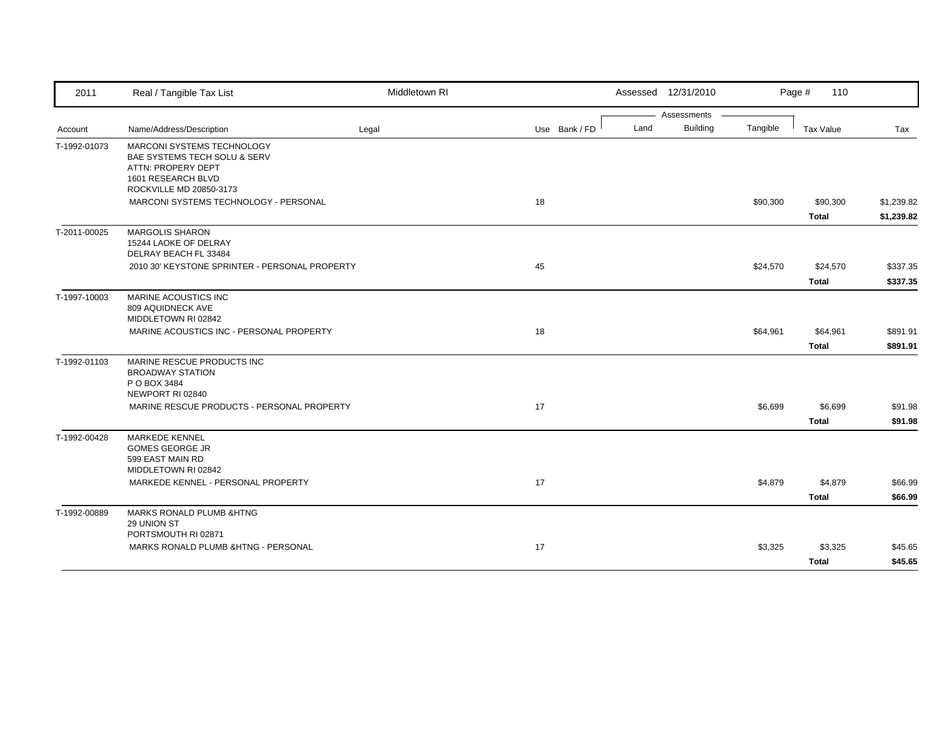| 2011         | Real / Tangible Tax List                                                                                                          | Middletown RI |               |      | Assessed 12/31/2010 |          | Page #<br>110            |                          |
|--------------|-----------------------------------------------------------------------------------------------------------------------------------|---------------|---------------|------|---------------------|----------|--------------------------|--------------------------|
|              |                                                                                                                                   |               |               |      | Assessments         |          |                          |                          |
| Account      | Name/Address/Description                                                                                                          | Legal         | Use Bank / FD | Land | <b>Building</b>     | Tangible | <b>Tax Value</b>         | Tax                      |
| T-1992-01073 | MARCONI SYSTEMS TECHNOLOGY<br>BAE SYSTEMS TECH SOLU & SERV<br>ATTN: PROPERY DEPT<br>1601 RESEARCH BLVD<br>ROCKVILLE MD 20850-3173 |               |               |      |                     |          |                          |                          |
|              | MARCONI SYSTEMS TECHNOLOGY - PERSONAL                                                                                             |               | 18            |      |                     | \$90,300 | \$90,300<br><b>Total</b> | \$1,239.82<br>\$1,239.82 |
| T-2011-00025 | <b>MARGOLIS SHARON</b><br>15244 LAOKE OF DELRAY<br>DELRAY BEACH FL 33484                                                          |               |               |      |                     |          |                          |                          |
|              | 2010 30' KEYSTONE SPRINTER - PERSONAL PROPERTY                                                                                    |               | 45            |      |                     | \$24,570 | \$24,570<br><b>Total</b> | \$337.35<br>\$337.35     |
| T-1997-10003 | MARINE ACOUSTICS INC<br>809 AQUIDNECK AVE<br>MIDDLETOWN RI 02842                                                                  |               |               |      |                     |          |                          |                          |
|              | MARINE ACOUSTICS INC - PERSONAL PROPERTY                                                                                          |               | 18            |      |                     | \$64,961 | \$64,961<br><b>Total</b> | \$891.91<br>\$891.91     |
| T-1992-01103 | MARINE RESCUE PRODUCTS INC<br><b>BROADWAY STATION</b><br>P O BOX 3484<br>NEWPORT RI 02840                                         |               |               |      |                     |          |                          |                          |
|              | MARINE RESCUE PRODUCTS - PERSONAL PROPERTY                                                                                        |               | 17            |      |                     | \$6,699  | \$6,699<br><b>Total</b>  | \$91.98<br>\$91.98       |
| T-1992-00428 | <b>MARKEDE KENNEL</b><br><b>GOMES GEORGE JR</b><br>599 EAST MAIN RD<br>MIDDLETOWN RI 02842                                        |               |               |      |                     |          |                          |                          |
|              | MARKEDE KENNEL - PERSONAL PROPERTY                                                                                                |               | 17            |      |                     | \$4,879  | \$4,879<br><b>Total</b>  | \$66.99<br>\$66.99       |
| T-1992-00889 | <b>MARKS RONALD PLUMB &amp;HTNG</b><br>29 UNION ST<br>PORTSMOUTH RI 02871                                                         |               |               |      |                     |          |                          |                          |
|              | MARKS RONALD PLUMB &HTNG - PERSONAL                                                                                               |               | 17            |      |                     | \$3,325  | \$3,325<br><b>Total</b>  | \$45.65<br>\$45.65       |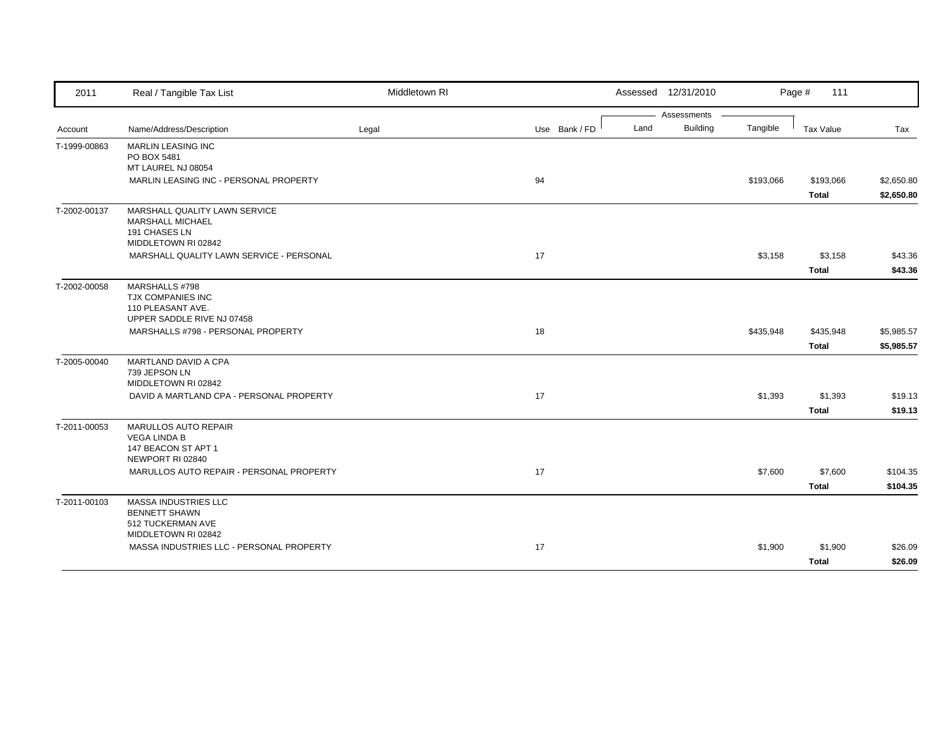| 2011         | Real / Tangible Tax List                                         | Middletown RI |               | Assessed 12/31/2010 |                                |           | Page #<br>111 |            |
|--------------|------------------------------------------------------------------|---------------|---------------|---------------------|--------------------------------|-----------|---------------|------------|
|              |                                                                  |               |               |                     | Assessments<br><b>Building</b> |           |               |            |
| Account      | Name/Address/Description                                         | Legal         | Use Bank / FD | Land                |                                | Tangible  | Tax Value     | Tax        |
| T-1999-00863 | MARLIN LEASING INC<br>PO BOX 5481                                |               |               |                     |                                |           |               |            |
|              | MT LAUREL NJ 08054                                               |               |               |                     |                                |           |               |            |
|              | MARLIN LEASING INC - PERSONAL PROPERTY                           |               | 94            |                     |                                | \$193,066 | \$193,066     | \$2,650.80 |
|              |                                                                  |               |               |                     |                                |           | <b>Total</b>  | \$2,650.80 |
| T-2002-00137 | MARSHALL QUALITY LAWN SERVICE                                    |               |               |                     |                                |           |               |            |
|              | MARSHALL MICHAEL                                                 |               |               |                     |                                |           |               |            |
|              | 191 CHASES LN<br>MIDDLETOWN RI 02842                             |               |               |                     |                                |           |               |            |
|              | MARSHALL QUALITY LAWN SERVICE - PERSONAL                         |               | 17            |                     |                                | \$3,158   | \$3,158       | \$43.36    |
|              |                                                                  |               |               |                     |                                |           | <b>Total</b>  | \$43.36    |
| T-2002-00058 | MARSHALLS #798                                                   |               |               |                     |                                |           |               |            |
|              | TJX COMPANIES INC                                                |               |               |                     |                                |           |               |            |
|              | 110 PLEASANT AVE.                                                |               |               |                     |                                |           |               |            |
|              | UPPER SADDLE RIVE NJ 07458<br>MARSHALLS #798 - PERSONAL PROPERTY |               | 18            |                     |                                | \$435,948 | \$435,948     | \$5,985.57 |
|              |                                                                  |               |               |                     |                                |           |               |            |
|              |                                                                  |               |               |                     |                                |           | <b>Total</b>  | \$5,985.57 |
| T-2005-00040 | MARTLAND DAVID A CPA<br>739 JEPSON LN                            |               |               |                     |                                |           |               |            |
|              | MIDDLETOWN RI 02842                                              |               |               |                     |                                |           |               |            |
|              | DAVID A MARTLAND CPA - PERSONAL PROPERTY                         |               | 17            |                     |                                | \$1,393   | \$1,393       | \$19.13    |
|              |                                                                  |               |               |                     |                                |           | <b>Total</b>  | \$19.13    |
| T-2011-00053 | MARULLOS AUTO REPAIR                                             |               |               |                     |                                |           |               |            |
|              | <b>VEGA LINDA B</b>                                              |               |               |                     |                                |           |               |            |
|              | 147 BEACON ST APT 1<br>NEWPORT RI 02840                          |               |               |                     |                                |           |               |            |
|              | MARULLOS AUTO REPAIR - PERSONAL PROPERTY                         |               | 17            |                     |                                | \$7,600   | \$7,600       | \$104.35   |
|              |                                                                  |               |               |                     |                                |           | <b>Total</b>  | \$104.35   |
|              |                                                                  |               |               |                     |                                |           |               |            |
| T-2011-00103 | <b>MASSA INDUSTRIES LLC</b><br><b>BENNETT SHAWN</b>              |               |               |                     |                                |           |               |            |
|              | 512 TUCKERMAN AVE                                                |               |               |                     |                                |           |               |            |
|              | MIDDLETOWN RI 02842                                              |               |               |                     |                                |           |               |            |
|              | MASSA INDUSTRIES LLC - PERSONAL PROPERTY                         |               | 17            |                     |                                | \$1,900   | \$1,900       | \$26.09    |
|              |                                                                  |               |               |                     |                                |           | <b>Total</b>  | \$26.09    |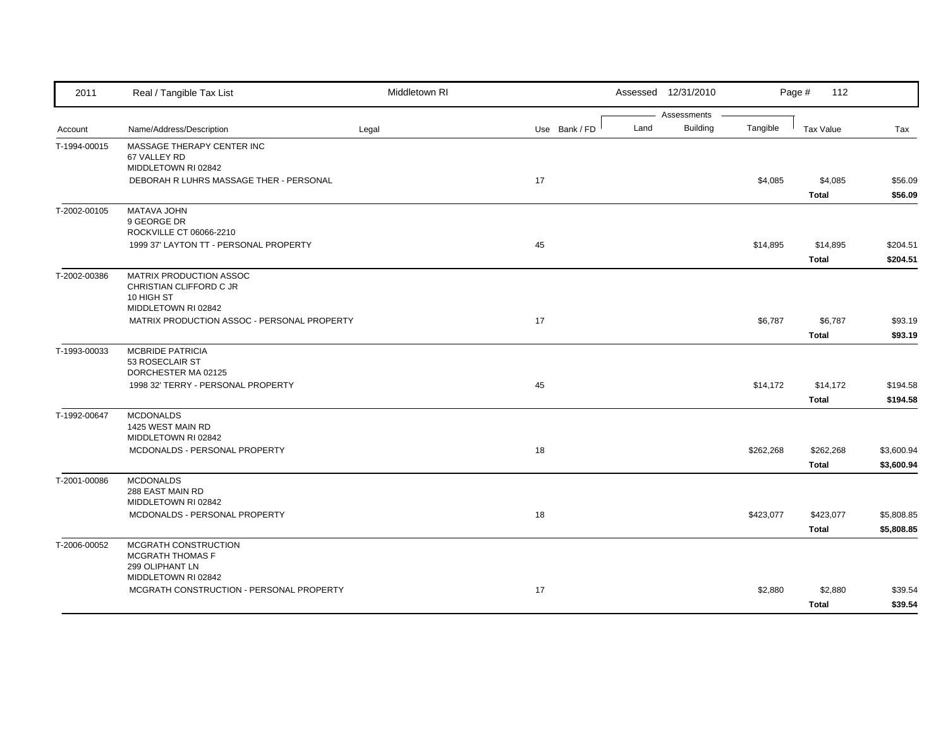| 2011         | Real / Tangible Tax List                                                                | Middletown RI |               |      | Assessed 12/31/2010            |           | Page #<br>112             |                          |
|--------------|-----------------------------------------------------------------------------------------|---------------|---------------|------|--------------------------------|-----------|---------------------------|--------------------------|
| Account      | Name/Address/Description                                                                | Legal         | Use Bank / FD | Land | Assessments<br><b>Building</b> | Tangible  | Tax Value                 | Tax                      |
| T-1994-00015 | MASSAGE THERAPY CENTER INC<br>67 VALLEY RD                                              |               |               |      |                                |           |                           |                          |
|              | MIDDLETOWN RI 02842<br>DEBORAH R LUHRS MASSAGE THER - PERSONAL                          |               | 17            |      |                                | \$4,085   | \$4,085<br><b>Total</b>   | \$56.09<br>\$56.09       |
| T-2002-00105 | <b>MATAVA JOHN</b><br>9 GEORGE DR<br>ROCKVILLE CT 06066-2210                            |               |               |      |                                |           |                           |                          |
|              | 1999 37' LAYTON TT - PERSONAL PROPERTY                                                  |               | 45            |      |                                | \$14,895  | \$14,895<br><b>Total</b>  | \$204.51<br>\$204.51     |
| T-2002-00386 | MATRIX PRODUCTION ASSOC<br>CHRISTIAN CLIFFORD C JR<br>10 HIGH ST<br>MIDDLETOWN RI 02842 |               |               |      |                                |           |                           |                          |
|              | MATRIX PRODUCTION ASSOC - PERSONAL PROPERTY                                             |               | 17            |      |                                | \$6,787   | \$6,787<br><b>Total</b>   | \$93.19<br>\$93.19       |
| T-1993-00033 | <b>MCBRIDE PATRICIA</b><br>53 ROSECLAIR ST<br>DORCHESTER MA 02125                       |               |               |      |                                |           |                           |                          |
|              | 1998 32' TERRY - PERSONAL PROPERTY                                                      |               | 45            |      |                                | \$14,172  | \$14,172<br><b>Total</b>  | \$194.58<br>\$194.58     |
| T-1992-00647 | <b>MCDONALDS</b><br>1425 WEST MAIN RD<br>MIDDLETOWN RI 02842                            |               |               |      |                                |           |                           |                          |
|              | MCDONALDS - PERSONAL PROPERTY                                                           |               | 18            |      |                                | \$262,268 | \$262,268<br><b>Total</b> | \$3,600.94<br>\$3,600.94 |
| T-2001-00086 | <b>MCDONALDS</b><br>288 EAST MAIN RD<br>MIDDLETOWN RI 02842                             |               |               |      |                                |           |                           |                          |
|              | MCDONALDS - PERSONAL PROPERTY                                                           |               | 18            |      |                                | \$423,077 | \$423,077<br><b>Total</b> | \$5,808.85<br>\$5,808.85 |
| T-2006-00052 | MCGRATH CONSTRUCTION<br>MCGRATH THOMAS F<br>299 OLIPHANT LN                             |               |               |      |                                |           |                           |                          |
|              | MIDDLETOWN RI 02842<br>MCGRATH CONSTRUCTION - PERSONAL PROPERTY                         |               | 17            |      |                                | \$2,880   | \$2,880<br><b>Total</b>   | \$39.54<br>\$39.54       |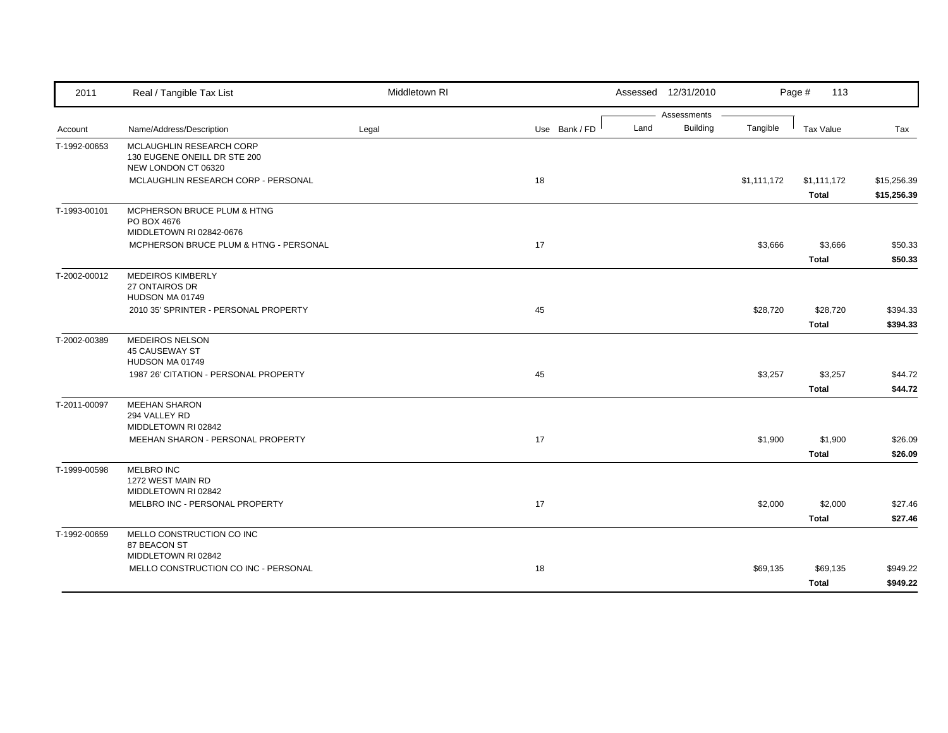| 2011         | Real / Tangible Tax List                                                        | Middletown RI |               |      | Assessed 12/31/2010            |             | Page #<br>113            |                            |
|--------------|---------------------------------------------------------------------------------|---------------|---------------|------|--------------------------------|-------------|--------------------------|----------------------------|
| Account      | Name/Address/Description                                                        | Legal         | Use Bank / FD | Land | Assessments<br><b>Building</b> | Tangible    | <b>Tax Value</b>         | Tax                        |
| T-1992-00653 | MCLAUGHLIN RESEARCH CORP<br>130 EUGENE ONEILL DR STE 200<br>NEW LONDON CT 06320 |               |               |      |                                |             |                          |                            |
|              | MCLAUGHLIN RESEARCH CORP - PERSONAL                                             |               | 18            |      |                                | \$1,111,172 | \$1,111,172<br>Total     | \$15,256.39<br>\$15,256.39 |
| T-1993-00101 | MCPHERSON BRUCE PLUM & HTNG<br>PO BOX 4676<br>MIDDLETOWN RI 02842-0676          |               |               |      |                                |             |                          |                            |
|              | MCPHERSON BRUCE PLUM & HTNG - PERSONAL                                          |               | 17            |      |                                | \$3,666     | \$3,666<br><b>Total</b>  | \$50.33<br>\$50.33         |
| T-2002-00012 | <b>MEDEIROS KIMBERLY</b><br>27 ONTAIROS DR<br>HUDSON MA 01749                   |               |               |      |                                |             |                          |                            |
|              | 2010 35' SPRINTER - PERSONAL PROPERTY                                           |               | 45            |      |                                | \$28,720    | \$28,720<br><b>Total</b> | \$394.33<br>\$394.33       |
| T-2002-00389 | MEDEIROS NELSON<br><b>45 CAUSEWAY ST</b><br>HUDSON MA 01749                     |               |               |      |                                |             |                          |                            |
|              | 1987 26' CITATION - PERSONAL PROPERTY                                           |               | 45            |      |                                | \$3,257     | \$3,257<br><b>Total</b>  | \$44.72<br>\$44.72         |
| T-2011-00097 | <b>MEEHAN SHARON</b><br>294 VALLEY RD<br>MIDDLETOWN RI 02842                    |               |               |      |                                |             |                          |                            |
|              | MEEHAN SHARON - PERSONAL PROPERTY                                               |               | 17            |      |                                | \$1,900     | \$1,900<br><b>Total</b>  | \$26.09<br>\$26.09         |
| T-1999-00598 | MELBRO INC<br>1272 WEST MAIN RD<br>MIDDLETOWN RI 02842                          |               |               |      |                                |             |                          |                            |
|              | MELBRO INC - PERSONAL PROPERTY                                                  |               | 17            |      |                                | \$2,000     | \$2,000<br><b>Total</b>  | \$27.46<br>\$27.46         |
| T-1992-00659 | MELLO CONSTRUCTION CO INC<br>87 BEACON ST                                       |               |               |      |                                |             |                          |                            |
|              | MIDDLETOWN RI 02842<br>MELLO CONSTRUCTION CO INC - PERSONAL                     |               | 18            |      |                                | \$69,135    | \$69,135<br><b>Total</b> | \$949.22<br>\$949.22       |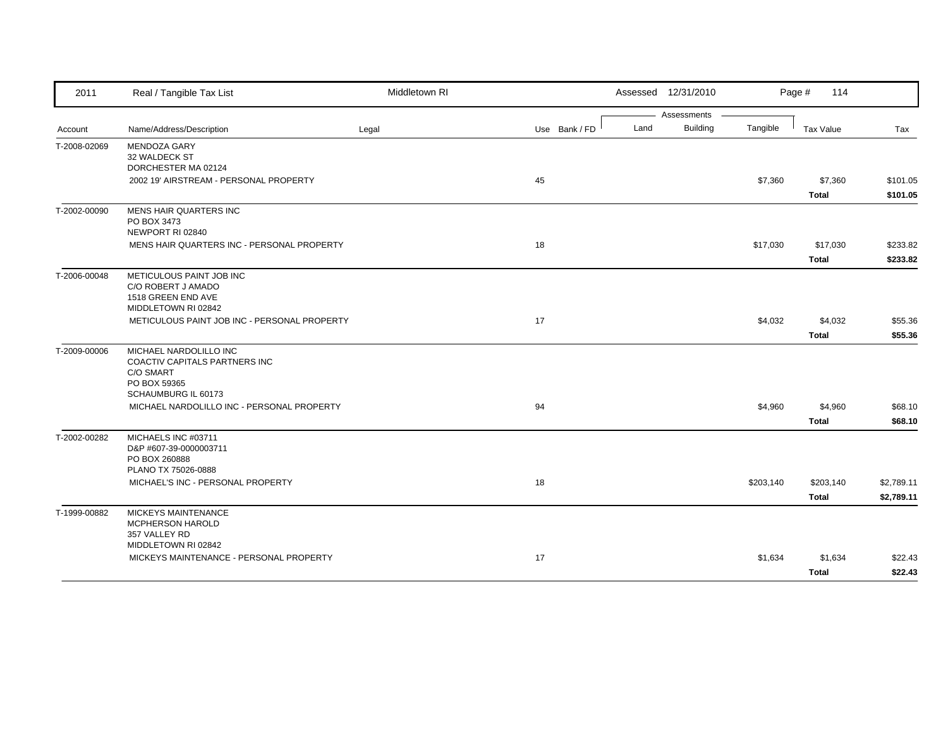| 2011         | Real / Tangible Tax List                                       | Middletown RI |               |      | Assessed 12/31/2010     |           | Page #<br>114    |            |
|--------------|----------------------------------------------------------------|---------------|---------------|------|-------------------------|-----------|------------------|------------|
|              |                                                                |               |               |      | Assessments<br>Building |           |                  |            |
| Account      | Name/Address/Description                                       | Legal         | Use Bank / FD | Land |                         | Tangible  | <b>Tax Value</b> | Tax        |
| T-2008-02069 | <b>MENDOZA GARY</b><br>32 WALDECK ST                           |               |               |      |                         |           |                  |            |
|              | DORCHESTER MA 02124                                            |               |               |      |                         |           |                  |            |
|              | 2002 19' AIRSTREAM - PERSONAL PROPERTY                         |               | 45            |      |                         | \$7,360   | \$7,360          | \$101.05   |
|              |                                                                |               |               |      |                         |           | <b>Total</b>     | \$101.05   |
| T-2002-00090 | MENS HAIR QUARTERS INC                                         |               |               |      |                         |           |                  |            |
|              | PO BOX 3473                                                    |               |               |      |                         |           |                  |            |
|              | NEWPORT RI 02840<br>MENS HAIR QUARTERS INC - PERSONAL PROPERTY |               | 18            |      |                         | \$17,030  | \$17,030         | \$233.82   |
|              |                                                                |               |               |      |                         |           | <b>Total</b>     | \$233.82   |
|              |                                                                |               |               |      |                         |           |                  |            |
| T-2006-00048 | METICULOUS PAINT JOB INC<br>C/O ROBERT J AMADO                 |               |               |      |                         |           |                  |            |
|              | 1518 GREEN END AVE                                             |               |               |      |                         |           |                  |            |
|              | MIDDLETOWN RI 02842                                            |               |               |      |                         |           |                  |            |
|              | METICULOUS PAINT JOB INC - PERSONAL PROPERTY                   |               | 17            |      |                         | \$4,032   | \$4,032          | \$55.36    |
|              |                                                                |               |               |      |                         |           | <b>Total</b>     | \$55.36    |
| T-2009-00006 | MICHAEL NARDOLILLO INC                                         |               |               |      |                         |           |                  |            |
|              | COACTIV CAPITALS PARTNERS INC                                  |               |               |      |                         |           |                  |            |
|              | C/O SMART<br>PO BOX 59365                                      |               |               |      |                         |           |                  |            |
|              | SCHAUMBURG IL 60173                                            |               |               |      |                         |           |                  |            |
|              | MICHAEL NARDOLILLO INC - PERSONAL PROPERTY                     |               | 94            |      |                         | \$4,960   | \$4,960          | \$68.10    |
|              |                                                                |               |               |      |                         |           | <b>Total</b>     | \$68.10    |
| T-2002-00282 | MICHAELS INC #03711                                            |               |               |      |                         |           |                  |            |
|              | D&P #607-39-0000003711                                         |               |               |      |                         |           |                  |            |
|              | PO BOX 260888<br>PLANO TX 75026-0888                           |               |               |      |                         |           |                  |            |
|              | MICHAEL'S INC - PERSONAL PROPERTY                              |               | 18            |      |                         | \$203,140 | \$203,140        | \$2,789.11 |
|              |                                                                |               |               |      |                         |           | <b>Total</b>     | \$2,789.11 |
|              |                                                                |               |               |      |                         |           |                  |            |
| T-1999-00882 | MICKEYS MAINTENANCE<br>MCPHERSON HAROLD                        |               |               |      |                         |           |                  |            |
|              | 357 VALLEY RD                                                  |               |               |      |                         |           |                  |            |
|              | MIDDLETOWN RI 02842                                            |               |               |      |                         |           |                  |            |
|              | MICKEYS MAINTENANCE - PERSONAL PROPERTY                        |               | 17            |      |                         | \$1,634   | \$1,634          | \$22.43    |
|              |                                                                |               |               |      |                         |           | <b>Total</b>     | \$22.43    |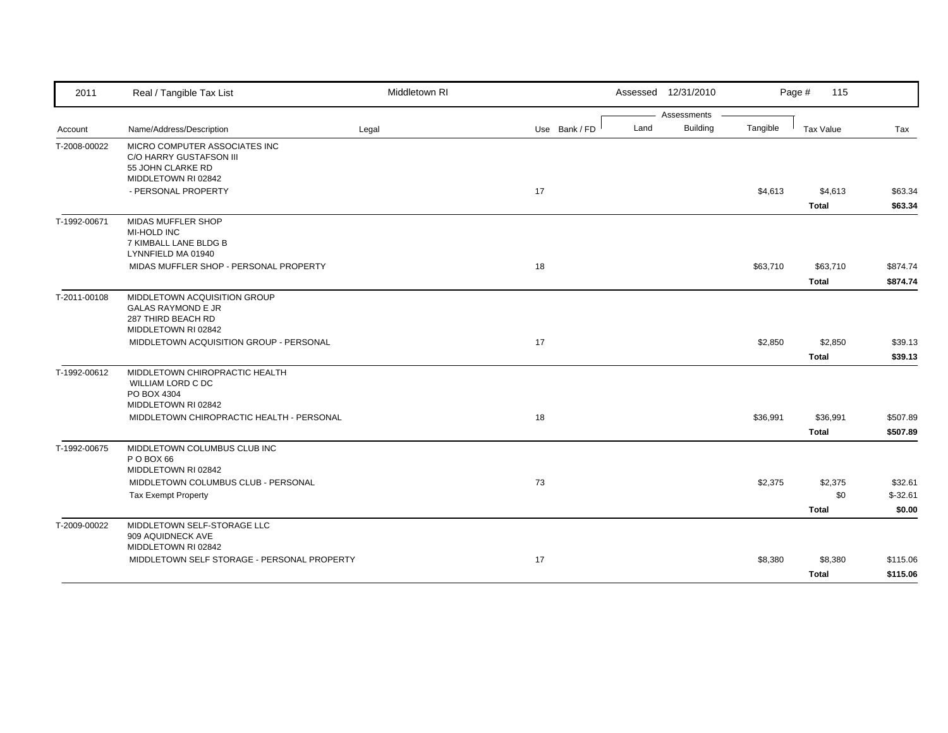| 2011         | Real / Tangible Tax List                                                      | Middletown RI |               |      | Assessed 12/31/2010 |          | Page #<br>115    |           |
|--------------|-------------------------------------------------------------------------------|---------------|---------------|------|---------------------|----------|------------------|-----------|
|              |                                                                               |               |               |      | Assessments         |          |                  |           |
| Account      | Name/Address/Description                                                      | Legal         | Use Bank / FD | Land | Building            | Tangible | <b>Tax Value</b> | Tax       |
| T-2008-00022 | MICRO COMPUTER ASSOCIATES INC<br>C/O HARRY GUSTAFSON III<br>55 JOHN CLARKE RD |               |               |      |                     |          |                  |           |
|              | MIDDLETOWN RI 02842                                                           |               |               |      |                     |          |                  |           |
|              | - PERSONAL PROPERTY                                                           |               | 17            |      |                     | \$4,613  | \$4,613          | \$63.34   |
|              |                                                                               |               |               |      |                     |          | <b>Total</b>     | \$63.34   |
| T-1992-00671 | MIDAS MUFFLER SHOP                                                            |               |               |      |                     |          |                  |           |
|              | <b>MI-HOLD INC</b>                                                            |               |               |      |                     |          |                  |           |
|              | 7 KIMBALL LANE BLDG B<br>LYNNFIELD MA 01940                                   |               |               |      |                     |          |                  |           |
|              | MIDAS MUFFLER SHOP - PERSONAL PROPERTY                                        |               | 18            |      |                     | \$63,710 | \$63,710         | \$874.74  |
|              |                                                                               |               |               |      |                     |          | <b>Total</b>     | \$874.74  |
| T-2011-00108 | MIDDLETOWN ACQUISITION GROUP                                                  |               |               |      |                     |          |                  |           |
|              | <b>GALAS RAYMOND E JR</b>                                                     |               |               |      |                     |          |                  |           |
|              | 287 THIRD BEACH RD                                                            |               |               |      |                     |          |                  |           |
|              | MIDDLETOWN RI 02842                                                           |               |               |      |                     |          |                  |           |
|              | MIDDLETOWN ACQUISITION GROUP - PERSONAL                                       |               | 17            |      |                     | \$2,850  | \$2,850          | \$39.13   |
|              |                                                                               |               |               |      |                     |          | <b>Total</b>     | \$39.13   |
| T-1992-00612 | MIDDLETOWN CHIROPRACTIC HEALTH                                                |               |               |      |                     |          |                  |           |
|              | <b>WILLIAM LORD C DC</b>                                                      |               |               |      |                     |          |                  |           |
|              | PO BOX 4304                                                                   |               |               |      |                     |          |                  |           |
|              | MIDDLETOWN RI 02842<br>MIDDLETOWN CHIROPRACTIC HEALTH - PERSONAL              |               | 18            |      |                     | \$36,991 | \$36,991         | \$507.89  |
|              |                                                                               |               |               |      |                     |          |                  |           |
|              |                                                                               |               |               |      |                     |          | <b>Total</b>     | \$507.89  |
| T-1992-00675 | MIDDLETOWN COLUMBUS CLUB INC<br>P O BOX 66                                    |               |               |      |                     |          |                  |           |
|              | MIDDLETOWN RI 02842                                                           |               |               |      |                     |          |                  |           |
|              | MIDDLETOWN COLUMBUS CLUB - PERSONAL                                           |               | 73            |      |                     | \$2,375  | \$2,375          | \$32.61   |
|              | <b>Tax Exempt Property</b>                                                    |               |               |      |                     |          | \$0              | $$-32.61$ |
|              |                                                                               |               |               |      |                     |          | <b>Total</b>     | \$0.00    |
| T-2009-00022 | MIDDLETOWN SELF-STORAGE LLC                                                   |               |               |      |                     |          |                  |           |
|              | 909 AQUIDNECK AVE                                                             |               |               |      |                     |          |                  |           |
|              | MIDDLETOWN RI 02842                                                           |               |               |      |                     |          |                  |           |
|              | MIDDLETOWN SELF STORAGE - PERSONAL PROPERTY                                   |               | 17            |      |                     | \$8,380  | \$8,380          | \$115.06  |
|              |                                                                               |               |               |      |                     |          | <b>Total</b>     | \$115.06  |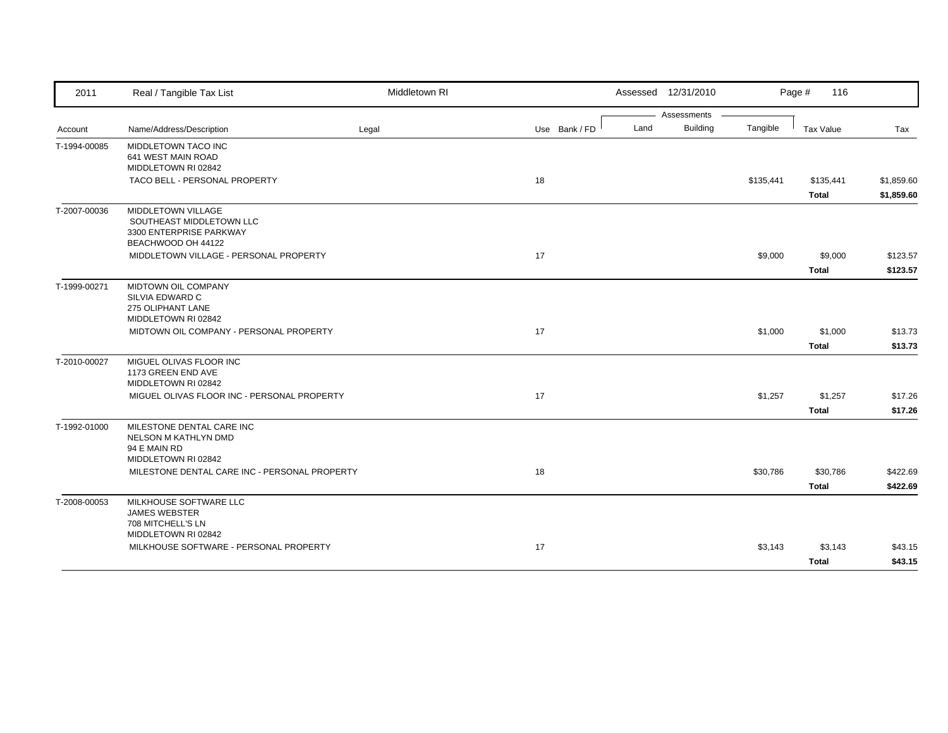| 2011         | Real / Tangible Tax List                                                                        | Middletown RI |               | Assessed 12/31/2010     |           | Page #<br>116             |                          |
|--------------|-------------------------------------------------------------------------------------------------|---------------|---------------|-------------------------|-----------|---------------------------|--------------------------|
|              |                                                                                                 |               |               | Assessments             |           |                           |                          |
| Account      | Name/Address/Description                                                                        | Legal         | Use Bank / FD | <b>Building</b><br>Land | Tangible  | Tax Value                 | Tax                      |
| T-1994-00085 | MIDDLETOWN TACO INC<br>641 WEST MAIN ROAD<br>MIDDLETOWN RI 02842                                |               |               |                         |           |                           |                          |
|              | TACO BELL - PERSONAL PROPERTY                                                                   |               | 18            |                         | \$135,441 | \$135,441<br><b>Total</b> | \$1,859.60<br>\$1,859.60 |
| T-2007-00036 | MIDDLETOWN VILLAGE<br>SOUTHEAST MIDDLETOWN LLC<br>3300 ENTERPRISE PARKWAY<br>BEACHWOOD OH 44122 |               |               |                         |           |                           |                          |
|              | MIDDLETOWN VILLAGE - PERSONAL PROPERTY                                                          |               | 17            |                         | \$9,000   | \$9,000<br><b>Total</b>   | \$123.57<br>\$123.57     |
| T-1999-00271 | MIDTOWN OIL COMPANY<br>SILVIA EDWARD C<br>275 OLIPHANT LANE<br>MIDDLETOWN RI 02842              |               |               |                         |           |                           |                          |
|              | MIDTOWN OIL COMPANY - PERSONAL PROPERTY                                                         |               | 17            |                         | \$1,000   | \$1,000<br><b>Total</b>   | \$13.73<br>\$13.73       |
| T-2010-00027 | MIGUEL OLIVAS FLOOR INC<br>1173 GREEN END AVE<br>MIDDLETOWN RI 02842                            |               |               |                         |           |                           |                          |
|              | MIGUEL OLIVAS FLOOR INC - PERSONAL PROPERTY                                                     |               | 17            |                         | \$1,257   | \$1,257<br><b>Total</b>   | \$17.26<br>\$17.26       |
| T-1992-01000 | MILESTONE DENTAL CARE INC<br>NELSON M KATHLYN DMD<br>94 E MAIN RD<br>MIDDLETOWN RI 02842        |               |               |                         |           |                           |                          |
|              | MILESTONE DENTAL CARE INC - PERSONAL PROPERTY                                                   |               | 18            |                         | \$30,786  | \$30,786<br><b>Total</b>  | \$422.69<br>\$422.69     |
| T-2008-00053 | MILKHOUSE SOFTWARE LLC<br><b>JAMES WEBSTER</b><br>708 MITCHELL'S LN<br>MIDDLETOWN RI 02842      |               |               |                         |           |                           |                          |
|              | MILKHOUSE SOFTWARE - PERSONAL PROPERTY                                                          |               | 17            |                         | \$3,143   | \$3,143<br><b>Total</b>   | \$43.15<br>\$43.15       |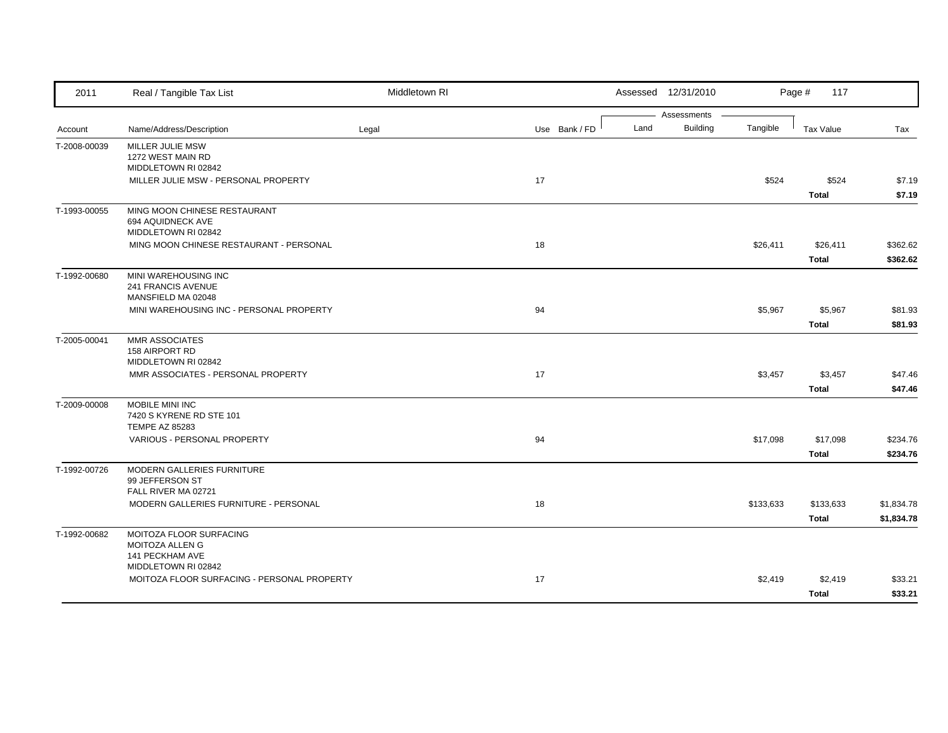| 2011         | Real / Tangible Tax List                                       | Middletown RI |               | Assessed 12/31/2010 |                                |           | Page #<br>117 |            |
|--------------|----------------------------------------------------------------|---------------|---------------|---------------------|--------------------------------|-----------|---------------|------------|
|              |                                                                |               | Use Bank / FD | Land                | Assessments<br><b>Building</b> | Tangible  |               |            |
| Account      | Name/Address/Description                                       | Legal         |               |                     |                                |           | Tax Value     | Tax        |
| T-2008-00039 | MILLER JULIE MSW<br>1272 WEST MAIN RD                          |               |               |                     |                                |           |               |            |
|              | MIDDLETOWN RI 02842                                            |               |               |                     |                                |           |               |            |
|              | MILLER JULIE MSW - PERSONAL PROPERTY                           |               | 17            |                     |                                | \$524     | \$524         | \$7.19     |
|              |                                                                |               |               |                     |                                |           | <b>Total</b>  | \$7.19     |
| T-1993-00055 | MING MOON CHINESE RESTAURANT                                   |               |               |                     |                                |           |               |            |
|              | 694 AQUIDNECK AVE                                              |               |               |                     |                                |           |               |            |
|              | MIDDLETOWN RI 02842<br>MING MOON CHINESE RESTAURANT - PERSONAL |               | 18            |                     |                                | \$26,411  | \$26,411      | \$362.62   |
|              |                                                                |               |               |                     |                                |           | <b>Total</b>  | \$362.62   |
|              |                                                                |               |               |                     |                                |           |               |            |
| T-1992-00680 | MINI WAREHOUSING INC<br>241 FRANCIS AVENUE                     |               |               |                     |                                |           |               |            |
|              | MANSFIELD MA 02048                                             |               |               |                     |                                |           |               |            |
|              | MINI WAREHOUSING INC - PERSONAL PROPERTY                       |               | 94            |                     |                                | \$5,967   | \$5,967       | \$81.93    |
|              |                                                                |               |               |                     |                                |           | <b>Total</b>  | \$81.93    |
| T-2005-00041 | <b>MMR ASSOCIATES</b>                                          |               |               |                     |                                |           |               |            |
|              | 158 AIRPORT RD                                                 |               |               |                     |                                |           |               |            |
|              | MIDDLETOWN RI 02842<br>MMR ASSOCIATES - PERSONAL PROPERTY      |               | 17            |                     |                                | \$3,457   | \$3,457       | \$47.46    |
|              |                                                                |               |               |                     |                                |           | <b>Total</b>  | \$47.46    |
|              | MOBILE MINI INC                                                |               |               |                     |                                |           |               |            |
| T-2009-00008 | 7420 S KYRENE RD STE 101                                       |               |               |                     |                                |           |               |            |
|              | <b>TEMPE AZ 85283</b>                                          |               |               |                     |                                |           |               |            |
|              | VARIOUS - PERSONAL PROPERTY                                    |               | 94            |                     |                                | \$17,098  | \$17,098      | \$234.76   |
|              |                                                                |               |               |                     |                                |           | <b>Total</b>  | \$234.76   |
| T-1992-00726 | MODERN GALLERIES FURNITURE                                     |               |               |                     |                                |           |               |            |
|              | 99 JEFFERSON ST                                                |               |               |                     |                                |           |               |            |
|              | FALL RIVER MA 02721                                            |               |               |                     |                                |           |               |            |
|              | MODERN GALLERIES FURNITURE - PERSONAL                          |               | 18            |                     |                                | \$133,633 | \$133,633     | \$1,834.78 |
|              |                                                                |               |               |                     |                                |           | <b>Total</b>  | \$1,834.78 |
| T-1992-00682 | MOITOZA FLOOR SURFACING<br>MOITOZA ALLEN G                     |               |               |                     |                                |           |               |            |
|              | <b>141 PECKHAM AVE</b>                                         |               |               |                     |                                |           |               |            |
|              | MIDDLETOWN RI 02842                                            |               |               |                     |                                |           |               |            |
|              | MOITOZA FLOOR SURFACING - PERSONAL PROPERTY                    |               | 17            |                     |                                | \$2,419   | \$2,419       | \$33.21    |
|              |                                                                |               |               |                     |                                |           | <b>Total</b>  | \$33.21    |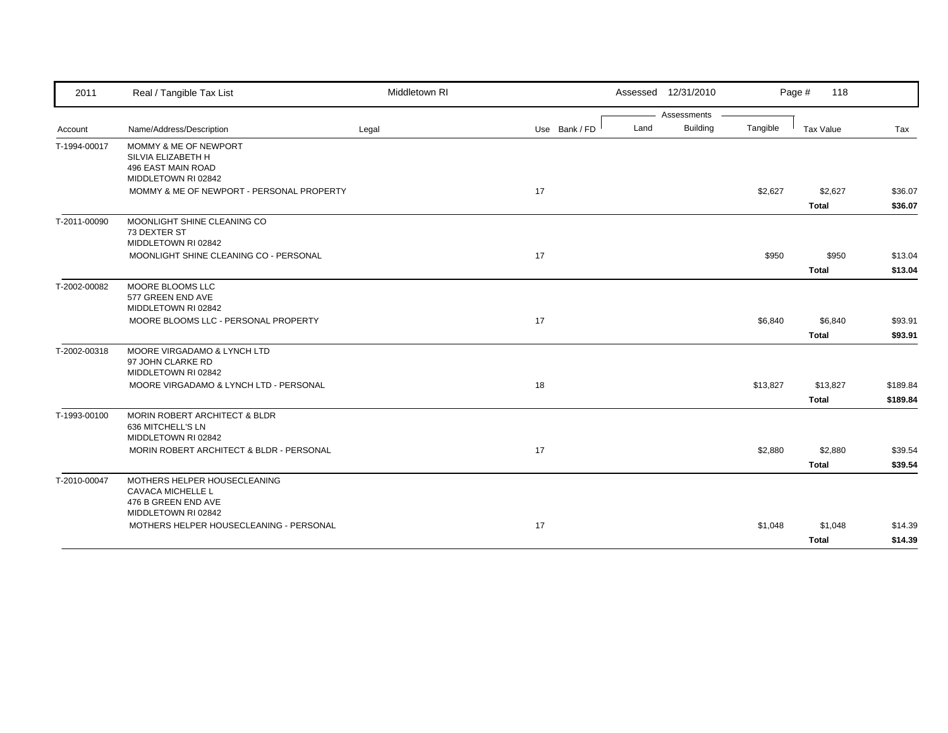|              |                                                                                          |       |    |               |      | Assessed 12/31/2010 |          | Page #<br>118    |          |
|--------------|------------------------------------------------------------------------------------------|-------|----|---------------|------|---------------------|----------|------------------|----------|
|              |                                                                                          |       |    |               |      | Assessments         |          |                  |          |
| Account      | Name/Address/Description                                                                 | Legal |    | Use Bank / FD | Land | Building            | Tangible | <b>Tax Value</b> | Tax      |
| T-1994-00017 | MOMMY & ME OF NEWPORT<br>SILVIA ELIZABETH H<br>496 EAST MAIN ROAD<br>MIDDLETOWN RI 02842 |       |    |               |      |                     |          |                  |          |
|              | MOMMY & ME OF NEWPORT - PERSONAL PROPERTY                                                |       | 17 |               |      |                     | \$2,627  | \$2,627          | \$36.07  |
|              |                                                                                          |       |    |               |      |                     |          | <b>Total</b>     | \$36.07  |
| T-2011-00090 | MOONLIGHT SHINE CLEANING CO<br>73 DEXTER ST<br>MIDDLETOWN RI 02842                       |       |    |               |      |                     |          |                  |          |
|              | MOONLIGHT SHINE CLEANING CO - PERSONAL                                                   |       | 17 |               |      |                     | \$950    | \$950            | \$13.04  |
|              |                                                                                          |       |    |               |      |                     |          | <b>Total</b>     | \$13.04  |
| T-2002-00082 | MOORE BLOOMS LLC<br>577 GREEN END AVE<br>MIDDLETOWN RI 02842                             |       |    |               |      |                     |          |                  |          |
|              | MOORE BLOOMS LLC - PERSONAL PROPERTY                                                     |       | 17 |               |      |                     | \$6,840  | \$6,840          | \$93.91  |
|              |                                                                                          |       |    |               |      |                     |          | <b>Total</b>     | \$93.91  |
| T-2002-00318 | MOORE VIRGADAMO & LYNCH LTD<br>97 JOHN CLARKE RD<br>MIDDLETOWN RI 02842                  |       |    |               |      |                     |          |                  |          |
|              | MOORE VIRGADAMO & LYNCH LTD - PERSONAL                                                   |       | 18 |               |      |                     | \$13,827 | \$13,827         | \$189.84 |
|              |                                                                                          |       |    |               |      |                     |          | <b>Total</b>     | \$189.84 |
| T-1993-00100 | <b>MORIN ROBERT ARCHITECT &amp; BLDR</b><br>636 MITCHELL'S LN<br>MIDDLETOWN RI 02842     |       |    |               |      |                     |          |                  |          |
|              | MORIN ROBERT ARCHITECT & BLDR - PERSONAL                                                 |       | 17 |               |      |                     | \$2,880  | \$2,880          | \$39.54  |
|              |                                                                                          |       |    |               |      |                     |          | <b>Total</b>     | \$39.54  |
| T-2010-00047 | MOTHERS HELPER HOUSECLEANING<br><b>CAVACA MICHELLE L</b><br>476 B GREEN END AVE          |       |    |               |      |                     |          |                  |          |
|              | MIDDLETOWN RI 02842<br>MOTHERS HELPER HOUSECLEANING - PERSONAL                           |       | 17 |               |      |                     | \$1,048  | \$1,048          | \$14.39  |
|              |                                                                                          |       |    |               |      |                     |          | <b>Total</b>     | \$14.39  |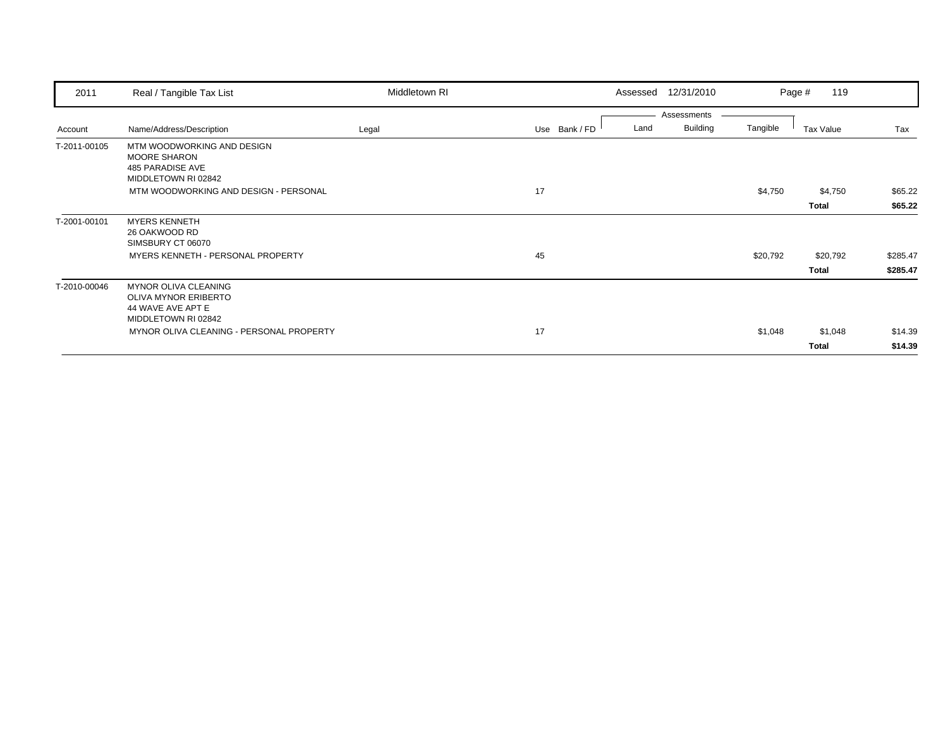| 2011         | Real / Tangible Tax List                                                                               | Middletown RI |               | Assessed | 12/31/2010      |          | 119<br>Page # |          |
|--------------|--------------------------------------------------------------------------------------------------------|---------------|---------------|----------|-----------------|----------|---------------|----------|
|              |                                                                                                        |               |               |          | Assessments     |          |               |          |
| Account      | Name/Address/Description                                                                               | Legal         | Use Bank / FD | Land     | <b>Building</b> | Tangible | Tax Value     | Tax      |
| T-2011-00105 | MTM WOODWORKING AND DESIGN<br><b>MOORE SHARON</b><br>485 PARADISE AVE<br>MIDDLETOWN RI 02842           |               |               |          |                 |          |               |          |
|              | MTM WOODWORKING AND DESIGN - PERSONAL                                                                  |               | 17            |          |                 | \$4,750  | \$4,750       | \$65.22  |
|              |                                                                                                        |               |               |          |                 |          | Total         | \$65.22  |
| T-2001-00101 | <b>MYERS KENNETH</b><br>26 OAKWOOD RD<br>SIMSBURY CT 06070                                             |               |               |          |                 |          |               |          |
|              | MYERS KENNETH - PERSONAL PROPERTY                                                                      |               | 45            |          |                 | \$20,792 | \$20,792      | \$285.47 |
|              |                                                                                                        |               |               |          |                 |          | Total         | \$285.47 |
| T-2010-00046 | <b>MYNOR OLIVA CLEANING</b><br><b>OLIVA MYNOR ERIBERTO</b><br>44 WAVE AVE APT E<br>MIDDLETOWN RI 02842 |               |               |          |                 |          |               |          |
|              | MYNOR OLIVA CLEANING - PERSONAL PROPERTY                                                               |               | 17            |          |                 | \$1,048  | \$1,048       | \$14.39  |
|              |                                                                                                        |               |               |          |                 |          | Total         | \$14.39  |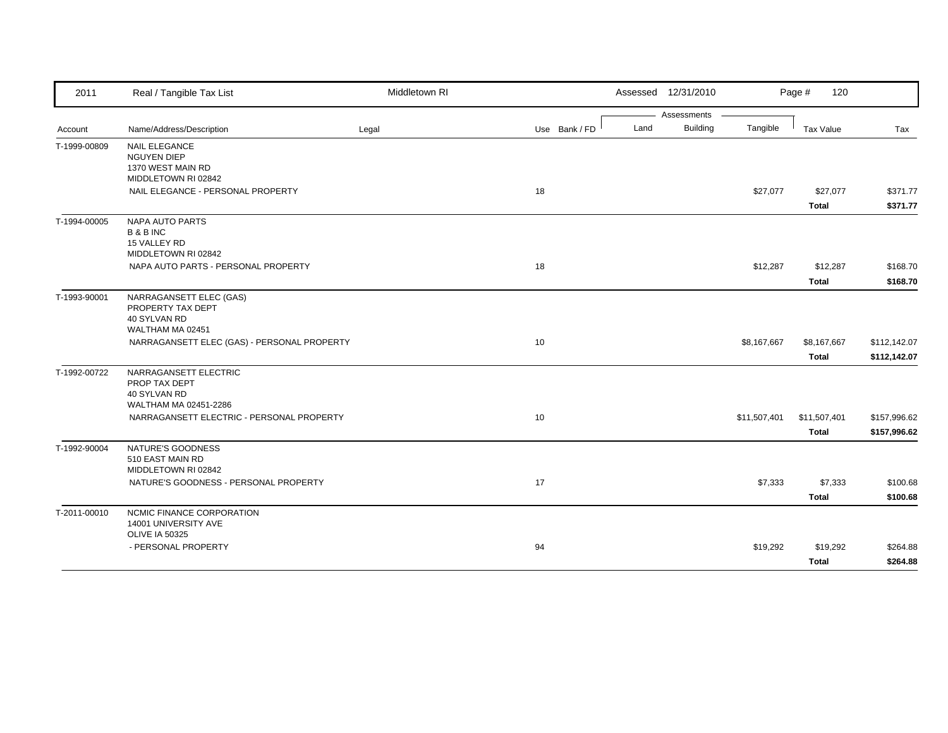| 2011         | Real / Tangible Tax List                                                               | Middletown RI |               |      | Assessed 12/31/2010 |              | 120<br>Page #                |                              |
|--------------|----------------------------------------------------------------------------------------|---------------|---------------|------|---------------------|--------------|------------------------------|------------------------------|
|              |                                                                                        |               |               |      | Assessments         |              |                              |                              |
| Account      | Name/Address/Description                                                               | Legal         | Use Bank / FD | Land | <b>Building</b>     | Tangible     | <b>Tax Value</b>             | Tax                          |
| T-1999-00809 | <b>NAIL ELEGANCE</b><br><b>NGUYEN DIEP</b><br>1370 WEST MAIN RD<br>MIDDLETOWN RI 02842 |               |               |      |                     |              |                              |                              |
|              | NAIL ELEGANCE - PERSONAL PROPERTY                                                      |               | 18            |      |                     | \$27,077     | \$27,077<br><b>Total</b>     | \$371.77<br>\$371.77         |
| T-1994-00005 | NAPA AUTO PARTS<br><b>B&amp;BINC</b><br>15 VALLEY RD<br>MIDDLETOWN RI 02842            |               |               |      |                     |              |                              |                              |
|              | NAPA AUTO PARTS - PERSONAL PROPERTY                                                    |               | 18            |      |                     | \$12,287     | \$12,287<br><b>Total</b>     | \$168.70<br>\$168.70         |
| T-1993-90001 | NARRAGANSETT ELEC (GAS)<br>PROPERTY TAX DEPT<br>40 SYLVAN RD<br>WALTHAM MA 02451       |               |               |      |                     |              |                              |                              |
|              | NARRAGANSETT ELEC (GAS) - PERSONAL PROPERTY                                            |               | 10            |      |                     | \$8,167,667  | \$8,167,667<br><b>Total</b>  | \$112,142.07<br>\$112,142.07 |
| T-1992-00722 | NARRAGANSETT ELECTRIC<br>PROP TAX DEPT<br>40 SYLVAN RD<br>WALTHAM MA 02451-2286        |               |               |      |                     |              |                              |                              |
|              | NARRAGANSETT ELECTRIC - PERSONAL PROPERTY                                              |               | 10            |      |                     | \$11,507,401 | \$11,507,401<br><b>Total</b> | \$157,996.62<br>\$157,996.62 |
| T-1992-90004 | NATURE'S GOODNESS<br>510 EAST MAIN RD<br>MIDDLETOWN RI 02842                           |               |               |      |                     |              |                              |                              |
|              | NATURE'S GOODNESS - PERSONAL PROPERTY                                                  |               | 17            |      |                     | \$7,333      | \$7,333<br><b>Total</b>      | \$100.68<br>\$100.68         |
| T-2011-00010 | NCMIC FINANCE CORPORATION<br>14001 UNIVERSITY AVE<br><b>OLIVE IA 50325</b>             |               |               |      |                     |              |                              |                              |
|              | - PERSONAL PROPERTY                                                                    |               | 94            |      |                     | \$19,292     | \$19,292<br>Total            | \$264.88<br>\$264.88         |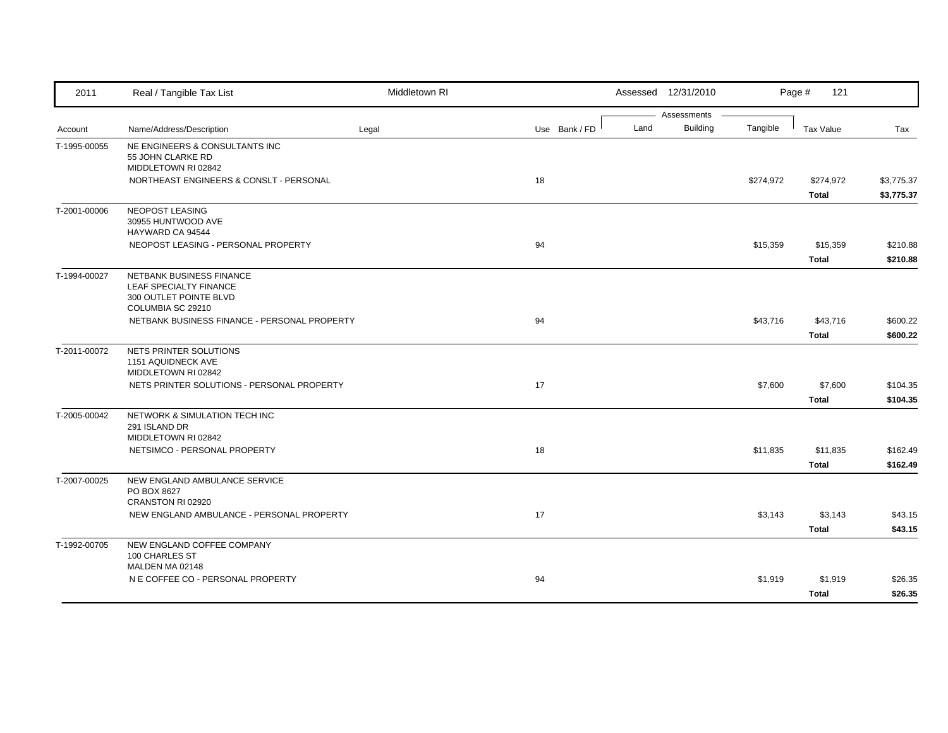| 2011         | Real / Tangible Tax List                            | Middletown RI |               |      | Assessed 12/31/2010 |           | Page #<br>121    |            |
|--------------|-----------------------------------------------------|---------------|---------------|------|---------------------|-----------|------------------|------------|
|              |                                                     |               |               |      | Assessments         |           |                  |            |
| Account      | Name/Address/Description                            | Legal         | Use Bank / FD | Land | <b>Building</b>     | Tangible  | <b>Tax Value</b> | Tax        |
| T-1995-00055 | NE ENGINEERS & CONSULTANTS INC<br>55 JOHN CLARKE RD |               |               |      |                     |           |                  |            |
|              | MIDDLETOWN RI 02842                                 |               |               |      |                     |           |                  |            |
|              | NORTHEAST ENGINEERS & CONSLT - PERSONAL             |               | 18            |      |                     | \$274,972 | \$274,972        | \$3,775.37 |
|              |                                                     |               |               |      |                     |           | Total            | \$3,775.37 |
| T-2001-00006 | NEOPOST LEASING                                     |               |               |      |                     |           |                  |            |
|              | 30955 HUNTWOOD AVE                                  |               |               |      |                     |           |                  |            |
|              | HAYWARD CA 94544                                    |               |               |      |                     |           |                  |            |
|              | NEOPOST LEASING - PERSONAL PROPERTY                 |               | 94            |      |                     | \$15,359  | \$15,359         | \$210.88   |
|              |                                                     |               |               |      |                     |           | <b>Total</b>     | \$210.88   |
| T-1994-00027 | <b>NETBANK BUSINESS FINANCE</b>                     |               |               |      |                     |           |                  |            |
|              | LEAF SPECIALTY FINANCE<br>300 OUTLET POINTE BLVD    |               |               |      |                     |           |                  |            |
|              | COLUMBIA SC 29210                                   |               |               |      |                     |           |                  |            |
|              | NETBANK BUSINESS FINANCE - PERSONAL PROPERTY        |               | 94            |      |                     | \$43,716  | \$43,716         | \$600.22   |
|              |                                                     |               |               |      |                     |           | <b>Total</b>     | \$600.22   |
| T-2011-00072 | NETS PRINTER SOLUTIONS                              |               |               |      |                     |           |                  |            |
|              | 1151 AQUIDNECK AVE                                  |               |               |      |                     |           |                  |            |
|              | MIDDLETOWN RI 02842                                 |               |               |      |                     |           |                  |            |
|              | NETS PRINTER SOLUTIONS - PERSONAL PROPERTY          |               | 17            |      |                     | \$7,600   | \$7,600          | \$104.35   |
|              |                                                     |               |               |      |                     |           | <b>Total</b>     | \$104.35   |
| T-2005-00042 | NETWORK & SIMULATION TECH INC                       |               |               |      |                     |           |                  |            |
|              | 291 ISLAND DR<br>MIDDLETOWN RI 02842                |               |               |      |                     |           |                  |            |
|              | NETSIMCO - PERSONAL PROPERTY                        |               | 18            |      |                     | \$11,835  | \$11,835         | \$162.49   |
|              |                                                     |               |               |      |                     |           | <b>Total</b>     | \$162.49   |
|              |                                                     |               |               |      |                     |           |                  |            |
| T-2007-00025 | NEW ENGLAND AMBULANCE SERVICE<br>PO BOX 8627        |               |               |      |                     |           |                  |            |
|              | CRANSTON RI 02920                                   |               |               |      |                     |           |                  |            |
|              | NEW ENGLAND AMBULANCE - PERSONAL PROPERTY           |               | 17            |      |                     | \$3,143   | \$3,143          | \$43.15    |
|              |                                                     |               |               |      |                     |           | <b>Total</b>     | \$43.15    |
| T-1992-00705 | NEW ENGLAND COFFEE COMPANY                          |               |               |      |                     |           |                  |            |
|              | 100 CHARLES ST                                      |               |               |      |                     |           |                  |            |
|              | MALDEN MA 02148                                     |               |               |      |                     |           |                  |            |
|              | N E COFFEE CO - PERSONAL PROPERTY                   |               | 94            |      |                     | \$1,919   | \$1,919          | \$26.35    |
|              |                                                     |               |               |      |                     |           | <b>Total</b>     | \$26.35    |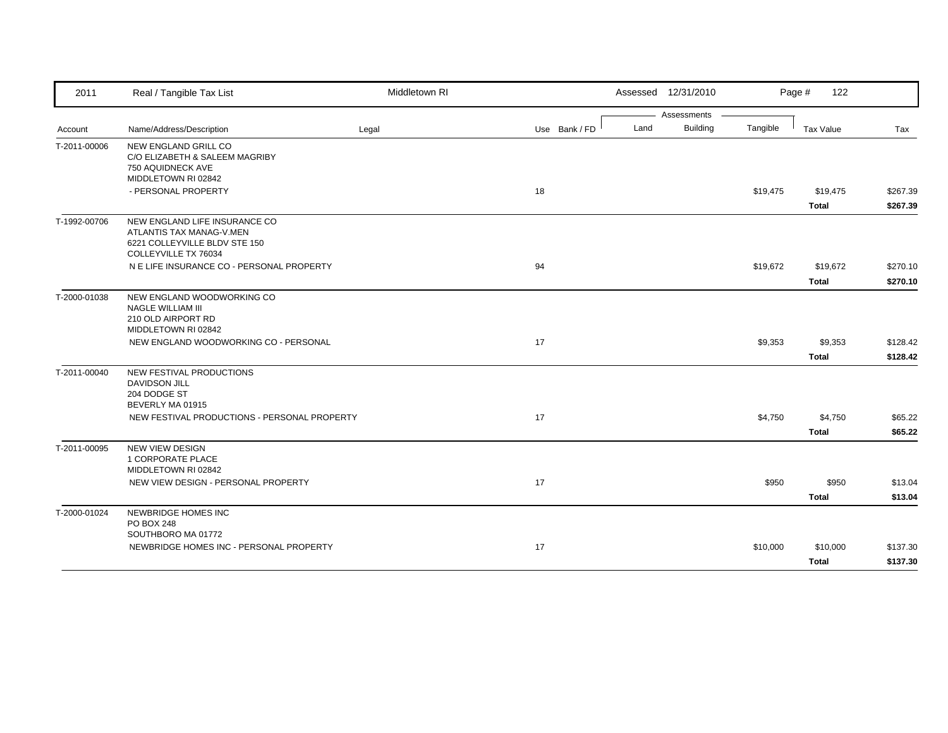| 2011         | Real / Tangible Tax List                                                                                           | Middletown RI |               | Assessed 12/31/2010     |          | Page #<br>122    |          |
|--------------|--------------------------------------------------------------------------------------------------------------------|---------------|---------------|-------------------------|----------|------------------|----------|
|              |                                                                                                                    |               |               | Assessments             |          |                  |          |
| Account      | Name/Address/Description                                                                                           | Legal         | Use Bank / FD | <b>Building</b><br>Land | Tangible | <b>Tax Value</b> | Tax      |
| T-2011-00006 | NEW ENGLAND GRILL CO<br>C/O ELIZABETH & SALEEM MAGRIBY<br>750 AQUIDNECK AVE                                        |               |               |                         |          |                  |          |
|              | MIDDLETOWN RI 02842                                                                                                |               |               |                         |          |                  |          |
|              | - PERSONAL PROPERTY                                                                                                |               | 18            |                         | \$19,475 | \$19,475         | \$267.39 |
|              |                                                                                                                    |               |               |                         |          | <b>Total</b>     | \$267.39 |
| T-1992-00706 | NEW ENGLAND LIFE INSURANCE CO<br>ATLANTIS TAX MANAG-V.MEN<br>6221 COLLEYVILLE BLDV STE 150<br>COLLEYVILLE TX 76034 |               |               |                         |          |                  |          |
|              | N E LIFE INSURANCE CO - PERSONAL PROPERTY                                                                          |               | 94            |                         | \$19,672 | \$19,672         | \$270.10 |
|              |                                                                                                                    |               |               |                         |          | <b>Total</b>     | \$270.10 |
| T-2000-01038 | NEW ENGLAND WOODWORKING CO<br>NAGLE WILLIAM III<br>210 OLD AIRPORT RD<br>MIDDLETOWN RI 02842                       |               |               |                         |          |                  |          |
|              | NEW ENGLAND WOODWORKING CO - PERSONAL                                                                              |               | 17            |                         | \$9,353  | \$9,353          | \$128.42 |
|              |                                                                                                                    |               |               |                         |          | <b>Total</b>     | \$128.42 |
| T-2011-00040 | NEW FESTIVAL PRODUCTIONS<br><b>DAVIDSON JILL</b><br>204 DODGE ST<br>BEVERLY MA 01915                               |               |               |                         |          |                  |          |
|              | NEW FESTIVAL PRODUCTIONS - PERSONAL PROPERTY                                                                       |               | 17            |                         | \$4,750  | \$4,750          | \$65.22  |
|              |                                                                                                                    |               |               |                         |          | <b>Total</b>     | \$65.22  |
| T-2011-00095 | <b>NEW VIEW DESIGN</b><br>1 CORPORATE PLACE<br>MIDDLETOWN RI 02842                                                 |               |               |                         |          |                  |          |
|              | NEW VIEW DESIGN - PERSONAL PROPERTY                                                                                |               | 17            |                         | \$950    | \$950            | \$13.04  |
|              |                                                                                                                    |               |               |                         |          | <b>Total</b>     | \$13.04  |
| T-2000-01024 | <b>NEWBRIDGE HOMES INC</b><br><b>PO BOX 248</b>                                                                    |               |               |                         |          |                  |          |
|              | SOUTHBORO MA 01772                                                                                                 |               |               |                         |          |                  |          |
|              | NEWBRIDGE HOMES INC - PERSONAL PROPERTY                                                                            |               | 17            |                         | \$10,000 | \$10,000         | \$137.30 |
|              |                                                                                                                    |               |               |                         |          | <b>Total</b>     | \$137.30 |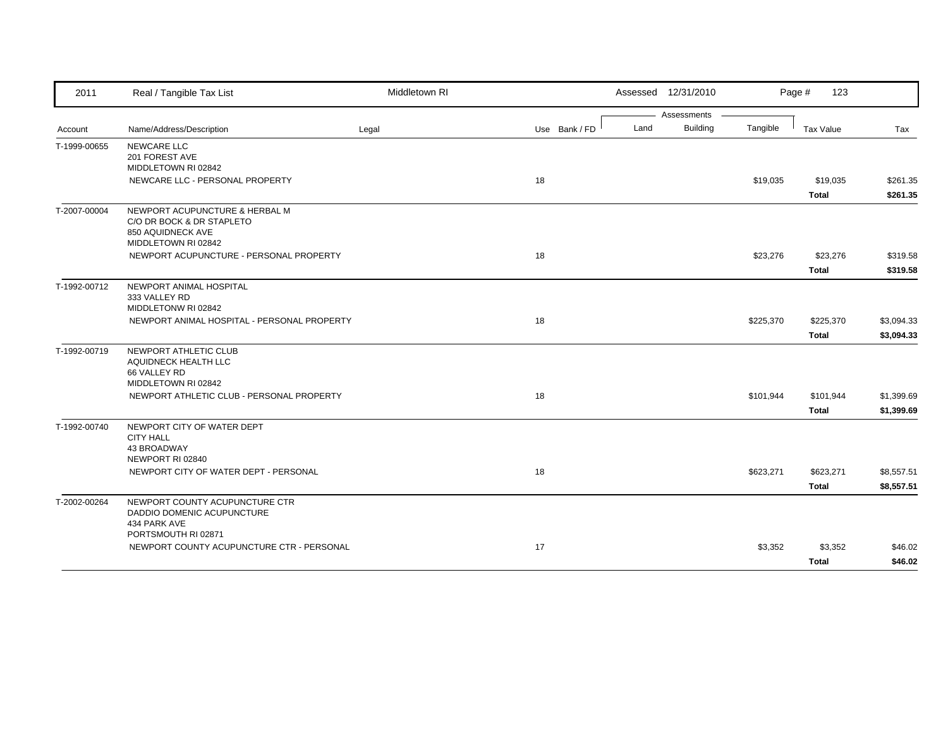| 2011         | Real / Tangible Tax List                                                                                | Middletown RI |               |      | Assessed 12/31/2010 |           | Page #<br>123 |            |
|--------------|---------------------------------------------------------------------------------------------------------|---------------|---------------|------|---------------------|-----------|---------------|------------|
|              |                                                                                                         |               |               |      | Assessments         |           |               |            |
| Account      | Name/Address/Description                                                                                | Legal         | Use Bank / FD | Land | <b>Building</b>     | Tangible  | Tax Value     | Tax        |
| T-1999-00655 | NEWCARE LLC<br>201 FOREST AVE<br>MIDDLETOWN RI 02842                                                    |               |               |      |                     |           |               |            |
|              | NEWCARE LLC - PERSONAL PROPERTY                                                                         |               | 18            |      |                     | \$19,035  | \$19,035      | \$261.35   |
|              |                                                                                                         |               |               |      |                     |           | <b>Total</b>  | \$261.35   |
| T-2007-00004 | NEWPORT ACUPUNCTURE & HERBAL M<br>C/O DR BOCK & DR STAPLETO<br>850 AQUIDNECK AVE<br>MIDDLETOWN RI 02842 |               |               |      |                     |           |               |            |
|              | NEWPORT ACUPUNCTURE - PERSONAL PROPERTY                                                                 |               | 18            |      |                     | \$23,276  | \$23,276      | \$319.58   |
|              |                                                                                                         |               |               |      |                     |           | <b>Total</b>  | \$319.58   |
| T-1992-00712 | NEWPORT ANIMAL HOSPITAL<br>333 VALLEY RD<br>MIDDLETONW RI 02842                                         |               |               |      |                     |           |               |            |
|              | NEWPORT ANIMAL HOSPITAL - PERSONAL PROPERTY                                                             |               | 18            |      |                     | \$225,370 | \$225,370     | \$3,094.33 |
|              |                                                                                                         |               |               |      |                     |           | <b>Total</b>  | \$3,094.33 |
| T-1992-00719 | NEWPORT ATHLETIC CLUB<br>AQUIDNECK HEALTH LLC<br>66 VALLEY RD<br>MIDDLETOWN RI 02842                    |               |               |      |                     |           |               |            |
|              | NEWPORT ATHLETIC CLUB - PERSONAL PROPERTY                                                               |               | 18            |      |                     | \$101,944 | \$101,944     | \$1,399.69 |
|              |                                                                                                         |               |               |      |                     |           | <b>Total</b>  | \$1,399.69 |
| T-1992-00740 | NEWPORT CITY OF WATER DEPT<br><b>CITY HALL</b><br><b>43 BROADWAY</b><br>NEWPORT RI 02840                |               |               |      |                     |           |               |            |
|              | NEWPORT CITY OF WATER DEPT - PERSONAL                                                                   |               | 18            |      |                     | \$623,271 | \$623,271     | \$8,557.51 |
|              |                                                                                                         |               |               |      |                     |           | Total         | \$8,557.51 |
| T-2002-00264 | NEWPORT COUNTY ACUPUNCTURE CTR<br>DADDIO DOMENIC ACUPUNCTURE<br>434 PARK AVE<br>PORTSMOUTH RI 02871     |               |               |      |                     |           |               |            |
|              | NEWPORT COUNTY ACUPUNCTURE CTR - PERSONAL                                                               |               | 17            |      |                     | \$3,352   | \$3,352       | \$46.02    |
|              |                                                                                                         |               |               |      |                     |           | <b>Total</b>  | \$46.02    |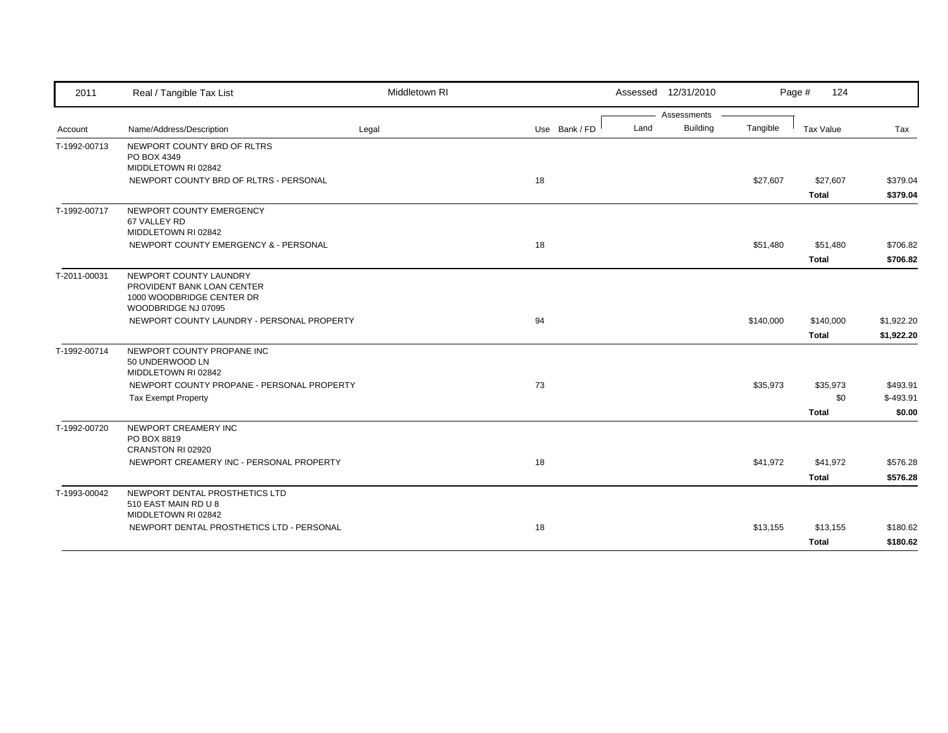| 2011         | Real / Tangible Tax List                                          | Middletown RI |               | Assessed 12/31/2010 |                             | Page #<br>124 |            |
|--------------|-------------------------------------------------------------------|---------------|---------------|---------------------|-----------------------------|---------------|------------|
|              |                                                                   |               |               | Assessments         |                             |               |            |
| Account      | Name/Address/Description                                          | Legal         | Use Bank / FD | Land                | <b>Building</b><br>Tangible | Tax Value     | Tax        |
| T-1992-00713 | NEWPORT COUNTY BRD OF RLTRS<br>PO BOX 4349                        |               |               |                     |                             |               |            |
|              | MIDDLETOWN RI 02842                                               |               |               |                     |                             |               |            |
|              | NEWPORT COUNTY BRD OF RLTRS - PERSONAL                            |               | 18            |                     | \$27,607                    | \$27,607      | \$379.04   |
|              |                                                                   |               |               |                     |                             | <b>Total</b>  | \$379.04   |
| T-1992-00717 | NEWPORT COUNTY EMERGENCY                                          |               |               |                     |                             |               |            |
|              | 67 VALLEY RD<br>MIDDLETOWN RI 02842                               |               |               |                     |                             |               |            |
|              | NEWPORT COUNTY EMERGENCY & - PERSONAL                             |               | 18            |                     | \$51,480                    | \$51,480      | \$706.82   |
|              |                                                                   |               |               |                     |                             | <b>Total</b>  | \$706.82   |
| T-2011-00031 | NEWPORT COUNTY LAUNDRY                                            |               |               |                     |                             |               |            |
|              | PROVIDENT BANK LOAN CENTER                                        |               |               |                     |                             |               |            |
|              | 1000 WOODBRIDGE CENTER DR                                         |               |               |                     |                             |               |            |
|              | WOODBRIDGE NJ 07095                                               |               |               |                     |                             |               |            |
|              | NEWPORT COUNTY LAUNDRY - PERSONAL PROPERTY                        |               | 94            |                     | \$140,000                   | \$140,000     | \$1,922.20 |
|              |                                                                   |               |               |                     |                             | <b>Total</b>  | \$1,922.20 |
| T-1992-00714 | NEWPORT COUNTY PROPANE INC                                        |               |               |                     |                             |               |            |
|              | 50 UNDERWOOD LN                                                   |               |               |                     |                             |               |            |
|              | MIDDLETOWN RI 02842<br>NEWPORT COUNTY PROPANE - PERSONAL PROPERTY |               | 73            |                     | \$35,973                    | \$35,973      | \$493.91   |
|              | <b>Tax Exempt Property</b>                                        |               |               |                     |                             | \$0           | $$-493.91$ |
|              |                                                                   |               |               |                     |                             | <b>Total</b>  | \$0.00     |
| T-1992-00720 | NEWPORT CREAMERY INC                                              |               |               |                     |                             |               |            |
|              | PO BOX 8819                                                       |               |               |                     |                             |               |            |
|              | CRANSTON RI 02920                                                 |               |               |                     |                             |               |            |
|              | NEWPORT CREAMERY INC - PERSONAL PROPERTY                          |               | 18            |                     | \$41,972                    | \$41,972      | \$576.28   |
|              |                                                                   |               |               |                     |                             | <b>Total</b>  | \$576.28   |
| T-1993-00042 | NEWPORT DENTAL PROSTHETICS LTD                                    |               |               |                     |                             |               |            |
|              | 510 EAST MAIN RD U 8                                              |               |               |                     |                             |               |            |
|              | MIDDLETOWN RI 02842                                               |               |               |                     |                             |               |            |
|              | NEWPORT DENTAL PROSTHETICS LTD - PERSONAL                         |               | 18            |                     | \$13,155                    | \$13,155      | \$180.62   |
|              |                                                                   |               |               |                     |                             | <b>Total</b>  | \$180.62   |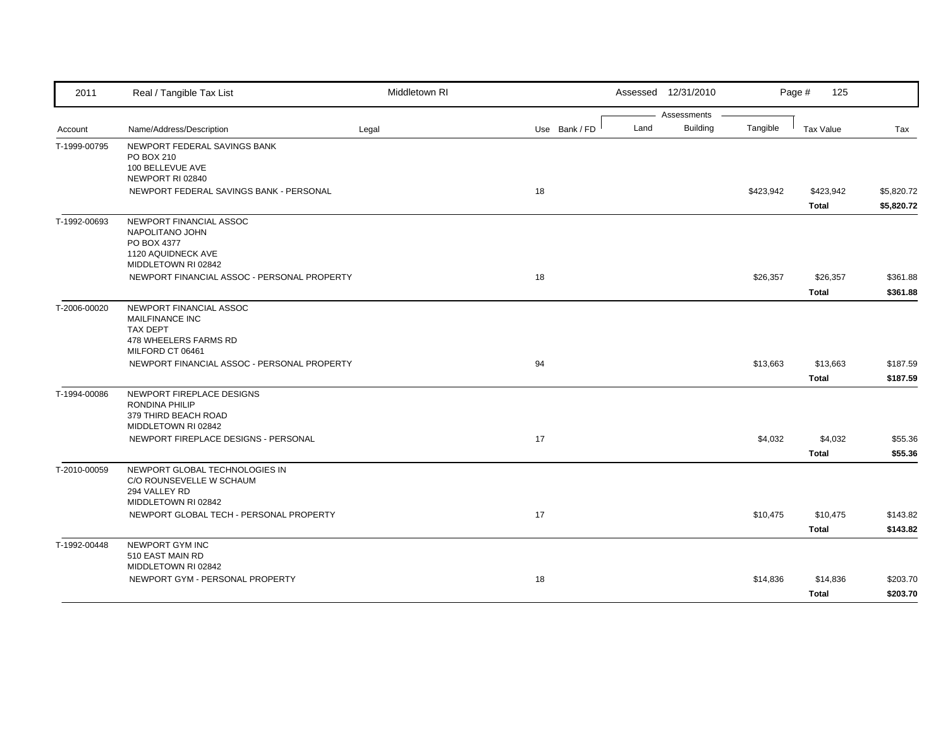| 2011         | Real / Tangible Tax List                      | Middletown RI |               |      | Assessed 12/31/2010 |           | Page #<br>125    |            |
|--------------|-----------------------------------------------|---------------|---------------|------|---------------------|-----------|------------------|------------|
|              |                                               |               |               |      | Assessments         |           |                  |            |
| Account      | Name/Address/Description                      | Legal         | Use Bank / FD | Land | <b>Building</b>     | Tangible  | <b>Tax Value</b> | Tax        |
| T-1999-00795 | NEWPORT FEDERAL SAVINGS BANK                  |               |               |      |                     |           |                  |            |
|              | PO BOX 210<br>100 BELLEVUE AVE                |               |               |      |                     |           |                  |            |
|              | NEWPORT RI 02840                              |               |               |      |                     |           |                  |            |
|              | NEWPORT FEDERAL SAVINGS BANK - PERSONAL       |               | 18            |      |                     | \$423,942 | \$423,942        | \$5,820.72 |
|              |                                               |               |               |      |                     |           | Total            | \$5,820.72 |
| T-1992-00693 | NEWPORT FINANCIAL ASSOC                       |               |               |      |                     |           |                  |            |
|              | NAPOLITANO JOHN                               |               |               |      |                     |           |                  |            |
|              | PO BOX 4377<br>1120 AQUIDNECK AVE             |               |               |      |                     |           |                  |            |
|              | MIDDLETOWN RI 02842                           |               |               |      |                     |           |                  |            |
|              | NEWPORT FINANCIAL ASSOC - PERSONAL PROPERTY   |               | 18            |      |                     | \$26,357  | \$26,357         | \$361.88   |
|              |                                               |               |               |      |                     |           | <b>Total</b>     | \$361.88   |
|              | NEWPORT FINANCIAL ASSOC                       |               |               |      |                     |           |                  |            |
| T-2006-00020 | MAILFINANCE INC                               |               |               |      |                     |           |                  |            |
|              | <b>TAX DEPT</b>                               |               |               |      |                     |           |                  |            |
|              | 478 WHEELERS FARMS RD                         |               |               |      |                     |           |                  |            |
|              | MILFORD CT 06461                              |               |               |      |                     |           |                  |            |
|              | NEWPORT FINANCIAL ASSOC - PERSONAL PROPERTY   |               | 94            |      |                     | \$13,663  | \$13,663         | \$187.59   |
|              |                                               |               |               |      |                     |           | <b>Total</b>     | \$187.59   |
| T-1994-00086 | NEWPORT FIREPLACE DESIGNS                     |               |               |      |                     |           |                  |            |
|              | <b>RONDINA PHILIP</b><br>379 THIRD BEACH ROAD |               |               |      |                     |           |                  |            |
|              | MIDDLETOWN RI 02842                           |               |               |      |                     |           |                  |            |
|              | NEWPORT FIREPLACE DESIGNS - PERSONAL          |               | 17            |      |                     | \$4,032   | \$4,032          | \$55.36    |
|              |                                               |               |               |      |                     |           | <b>Total</b>     | \$55.36    |
| T-2010-00059 | NEWPORT GLOBAL TECHNOLOGIES IN                |               |               |      |                     |           |                  |            |
|              | C/O ROUNSEVELLE W SCHAUM                      |               |               |      |                     |           |                  |            |
|              | 294 VALLEY RD                                 |               |               |      |                     |           |                  |            |
|              | MIDDLETOWN RI 02842                           |               |               |      |                     |           |                  |            |
|              | NEWPORT GLOBAL TECH - PERSONAL PROPERTY       |               | 17            |      |                     | \$10,475  | \$10,475         | \$143.82   |
|              |                                               |               |               |      |                     |           | <b>Total</b>     | \$143.82   |
| T-1992-00448 | NEWPORT GYM INC                               |               |               |      |                     |           |                  |            |
|              | 510 EAST MAIN RD<br>MIDDLETOWN RI 02842       |               |               |      |                     |           |                  |            |
|              | NEWPORT GYM - PERSONAL PROPERTY               |               | 18            |      |                     | \$14,836  | \$14,836         | \$203.70   |
|              |                                               |               |               |      |                     |           |                  |            |
|              |                                               |               |               |      |                     |           | <b>Total</b>     | \$203.70   |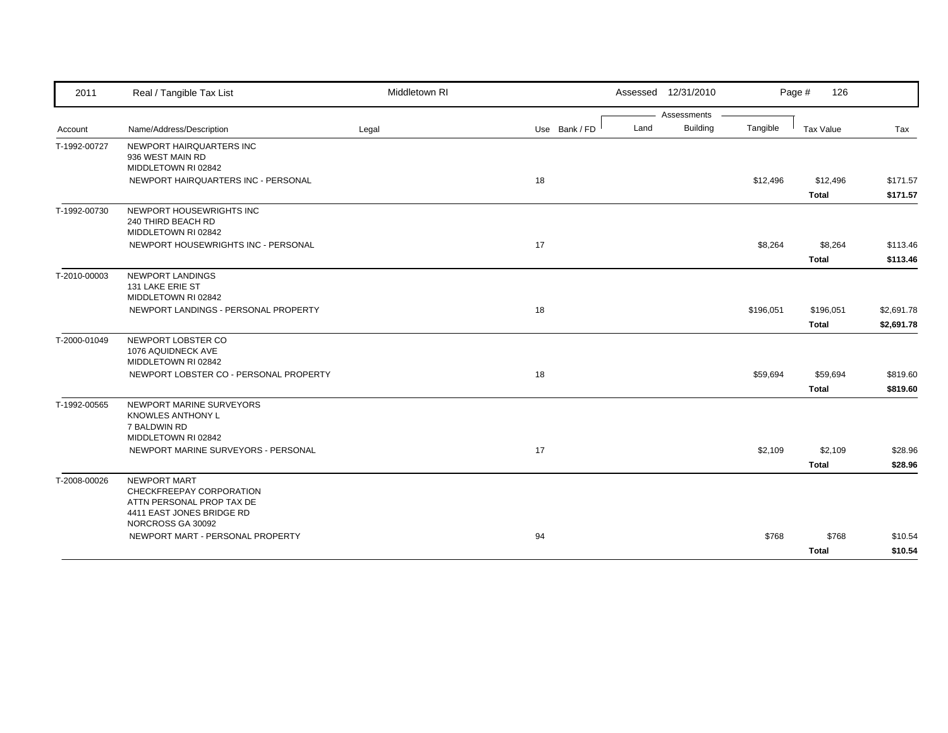| 2011         | Real / Tangible Tax List                                                                                                | Middletown RI |               | Assessed 12/31/2010     |           | 126<br>Page #    |            |
|--------------|-------------------------------------------------------------------------------------------------------------------------|---------------|---------------|-------------------------|-----------|------------------|------------|
|              |                                                                                                                         |               |               | Assessments             |           |                  |            |
| Account      | Name/Address/Description                                                                                                | Legal         | Use Bank / FD | <b>Building</b><br>Land | Tangible  | <b>Tax Value</b> | Tax        |
| T-1992-00727 | NEWPORT HAIRQUARTERS INC<br>936 WEST MAIN RD<br>MIDDLETOWN RI 02842                                                     |               |               |                         |           |                  |            |
|              | NEWPORT HAIRQUARTERS INC - PERSONAL                                                                                     |               | 18            |                         | \$12,496  | \$12,496         | \$171.57   |
|              |                                                                                                                         |               |               |                         |           | <b>Total</b>     | \$171.57   |
| T-1992-00730 | NEWPORT HOUSEWRIGHTS INC<br>240 THIRD BEACH RD<br>MIDDLETOWN RI 02842                                                   |               |               |                         |           |                  |            |
|              | NEWPORT HOUSEWRIGHTS INC - PERSONAL                                                                                     |               | 17            |                         | \$8,264   | \$8,264          | \$113.46   |
|              |                                                                                                                         |               |               |                         |           | <b>Total</b>     | \$113.46   |
| T-2010-00003 | NEWPORT LANDINGS<br>131 LAKE ERIE ST<br>MIDDLETOWN RI 02842                                                             |               |               |                         |           |                  |            |
|              | NEWPORT LANDINGS - PERSONAL PROPERTY                                                                                    |               | 18            |                         | \$196,051 | \$196,051        | \$2,691.78 |
|              |                                                                                                                         |               |               |                         |           | <b>Total</b>     | \$2,691.78 |
| T-2000-01049 | NEWPORT LOBSTER CO<br>1076 AQUIDNECK AVE<br>MIDDLETOWN RI 02842                                                         |               |               |                         |           |                  |            |
|              | NEWPORT LOBSTER CO - PERSONAL PROPERTY                                                                                  |               | 18            |                         | \$59,694  | \$59,694         | \$819.60   |
|              |                                                                                                                         |               |               |                         |           | <b>Total</b>     | \$819.60   |
| T-1992-00565 | NEWPORT MARINE SURVEYORS<br>KNOWLES ANTHONY L<br>7 BALDWIN RD<br>MIDDLETOWN RI 02842                                    |               |               |                         |           |                  |            |
|              | NEWPORT MARINE SURVEYORS - PERSONAL                                                                                     |               | 17            |                         | \$2,109   | \$2,109          | \$28.96    |
|              |                                                                                                                         |               |               |                         |           | <b>Total</b>     | \$28.96    |
| T-2008-00026 | NEWPORT MART<br>CHECKFREEPAY CORPORATION<br>ATTN PERSONAL PROP TAX DE<br>4411 EAST JONES BRIDGE RD<br>NORCROSS GA 30092 |               |               |                         |           |                  |            |
|              | NEWPORT MART - PERSONAL PROPERTY                                                                                        |               | 94            |                         | \$768     | \$768            | \$10.54    |
|              |                                                                                                                         |               |               |                         |           | <b>Total</b>     | \$10.54    |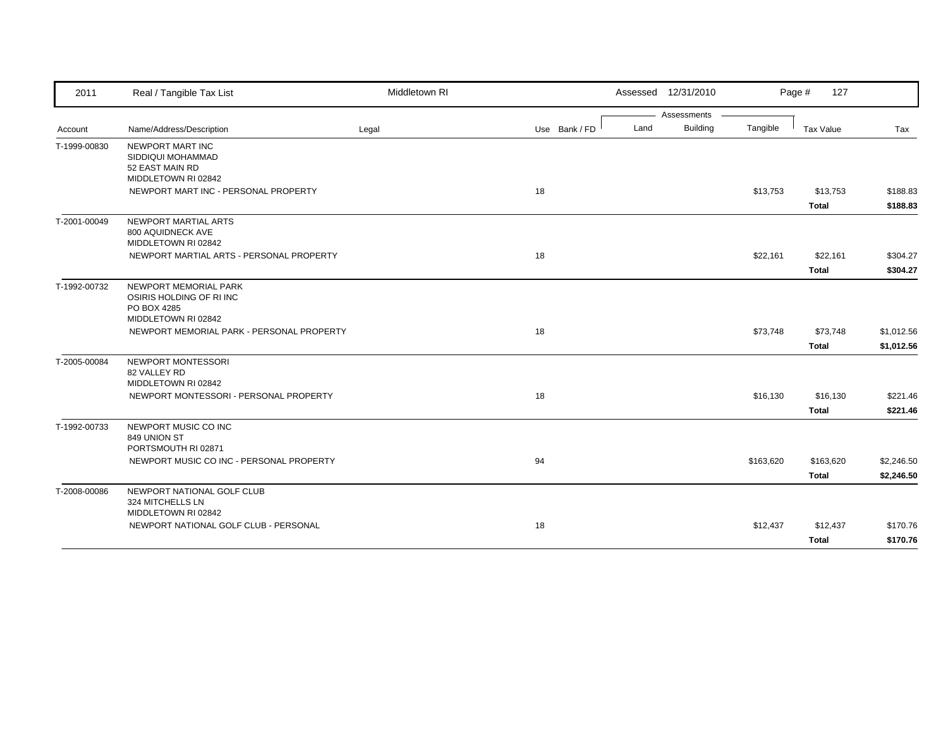| 2011         | Real / Tangible Tax List                                                               | Middletown RI |               |      | Assessed 12/31/2010            |           | Page #<br>127             |                          |
|--------------|----------------------------------------------------------------------------------------|---------------|---------------|------|--------------------------------|-----------|---------------------------|--------------------------|
| Account      | Name/Address/Description                                                               | Legal         | Use Bank / FD | Land | Assessments<br><b>Building</b> | Tangible  | Tax Value                 | Tax                      |
| T-1999-00830 | NEWPORT MART INC<br>SIDDIQUI MOHAMMAD<br>52 EAST MAIN RD<br>MIDDLETOWN RI 02842        |               |               |      |                                |           |                           |                          |
|              | NEWPORT MART INC - PERSONAL PROPERTY                                                   |               | 18            |      |                                | \$13,753  | \$13,753<br><b>Total</b>  | \$188.83<br>\$188.83     |
| T-2001-00049 | NEWPORT MARTIAL ARTS<br>800 AQUIDNECK AVE<br>MIDDLETOWN RI 02842                       |               |               |      |                                |           |                           |                          |
|              | NEWPORT MARTIAL ARTS - PERSONAL PROPERTY                                               |               | 18            |      |                                | \$22,161  | \$22,161<br><b>Total</b>  | \$304.27<br>\$304.27     |
| T-1992-00732 | NEWPORT MEMORIAL PARK<br>OSIRIS HOLDING OF RIINC<br>PO BOX 4285<br>MIDDLETOWN RI 02842 |               |               |      |                                |           |                           |                          |
|              | NEWPORT MEMORIAL PARK - PERSONAL PROPERTY                                              |               | 18            |      |                                | \$73,748  | \$73,748<br><b>Total</b>  | \$1,012.56<br>\$1,012.56 |
| T-2005-00084 | NEWPORT MONTESSORI<br>82 VALLEY RD<br>MIDDLETOWN RI 02842                              |               |               |      |                                |           |                           |                          |
|              | NEWPORT MONTESSORI - PERSONAL PROPERTY                                                 |               | 18            |      |                                | \$16,130  | \$16,130<br><b>Total</b>  | \$221.46<br>\$221.46     |
| T-1992-00733 | NEWPORT MUSIC CO INC<br>849 UNION ST<br>PORTSMOUTH RI 02871                            |               |               |      |                                |           |                           |                          |
|              | NEWPORT MUSIC CO INC - PERSONAL PROPERTY                                               |               | 94            |      |                                | \$163,620 | \$163,620<br><b>Total</b> | \$2,246.50<br>\$2,246.50 |
| T-2008-00086 | NEWPORT NATIONAL GOLF CLUB<br>324 MITCHELLS LN<br>MIDDLETOWN RI 02842                  |               |               |      |                                |           |                           |                          |
|              | NEWPORT NATIONAL GOLF CLUB - PERSONAL                                                  |               | 18            |      |                                | \$12,437  | \$12,437<br><b>Total</b>  | \$170.76<br>\$170.76     |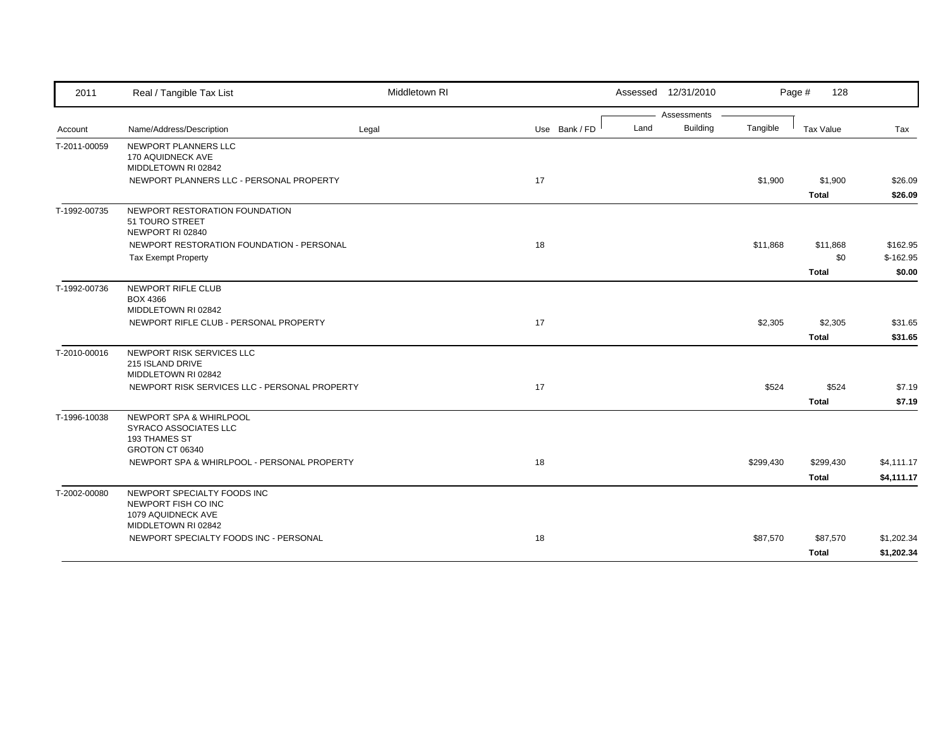| 2011         | Real / Tangible Tax List                                                             | Middletown RI |               |      | Assessed 12/31/2010 |           | Page #<br>128    |            |
|--------------|--------------------------------------------------------------------------------------|---------------|---------------|------|---------------------|-----------|------------------|------------|
|              |                                                                                      |               |               |      | Assessments         |           |                  |            |
| Account      | Name/Address/Description                                                             | Legal         | Use Bank / FD | Land | <b>Building</b>     | Tangible  | <b>Tax Value</b> | Tax        |
| T-2011-00059 | NEWPORT PLANNERS LLC<br>170 AQUIDNECK AVE<br>MIDDLETOWN RI 02842                     |               |               |      |                     |           |                  |            |
|              | NEWPORT PLANNERS LLC - PERSONAL PROPERTY                                             |               | 17            |      |                     | \$1,900   | \$1,900          | \$26.09    |
|              |                                                                                      |               |               |      |                     |           | <b>Total</b>     | \$26.09    |
| T-1992-00735 | NEWPORT RESTORATION FOUNDATION<br>51 TOURO STREET<br>NEWPORT RI 02840                |               |               |      |                     |           |                  |            |
|              | NEWPORT RESTORATION FOUNDATION - PERSONAL                                            |               | 18            |      |                     | \$11,868  | \$11,868         | \$162.95   |
|              | <b>Tax Exempt Property</b>                                                           |               |               |      |                     |           | \$0              | $$-162.95$ |
|              |                                                                                      |               |               |      |                     |           | <b>Total</b>     | \$0.00     |
| T-1992-00736 | NEWPORT RIFLE CLUB<br><b>BOX 4366</b><br>MIDDLETOWN RI 02842                         |               |               |      |                     |           |                  |            |
|              | NEWPORT RIFLE CLUB - PERSONAL PROPERTY                                               |               | 17            |      |                     | \$2,305   | \$2,305          | \$31.65    |
|              |                                                                                      |               |               |      |                     |           | <b>Total</b>     | \$31.65    |
| T-2010-00016 | NEWPORT RISK SERVICES LLC<br>215 ISLAND DRIVE<br>MIDDLETOWN RI 02842                 |               |               |      |                     |           |                  |            |
|              | NEWPORT RISK SERVICES LLC - PERSONAL PROPERTY                                        |               | 17            |      |                     | \$524     | \$524            | \$7.19     |
|              |                                                                                      |               |               |      |                     |           | <b>Total</b>     | \$7.19     |
| T-1996-10038 | NEWPORT SPA & WHIRLPOOL<br>SYRACO ASSOCIATES LLC<br>193 THAMES ST<br>GROTON CT 06340 |               |               |      |                     |           |                  |            |
|              | NEWPORT SPA & WHIRLPOOL - PERSONAL PROPERTY                                          |               | 18            |      |                     | \$299,430 | \$299,430        | \$4,111.17 |
|              |                                                                                      |               |               |      |                     |           | <b>Total</b>     | \$4,111.17 |
| T-2002-00080 | NEWPORT SPECIALTY FOODS INC<br>NEWPORT FISH CO INC<br>1079 AQUIDNECK AVE             |               |               |      |                     |           |                  |            |
|              | MIDDLETOWN RI 02842                                                                  |               |               |      |                     |           |                  |            |
|              | NEWPORT SPECIALTY FOODS INC - PERSONAL                                               |               | 18            |      |                     | \$87,570  | \$87,570         | \$1,202.34 |
|              |                                                                                      |               |               |      |                     |           | <b>Total</b>     | \$1,202.34 |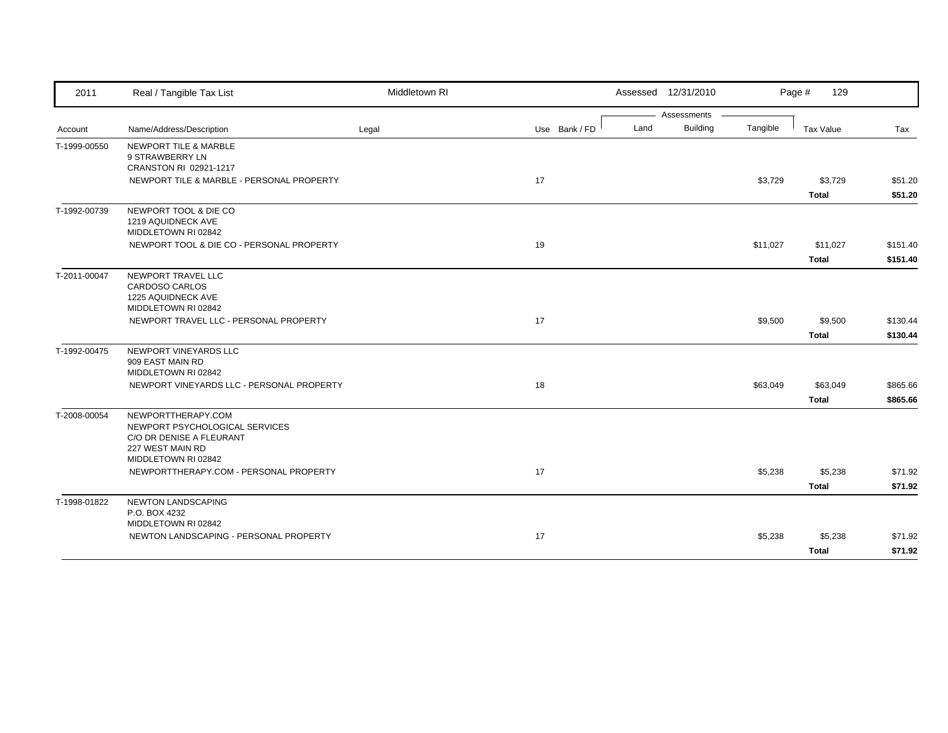| 2011         | Real / Tangible Tax List                                                                             | Middletown RI |               | Assessed 12/31/2010     |          | Page #<br>129    |          |
|--------------|------------------------------------------------------------------------------------------------------|---------------|---------------|-------------------------|----------|------------------|----------|
|              |                                                                                                      |               |               | Assessments             |          |                  |          |
| Account      | Name/Address/Description                                                                             | Legal         | Use Bank / FD | <b>Building</b><br>Land | Tangible | <b>Tax Value</b> | Tax      |
| T-1999-00550 | <b>NEWPORT TILE &amp; MARBLE</b><br>9 STRAWBERRY LN<br>CRANSTON RI 02921-1217                        |               |               |                         |          |                  |          |
|              | NEWPORT TILE & MARBLE - PERSONAL PROPERTY                                                            |               | 17            |                         | \$3,729  | \$3,729          | \$51.20  |
|              |                                                                                                      |               |               |                         |          | <b>Total</b>     | \$51.20  |
| T-1992-00739 | NEWPORT TOOL & DIE CO<br>1219 AQUIDNECK AVE<br>MIDDLETOWN RI 02842                                   |               |               |                         |          |                  |          |
|              | NEWPORT TOOL & DIE CO - PERSONAL PROPERTY                                                            |               | 19            |                         | \$11,027 | \$11,027         | \$151.40 |
|              |                                                                                                      |               |               |                         |          | <b>Total</b>     | \$151.40 |
| T-2011-00047 | NEWPORT TRAVEL LLC<br><b>CARDOSO CARLOS</b><br>1225 AQUIDNECK AVE<br>MIDDLETOWN RI 02842             |               |               |                         |          |                  |          |
|              | NEWPORT TRAVEL LLC - PERSONAL PROPERTY                                                               |               | 17            |                         | \$9,500  | \$9,500          | \$130.44 |
|              |                                                                                                      |               |               |                         |          | <b>Total</b>     | \$130.44 |
| T-1992-00475 | NEWPORT VINEYARDS LLC<br>909 EAST MAIN RD<br>MIDDLETOWN RI 02842                                     |               |               |                         |          |                  |          |
|              | NEWPORT VINEYARDS LLC - PERSONAL PROPERTY                                                            |               | 18            |                         | \$63,049 | \$63,049         | \$865.66 |
|              |                                                                                                      |               |               |                         |          | <b>Total</b>     | \$865.66 |
| T-2008-00054 | NEWPORTTHERAPY.COM<br>NEWPORT PSYCHOLOGICAL SERVICES<br>C/O DR DENISE A FLEURANT<br>227 WEST MAIN RD |               |               |                         |          |                  |          |
|              | MIDDLETOWN RI 02842<br>NEWPORTTHERAPY.COM - PERSONAL PROPERTY                                        |               | 17            |                         | \$5,238  | \$5,238          | \$71.92  |
|              |                                                                                                      |               |               |                         |          | <b>Total</b>     | \$71.92  |
| T-1998-01822 | <b>NEWTON LANDSCAPING</b><br>P.O. BOX 4232<br>MIDDLETOWN RI 02842                                    |               |               |                         |          |                  |          |
|              | NEWTON LANDSCAPING - PERSONAL PROPERTY                                                               |               | 17            |                         | \$5,238  | \$5,238          | \$71.92  |
|              |                                                                                                      |               |               |                         |          | <b>Total</b>     | \$71.92  |
|              |                                                                                                      |               |               |                         |          |                  |          |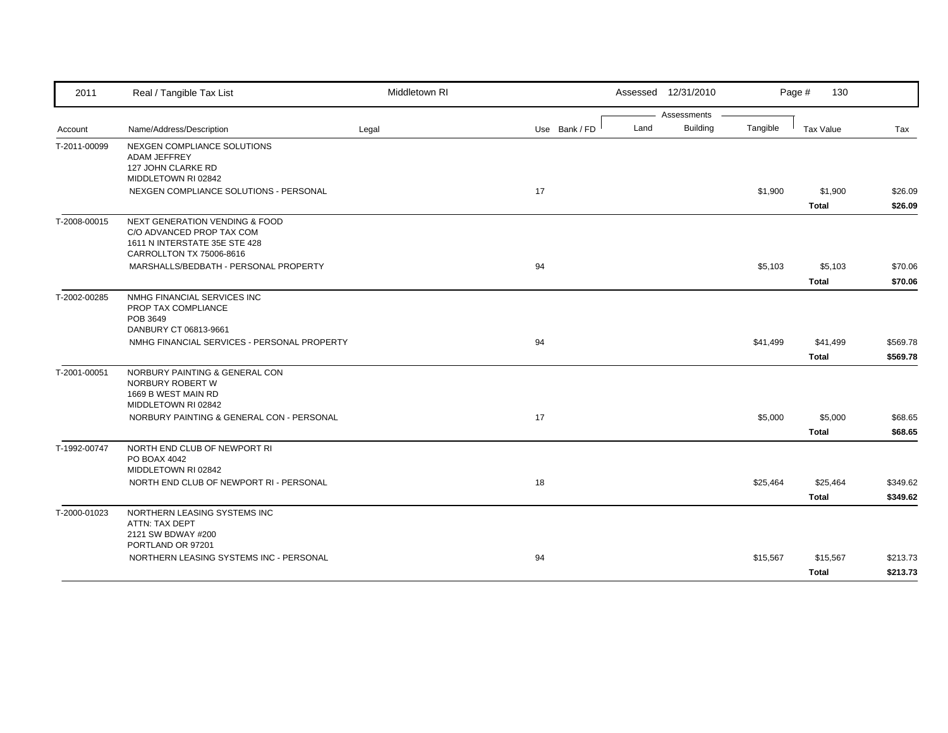| 2011         | Real / Tangible Tax List                                         | Middletown RI |               | Assessed 12/31/2010 |                 |          | Page #<br>130    |          |
|--------------|------------------------------------------------------------------|---------------|---------------|---------------------|-----------------|----------|------------------|----------|
|              |                                                                  |               |               |                     | Assessments     |          |                  |          |
| Account      | Name/Address/Description                                         | Legal         | Use Bank / FD | Land                | <b>Building</b> | Tangible | <b>Tax Value</b> | Tax      |
| T-2011-00099 | NEXGEN COMPLIANCE SOLUTIONS                                      |               |               |                     |                 |          |                  |          |
|              | <b>ADAM JEFFREY</b><br>127 JOHN CLARKE RD                        |               |               |                     |                 |          |                  |          |
|              | MIDDLETOWN RI 02842                                              |               |               |                     |                 |          |                  |          |
|              | NEXGEN COMPLIANCE SOLUTIONS - PERSONAL                           |               | 17            |                     |                 | \$1,900  | \$1,900          | \$26.09  |
|              |                                                                  |               |               |                     |                 |          | <b>Total</b>     | \$26.09  |
| T-2008-00015 | NEXT GENERATION VENDING & FOOD                                   |               |               |                     |                 |          |                  |          |
|              | C/O ADVANCED PROP TAX COM                                        |               |               |                     |                 |          |                  |          |
|              | 1611 N INTERSTATE 35E STE 428<br>CARROLLTON TX 75006-8616        |               |               |                     |                 |          |                  |          |
|              | MARSHALLS/BEDBATH - PERSONAL PROPERTY                            |               | 94            |                     |                 | \$5,103  | \$5,103          | \$70.06  |
|              |                                                                  |               |               |                     |                 |          | <b>Total</b>     | \$70.06  |
| T-2002-00285 | NMHG FINANCIAL SERVICES INC                                      |               |               |                     |                 |          |                  |          |
|              | PROP TAX COMPLIANCE                                              |               |               |                     |                 |          |                  |          |
|              | POB 3649<br>DANBURY CT 06813-9661                                |               |               |                     |                 |          |                  |          |
|              | NMHG FINANCIAL SERVICES - PERSONAL PROPERTY                      |               | 94            |                     |                 | \$41,499 | \$41,499         | \$569.78 |
|              |                                                                  |               |               |                     |                 |          | Total            | \$569.78 |
| T-2001-00051 | NORBURY PAINTING & GENERAL CON                                   |               |               |                     |                 |          |                  |          |
|              | NORBURY ROBERT W                                                 |               |               |                     |                 |          |                  |          |
|              | 1669 B WEST MAIN RD                                              |               |               |                     |                 |          |                  |          |
|              | MIDDLETOWN RI 02842<br>NORBURY PAINTING & GENERAL CON - PERSONAL |               | 17            |                     |                 | \$5,000  | \$5,000          | \$68.65  |
|              |                                                                  |               |               |                     |                 |          | <b>Total</b>     | \$68.65  |
| T-1992-00747 | NORTH END CLUB OF NEWPORT RI                                     |               |               |                     |                 |          |                  |          |
|              | PO BOAX 4042                                                     |               |               |                     |                 |          |                  |          |
|              | MIDDLETOWN RI 02842                                              |               |               |                     |                 |          |                  |          |
|              | NORTH END CLUB OF NEWPORT RI - PERSONAL                          |               | 18            |                     |                 | \$25,464 | \$25,464         | \$349.62 |
|              |                                                                  |               |               |                     |                 |          | <b>Total</b>     | \$349.62 |
| T-2000-01023 | NORTHERN LEASING SYSTEMS INC                                     |               |               |                     |                 |          |                  |          |
|              | ATTN: TAX DEPT<br>2121 SW BDWAY #200                             |               |               |                     |                 |          |                  |          |
|              | PORTLAND OR 97201                                                |               |               |                     |                 |          |                  |          |
|              | NORTHERN LEASING SYSTEMS INC - PERSONAL                          |               | 94            |                     |                 | \$15,567 | \$15,567         | \$213.73 |
|              |                                                                  |               |               |                     |                 |          | Total            | \$213.73 |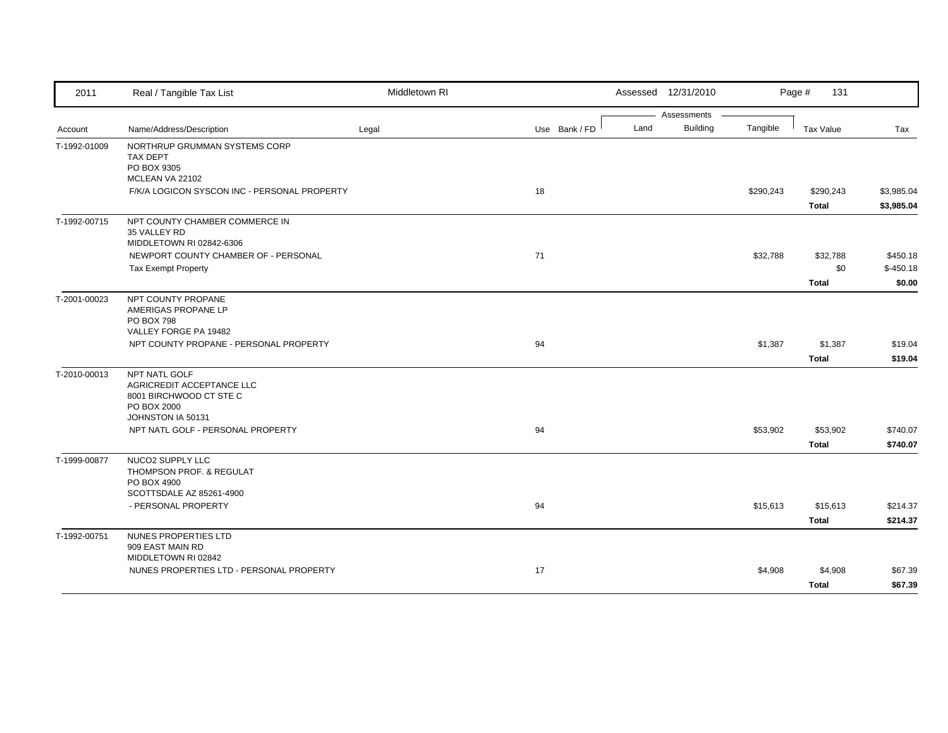| 2011         | Real / Tangible Tax List                                                                | Middletown RI |               |      | Assessed 12/31/2010            |           | Page #<br>131                   |                                  |
|--------------|-----------------------------------------------------------------------------------------|---------------|---------------|------|--------------------------------|-----------|---------------------------------|----------------------------------|
| Account      | Name/Address/Description                                                                | Legal         | Use Bank / FD | Land | Assessments<br><b>Building</b> | Tangible  | Tax Value                       | Tax                              |
| T-1992-01009 | NORTHRUP GRUMMAN SYSTEMS CORP<br><b>TAX DEPT</b><br>PO BOX 9305<br>MCLEAN VA 22102      |               |               |      |                                |           |                                 |                                  |
|              | F/K/A LOGICON SYSCON INC - PERSONAL PROPERTY                                            |               | 18            |      |                                | \$290,243 | \$290,243<br><b>Total</b>       | \$3,985.04<br>\$3,985.04         |
| T-1992-00715 | NPT COUNTY CHAMBER COMMERCE IN<br>35 VALLEY RD<br>MIDDLETOWN RI 02842-6306              |               |               |      |                                |           |                                 |                                  |
|              | NEWPORT COUNTY CHAMBER OF - PERSONAL<br><b>Tax Exempt Property</b>                      |               | 71            |      |                                | \$32,788  | \$32,788<br>\$0<br><b>Total</b> | \$450.18<br>$$-450.18$<br>\$0.00 |
| T-2001-00023 | NPT COUNTY PROPANE<br>AMERIGAS PROPANE LP<br><b>PO BOX 798</b>                          |               |               |      |                                |           |                                 |                                  |
|              | VALLEY FORGE PA 19482<br>NPT COUNTY PROPANE - PERSONAL PROPERTY                         |               | 94            |      |                                | \$1,387   | \$1,387<br><b>Total</b>         | \$19.04<br>\$19.04               |
| T-2010-00013 | NPT NATL GOLF<br>AGRICREDIT ACCEPTANCE LLC<br>8001 BIRCHWOOD CT STE C<br>PO BOX 2000    |               |               |      |                                |           |                                 |                                  |
|              | JOHNSTON IA 50131<br>NPT NATL GOLF - PERSONAL PROPERTY                                  |               | 94            |      |                                | \$53,902  | \$53,902<br><b>Total</b>        | \$740.07<br>\$740.07             |
| T-1999-00877 | NUCO2 SUPPLY LLC<br>THOMPSON PROF. & REGULAT<br>PO BOX 4900<br>SCOTTSDALE AZ 85261-4900 |               |               |      |                                |           |                                 |                                  |
|              | - PERSONAL PROPERTY                                                                     |               | 94            |      |                                | \$15,613  | \$15,613<br><b>Total</b>        | \$214.37<br>\$214.37             |
| T-1992-00751 | NUNES PROPERTIES LTD<br>909 EAST MAIN RD<br>MIDDLETOWN RI 02842                         |               |               |      |                                |           |                                 |                                  |
|              | NUNES PROPERTIES LTD - PERSONAL PROPERTY                                                |               | 17            |      |                                | \$4,908   | \$4,908<br><b>Total</b>         | \$67.39<br>\$67.39               |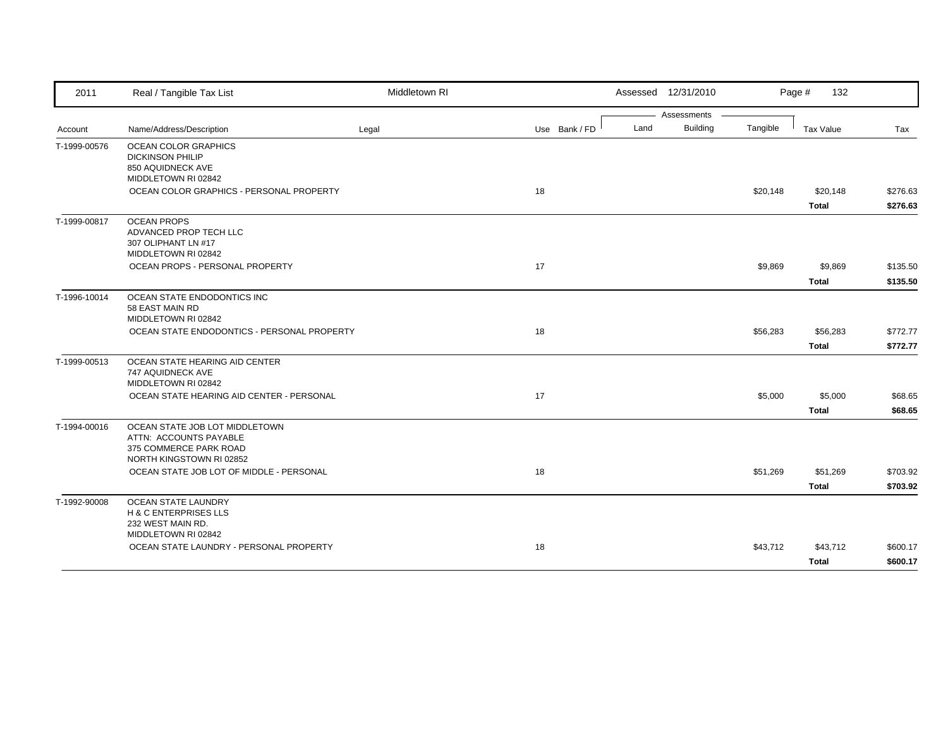| 2011         | Real / Tangible Tax List                                                                                       | Middletown RI |               | Assessed 12/31/2010 |                 |          | Page #<br>132    |          |
|--------------|----------------------------------------------------------------------------------------------------------------|---------------|---------------|---------------------|-----------------|----------|------------------|----------|
|              |                                                                                                                |               |               |                     | Assessments     |          |                  |          |
| Account      | Name/Address/Description                                                                                       | Legal         | Use Bank / FD | Land                | <b>Building</b> | Tangible | <b>Tax Value</b> | Tax      |
| T-1999-00576 | OCEAN COLOR GRAPHICS<br><b>DICKINSON PHILIP</b><br>850 AQUIDNECK AVE<br>MIDDLETOWN RI 02842                    |               |               |                     |                 |          |                  |          |
|              | OCEAN COLOR GRAPHICS - PERSONAL PROPERTY                                                                       |               | 18            |                     |                 | \$20,148 | \$20,148         | \$276.63 |
|              |                                                                                                                |               |               |                     |                 |          | <b>Total</b>     | \$276.63 |
| T-1999-00817 | <b>OCEAN PROPS</b><br>ADVANCED PROP TECH LLC<br>307 OLIPHANT LN #17<br>MIDDLETOWN RI 02842                     |               |               |                     |                 |          |                  |          |
|              | OCEAN PROPS - PERSONAL PROPERTY                                                                                |               | 17            |                     |                 | \$9,869  | \$9,869          | \$135.50 |
|              |                                                                                                                |               |               |                     |                 |          | <b>Total</b>     | \$135.50 |
| T-1996-10014 | OCEAN STATE ENDODONTICS INC<br>58 EAST MAIN RD<br>MIDDLETOWN RI 02842                                          |               |               |                     |                 |          |                  |          |
|              | OCEAN STATE ENDODONTICS - PERSONAL PROPERTY                                                                    |               | 18            |                     |                 | \$56,283 | \$56,283         | \$772.77 |
|              |                                                                                                                |               |               |                     |                 |          | <b>Total</b>     | \$772.77 |
| T-1999-00513 | OCEAN STATE HEARING AID CENTER<br>747 AQUIDNECK AVE<br>MIDDLETOWN RI 02842                                     |               |               |                     |                 |          |                  |          |
|              | OCEAN STATE HEARING AID CENTER - PERSONAL                                                                      |               | 17            |                     |                 | \$5,000  | \$5,000          | \$68.65  |
|              |                                                                                                                |               |               |                     |                 |          | <b>Total</b>     | \$68.65  |
| T-1994-00016 | OCEAN STATE JOB LOT MIDDLETOWN<br>ATTN: ACCOUNTS PAYABLE<br>375 COMMERCE PARK ROAD<br>NORTH KINGSTOWN RI 02852 |               |               |                     |                 |          |                  |          |
|              | OCEAN STATE JOB LOT OF MIDDLE - PERSONAL                                                                       |               | 18            |                     |                 | \$51,269 | \$51,269         | \$703.92 |
|              |                                                                                                                |               |               |                     |                 |          | <b>Total</b>     | \$703.92 |
| T-1992-90008 | OCEAN STATE LAUNDRY<br><b>H &amp; C ENTERPRISES LLS</b><br>232 WEST MAIN RD.<br>MIDDLETOWN RI 02842            |               |               |                     |                 |          |                  |          |
|              | OCEAN STATE LAUNDRY - PERSONAL PROPERTY                                                                        |               | 18            |                     |                 | \$43,712 | \$43,712         | \$600.17 |
|              |                                                                                                                |               |               |                     |                 |          | <b>Total</b>     | \$600.17 |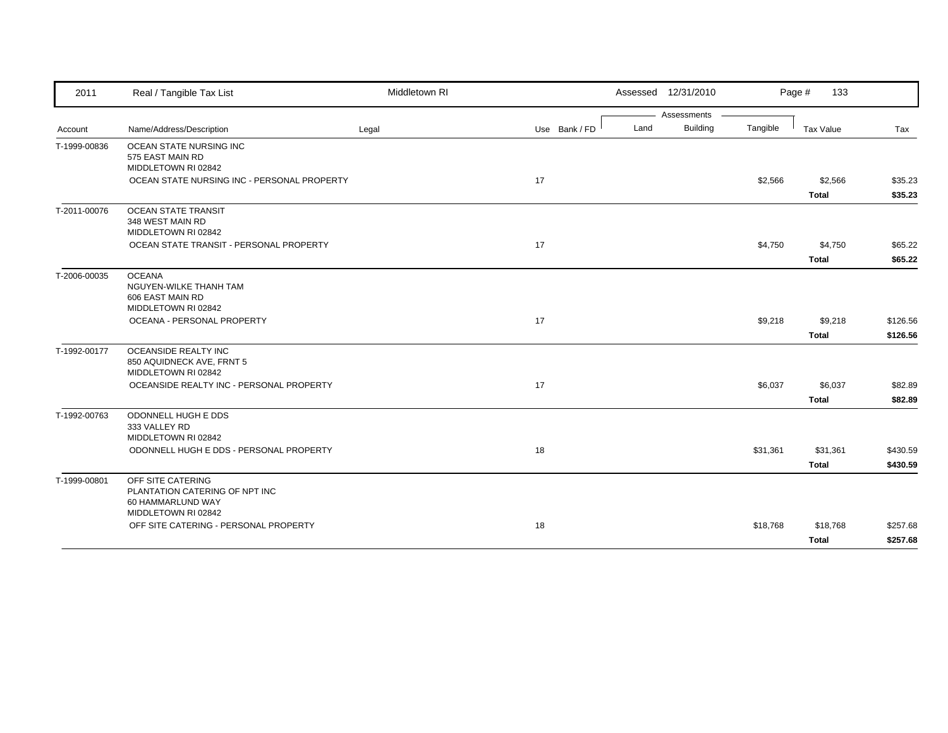| 2011         | Real / Tangible Tax List                                                                        | Middletown RI |               |      | Assessed 12/31/2010 |          | Page #<br>133           |                    |
|--------------|-------------------------------------------------------------------------------------------------|---------------|---------------|------|---------------------|----------|-------------------------|--------------------|
|              |                                                                                                 |               |               |      | Assessments         |          |                         |                    |
| Account      | Name/Address/Description                                                                        | Legal         | Use Bank / FD | Land | <b>Building</b>     | Tangible | Tax Value               | Tax                |
| T-1999-00836 | OCEAN STATE NURSING INC<br>575 EAST MAIN RD<br>MIDDLETOWN RI 02842                              |               |               |      |                     |          |                         |                    |
|              | OCEAN STATE NURSING INC - PERSONAL PROPERTY                                                     |               | 17            |      |                     | \$2,566  | \$2,566<br><b>Total</b> | \$35.23<br>\$35.23 |
| T-2011-00076 | <b>OCEAN STATE TRANSIT</b><br>348 WEST MAIN RD<br>MIDDLETOWN RI 02842                           |               |               |      |                     |          |                         |                    |
|              | OCEAN STATE TRANSIT - PERSONAL PROPERTY                                                         |               | 17            |      |                     | \$4,750  | \$4,750                 | \$65.22            |
|              |                                                                                                 |               |               |      |                     |          | <b>Total</b>            | \$65.22            |
| T-2006-00035 | <b>OCEANA</b><br>NGUYEN-WILKE THANH TAM<br>606 EAST MAIN RD<br>MIDDLETOWN RI 02842              |               |               |      |                     |          |                         |                    |
|              | OCEANA - PERSONAL PROPERTY                                                                      |               | 17            |      |                     | \$9,218  | \$9,218                 | \$126.56           |
|              |                                                                                                 |               |               |      |                     |          | <b>Total</b>            | \$126.56           |
| T-1992-00177 | OCEANSIDE REALTY INC<br>850 AQUIDNECK AVE, FRNT 5<br>MIDDLETOWN RI 02842                        |               |               |      |                     |          |                         |                    |
|              | OCEANSIDE REALTY INC - PERSONAL PROPERTY                                                        |               | 17            |      |                     | \$6,037  | \$6,037<br><b>Total</b> | \$82.89<br>\$82.89 |
| T-1992-00763 | ODONNELL HUGH E DDS<br>333 VALLEY RD<br>MIDDLETOWN RI 02842                                     |               |               |      |                     |          |                         |                    |
|              | ODONNELL HUGH E DDS - PERSONAL PROPERTY                                                         |               | 18            |      |                     | \$31,361 | \$31,361                | \$430.59           |
|              |                                                                                                 |               |               |      |                     |          | <b>Total</b>            | \$430.59           |
| T-1999-00801 | OFF SITE CATERING<br>PLANTATION CATERING OF NPT INC<br>60 HAMMARLUND WAY<br>MIDDLETOWN RI 02842 |               |               |      |                     |          |                         |                    |
|              | OFF SITE CATERING - PERSONAL PROPERTY                                                           |               | 18            |      |                     | \$18,768 | \$18,768                | \$257.68           |
|              |                                                                                                 |               |               |      |                     |          | <b>Total</b>            | \$257.68           |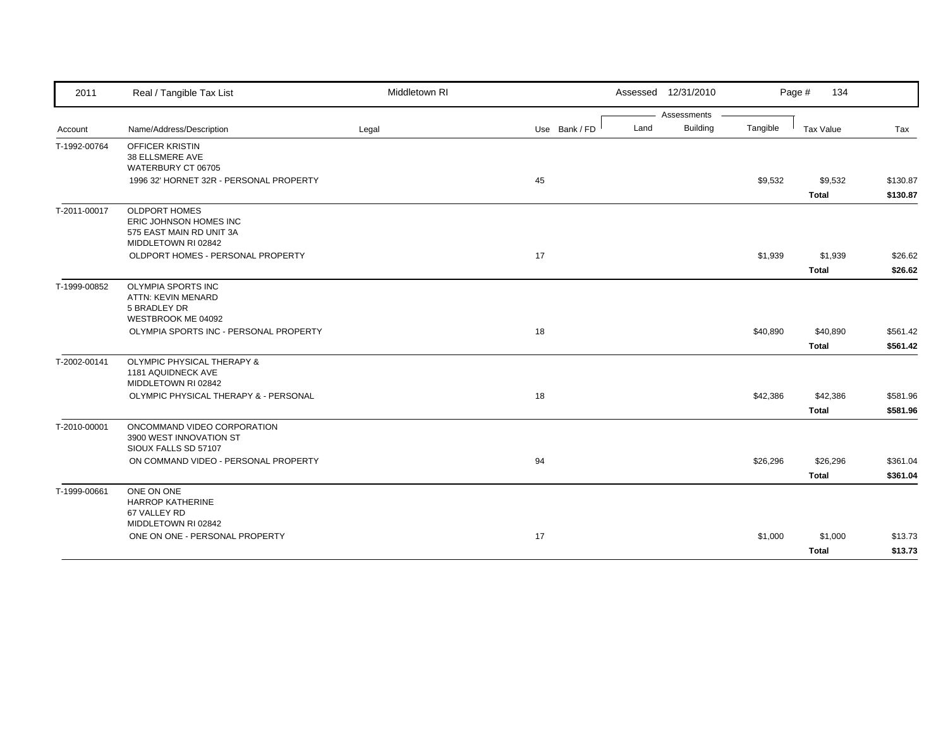| 2011         | Real / Tangible Tax List                           | Middletown RI |               | Assessed 12/31/2010 |             |          | Page #<br>134    |          |
|--------------|----------------------------------------------------|---------------|---------------|---------------------|-------------|----------|------------------|----------|
|              |                                                    |               |               |                     | Assessments |          |                  |          |
| Account      | Name/Address/Description                           | Legal         | Use Bank / FD | Land                | Building    | Tangible | <b>Tax Value</b> | Tax      |
| T-1992-00764 | <b>OFFICER KRISTIN</b>                             |               |               |                     |             |          |                  |          |
|              | 38 ELLSMERE AVE                                    |               |               |                     |             |          |                  |          |
|              | WATERBURY CT 06705                                 |               |               |                     |             |          |                  |          |
|              | 1996 32' HORNET 32R - PERSONAL PROPERTY            |               | 45            |                     |             | \$9,532  | \$9,532          | \$130.87 |
|              |                                                    |               |               |                     |             |          | <b>Total</b>     | \$130.87 |
| T-2011-00017 | <b>OLDPORT HOMES</b>                               |               |               |                     |             |          |                  |          |
|              | ERIC JOHNSON HOMES INC<br>575 EAST MAIN RD UNIT 3A |               |               |                     |             |          |                  |          |
|              | MIDDLETOWN RI 02842                                |               |               |                     |             |          |                  |          |
|              | OLDPORT HOMES - PERSONAL PROPERTY                  |               | 17            |                     |             | \$1,939  | \$1,939          | \$26.62  |
|              |                                                    |               |               |                     |             |          | <b>Total</b>     | \$26.62  |
| T-1999-00852 | OLYMPIA SPORTS INC                                 |               |               |                     |             |          |                  |          |
|              | ATTN: KEVIN MENARD                                 |               |               |                     |             |          |                  |          |
|              | 5 BRADLEY DR                                       |               |               |                     |             |          |                  |          |
|              | WESTBROOK ME 04092                                 |               |               |                     |             |          |                  |          |
|              | OLYMPIA SPORTS INC - PERSONAL PROPERTY             |               | 18            |                     |             | \$40,890 | \$40,890         | \$561.42 |
|              |                                                    |               |               |                     |             |          | Total            | \$561.42 |
| T-2002-00141 | <b>OLYMPIC PHYSICAL THERAPY &amp;</b>              |               |               |                     |             |          |                  |          |
|              | 1181 AQUIDNECK AVE<br>MIDDLETOWN RI 02842          |               |               |                     |             |          |                  |          |
|              | OLYMPIC PHYSICAL THERAPY & - PERSONAL              |               | 18            |                     |             | \$42,386 | \$42,386         | \$581.96 |
|              |                                                    |               |               |                     |             |          | <b>Total</b>     | \$581.96 |
| T-2010-00001 | ONCOMMAND VIDEO CORPORATION                        |               |               |                     |             |          |                  |          |
|              | 3900 WEST INNOVATION ST                            |               |               |                     |             |          |                  |          |
|              | SIOUX FALLS SD 57107                               |               |               |                     |             |          |                  |          |
|              | ON COMMAND VIDEO - PERSONAL PROPERTY               |               | 94            |                     |             | \$26,296 | \$26,296         | \$361.04 |
|              |                                                    |               |               |                     |             |          | <b>Total</b>     | \$361.04 |
| T-1999-00661 | ONE ON ONE                                         |               |               |                     |             |          |                  |          |
|              | <b>HARROP KATHERINE</b>                            |               |               |                     |             |          |                  |          |
|              | 67 VALLEY RD<br>MIDDLETOWN RI 02842                |               |               |                     |             |          |                  |          |
|              | ONE ON ONE - PERSONAL PROPERTY                     |               | 17            |                     |             | \$1,000  | \$1,000          | \$13.73  |
|              |                                                    |               |               |                     |             |          |                  |          |
|              |                                                    |               |               |                     |             |          | <b>Total</b>     | \$13.73  |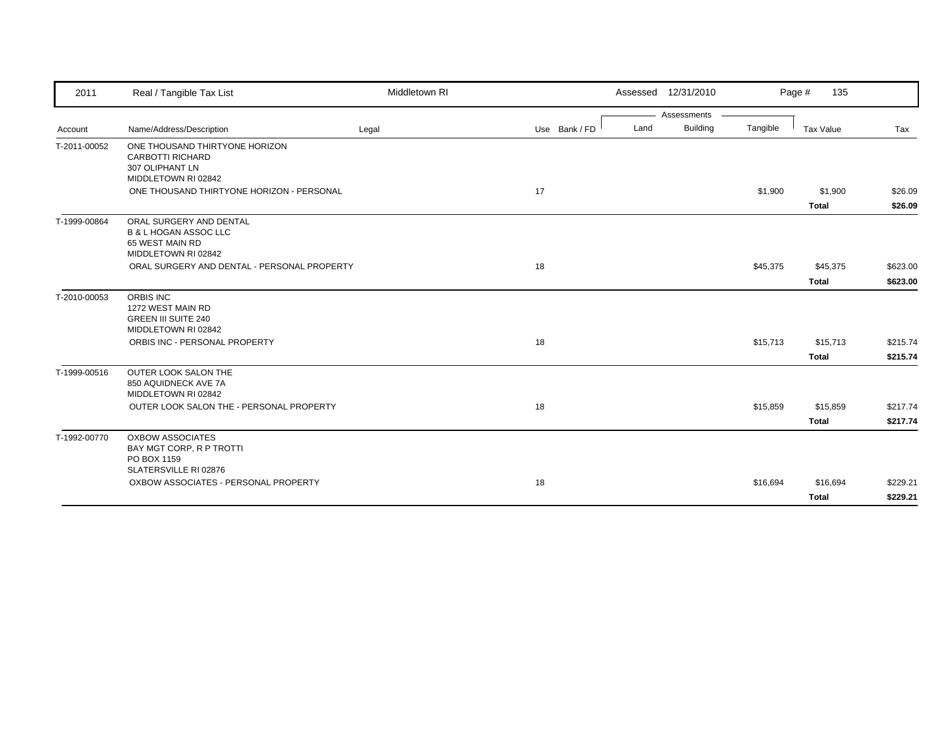| 2011         | Real / Tangible Tax List                                                                                        | Middletown RI |    |               |      | Assessed 12/31/2010 |          | Page #<br>135                            |                                  |
|--------------|-----------------------------------------------------------------------------------------------------------------|---------------|----|---------------|------|---------------------|----------|------------------------------------------|----------------------------------|
|              |                                                                                                                 |               |    |               |      | Assessments         |          |                                          |                                  |
| Account      | Name/Address/Description                                                                                        | Legal         |    | Use Bank / FD | Land | <b>Building</b>     | Tangible | <b>Tax Value</b>                         | Tax                              |
| T-2011-00052 | ONE THOUSAND THIRTYONE HORIZON<br><b>CARBOTTI RICHARD</b><br>307 OLIPHANT LN<br>MIDDLETOWN RI 02842             |               |    |               |      |                     |          |                                          |                                  |
|              | ONE THOUSAND THIRTYONE HORIZON - PERSONAL                                                                       |               | 17 |               |      |                     | \$1,900  | \$1,900<br><b>Total</b>                  | \$26.09<br>\$26.09               |
| T-1999-00864 | ORAL SURGERY AND DENTAL<br><b>B &amp; L HOGAN ASSOC LLC</b><br>65 WEST MAIN RD<br>MIDDLETOWN RI 02842           |               |    |               |      |                     |          |                                          |                                  |
|              | ORAL SURGERY AND DENTAL - PERSONAL PROPERTY                                                                     |               | 18 |               |      |                     | \$45,375 | \$45,375                                 | \$623.00                         |
|              |                                                                                                                 |               |    |               |      |                     |          | <b>Total</b>                             | \$623.00                         |
| T-2010-00053 | ORBIS INC<br>1272 WEST MAIN RD<br><b>GREEN III SUITE 240</b><br>MIDDLETOWN RI 02842                             |               |    |               |      |                     |          |                                          |                                  |
|              | ORBIS INC - PERSONAL PROPERTY                                                                                   |               | 18 |               |      |                     | \$15,713 | \$15,713                                 | \$215.74                         |
| T-1999-00516 | OUTER LOOK SALON THE<br>850 AQUIDNECK AVE 7A<br>MIDDLETOWN RI 02842<br>OUTER LOOK SALON THE - PERSONAL PROPERTY |               | 18 |               |      |                     | \$15,859 | <b>Total</b><br>\$15,859<br><b>Total</b> | \$215.74<br>\$217.74<br>\$217.74 |
| T-1992-00770 | <b>OXBOW ASSOCIATES</b><br>BAY MGT CORP, R P TROTTI<br>PO BOX 1159<br>SLATERSVILLE RI 02876                     |               |    |               |      |                     |          |                                          |                                  |
|              | OXBOW ASSOCIATES - PERSONAL PROPERTY                                                                            |               | 18 |               |      |                     | \$16,694 | \$16,694<br><b>Total</b>                 | \$229.21<br>\$229.21             |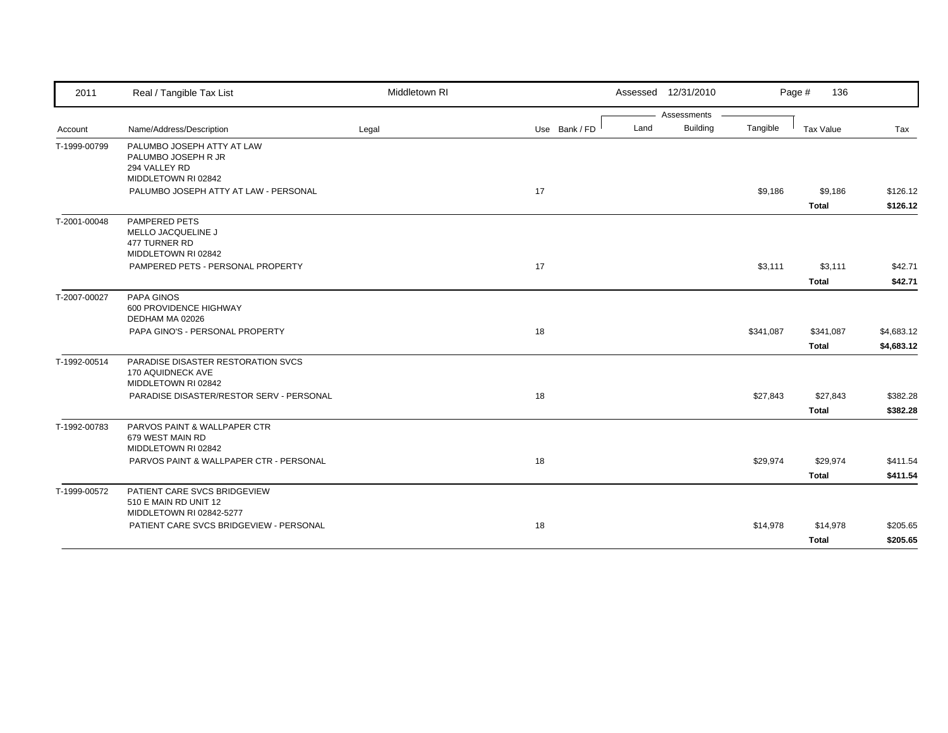| 2011         | Real / Tangible Tax List                                                                  | Middletown RI |               |      | Assessed 12/31/2010 |           | Page #<br>136            |                          |
|--------------|-------------------------------------------------------------------------------------------|---------------|---------------|------|---------------------|-----------|--------------------------|--------------------------|
|              |                                                                                           |               |               |      | Assessments         |           |                          |                          |
| Account      | Name/Address/Description                                                                  | Legal         | Use Bank / FD | Land | <b>Building</b>     | Tangible  | Tax Value                | Tax                      |
| T-1999-00799 | PALUMBO JOSEPH ATTY AT LAW<br>PALUMBO JOSEPH R JR<br>294 VALLEY RD<br>MIDDLETOWN RI 02842 |               |               |      |                     |           |                          |                          |
|              | PALUMBO JOSEPH ATTY AT LAW - PERSONAL                                                     |               | 17            |      |                     | \$9,186   | \$9,186<br>Total         | \$126.12<br>\$126.12     |
| T-2001-00048 | <b>PAMPERED PETS</b><br>MELLO JACQUELINE J<br>477 TURNER RD<br>MIDDLETOWN RI 02842        |               |               |      |                     |           |                          |                          |
|              | PAMPERED PETS - PERSONAL PROPERTY                                                         |               | 17            |      |                     | \$3,111   | \$3,111<br><b>Total</b>  | \$42.71<br>\$42.71       |
| T-2007-00027 | PAPA GINOS<br>600 PROVIDENCE HIGHWAY<br>DEDHAM MA 02026                                   |               |               |      |                     |           |                          |                          |
|              | PAPA GINO'S - PERSONAL PROPERTY                                                           |               | 18            |      |                     | \$341,087 | \$341,087<br>Total       | \$4,683.12<br>\$4,683.12 |
| T-1992-00514 | PARADISE DISASTER RESTORATION SVCS<br>170 AQUIDNECK AVE<br>MIDDLETOWN RI 02842            |               |               |      |                     |           |                          |                          |
|              | PARADISE DISASTER/RESTOR SERV - PERSONAL                                                  |               | 18            |      |                     | \$27,843  | \$27,843<br><b>Total</b> | \$382.28<br>\$382.28     |
| T-1992-00783 | PARVOS PAINT & WALLPAPER CTR<br>679 WEST MAIN RD<br>MIDDLETOWN RI 02842                   |               |               |      |                     |           |                          |                          |
|              | PARVOS PAINT & WALLPAPER CTR - PERSONAL                                                   |               | 18            |      |                     | \$29,974  | \$29,974<br><b>Total</b> | \$411.54<br>\$411.54     |
| T-1999-00572 | PATIENT CARE SVCS BRIDGEVIEW<br>510 E MAIN RD UNIT 12<br>MIDDLETOWN RI 02842-5277         |               |               |      |                     |           |                          |                          |
|              | PATIENT CARE SVCS BRIDGEVIEW - PERSONAL                                                   |               | 18            |      |                     | \$14,978  | \$14,978<br><b>Total</b> | \$205.65<br>\$205.65     |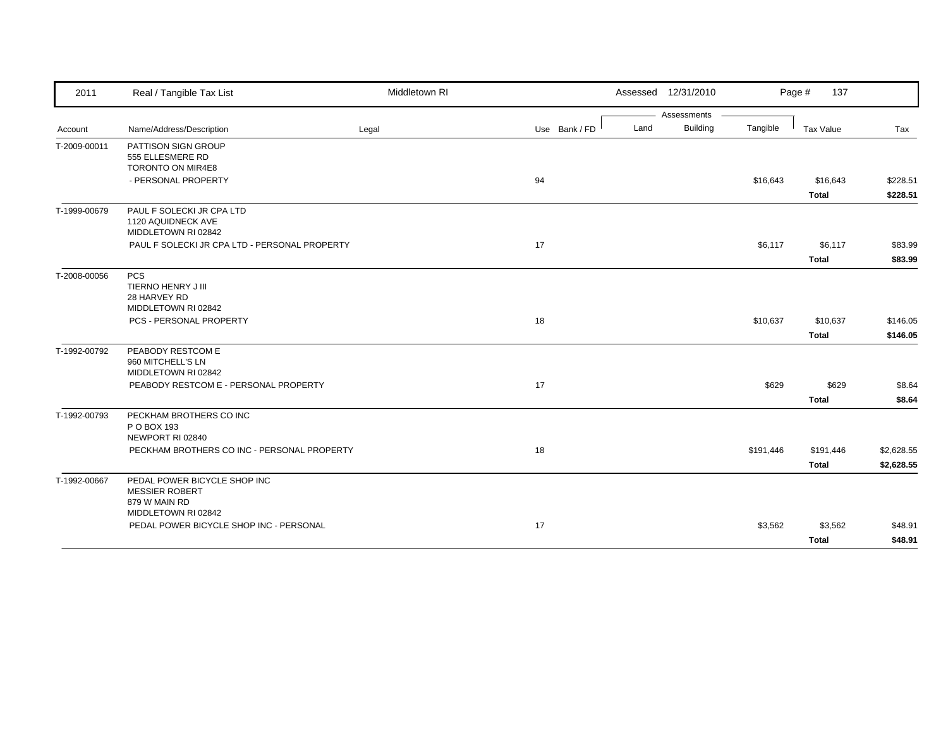| Assessments<br><b>Building</b><br>Land<br>Tangible<br><b>Tax Value</b><br>Name/Address/Description<br>Use Bank / FD<br>Legal<br>Tax<br>Account<br>PATTISON SIGN GROUP<br>555 ELLESMERE RD<br>TORONTO ON MIR4E8<br>- PERSONAL PROPERTY<br>94<br>\$16,643<br>\$16,643<br><b>Total</b><br>PAUL F SOLECKI JR CPA LTD<br>T-1999-00679<br>1120 AQUIDNECK AVE<br>MIDDLETOWN RI 02842<br>17<br>\$6,117<br>PAUL F SOLECKI JR CPA LTD - PERSONAL PROPERTY<br>\$6,117<br><b>Total</b><br><b>PCS</b><br>TIERNO HENRY J III<br>28 HARVEY RD<br>MIDDLETOWN RI 02842<br>PCS - PERSONAL PROPERTY<br>18<br>\$10,637<br>\$10,637<br><b>Total</b><br>PEABODY RESTCOM E<br>960 MITCHELL'S LN<br>MIDDLETOWN RI 02842<br>PEABODY RESTCOM E - PERSONAL PROPERTY<br>17<br>\$629<br>\$629<br><b>Total</b><br>PECKHAM BROTHERS CO INC<br>P O BOX 193<br>NEWPORT RI 02840<br>PECKHAM BROTHERS CO INC - PERSONAL PROPERTY<br>18<br>\$191,446<br>\$191,446<br><b>Total</b><br>T-1992-00667<br>PEDAL POWER BICYCLE SHOP INC<br><b>MESSIER ROBERT</b><br>879 W MAIN RD<br>MIDDLETOWN RI 02842<br>PEDAL POWER BICYCLE SHOP INC - PERSONAL<br>17<br>\$3,562<br>\$3,562 | 2011         | Real / Tangible Tax List | Middletown RI |  | Assessed 12/31/2010 | Page #<br>137 |         |
|---------------------------------------------------------------------------------------------------------------------------------------------------------------------------------------------------------------------------------------------------------------------------------------------------------------------------------------------------------------------------------------------------------------------------------------------------------------------------------------------------------------------------------------------------------------------------------------------------------------------------------------------------------------------------------------------------------------------------------------------------------------------------------------------------------------------------------------------------------------------------------------------------------------------------------------------------------------------------------------------------------------------------------------------------------------------------------------------------------------------------------------|--------------|--------------------------|---------------|--|---------------------|---------------|---------|
|                                                                                                                                                                                                                                                                                                                                                                                                                                                                                                                                                                                                                                                                                                                                                                                                                                                                                                                                                                                                                                                                                                                                       |              |                          |               |  |                     |               |         |
| \$228.51<br>\$228.51                                                                                                                                                                                                                                                                                                                                                                                                                                                                                                                                                                                                                                                                                                                                                                                                                                                                                                                                                                                                                                                                                                                  |              |                          |               |  |                     |               |         |
|                                                                                                                                                                                                                                                                                                                                                                                                                                                                                                                                                                                                                                                                                                                                                                                                                                                                                                                                                                                                                                                                                                                                       | T-2009-00011 |                          |               |  |                     |               |         |
|                                                                                                                                                                                                                                                                                                                                                                                                                                                                                                                                                                                                                                                                                                                                                                                                                                                                                                                                                                                                                                                                                                                                       |              |                          |               |  |                     |               |         |
|                                                                                                                                                                                                                                                                                                                                                                                                                                                                                                                                                                                                                                                                                                                                                                                                                                                                                                                                                                                                                                                                                                                                       |              |                          |               |  |                     |               |         |
|                                                                                                                                                                                                                                                                                                                                                                                                                                                                                                                                                                                                                                                                                                                                                                                                                                                                                                                                                                                                                                                                                                                                       |              |                          |               |  |                     |               |         |
|                                                                                                                                                                                                                                                                                                                                                                                                                                                                                                                                                                                                                                                                                                                                                                                                                                                                                                                                                                                                                                                                                                                                       |              |                          |               |  |                     |               |         |
|                                                                                                                                                                                                                                                                                                                                                                                                                                                                                                                                                                                                                                                                                                                                                                                                                                                                                                                                                                                                                                                                                                                                       |              |                          |               |  |                     |               |         |
| \$83.99<br>\$83.99<br>\$146.05<br>\$146.05<br>\$8.64<br>\$8.64<br>\$2,628.55<br>\$2,628.55<br>\$48.91                                                                                                                                                                                                                                                                                                                                                                                                                                                                                                                                                                                                                                                                                                                                                                                                                                                                                                                                                                                                                                 |              |                          |               |  |                     |               |         |
|                                                                                                                                                                                                                                                                                                                                                                                                                                                                                                                                                                                                                                                                                                                                                                                                                                                                                                                                                                                                                                                                                                                                       |              |                          |               |  |                     |               |         |
|                                                                                                                                                                                                                                                                                                                                                                                                                                                                                                                                                                                                                                                                                                                                                                                                                                                                                                                                                                                                                                                                                                                                       |              |                          |               |  |                     |               |         |
|                                                                                                                                                                                                                                                                                                                                                                                                                                                                                                                                                                                                                                                                                                                                                                                                                                                                                                                                                                                                                                                                                                                                       | T-2008-00056 |                          |               |  |                     |               |         |
|                                                                                                                                                                                                                                                                                                                                                                                                                                                                                                                                                                                                                                                                                                                                                                                                                                                                                                                                                                                                                                                                                                                                       |              |                          |               |  |                     |               |         |
|                                                                                                                                                                                                                                                                                                                                                                                                                                                                                                                                                                                                                                                                                                                                                                                                                                                                                                                                                                                                                                                                                                                                       |              |                          |               |  |                     |               |         |
|                                                                                                                                                                                                                                                                                                                                                                                                                                                                                                                                                                                                                                                                                                                                                                                                                                                                                                                                                                                                                                                                                                                                       |              |                          |               |  |                     |               |         |
|                                                                                                                                                                                                                                                                                                                                                                                                                                                                                                                                                                                                                                                                                                                                                                                                                                                                                                                                                                                                                                                                                                                                       |              |                          |               |  |                     |               |         |
|                                                                                                                                                                                                                                                                                                                                                                                                                                                                                                                                                                                                                                                                                                                                                                                                                                                                                                                                                                                                                                                                                                                                       |              |                          |               |  |                     |               |         |
|                                                                                                                                                                                                                                                                                                                                                                                                                                                                                                                                                                                                                                                                                                                                                                                                                                                                                                                                                                                                                                                                                                                                       | T-1992-00792 |                          |               |  |                     |               |         |
|                                                                                                                                                                                                                                                                                                                                                                                                                                                                                                                                                                                                                                                                                                                                                                                                                                                                                                                                                                                                                                                                                                                                       |              |                          |               |  |                     |               |         |
|                                                                                                                                                                                                                                                                                                                                                                                                                                                                                                                                                                                                                                                                                                                                                                                                                                                                                                                                                                                                                                                                                                                                       |              |                          |               |  |                     |               |         |
|                                                                                                                                                                                                                                                                                                                                                                                                                                                                                                                                                                                                                                                                                                                                                                                                                                                                                                                                                                                                                                                                                                                                       |              |                          |               |  |                     |               |         |
|                                                                                                                                                                                                                                                                                                                                                                                                                                                                                                                                                                                                                                                                                                                                                                                                                                                                                                                                                                                                                                                                                                                                       |              |                          |               |  |                     |               |         |
|                                                                                                                                                                                                                                                                                                                                                                                                                                                                                                                                                                                                                                                                                                                                                                                                                                                                                                                                                                                                                                                                                                                                       | T-1992-00793 |                          |               |  |                     |               |         |
|                                                                                                                                                                                                                                                                                                                                                                                                                                                                                                                                                                                                                                                                                                                                                                                                                                                                                                                                                                                                                                                                                                                                       |              |                          |               |  |                     |               |         |
|                                                                                                                                                                                                                                                                                                                                                                                                                                                                                                                                                                                                                                                                                                                                                                                                                                                                                                                                                                                                                                                                                                                                       |              |                          |               |  |                     |               |         |
|                                                                                                                                                                                                                                                                                                                                                                                                                                                                                                                                                                                                                                                                                                                                                                                                                                                                                                                                                                                                                                                                                                                                       |              |                          |               |  |                     |               |         |
|                                                                                                                                                                                                                                                                                                                                                                                                                                                                                                                                                                                                                                                                                                                                                                                                                                                                                                                                                                                                                                                                                                                                       |              |                          |               |  |                     |               |         |
|                                                                                                                                                                                                                                                                                                                                                                                                                                                                                                                                                                                                                                                                                                                                                                                                                                                                                                                                                                                                                                                                                                                                       |              |                          |               |  |                     |               |         |
|                                                                                                                                                                                                                                                                                                                                                                                                                                                                                                                                                                                                                                                                                                                                                                                                                                                                                                                                                                                                                                                                                                                                       |              |                          |               |  |                     |               |         |
|                                                                                                                                                                                                                                                                                                                                                                                                                                                                                                                                                                                                                                                                                                                                                                                                                                                                                                                                                                                                                                                                                                                                       |              |                          |               |  |                     |               |         |
|                                                                                                                                                                                                                                                                                                                                                                                                                                                                                                                                                                                                                                                                                                                                                                                                                                                                                                                                                                                                                                                                                                                                       |              |                          |               |  |                     |               |         |
|                                                                                                                                                                                                                                                                                                                                                                                                                                                                                                                                                                                                                                                                                                                                                                                                                                                                                                                                                                                                                                                                                                                                       |              |                          |               |  |                     | <b>Total</b>  | \$48.91 |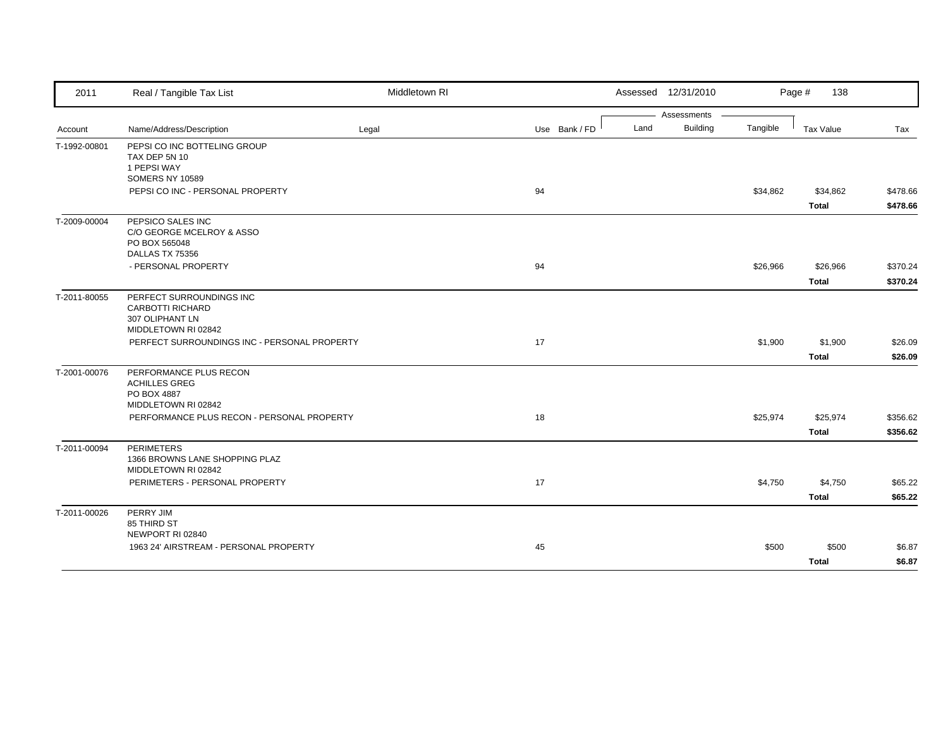| 2011         | Real / Tangible Tax List                                                               | Middletown RI |               | Assessed 12/31/2010 |                 |          | Page #<br>138    |          |
|--------------|----------------------------------------------------------------------------------------|---------------|---------------|---------------------|-----------------|----------|------------------|----------|
|              |                                                                                        |               |               |                     | Assessments     |          |                  |          |
| Account      | Name/Address/Description                                                               | Legal         | Use Bank / FD | Land                | <b>Building</b> | Tangible | <b>Tax Value</b> | Tax      |
| T-1992-00801 | PEPSI CO INC BOTTELING GROUP<br>TAX DEP 5N 10<br>1 PEPSI WAY<br>SOMERS NY 10589        |               |               |                     |                 |          |                  |          |
|              | PEPSI CO INC - PERSONAL PROPERTY                                                       |               | 94            |                     |                 | \$34,862 | \$34,862         | \$478.66 |
|              |                                                                                        |               |               |                     |                 |          | <b>Total</b>     | \$478.66 |
| T-2009-00004 | PEPSICO SALES INC<br>C/O GEORGE MCELROY & ASSO<br>PO BOX 565048<br>DALLAS TX 75356     |               |               |                     |                 |          |                  |          |
|              | - PERSONAL PROPERTY                                                                    |               | 94            |                     |                 | \$26,966 | \$26,966         | \$370.24 |
|              |                                                                                        |               |               |                     |                 |          | <b>Total</b>     | \$370.24 |
| T-2011-80055 | PERFECT SURROUNDINGS INC<br>CARBOTTI RICHARD<br>307 OLIPHANT LN<br>MIDDLETOWN RI 02842 |               |               |                     |                 |          |                  |          |
|              | PERFECT SURROUNDINGS INC - PERSONAL PROPERTY                                           |               | 17            |                     |                 | \$1,900  | \$1,900          | \$26.09  |
|              |                                                                                        |               |               |                     |                 |          | <b>Total</b>     | \$26.09  |
| T-2001-00076 | PERFORMANCE PLUS RECON<br><b>ACHILLES GREG</b><br>PO BOX 4887<br>MIDDLETOWN RI 02842   |               |               |                     |                 |          |                  |          |
|              | PERFORMANCE PLUS RECON - PERSONAL PROPERTY                                             |               | 18            |                     |                 | \$25,974 | \$25,974         | \$356.62 |
|              |                                                                                        |               |               |                     |                 |          | Total            | \$356.62 |
| T-2011-00094 | <b>PERIMETERS</b><br>1366 BROWNS LANE SHOPPING PLAZ<br>MIDDLETOWN RI 02842             |               |               |                     |                 |          |                  |          |
|              | PERIMETERS - PERSONAL PROPERTY                                                         |               | 17            |                     |                 | \$4,750  | \$4,750          | \$65.22  |
|              |                                                                                        |               |               |                     |                 |          | <b>Total</b>     | \$65.22  |
| T-2011-00026 | PERRY JIM<br>85 THIRD ST<br>NEWPORT RI 02840                                           |               |               |                     |                 |          |                  |          |
|              | 1963 24' AIRSTREAM - PERSONAL PROPERTY                                                 |               | 45            |                     |                 | \$500    | \$500            | \$6.87   |
|              |                                                                                        |               |               |                     |                 |          | <b>Total</b>     | \$6.87   |
|              |                                                                                        |               |               |                     |                 |          |                  |          |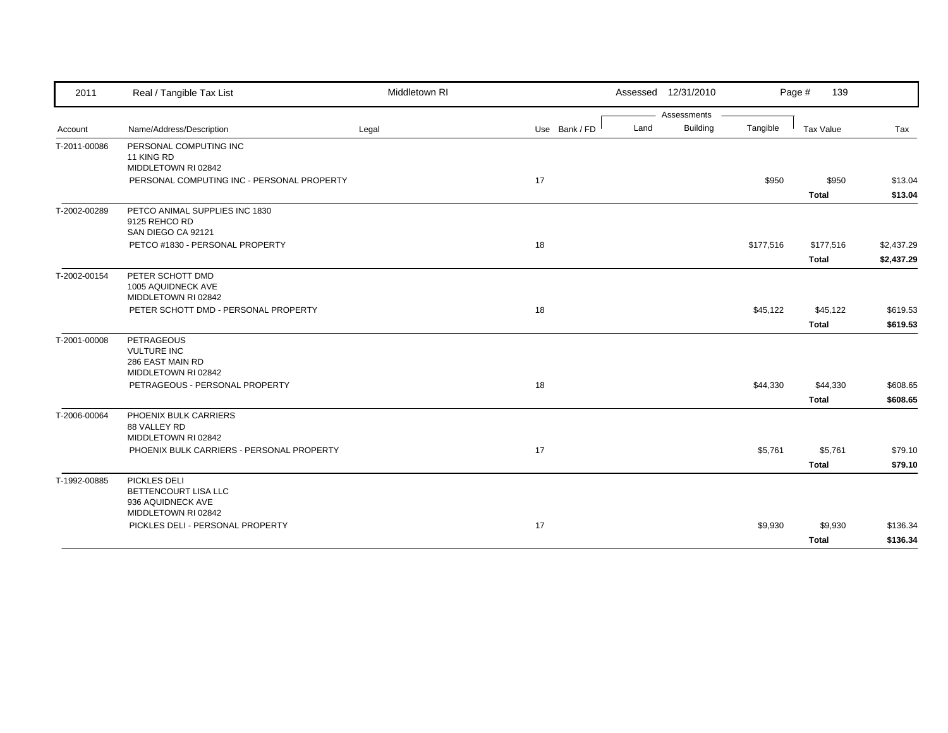| 2011         | Real / Tangible Tax List                                                           | Middletown RI |               |      | Assessed 12/31/2010 |           | Page #<br>139            |                          |
|--------------|------------------------------------------------------------------------------------|---------------|---------------|------|---------------------|-----------|--------------------------|--------------------------|
|              |                                                                                    |               |               |      | Assessments         |           |                          |                          |
| Account      | Name/Address/Description                                                           | Legal         | Use Bank / FD | Land | <b>Building</b>     | Tangible  | Tax Value                | Tax                      |
| T-2011-00086 | PERSONAL COMPUTING INC<br>11 KING RD<br>MIDDLETOWN RI 02842                        |               |               |      |                     |           |                          |                          |
|              | PERSONAL COMPUTING INC - PERSONAL PROPERTY                                         |               | 17            |      |                     | \$950     | \$950<br><b>Total</b>    | \$13.04<br>\$13.04       |
| T-2002-00289 | PETCO ANIMAL SUPPLIES INC 1830<br>9125 REHCO RD<br>SAN DIEGO CA 92121              |               |               |      |                     |           |                          |                          |
|              | PETCO #1830 - PERSONAL PROPERTY                                                    |               | 18            |      |                     | \$177,516 | \$177,516<br>Total       | \$2,437.29<br>\$2,437.29 |
| T-2002-00154 | PETER SCHOTT DMD<br>1005 AQUIDNECK AVE<br>MIDDLETOWN RI 02842                      |               |               |      |                     |           |                          |                          |
|              | PETER SCHOTT DMD - PERSONAL PROPERTY                                               |               | 18            |      |                     | \$45,122  | \$45,122<br><b>Total</b> | \$619.53<br>\$619.53     |
| T-2001-00008 | <b>PETRAGEOUS</b><br><b>VULTURE INC</b><br>286 EAST MAIN RD<br>MIDDLETOWN RI 02842 |               |               |      |                     |           |                          |                          |
|              | PETRAGEOUS - PERSONAL PROPERTY                                                     |               | 18            |      |                     | \$44,330  | \$44,330<br><b>Total</b> | \$608.65<br>\$608.65     |
| T-2006-00064 | PHOENIX BULK CARRIERS<br>88 VALLEY RD<br>MIDDLETOWN RI 02842                       |               |               |      |                     |           |                          |                          |
|              | PHOENIX BULK CARRIERS - PERSONAL PROPERTY                                          |               | 17            |      |                     | \$5,761   | \$5,761<br><b>Total</b>  | \$79.10<br>\$79.10       |
| T-1992-00885 | PICKLES DELI<br>BETTENCOURT LISA LLC<br>936 AQUIDNECK AVE<br>MIDDLETOWN RI 02842   |               |               |      |                     |           |                          |                          |
|              | PICKLES DELI - PERSONAL PROPERTY                                                   |               | 17            |      |                     | \$9,930   | \$9,930<br><b>Total</b>  | \$136.34<br>\$136.34     |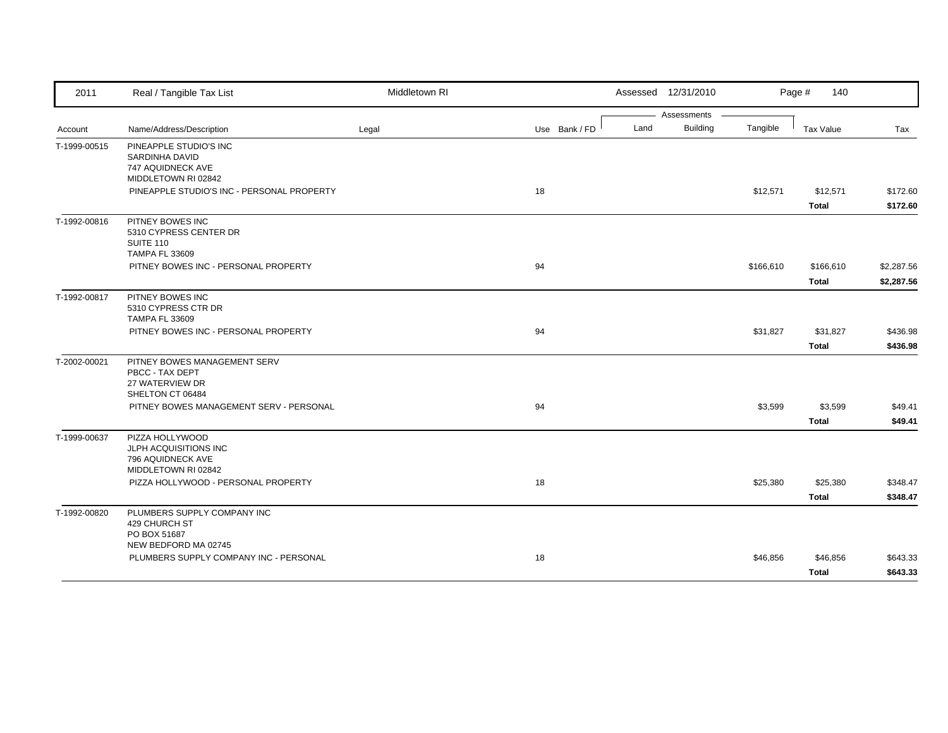| 2011         | Real / Tangible Tax List                   | Middletown RI |               |      | Assessed 12/31/2010 |           | Page #<br>140    |            |
|--------------|--------------------------------------------|---------------|---------------|------|---------------------|-----------|------------------|------------|
|              |                                            |               |               |      | Assessments         |           |                  |            |
| Account      | Name/Address/Description                   | Legal         | Use Bank / FD | Land | <b>Building</b>     | Tangible  | <b>Tax Value</b> | Tax        |
| T-1999-00515 | PINEAPPLE STUDIO'S INC                     |               |               |      |                     |           |                  |            |
|              | <b>SARDINHA DAVID</b><br>747 AQUIDNECK AVE |               |               |      |                     |           |                  |            |
|              | MIDDLETOWN RI 02842                        |               |               |      |                     |           |                  |            |
|              | PINEAPPLE STUDIO'S INC - PERSONAL PROPERTY |               | 18            |      |                     | \$12,571  | \$12,571         | \$172.60   |
|              |                                            |               |               |      |                     |           | <b>Total</b>     | \$172.60   |
| T-1992-00816 | PITNEY BOWES INC                           |               |               |      |                     |           |                  |            |
|              | 5310 CYPRESS CENTER DR                     |               |               |      |                     |           |                  |            |
|              | SUITE 110<br><b>TAMPA FL 33609</b>         |               |               |      |                     |           |                  |            |
|              | PITNEY BOWES INC - PERSONAL PROPERTY       |               | 94            |      |                     | \$166,610 | \$166,610        | \$2,287.56 |
|              |                                            |               |               |      |                     |           | Total            | \$2,287.56 |
| T-1992-00817 | PITNEY BOWES INC                           |               |               |      |                     |           |                  |            |
|              | 5310 CYPRESS CTR DR                        |               |               |      |                     |           |                  |            |
|              | <b>TAMPA FL 33609</b>                      |               |               |      |                     |           |                  |            |
|              | PITNEY BOWES INC - PERSONAL PROPERTY       |               | 94            |      |                     | \$31,827  | \$31,827         | \$436.98   |
|              |                                            |               |               |      |                     |           | <b>Total</b>     | \$436.98   |
| T-2002-00021 | PITNEY BOWES MANAGEMENT SERV               |               |               |      |                     |           |                  |            |
|              | PBCC - TAX DEPT<br>27 WATERVIEW DR         |               |               |      |                     |           |                  |            |
|              | SHELTON CT 06484                           |               |               |      |                     |           |                  |            |
|              | PITNEY BOWES MANAGEMENT SERV - PERSONAL    |               | 94            |      |                     | \$3,599   | \$3,599          | \$49.41    |
|              |                                            |               |               |      |                     |           | <b>Total</b>     | \$49.41    |
| T-1999-00637 | PIZZA HOLLYWOOD                            |               |               |      |                     |           |                  |            |
|              | JLPH ACQUISITIONS INC<br>796 AQUIDNECK AVE |               |               |      |                     |           |                  |            |
|              | MIDDLETOWN RI 02842                        |               |               |      |                     |           |                  |            |
|              | PIZZA HOLLYWOOD - PERSONAL PROPERTY        |               | 18            |      |                     | \$25,380  | \$25,380         | \$348.47   |
|              |                                            |               |               |      |                     |           | <b>Total</b>     | \$348.47   |
| T-1992-00820 | PLUMBERS SUPPLY COMPANY INC                |               |               |      |                     |           |                  |            |
|              | 429 CHURCH ST                              |               |               |      |                     |           |                  |            |
|              | PO BOX 51687<br>NEW BEDFORD MA 02745       |               |               |      |                     |           |                  |            |
|              | PLUMBERS SUPPLY COMPANY INC - PERSONAL     |               | 18            |      |                     | \$46,856  | \$46,856         | \$643.33   |
|              |                                            |               |               |      |                     |           | Total            | \$643.33   |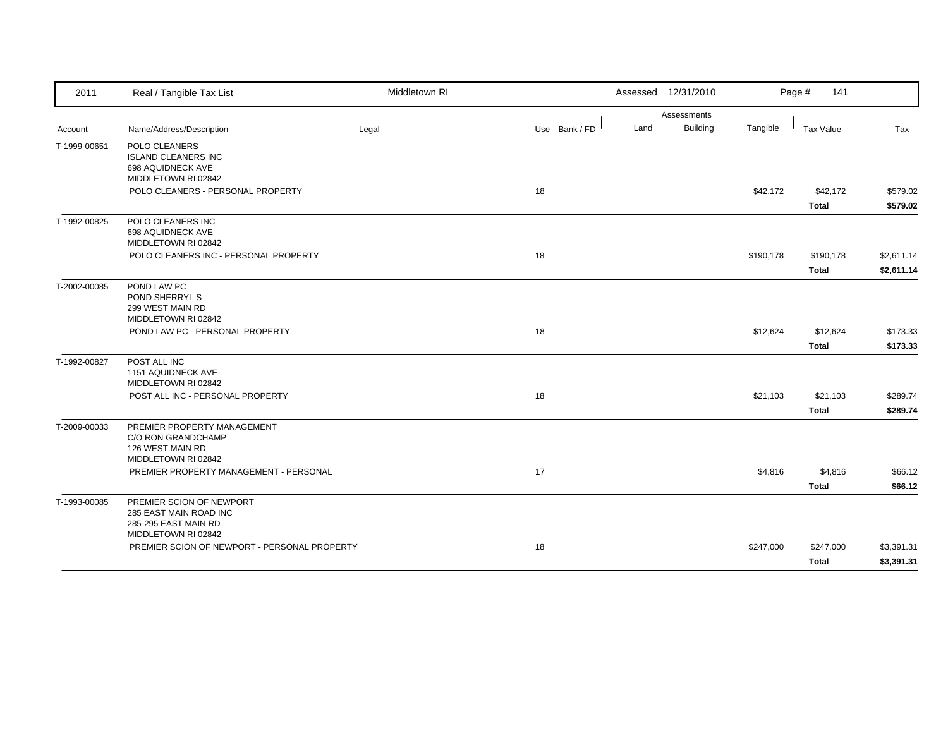| 2011         | Real / Tangible Tax List                                                                          | Middletown RI |               | Assessed 12/31/2010     |           | Page #<br>141             |                          |
|--------------|---------------------------------------------------------------------------------------------------|---------------|---------------|-------------------------|-----------|---------------------------|--------------------------|
|              |                                                                                                   |               |               | Assessments             |           |                           |                          |
| Account      | Name/Address/Description                                                                          | Legal         | Use Bank / FD | <b>Building</b><br>Land | Tangible  | Tax Value                 | Tax                      |
| T-1999-00651 | POLO CLEANERS<br><b>ISLAND CLEANERS INC</b><br>698 AQUIDNECK AVE<br>MIDDLETOWN RI 02842           |               |               |                         |           |                           |                          |
|              | POLO CLEANERS - PERSONAL PROPERTY                                                                 |               | 18            |                         | \$42,172  | \$42,172<br><b>Total</b>  | \$579.02<br>\$579.02     |
| T-1992-00825 | POLO CLEANERS INC<br>698 AQUIDNECK AVE<br>MIDDLETOWN RI 02842                                     |               |               |                         |           |                           |                          |
|              | POLO CLEANERS INC - PERSONAL PROPERTY                                                             |               | 18            |                         | \$190,178 | \$190,178<br><b>Total</b> | \$2,611.14<br>\$2,611.14 |
| T-2002-00085 | POND LAW PC<br>POND SHERRYL S<br>299 WEST MAIN RD<br>MIDDLETOWN RI 02842                          |               |               |                         |           |                           |                          |
|              | POND LAW PC - PERSONAL PROPERTY                                                                   |               | 18            |                         | \$12,624  | \$12,624<br><b>Total</b>  | \$173.33<br>\$173.33     |
| T-1992-00827 | POST ALL INC<br>1151 AQUIDNECK AVE<br>MIDDLETOWN RI 02842                                         |               |               |                         |           |                           |                          |
|              | POST ALL INC - PERSONAL PROPERTY                                                                  |               | 18            |                         | \$21,103  | \$21,103<br><b>Total</b>  | \$289.74<br>\$289.74     |
| T-2009-00033 | PREMIER PROPERTY MANAGEMENT<br>C/O RON GRANDCHAMP<br>126 WEST MAIN RD<br>MIDDLETOWN RI 02842      |               |               |                         |           |                           |                          |
|              | PREMIER PROPERTY MANAGEMENT - PERSONAL                                                            |               | 17            |                         | \$4,816   | \$4,816<br><b>Total</b>   | \$66.12<br>\$66.12       |
| T-1993-00085 | PREMIER SCION OF NEWPORT<br>285 EAST MAIN ROAD INC<br>285-295 EAST MAIN RD<br>MIDDLETOWN RI 02842 |               |               |                         |           |                           |                          |
|              | PREMIER SCION OF NEWPORT - PERSONAL PROPERTY                                                      |               | 18            |                         | \$247,000 | \$247,000<br><b>Total</b> | \$3,391.31<br>\$3,391.31 |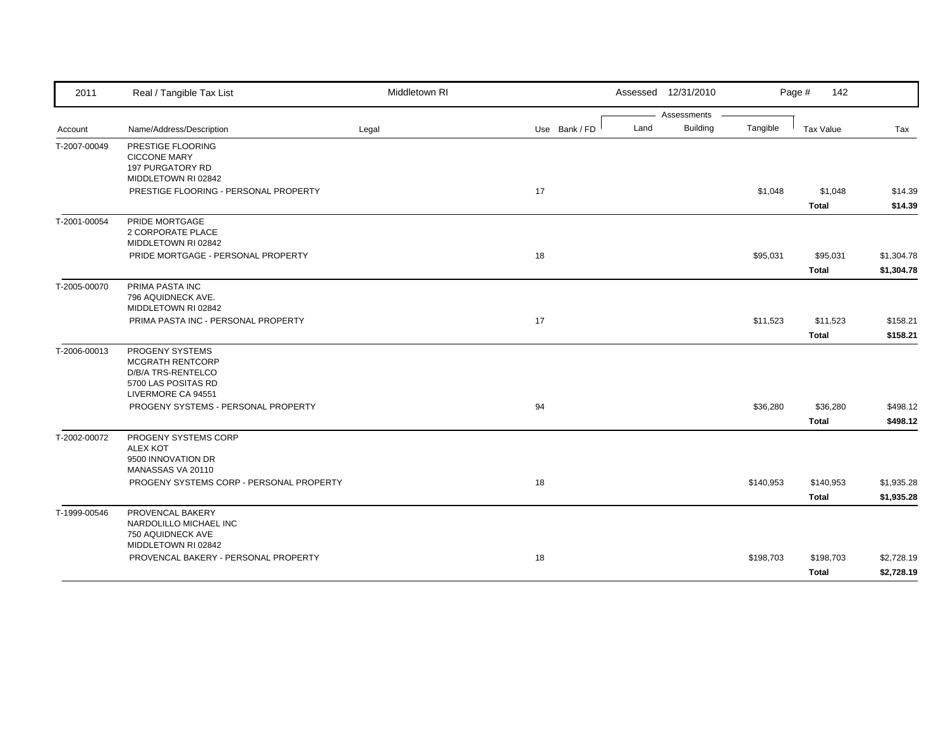| 2011         | Real / Tangible Tax List                                                                               | Middletown RI |               | Assessed 12/31/2010     |           | Page #<br>142            |                          |
|--------------|--------------------------------------------------------------------------------------------------------|---------------|---------------|-------------------------|-----------|--------------------------|--------------------------|
|              |                                                                                                        |               |               | Assessments             |           |                          |                          |
| Account      | Name/Address/Description                                                                               | Legal         | Use Bank / FD | Land<br><b>Building</b> | Tangible  | Tax Value                | Tax                      |
| T-2007-00049 | PRESTIGE FLOORING<br><b>CICCONE MARY</b><br><b>197 PURGATORY RD</b>                                    |               |               |                         |           |                          |                          |
|              | MIDDLETOWN RI 02842                                                                                    |               |               |                         |           |                          |                          |
|              | PRESTIGE FLOORING - PERSONAL PROPERTY                                                                  |               | 17            |                         | \$1,048   | \$1,048<br><b>Total</b>  | \$14.39<br>\$14.39       |
| T-2001-00054 | PRIDE MORTGAGE<br>2 CORPORATE PLACE<br>MIDDLETOWN RI 02842                                             |               |               |                         |           |                          |                          |
|              | PRIDE MORTGAGE - PERSONAL PROPERTY                                                                     |               | 18            |                         | \$95,031  | \$95,031                 | \$1,304.78               |
|              |                                                                                                        |               |               |                         |           | <b>Total</b>             | \$1,304.78               |
| T-2005-00070 | PRIMA PASTA INC<br>796 AQUIDNECK AVE.<br>MIDDLETOWN RI 02842                                           |               |               |                         |           |                          |                          |
|              | PRIMA PASTA INC - PERSONAL PROPERTY                                                                    |               | 17            |                         | \$11,523  | \$11,523                 | \$158.21                 |
|              |                                                                                                        |               |               |                         |           | <b>Total</b>             | \$158.21                 |
| T-2006-00013 | PROGENY SYSTEMS<br>MCGRATH RENTCORP<br>D/B/A TRS-RENTELCO<br>5700 LAS POSITAS RD<br>LIVERMORE CA 94551 |               |               |                         |           |                          |                          |
|              | PROGENY SYSTEMS - PERSONAL PROPERTY                                                                    |               | 94            |                         | \$36,280  | \$36,280<br><b>Total</b> | \$498.12<br>\$498.12     |
| T-2002-00072 | PROGENY SYSTEMS CORP<br><b>ALEX KOT</b><br>9500 INNOVATION DR                                          |               |               |                         |           |                          |                          |
|              | MANASSAS VA 20110<br>PROGENY SYSTEMS CORP - PERSONAL PROPERTY                                          |               | 18            |                         | \$140,953 | \$140,953                |                          |
|              |                                                                                                        |               |               |                         |           | <b>Total</b>             | \$1,935.28<br>\$1,935.28 |
| T-1999-00546 | PROVENCAL BAKERY<br>NARDOLILLO MICHAEL INC<br>750 AQUIDNECK AVE                                        |               |               |                         |           |                          |                          |
|              | MIDDLETOWN RI 02842                                                                                    |               |               |                         |           |                          |                          |
|              | PROVENCAL BAKERY - PERSONAL PROPERTY                                                                   |               | 18            |                         | \$198,703 | \$198,703                | \$2,728.19               |
|              |                                                                                                        |               |               |                         |           | Total                    | \$2,728.19               |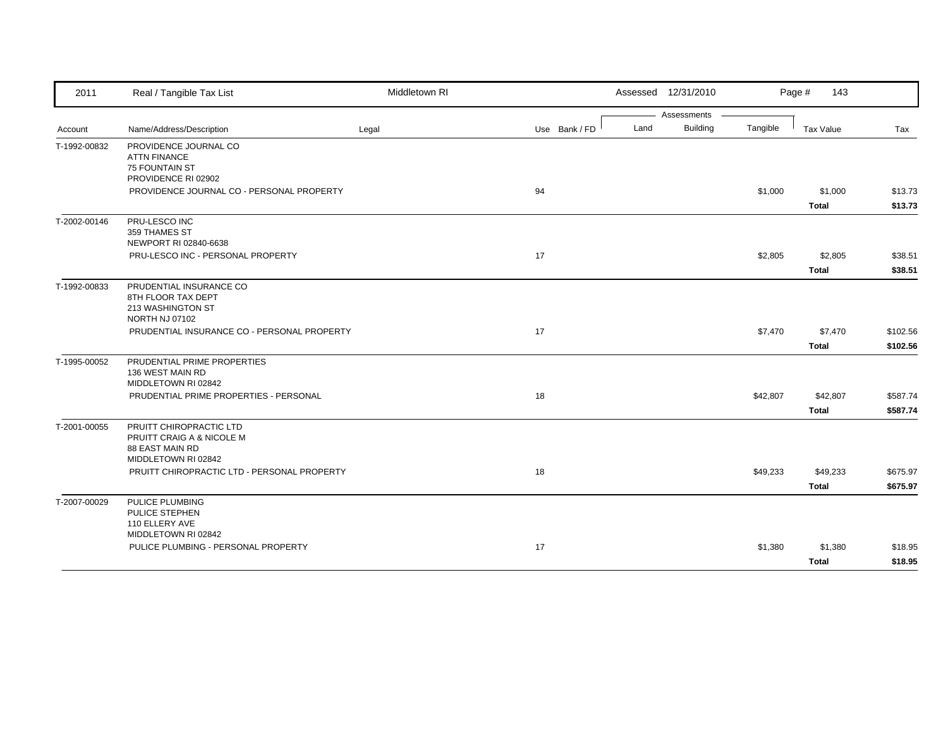| 2011         | Real / Tangible Tax List                                                                              | Middletown RI |               | Assessed 12/31/2010     |          | Page #<br>143 |          |
|--------------|-------------------------------------------------------------------------------------------------------|---------------|---------------|-------------------------|----------|---------------|----------|
|              |                                                                                                       |               |               | Assessments             |          |               |          |
| Account      | Name/Address/Description                                                                              | Legal         | Use Bank / FD | <b>Building</b><br>Land | Tangible | Tax Value     | Tax      |
| T-1992-00832 | PROVIDENCE JOURNAL CO<br><b>ATTN FINANCE</b><br>75 FOUNTAIN ST<br>PROVIDENCE RI 02902                 |               |               |                         |          |               |          |
|              | PROVIDENCE JOURNAL CO - PERSONAL PROPERTY                                                             |               | 94            |                         | \$1,000  | \$1,000       | \$13.73  |
|              |                                                                                                       |               |               |                         |          | <b>Total</b>  | \$13.73  |
| T-2002-00146 | PRU-LESCO INC<br>359 THAMES ST<br>NEWPORT RI 02840-6638                                               |               |               |                         |          |               |          |
|              | PRU-LESCO INC - PERSONAL PROPERTY                                                                     |               | 17            |                         | \$2,805  | \$2,805       | \$38.51  |
|              |                                                                                                       |               |               |                         |          | <b>Total</b>  | \$38.51  |
| T-1992-00833 | PRUDENTIAL INSURANCE CO<br>8TH FLOOR TAX DEPT<br>213 WASHINGTON ST<br><b>NORTH NJ 07102</b>           |               |               |                         |          |               |          |
|              | PRUDENTIAL INSURANCE CO - PERSONAL PROPERTY                                                           |               | 17            |                         | \$7,470  | \$7,470       | \$102.56 |
|              |                                                                                                       |               |               |                         |          | Total         | \$102.56 |
| T-1995-00052 | PRUDENTIAL PRIME PROPERTIES<br>136 WEST MAIN RD<br>MIDDLETOWN RI 02842                                |               |               |                         |          |               |          |
|              | PRUDENTIAL PRIME PROPERTIES - PERSONAL                                                                |               | 18            |                         | \$42,807 | \$42,807      | \$587.74 |
|              |                                                                                                       |               |               |                         |          | Total         | \$587.74 |
| T-2001-00055 | PRUITT CHIROPRACTIC LTD<br>PRUITT CRAIG A & NICOLE M<br><b>88 EAST MAIN RD</b><br>MIDDLETOWN RI 02842 |               |               |                         |          |               |          |
|              | PRUITT CHIROPRACTIC LTD - PERSONAL PROPERTY                                                           |               | 18            |                         | \$49,233 | \$49,233      | \$675.97 |
|              |                                                                                                       |               |               |                         |          | <b>Total</b>  | \$675.97 |
| T-2007-00029 | PULICE PLUMBING<br>PULICE STEPHEN<br>110 ELLERY AVE                                                   |               |               |                         |          |               |          |
|              | MIDDLETOWN RI 02842<br>PULICE PLUMBING - PERSONAL PROPERTY                                            |               | 17            |                         | \$1,380  | \$1,380       | \$18.95  |
|              |                                                                                                       |               |               |                         |          | <b>Total</b>  | \$18.95  |
|              |                                                                                                       |               |               |                         |          |               |          |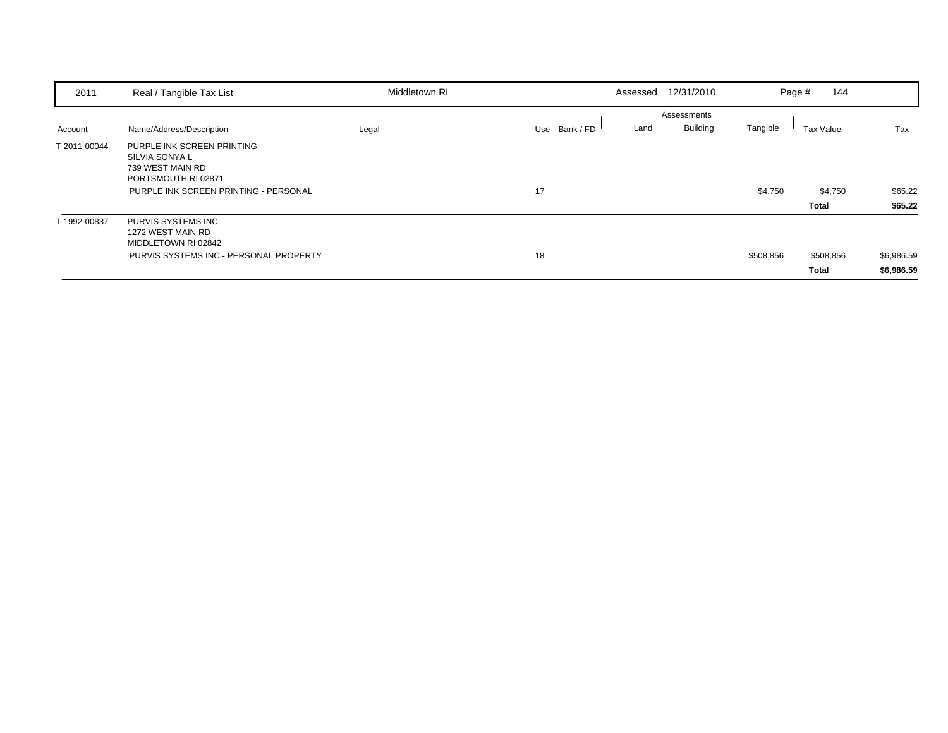| 2011         | Real / Tangible Tax List                                                                                                         | Middletown RI | Assessed 12/31/2010                  |                             | 144<br>Page #      |                          |
|--------------|----------------------------------------------------------------------------------------------------------------------------------|---------------|--------------------------------------|-----------------------------|--------------------|--------------------------|
| Account      | Name/Address/Description                                                                                                         | Legal         | Assessments<br>Use Bank / FD<br>Land | <b>Building</b><br>Tangible | Tax Value          | Tax                      |
| T-2011-00044 | PURPLE INK SCREEN PRINTING<br>SILVIA SONYA L<br>739 WEST MAIN RD<br>PORTSMOUTH RI 02871<br>PURPLE INK SCREEN PRINTING - PERSONAL |               | 17                                   | \$4,750                     | \$4,750<br>Total   | \$65.22<br>\$65.22       |
| T-1992-00837 | PURVIS SYSTEMS INC<br>1272 WEST MAIN RD<br>MIDDLETOWN RI 02842<br>PURVIS SYSTEMS INC - PERSONAL PROPERTY                         |               | 18                                   | \$508,856                   | \$508,856<br>Total | \$6,986.59<br>\$6,986.59 |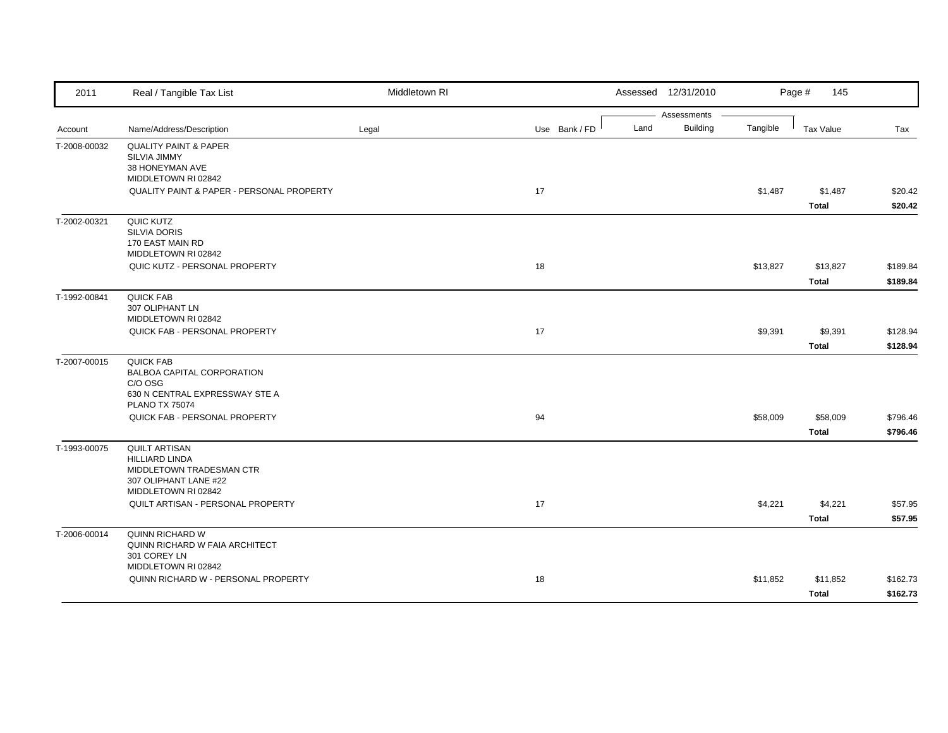| 2011         | Real / Tangible Tax List                                                                                                  | Middletown RI |               |      | Assessed 12/31/2010            |          | Page #<br>145            |                      |
|--------------|---------------------------------------------------------------------------------------------------------------------------|---------------|---------------|------|--------------------------------|----------|--------------------------|----------------------|
| Account      | Name/Address/Description                                                                                                  | Legal         | Use Bank / FD | Land | Assessments<br><b>Building</b> | Tangible | Tax Value                | Tax                  |
| T-2008-00032 | <b>QUALITY PAINT &amp; PAPER</b><br>SILVIA JIMMY<br>38 HONEYMAN AVE<br>MIDDLETOWN RI 02842                                |               |               |      |                                |          |                          |                      |
|              | <b>QUALITY PAINT &amp; PAPER - PERSONAL PROPERTY</b>                                                                      |               | 17            |      |                                | \$1,487  | \$1,487<br><b>Total</b>  | \$20.42<br>\$20.42   |
| T-2002-00321 | QUIC KUTZ<br><b>SILVIA DORIS</b><br>170 EAST MAIN RD<br>MIDDLETOWN RI 02842                                               |               |               |      |                                |          |                          |                      |
|              | QUIC KUTZ - PERSONAL PROPERTY                                                                                             |               | 18            |      |                                | \$13,827 | \$13,827<br><b>Total</b> | \$189.84<br>\$189.84 |
| T-1992-00841 | <b>QUICK FAB</b><br>307 OLIPHANT LN<br>MIDDLETOWN RI 02842                                                                |               |               |      |                                |          |                          |                      |
|              | QUICK FAB - PERSONAL PROPERTY                                                                                             |               | 17            |      |                                | \$9,391  | \$9,391<br><b>Total</b>  | \$128.94<br>\$128.94 |
| T-2007-00015 | <b>QUICK FAB</b><br>BALBOA CAPITAL CORPORATION<br>C/O OSG<br>630 N CENTRAL EXPRESSWAY STE A<br><b>PLANO TX 75074</b>      |               |               |      |                                |          |                          |                      |
|              | QUICK FAB - PERSONAL PROPERTY                                                                                             |               | 94            |      |                                | \$58,009 | \$58,009<br><b>Total</b> | \$796.46<br>\$796.46 |
| T-1993-00075 | <b>QUILT ARTISAN</b><br><b>HILLIARD LINDA</b><br>MIDDLETOWN TRADESMAN CTR<br>307 OLIPHANT LANE #22<br>MIDDLETOWN RI 02842 |               |               |      |                                |          |                          |                      |
|              | QUILT ARTISAN - PERSONAL PROPERTY                                                                                         |               | 17            |      |                                | \$4,221  | \$4,221<br><b>Total</b>  | \$57.95<br>\$57.95   |
| T-2006-00014 | QUINN RICHARD W<br>QUINN RICHARD W FAIA ARCHITECT<br>301 COREY LN                                                         |               |               |      |                                |          |                          |                      |
|              | MIDDLETOWN RI 02842<br>QUINN RICHARD W - PERSONAL PROPERTY                                                                |               | 18            |      |                                | \$11,852 | \$11,852<br><b>Total</b> | \$162.73<br>\$162.73 |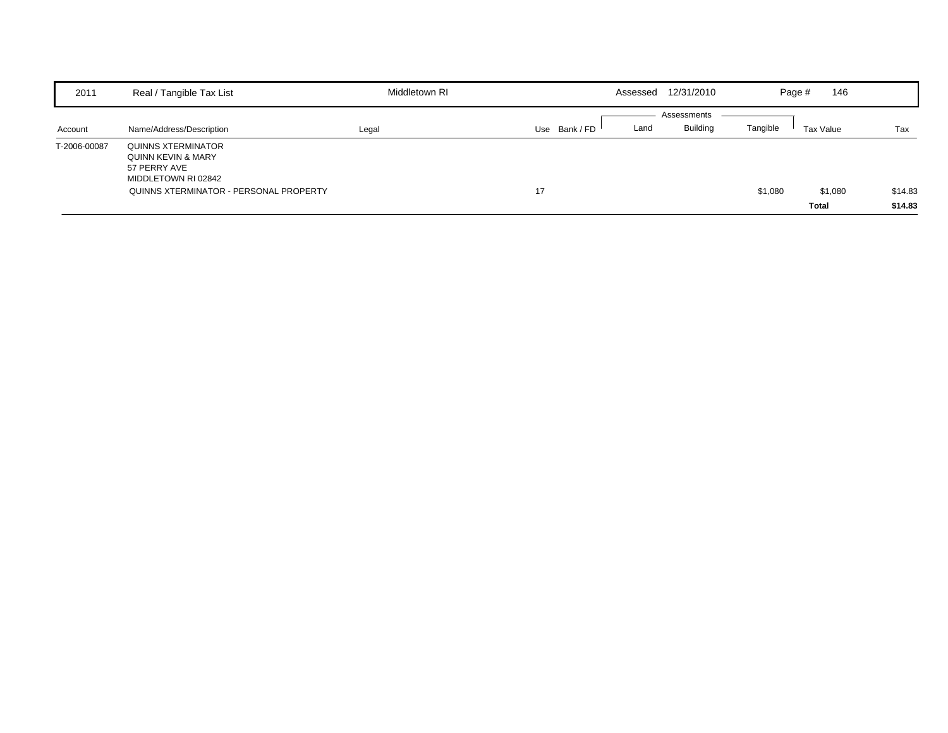| 2011         | Real / Tangible Tax List                                                        | Middletown RI | Assessed              | 12/31/2010      | Page #                | 146                |
|--------------|---------------------------------------------------------------------------------|---------------|-----------------------|-----------------|-----------------------|--------------------|
|              |                                                                                 |               |                       | Assessments     |                       |                    |
| Account      | Name/Address/Description                                                        | Legal         | Use Bank / FD<br>Land | <b>Building</b> | Tangible<br>Tax Value | Tax                |
| T-2006-00087 | QUINNS XTERMINATOR<br>QUINN KEVIN & MARY<br>57 PERRY AVE<br>MIDDLETOWN RI 02842 |               |                       |                 |                       |                    |
|              | QUINNS XTERMINATOR - PERSONAL PROPERTY                                          |               | 17                    |                 | \$1,080               | \$14.83<br>\$1,080 |
|              |                                                                                 |               |                       |                 | <b>Total</b>          | \$14.83            |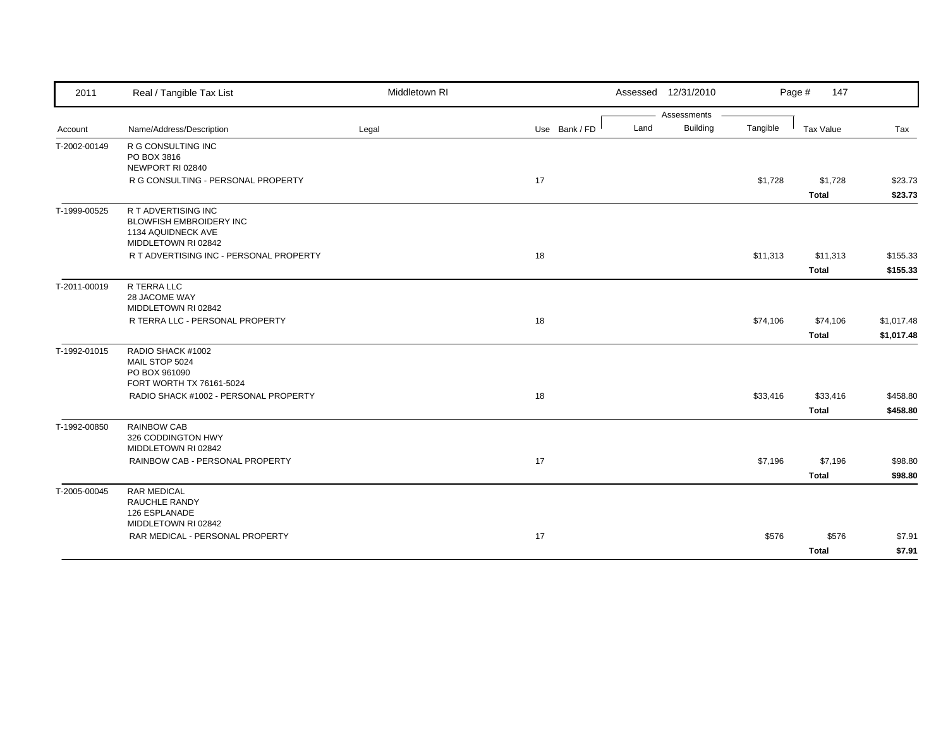| 2011         | Real / Tangible Tax List                               | Middletown RI |               | Assessed 12/31/2010     |          | Page #<br>147 |            |
|--------------|--------------------------------------------------------|---------------|---------------|-------------------------|----------|---------------|------------|
|              |                                                        |               |               | Assessments             |          |               |            |
| Account      | Name/Address/Description                               | Legal         | Use Bank / FD | <b>Building</b><br>Land | Tangible | Tax Value     | Tax        |
| T-2002-00149 | R G CONSULTING INC                                     |               |               |                         |          |               |            |
|              | PO BOX 3816<br>NEWPORT RI 02840                        |               |               |                         |          |               |            |
|              | R G CONSULTING - PERSONAL PROPERTY                     |               | 17            |                         | \$1,728  | \$1,728       | \$23.73    |
|              |                                                        |               |               |                         |          | <b>Total</b>  | \$23.73    |
|              |                                                        |               |               |                         |          |               |            |
| T-1999-00525 | R T ADVERTISING INC<br><b>BLOWFISH EMBROIDERY INC</b>  |               |               |                         |          |               |            |
|              | 1134 AQUIDNECK AVE                                     |               |               |                         |          |               |            |
|              | MIDDLETOWN RI 02842                                    |               |               |                         |          |               |            |
|              | R T ADVERTISING INC - PERSONAL PROPERTY                |               | 18            |                         | \$11,313 | \$11,313      | \$155.33   |
|              |                                                        |               |               |                         |          | <b>Total</b>  | \$155.33   |
| T-2011-00019 | R TERRA LLC                                            |               |               |                         |          |               |            |
|              | 28 JACOME WAY                                          |               |               |                         |          |               |            |
|              | MIDDLETOWN RI 02842                                    |               |               |                         |          |               |            |
|              | R TERRA LLC - PERSONAL PROPERTY                        |               | 18            |                         | \$74,106 | \$74,106      | \$1,017.48 |
|              |                                                        |               |               |                         |          | Total         | \$1,017.48 |
| T-1992-01015 | RADIO SHACK #1002                                      |               |               |                         |          |               |            |
|              | MAIL STOP 5024                                         |               |               |                         |          |               |            |
|              | PO BOX 961090<br>FORT WORTH TX 76161-5024              |               |               |                         |          |               |            |
|              | RADIO SHACK #1002 - PERSONAL PROPERTY                  |               | 18            |                         | \$33,416 | \$33,416      | \$458.80   |
|              |                                                        |               |               |                         |          | <b>Total</b>  | \$458.80   |
| T-1992-00850 | <b>RAINBOW CAB</b>                                     |               |               |                         |          |               |            |
|              | 326 CODDINGTON HWY                                     |               |               |                         |          |               |            |
|              | MIDDLETOWN RI 02842                                    |               |               |                         |          |               |            |
|              | RAINBOW CAB - PERSONAL PROPERTY                        |               | 17            |                         | \$7,196  | \$7,196       | \$98.80    |
|              |                                                        |               |               |                         |          | <b>Total</b>  | \$98.80    |
| T-2005-00045 | <b>RAR MEDICAL</b>                                     |               |               |                         |          |               |            |
|              | RAUCHLE RANDY                                          |               |               |                         |          |               |            |
|              | 126 ESPLANADE                                          |               |               |                         |          |               |            |
|              | MIDDLETOWN RI 02842<br>RAR MEDICAL - PERSONAL PROPERTY |               | 17            |                         |          |               |            |
|              |                                                        |               |               |                         | \$576    | \$576         | \$7.91     |
|              |                                                        |               |               |                         |          | <b>Total</b>  | \$7.91     |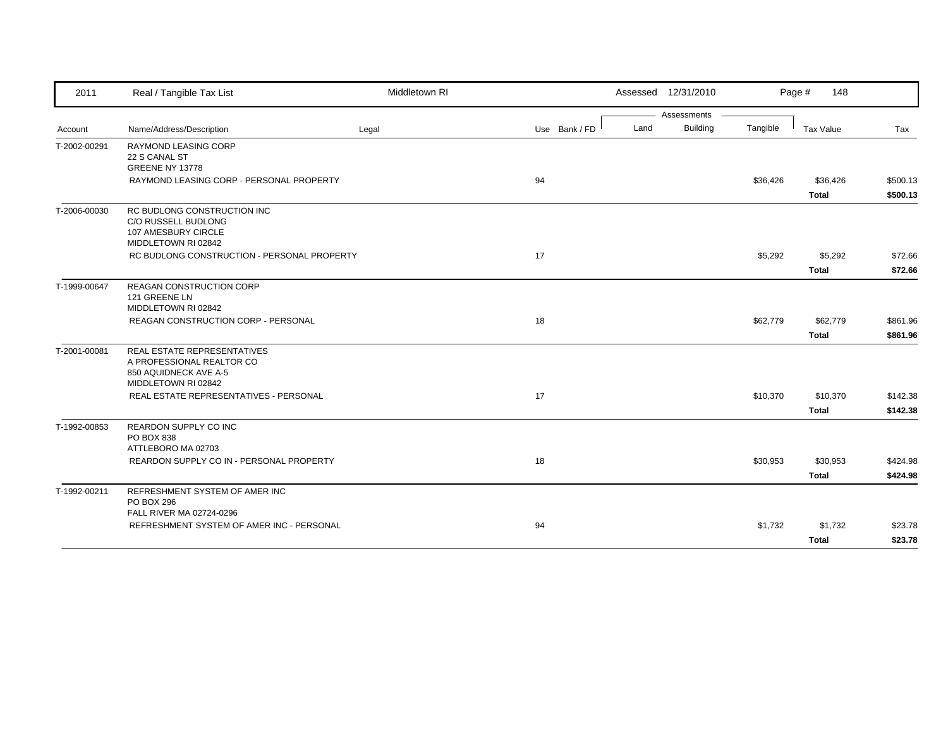| 2011         | Real / Tangible Tax List                                   | Middletown RI |               |      | Assessed 12/31/2010 |          | Page #<br>148 |          |
|--------------|------------------------------------------------------------|---------------|---------------|------|---------------------|----------|---------------|----------|
|              |                                                            |               |               |      | Assessments         |          |               |          |
| Account      | Name/Address/Description                                   | Legal         | Use Bank / FD | Land | <b>Building</b>     | Tangible | Tax Value     | Tax      |
| T-2002-00291 | <b>RAYMOND LEASING CORP</b><br>22 S CANAL ST               |               |               |      |                     |          |               |          |
|              | GREENE NY 13778                                            |               |               |      |                     |          |               |          |
|              | RAYMOND LEASING CORP - PERSONAL PROPERTY                   |               | 94            |      |                     | \$36,426 | \$36,426      | \$500.13 |
|              |                                                            |               |               |      |                     |          | <b>Total</b>  | \$500.13 |
| T-2006-00030 | RC BUDLONG CONSTRUCTION INC                                |               |               |      |                     |          |               |          |
|              | C/O RUSSELL BUDLONG<br>107 AMESBURY CIRCLE                 |               |               |      |                     |          |               |          |
|              | MIDDLETOWN RI 02842                                        |               |               |      |                     |          |               |          |
|              | RC BUDLONG CONSTRUCTION - PERSONAL PROPERTY                |               | 17            |      |                     | \$5,292  | \$5,292       | \$72.66  |
|              |                                                            |               |               |      |                     |          | <b>Total</b>  | \$72.66  |
| T-1999-00647 | REAGAN CONSTRUCTION CORP                                   |               |               |      |                     |          |               |          |
|              | 121 GREENE LN                                              |               |               |      |                     |          |               |          |
|              | MIDDLETOWN RI 02842<br>REAGAN CONSTRUCTION CORP - PERSONAL |               | 18            |      |                     | \$62,779 | \$62,779      | \$861.96 |
|              |                                                            |               |               |      |                     |          |               |          |
|              |                                                            |               |               |      |                     |          | <b>Total</b>  | \$861.96 |
| T-2001-00081 | REAL ESTATE REPRESENTATIVES<br>A PROFESSIONAL REALTOR CO   |               |               |      |                     |          |               |          |
|              | 850 AQUIDNECK AVE A-5                                      |               |               |      |                     |          |               |          |
|              | MIDDLETOWN RI 02842                                        |               |               |      |                     |          |               |          |
|              | REAL ESTATE REPRESENTATIVES - PERSONAL                     |               | 17            |      |                     | \$10,370 | \$10,370      | \$142.38 |
|              |                                                            |               |               |      |                     |          | <b>Total</b>  | \$142.38 |
| T-1992-00853 | REARDON SUPPLY CO INC                                      |               |               |      |                     |          |               |          |
|              | PO BOX 838<br>ATTLEBORO MA 02703                           |               |               |      |                     |          |               |          |
|              | REARDON SUPPLY CO IN - PERSONAL PROPERTY                   |               | 18            |      |                     | \$30,953 | \$30,953      | \$424.98 |
|              |                                                            |               |               |      |                     |          | <b>Total</b>  | \$424.98 |
|              |                                                            |               |               |      |                     |          |               |          |
| T-1992-00211 | REFRESHMENT SYSTEM OF AMER INC<br>PO BOX 296               |               |               |      |                     |          |               |          |
|              | FALL RIVER MA 02724-0296                                   |               |               |      |                     |          |               |          |
|              | REFRESHMENT SYSTEM OF AMER INC - PERSONAL                  |               | 94            |      |                     | \$1,732  | \$1,732       | \$23.78  |
|              |                                                            |               |               |      |                     |          | <b>Total</b>  | \$23.78  |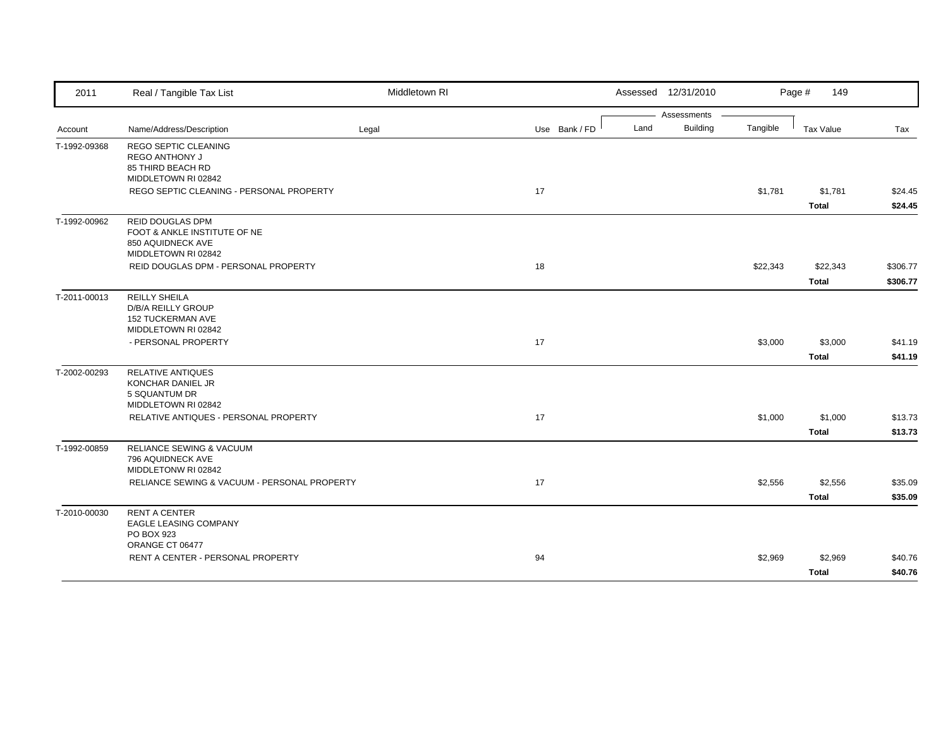| 2011         | Real / Tangible Tax List                                                                             | Middletown RI |               | Assessed 12/31/2010 |                 |          | Page #<br>149    |          |
|--------------|------------------------------------------------------------------------------------------------------|---------------|---------------|---------------------|-----------------|----------|------------------|----------|
|              |                                                                                                      |               |               |                     | Assessments     |          |                  |          |
| Account      | Name/Address/Description                                                                             | Legal         | Use Bank / FD | Land                | <b>Building</b> | Tangible | <b>Tax Value</b> | Tax      |
| T-1992-09368 | <b>REGO SEPTIC CLEANING</b><br>REGO ANTHONY J<br>85 THIRD BEACH RD<br>MIDDLETOWN RI 02842            |               |               |                     |                 |          |                  |          |
|              | REGO SEPTIC CLEANING - PERSONAL PROPERTY                                                             |               | 17            |                     |                 | \$1,781  | \$1,781          | \$24.45  |
|              |                                                                                                      |               |               |                     |                 |          | <b>Total</b>     | \$24.45  |
| T-1992-00962 | <b>REID DOUGLAS DPM</b><br>FOOT & ANKLE INSTITUTE OF NE<br>850 AQUIDNECK AVE<br>MIDDLETOWN RI 02842  |               |               |                     |                 |          |                  |          |
|              | REID DOUGLAS DPM - PERSONAL PROPERTY                                                                 |               | 18            |                     |                 | \$22,343 | \$22,343         | \$306.77 |
|              |                                                                                                      |               |               |                     |                 |          | <b>Total</b>     | \$306.77 |
| T-2011-00013 | <b>REILLY SHEILA</b><br><b>D/B/A REILLY GROUP</b><br><b>152 TUCKERMAN AVE</b><br>MIDDLETOWN RI 02842 |               |               |                     |                 |          |                  |          |
|              | - PERSONAL PROPERTY                                                                                  |               | 17            |                     |                 | \$3,000  | \$3,000          | \$41.19  |
|              |                                                                                                      |               |               |                     |                 |          | <b>Total</b>     | \$41.19  |
| T-2002-00293 | <b>RELATIVE ANTIQUES</b><br>KONCHAR DANIEL JR<br>5 SQUANTUM DR<br>MIDDLETOWN RI 02842                |               |               |                     |                 |          |                  |          |
|              | RELATIVE ANTIQUES - PERSONAL PROPERTY                                                                |               | 17            |                     |                 | \$1,000  | \$1,000          | \$13.73  |
|              |                                                                                                      |               |               |                     |                 |          | <b>Total</b>     | \$13.73  |
| T-1992-00859 | RELIANCE SEWING & VACUUM<br>796 AQUIDNECK AVE<br>MIDDLETONW RI 02842                                 |               |               |                     |                 |          |                  |          |
|              | RELIANCE SEWING & VACUUM - PERSONAL PROPERTY                                                         |               | 17            |                     |                 | \$2,556  | \$2,556          | \$35.09  |
|              |                                                                                                      |               |               |                     |                 |          | <b>Total</b>     | \$35.09  |
| T-2010-00030 | <b>RENT A CENTER</b><br><b>EAGLE LEASING COMPANY</b><br>PO BOX 923<br>ORANGE CT 06477                |               |               |                     |                 |          |                  |          |
|              | RENT A CENTER - PERSONAL PROPERTY                                                                    |               | 94            |                     |                 | \$2,969  | \$2,969          | \$40.76  |
|              |                                                                                                      |               |               |                     |                 |          | <b>Total</b>     | \$40.76  |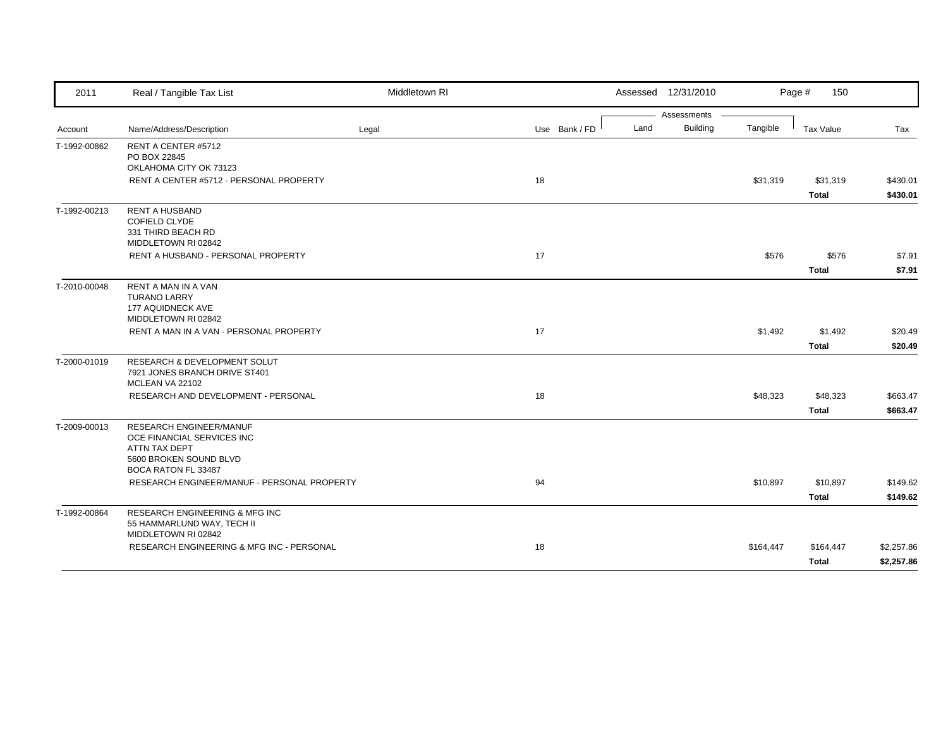| 2011         | Real / Tangible Tax List                                         | Middletown RI |               | Assessed 12/31/2010 |                 |           | Page #<br>150    |            |
|--------------|------------------------------------------------------------------|---------------|---------------|---------------------|-----------------|-----------|------------------|------------|
|              |                                                                  |               |               |                     | Assessments     |           |                  |            |
| Account      | Name/Address/Description                                         | Legal         | Use Bank / FD | Land                | <b>Building</b> | Tangible  | <b>Tax Value</b> | Tax        |
| T-1992-00862 | RENT A CENTER #5712                                              |               |               |                     |                 |           |                  |            |
|              | PO BOX 22845<br>OKLAHOMA CITY OK 73123                           |               |               |                     |                 |           |                  |            |
|              | RENT A CENTER #5712 - PERSONAL PROPERTY                          |               | 18            |                     |                 | \$31,319  | \$31,319         | \$430.01   |
|              |                                                                  |               |               |                     |                 |           | <b>Total</b>     | \$430.01   |
| T-1992-00213 | <b>RENT A HUSBAND</b>                                            |               |               |                     |                 |           |                  |            |
|              | <b>COFIELD CLYDE</b>                                             |               |               |                     |                 |           |                  |            |
|              | 331 THIRD BEACH RD                                               |               |               |                     |                 |           |                  |            |
|              | MIDDLETOWN RI 02842                                              |               |               |                     |                 |           |                  |            |
|              | RENT A HUSBAND - PERSONAL PROPERTY                               |               | 17            |                     |                 | \$576     | \$576            | \$7.91     |
|              |                                                                  |               |               |                     |                 |           | <b>Total</b>     | \$7.91     |
| T-2010-00048 | <b>RENT A MAN IN A VAN</b>                                       |               |               |                     |                 |           |                  |            |
|              | <b>TURANO LARRY</b>                                              |               |               |                     |                 |           |                  |            |
|              | 177 AQUIDNECK AVE<br>MIDDLETOWN RI 02842                         |               |               |                     |                 |           |                  |            |
|              | RENT A MAN IN A VAN - PERSONAL PROPERTY                          |               | 17            |                     |                 | \$1,492   | \$1,492          | \$20.49    |
|              |                                                                  |               |               |                     |                 |           |                  |            |
|              |                                                                  |               |               |                     |                 |           | <b>Total</b>     | \$20.49    |
| T-2000-01019 | <b>RESEARCH &amp; DEVELOPMENT SOLUT</b>                          |               |               |                     |                 |           |                  |            |
|              | 7921 JONES BRANCH DRIVE ST401<br>MCLEAN VA 22102                 |               |               |                     |                 |           |                  |            |
|              | RESEARCH AND DEVELOPMENT - PERSONAL                              |               | 18            |                     |                 | \$48,323  | \$48,323         | \$663.47   |
|              |                                                                  |               |               |                     |                 |           | <b>Total</b>     | \$663.47   |
| T-2009-00013 | <b>RESEARCH ENGINEER/MANUF</b>                                   |               |               |                     |                 |           |                  |            |
|              | OCE FINANCIAL SERVICES INC                                       |               |               |                     |                 |           |                  |            |
|              | ATTN TAX DEPT                                                    |               |               |                     |                 |           |                  |            |
|              | 5600 BROKEN SOUND BLVD                                           |               |               |                     |                 |           |                  |            |
|              | BOCA RATON FL 33487                                              |               |               |                     |                 |           |                  |            |
|              | RESEARCH ENGINEER/MANUF - PERSONAL PROPERTY                      |               | 94            |                     |                 | \$10,897  | \$10,897         | \$149.62   |
|              |                                                                  |               |               |                     |                 |           | <b>Total</b>     | \$149.62   |
| T-1992-00864 | <b>RESEARCH ENGINEERING &amp; MFG INC</b>                        |               |               |                     |                 |           |                  |            |
|              | 55 HAMMARLUND WAY, TECH II                                       |               |               |                     |                 |           |                  |            |
|              | MIDDLETOWN RI 02842<br>RESEARCH ENGINEERING & MFG INC - PERSONAL |               | 18            |                     |                 | \$164,447 | \$164,447        | \$2,257.86 |
|              |                                                                  |               |               |                     |                 |           |                  |            |
|              |                                                                  |               |               |                     |                 |           | Total            | \$2,257.86 |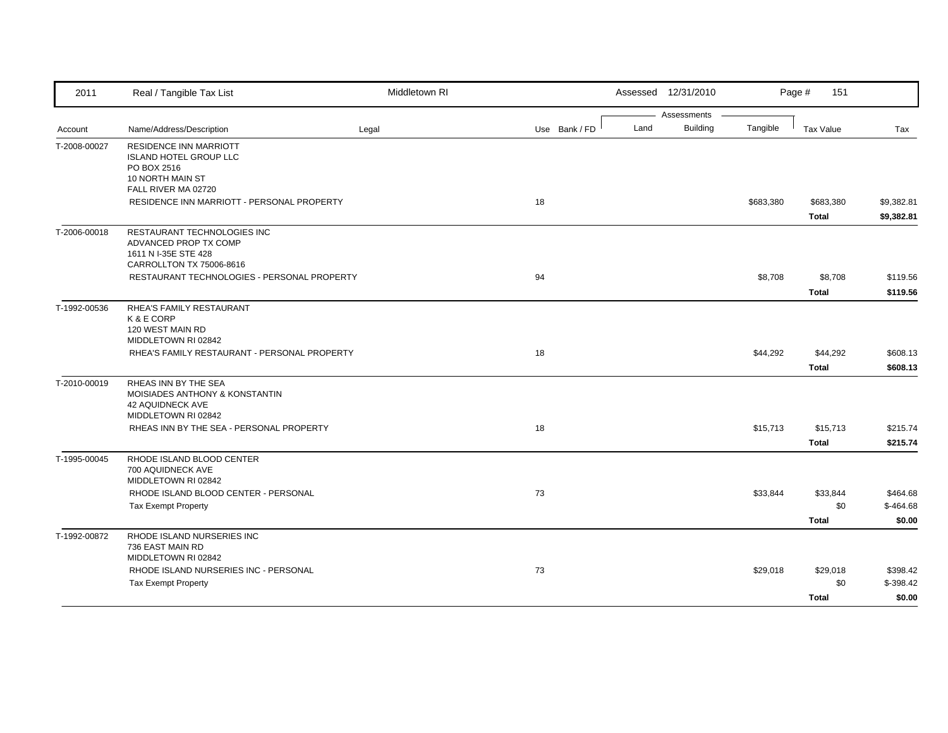| 2011         | Real / Tangible Tax List                                                                                                 | Middletown RI |               |      | Assessed 12/31/2010            |           | Page #<br>151                   |                                  |
|--------------|--------------------------------------------------------------------------------------------------------------------------|---------------|---------------|------|--------------------------------|-----------|---------------------------------|----------------------------------|
| Account      | Name/Address/Description                                                                                                 | Legal         | Use Bank / FD | Land | Assessments<br><b>Building</b> | Tangible  | <b>Tax Value</b>                | Tax                              |
| T-2008-00027 | <b>RESIDENCE INN MARRIOTT</b><br><b>ISLAND HOTEL GROUP LLC</b><br>PO BOX 2516<br>10 NORTH MAIN ST<br>FALL RIVER MA 02720 |               |               |      |                                |           |                                 |                                  |
|              | RESIDENCE INN MARRIOTT - PERSONAL PROPERTY                                                                               |               | 18            |      |                                | \$683,380 | \$683,380<br><b>Total</b>       | \$9,382.81<br>\$9,382.81         |
| T-2006-00018 | RESTAURANT TECHNOLOGIES INC<br>ADVANCED PROP TX COMP<br>1611 N I-35E STE 428<br>CARROLLTON TX 75006-8616                 |               |               |      |                                |           |                                 |                                  |
|              | RESTAURANT TECHNOLOGIES - PERSONAL PROPERTY                                                                              |               | 94            |      |                                | \$8,708   | \$8,708<br><b>Total</b>         | \$119.56<br>\$119.56             |
| T-1992-00536 | RHEA'S FAMILY RESTAURANT<br>K & E CORP<br>120 WEST MAIN RD<br>MIDDLETOWN RI 02842                                        |               |               |      |                                |           |                                 |                                  |
|              | RHEA'S FAMILY RESTAURANT - PERSONAL PROPERTY                                                                             |               | 18            |      |                                | \$44,292  | \$44,292<br><b>Total</b>        | \$608.13<br>\$608.13             |
| T-2010-00019 | RHEAS INN BY THE SEA<br><b>MOISIADES ANTHONY &amp; KONSTANTIN</b><br><b>42 AQUIDNECK AVE</b><br>MIDDLETOWN RI 02842      |               |               |      |                                |           |                                 |                                  |
|              | RHEAS INN BY THE SEA - PERSONAL PROPERTY                                                                                 |               | 18            |      |                                | \$15,713  | \$15,713<br><b>Total</b>        | \$215.74<br>\$215.74             |
| T-1995-00045 | RHODE ISLAND BLOOD CENTER<br>700 AQUIDNECK AVE<br>MIDDLETOWN RI 02842                                                    |               |               |      |                                |           |                                 |                                  |
|              | RHODE ISLAND BLOOD CENTER - PERSONAL<br><b>Tax Exempt Property</b>                                                       |               | 73            |      |                                | \$33,844  | \$33,844<br>\$0<br><b>Total</b> | \$464.68<br>$$-464.68$<br>\$0.00 |
| T-1992-00872 | RHODE ISLAND NURSERIES INC<br>736 EAST MAIN RD<br>MIDDLETOWN RI 02842                                                    |               |               |      |                                |           |                                 |                                  |
|              | RHODE ISLAND NURSERIES INC - PERSONAL<br><b>Tax Exempt Property</b>                                                      |               | 73            |      |                                | \$29,018  | \$29,018<br>\$0                 | \$398.42<br>$$-398.42$           |
|              |                                                                                                                          |               |               |      |                                |           | <b>Total</b>                    | \$0.00                           |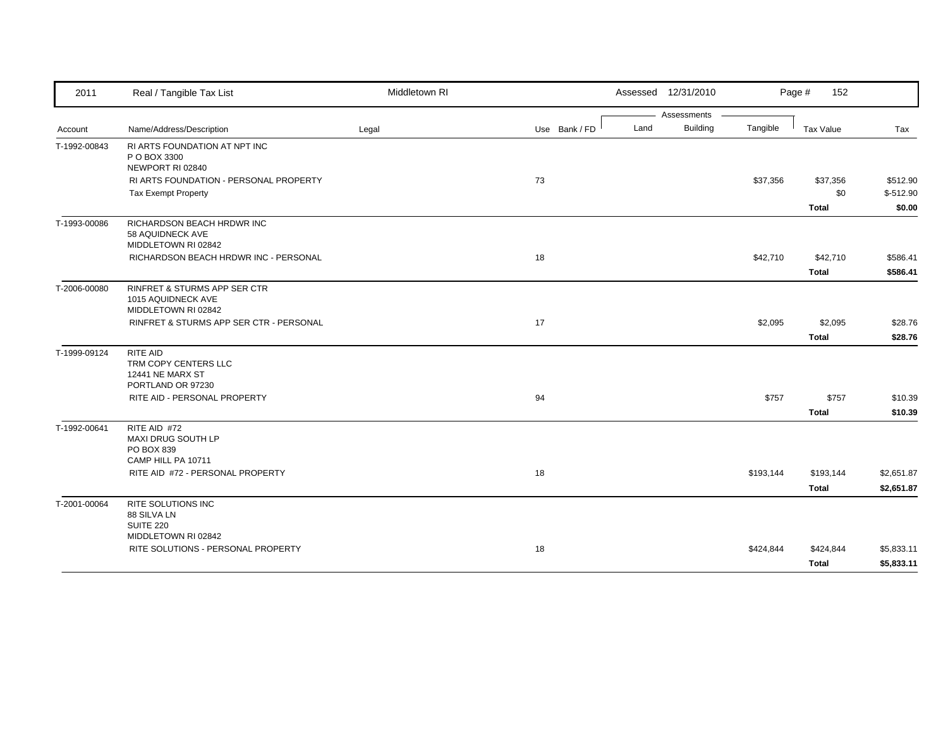| 2011         | Real / Tangible Tax List                                                             | Middletown RI |               | Assessed 12/31/2010     |           | Page #<br>152            |                        |
|--------------|--------------------------------------------------------------------------------------|---------------|---------------|-------------------------|-----------|--------------------------|------------------------|
|              |                                                                                      |               |               | Assessments             |           |                          |                        |
| Account      | Name/Address/Description                                                             | Legal         | Use Bank / FD | <b>Building</b><br>Land | Tangible  | Tax Value                | Tax                    |
| T-1992-00843 | RI ARTS FOUNDATION AT NPT INC<br>P O BOX 3300<br>NEWPORT RI 02840                    |               |               |                         |           |                          |                        |
|              | RI ARTS FOUNDATION - PERSONAL PROPERTY<br><b>Tax Exempt Property</b>                 |               | 73            |                         | \$37,356  | \$37,356<br>\$0          | \$512.90<br>$$-512.90$ |
|              |                                                                                      |               |               |                         |           | <b>Total</b>             | \$0.00                 |
| T-1993-00086 | RICHARDSON BEACH HRDWR INC<br>58 AQUIDNECK AVE<br>MIDDLETOWN RI 02842                |               |               |                         |           |                          |                        |
|              | RICHARDSON BEACH HRDWR INC - PERSONAL                                                |               | 18            |                         | \$42,710  | \$42,710<br><b>Total</b> | \$586.41<br>\$586.41   |
| T-2006-00080 | <b>RINFRET &amp; STURMS APP SER CTR</b><br>1015 AQUIDNECK AVE<br>MIDDLETOWN RI 02842 |               |               |                         |           |                          |                        |
|              | RINFRET & STURMS APP SER CTR - PERSONAL                                              |               | 17            |                         | \$2,095   | \$2,095                  | \$28.76                |
|              |                                                                                      |               |               |                         |           | <b>Total</b>             | \$28.76                |
| T-1999-09124 | RITE AID<br>TRM COPY CENTERS LLC<br><b>12441 NE MARX ST</b><br>PORTLAND OR 97230     |               |               |                         |           |                          |                        |
|              | RITE AID - PERSONAL PROPERTY                                                         |               | 94            |                         | \$757     | \$757                    | \$10.39                |
|              |                                                                                      |               |               |                         |           | <b>Total</b>             | \$10.39                |
| T-1992-00641 | RITE AID #72<br><b>MAXI DRUG SOUTH LP</b><br>PO BOX 839<br>CAMP HILL PA 10711        |               |               |                         |           |                          |                        |
|              | RITE AID #72 - PERSONAL PROPERTY                                                     |               | 18            |                         | \$193,144 | \$193,144                | \$2,651.87             |
|              |                                                                                      |               |               |                         |           | <b>Total</b>             | \$2,651.87             |
| T-2001-00064 | <b>RITE SOLUTIONS INC</b><br>88 SILVA LN<br><b>SUITE 220</b>                         |               |               |                         |           |                          |                        |
|              | MIDDLETOWN RI 02842<br>RITE SOLUTIONS - PERSONAL PROPERTY                            |               | 18            |                         | \$424,844 | \$424,844                | \$5,833.11             |
|              |                                                                                      |               |               |                         |           | <b>Total</b>             | \$5,833.11             |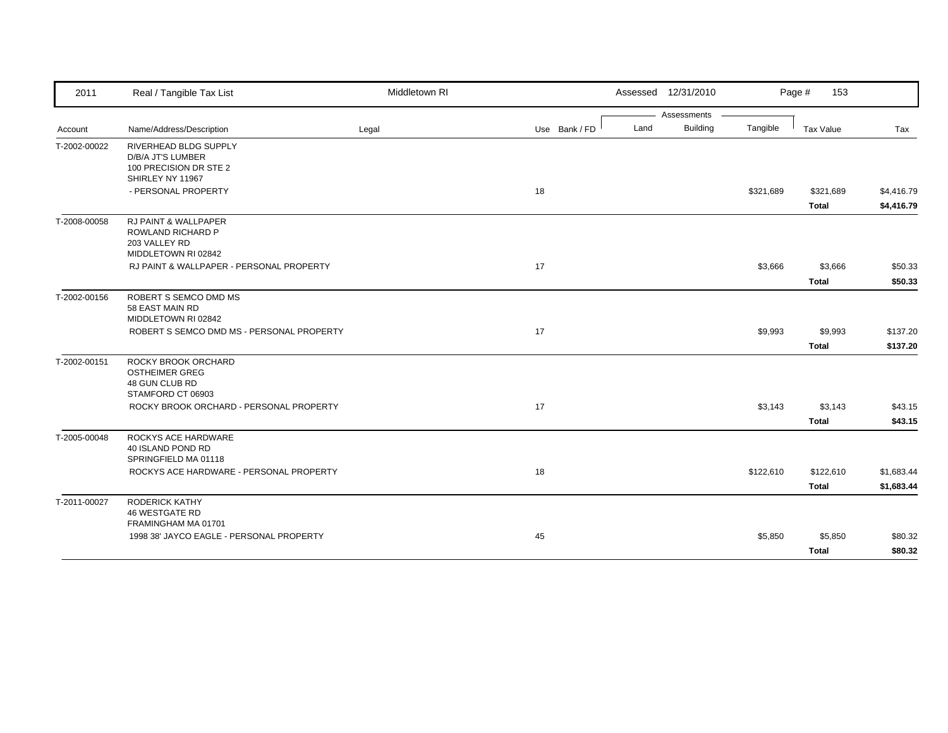| 2011         | Real / Tangible Tax List                                                                     | Middletown RI |               |      | Assessed 12/31/2010 |           | Page #<br>153             |                          |
|--------------|----------------------------------------------------------------------------------------------|---------------|---------------|------|---------------------|-----------|---------------------------|--------------------------|
|              |                                                                                              |               |               |      | Assessments         |           |                           |                          |
| Account      | Name/Address/Description                                                                     | Legal         | Use Bank / FD | Land | <b>Building</b>     | Tangible  | Tax Value                 | Tax                      |
| T-2002-00022 | RIVERHEAD BLDG SUPPLY<br>D/B/A JT'S LUMBER<br>100 PRECISION DR STE 2<br>SHIRLEY NY 11967     |               |               |      |                     |           |                           |                          |
|              | - PERSONAL PROPERTY                                                                          |               | 18            |      |                     | \$321,689 | \$321,689<br><b>Total</b> | \$4,416.79<br>\$4,416.79 |
| T-2008-00058 | <b>RJ PAINT &amp; WALLPAPER</b><br>ROWLAND RICHARD P<br>203 VALLEY RD<br>MIDDLETOWN RI 02842 |               |               |      |                     |           |                           |                          |
|              | RJ PAINT & WALLPAPER - PERSONAL PROPERTY                                                     |               | 17            |      |                     | \$3,666   | \$3,666                   | \$50.33                  |
|              |                                                                                              |               |               |      |                     |           | <b>Total</b>              | \$50.33                  |
| T-2002-00156 | ROBERT S SEMCO DMD MS<br>58 EAST MAIN RD<br>MIDDLETOWN RI 02842                              |               |               |      |                     |           |                           |                          |
|              | ROBERT S SEMCO DMD MS - PERSONAL PROPERTY                                                    |               | 17            |      |                     | \$9,993   | \$9,993                   | \$137.20                 |
|              |                                                                                              |               |               |      |                     |           | <b>Total</b>              | \$137.20                 |
| T-2002-00151 | ROCKY BROOK ORCHARD<br><b>OSTHEIMER GREG</b><br>48 GUN CLUB RD<br>STAMFORD CT 06903          |               |               |      |                     |           |                           |                          |
|              | ROCKY BROOK ORCHARD - PERSONAL PROPERTY                                                      |               | 17            |      |                     | \$3,143   | \$3,143                   | \$43.15                  |
|              |                                                                                              |               |               |      |                     |           | <b>Total</b>              | \$43.15                  |
| T-2005-00048 | ROCKYS ACE HARDWARE<br>40 ISLAND POND RD<br>SPRINGFIELD MA 01118                             |               |               |      |                     |           |                           |                          |
|              | ROCKYS ACE HARDWARE - PERSONAL PROPERTY                                                      |               | 18            |      |                     | \$122,610 | \$122,610                 | \$1,683.44               |
|              |                                                                                              |               |               |      |                     |           | <b>Total</b>              | \$1,683.44               |
| T-2011-00027 | <b>RODERICK KATHY</b><br><b>46 WESTGATE RD</b><br>FRAMINGHAM MA 01701                        |               |               |      |                     |           |                           |                          |
|              | 1998 38' JAYCO EAGLE - PERSONAL PROPERTY                                                     |               | 45            |      |                     | \$5,850   | \$5,850                   | \$80.32                  |
|              |                                                                                              |               |               |      |                     |           | <b>Total</b>              | \$80.32                  |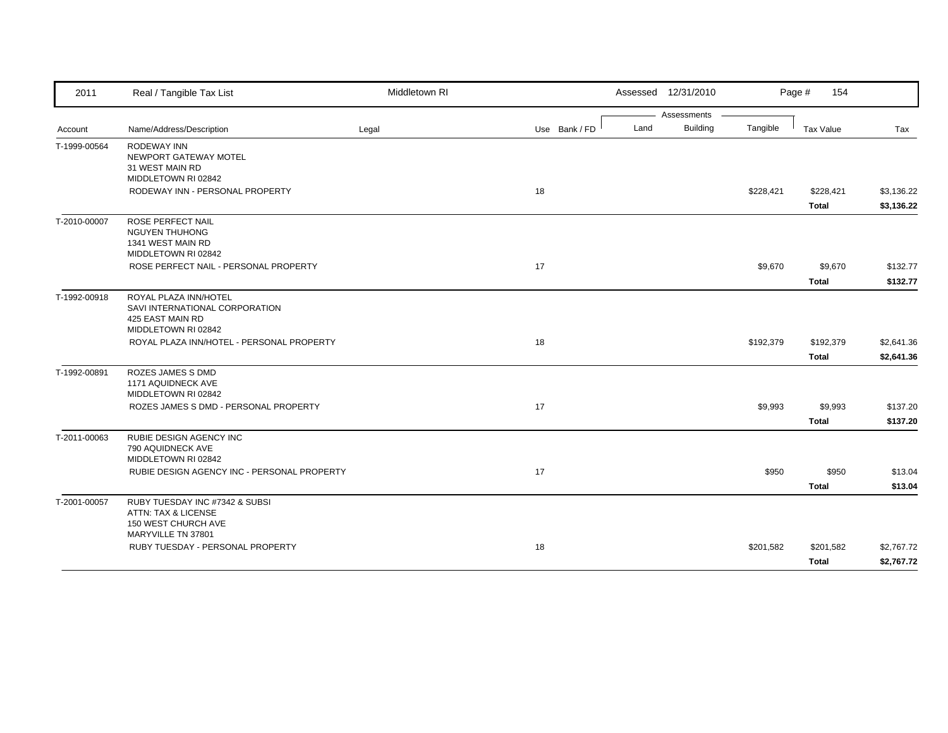| 2011         | Real / Tangible Tax List                                                                           | Middletown RI |               |      | Assessed 12/31/2010 |           | Page #<br>154 |            |
|--------------|----------------------------------------------------------------------------------------------------|---------------|---------------|------|---------------------|-----------|---------------|------------|
|              |                                                                                                    |               |               |      | Assessments         |           |               |            |
| Account      | Name/Address/Description                                                                           | Legal         | Use Bank / FD | Land | <b>Building</b>     | Tangible  | Tax Value     | Tax        |
| T-1999-00564 | <b>RODEWAY INN</b><br>NEWPORT GATEWAY MOTEL<br>31 WEST MAIN RD<br>MIDDLETOWN RI 02842              |               |               |      |                     |           |               |            |
|              | RODEWAY INN - PERSONAL PROPERTY                                                                    |               | 18            |      |                     | \$228,421 | \$228,421     | \$3,136.22 |
|              |                                                                                                    |               |               |      |                     |           | <b>Total</b>  | \$3,136.22 |
| T-2010-00007 | <b>ROSE PERFECT NAIL</b><br><b>NGUYEN THUHONG</b><br>1341 WEST MAIN RD<br>MIDDLETOWN RI 02842      |               |               |      |                     |           |               |            |
|              | ROSE PERFECT NAIL - PERSONAL PROPERTY                                                              |               | 17            |      |                     | \$9,670   | \$9,670       | \$132.77   |
|              |                                                                                                    |               |               |      |                     |           | <b>Total</b>  | \$132.77   |
| T-1992-00918 | ROYAL PLAZA INN/HOTEL<br>SAVI INTERNATIONAL CORPORATION<br>425 EAST MAIN RD<br>MIDDLETOWN RI 02842 |               |               |      |                     |           |               |            |
|              | ROYAL PLAZA INN/HOTEL - PERSONAL PROPERTY                                                          |               | 18            |      |                     | \$192,379 | \$192,379     | \$2,641.36 |
|              |                                                                                                    |               |               |      |                     |           | <b>Total</b>  | \$2,641.36 |
| T-1992-00891 | ROZES JAMES S DMD<br>1171 AQUIDNECK AVE<br>MIDDLETOWN RI 02842                                     |               |               |      |                     |           |               |            |
|              | ROZES JAMES S DMD - PERSONAL PROPERTY                                                              |               | 17            |      |                     | \$9,993   | \$9,993       | \$137.20   |
|              |                                                                                                    |               |               |      |                     |           | <b>Total</b>  | \$137.20   |
| T-2011-00063 | RUBIE DESIGN AGENCY INC<br>790 AQUIDNECK AVE<br>MIDDLETOWN RI 02842                                |               |               |      |                     |           |               |            |
|              | RUBIE DESIGN AGENCY INC - PERSONAL PROPERTY                                                        |               | 17            |      |                     | \$950     | \$950         | \$13.04    |
|              |                                                                                                    |               |               |      |                     |           | <b>Total</b>  | \$13.04    |
| T-2001-00057 | RUBY TUESDAY INC #7342 & SUBSI<br>ATTN: TAX & LICENSE<br>150 WEST CHURCH AVE<br>MARYVILLE TN 37801 |               |               |      |                     |           |               |            |
|              | RUBY TUESDAY - PERSONAL PROPERTY                                                                   |               | 18            |      |                     | \$201,582 | \$201,582     | \$2,767.72 |
|              |                                                                                                    |               |               |      |                     |           | <b>Total</b>  | \$2,767.72 |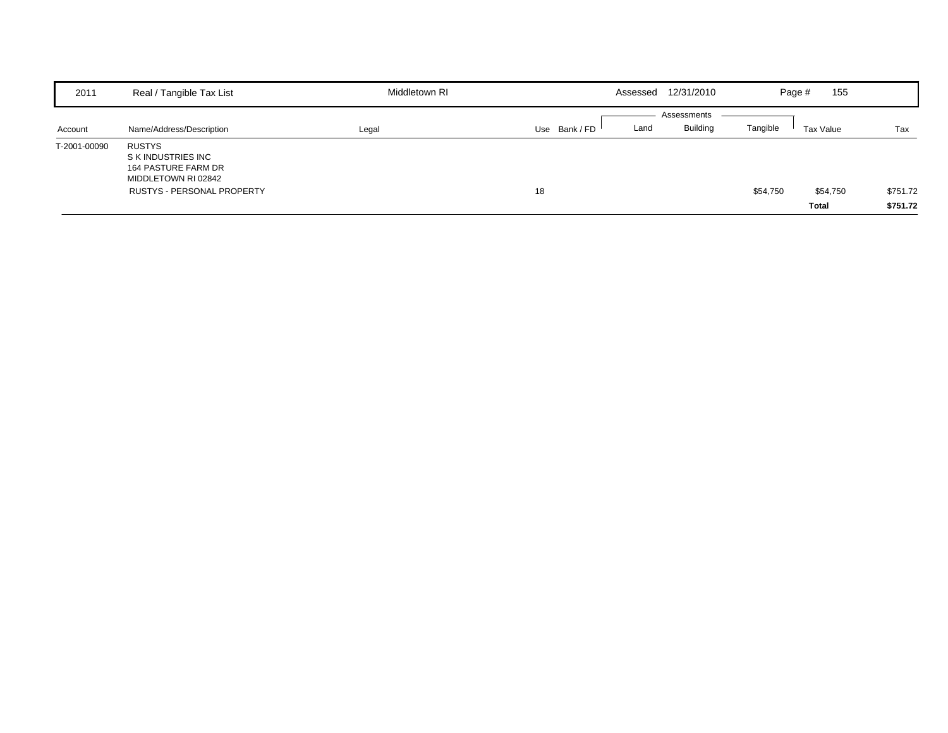| 2011         | Real / Tangible Tax List                                                          | Middletown RI | Assessed              | 12/31/2010      | 155<br>Page #         |          |
|--------------|-----------------------------------------------------------------------------------|---------------|-----------------------|-----------------|-----------------------|----------|
|              |                                                                                   |               |                       | Assessments     |                       |          |
| Account      | Name/Address/Description                                                          | Legal         | Use Bank / FD<br>Land | <b>Building</b> | Tangible<br>Tax Value | Tax      |
| T-2001-00090 | <b>RUSTYS</b><br>S K INDUSTRIES INC<br>164 PASTURE FARM DR<br>MIDDLETOWN RI 02842 |               |                       |                 |                       |          |
|              | <b>RUSTYS - PERSONAL PROPERTY</b>                                                 |               | 18                    |                 | \$54,750<br>\$54,750  | \$751.72 |
|              |                                                                                   |               |                       |                 | <b>Total</b>          | \$751.72 |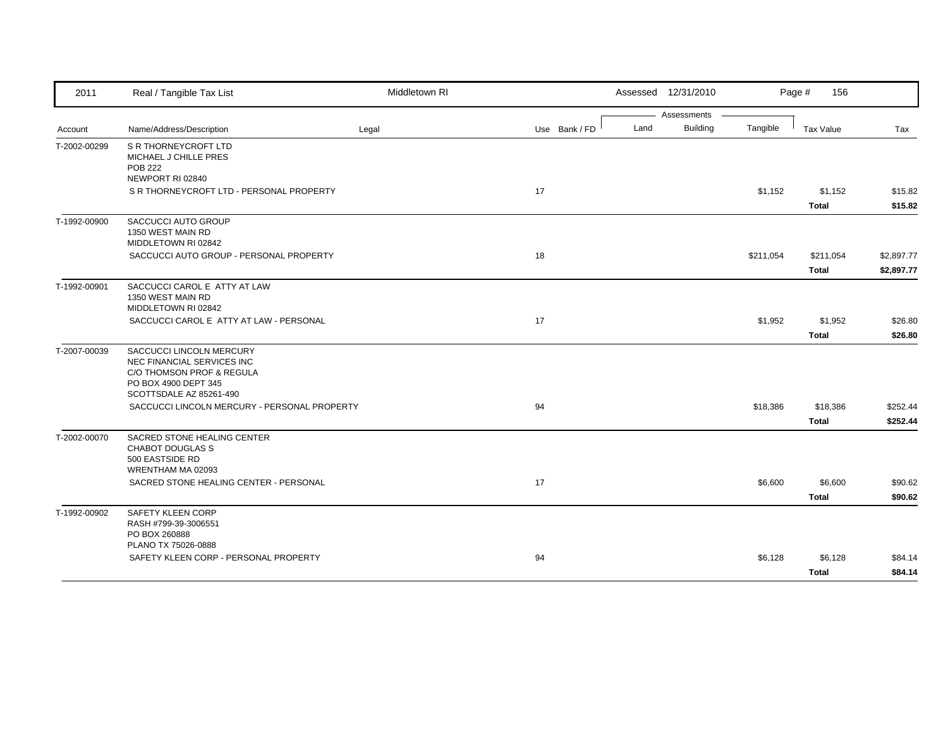| 2011         | Real / Tangible Tax List                                                                                                               | Middletown RI |               | Assessed 12/31/2010 |                 |           | Page #<br>156             |                          |
|--------------|----------------------------------------------------------------------------------------------------------------------------------------|---------------|---------------|---------------------|-----------------|-----------|---------------------------|--------------------------|
|              |                                                                                                                                        |               |               |                     | Assessments     |           |                           |                          |
| Account      | Name/Address/Description                                                                                                               | Legal         | Use Bank / FD | Land                | <b>Building</b> | Tangible  | <b>Tax Value</b>          | Tax                      |
| T-2002-00299 | <b>S R THORNEYCROFT LTD</b><br>MICHAEL J CHILLE PRES<br><b>POB 222</b>                                                                 |               |               |                     |                 |           |                           |                          |
|              | NEWPORT RI 02840                                                                                                                       |               |               |                     |                 |           |                           |                          |
|              | S R THORNEYCROFT LTD - PERSONAL PROPERTY                                                                                               |               | 17            |                     |                 | \$1,152   | \$1,152<br><b>Total</b>   | \$15.82<br>\$15.82       |
| T-1992-00900 | SACCUCCI AUTO GROUP<br>1350 WEST MAIN RD<br>MIDDLETOWN RI 02842                                                                        |               |               |                     |                 |           |                           |                          |
|              | SACCUCCI AUTO GROUP - PERSONAL PROPERTY                                                                                                |               | 18            |                     |                 | \$211,054 | \$211,054<br><b>Total</b> | \$2,897.77<br>\$2,897.77 |
| T-1992-00901 | SACCUCCI CAROL E ATTY AT LAW<br>1350 WEST MAIN RD<br>MIDDLETOWN RI 02842                                                               |               |               |                     |                 |           |                           |                          |
|              | SACCUCCI CAROL E ATTY AT LAW - PERSONAL                                                                                                |               | 17            |                     |                 | \$1,952   | \$1,952<br><b>Total</b>   | \$26.80<br>\$26.80       |
| T-2007-00039 | SACCUCCI LINCOLN MERCURY<br>NEC FINANCIAL SERVICES INC<br>C/O THOMSON PROF & REGULA<br>PO BOX 4900 DEPT 345<br>SCOTTSDALE AZ 85261-490 |               |               |                     |                 |           |                           |                          |
|              | SACCUCCI LINCOLN MERCURY - PERSONAL PROPERTY                                                                                           |               | 94            |                     |                 | \$18,386  | \$18,386<br><b>Total</b>  | \$252.44<br>\$252.44     |
| T-2002-00070 | SACRED STONE HEALING CENTER<br><b>CHABOT DOUGLAS S</b><br>500 EASTSIDE RD<br>WRENTHAM MA 02093                                         |               |               |                     |                 |           |                           |                          |
|              | SACRED STONE HEALING CENTER - PERSONAL                                                                                                 |               | 17            |                     |                 | \$6,600   | \$6,600<br><b>Total</b>   | \$90.62<br>\$90.62       |
| T-1992-00902 | SAFETY KLEEN CORP<br>RASH #799-39-3006551<br>PO BOX 260888<br>PLANO TX 75026-0888                                                      |               |               |                     |                 |           |                           |                          |
|              | SAFETY KLEEN CORP - PERSONAL PROPERTY                                                                                                  |               | 94            |                     |                 | \$6,128   | \$6,128                   | \$84.14                  |
|              |                                                                                                                                        |               |               |                     |                 |           | <b>Total</b>              | \$84.14                  |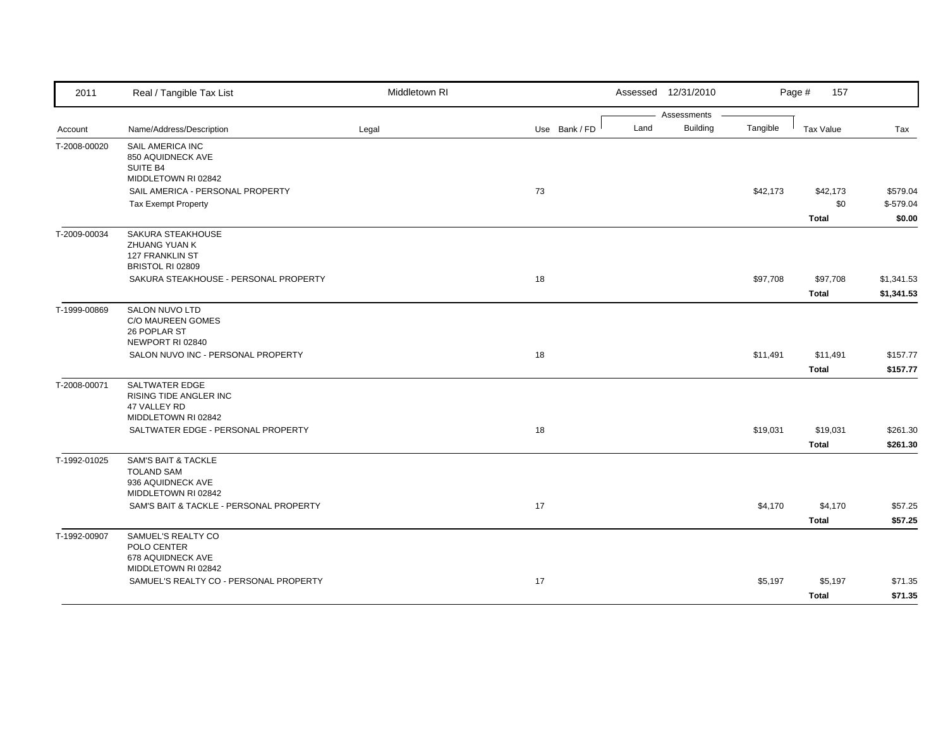| 2011         | Real / Tangible Tax List                                  | Middletown RI |               | Assessed 12/31/2010 |                                |          | Page #<br>157 |            |
|--------------|-----------------------------------------------------------|---------------|---------------|---------------------|--------------------------------|----------|---------------|------------|
|              |                                                           |               | Use Bank / FD | Land                | Assessments<br><b>Building</b> | Tangible |               |            |
| Account      | Name/Address/Description                                  | Legal         |               |                     |                                |          | Tax Value     | Tax        |
| T-2008-00020 | SAIL AMERICA INC<br>850 AQUIDNECK AVE                     |               |               |                     |                                |          |               |            |
|              | SUITE B4                                                  |               |               |                     |                                |          |               |            |
|              | MIDDLETOWN RI 02842                                       |               |               |                     |                                |          |               |            |
|              | SAIL AMERICA - PERSONAL PROPERTY                          |               | 73            |                     |                                | \$42,173 | \$42,173      | \$579.04   |
|              | <b>Tax Exempt Property</b>                                |               |               |                     |                                |          | \$0           | $$-579.04$ |
|              |                                                           |               |               |                     |                                |          | <b>Total</b>  | \$0.00     |
| T-2009-00034 | SAKURA STEAKHOUSE                                         |               |               |                     |                                |          |               |            |
|              | ZHUANG YUAN K<br><b>127 FRANKLIN ST</b>                   |               |               |                     |                                |          |               |            |
|              | BRISTOL RI 02809                                          |               |               |                     |                                |          |               |            |
|              | SAKURA STEAKHOUSE - PERSONAL PROPERTY                     |               | 18            |                     |                                | \$97,708 | \$97,708      | \$1,341.53 |
|              |                                                           |               |               |                     |                                |          | <b>Total</b>  | \$1,341.53 |
| T-1999-00869 | SALON NUVO LTD                                            |               |               |                     |                                |          |               |            |
|              | C/O MAUREEN GOMES                                         |               |               |                     |                                |          |               |            |
|              | 26 POPLAR ST<br>NEWPORT RI 02840                          |               |               |                     |                                |          |               |            |
|              | SALON NUVO INC - PERSONAL PROPERTY                        |               | 18            |                     |                                | \$11,491 | \$11,491      | \$157.77   |
|              |                                                           |               |               |                     |                                |          | <b>Total</b>  | \$157.77   |
| T-2008-00071 | <b>SALTWATER EDGE</b>                                     |               |               |                     |                                |          |               |            |
|              | <b>RISING TIDE ANGLER INC</b>                             |               |               |                     |                                |          |               |            |
|              | 47 VALLEY RD                                              |               |               |                     |                                |          |               |            |
|              | MIDDLETOWN RI 02842<br>SALTWATER EDGE - PERSONAL PROPERTY |               | 18            |                     |                                | \$19,031 | \$19,031      | \$261.30   |
|              |                                                           |               |               |                     |                                |          | <b>Total</b>  |            |
|              |                                                           |               |               |                     |                                |          |               | \$261.30   |
| T-1992-01025 | <b>SAM'S BAIT &amp; TACKLE</b><br><b>TOLAND SAM</b>       |               |               |                     |                                |          |               |            |
|              | 936 AQUIDNECK AVE                                         |               |               |                     |                                |          |               |            |
|              | MIDDLETOWN RI 02842                                       |               |               |                     |                                |          |               |            |
|              | SAM'S BAIT & TACKLE - PERSONAL PROPERTY                   |               | 17            |                     |                                | \$4,170  | \$4,170       | \$57.25    |
|              |                                                           |               |               |                     |                                |          | <b>Total</b>  | \$57.25    |
| T-1992-00907 | SAMUEL'S REALTY CO                                        |               |               |                     |                                |          |               |            |
|              | POLO CENTER<br>678 AQUIDNECK AVE                          |               |               |                     |                                |          |               |            |
|              | MIDDLETOWN RI 02842                                       |               |               |                     |                                |          |               |            |
|              | SAMUEL'S REALTY CO - PERSONAL PROPERTY                    |               | 17            |                     |                                | \$5,197  | \$5,197       | \$71.35    |
|              |                                                           |               |               |                     |                                |          | <b>Total</b>  | \$71.35    |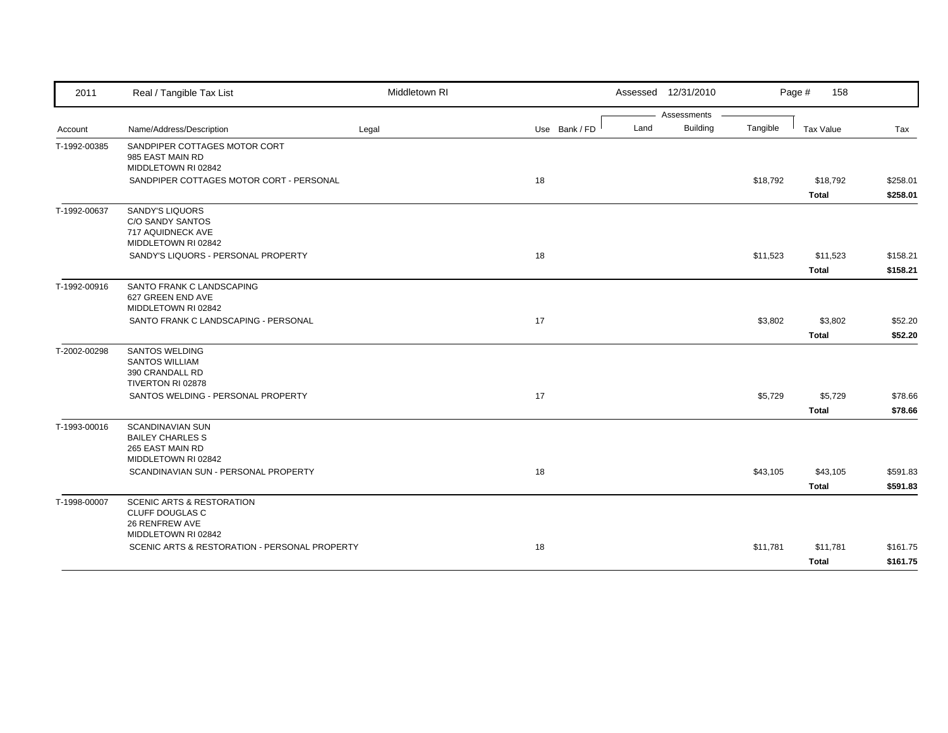| 2011         | Real / Tangible Tax List                                                                                                     | Middletown RI |               |      | Assessed 12/31/2010 |          | Page #<br>158 |          |
|--------------|------------------------------------------------------------------------------------------------------------------------------|---------------|---------------|------|---------------------|----------|---------------|----------|
|              |                                                                                                                              |               |               |      | Assessments         |          |               |          |
| Account      | Name/Address/Description                                                                                                     | Legal         | Use Bank / FD | Land | <b>Building</b>     | Tangible | Tax Value     | Tax      |
| T-1992-00385 | SANDPIPER COTTAGES MOTOR CORT<br>985 EAST MAIN RD<br>MIDDLETOWN RI 02842                                                     |               |               |      |                     |          |               |          |
|              | SANDPIPER COTTAGES MOTOR CORT - PERSONAL                                                                                     |               | 18            |      |                     | \$18,792 | \$18,792      | \$258.01 |
|              |                                                                                                                              |               |               |      |                     |          | <b>Total</b>  | \$258.01 |
| T-1992-00637 | <b>SANDY'S LIQUORS</b><br>C/O SANDY SANTOS<br>717 AQUIDNECK AVE<br>MIDDLETOWN RI 02842                                       |               |               |      |                     |          |               |          |
|              | SANDY'S LIQUORS - PERSONAL PROPERTY                                                                                          |               | 18            |      |                     | \$11,523 | \$11,523      | \$158.21 |
|              |                                                                                                                              |               |               |      |                     |          | Total         | \$158.21 |
| T-1992-00916 | SANTO FRANK C LANDSCAPING<br>627 GREEN END AVE<br>MIDDLETOWN RI 02842                                                        |               |               |      |                     |          |               |          |
|              | SANTO FRANK C LANDSCAPING - PERSONAL                                                                                         |               | 17            |      |                     | \$3,802  | \$3,802       | \$52.20  |
|              |                                                                                                                              |               |               |      |                     |          | <b>Total</b>  | \$52.20  |
| T-2002-00298 | <b>SANTOS WELDING</b><br><b>SANTOS WILLIAM</b><br>390 CRANDALL RD<br>TIVERTON RI 02878<br>SANTOS WELDING - PERSONAL PROPERTY |               | 17            |      |                     | \$5,729  | \$5,729       | \$78.66  |
|              |                                                                                                                              |               |               |      |                     |          | <b>Total</b>  | \$78.66  |
| T-1993-00016 | SCANDINAVIAN SUN<br><b>BAILEY CHARLES S</b><br>265 EAST MAIN RD<br>MIDDLETOWN RI 02842                                       |               |               |      |                     |          |               |          |
|              | SCANDINAVIAN SUN - PERSONAL PROPERTY                                                                                         |               | 18            |      |                     | \$43,105 | \$43,105      | \$591.83 |
|              |                                                                                                                              |               |               |      |                     |          | <b>Total</b>  | \$591.83 |
| T-1998-00007 | <b>SCENIC ARTS &amp; RESTORATION</b><br>CLUFF DOUGLAS C<br>26 RENFREW AVE<br>MIDDLETOWN RI 02842                             |               |               |      |                     |          |               |          |
|              | SCENIC ARTS & RESTORATION - PERSONAL PROPERTY                                                                                |               | 18            |      |                     | \$11,781 | \$11,781      | \$161.75 |
|              |                                                                                                                              |               |               |      |                     |          | <b>Total</b>  | \$161.75 |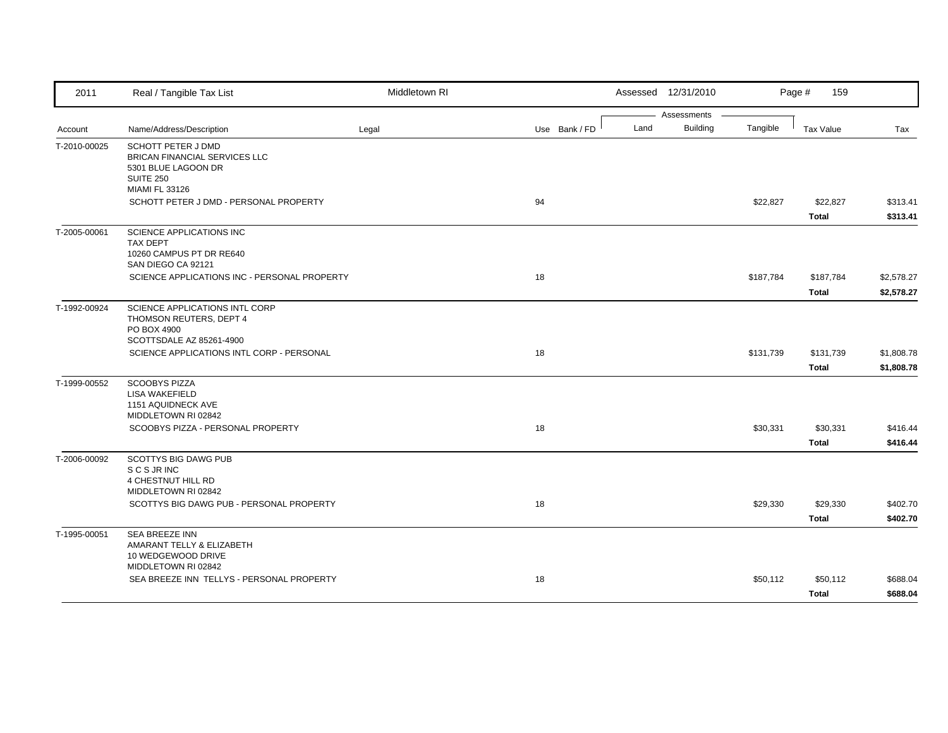| 2011         | Real / Tangible Tax List                                  | Middletown RI |               |      | Assessed 12/31/2010            |           | Page #<br>159            |                      |
|--------------|-----------------------------------------------------------|---------------|---------------|------|--------------------------------|-----------|--------------------------|----------------------|
| Account      | Name/Address/Description                                  | Legal         | Use Bank / FD | Land | Assessments<br><b>Building</b> | Tangible  | <b>Tax Value</b>         | Tax                  |
| T-2010-00025 | SCHOTT PETER J DMD                                        |               |               |      |                                |           |                          |                      |
|              | BRICAN FINANCIAL SERVICES LLC                             |               |               |      |                                |           |                          |                      |
|              | 5301 BLUE LAGOON DR<br><b>SUITE 250</b>                   |               |               |      |                                |           |                          |                      |
|              | <b>MIAMI FL 33126</b>                                     |               |               |      |                                |           |                          |                      |
|              | SCHOTT PETER J DMD - PERSONAL PROPERTY                    |               | 94            |      |                                | \$22,827  | \$22,827<br><b>Total</b> | \$313.41<br>\$313.41 |
| T-2005-00061 | SCIENCE APPLICATIONS INC                                  |               |               |      |                                |           |                          |                      |
|              | <b>TAX DEPT</b><br>10260 CAMPUS PT DR RE640               |               |               |      |                                |           |                          |                      |
|              | SAN DIEGO CA 92121                                        |               |               |      |                                |           |                          |                      |
|              | SCIENCE APPLICATIONS INC - PERSONAL PROPERTY              |               | 18            |      |                                | \$187,784 | \$187,784                | \$2,578.27           |
|              |                                                           |               |               |      |                                |           | <b>Total</b>             | \$2,578.27           |
| T-1992-00924 | SCIENCE APPLICATIONS INTL CORP<br>THOMSON REUTERS, DEPT 4 |               |               |      |                                |           |                          |                      |
|              | PO BOX 4900                                               |               |               |      |                                |           |                          |                      |
|              | SCOTTSDALE AZ 85261-4900                                  |               |               |      |                                |           |                          |                      |
|              | SCIENCE APPLICATIONS INTL CORP - PERSONAL                 |               | 18            |      |                                | \$131,739 | \$131,739                | \$1,808.78           |
|              |                                                           |               |               |      |                                |           | <b>Total</b>             | \$1,808.78           |
| T-1999-00552 | <b>SCOOBYS PIZZA</b><br><b>LISA WAKEFIELD</b>             |               |               |      |                                |           |                          |                      |
|              | 1151 AQUIDNECK AVE                                        |               |               |      |                                |           |                          |                      |
|              | MIDDLETOWN RI 02842<br>SCOOBYS PIZZA - PERSONAL PROPERTY  |               | 18            |      |                                | \$30,331  | \$30,331                 | \$416.44             |
|              |                                                           |               |               |      |                                |           | <b>Total</b>             | \$416.44             |
| T-2006-00092 | <b>SCOTTYS BIG DAWG PUB</b>                               |               |               |      |                                |           |                          |                      |
|              | S C S JR INC                                              |               |               |      |                                |           |                          |                      |
|              | 4 CHESTNUT HILL RD<br>MIDDLETOWN RI 02842                 |               |               |      |                                |           |                          |                      |
|              | SCOTTYS BIG DAWG PUB - PERSONAL PROPERTY                  |               | 18            |      |                                | \$29,330  | \$29,330                 | \$402.70             |
|              |                                                           |               |               |      |                                |           | <b>Total</b>             | \$402.70             |
| T-1995-00051 | <b>SEA BREEZE INN</b>                                     |               |               |      |                                |           |                          |                      |
|              | AMARANT TELLY & ELIZABETH<br>10 WEDGEWOOD DRIVE           |               |               |      |                                |           |                          |                      |
|              | MIDDLETOWN RI 02842                                       |               |               |      |                                |           |                          |                      |
|              | SEA BREEZE INN TELLYS - PERSONAL PROPERTY                 |               | 18            |      |                                | \$50,112  | \$50,112                 | \$688.04             |
|              |                                                           |               |               |      |                                |           | <b>Total</b>             | \$688.04             |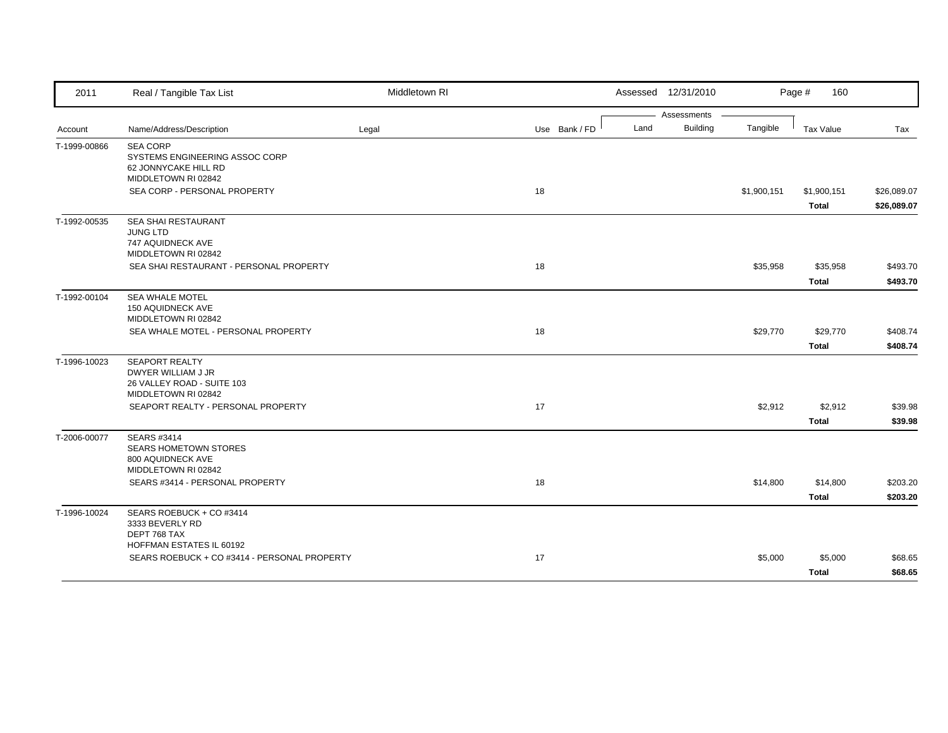| 2011         | Real / Tangible Tax List                          | Middletown RI |               | Assessed 12/31/2010 |             | Page #<br>160    |             |
|--------------|---------------------------------------------------|---------------|---------------|---------------------|-------------|------------------|-------------|
|              |                                                   |               |               | Assessments         |             |                  |             |
| Account      | Name/Address/Description                          | Legal         | Use Bank / FD | Building<br>Land    | Tangible    | <b>Tax Value</b> | Tax         |
| T-1999-00866 | <b>SEA CORP</b><br>SYSTEMS ENGINEERING ASSOC CORP |               |               |                     |             |                  |             |
|              | 62 JONNYCAKE HILL RD                              |               |               |                     |             |                  |             |
|              | MIDDLETOWN RI 02842                               |               |               |                     |             |                  |             |
|              | SEA CORP - PERSONAL PROPERTY                      |               | 18            |                     | \$1,900,151 | \$1,900,151      | \$26,089.07 |
|              |                                                   |               |               |                     |             | Total            | \$26,089.07 |
| T-1992-00535 | SEA SHAI RESTAURANT<br><b>JUNG LTD</b>            |               |               |                     |             |                  |             |
|              | 747 AQUIDNECK AVE                                 |               |               |                     |             |                  |             |
|              | MIDDLETOWN RI 02842                               |               |               |                     |             |                  |             |
|              | SEA SHAI RESTAURANT - PERSONAL PROPERTY           |               | 18            |                     | \$35,958    | \$35,958         | \$493.70    |
|              |                                                   |               |               |                     |             | <b>Total</b>     | \$493.70    |
| T-1992-00104 | <b>SEA WHALE MOTEL</b>                            |               |               |                     |             |                  |             |
|              | 150 AQUIDNECK AVE<br>MIDDLETOWN RI 02842          |               |               |                     |             |                  |             |
|              | SEA WHALE MOTEL - PERSONAL PROPERTY               |               | 18            |                     | \$29,770    | \$29,770         | \$408.74    |
|              |                                                   |               |               |                     |             | <b>Total</b>     | \$408.74    |
| T-1996-10023 | <b>SEAPORT REALTY</b>                             |               |               |                     |             |                  |             |
|              | DWYER WILLIAM J JR                                |               |               |                     |             |                  |             |
|              | 26 VALLEY ROAD - SUITE 103<br>MIDDLETOWN RI 02842 |               |               |                     |             |                  |             |
|              | SEAPORT REALTY - PERSONAL PROPERTY                |               | 17            |                     | \$2,912     | \$2,912          | \$39.98     |
|              |                                                   |               |               |                     |             | <b>Total</b>     | \$39.98     |
| T-2006-00077 | SEARS #3414                                       |               |               |                     |             |                  |             |
|              | <b>SEARS HOMETOWN STORES</b>                      |               |               |                     |             |                  |             |
|              | 800 AQUIDNECK AVE<br>MIDDLETOWN RI 02842          |               |               |                     |             |                  |             |
|              | SEARS #3414 - PERSONAL PROPERTY                   |               | 18            |                     | \$14,800    | \$14,800         | \$203.20    |
|              |                                                   |               |               |                     |             | <b>Total</b>     | \$203.20    |
| T-1996-10024 | SEARS ROEBUCK + CO #3414                          |               |               |                     |             |                  |             |
|              | 3333 BEVERLY RD                                   |               |               |                     |             |                  |             |
|              | DEPT 768 TAX<br>HOFFMAN ESTATES IL 60192          |               |               |                     |             |                  |             |
|              | SEARS ROEBUCK + CO #3414 - PERSONAL PROPERTY      |               | 17            |                     | \$5,000     | \$5,000          | \$68.65     |
|              |                                                   |               |               |                     |             | Total            | \$68.65     |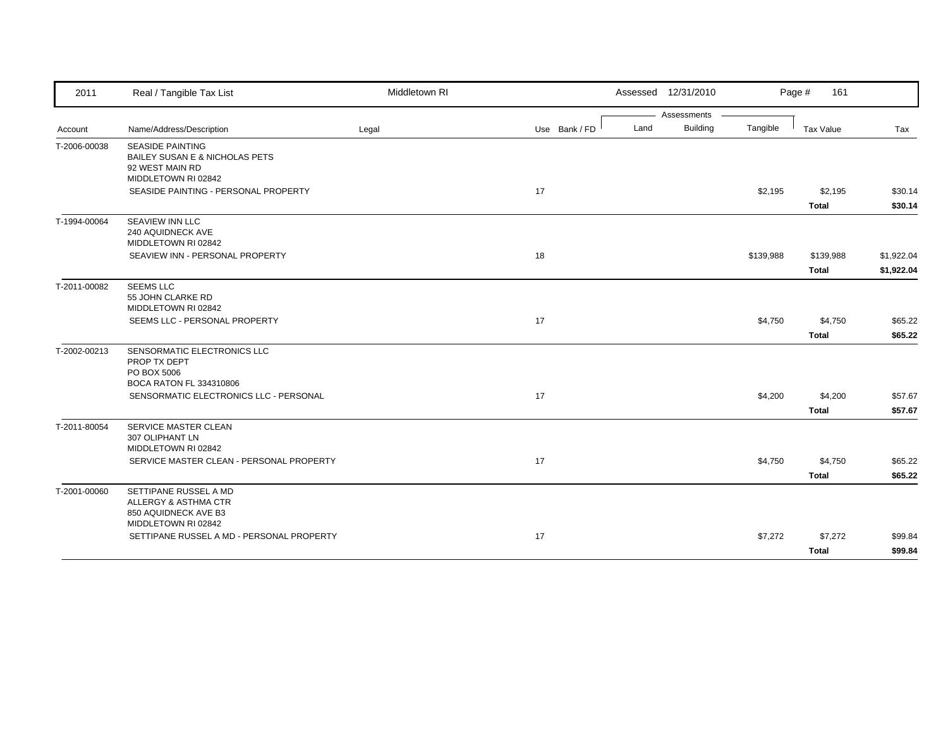| 2011         | Real / Tangible Tax List                                                                     | Middletown RI |               | Assessed 12/31/2010     |           | Page #<br>161             |                          |
|--------------|----------------------------------------------------------------------------------------------|---------------|---------------|-------------------------|-----------|---------------------------|--------------------------|
|              |                                                                                              |               |               | Assessments             |           |                           |                          |
| Account      | Name/Address/Description                                                                     | Legal         | Use Bank / FD | <b>Building</b><br>Land | Tangible  | Tax Value                 | Tax                      |
| T-2006-00038 | <b>SEASIDE PAINTING</b><br>BAILEY SUSAN E & NICHOLAS PETS<br>92 WEST MAIN RD                 |               |               |                         |           |                           |                          |
|              | MIDDLETOWN RI 02842                                                                          |               |               |                         |           |                           |                          |
|              | SEASIDE PAINTING - PERSONAL PROPERTY                                                         |               | 17            |                         | \$2,195   | \$2,195<br><b>Total</b>   | \$30.14<br>\$30.14       |
| T-1994-00064 | <b>SEAVIEW INN LLC</b><br>240 AQUIDNECK AVE<br>MIDDLETOWN RI 02842                           |               |               |                         |           |                           |                          |
|              | SEAVIEW INN - PERSONAL PROPERTY                                                              |               | 18            |                         | \$139,988 | \$139,988<br><b>Total</b> | \$1,922.04<br>\$1,922.04 |
| T-2011-00082 | <b>SEEMS LLC</b><br>55 JOHN CLARKE RD<br>MIDDLETOWN RI 02842                                 |               |               |                         |           |                           |                          |
|              | SEEMS LLC - PERSONAL PROPERTY                                                                |               | 17            |                         | \$4,750   | \$4,750                   | \$65.22                  |
|              |                                                                                              |               |               |                         |           | <b>Total</b>              | \$65.22                  |
| T-2002-00213 | SENSORMATIC ELECTRONICS LLC<br>PROP TX DEPT<br>PO BOX 5006<br>BOCA RATON FL 334310806        |               |               |                         |           |                           |                          |
|              | SENSORMATIC ELECTRONICS LLC - PERSONAL                                                       |               | 17            |                         | \$4,200   | \$4,200                   | \$57.67                  |
|              |                                                                                              |               |               |                         |           | <b>Total</b>              | \$57.67                  |
| T-2011-80054 | SERVICE MASTER CLEAN<br>307 OLIPHANT LN<br>MIDDLETOWN RI 02842                               |               |               |                         |           |                           |                          |
|              | SERVICE MASTER CLEAN - PERSONAL PROPERTY                                                     |               | 17            |                         | \$4,750   | \$4,750                   | \$65.22                  |
|              |                                                                                              |               |               |                         |           | <b>Total</b>              | \$65.22                  |
| T-2001-00060 | SETTIPANE RUSSEL A MD<br>ALLERGY & ASTHMA CTR<br>850 AQUIDNECK AVE B3<br>MIDDLETOWN RI 02842 |               |               |                         |           |                           |                          |
|              | SETTIPANE RUSSEL A MD - PERSONAL PROPERTY                                                    |               | 17            |                         | \$7,272   | \$7,272<br><b>Total</b>   | \$99.84<br>\$99.84       |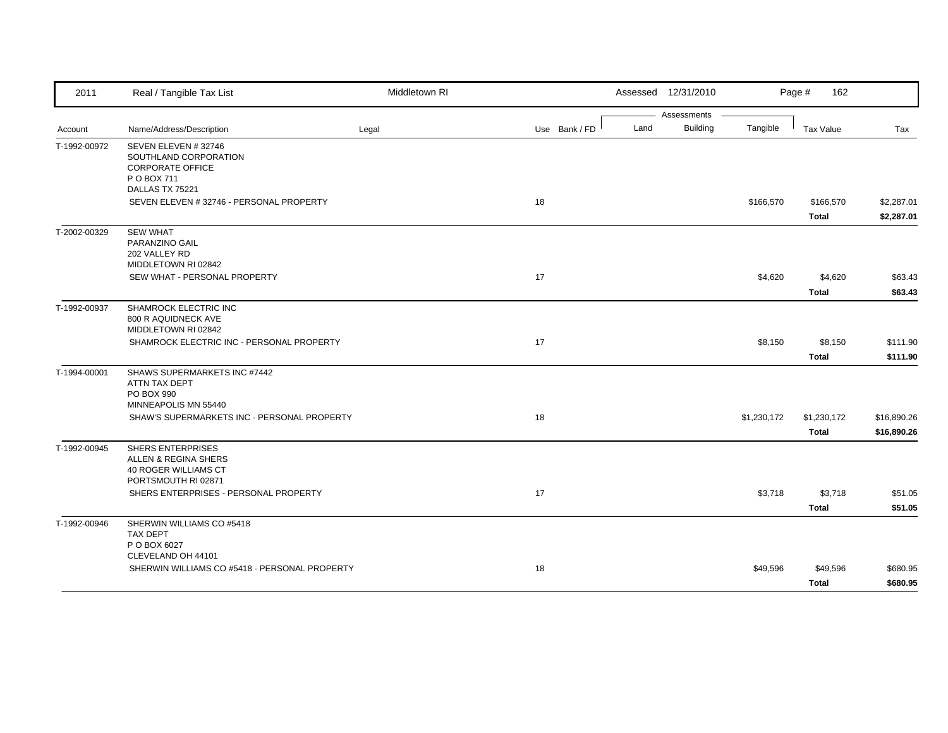| 2011         | Real / Tangible Tax List                                                                                  | Middletown RI |               |      | Assessed 12/31/2010            |             | Page #<br>162             |                            |
|--------------|-----------------------------------------------------------------------------------------------------------|---------------|---------------|------|--------------------------------|-------------|---------------------------|----------------------------|
| Account      | Name/Address/Description                                                                                  | Legal         | Use Bank / FD | Land | Assessments<br><b>Building</b> | Tangible    | Tax Value                 | Tax                        |
| T-1992-00972 | SEVEN ELEVEN #32746<br>SOUTHLAND CORPORATION<br><b>CORPORATE OFFICE</b><br>P O BOX 711<br>DALLAS TX 75221 |               |               |      |                                |             |                           |                            |
|              | SEVEN ELEVEN # 32746 - PERSONAL PROPERTY                                                                  |               | 18            |      |                                | \$166,570   | \$166,570<br><b>Total</b> | \$2,287.01<br>\$2,287.01   |
| T-2002-00329 | <b>SEW WHAT</b><br>PARANZINO GAIL<br>202 VALLEY RD<br>MIDDLETOWN RI 02842                                 |               |               |      |                                |             |                           |                            |
|              | SEW WHAT - PERSONAL PROPERTY                                                                              |               | 17            |      |                                | \$4,620     | \$4,620<br><b>Total</b>   | \$63.43<br>\$63.43         |
| T-1992-00937 | SHAMROCK ELECTRIC INC<br>800 R AQUIDNECK AVE<br>MIDDLETOWN RI 02842                                       |               |               |      |                                |             |                           |                            |
|              | SHAMROCK ELECTRIC INC - PERSONAL PROPERTY                                                                 |               | 17            |      |                                | \$8,150     | \$8,150<br><b>Total</b>   | \$111.90<br>\$111.90       |
| T-1994-00001 | SHAWS SUPERMARKETS INC #7442<br>ATTN TAX DEPT<br>PO BOX 990<br>MINNEAPOLIS MN 55440                       |               |               |      |                                |             |                           |                            |
|              | SHAW'S SUPERMARKETS INC - PERSONAL PROPERTY                                                               |               | 18            |      |                                | \$1,230,172 | \$1,230,172<br>Total      | \$16,890.26<br>\$16,890.26 |
| T-1992-00945 | <b>SHERS ENTERPRISES</b><br>ALLEN & REGINA SHERS<br>40 ROGER WILLIAMS CT<br>PORTSMOUTH RI 02871           |               |               |      |                                |             |                           |                            |
|              | SHERS ENTERPRISES - PERSONAL PROPERTY                                                                     |               | 17            |      |                                | \$3,718     | \$3,718<br><b>Total</b>   | \$51.05<br>\$51.05         |
| T-1992-00946 | SHERWIN WILLIAMS CO #5418<br><b>TAX DEPT</b><br>P O BOX 6027                                              |               |               |      |                                |             |                           |                            |
|              | CLEVELAND OH 44101<br>SHERWIN WILLIAMS CO #5418 - PERSONAL PROPERTY                                       |               | 18            |      |                                | \$49,596    | \$49,596<br><b>Total</b>  | \$680.95<br>\$680.95       |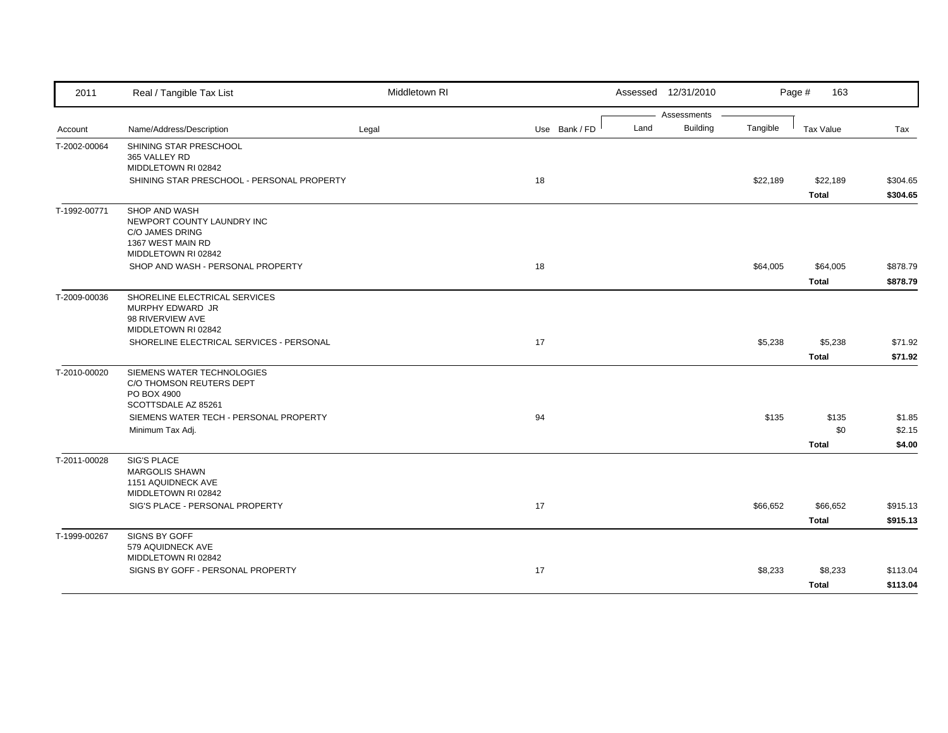| 2011         | Real / Tangible Tax List                                                                                                                                   | Middletown RI |               |      | Assessed 12/31/2010     |          | Page #<br>163                |                            |
|--------------|------------------------------------------------------------------------------------------------------------------------------------------------------------|---------------|---------------|------|-------------------------|----------|------------------------------|----------------------------|
| Account      | Name/Address/Description                                                                                                                                   | Legal         | Use Bank / FD | Land | Assessments<br>Building | Tangible | Tax Value                    | Tax                        |
| T-2002-00064 | SHINING STAR PRESCHOOL<br>365 VALLEY RD<br>MIDDLETOWN RI 02842<br>SHINING STAR PRESCHOOL - PERSONAL PROPERTY                                               |               | 18            |      |                         | \$22,189 | \$22,189<br><b>Total</b>     | \$304.65<br>\$304.65       |
| T-1992-00771 | SHOP AND WASH<br>NEWPORT COUNTY LAUNDRY INC<br>C/O JAMES DRING<br>1367 WEST MAIN RD<br>MIDDLETOWN RI 02842<br>SHOP AND WASH - PERSONAL PROPERTY            |               | 18            |      |                         | \$64,005 | \$64,005<br><b>Total</b>     | \$878.79<br>\$878.79       |
| T-2009-00036 | SHORELINE ELECTRICAL SERVICES<br>MURPHY EDWARD JR<br>98 RIVERVIEW AVE<br>MIDDLETOWN RI 02842<br>SHORELINE ELECTRICAL SERVICES - PERSONAL                   |               | 17            |      |                         | \$5,238  | \$5,238<br><b>Total</b>      | \$71.92<br>\$71.92         |
| T-2010-00020 | SIEMENS WATER TECHNOLOGIES<br>C/O THOMSON REUTERS DEPT<br>PO BOX 4900<br>SCOTTSDALE AZ 85261<br>SIEMENS WATER TECH - PERSONAL PROPERTY<br>Minimum Tax Adj. |               | 94            |      |                         | \$135    | \$135<br>\$0<br><b>Total</b> | \$1.85<br>\$2.15<br>\$4.00 |
| T-2011-00028 | <b>SIG'S PLACE</b><br><b>MARGOLIS SHAWN</b><br>1151 AQUIDNECK AVE<br>MIDDLETOWN RI 02842<br>SIG'S PLACE - PERSONAL PROPERTY                                |               | 17            |      |                         | \$66,652 | \$66,652<br><b>Total</b>     | \$915.13<br>\$915.13       |
| T-1999-00267 | <b>SIGNS BY GOFF</b><br>579 AQUIDNECK AVE<br>MIDDLETOWN RI 02842<br>SIGNS BY GOFF - PERSONAL PROPERTY                                                      |               | 17            |      |                         | \$8,233  | \$8,233<br><b>Total</b>      | \$113.04<br>\$113.04       |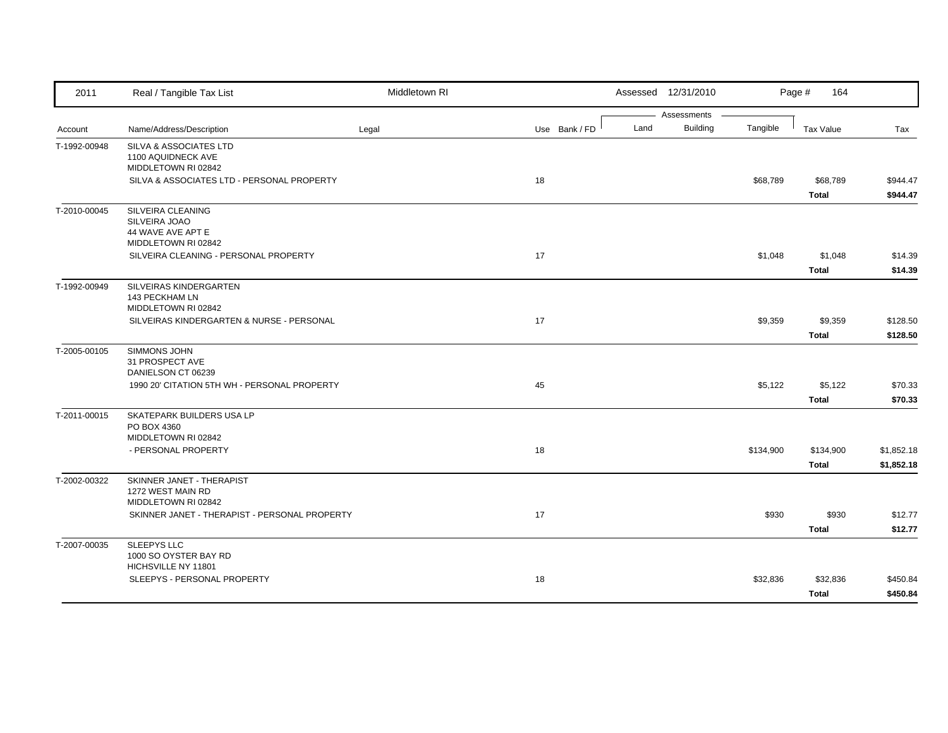| 2011         | Real / Tangible Tax List                                                       | Middletown RI |               |      | Assessed 12/31/2010            |           | Page #<br>164             |                          |
|--------------|--------------------------------------------------------------------------------|---------------|---------------|------|--------------------------------|-----------|---------------------------|--------------------------|
| Account      | Name/Address/Description                                                       | Legal         | Use Bank / FD | Land | Assessments<br><b>Building</b> | Tangible  | Tax Value                 | Tax                      |
| T-1992-00948 | SILVA & ASSOCIATES LTD<br>1100 AQUIDNECK AVE<br>MIDDLETOWN RI 02842            |               |               |      |                                |           |                           |                          |
|              | SILVA & ASSOCIATES LTD - PERSONAL PROPERTY                                     |               | 18            |      |                                | \$68,789  | \$68,789<br><b>Total</b>  | \$944.47<br>\$944.47     |
| T-2010-00045 | SILVEIRA CLEANING<br>SILVEIRA JOAO<br>44 WAVE AVE APT E<br>MIDDLETOWN RI 02842 |               |               |      |                                |           |                           |                          |
|              | SILVEIRA CLEANING - PERSONAL PROPERTY                                          |               | 17            |      |                                | \$1,048   | \$1,048<br><b>Total</b>   | \$14.39<br>\$14.39       |
| T-1992-00949 | SILVEIRAS KINDERGARTEN<br>143 PECKHAM LN<br>MIDDLETOWN RI 02842                |               |               |      |                                |           |                           |                          |
|              | SILVEIRAS KINDERGARTEN & NURSE - PERSONAL                                      |               | 17            |      |                                | \$9,359   | \$9,359<br><b>Total</b>   | \$128.50<br>\$128.50     |
| T-2005-00105 | SIMMONS JOHN<br>31 PROSPECT AVE<br>DANIELSON CT 06239                          |               |               |      |                                |           |                           |                          |
|              | 1990 20' CITATION 5TH WH - PERSONAL PROPERTY                                   |               | 45            |      |                                | \$5,122   | \$5,122<br><b>Total</b>   | \$70.33<br>\$70.33       |
| T-2011-00015 | SKATEPARK BUILDERS USA LP<br>PO BOX 4360<br>MIDDLETOWN RI 02842                |               |               |      |                                |           |                           |                          |
|              | - PERSONAL PROPERTY                                                            |               | 18            |      |                                | \$134,900 | \$134,900<br><b>Total</b> | \$1,852.18<br>\$1,852.18 |
| T-2002-00322 | SKINNER JANET - THERAPIST<br>1272 WEST MAIN RD<br>MIDDLETOWN RI 02842          |               |               |      |                                |           |                           |                          |
|              | SKINNER JANET - THERAPIST - PERSONAL PROPERTY                                  |               | 17            |      |                                | \$930     | \$930<br><b>Total</b>     | \$12.77<br>\$12.77       |
| T-2007-00035 | SLEEPYS LLC<br>1000 SO OYSTER BAY RD<br>HICHSVILLE NY 11801                    |               |               |      |                                |           |                           |                          |
|              | SLEEPYS - PERSONAL PROPERTY                                                    |               | 18            |      |                                | \$32,836  | \$32,836<br><b>Total</b>  | \$450.84<br>\$450.84     |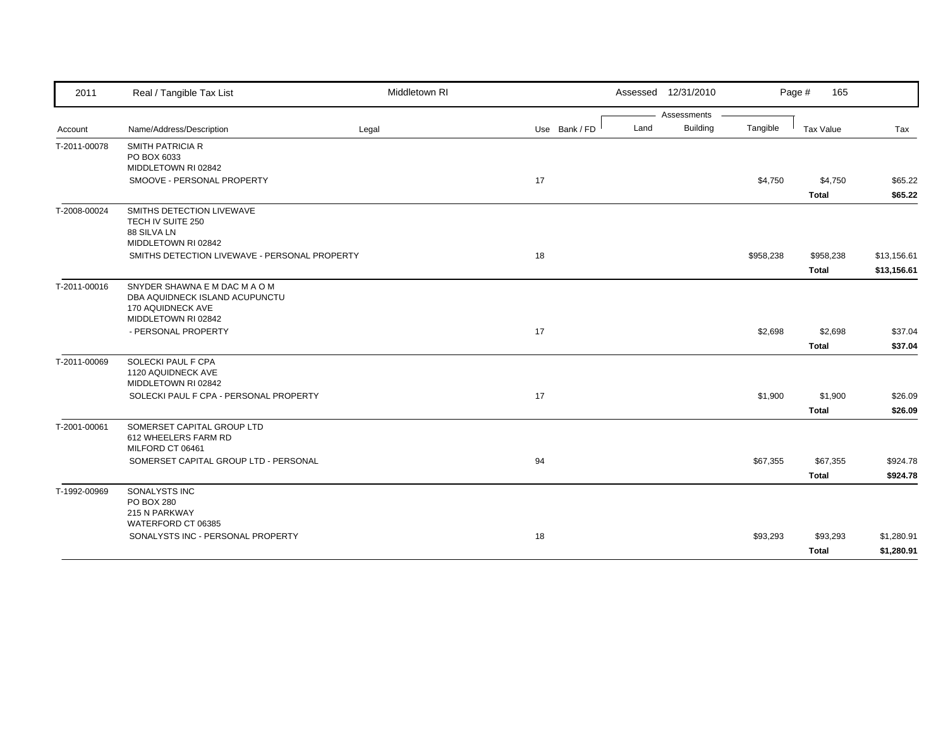| 2011         | Real / Tangible Tax List                                        | Middletown RI |               |      | Assessed 12/31/2010 |           | Page #<br>165 |             |
|--------------|-----------------------------------------------------------------|---------------|---------------|------|---------------------|-----------|---------------|-------------|
|              |                                                                 |               |               |      | Assessments         |           |               |             |
| Account      | Name/Address/Description                                        | Legal         | Use Bank / FD | Land | <b>Building</b>     | Tangible  | Tax Value     | Tax         |
| T-2011-00078 | SMITH PATRICIA R                                                |               |               |      |                     |           |               |             |
|              | PO BOX 6033                                                     |               |               |      |                     |           |               |             |
|              | MIDDLETOWN RI 02842                                             |               |               |      |                     |           |               |             |
|              | SMOOVE - PERSONAL PROPERTY                                      |               | 17            |      |                     | \$4,750   | \$4,750       | \$65.22     |
|              |                                                                 |               |               |      |                     |           | <b>Total</b>  | \$65.22     |
| T-2008-00024 | SMITHS DETECTION LIVEWAVE                                       |               |               |      |                     |           |               |             |
|              | TECH IV SUITE 250                                               |               |               |      |                     |           |               |             |
|              | 88 SILVA LN<br>MIDDLETOWN RI 02842                              |               |               |      |                     |           |               |             |
|              | SMITHS DETECTION LIVEWAVE - PERSONAL PROPERTY                   |               | 18            |      |                     | \$958,238 | \$958,238     | \$13,156.61 |
|              |                                                                 |               |               |      |                     |           | <b>Total</b>  | \$13,156.61 |
|              |                                                                 |               |               |      |                     |           |               |             |
| T-2011-00016 | SNYDER SHAWNA E M DAC M A O M<br>DBA AQUIDNECK ISLAND ACUPUNCTU |               |               |      |                     |           |               |             |
|              | 170 AQUIDNECK AVE                                               |               |               |      |                     |           |               |             |
|              | MIDDLETOWN RI 02842                                             |               |               |      |                     |           |               |             |
|              | - PERSONAL PROPERTY                                             |               | 17            |      |                     | \$2,698   | \$2,698       | \$37.04     |
|              |                                                                 |               |               |      |                     |           | <b>Total</b>  | \$37.04     |
| T-2011-00069 | SOLECKI PAUL F CPA                                              |               |               |      |                     |           |               |             |
|              | 1120 AQUIDNECK AVE                                              |               |               |      |                     |           |               |             |
|              | MIDDLETOWN RI 02842                                             |               |               |      |                     |           |               |             |
|              | SOLECKI PAUL F CPA - PERSONAL PROPERTY                          |               | 17            |      |                     | \$1,900   | \$1,900       | \$26.09     |
|              |                                                                 |               |               |      |                     |           | <b>Total</b>  | \$26.09     |
| T-2001-00061 | SOMERSET CAPITAL GROUP LTD                                      |               |               |      |                     |           |               |             |
|              | 612 WHEELERS FARM RD                                            |               |               |      |                     |           |               |             |
|              | MILFORD CT 06461                                                |               |               |      |                     |           |               |             |
|              | SOMERSET CAPITAL GROUP LTD - PERSONAL                           |               | 94            |      |                     | \$67,355  | \$67,355      | \$924.78    |
|              |                                                                 |               |               |      |                     |           | <b>Total</b>  | \$924.78    |
| T-1992-00969 | SONALYSTS INC                                                   |               |               |      |                     |           |               |             |
|              | <b>PO BOX 280</b>                                               |               |               |      |                     |           |               |             |
|              | 215 N PARKWAY<br>WATERFORD CT 06385                             |               |               |      |                     |           |               |             |
|              | SONALYSTS INC - PERSONAL PROPERTY                               |               | 18            |      |                     | \$93,293  | \$93,293      | \$1,280.91  |
|              |                                                                 |               |               |      |                     |           |               |             |
|              |                                                                 |               |               |      |                     |           | <b>Total</b>  | \$1,280.91  |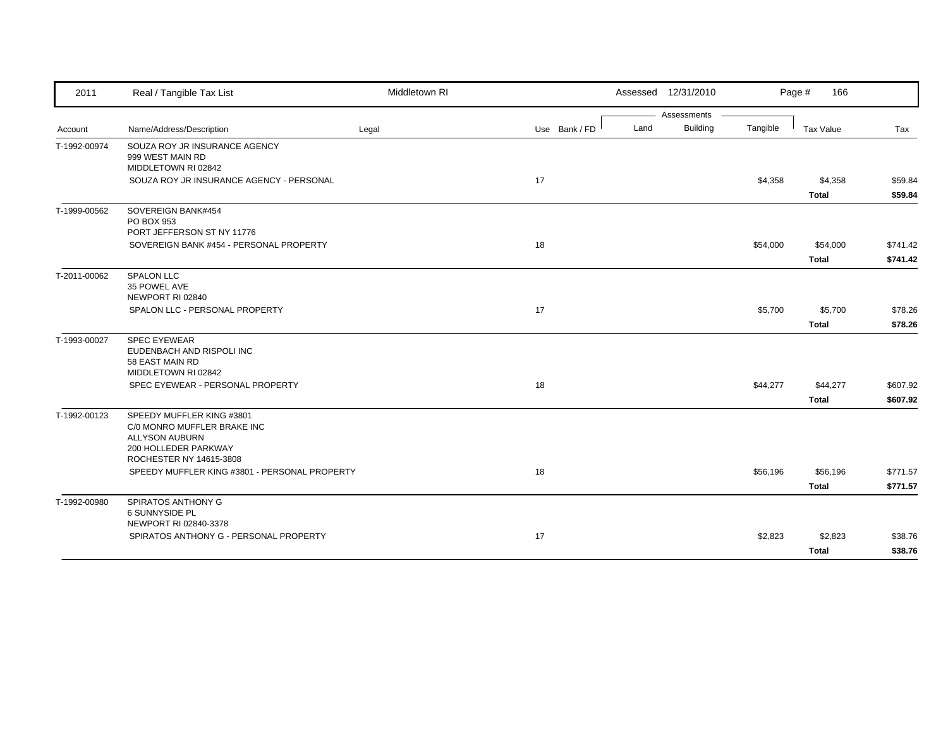| 2011         | Real / Tangible Tax List                                                                                                             | Middletown RI |               | Assessed 12/31/2010 |                             | Page #   | 166          |          |
|--------------|--------------------------------------------------------------------------------------------------------------------------------------|---------------|---------------|---------------------|-----------------------------|----------|--------------|----------|
|              |                                                                                                                                      |               |               |                     | Assessments                 |          |              |          |
| Account      | Name/Address/Description                                                                                                             | Legal         | Use Bank / FD | Land                | <b>Building</b><br>Tangible |          | Tax Value    | Tax      |
| T-1992-00974 | SOUZA ROY JR INSURANCE AGENCY<br>999 WEST MAIN RD<br>MIDDLETOWN RI 02842                                                             |               |               |                     |                             |          |              |          |
|              | SOUZA ROY JR INSURANCE AGENCY - PERSONAL                                                                                             |               | 17            |                     |                             | \$4,358  | \$4,358      | \$59.84  |
|              |                                                                                                                                      |               |               |                     |                             |          | <b>Total</b> | \$59.84  |
| T-1999-00562 | SOVEREIGN BANK#454<br>PO BOX 953<br>PORT JEFFERSON ST NY 11776                                                                       |               |               |                     |                             |          |              |          |
|              | SOVEREIGN BANK #454 - PERSONAL PROPERTY                                                                                              |               | 18            |                     |                             | \$54,000 | \$54,000     | \$741.42 |
|              |                                                                                                                                      |               |               |                     |                             |          | <b>Total</b> | \$741.42 |
| T-2011-00062 | <b>SPALON LLC</b><br>35 POWEL AVE<br>NEWPORT RI 02840                                                                                |               |               |                     |                             |          |              |          |
|              | SPALON LLC - PERSONAL PROPERTY                                                                                                       |               | 17            |                     |                             | \$5,700  | \$5,700      | \$78.26  |
|              |                                                                                                                                      |               |               |                     |                             |          | <b>Total</b> | \$78.26  |
| T-1993-00027 | <b>SPEC EYEWEAR</b><br>EUDENBACH AND RISPOLI INC<br>58 EAST MAIN RD<br>MIDDLETOWN RI 02842                                           |               |               |                     |                             |          |              |          |
|              | SPEC EYEWEAR - PERSONAL PROPERTY                                                                                                     |               | 18            |                     |                             | \$44,277 | \$44,277     | \$607.92 |
|              |                                                                                                                                      |               |               |                     |                             |          | <b>Total</b> | \$607.92 |
| T-1992-00123 | SPEEDY MUFFLER KING #3801<br>C/0 MONRO MUFFLER BRAKE INC<br><b>ALLYSON AUBURN</b><br>200 HOLLEDER PARKWAY<br>ROCHESTER NY 14615-3808 |               |               |                     |                             |          |              |          |
|              | SPEEDY MUFFLER KING #3801 - PERSONAL PROPERTY                                                                                        |               | 18            |                     |                             | \$56,196 | \$56,196     | \$771.57 |
|              |                                                                                                                                      |               |               |                     |                             |          | <b>Total</b> | \$771.57 |
|              | SPIRATOS ANTHONY G                                                                                                                   |               |               |                     |                             |          |              |          |
| T-1992-00980 | 6 SUNNYSIDE PL<br>NEWPORT RI 02840-3378                                                                                              |               |               |                     |                             |          |              |          |
|              | SPIRATOS ANTHONY G - PERSONAL PROPERTY                                                                                               |               | 17            |                     |                             | \$2,823  | \$2,823      | \$38.76  |
|              |                                                                                                                                      |               |               |                     |                             |          | <b>Total</b> | \$38.76  |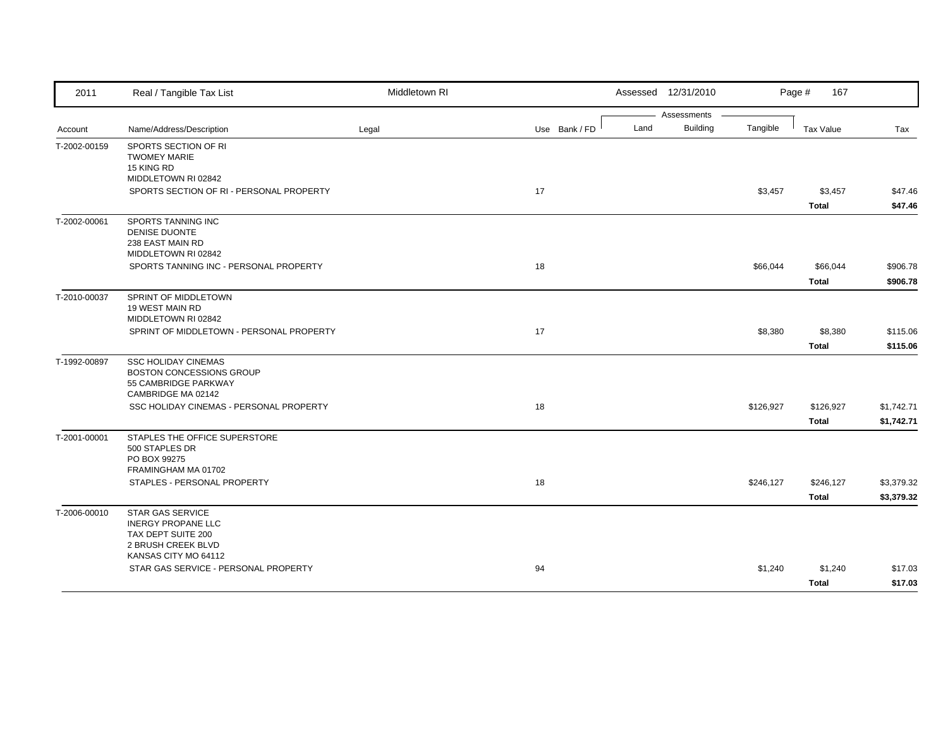| 2011         | Real / Tangible Tax List                                        | Middletown RI |               |      | Assessed 12/31/2010 |           | Page #<br>167    |            |
|--------------|-----------------------------------------------------------------|---------------|---------------|------|---------------------|-----------|------------------|------------|
|              |                                                                 |               |               |      | Assessments         |           |                  |            |
| Account      | Name/Address/Description                                        | Legal         | Use Bank / FD | Land | <b>Building</b>     | Tangible  | <b>Tax Value</b> | Tax        |
| T-2002-00159 | SPORTS SECTION OF RI                                            |               |               |      |                     |           |                  |            |
|              | <b>TWOMEY MARIE</b><br>15 KING RD                               |               |               |      |                     |           |                  |            |
|              | MIDDLETOWN RI 02842                                             |               |               |      |                     |           |                  |            |
|              | SPORTS SECTION OF RI - PERSONAL PROPERTY                        |               | 17            |      |                     | \$3,457   | \$3,457          | \$47.46    |
|              |                                                                 |               |               |      |                     |           | <b>Total</b>     | \$47.46    |
| T-2002-00061 | SPORTS TANNING INC                                              |               |               |      |                     |           |                  |            |
|              | DENISE DUONTE<br>238 EAST MAIN RD                               |               |               |      |                     |           |                  |            |
|              | MIDDLETOWN RI 02842                                             |               |               |      |                     |           |                  |            |
|              | SPORTS TANNING INC - PERSONAL PROPERTY                          |               | 18            |      |                     | \$66,044  | \$66,044         | \$906.78   |
|              |                                                                 |               |               |      |                     |           | Total            | \$906.78   |
| T-2010-00037 | SPRINT OF MIDDLETOWN                                            |               |               |      |                     |           |                  |            |
|              | 19 WEST MAIN RD                                                 |               |               |      |                     |           |                  |            |
|              | MIDDLETOWN RI 02842<br>SPRINT OF MIDDLETOWN - PERSONAL PROPERTY |               | 17            |      |                     | \$8,380   | \$8,380          | \$115.06   |
|              |                                                                 |               |               |      |                     |           |                  |            |
|              |                                                                 |               |               |      |                     |           | <b>Total</b>     | \$115.06   |
| T-1992-00897 | <b>SSC HOLIDAY CINEMAS</b><br><b>BOSTON CONCESSIONS GROUP</b>   |               |               |      |                     |           |                  |            |
|              | 55 CAMBRIDGE PARKWAY                                            |               |               |      |                     |           |                  |            |
|              | CAMBRIDGE MA 02142                                              |               |               |      |                     |           |                  |            |
|              | SSC HOLIDAY CINEMAS - PERSONAL PROPERTY                         |               | 18            |      |                     | \$126,927 | \$126,927        | \$1,742.71 |
|              |                                                                 |               |               |      |                     |           | <b>Total</b>     | \$1,742.71 |
| T-2001-00001 | STAPLES THE OFFICE SUPERSTORE                                   |               |               |      |                     |           |                  |            |
|              | 500 STAPLES DR<br>PO BOX 99275                                  |               |               |      |                     |           |                  |            |
|              | FRAMINGHAM MA 01702                                             |               |               |      |                     |           |                  |            |
|              | STAPLES - PERSONAL PROPERTY                                     |               | 18            |      |                     | \$246,127 | \$246,127        | \$3,379.32 |
|              |                                                                 |               |               |      |                     |           | <b>Total</b>     | \$3,379.32 |
| T-2006-00010 | <b>STAR GAS SERVICE</b>                                         |               |               |      |                     |           |                  |            |
|              | <b>INERGY PROPANE LLC</b><br>TAX DEPT SUITE 200                 |               |               |      |                     |           |                  |            |
|              | 2 BRUSH CREEK BLVD                                              |               |               |      |                     |           |                  |            |
|              | KANSAS CITY MO 64112                                            |               |               |      |                     |           |                  |            |
|              | STAR GAS SERVICE - PERSONAL PROPERTY                            |               | 94            |      |                     | \$1,240   | \$1,240          | \$17.03    |
|              |                                                                 |               |               |      |                     |           | <b>Total</b>     | \$17.03    |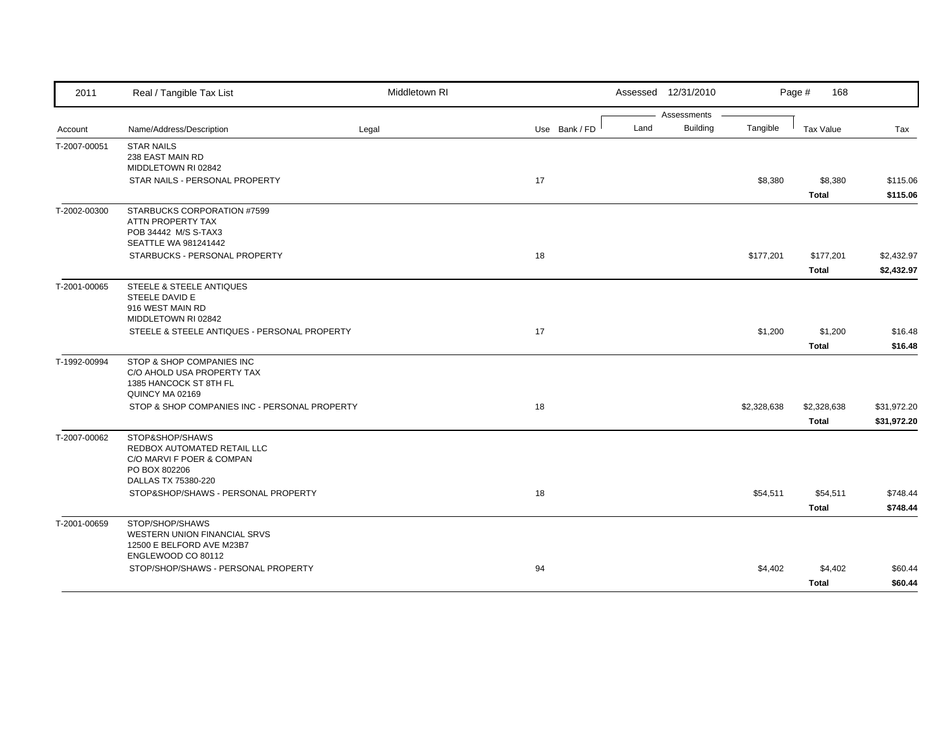| 2011         | Real / Tangible Tax List                                                                                                                                   | Middletown RI |               |      | Assessed 12/31/2010            |             | Page #<br>168                               |                                       |
|--------------|------------------------------------------------------------------------------------------------------------------------------------------------------------|---------------|---------------|------|--------------------------------|-------------|---------------------------------------------|---------------------------------------|
| Account      | Name/Address/Description                                                                                                                                   | Legal         | Use Bank / FD | Land | Assessments<br><b>Building</b> | Tangible    | Tax Value                                   | Tax                                   |
| T-2007-00051 | <b>STAR NAILS</b><br>238 EAST MAIN RD<br>MIDDLETOWN RI 02842<br>STAR NAILS - PERSONAL PROPERTY                                                             |               | 17            |      |                                | \$8,380     | \$8,380<br><b>Total</b>                     | \$115.06<br>\$115.06                  |
| T-2002-00300 | STARBUCKS CORPORATION #7599<br>ATTN PROPERTY TAX<br>POB 34442 M/S S-TAX3<br>SEATTLE WA 981241442<br>STARBUCKS - PERSONAL PROPERTY                          |               | 18            |      |                                | \$177,201   | \$177,201                                   | \$2,432.97                            |
| T-2001-00065 | STEELE & STEELE ANTIQUES<br>STEELE DAVID E<br>916 WEST MAIN RD<br>MIDDLETOWN RI 02842<br>STEELE & STEELE ANTIQUES - PERSONAL PROPERTY                      |               | 17            |      |                                | \$1,200     | <b>Total</b><br>\$1,200                     | \$2,432.97<br>\$16.48                 |
| T-1992-00994 | STOP & SHOP COMPANIES INC<br>C/O AHOLD USA PROPERTY TAX<br>1385 HANCOCK ST 8TH FL<br>QUINCY MA 02169<br>STOP & SHOP COMPANIES INC - PERSONAL PROPERTY      |               | 18            |      |                                | \$2,328,638 | <b>Total</b><br>\$2,328,638<br><b>Total</b> | \$16.48<br>\$31,972.20<br>\$31,972.20 |
| T-2007-00062 | STOP&SHOP/SHAWS<br>REDBOX AUTOMATED RETAIL LLC<br>C/O MARVI F POER & COMPAN<br>PO BOX 802206<br>DALLAS TX 75380-220<br>STOP&SHOP/SHAWS - PERSONAL PROPERTY |               | 18            |      |                                | \$54,511    | \$54,511<br><b>Total</b>                    | \$748.44<br>\$748.44                  |
| T-2001-00659 | STOP/SHOP/SHAWS<br>WESTERN UNION FINANCIAL SRVS<br>12500 E BELFORD AVE M23B7<br>ENGLEWOOD CO 80112                                                         |               |               |      |                                |             |                                             |                                       |
|              | STOP/SHOP/SHAWS - PERSONAL PROPERTY                                                                                                                        |               | 94            |      |                                | \$4,402     | \$4,402<br><b>Total</b>                     | \$60.44<br>\$60.44                    |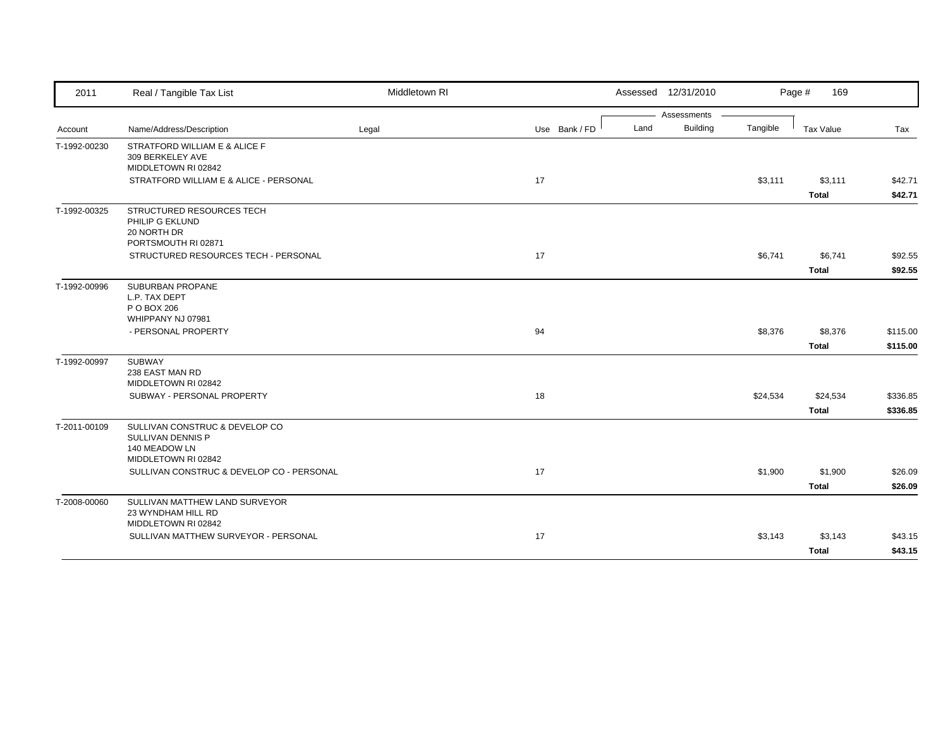| 2011         | Real / Tangible Tax List                                                                    | Middletown RI |               | Assessed 12/31/2010     |          | Page #<br>169 |          |
|--------------|---------------------------------------------------------------------------------------------|---------------|---------------|-------------------------|----------|---------------|----------|
|              |                                                                                             |               |               | Assessments             |          |               |          |
| Account      | Name/Address/Description                                                                    | Legal         | Use Bank / FD | <b>Building</b><br>Land | Tangible | Tax Value     | Tax      |
| T-1992-00230 | STRATFORD WILLIAM E & ALICE F<br>309 BERKELEY AVE<br>MIDDLETOWN RI 02842                    |               |               |                         |          |               |          |
|              | STRATFORD WILLIAM E & ALICE - PERSONAL                                                      |               | 17            |                         | \$3,111  | \$3,111       | \$42.71  |
|              |                                                                                             |               |               |                         |          | <b>Total</b>  | \$42.71  |
| T-1992-00325 | STRUCTURED RESOURCES TECH<br>PHILIP G EKLUND<br>20 NORTH DR<br>PORTSMOUTH RI 02871          |               |               |                         |          |               |          |
|              | STRUCTURED RESOURCES TECH - PERSONAL                                                        |               | 17            |                         | \$6,741  | \$6,741       | \$92.55  |
|              |                                                                                             |               |               |                         |          | <b>Total</b>  | \$92.55  |
| T-1992-00996 | SUBURBAN PROPANE<br>L.P. TAX DEPT<br>P O BOX 206<br>WHIPPANY NJ 07981                       |               |               |                         |          |               |          |
|              | - PERSONAL PROPERTY                                                                         |               | 94            |                         | \$8,376  | \$8,376       | \$115.00 |
|              |                                                                                             |               |               |                         |          | <b>Total</b>  | \$115.00 |
| T-1992-00997 | <b>SUBWAY</b><br>238 EAST MAN RD<br>MIDDLETOWN RI 02842                                     |               |               |                         |          |               |          |
|              | SUBWAY - PERSONAL PROPERTY                                                                  |               | 18            |                         | \$24,534 | \$24,534      | \$336.85 |
|              |                                                                                             |               |               |                         |          | <b>Total</b>  | \$336.85 |
| T-2011-00109 | SULLIVAN CONSTRUC & DEVELOP CO<br>SULLIVAN DENNIS P<br>140 MEADOW LN<br>MIDDLETOWN RI 02842 |               |               |                         |          |               |          |
|              | SULLIVAN CONSTRUC & DEVELOP CO - PERSONAL                                                   |               | 17            |                         | \$1,900  | \$1,900       | \$26.09  |
|              |                                                                                             |               |               |                         |          | <b>Total</b>  | \$26.09  |
| T-2008-00060 | SULLIVAN MATTHEW LAND SURVEYOR<br>23 WYNDHAM HILL RD<br>MIDDLETOWN RI 02842                 |               |               |                         |          |               |          |
|              | SULLIVAN MATTHEW SURVEYOR - PERSONAL                                                        |               | 17            |                         | \$3,143  | \$3,143       | \$43.15  |
|              |                                                                                             |               |               |                         |          | <b>Total</b>  | \$43.15  |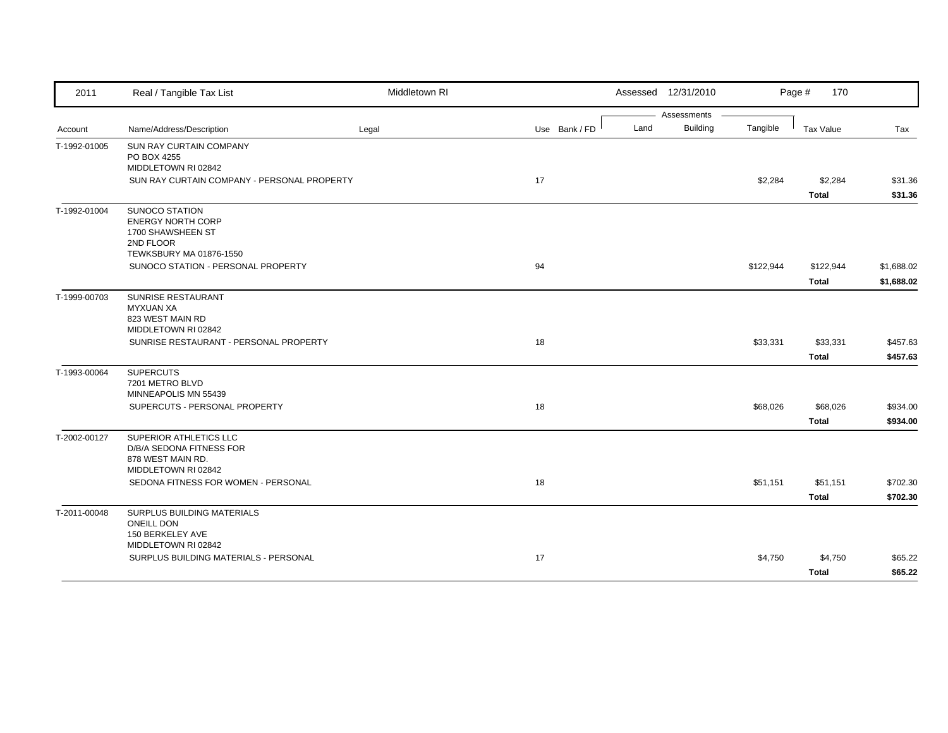| 2011         | Real / Tangible Tax List                           | Middletown RI |               |      | Assessed 12/31/2010 |           | Page #<br>170    |            |
|--------------|----------------------------------------------------|---------------|---------------|------|---------------------|-----------|------------------|------------|
|              |                                                    |               |               |      | Assessments         |           |                  |            |
| Account      | Name/Address/Description                           | Legal         | Use Bank / FD | Land | <b>Building</b>     | Tangible  | <b>Tax Value</b> | Tax        |
| T-1992-01005 | SUN RAY CURTAIN COMPANY                            |               |               |      |                     |           |                  |            |
|              | PO BOX 4255<br>MIDDLETOWN RI 02842                 |               |               |      |                     |           |                  |            |
|              | SUN RAY CURTAIN COMPANY - PERSONAL PROPERTY        |               | 17            |      |                     | \$2,284   | \$2,284          | \$31.36    |
|              |                                                    |               |               |      |                     |           | <b>Total</b>     | \$31.36    |
| T-1992-01004 | <b>SUNOCO STATION</b>                              |               |               |      |                     |           |                  |            |
|              | <b>ENERGY NORTH CORP</b>                           |               |               |      |                     |           |                  |            |
|              | 1700 SHAWSHEEN ST<br>2ND FLOOR                     |               |               |      |                     |           |                  |            |
|              | TEWKSBURY MA 01876-1550                            |               |               |      |                     |           |                  |            |
|              | SUNOCO STATION - PERSONAL PROPERTY                 |               | 94            |      |                     | \$122,944 | \$122,944        | \$1,688.02 |
|              |                                                    |               |               |      |                     |           | Total            | \$1,688.02 |
| T-1999-00703 | SUNRISE RESTAURANT                                 |               |               |      |                     |           |                  |            |
|              | <b>MYXUAN XA</b>                                   |               |               |      |                     |           |                  |            |
|              | 823 WEST MAIN RD<br>MIDDLETOWN RI 02842            |               |               |      |                     |           |                  |            |
|              | SUNRISE RESTAURANT - PERSONAL PROPERTY             |               | 18            |      |                     | \$33,331  | \$33,331         | \$457.63   |
|              |                                                    |               |               |      |                     |           | <b>Total</b>     | \$457.63   |
| T-1993-00064 | <b>SUPERCUTS</b>                                   |               |               |      |                     |           |                  |            |
|              | 7201 METRO BLVD                                    |               |               |      |                     |           |                  |            |
|              | MINNEAPOLIS MN 55439                               |               |               |      |                     |           |                  |            |
|              | SUPERCUTS - PERSONAL PROPERTY                      |               | 18            |      |                     | \$68,026  | \$68,026         | \$934.00   |
|              |                                                    |               |               |      |                     |           | <b>Total</b>     | \$934.00   |
| T-2002-00127 | SUPERIOR ATHLETICS LLC<br>D/B/A SEDONA FITNESS FOR |               |               |      |                     |           |                  |            |
|              | 878 WEST MAIN RD.                                  |               |               |      |                     |           |                  |            |
|              | MIDDLETOWN RI 02842                                |               |               |      |                     |           |                  |            |
|              | SEDONA FITNESS FOR WOMEN - PERSONAL                |               | 18            |      |                     | \$51,151  | \$51,151         | \$702.30   |
|              |                                                    |               |               |      |                     |           | <b>Total</b>     | \$702.30   |
| T-2011-00048 | SURPLUS BUILDING MATERIALS                         |               |               |      |                     |           |                  |            |
|              | <b>ONEILL DON</b>                                  |               |               |      |                     |           |                  |            |
|              | 150 BERKELEY AVE<br>MIDDLETOWN RI 02842            |               |               |      |                     |           |                  |            |
|              | SURPLUS BUILDING MATERIALS - PERSONAL              |               | 17            |      |                     | \$4,750   | \$4,750          | \$65.22    |
|              |                                                    |               |               |      |                     |           | Total            | \$65.22    |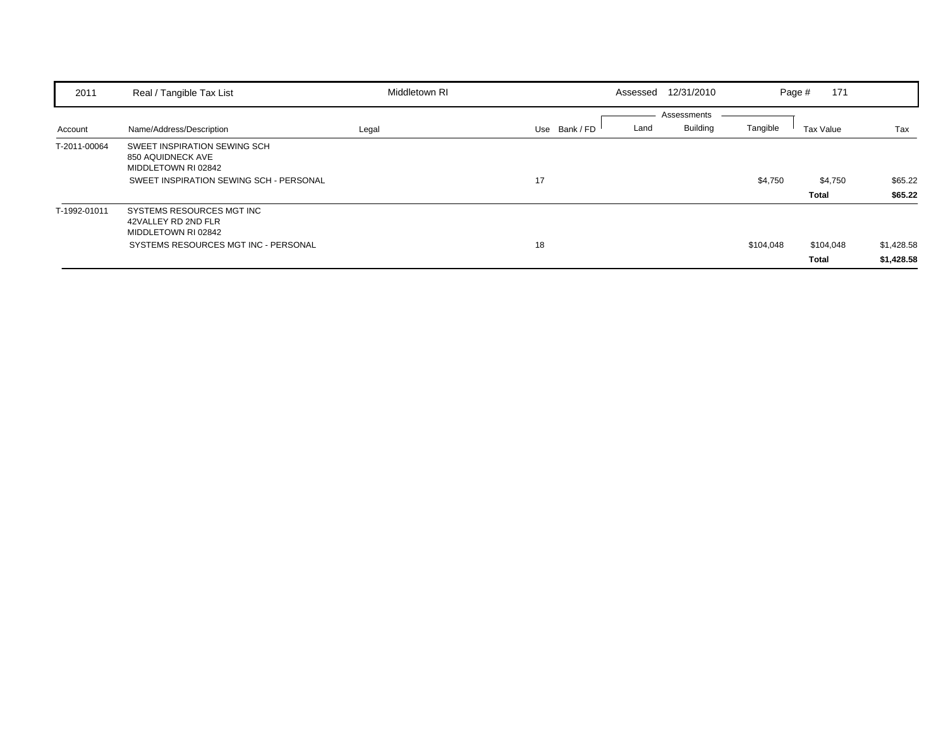| 2011         | Real / Tangible Tax List                                                                                            | Middletown RI | Assessed 12/31/2010                                     | Page #    | 171                |                          |
|--------------|---------------------------------------------------------------------------------------------------------------------|---------------|---------------------------------------------------------|-----------|--------------------|--------------------------|
| Account      | Name/Address/Description                                                                                            | Legal         | Assessments<br><b>Building</b><br>Use Bank / FD<br>Land | Tangible  | Tax Value          | Tax                      |
| T-2011-00064 | SWEET INSPIRATION SEWING SCH<br>850 AQUIDNECK AVE<br>MIDDLETOWN RI 02842<br>SWEET INSPIRATION SEWING SCH - PERSONAL |               | 17                                                      | \$4,750   | \$4,750<br>Total   | \$65.22<br>\$65.22       |
| T-1992-01011 | SYSTEMS RESOURCES MGT INC<br>42VALLEY RD 2ND FLR<br>MIDDLETOWN RI 02842<br>SYSTEMS RESOURCES MGT INC - PERSONAL     |               | 18                                                      | \$104,048 | \$104,048<br>Total | \$1,428.58<br>\$1,428.58 |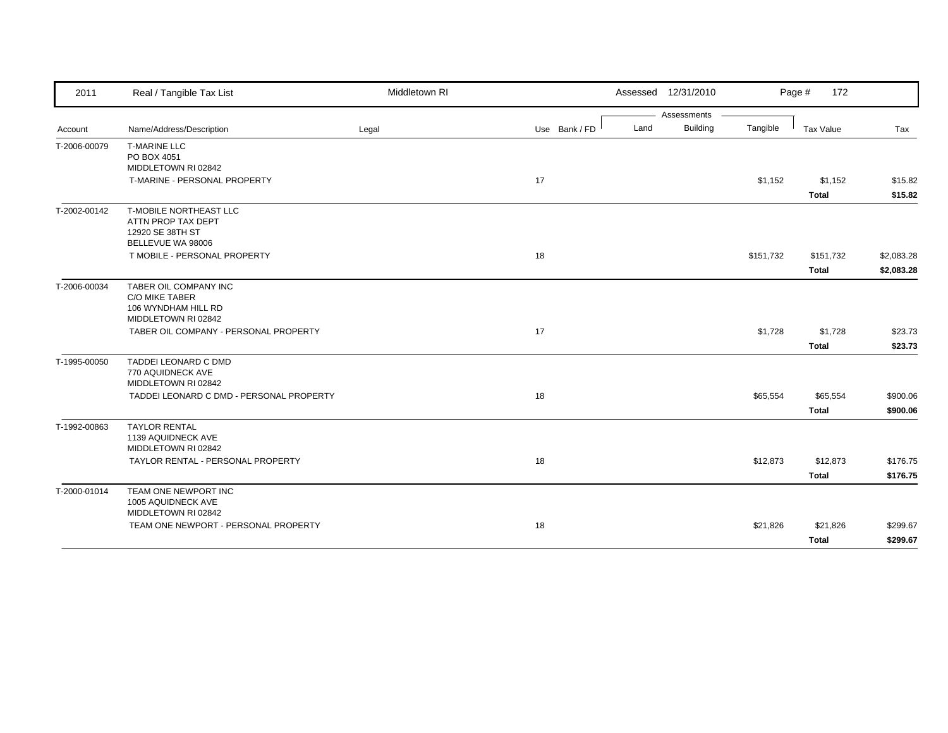| Assessments<br><b>Building</b><br>Use Bank / FD<br>Land<br>Tangible<br>Tax Value<br>Name/Address/Description<br>Tax<br>Legal<br>Account<br><b>T-MARINE LLC</b><br>PO BOX 4051<br>MIDDLETOWN RI 02842<br>17<br>T-MARINE - PERSONAL PROPERTY<br>\$1,152<br>\$1,152<br><b>Total</b><br>T-MOBILE NORTHEAST LLC<br>ATTN PROP TAX DEPT<br>12920 SE 38TH ST<br>BELLEVUE WA 98006<br>T MOBILE - PERSONAL PROPERTY<br>18<br>\$151,732<br>\$151,732<br><b>Total</b><br>T-2006-00034<br>TABER OIL COMPANY INC<br>C/O MIKE TABER<br>106 WYNDHAM HILL RD<br>MIDDLETOWN RI 02842<br>17<br>TABER OIL COMPANY - PERSONAL PROPERTY<br>\$1,728<br>\$1,728<br><b>Total</b><br>TADDEI LEONARD C DMD<br>770 AQUIDNECK AVE<br>MIDDLETOWN RI 02842<br>TADDEI LEONARD C DMD - PERSONAL PROPERTY<br>18<br>\$65,554<br>\$65,554<br><b>Total</b><br><b>TAYLOR RENTAL</b><br>1139 AQUIDNECK AVE<br>MIDDLETOWN RI 02842<br>TAYLOR RENTAL - PERSONAL PROPERTY<br>18<br>\$12,873<br>\$12,873<br><b>Total</b><br>TEAM ONE NEWPORT INC<br>T-2000-01014<br>1005 AQUIDNECK AVE<br>MIDDLETOWN RI 02842<br>TEAM ONE NEWPORT - PERSONAL PROPERTY<br>18<br>\$21,826<br>\$21,826<br><b>Total</b> | 2011         | Real / Tangible Tax List | Middletown RI |  | Assessed 12/31/2010 | Page #<br>172 |  |
|----------------------------------------------------------------------------------------------------------------------------------------------------------------------------------------------------------------------------------------------------------------------------------------------------------------------------------------------------------------------------------------------------------------------------------------------------------------------------------------------------------------------------------------------------------------------------------------------------------------------------------------------------------------------------------------------------------------------------------------------------------------------------------------------------------------------------------------------------------------------------------------------------------------------------------------------------------------------------------------------------------------------------------------------------------------------------------------------------------------------------------------------------------|--------------|--------------------------|---------------|--|---------------------|---------------|--|
|                                                                                                                                                                                                                                                                                                                                                                                                                                                                                                                                                                                                                                                                                                                                                                                                                                                                                                                                                                                                                                                                                                                                                          |              |                          |               |  |                     |               |  |
| \$15.82<br>\$15.82<br>\$2,083.28<br>\$2,083.28<br>\$23.73<br>\$23.73<br>\$900.06<br>\$900.06<br>\$176.75<br>\$176.75<br>\$299.67<br>\$299.67                                                                                                                                                                                                                                                                                                                                                                                                                                                                                                                                                                                                                                                                                                                                                                                                                                                                                                                                                                                                             |              |                          |               |  |                     |               |  |
|                                                                                                                                                                                                                                                                                                                                                                                                                                                                                                                                                                                                                                                                                                                                                                                                                                                                                                                                                                                                                                                                                                                                                          | T-2006-00079 |                          |               |  |                     |               |  |
|                                                                                                                                                                                                                                                                                                                                                                                                                                                                                                                                                                                                                                                                                                                                                                                                                                                                                                                                                                                                                                                                                                                                                          |              |                          |               |  |                     |               |  |
|                                                                                                                                                                                                                                                                                                                                                                                                                                                                                                                                                                                                                                                                                                                                                                                                                                                                                                                                                                                                                                                                                                                                                          |              |                          |               |  |                     |               |  |
|                                                                                                                                                                                                                                                                                                                                                                                                                                                                                                                                                                                                                                                                                                                                                                                                                                                                                                                                                                                                                                                                                                                                                          |              |                          |               |  |                     |               |  |
|                                                                                                                                                                                                                                                                                                                                                                                                                                                                                                                                                                                                                                                                                                                                                                                                                                                                                                                                                                                                                                                                                                                                                          | T-2002-00142 |                          |               |  |                     |               |  |
|                                                                                                                                                                                                                                                                                                                                                                                                                                                                                                                                                                                                                                                                                                                                                                                                                                                                                                                                                                                                                                                                                                                                                          |              |                          |               |  |                     |               |  |
|                                                                                                                                                                                                                                                                                                                                                                                                                                                                                                                                                                                                                                                                                                                                                                                                                                                                                                                                                                                                                                                                                                                                                          |              |                          |               |  |                     |               |  |
|                                                                                                                                                                                                                                                                                                                                                                                                                                                                                                                                                                                                                                                                                                                                                                                                                                                                                                                                                                                                                                                                                                                                                          |              |                          |               |  |                     |               |  |
|                                                                                                                                                                                                                                                                                                                                                                                                                                                                                                                                                                                                                                                                                                                                                                                                                                                                                                                                                                                                                                                                                                                                                          |              |                          |               |  |                     |               |  |
|                                                                                                                                                                                                                                                                                                                                                                                                                                                                                                                                                                                                                                                                                                                                                                                                                                                                                                                                                                                                                                                                                                                                                          |              |                          |               |  |                     |               |  |
|                                                                                                                                                                                                                                                                                                                                                                                                                                                                                                                                                                                                                                                                                                                                                                                                                                                                                                                                                                                                                                                                                                                                                          |              |                          |               |  |                     |               |  |
|                                                                                                                                                                                                                                                                                                                                                                                                                                                                                                                                                                                                                                                                                                                                                                                                                                                                                                                                                                                                                                                                                                                                                          |              |                          |               |  |                     |               |  |
|                                                                                                                                                                                                                                                                                                                                                                                                                                                                                                                                                                                                                                                                                                                                                                                                                                                                                                                                                                                                                                                                                                                                                          |              |                          |               |  |                     |               |  |
|                                                                                                                                                                                                                                                                                                                                                                                                                                                                                                                                                                                                                                                                                                                                                                                                                                                                                                                                                                                                                                                                                                                                                          | T-1995-00050 |                          |               |  |                     |               |  |
|                                                                                                                                                                                                                                                                                                                                                                                                                                                                                                                                                                                                                                                                                                                                                                                                                                                                                                                                                                                                                                                                                                                                                          |              |                          |               |  |                     |               |  |
|                                                                                                                                                                                                                                                                                                                                                                                                                                                                                                                                                                                                                                                                                                                                                                                                                                                                                                                                                                                                                                                                                                                                                          |              |                          |               |  |                     |               |  |
|                                                                                                                                                                                                                                                                                                                                                                                                                                                                                                                                                                                                                                                                                                                                                                                                                                                                                                                                                                                                                                                                                                                                                          |              |                          |               |  |                     |               |  |
|                                                                                                                                                                                                                                                                                                                                                                                                                                                                                                                                                                                                                                                                                                                                                                                                                                                                                                                                                                                                                                                                                                                                                          |              |                          |               |  |                     |               |  |
|                                                                                                                                                                                                                                                                                                                                                                                                                                                                                                                                                                                                                                                                                                                                                                                                                                                                                                                                                                                                                                                                                                                                                          | T-1992-00863 |                          |               |  |                     |               |  |
|                                                                                                                                                                                                                                                                                                                                                                                                                                                                                                                                                                                                                                                                                                                                                                                                                                                                                                                                                                                                                                                                                                                                                          |              |                          |               |  |                     |               |  |
|                                                                                                                                                                                                                                                                                                                                                                                                                                                                                                                                                                                                                                                                                                                                                                                                                                                                                                                                                                                                                                                                                                                                                          |              |                          |               |  |                     |               |  |
|                                                                                                                                                                                                                                                                                                                                                                                                                                                                                                                                                                                                                                                                                                                                                                                                                                                                                                                                                                                                                                                                                                                                                          |              |                          |               |  |                     |               |  |
|                                                                                                                                                                                                                                                                                                                                                                                                                                                                                                                                                                                                                                                                                                                                                                                                                                                                                                                                                                                                                                                                                                                                                          |              |                          |               |  |                     |               |  |
|                                                                                                                                                                                                                                                                                                                                                                                                                                                                                                                                                                                                                                                                                                                                                                                                                                                                                                                                                                                                                                                                                                                                                          |              |                          |               |  |                     |               |  |
|                                                                                                                                                                                                                                                                                                                                                                                                                                                                                                                                                                                                                                                                                                                                                                                                                                                                                                                                                                                                                                                                                                                                                          |              |                          |               |  |                     |               |  |
|                                                                                                                                                                                                                                                                                                                                                                                                                                                                                                                                                                                                                                                                                                                                                                                                                                                                                                                                                                                                                                                                                                                                                          |              |                          |               |  |                     |               |  |
|                                                                                                                                                                                                                                                                                                                                                                                                                                                                                                                                                                                                                                                                                                                                                                                                                                                                                                                                                                                                                                                                                                                                                          |              |                          |               |  |                     |               |  |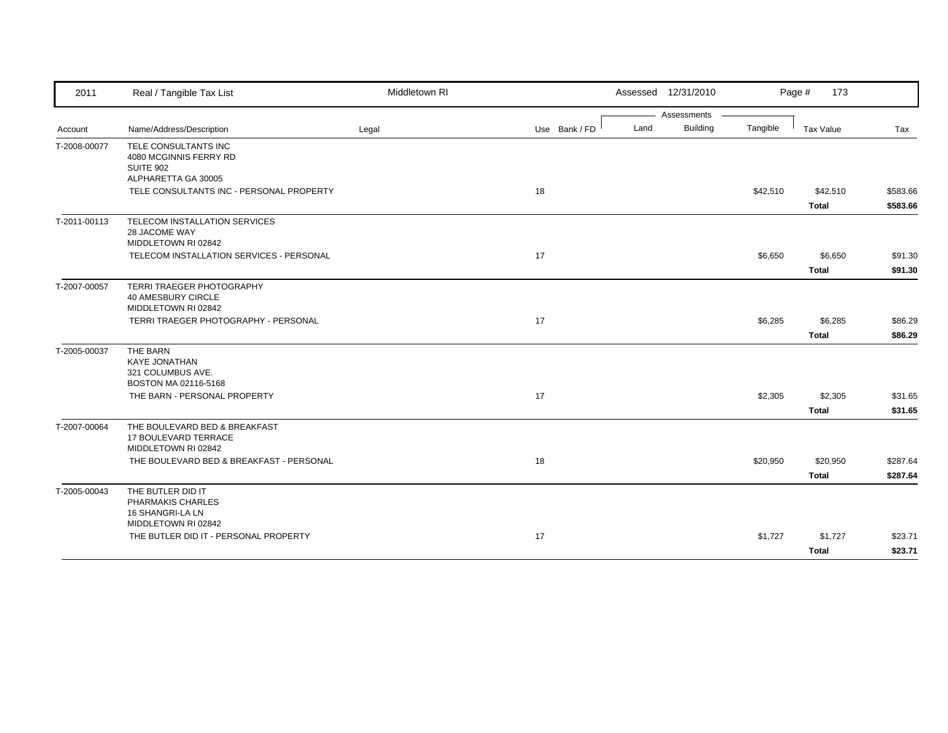| 2011         | Real / Tangible Tax List                              | Middletown RI |               | Assessed 12/31/2010     |          | Page #<br>173 |          |
|--------------|-------------------------------------------------------|---------------|---------------|-------------------------|----------|---------------|----------|
|              |                                                       |               |               | Assessments             |          |               |          |
| Account      | Name/Address/Description                              | Legal         | Use Bank / FD | <b>Building</b><br>Land | Tangible | Tax Value     | Tax      |
| T-2008-00077 | TELE CONSULTANTS INC                                  |               |               |                         |          |               |          |
|              | 4080 MCGINNIS FERRY RD                                |               |               |                         |          |               |          |
|              | <b>SUITE 902</b><br>ALPHARETTA GA 30005               |               |               |                         |          |               |          |
|              | TELE CONSULTANTS INC - PERSONAL PROPERTY              |               | 18            |                         | \$42,510 | \$42,510      | \$583.66 |
|              |                                                       |               |               |                         |          | <b>Total</b>  | \$583.66 |
| T-2011-00113 | TELECOM INSTALLATION SERVICES                         |               |               |                         |          |               |          |
|              | 28 JACOME WAY                                         |               |               |                         |          |               |          |
|              | MIDDLETOWN RI 02842                                   |               |               |                         |          |               |          |
|              | TELECOM INSTALLATION SERVICES - PERSONAL              |               | 17            |                         | \$6,650  | \$6,650       | \$91.30  |
|              |                                                       |               |               |                         |          | <b>Total</b>  | \$91.30  |
| T-2007-00057 | TERRI TRAEGER PHOTOGRAPHY                             |               |               |                         |          |               |          |
|              | 40 AMESBURY CIRCLE                                    |               |               |                         |          |               |          |
|              | MIDDLETOWN RI 02842                                   |               |               |                         |          |               |          |
|              | TERRI TRAEGER PHOTOGRAPHY - PERSONAL                  |               | 17            |                         | \$6,285  | \$6,285       | \$86.29  |
|              |                                                       |               |               |                         |          | <b>Total</b>  | \$86.29  |
| T-2005-00037 | THE BARN                                              |               |               |                         |          |               |          |
|              | <b>KAYE JONATHAN</b>                                  |               |               |                         |          |               |          |
|              | 321 COLUMBUS AVE.<br>BOSTON MA 02116-5168             |               |               |                         |          |               |          |
|              | THE BARN - PERSONAL PROPERTY                          |               | 17            |                         | \$2,305  | \$2,305       | \$31.65  |
|              |                                                       |               |               |                         |          | <b>Total</b>  | \$31.65  |
|              |                                                       |               |               |                         |          |               |          |
| T-2007-00064 | THE BOULEVARD BED & BREAKFAST<br>17 BOULEVARD TERRACE |               |               |                         |          |               |          |
|              | MIDDLETOWN RI 02842                                   |               |               |                         |          |               |          |
|              | THE BOULEVARD BED & BREAKFAST - PERSONAL              |               | 18            |                         | \$20,950 | \$20,950      | \$287.64 |
|              |                                                       |               |               |                         |          | <b>Total</b>  | \$287.64 |
| T-2005-00043 | THE BUTLER DID IT                                     |               |               |                         |          |               |          |
|              | PHARMAKIS CHARLES                                     |               |               |                         |          |               |          |
|              | 16 SHANGRI-LA LN                                      |               |               |                         |          |               |          |
|              | MIDDLETOWN RI 02842                                   |               |               |                         |          |               |          |
|              | THE BUTLER DID IT - PERSONAL PROPERTY                 |               | 17            |                         | \$1,727  | \$1,727       | \$23.71  |
|              |                                                       |               |               |                         |          | <b>Total</b>  | \$23.71  |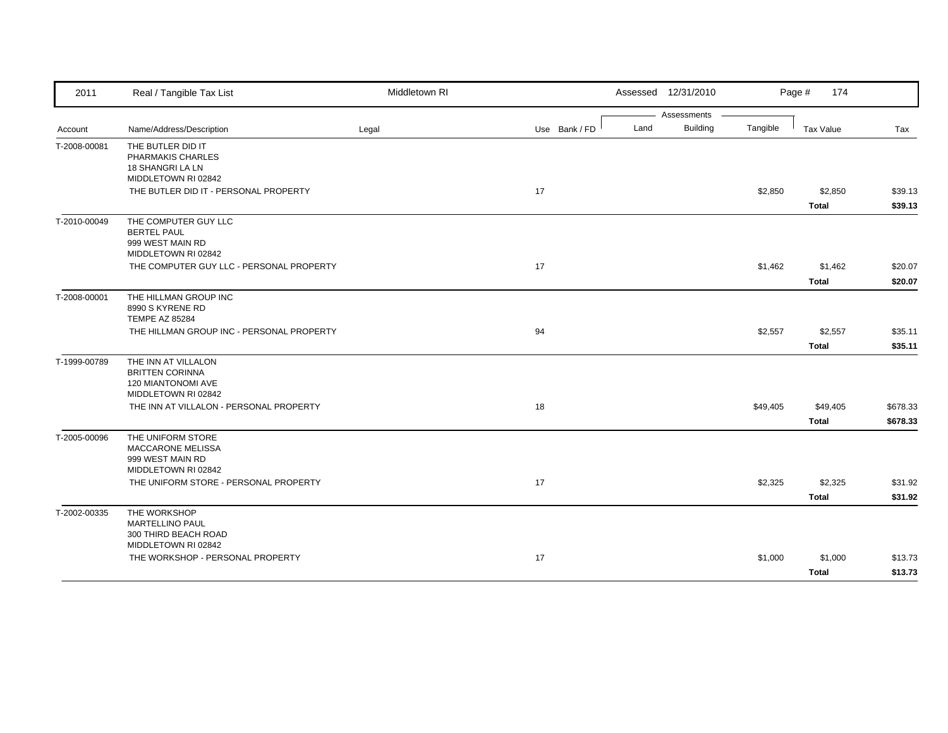| 2011         | Real / Tangible Tax List                                                                   | Middletown RI |               | Assessed 12/31/2010     |          | Page #<br>174            |                      |
|--------------|--------------------------------------------------------------------------------------------|---------------|---------------|-------------------------|----------|--------------------------|----------------------|
|              |                                                                                            |               |               | Assessments             |          |                          |                      |
| Account      | Name/Address/Description                                                                   | Legal         | Use Bank / FD | <b>Building</b><br>Land | Tangible | <b>Tax Value</b>         | Tax                  |
| T-2008-00081 | THE BUTLER DID IT<br>PHARMAKIS CHARLES<br>18 SHANGRI LA LN<br>MIDDLETOWN RI 02842          |               |               |                         |          |                          |                      |
|              | THE BUTLER DID IT - PERSONAL PROPERTY                                                      |               | 17            |                         | \$2,850  | \$2,850<br><b>Total</b>  | \$39.13<br>\$39.13   |
| T-2010-00049 | THE COMPUTER GUY LLC<br><b>BERTEL PAUL</b><br>999 WEST MAIN RD<br>MIDDLETOWN RI 02842      |               |               |                         |          |                          |                      |
|              | THE COMPUTER GUY LLC - PERSONAL PROPERTY                                                   |               | 17            |                         | \$1,462  | \$1,462<br><b>Total</b>  | \$20.07<br>\$20.07   |
| T-2008-00001 | THE HILLMAN GROUP INC<br>8990 S KYRENE RD<br><b>TEMPE AZ 85284</b>                         |               |               |                         |          |                          |                      |
|              | THE HILLMAN GROUP INC - PERSONAL PROPERTY                                                  |               | 94            |                         | \$2,557  | \$2,557<br><b>Total</b>  | \$35.11<br>\$35.11   |
| T-1999-00789 | THE INN AT VILLALON<br><b>BRITTEN CORINNA</b><br>120 MIANTONOMI AVE<br>MIDDLETOWN RI 02842 |               |               |                         |          |                          |                      |
|              | THE INN AT VILLALON - PERSONAL PROPERTY                                                    |               | 18            |                         | \$49,405 | \$49,405<br><b>Total</b> | \$678.33<br>\$678.33 |
| T-2005-00096 | THE UNIFORM STORE<br>MACCARONE MELISSA<br>999 WEST MAIN RD<br>MIDDLETOWN RI 02842          |               |               |                         |          |                          |                      |
|              | THE UNIFORM STORE - PERSONAL PROPERTY                                                      |               | 17            |                         | \$2,325  | \$2,325<br><b>Total</b>  | \$31.92<br>\$31.92   |
| T-2002-00335 | THE WORKSHOP<br><b>MARTELLINO PAUL</b><br>300 THIRD BEACH ROAD<br>MIDDLETOWN RI 02842      |               |               |                         |          |                          |                      |
|              | THE WORKSHOP - PERSONAL PROPERTY                                                           |               | 17            |                         | \$1,000  | \$1,000<br><b>Total</b>  | \$13.73<br>\$13.73   |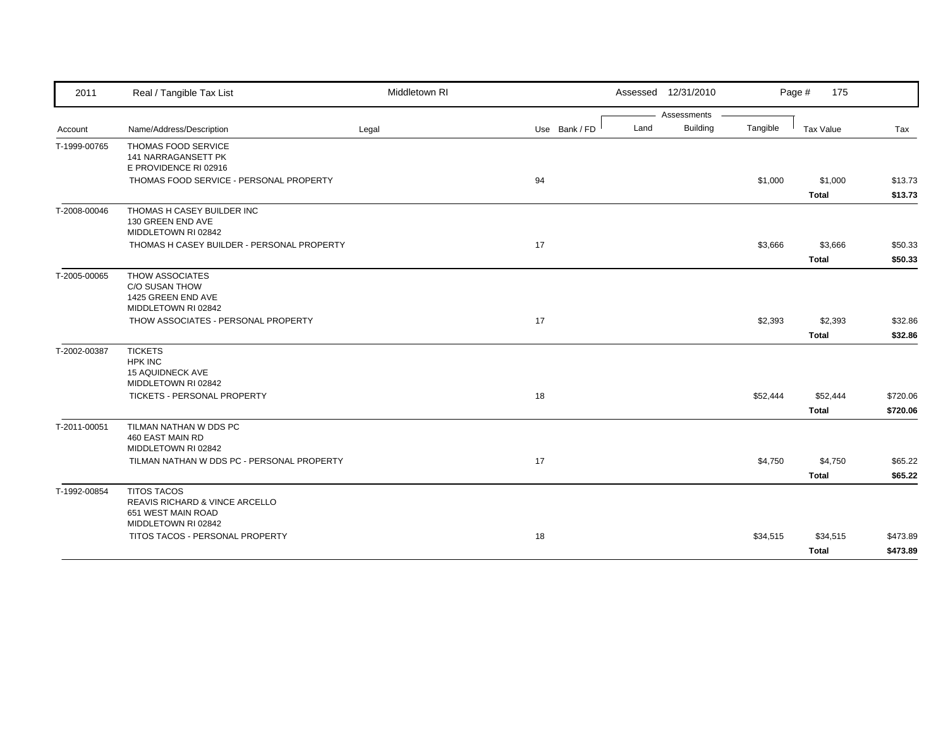| 2011         | Real / Tangible Tax List                                                                          | Middletown RI |               |      | Assessed 12/31/2010            |          | Page #<br>175            |                      |
|--------------|---------------------------------------------------------------------------------------------------|---------------|---------------|------|--------------------------------|----------|--------------------------|----------------------|
| Account      | Name/Address/Description                                                                          | Legal         | Use Bank / FD | Land | Assessments<br><b>Building</b> | Tangible | Tax Value                | Tax                  |
| T-1999-00765 | THOMAS FOOD SERVICE<br>141 NARRAGANSETT PK<br>E PROVIDENCE RI 02916                               |               |               |      |                                |          |                          |                      |
|              | THOMAS FOOD SERVICE - PERSONAL PROPERTY                                                           |               | 94            |      |                                | \$1,000  | \$1,000<br><b>Total</b>  | \$13.73<br>\$13.73   |
| T-2008-00046 | THOMAS H CASEY BUILDER INC<br>130 GREEN END AVE<br>MIDDLETOWN RI 02842                            |               |               |      |                                |          |                          |                      |
|              | THOMAS H CASEY BUILDER - PERSONAL PROPERTY                                                        |               | 17            |      |                                | \$3,666  | \$3,666<br><b>Total</b>  | \$50.33<br>\$50.33   |
| T-2005-00065 | THOW ASSOCIATES<br>C/O SUSAN THOW<br>1425 GREEN END AVE<br>MIDDLETOWN RI 02842                    |               |               |      |                                |          |                          |                      |
|              | THOW ASSOCIATES - PERSONAL PROPERTY                                                               |               | 17            |      |                                | \$2,393  | \$2,393<br><b>Total</b>  | \$32.86<br>\$32.86   |
| T-2002-00387 | <b>TICKETS</b><br><b>HPK INC</b><br><b>15 AQUIDNECK AVE</b><br>MIDDLETOWN RI 02842                |               |               |      |                                |          |                          |                      |
|              | TICKETS - PERSONAL PROPERTY                                                                       |               | 18            |      |                                | \$52,444 | \$52,444<br><b>Total</b> | \$720.06<br>\$720.06 |
| T-2011-00051 | TILMAN NATHAN W DDS PC<br>460 EAST MAIN RD<br>MIDDLETOWN RI 02842                                 |               |               |      |                                |          |                          |                      |
|              | TILMAN NATHAN W DDS PC - PERSONAL PROPERTY                                                        |               | 17            |      |                                | \$4,750  | \$4,750<br>Total         | \$65.22<br>\$65.22   |
| T-1992-00854 | <b>TITOS TACOS</b><br>REAVIS RICHARD & VINCE ARCELLO<br>651 WEST MAIN ROAD<br>MIDDLETOWN RI 02842 |               |               |      |                                |          |                          |                      |
|              | TITOS TACOS - PERSONAL PROPERTY                                                                   |               | 18            |      |                                | \$34,515 | \$34,515<br><b>Total</b> | \$473.89<br>\$473.89 |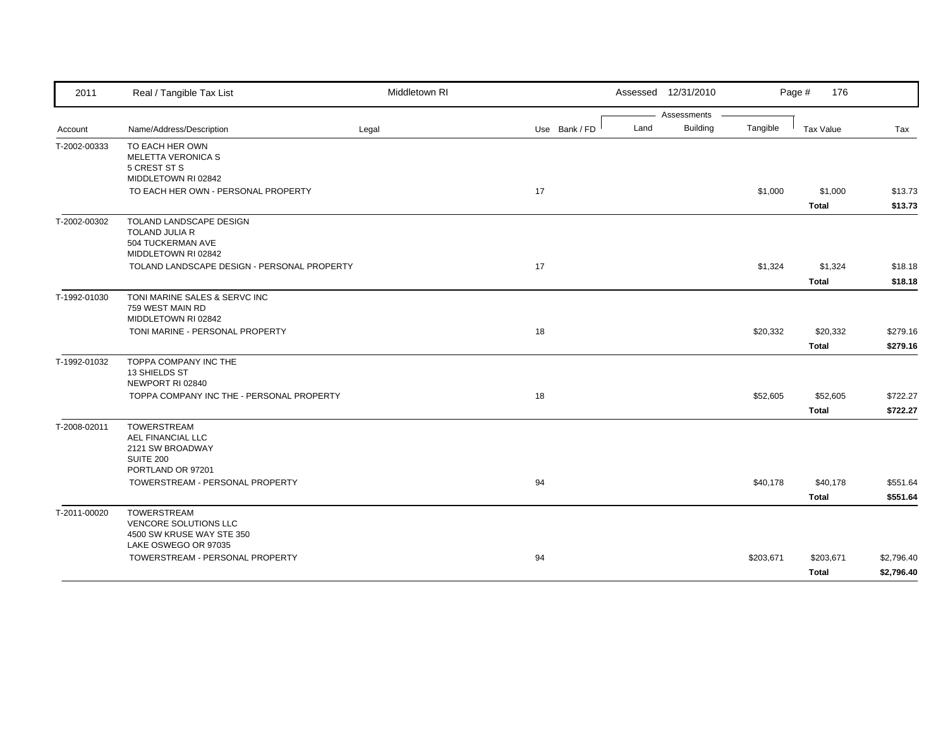| 2011         | Real / Tangible Tax List                          | Middletown RI |               | Assessed 12/31/2010 |                 |           | Page #<br>176    |            |
|--------------|---------------------------------------------------|---------------|---------------|---------------------|-----------------|-----------|------------------|------------|
|              |                                                   |               |               |                     | Assessments     |           |                  |            |
| Account      | Name/Address/Description                          | Legal         | Use Bank / FD | Land                | <b>Building</b> | Tangible  | <b>Tax Value</b> | Tax        |
| T-2002-00333 | TO EACH HER OWN                                   |               |               |                     |                 |           |                  |            |
|              | <b>MELETTA VERONICA S</b><br>5 CREST ST S         |               |               |                     |                 |           |                  |            |
|              | MIDDLETOWN RI 02842                               |               |               |                     |                 |           |                  |            |
|              | TO EACH HER OWN - PERSONAL PROPERTY               |               | 17            |                     |                 | \$1,000   | \$1,000          | \$13.73    |
|              |                                                   |               |               |                     |                 |           | Total            | \$13.73    |
| T-2002-00302 | TOLAND LANDSCAPE DESIGN                           |               |               |                     |                 |           |                  |            |
|              | TOLAND JULIA R<br>504 TUCKERMAN AVE               |               |               |                     |                 |           |                  |            |
|              | MIDDLETOWN RI 02842                               |               |               |                     |                 |           |                  |            |
|              | TOLAND LANDSCAPE DESIGN - PERSONAL PROPERTY       |               | 17            |                     |                 | \$1,324   | \$1,324          | \$18.18    |
|              |                                                   |               |               |                     |                 |           | <b>Total</b>     | \$18.18    |
| T-1992-01030 | TONI MARINE SALES & SERVC INC                     |               |               |                     |                 |           |                  |            |
|              | 759 WEST MAIN RD                                  |               |               |                     |                 |           |                  |            |
|              | MIDDLETOWN RI 02842                               |               |               |                     |                 |           |                  |            |
|              | TONI MARINE - PERSONAL PROPERTY                   |               | 18            |                     |                 | \$20,332  | \$20,332         | \$279.16   |
|              |                                                   |               |               |                     |                 |           | <b>Total</b>     | \$279.16   |
| T-1992-01032 | TOPPA COMPANY INC THE<br>13 SHIELDS ST            |               |               |                     |                 |           |                  |            |
|              | NEWPORT RI 02840                                  |               |               |                     |                 |           |                  |            |
|              | TOPPA COMPANY INC THE - PERSONAL PROPERTY         |               | 18            |                     |                 | \$52,605  | \$52,605         | \$722.27   |
|              |                                                   |               |               |                     |                 |           | <b>Total</b>     | \$722.27   |
| T-2008-02011 | <b>TOWERSTREAM</b>                                |               |               |                     |                 |           |                  |            |
|              | AEL FINANCIAL LLC                                 |               |               |                     |                 |           |                  |            |
|              | 2121 SW BROADWAY<br>SUITE 200                     |               |               |                     |                 |           |                  |            |
|              | PORTLAND OR 97201                                 |               |               |                     |                 |           |                  |            |
|              | TOWERSTREAM - PERSONAL PROPERTY                   |               | 94            |                     |                 | \$40,178  | \$40,178         | \$551.64   |
|              |                                                   |               |               |                     |                 |           | <b>Total</b>     | \$551.64   |
| T-2011-00020 | <b>TOWERSTREAM</b>                                |               |               |                     |                 |           |                  |            |
|              | VENCORE SOLUTIONS LLC                             |               |               |                     |                 |           |                  |            |
|              | 4500 SW KRUSE WAY STE 350<br>LAKE OSWEGO OR 97035 |               |               |                     |                 |           |                  |            |
|              | TOWERSTREAM - PERSONAL PROPERTY                   |               | 94            |                     |                 | \$203,671 | \$203,671        | \$2,796.40 |
|              |                                                   |               |               |                     |                 |           | <b>Total</b>     | \$2,796.40 |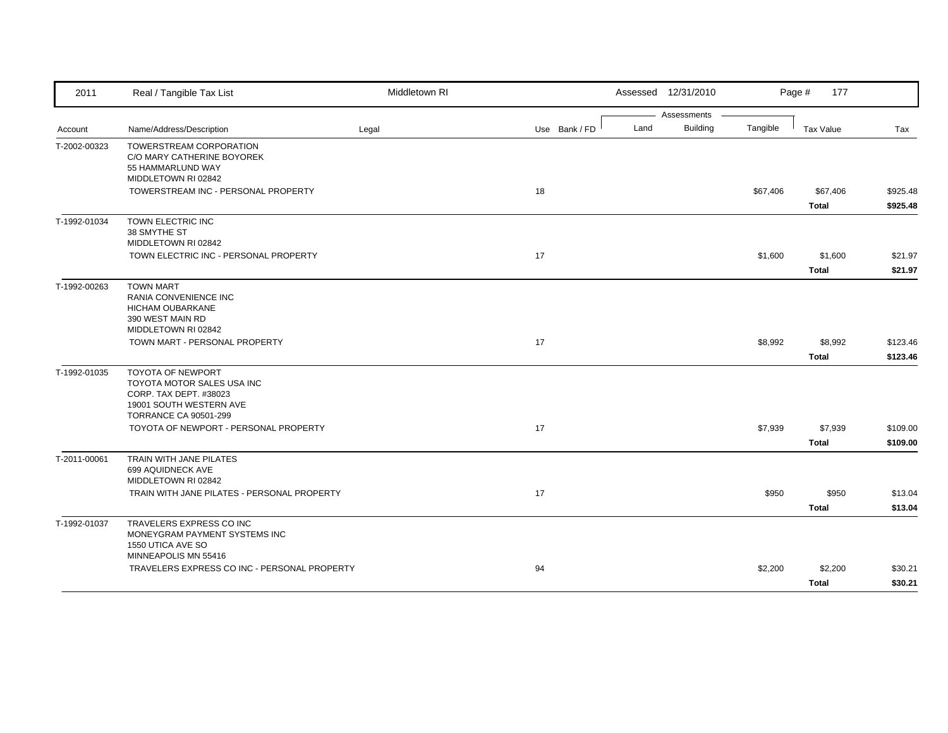| 2011         | Real / Tangible Tax List                                                                                    | Middletown RI |               |      | Assessed 12/31/2010            |          | Page #<br>177            |                      |
|--------------|-------------------------------------------------------------------------------------------------------------|---------------|---------------|------|--------------------------------|----------|--------------------------|----------------------|
| Account      | Name/Address/Description                                                                                    | Legal         | Use Bank / FD | Land | Assessments<br><b>Building</b> | Tangible | <b>Tax Value</b>         | Tax                  |
| T-2002-00323 | TOWERSTREAM CORPORATION<br>C/O MARY CATHERINE BOYOREK<br>55 HAMMARLUND WAY<br>MIDDLETOWN RI 02842           |               |               |      |                                |          |                          |                      |
|              | TOWERSTREAM INC - PERSONAL PROPERTY                                                                         |               | 18            |      |                                | \$67,406 | \$67,406<br><b>Total</b> | \$925.48<br>\$925.48 |
| T-1992-01034 | TOWN ELECTRIC INC<br>38 SMYTHE ST<br>MIDDLETOWN RI 02842                                                    |               |               |      |                                |          |                          |                      |
|              | TOWN ELECTRIC INC - PERSONAL PROPERTY                                                                       |               | 17            |      |                                | \$1,600  | \$1,600<br><b>Total</b>  | \$21.97<br>\$21.97   |
| T-1992-00263 | <b>TOWN MART</b><br>RANIA CONVENIENCE INC<br>HICHAM OUBARKANE<br>390 WEST MAIN RD                           |               |               |      |                                |          |                          |                      |
|              | MIDDLETOWN RI 02842<br>TOWN MART - PERSONAL PROPERTY                                                        |               | 17            |      |                                | \$8,992  | \$8,992<br><b>Total</b>  | \$123.46<br>\$123.46 |
| T-1992-01035 | <b>TOYOTA OF NEWPORT</b><br>TOYOTA MOTOR SALES USA INC<br>CORP. TAX DEPT. #38023<br>19001 SOUTH WESTERN AVE |               |               |      |                                |          |                          |                      |
|              | <b>TORRANCE CA 90501-299</b><br>TOYOTA OF NEWPORT - PERSONAL PROPERTY                                       |               | 17            |      |                                | \$7,939  | \$7,939<br><b>Total</b>  | \$109.00<br>\$109.00 |
| T-2011-00061 | TRAIN WITH JANE PILATES<br>699 AQUIDNECK AVE<br>MIDDLETOWN RI 02842                                         |               |               |      |                                |          |                          |                      |
|              | TRAIN WITH JANE PILATES - PERSONAL PROPERTY                                                                 |               | 17            |      |                                | \$950    | \$950<br><b>Total</b>    | \$13.04<br>\$13.04   |
| T-1992-01037 | TRAVELERS EXPRESS CO INC<br>MONEYGRAM PAYMENT SYSTEMS INC<br>1550 UTICA AVE SO                              |               |               |      |                                |          |                          |                      |
|              | MINNEAPOLIS MN 55416<br>TRAVELERS EXPRESS CO INC - PERSONAL PROPERTY                                        |               | 94            |      |                                | \$2,200  | \$2,200<br><b>Total</b>  | \$30.21<br>\$30.21   |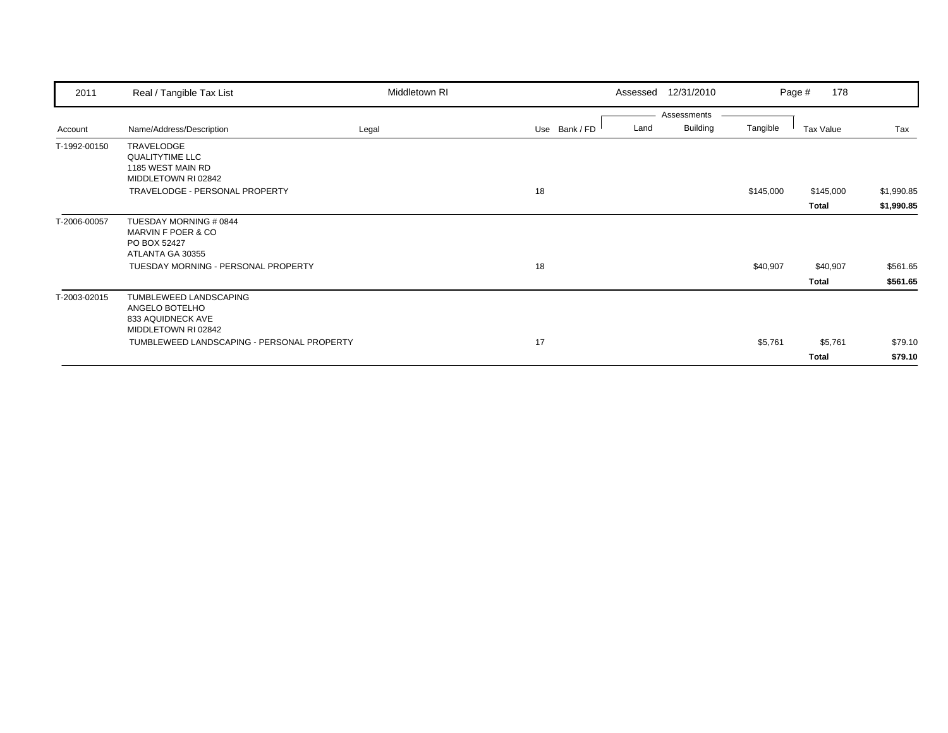| 2011         | Real / Tangible Tax List                                                             | Middletown RI |               | Assessed 12/31/2010 |                 |           | 178<br>Page # |            |
|--------------|--------------------------------------------------------------------------------------|---------------|---------------|---------------------|-----------------|-----------|---------------|------------|
|              |                                                                                      |               |               |                     | Assessments     |           |               |            |
| Account      | Name/Address/Description                                                             | Legal         | Use Bank / FD | Land                | <b>Building</b> | Tangible  | Tax Value     | Tax        |
| T-1992-00150 | TRAVELODGE<br><b>QUALITYTIME LLC</b><br>1185 WEST MAIN RD<br>MIDDLETOWN RI 02842     |               |               |                     |                 |           |               |            |
|              | TRAVELODGE - PERSONAL PROPERTY                                                       |               | 18            |                     |                 | \$145,000 | \$145,000     | \$1,990.85 |
|              |                                                                                      |               |               |                     |                 |           | Total         | \$1,990.85 |
| T-2006-00057 | TUESDAY MORNING # 0844<br>MARVIN F POER & CO<br>PO BOX 52427<br>ATLANTA GA 30355     |               |               |                     |                 |           |               |            |
|              | TUESDAY MORNING - PERSONAL PROPERTY                                                  |               | 18            |                     |                 | \$40,907  | \$40,907      | \$561.65   |
|              |                                                                                      |               |               |                     |                 |           | Total         | \$561.65   |
| T-2003-02015 | TUMBLEWEED LANDSCAPING<br>ANGELO BOTELHO<br>833 AQUIDNECK AVE<br>MIDDLETOWN RI 02842 |               |               |                     |                 |           |               |            |
|              | TUMBLEWEED LANDSCAPING - PERSONAL PROPERTY                                           |               | 17            |                     |                 | \$5,761   | \$5,761       | \$79.10    |
|              |                                                                                      |               |               |                     |                 |           | Total         | \$79.10    |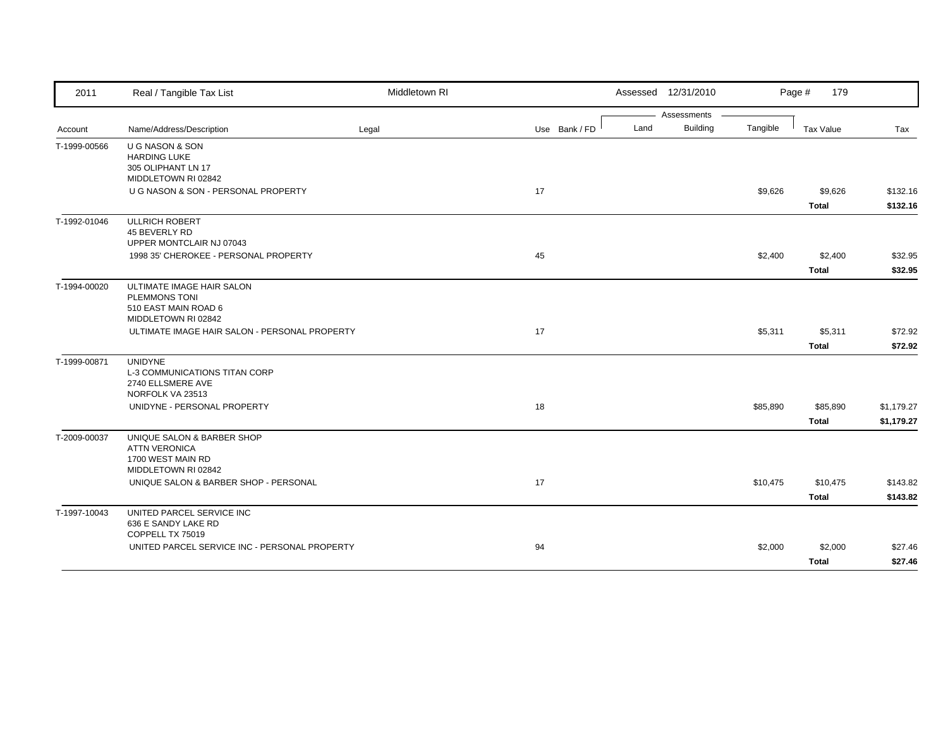| 2011         | Real / Tangible Tax List                      | Middletown RI |               |      | Assessed 12/31/2010 |          | Page #<br>179 |            |
|--------------|-----------------------------------------------|---------------|---------------|------|---------------------|----------|---------------|------------|
|              |                                               |               |               |      | Assessments         |          |               |            |
| Account      | Name/Address/Description                      | Legal         | Use Bank / FD | Land | <b>Building</b>     | Tangible | Tax Value     | Tax        |
| T-1999-00566 | U G NASON & SON                               |               |               |      |                     |          |               |            |
|              | <b>HARDING LUKE</b>                           |               |               |      |                     |          |               |            |
|              | 305 OLIPHANT LN 17<br>MIDDLETOWN RI 02842     |               |               |      |                     |          |               |            |
|              | U G NASON & SON - PERSONAL PROPERTY           |               | 17            |      |                     | \$9,626  | \$9,626       | \$132.16   |
|              |                                               |               |               |      |                     |          | <b>Total</b>  | \$132.16   |
| T-1992-01046 | <b>ULLRICH ROBERT</b>                         |               |               |      |                     |          |               |            |
|              | 45 BEVERLY RD                                 |               |               |      |                     |          |               |            |
|              | UPPER MONTCLAIR NJ 07043                      |               |               |      |                     |          |               |            |
|              | 1998 35' CHEROKEE - PERSONAL PROPERTY         |               | 45            |      |                     | \$2,400  | \$2,400       | \$32.95    |
|              |                                               |               |               |      |                     |          | <b>Total</b>  | \$32.95    |
| T-1994-00020 | ULTIMATE IMAGE HAIR SALON                     |               |               |      |                     |          |               |            |
|              | <b>PLEMMONS TONI</b>                          |               |               |      |                     |          |               |            |
|              | 510 EAST MAIN ROAD 6                          |               |               |      |                     |          |               |            |
|              | MIDDLETOWN RI 02842                           |               |               |      |                     |          |               |            |
|              | ULTIMATE IMAGE HAIR SALON - PERSONAL PROPERTY |               | 17            |      |                     | \$5,311  | \$5,311       | \$72.92    |
|              |                                               |               |               |      |                     |          | <b>Total</b>  | \$72.92    |
| T-1999-00871 | <b>UNIDYNE</b>                                |               |               |      |                     |          |               |            |
|              | <b>L-3 COMMUNICATIONS TITAN CORP</b>          |               |               |      |                     |          |               |            |
|              | 2740 ELLSMERE AVE                             |               |               |      |                     |          |               |            |
|              | NORFOLK VA 23513                              |               |               |      |                     |          |               |            |
|              | UNIDYNE - PERSONAL PROPERTY                   |               | 18            |      |                     | \$85,890 | \$85,890      | \$1,179.27 |
|              |                                               |               |               |      |                     |          | <b>Total</b>  | \$1,179.27 |
| T-2009-00037 | UNIQUE SALON & BARBER SHOP                    |               |               |      |                     |          |               |            |
|              | <b>ATTN VERONICA</b>                          |               |               |      |                     |          |               |            |
|              | 1700 WEST MAIN RD                             |               |               |      |                     |          |               |            |
|              | MIDDLETOWN RI 02842                           |               |               |      |                     |          |               |            |
|              | UNIQUE SALON & BARBER SHOP - PERSONAL         |               | 17            |      |                     | \$10,475 | \$10,475      | \$143.82   |
|              |                                               |               |               |      |                     |          | Total         | \$143.82   |
| T-1997-10043 | UNITED PARCEL SERVICE INC                     |               |               |      |                     |          |               |            |
|              | 636 E SANDY LAKE RD                           |               |               |      |                     |          |               |            |
|              | COPPELL TX 75019                              |               |               |      |                     |          |               |            |
|              | UNITED PARCEL SERVICE INC - PERSONAL PROPERTY |               | 94            |      |                     | \$2,000  | \$2,000       | \$27.46    |
|              |                                               |               |               |      |                     |          | <b>Total</b>  | \$27.46    |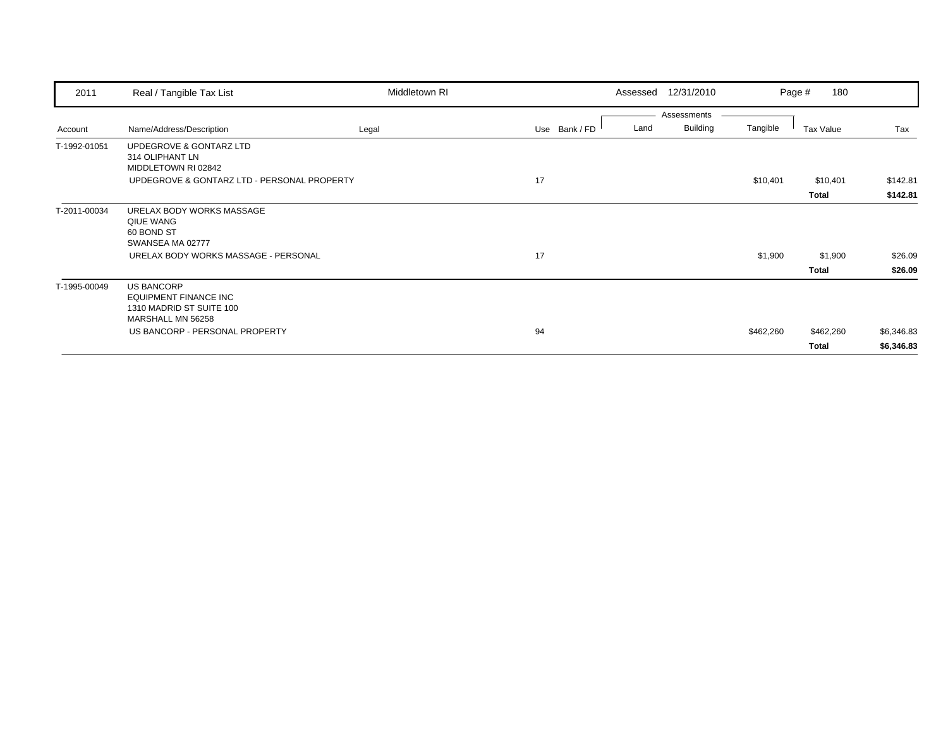| 2011         | Real / Tangible Tax List                                                                           | Middletown RI |               | 12/31/2010<br>Assessed |           | 180<br>Page # |            |
|--------------|----------------------------------------------------------------------------------------------------|---------------|---------------|------------------------|-----------|---------------|------------|
|              |                                                                                                    |               |               | Assessments            |           |               |            |
| Account      | Name/Address/Description                                                                           | Legal         | Use Bank / FD | Building<br>Land       | Tangible  | Tax Value     | Tax        |
| T-1992-01051 | UPDEGROVE & GONTARZ LTD<br>314 OLIPHANT LN<br>MIDDLETOWN RI 02842                                  |               |               |                        |           |               |            |
|              | UPDEGROVE & GONTARZ LTD - PERSONAL PROPERTY                                                        |               | 17            |                        | \$10,401  | \$10,401      | \$142.81   |
|              |                                                                                                    |               |               |                        |           | <b>Total</b>  | \$142.81   |
| T-2011-00034 | URELAX BODY WORKS MASSAGE<br>QIUE WANG<br>60 BOND ST<br>SWANSEA MA 02777                           |               |               |                        |           |               |            |
|              | URELAX BODY WORKS MASSAGE - PERSONAL                                                               |               | 17            |                        | \$1,900   | \$1,900       | \$26.09    |
|              |                                                                                                    |               |               |                        |           | <b>Total</b>  | \$26.09    |
| T-1995-00049 | <b>US BANCORP</b><br><b>EQUIPMENT FINANCE INC</b><br>1310 MADRID ST SUITE 100<br>MARSHALL MN 56258 |               |               |                        |           |               |            |
|              | US BANCORP - PERSONAL PROPERTY                                                                     |               | 94            |                        | \$462,260 | \$462,260     | \$6,346.83 |
|              |                                                                                                    |               |               |                        |           | Total         | \$6,346.83 |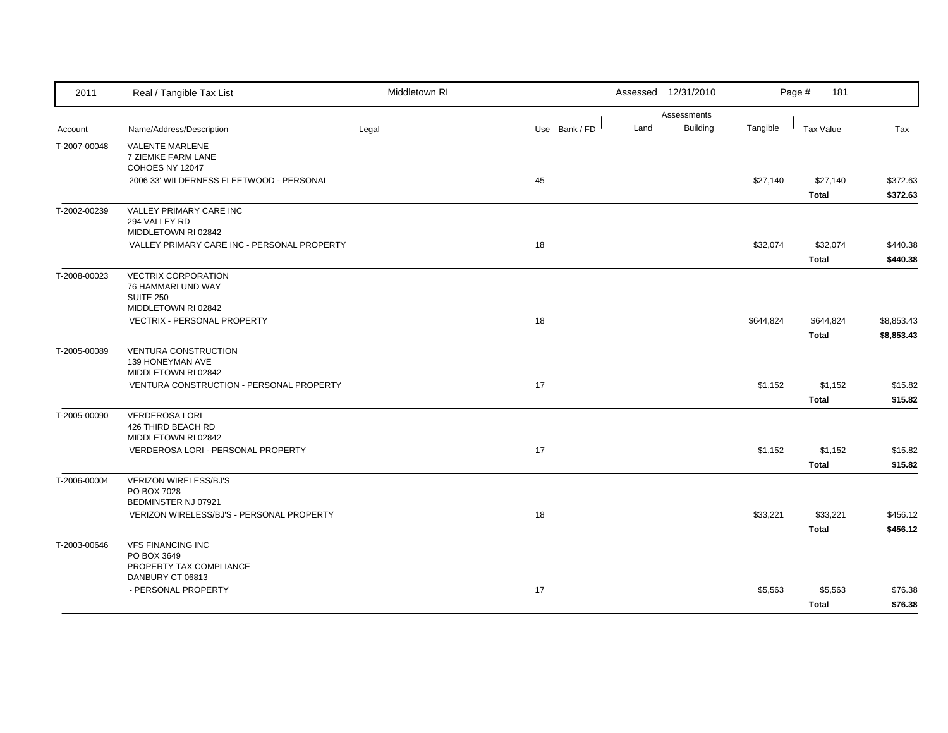| 2011         | Real / Tangible Tax List                                                                   | Middletown RI |               |      | Assessed 12/31/2010            |           | Page #<br>181            |                          |
|--------------|--------------------------------------------------------------------------------------------|---------------|---------------|------|--------------------------------|-----------|--------------------------|--------------------------|
| Account      | Name/Address/Description                                                                   | Legal         | Use Bank / FD | Land | Assessments<br><b>Building</b> | Tangible  | Tax Value                | Tax                      |
| T-2007-00048 | VALENTE MARLENE<br>7 ZIEMKE FARM LANE<br>COHOES NY 12047                                   |               |               |      |                                |           |                          |                          |
|              | 2006 33' WILDERNESS FLEETWOOD - PERSONAL                                                   |               | 45            |      |                                | \$27,140  | \$27,140<br>Total        | \$372.63<br>\$372.63     |
| T-2002-00239 | VALLEY PRIMARY CARE INC<br>294 VALLEY RD<br>MIDDLETOWN RI 02842                            |               |               |      |                                |           |                          |                          |
|              | VALLEY PRIMARY CARE INC - PERSONAL PROPERTY                                                |               | 18            |      |                                | \$32,074  | \$32,074<br><b>Total</b> | \$440.38<br>\$440.38     |
| T-2008-00023 | <b>VECTRIX CORPORATION</b><br>76 HAMMARLUND WAY<br><b>SUITE 250</b><br>MIDDLETOWN RI 02842 |               |               |      |                                |           |                          |                          |
|              | <b>VECTRIX - PERSONAL PROPERTY</b>                                                         |               | 18            |      |                                | \$644,824 | \$644,824<br>Total       | \$8,853.43<br>\$8,853.43 |
| T-2005-00089 | <b>VENTURA CONSTRUCTION</b><br>139 HONEYMAN AVE<br>MIDDLETOWN RI 02842                     |               |               |      |                                |           |                          |                          |
|              | VENTURA CONSTRUCTION - PERSONAL PROPERTY                                                   |               | 17            |      |                                | \$1,152   | \$1,152<br><b>Total</b>  | \$15.82<br>\$15.82       |
| T-2005-00090 | <b>VERDEROSA LORI</b><br>426 THIRD BEACH RD<br>MIDDLETOWN RI 02842                         |               |               |      |                                |           |                          |                          |
|              | VERDEROSA LORI - PERSONAL PROPERTY                                                         |               | 17            |      |                                | \$1,152   | \$1,152<br>Total         | \$15.82<br>\$15.82       |
| T-2006-00004 | <b>VERIZON WIRELESS/BJ'S</b><br>PO BOX 7028<br>BEDMINSTER NJ 07921                         |               |               |      |                                |           |                          |                          |
|              | VERIZON WIRELESS/BJ'S - PERSONAL PROPERTY                                                  |               | 18            |      |                                | \$33,221  | \$33,221<br><b>Total</b> | \$456.12<br>\$456.12     |
| T-2003-00646 | <b>VFS FINANCING INC</b><br>PO BOX 3649<br>PROPERTY TAX COMPLIANCE                         |               |               |      |                                |           |                          |                          |
|              | DANBURY CT 06813<br>- PERSONAL PROPERTY                                                    |               | 17            |      |                                | \$5,563   | \$5,563<br><b>Total</b>  | \$76.38<br>\$76.38       |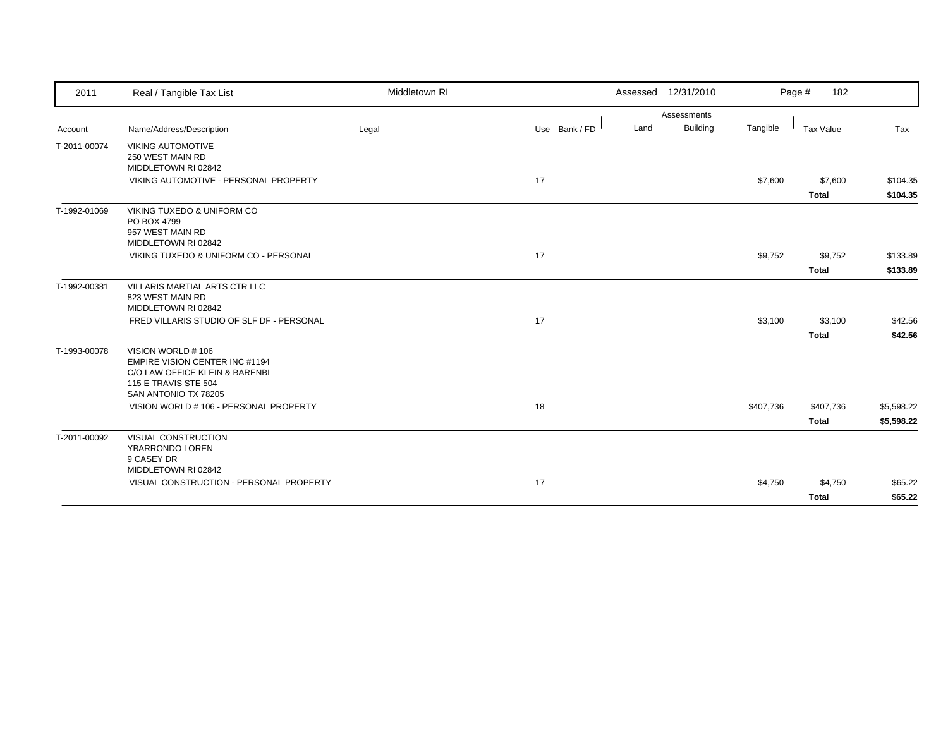| 2011         | Real / Tangible Tax List                                                                                                              | Middletown RI |               |      | Assessed 12/31/2010 |           | Page #<br>182           |                      |
|--------------|---------------------------------------------------------------------------------------------------------------------------------------|---------------|---------------|------|---------------------|-----------|-------------------------|----------------------|
|              |                                                                                                                                       |               |               |      | Assessments         |           |                         |                      |
| Account      | Name/Address/Description                                                                                                              | Legal         | Use Bank / FD | Land | <b>Building</b>     | Tangible  | <b>Tax Value</b>        | Tax                  |
| T-2011-00074 | <b>VIKING AUTOMOTIVE</b><br>250 WEST MAIN RD<br>MIDDLETOWN RI 02842                                                                   |               |               |      |                     |           |                         |                      |
|              | VIKING AUTOMOTIVE - PERSONAL PROPERTY                                                                                                 |               | 17            |      |                     | \$7,600   | \$7,600<br><b>Total</b> | \$104.35<br>\$104.35 |
| T-1992-01069 | VIKING TUXEDO & UNIFORM CO<br>PO BOX 4799<br>957 WEST MAIN RD<br>MIDDLETOWN RI 02842                                                  |               |               |      |                     |           |                         |                      |
|              | VIKING TUXEDO & UNIFORM CO - PERSONAL                                                                                                 |               | 17            |      |                     | \$9,752   | \$9,752                 | \$133.89             |
|              |                                                                                                                                       |               |               |      |                     |           | Total                   | \$133.89             |
| T-1992-00381 | VILLARIS MARTIAL ARTS CTR LLC<br>823 WEST MAIN RD<br>MIDDLETOWN RI 02842                                                              |               |               |      |                     |           |                         |                      |
|              | FRED VILLARIS STUDIO OF SLF DF - PERSONAL                                                                                             |               | 17            |      |                     | \$3,100   | \$3,100                 | \$42.56              |
|              |                                                                                                                                       |               |               |      |                     |           | <b>Total</b>            | \$42.56              |
| T-1993-00078 | VISION WORLD #106<br>EMPIRE VISION CENTER INC #1194<br>C/O LAW OFFICE KLEIN & BARENBL<br>115 E TRAVIS STE 504<br>SAN ANTONIO TX 78205 |               |               |      |                     |           |                         |                      |
|              | VISION WORLD # 106 - PERSONAL PROPERTY                                                                                                |               | 18            |      |                     | \$407,736 | \$407,736               | \$5,598.22           |
|              |                                                                                                                                       |               |               |      |                     |           | <b>Total</b>            | \$5,598.22           |
| T-2011-00092 | <b>VISUAL CONSTRUCTION</b><br>YBARRONDO LOREN<br>9 CASEY DR<br>MIDDLETOWN RI 02842                                                    |               |               |      |                     |           |                         |                      |
|              | VISUAL CONSTRUCTION - PERSONAL PROPERTY                                                                                               |               | 17            |      |                     | \$4,750   | \$4,750<br><b>Total</b> | \$65.22<br>\$65.22   |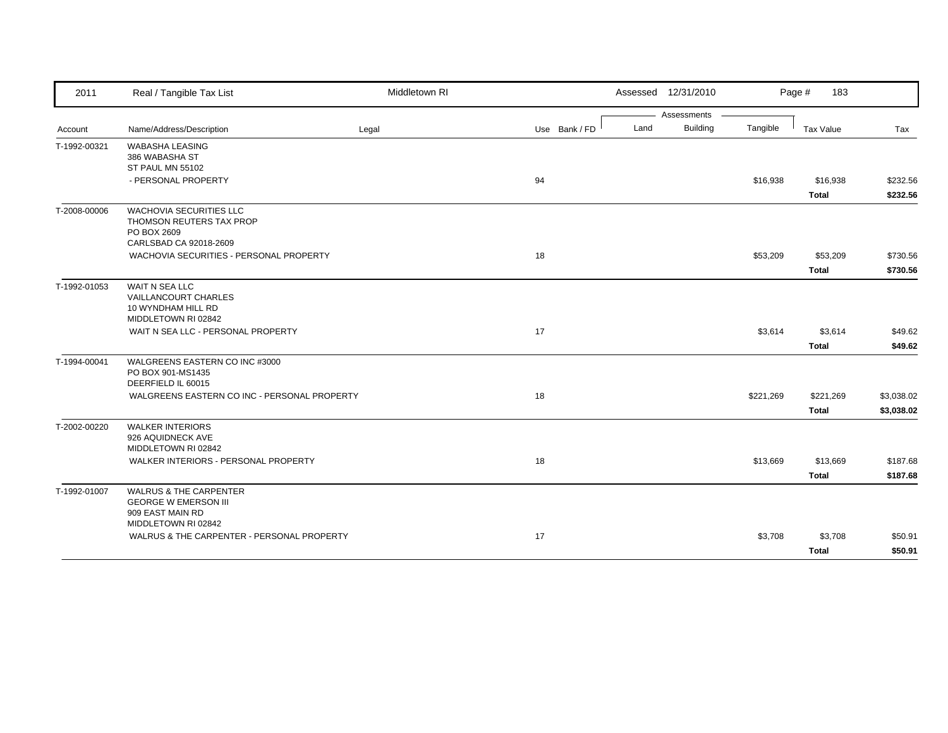| 2011         | Real / Tangible Tax List                                          | Middletown RI |               |      | Assessed 12/31/2010 |           | Page #<br>183 |            |
|--------------|-------------------------------------------------------------------|---------------|---------------|------|---------------------|-----------|---------------|------------|
|              |                                                                   |               |               |      | Assessments         |           |               |            |
| Account      | Name/Address/Description                                          | Legal         | Use Bank / FD | Land | <b>Building</b>     | Tangible  | Tax Value     | Tax        |
| T-1992-00321 | <b>WABASHA LEASING</b>                                            |               |               |      |                     |           |               |            |
|              | 386 WABASHA ST                                                    |               |               |      |                     |           |               |            |
|              | ST PAUL MN 55102                                                  |               |               |      |                     |           |               |            |
|              | - PERSONAL PROPERTY                                               |               | 94            |      |                     | \$16,938  | \$16,938      | \$232.56   |
|              |                                                                   |               |               |      |                     |           | <b>Total</b>  | \$232.56   |
| T-2008-00006 | <b>WACHOVIA SECURITIES LLC</b>                                    |               |               |      |                     |           |               |            |
|              | THOMSON REUTERS TAX PROP                                          |               |               |      |                     |           |               |            |
|              | PO BOX 2609                                                       |               |               |      |                     |           |               |            |
|              | CARLSBAD CA 92018-2609<br>WACHOVIA SECURITIES - PERSONAL PROPERTY |               | 18            |      |                     | \$53,209  | \$53,209      | \$730.56   |
|              |                                                                   |               |               |      |                     |           |               |            |
|              |                                                                   |               |               |      |                     |           | <b>Total</b>  | \$730.56   |
| T-1992-01053 | WAIT N SEA LLC                                                    |               |               |      |                     |           |               |            |
|              | VAILLANCOURT CHARLES                                              |               |               |      |                     |           |               |            |
|              | 10 WYNDHAM HILL RD<br>MIDDLETOWN RI 02842                         |               |               |      |                     |           |               |            |
|              | WAIT N SEA LLC - PERSONAL PROPERTY                                |               | 17            |      |                     | \$3,614   | \$3,614       | \$49.62    |
|              |                                                                   |               |               |      |                     |           |               |            |
|              |                                                                   |               |               |      |                     |           | <b>Total</b>  | \$49.62    |
| T-1994-00041 | WALGREENS EASTERN CO INC #3000                                    |               |               |      |                     |           |               |            |
|              | PO BOX 901-MS1435<br>DEERFIELD IL 60015                           |               |               |      |                     |           |               |            |
|              | WALGREENS EASTERN CO INC - PERSONAL PROPERTY                      |               | 18            |      |                     | \$221,269 | \$221,269     | \$3,038.02 |
|              |                                                                   |               |               |      |                     |           |               |            |
|              |                                                                   |               |               |      |                     |           | <b>Total</b>  | \$3,038.02 |
| T-2002-00220 | <b>WALKER INTERIORS</b>                                           |               |               |      |                     |           |               |            |
|              | 926 AQUIDNECK AVE<br>MIDDLETOWN RI 02842                          |               |               |      |                     |           |               |            |
|              |                                                                   |               |               |      |                     |           |               |            |
|              | WALKER INTERIORS - PERSONAL PROPERTY                              |               | 18            |      |                     | \$13,669  | \$13,669      | \$187.68   |
|              |                                                                   |               |               |      |                     |           | <b>Total</b>  | \$187.68   |
| T-1992-01007 | <b>WALRUS &amp; THE CARPENTER</b>                                 |               |               |      |                     |           |               |            |
|              | <b>GEORGE W EMERSON III</b>                                       |               |               |      |                     |           |               |            |
|              | 909 EAST MAIN RD<br>MIDDLETOWN RI 02842                           |               |               |      |                     |           |               |            |
|              | WALRUS & THE CARPENTER - PERSONAL PROPERTY                        |               | 17            |      |                     | \$3,708   | \$3,708       | \$50.91    |
|              |                                                                   |               |               |      |                     |           |               |            |
|              |                                                                   |               |               |      |                     |           | <b>Total</b>  | \$50.91    |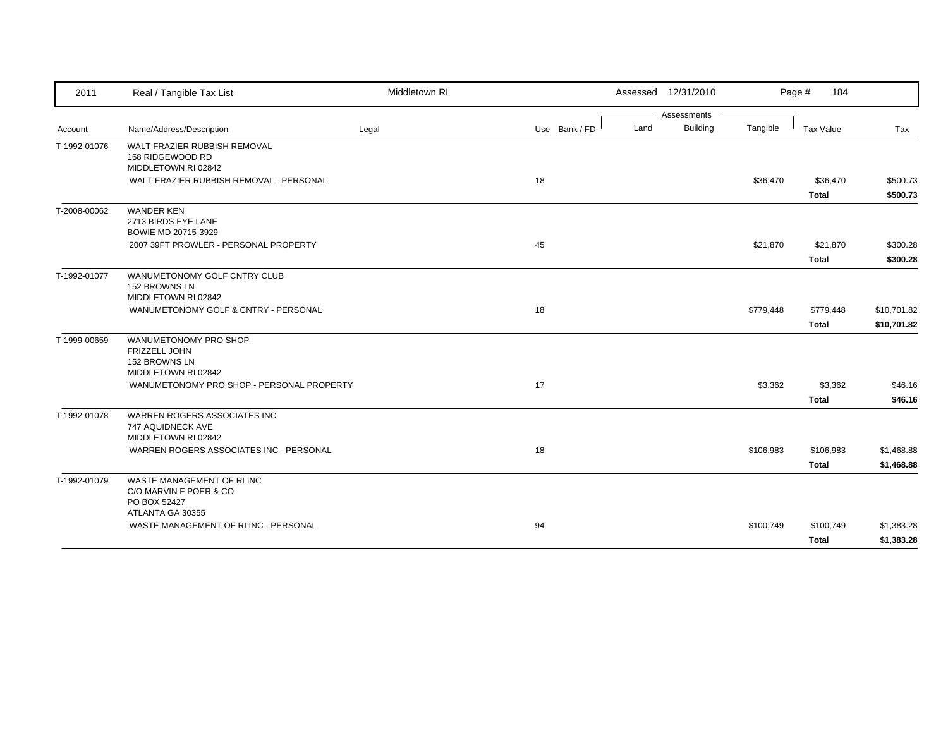| 2011         | Real / Tangible Tax List                                                       | Middletown RI |               |      | Assessed 12/31/2010 |           | Page #<br>184            |                      |
|--------------|--------------------------------------------------------------------------------|---------------|---------------|------|---------------------|-----------|--------------------------|----------------------|
|              |                                                                                |               |               |      | Assessments         |           |                          |                      |
| Account      | Name/Address/Description                                                       | Legal         | Use Bank / FD | Land | <b>Building</b>     | Tangible  | <b>Tax Value</b>         | Tax                  |
| T-1992-01076 | WALT FRAZIER RUBBISH REMOVAL<br>168 RIDGEWOOD RD<br>MIDDLETOWN RI 02842        |               |               |      |                     |           |                          |                      |
|              | WALT FRAZIER RUBBISH REMOVAL - PERSONAL                                        |               | 18            |      |                     | \$36,470  | \$36,470<br><b>Total</b> | \$500.73<br>\$500.73 |
| T-2008-00062 | <b>WANDER KEN</b><br>2713 BIRDS EYE LANE<br>BOWIE MD 20715-3929                |               |               |      |                     |           |                          |                      |
|              | 2007 39FT PROWLER - PERSONAL PROPERTY                                          |               | 45            |      |                     | \$21,870  | \$21,870                 | \$300.28             |
|              |                                                                                |               |               |      |                     |           | Total                    | \$300.28             |
| T-1992-01077 | WANUMETONOMY GOLF CNTRY CLUB<br>152 BROWNS LN<br>MIDDLETOWN RI 02842           |               |               |      |                     |           |                          |                      |
|              | WANUMETONOMY GOLF & CNTRY - PERSONAL                                           |               | 18            |      |                     | \$779,448 | \$779,448                | \$10,701.82          |
|              |                                                                                |               |               |      |                     |           | <b>Total</b>             | \$10,701.82          |
| T-1999-00659 | WANUMETONOMY PRO SHOP<br>FRIZZELL JOHN<br>152 BROWNS LN<br>MIDDLETOWN RI 02842 |               |               |      |                     |           |                          |                      |
|              | WANUMETONOMY PRO SHOP - PERSONAL PROPERTY                                      |               | 17            |      |                     | \$3,362   | \$3,362<br><b>Total</b>  | \$46.16<br>\$46.16   |
| T-1992-01078 | WARREN ROGERS ASSOCIATES INC<br>747 AQUIDNECK AVE<br>MIDDLETOWN RI 02842       |               |               |      |                     |           |                          |                      |
|              | WARREN ROGERS ASSOCIATES INC - PERSONAL                                        |               | 18            |      |                     | \$106,983 | \$106,983                | \$1,468.88           |
|              |                                                                                |               |               |      |                     |           | <b>Total</b>             | \$1,468.88           |
| T-1992-01079 | WASTE MANAGEMENT OF RIINC<br>C/O MARVIN F POER & CO<br>PO BOX 52427            |               |               |      |                     |           |                          |                      |
|              | ATLANTA GA 30355<br>WASTE MANAGEMENT OF RIINC - PERSONAL                       |               | 94            |      |                     | \$100,749 | \$100,749                | \$1,383.28           |
|              |                                                                                |               |               |      |                     |           | <b>Total</b>             | \$1,383.28           |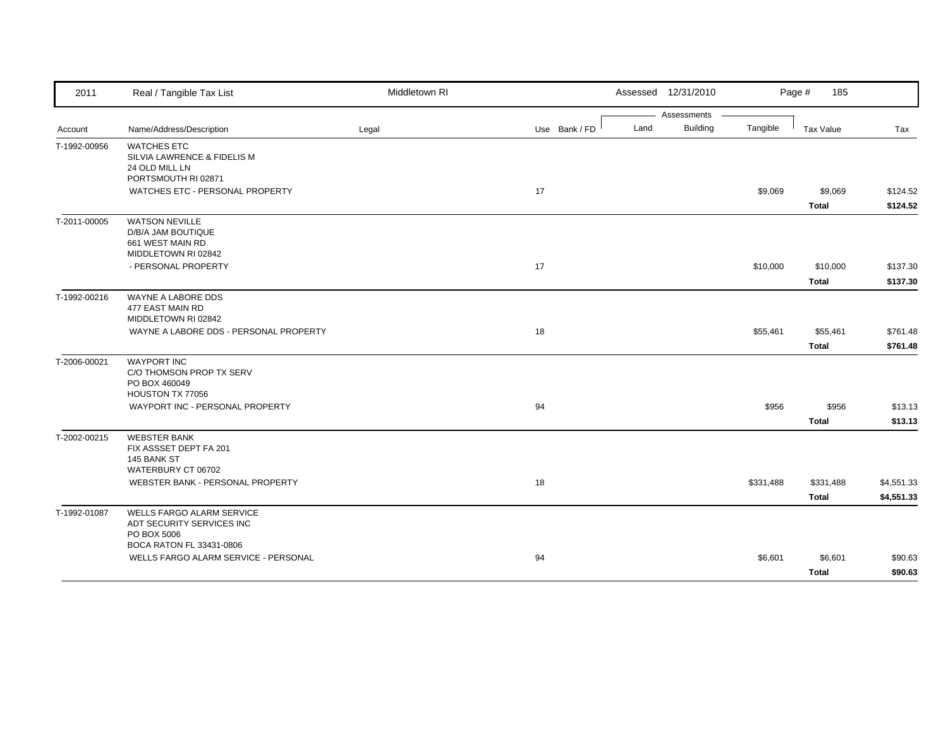| 2011         | Real / Tangible Tax List                                                                   | Middletown RI |               | Assessed 12/31/2010                    |           | Page #<br>185             |                          |
|--------------|--------------------------------------------------------------------------------------------|---------------|---------------|----------------------------------------|-----------|---------------------------|--------------------------|
| Account      | Name/Address/Description                                                                   | Legal         | Use Bank / FD | Assessments<br><b>Building</b><br>Land | Tangible  | <b>Tax Value</b>          | Tax                      |
| T-1992-00956 | <b>WATCHES ETC</b><br>SILVIA LAWRENCE & FIDELIS M<br>24 OLD MILL LN<br>PORTSMOUTH RI 02871 |               |               |                                        |           |                           |                          |
|              | WATCHES ETC - PERSONAL PROPERTY                                                            |               | 17            |                                        | \$9,069   | \$9,069<br><b>Total</b>   | \$124.52<br>\$124.52     |
| T-2011-00005 | <b>WATSON NEVILLE</b><br>D/B/A JAM BOUTIQUE<br>661 WEST MAIN RD<br>MIDDLETOWN RI 02842     |               |               |                                        |           |                           |                          |
|              | - PERSONAL PROPERTY                                                                        |               | 17            |                                        | \$10,000  | \$10,000<br><b>Total</b>  | \$137.30<br>\$137.30     |
| T-1992-00216 | WAYNE A LABORE DDS<br>477 EAST MAIN RD<br>MIDDLETOWN RI 02842                              |               |               |                                        |           |                           |                          |
|              | WAYNE A LABORE DDS - PERSONAL PROPERTY                                                     |               | 18            |                                        | \$55,461  | \$55,461<br><b>Total</b>  | \$761.48<br>\$761.48     |
| T-2006-00021 | <b>WAYPORT INC</b><br>C/O THOMSON PROP TX SERV<br>PO BOX 460049<br>HOUSTON TX 77056        |               |               |                                        |           |                           |                          |
|              | WAYPORT INC - PERSONAL PROPERTY                                                            |               | 94            |                                        | \$956     | \$956<br><b>Total</b>     | \$13.13<br>\$13.13       |
| T-2002-00215 | <b>WEBSTER BANK</b><br>FIX ASSSET DEPT FA 201<br>145 BANK ST                               |               |               |                                        |           |                           |                          |
|              | WATERBURY CT 06702<br>WEBSTER BANK - PERSONAL PROPERTY                                     |               | 18            |                                        | \$331,488 | \$331,488<br><b>Total</b> | \$4,551.33<br>\$4,551.33 |
| T-1992-01087 | WELLS FARGO ALARM SERVICE<br>ADT SECURITY SERVICES INC<br>PO BOX 5006                      |               |               |                                        |           |                           |                          |
|              | BOCA RATON FL 33431-0806<br>WELLS FARGO ALARM SERVICE - PERSONAL                           |               | 94            |                                        | \$6,601   | \$6,601<br><b>Total</b>   | \$90.63<br>\$90.63       |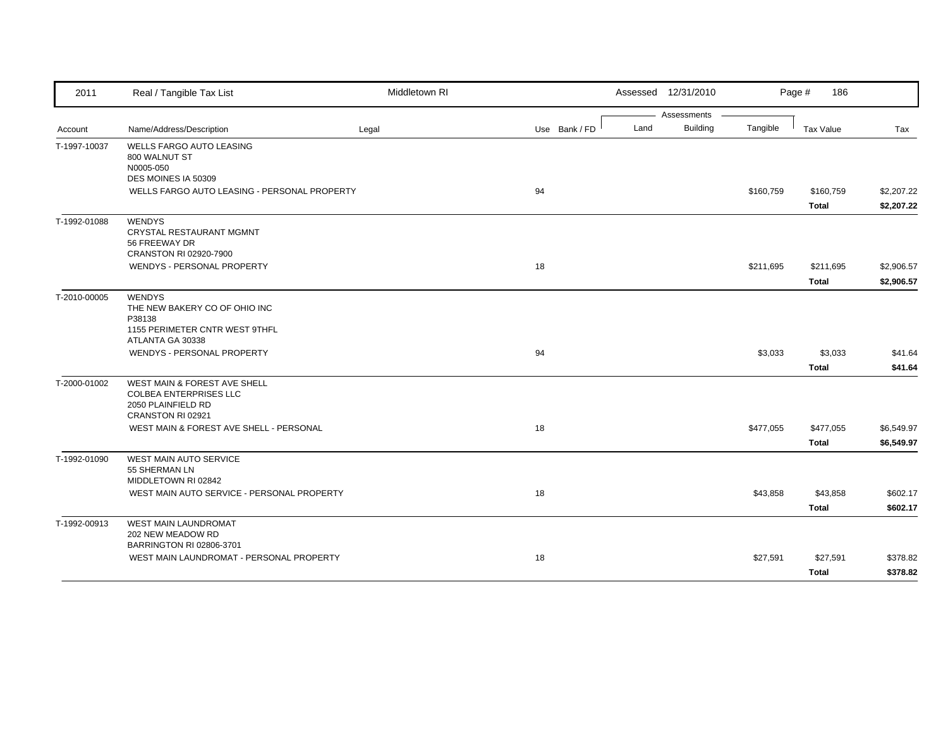| 2011         | Real / Tangible Tax List                                                                                       | Middletown RI |               | Assessed 12/31/2010             |           | Page #<br>186             |                          |
|--------------|----------------------------------------------------------------------------------------------------------------|---------------|---------------|---------------------------------|-----------|---------------------------|--------------------------|
| Account      | Name/Address/Description                                                                                       | Legal         | Use Bank / FD | Assessments<br>Building<br>Land | Tangible  | <b>Tax Value</b>          | Tax                      |
| T-1997-10037 | <b>WELLS FARGO AUTO LEASING</b><br>800 WALNUT ST<br>N0005-050<br>DES MOINES IA 50309                           |               |               |                                 |           |                           |                          |
|              | WELLS FARGO AUTO LEASING - PERSONAL PROPERTY                                                                   |               | 94            |                                 | \$160,759 | \$160,759<br><b>Total</b> | \$2,207.22<br>\$2,207.22 |
| T-1992-01088 | <b>WENDYS</b><br><b>CRYSTAL RESTAURANT MGMNT</b><br>56 FREEWAY DR<br>CRANSTON RI 02920-7900                    |               |               |                                 |           |                           |                          |
|              | WENDYS - PERSONAL PROPERTY                                                                                     |               | 18            |                                 | \$211,695 | \$211,695<br><b>Total</b> | \$2,906.57<br>\$2,906.57 |
| T-2010-00005 | <b>WENDYS</b><br>THE NEW BAKERY CO OF OHIO INC<br>P38138<br>1155 PERIMETER CNTR WEST 9THFL<br>ATLANTA GA 30338 |               |               |                                 |           |                           |                          |
|              | WENDYS - PERSONAL PROPERTY                                                                                     |               | 94            |                                 | \$3,033   | \$3,033<br><b>Total</b>   | \$41.64<br>\$41.64       |
| T-2000-01002 | WEST MAIN & FOREST AVE SHELL<br><b>COLBEA ENTERPRISES LLC</b><br>2050 PLAINFIELD RD<br>CRANSTON RI 02921       |               |               |                                 |           |                           |                          |
|              | WEST MAIN & FOREST AVE SHELL - PERSONAL                                                                        |               | 18            |                                 | \$477,055 | \$477,055<br>Total        | \$6,549.97<br>\$6,549.97 |
| T-1992-01090 | <b>WEST MAIN AUTO SERVICE</b><br>55 SHERMAN LN<br>MIDDLETOWN RI 02842                                          |               |               |                                 |           |                           |                          |
|              | WEST MAIN AUTO SERVICE - PERSONAL PROPERTY                                                                     |               | 18            |                                 | \$43,858  | \$43,858<br><b>Total</b>  | \$602.17<br>\$602.17     |
| T-1992-00913 | <b>WEST MAIN LAUNDROMAT</b><br>202 NEW MEADOW RD<br>BARRINGTON RI 02806-3701                                   |               |               |                                 |           |                           |                          |
|              | WEST MAIN LAUNDROMAT - PERSONAL PROPERTY                                                                       |               | 18            |                                 | \$27,591  | \$27,591<br><b>Total</b>  | \$378.82<br>\$378.82     |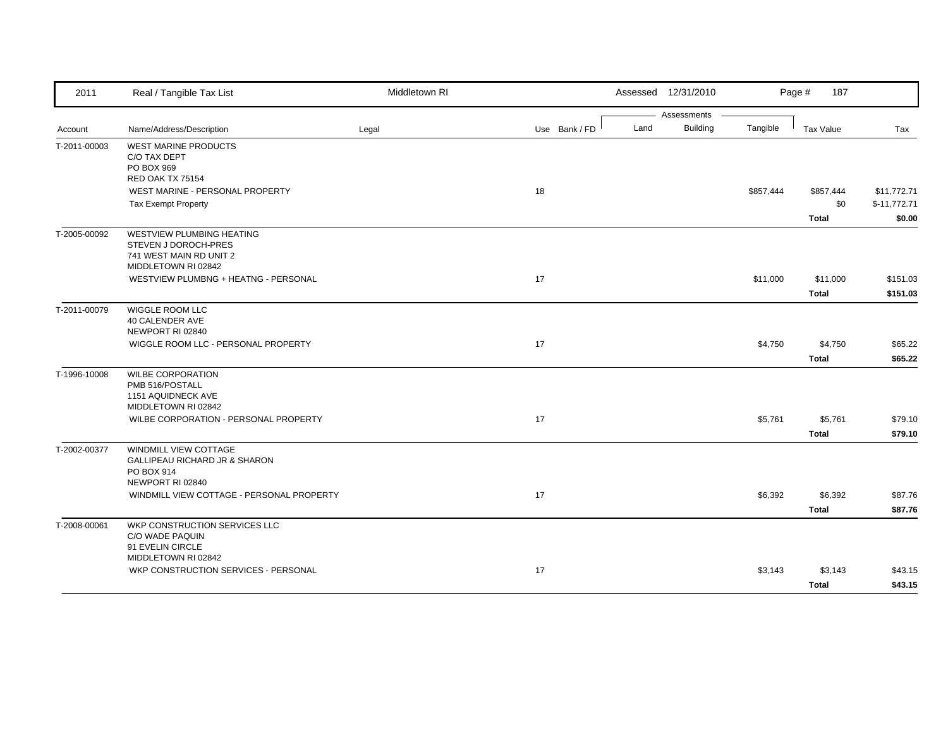| 2011         | Real / Tangible Tax List                                                                                   | Middletown RI |               |      | Assessed 12/31/2010            |           | Page #<br>187                    |                                        |
|--------------|------------------------------------------------------------------------------------------------------------|---------------|---------------|------|--------------------------------|-----------|----------------------------------|----------------------------------------|
| Account      | Name/Address/Description                                                                                   | Legal         | Use Bank / FD | Land | Assessments<br><b>Building</b> | Tangible  | <b>Tax Value</b>                 | Tax                                    |
| T-2011-00003 | <b>WEST MARINE PRODUCTS</b><br>C/O TAX DEPT<br>PO BOX 969<br><b>RED OAK TX 75154</b>                       |               |               |      |                                |           |                                  |                                        |
|              | WEST MARINE - PERSONAL PROPERTY<br><b>Tax Exempt Property</b>                                              |               | 18            |      |                                | \$857,444 | \$857,444<br>\$0<br><b>Total</b> | \$11,772.71<br>$$-11,772.71$<br>\$0.00 |
| T-2005-00092 | WESTVIEW PLUMBING HEATING<br>STEVEN J DOROCH-PRES<br>741 WEST MAIN RD UNIT 2<br>MIDDLETOWN RI 02842        |               |               |      |                                |           |                                  |                                        |
|              | WESTVIEW PLUMBNG + HEATNG - PERSONAL                                                                       |               | 17            |      |                                | \$11,000  | \$11,000<br><b>Total</b>         | \$151.03<br>\$151.03                   |
| T-2011-00079 | WIGGLE ROOM LLC<br>40 CALENDER AVE<br>NEWPORT RI 02840                                                     |               |               |      |                                |           |                                  |                                        |
|              | WIGGLE ROOM LLC - PERSONAL PROPERTY                                                                        |               | 17            |      |                                | \$4,750   | \$4,750<br><b>Total</b>          | \$65.22<br>\$65.22                     |
| T-1996-10008 | <b>WILBE CORPORATION</b><br>PMB 516/POSTALL<br>1151 AQUIDNECK AVE<br>MIDDLETOWN RI 02842                   |               |               |      |                                |           |                                  |                                        |
|              | WILBE CORPORATION - PERSONAL PROPERTY                                                                      |               | 17            |      |                                | \$5,761   | \$5,761<br><b>Total</b>          | \$79.10<br>\$79.10                     |
| T-2002-00377 | <b>WINDMILL VIEW COTTAGE</b><br><b>GALLIPEAU RICHARD JR &amp; SHARON</b><br>PO BOX 914<br>NEWPORT RI 02840 |               |               |      |                                |           |                                  |                                        |
|              | WINDMILL VIEW COTTAGE - PERSONAL PROPERTY                                                                  |               | 17            |      |                                | \$6,392   | \$6,392<br><b>Total</b>          | \$87.76<br>\$87.76                     |
| T-2008-00061 | WKP CONSTRUCTION SERVICES LLC<br>C/O WADE PAQUIN<br>91 EVELIN CIRCLE                                       |               |               |      |                                |           |                                  |                                        |
|              | MIDDLETOWN RI 02842<br>WKP CONSTRUCTION SERVICES - PERSONAL                                                |               | 17            |      |                                | \$3,143   | \$3,143<br><b>Total</b>          | \$43.15<br>\$43.15                     |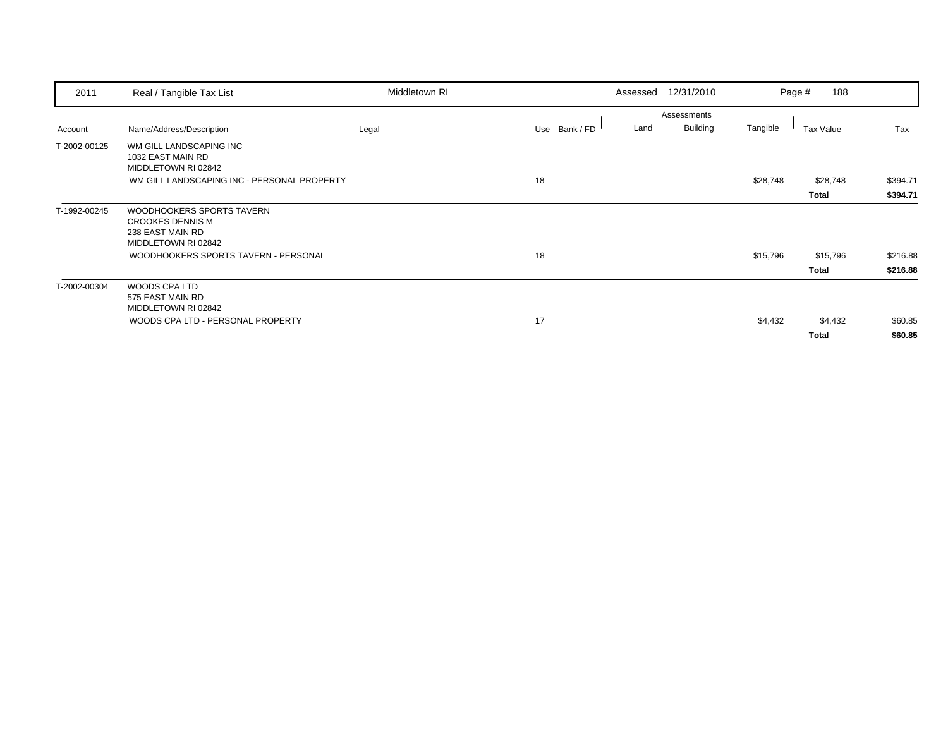| 2011         | Real / Tangible Tax List                                            | Middletown RI |               | Assessed | 12/31/2010                     |          | 188<br>Page # |          |
|--------------|---------------------------------------------------------------------|---------------|---------------|----------|--------------------------------|----------|---------------|----------|
| Account      | Name/Address/Description                                            | Legal         | Use Bank / FD | Land     | Assessments<br><b>Building</b> | Tangible | Tax Value     | Tax      |
| T-2002-00125 | WM GILL LANDSCAPING INC<br>1032 EAST MAIN RD<br>MIDDLETOWN RI 02842 |               |               |          |                                |          |               |          |
|              | WM GILL LANDSCAPING INC - PERSONAL PROPERTY                         |               | 18            |          |                                | \$28,748 | \$28,748      | \$394.71 |
|              |                                                                     |               |               |          |                                |          | Total         | \$394.71 |
| T-1992-00245 | WOODHOOKERS SPORTS TAVERN                                           |               |               |          |                                |          |               |          |
|              | <b>CROOKES DENNIS M</b>                                             |               |               |          |                                |          |               |          |
|              | 238 EAST MAIN RD<br>MIDDLETOWN RI 02842                             |               |               |          |                                |          |               |          |
|              | WOODHOOKERS SPORTS TAVERN - PERSONAL                                |               | 18            |          |                                | \$15,796 | \$15,796      | \$216.88 |
|              |                                                                     |               |               |          |                                |          | Total         | \$216.88 |
| T-2002-00304 | WOODS CPA LTD<br>575 EAST MAIN RD                                   |               |               |          |                                |          |               |          |
|              | MIDDLETOWN RI 02842                                                 |               |               |          |                                |          |               |          |
|              | WOODS CPA LTD - PERSONAL PROPERTY                                   |               | 17            |          |                                | \$4,432  | \$4,432       | \$60.85  |
|              |                                                                     |               |               |          |                                |          | Total         | \$60.85  |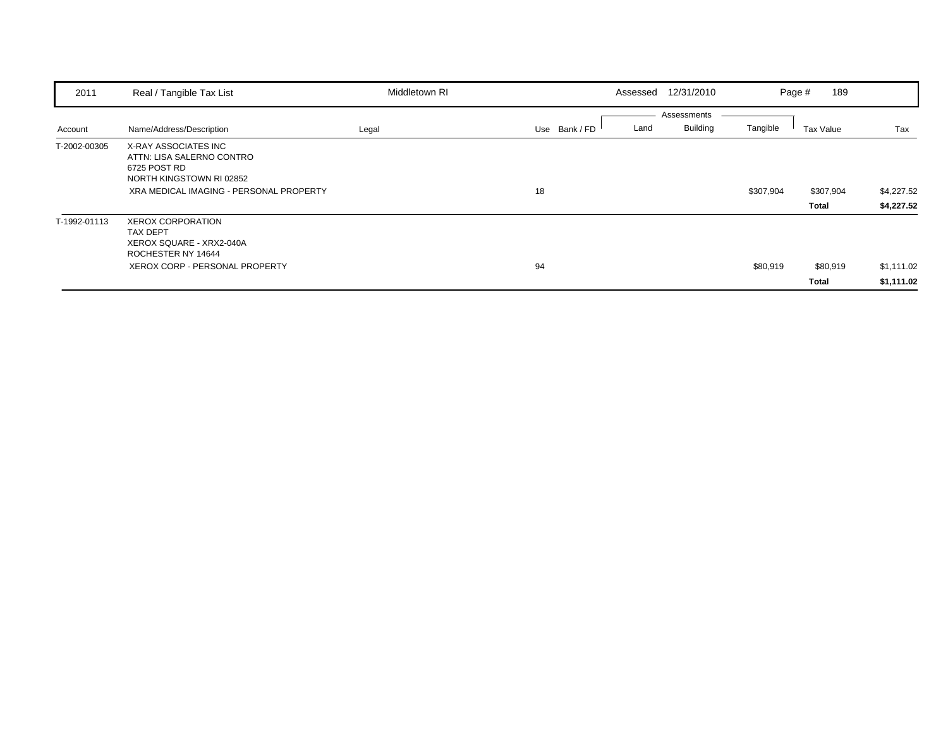| 2011         | Real / Tangible Tax List                                                                                                                 | Middletown RI | Assessed              | 12/31/2010<br>Page #                       | 189                                                   |
|--------------|------------------------------------------------------------------------------------------------------------------------------------------|---------------|-----------------------|--------------------------------------------|-------------------------------------------------------|
| Account      | Name/Address/Description                                                                                                                 | Legal         | Land<br>Use Bank / FD | Assessments<br><b>Building</b><br>Tangible | Tax Value<br>Tax                                      |
| T-2002-00305 | X-RAY ASSOCIATES INC<br>ATTN: LISA SALERNO CONTRO<br>6725 POST RD<br>NORTH KINGSTOWN RI 02852<br>XRA MEDICAL IMAGING - PERSONAL PROPERTY |               | 18                    | \$307,904                                  | \$4,227.52<br>\$307,904<br>\$4,227.52<br><b>Total</b> |
| T-1992-01113 | <b>XEROX CORPORATION</b><br><b>TAX DEPT</b><br>XEROX SQUARE - XRX2-040A<br>ROCHESTER NY 14644<br><b>XEROX CORP - PERSONAL PROPERTY</b>   |               | 94                    | \$80,919                                   | \$1,111.02<br>\$80,919<br>\$1,111.02<br><b>Total</b>  |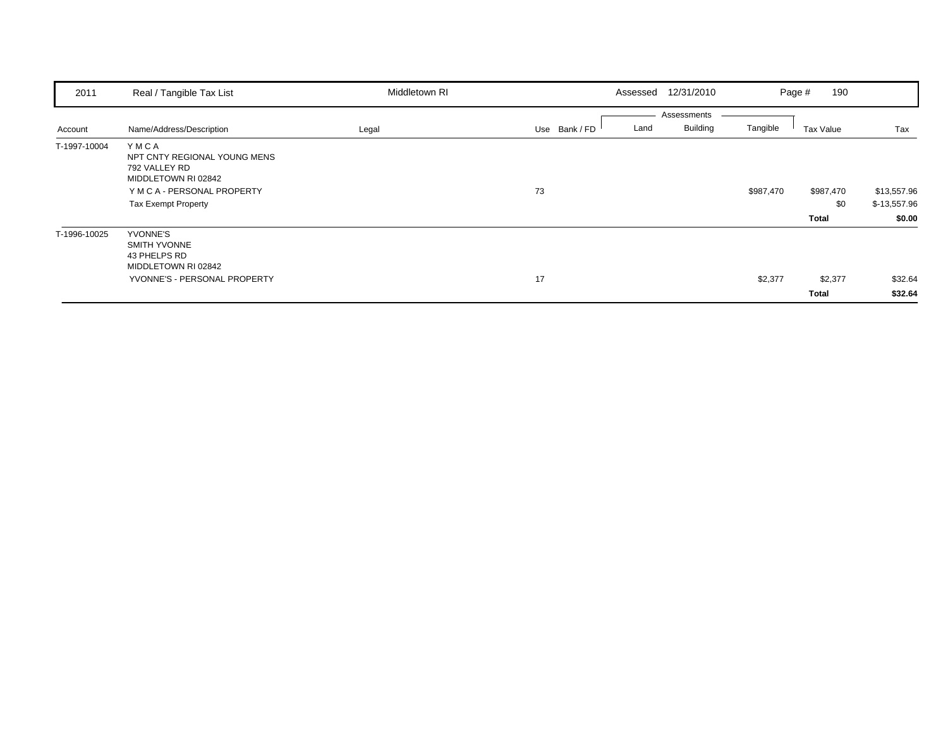| 2011         | Real / Tangible Tax List                                                                                                                  | Middletown RI | Assessed              | 12/31/2010                                 | 190<br>Page #             |                                       |
|--------------|-------------------------------------------------------------------------------------------------------------------------------------------|---------------|-----------------------|--------------------------------------------|---------------------------|---------------------------------------|
| Account      | Name/Address/Description                                                                                                                  | Legal         | Use Bank / FD<br>Land | Assessments<br><b>Building</b><br>Tangible | Tax Value                 | Tax                                   |
| T-1997-10004 | YMCA<br>NPT CNTY REGIONAL YOUNG MENS<br>792 VALLEY RD<br>MIDDLETOWN RI 02842<br>Y M C A - PERSONAL PROPERTY<br><b>Tax Exempt Property</b> |               | 73                    | \$987,470                                  | \$987,470<br>\$0<br>Total | \$13,557.96<br>\$-13,557.96<br>\$0.00 |
| T-1996-10025 | YVONNE'S<br><b>SMITH YVONNE</b><br>43 PHELPS RD<br>MIDDLETOWN RI 02842<br>YVONNE'S - PERSONAL PROPERTY                                    |               | 17                    | \$2,377                                    | \$2,377<br><b>Total</b>   | \$32.64<br>\$32.64                    |